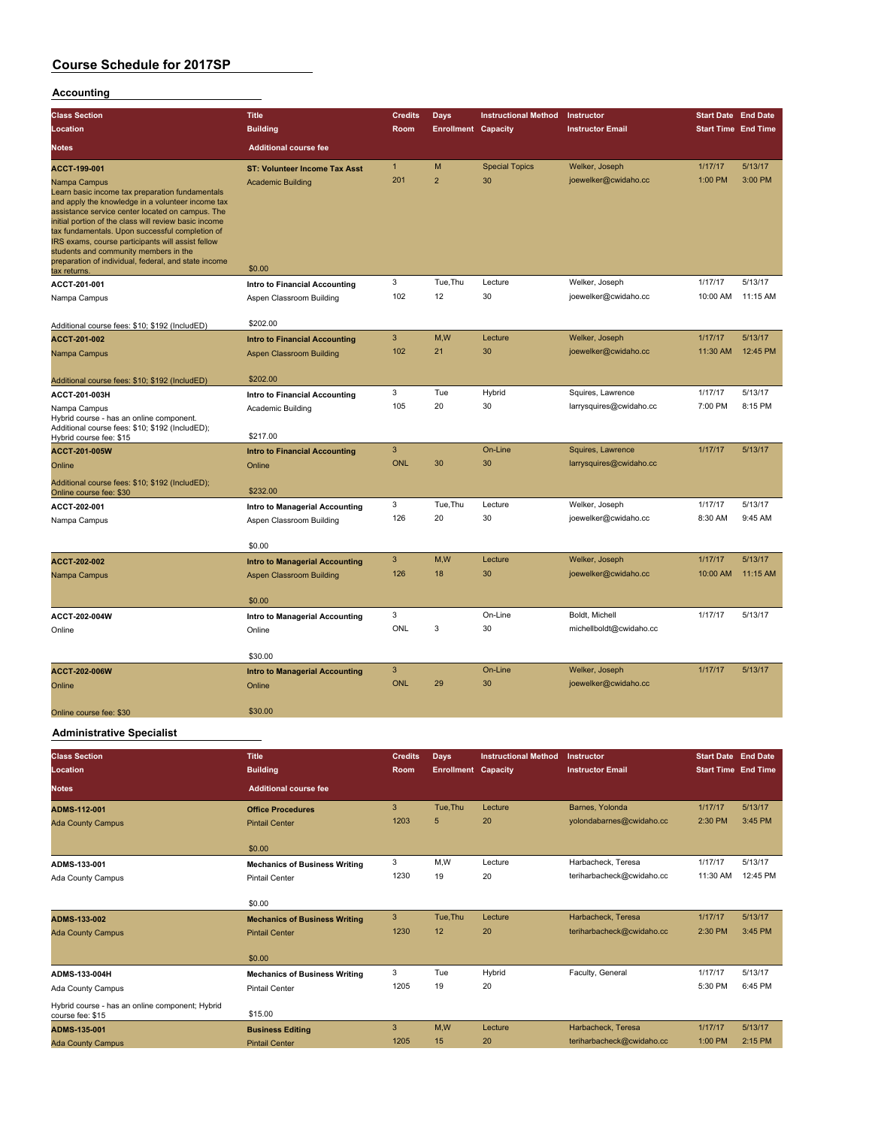### **Accounting**

| <b>Class Section</b>                                                                                                                                                                                                                                                                                                                                                                                                                       | <b>Title</b>                          | <b>Credits</b> | <b>Days</b>                | <b>Instructional Method</b> | Instructor              | <b>Start Date End Date</b> |          |
|--------------------------------------------------------------------------------------------------------------------------------------------------------------------------------------------------------------------------------------------------------------------------------------------------------------------------------------------------------------------------------------------------------------------------------------------|---------------------------------------|----------------|----------------------------|-----------------------------|-------------------------|----------------------------|----------|
| Location                                                                                                                                                                                                                                                                                                                                                                                                                                   | <b>Building</b>                       | Room           | <b>Enrollment Capacity</b> |                             | <b>Instructor Email</b> | <b>Start Time End Time</b> |          |
| <b>Notes</b>                                                                                                                                                                                                                                                                                                                                                                                                                               | <b>Additional course fee</b>          |                |                            |                             |                         |                            |          |
| ACCT-199-001                                                                                                                                                                                                                                                                                                                                                                                                                               | <b>ST: Volunteer Income Tax Asst</b>  | $\mathbf{1}$   | M                          | <b>Special Topics</b>       | Welker, Joseph          | 1/17/17                    | 5/13/17  |
| Nampa Campus<br>Learn basic income tax preparation fundamentals<br>and apply the knowledge in a volunteer income tax<br>assistance service center located on campus. The<br>initial portion of the class will review basic income<br>tax fundamentals. Upon successful completion of<br>IRS exams, course participants will assist fellow<br>students and community members in the<br>preparation of individual, federal, and state income | <b>Academic Building</b><br>\$0.00    | 201            | $\overline{2}$             | 30                          | joewelker@cwidaho.cc    | 1:00 PM                    | 3:00 PM  |
| tax returns.                                                                                                                                                                                                                                                                                                                                                                                                                               |                                       | 3              | Tue, Thu                   | Lecture                     |                         | 1/17/17                    | 5/13/17  |
| ACCT-201-001                                                                                                                                                                                                                                                                                                                                                                                                                               | Intro to Financial Accounting         | 102            | 12                         | 30                          | Welker, Joseph          | 10:00 AM                   | 11:15 AM |
| Nampa Campus                                                                                                                                                                                                                                                                                                                                                                                                                               | Aspen Classroom Building              |                |                            |                             | joewelker@cwidaho.cc    |                            |          |
| Additional course fees: \$10; \$192 (IncludED)                                                                                                                                                                                                                                                                                                                                                                                             | \$202.00                              |                |                            |                             |                         |                            |          |
| <b>ACCT-201-002</b>                                                                                                                                                                                                                                                                                                                                                                                                                        | <b>Intro to Financial Accounting</b>  | 3              | M,W                        | Lecture                     | Welker, Joseph          | 1/17/17                    | 5/13/17  |
| Nampa Campus                                                                                                                                                                                                                                                                                                                                                                                                                               | <b>Aspen Classroom Building</b>       | 102            | 21                         | 30                          | joewelker@cwidaho.cc    | 11:30 AM                   | 12:45 PM |
|                                                                                                                                                                                                                                                                                                                                                                                                                                            |                                       |                |                            |                             |                         |                            |          |
| Additional course fees: \$10; \$192 (IncludED)                                                                                                                                                                                                                                                                                                                                                                                             | \$202.00                              |                |                            |                             |                         |                            |          |
| ACCT-201-003H                                                                                                                                                                                                                                                                                                                                                                                                                              | Intro to Financial Accounting         | 3              | Tue                        | Hybrid                      | Squires, Lawrence       | 1/17/17                    | 5/13/17  |
| Nampa Campus<br>Hybrid course - has an online component.<br>Additional course fees: \$10; \$192 (IncludED);                                                                                                                                                                                                                                                                                                                                | Academic Building<br>\$217.00         | 105            | 20                         | 30                          | larrysquires@cwidaho.cc | 7:00 PM                    | 8:15 PM  |
| Hybrid course fee: \$15<br><b>ACCT-201-005W</b>                                                                                                                                                                                                                                                                                                                                                                                            | <b>Intro to Financial Accounting</b>  | 3              |                            | On-Line                     | Squires, Lawrence       | 1/17/17                    | 5/13/17  |
| Online                                                                                                                                                                                                                                                                                                                                                                                                                                     | Online                                | <b>ONL</b>     | 30                         | 30                          | larrysquires@cwidaho.cc |                            |          |
|                                                                                                                                                                                                                                                                                                                                                                                                                                            |                                       |                |                            |                             |                         |                            |          |
| Additional course fees: \$10; \$192 (IncludED);<br>Online course fee: \$30                                                                                                                                                                                                                                                                                                                                                                 | \$232.00                              |                |                            |                             |                         |                            |          |
| ACCT-202-001                                                                                                                                                                                                                                                                                                                                                                                                                               | Intro to Managerial Accounting        | 3              | Tue, Thu                   | Lecture                     | Welker, Joseph          | 1/17/17                    | 5/13/17  |
| Nampa Campus                                                                                                                                                                                                                                                                                                                                                                                                                               | Aspen Classroom Building              | 126            | 20                         | 30                          | joewelker@cwidaho.cc    | 8:30 AM                    | 9:45 AM  |
|                                                                                                                                                                                                                                                                                                                                                                                                                                            |                                       |                |                            |                             |                         |                            |          |
|                                                                                                                                                                                                                                                                                                                                                                                                                                            | \$0.00                                |                |                            |                             |                         |                            |          |
| ACCT-202-002                                                                                                                                                                                                                                                                                                                                                                                                                               | <b>Intro to Managerial Accounting</b> | 3              | M,W                        | Lecture                     | Welker, Joseph          | 1/17/17                    | 5/13/17  |
| Nampa Campus                                                                                                                                                                                                                                                                                                                                                                                                                               | <b>Aspen Classroom Building</b>       | 126            | 18                         | 30                          | joewelker@cwidaho.cc    | 10:00 AM                   | 11:15 AM |
|                                                                                                                                                                                                                                                                                                                                                                                                                                            | \$0.00                                |                |                            |                             |                         |                            |          |
| ACCT-202-004W                                                                                                                                                                                                                                                                                                                                                                                                                              | Intro to Managerial Accounting        | 3              |                            | On-Line                     | Boldt, Michell          | 1/17/17                    | 5/13/17  |
| Online                                                                                                                                                                                                                                                                                                                                                                                                                                     | Online                                | ONL            | 3                          | 30                          | michellboldt@cwidaho.cc |                            |          |
|                                                                                                                                                                                                                                                                                                                                                                                                                                            |                                       |                |                            |                             |                         |                            |          |
|                                                                                                                                                                                                                                                                                                                                                                                                                                            | \$30.00                               |                |                            |                             |                         |                            |          |
| <b>ACCT-202-006W</b>                                                                                                                                                                                                                                                                                                                                                                                                                       | <b>Intro to Managerial Accounting</b> | 3              |                            | On-Line                     | Welker, Joseph          | 1/17/17                    | 5/13/17  |
| Online                                                                                                                                                                                                                                                                                                                                                                                                                                     | Online                                | <b>ONL</b>     | 29                         | 30                          | joewelker@cwidaho.cc    |                            |          |
|                                                                                                                                                                                                                                                                                                                                                                                                                                            |                                       |                |                            |                             |                         |                            |          |
| Online course fee: \$30                                                                                                                                                                                                                                                                                                                                                                                                                    | \$30.00                               |                |                            |                             |                         |                            |          |

### **Administrative Specialist**

| <b>Class Section</b><br>Location                                    | <b>Title</b><br><b>Building</b>      | <b>Credits</b><br>Room | <b>Days</b><br><b>Enrollment Capacity</b> | <b>Instructional Method</b> | Instructor<br><b>Instructor Email</b> | <b>Start Date End Date</b><br><b>Start Time End Time</b> |          |
|---------------------------------------------------------------------|--------------------------------------|------------------------|-------------------------------------------|-----------------------------|---------------------------------------|----------------------------------------------------------|----------|
| <b>Notes</b>                                                        | <b>Additional course fee</b>         |                        |                                           |                             |                                       |                                                          |          |
| ADMS-112-001                                                        | <b>Office Procedures</b>             | 3                      | Tue, Thu                                  | Lecture                     | Barnes, Yolonda                       | 1/17/17                                                  | 5/13/17  |
| <b>Ada County Campus</b>                                            | <b>Pintail Center</b>                | 1203                   | 5                                         | 20                          | yolondabarnes@cwidaho.cc              | 2:30 PM                                                  | 3:45 PM  |
|                                                                     | \$0.00                               |                        |                                           |                             |                                       |                                                          |          |
| ADMS-133-001                                                        | <b>Mechanics of Business Writing</b> | 3                      | M.W                                       | Lecture                     | Harbacheck, Teresa                    | 1/17/17                                                  | 5/13/17  |
| Ada County Campus                                                   | <b>Pintail Center</b>                | 1230                   | 19                                        | 20                          | teriharbacheck@cwidaho.cc             | 11:30 AM                                                 | 12:45 PM |
|                                                                     | \$0.00                               |                        |                                           |                             |                                       |                                                          |          |
| ADMS-133-002                                                        | <b>Mechanics of Business Writing</b> | 3                      | Tue, Thu                                  | Lecture                     | Harbacheck, Teresa                    | 1/17/17                                                  | 5/13/17  |
| <b>Ada County Campus</b>                                            | <b>Pintail Center</b>                | 1230                   | 12                                        | 20                          | teriharbacheck@cwidaho.cc             | 2:30 PM                                                  | 3:45 PM  |
|                                                                     | \$0.00                               |                        |                                           |                             |                                       |                                                          |          |
| ADMS-133-004H                                                       | <b>Mechanics of Business Writing</b> | 3                      | Tue                                       | Hybrid                      | Faculty, General                      | 1/17/17                                                  | 5/13/17  |
| Ada County Campus                                                   | <b>Pintail Center</b>                | 1205                   | 19                                        | 20                          |                                       | 5:30 PM                                                  | 6:45 PM  |
| Hybrid course - has an online component; Hybrid<br>course fee: \$15 | \$15.00                              |                        |                                           |                             |                                       |                                                          |          |
| <b>ADMS-135-001</b>                                                 | <b>Business Editing</b>              | 3                      | M,W                                       | Lecture                     | Harbacheck, Teresa                    | 1/17/17                                                  | 5/13/17  |
| <b>Ada County Campus</b>                                            | <b>Pintail Center</b>                | 1205                   | 15                                        | 20                          | teriharbacheck@cwidaho.cc             | 1:00 PM                                                  | 2:15 PM  |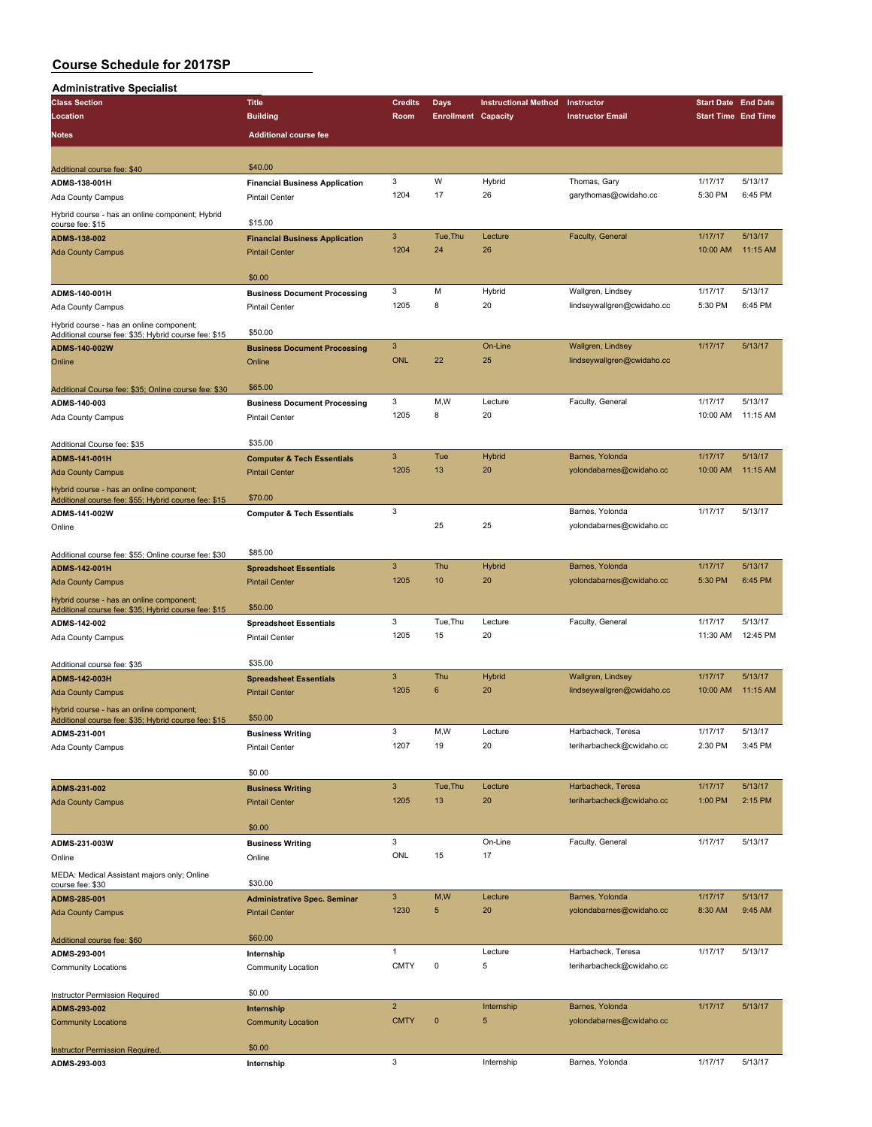| <b>Administrative Specialist</b>                                                                 |                                       |                      |                            |                             |                            |                            |          |
|--------------------------------------------------------------------------------------------------|---------------------------------------|----------------------|----------------------------|-----------------------------|----------------------------|----------------------------|----------|
| <b>Class Section</b>                                                                             | <b>Title</b>                          | <b>Credits</b>       | Days                       | <b>Instructional Method</b> | Instructor                 | <b>Start Date End Date</b> |          |
| Location                                                                                         | <b>Building</b>                       | Room                 | <b>Enrollment Capacity</b> |                             | <b>Instructor Email</b>    | <b>Start Time End Time</b> |          |
| Notes                                                                                            | <b>Additional course fee</b>          |                      |                            |                             |                            |                            |          |
|                                                                                                  |                                       |                      |                            |                             |                            |                            |          |
|                                                                                                  |                                       |                      |                            |                             |                            |                            |          |
| Additional course fee: \$40                                                                      | \$40.00                               |                      |                            |                             |                            |                            |          |
| ADMS-138-001H                                                                                    | <b>Financial Business Application</b> | 3                    | W                          | Hybrid                      | Thomas, Gary               | 1/17/17                    | 5/13/17  |
| Ada County Campus                                                                                | <b>Pintail Center</b>                 | 1204                 | 17                         | 26                          | garythomas@cwidaho.cc      | 5:30 PM                    | 6:45 PM  |
| Hybrid course - has an online component; Hybrid                                                  |                                       |                      |                            |                             |                            |                            |          |
| course fee: \$15                                                                                 | \$15.00                               |                      |                            |                             |                            |                            | 5/13/17  |
| ADMS-138-002                                                                                     | <b>Financial Business Application</b> | $\mathbf{3}$<br>1204 | Tue, Thu<br>24             | Lecture<br>26               | Faculty, General           | 1/17/17                    |          |
| <b>Ada County Campus</b>                                                                         | <b>Pintail Center</b>                 |                      |                            |                             |                            | 10:00 AM                   | 11:15 AM |
|                                                                                                  | \$0.00                                |                      |                            |                             |                            |                            |          |
|                                                                                                  |                                       | 3                    | M                          | Hybrid                      | Wallgren, Lindsey          | 1/17/17                    | 5/13/17  |
| ADMS-140-001H                                                                                    | <b>Business Document Processing</b>   | 1205                 | 8                          | 20                          | lindseywallgren@cwidaho.cc | 5:30 PM                    | 6:45 PM  |
| Ada County Campus                                                                                | <b>Pintail Center</b>                 |                      |                            |                             |                            |                            |          |
| Hybrid course - has an online component;                                                         | \$50.00                               |                      |                            |                             |                            |                            |          |
| Additional course fee: \$35; Hybrid course fee: \$15<br>ADMS-140-002W                            | <b>Business Document Processing</b>   | $\mathbf{3}$         |                            | On-Line                     | Wallgren, Lindsey          | 1/17/17                    | 5/13/17  |
|                                                                                                  |                                       | <b>ONL</b>           | 22                         | 25                          | lindseywallgren@cwidaho.cc |                            |          |
| Online                                                                                           | Online                                |                      |                            |                             |                            |                            |          |
|                                                                                                  | \$65.00                               |                      |                            |                             |                            |                            |          |
| Additional Course fee: \$35; Online course fee: \$30<br>ADMS-140-003                             | <b>Business Document Processing</b>   | 3                    | M,W                        | Lecture                     | Faculty, General           | 1/17/17                    | 5/13/17  |
|                                                                                                  | <b>Pintail Center</b>                 | 1205                 | 8                          | 20                          |                            | 10:00 AM                   | 11:15 AM |
| Ada County Campus                                                                                |                                       |                      |                            |                             |                            |                            |          |
| Additional Course fee: \$35                                                                      | \$35.00                               |                      |                            |                             |                            |                            |          |
| ADMS-141-001H                                                                                    | <b>Computer &amp; Tech Essentials</b> | 3                    | Tue                        | Hybrid                      | Barnes, Yolonda            | 1/17/17                    | 5/13/17  |
| <b>Ada County Campus</b>                                                                         | <b>Pintail Center</b>                 | 1205                 | 13                         | 20                          | yolondabarnes@cwidaho.cc   | 10:00 AM                   | 11:15 AM |
|                                                                                                  |                                       |                      |                            |                             |                            |                            |          |
| Hybrid course - has an online component;<br>Additional course fee: \$55; Hybrid course fee: \$15 | \$70.00                               |                      |                            |                             |                            |                            |          |
| ADMS-141-002W                                                                                    | <b>Computer &amp; Tech Essentials</b> | 3                    |                            |                             | Barnes, Yolonda            | 1/17/17                    | 5/13/17  |
| Online                                                                                           |                                       |                      | 25                         | 25                          | yolondabarnes@cwidaho.cc   |                            |          |
|                                                                                                  |                                       |                      |                            |                             |                            |                            |          |
| Additional course fee: \$55; Online course fee: \$30                                             | \$85.00                               |                      |                            |                             |                            |                            |          |
| ADMS-142-001H                                                                                    | <b>Spreadsheet Essentials</b>         | $\mathbf{3}$         | Thu                        | Hybrid                      | Barnes, Yolonda            | 1/17/17                    | 5/13/17  |
| <b>Ada County Campus</b>                                                                         | <b>Pintail Center</b>                 | 1205                 | 10                         | 20                          | yolondabarnes@cwidaho.cc   | 5:30 PM                    | 6:45 PM  |
|                                                                                                  |                                       |                      |                            |                             |                            |                            |          |
| Hybrid course - has an online component;<br>Additional course fee: \$35; Hybrid course fee: \$15 | \$50.00                               |                      |                            |                             |                            |                            |          |
| ADMS-142-002                                                                                     | <b>Spreadsheet Essentials</b>         | 3                    | Tue, Thu                   | Lecture                     | Faculty, General           | 1/17/17                    | 5/13/17  |
| Ada County Campus                                                                                | <b>Pintail Center</b>                 | 1205                 | 15                         | 20                          |                            | 11:30 AM                   | 12:45 PM |
|                                                                                                  |                                       |                      |                            |                             |                            |                            |          |
| Additional course fee: \$35                                                                      | \$35.00                               |                      |                            |                             |                            |                            |          |
| ADMS-142-003H                                                                                    | <b>Spreadsheet Essentials</b>         | 3                    | Thu                        | Hybrid                      | Wallgren, Lindsey          | 1/17/17                    | 5/13/17  |
| <b>Ada County Campus</b>                                                                         | <b>Pintail Center</b>                 | 1205                 | 6                          | 20                          | lindseywallgren@cwidaho.cc | 10:00 AM                   | 11:15 AM |
| Hybrid course - has an online component;                                                         |                                       |                      |                            |                             |                            |                            |          |
| Additional course fee: \$35; Hybrid course fee: \$15                                             | \$50.00                               |                      |                            |                             |                            |                            |          |
| ADMS-231-001                                                                                     | <b>Business Writing</b>               | 3                    | M,W                        | Lecture                     | Harbacheck, Teresa         | 1/17/17                    | 5/13/17  |
| Ada County Campus                                                                                | <b>Pintail Center</b>                 | 1207                 | 19                         | 20                          | teriharbacheck@cwidaho.cc  | 2:30 PM                    | 3:45 PM  |
|                                                                                                  |                                       |                      |                            |                             |                            |                            |          |
|                                                                                                  | \$0.00                                |                      |                            |                             |                            |                            |          |
| ADMS-231-002                                                                                     | <b>Business Writing</b>               | $\mathbf{3}$         | Tue, Thu                   | Lecture                     | Harbacheck, Teresa         | 1/17/17                    | 5/13/17  |
| <b>Ada County Campus</b>                                                                         | <b>Pintail Center</b>                 | 1205                 | 13                         | 20                          | teriharbacheck@cwidaho.cc  | 1:00 PM                    | 2:15 PM  |
|                                                                                                  |                                       |                      |                            |                             |                            |                            |          |
|                                                                                                  | \$0.00                                |                      |                            |                             |                            |                            |          |
| ADMS-231-003W                                                                                    | <b>Business Writing</b>               | 3                    |                            | On-Line                     | Faculty, General           | 1/17/17                    | 5/13/17  |
| Online                                                                                           | Online                                | ONL                  | 15                         | 17                          |                            |                            |          |
| MEDA: Medical Assistant majors only; Online                                                      |                                       |                      |                            |                             |                            |                            |          |
| course fee: \$30                                                                                 | \$30.00                               |                      |                            |                             |                            |                            |          |
| ADMS-285-001                                                                                     | <b>Administrative Spec. Seminar</b>   | $\mathsf 3$          | M,W                        | Lecture                     | Barnes, Yolonda            | 1/17/17                    | 5/13/17  |
| <b>Ada County Campus</b>                                                                         | <b>Pintail Center</b>                 | 1230                 | $\sqrt{5}$                 | 20                          | yolondabarnes@cwidaho.cc   | 8:30 AM                    | 9:45 AM  |
|                                                                                                  |                                       |                      |                            |                             |                            |                            |          |
| Additional course fee: \$60                                                                      | \$60.00                               | $\mathbf{1}$         |                            |                             |                            |                            |          |
| ADMS-293-001                                                                                     | Internship                            |                      |                            | Lecture                     | Harbacheck, Teresa         | 1/17/17                    | 5/13/17  |
| Community Locations                                                                              | Community Location                    | <b>CMTY</b>          | 0                          | 5                           | teriharbacheck@cwidaho.cc  |                            |          |
|                                                                                                  |                                       |                      |                            |                             |                            |                            |          |
| Instructor Permission Required                                                                   | \$0.00                                | $\overline{2}$       |                            |                             | Barnes, Yolonda            | 1/17/17                    | 5/13/17  |
| ADMS-293-002                                                                                     | Internship                            | <b>CMTY</b>          | $\pmb{0}$                  | Internship<br>$\sqrt{5}$    |                            |                            |          |
| <b>Community Locations</b>                                                                       | <b>Community Location</b>             |                      |                            |                             | yolondabarnes@cwidaho.cc   |                            |          |
|                                                                                                  | \$0.00                                |                      |                            |                             |                            |                            |          |
| <b>Instructor Permission Required.</b>                                                           |                                       | 3                    |                            | Internship                  | Barnes, Yolonda            | 1/17/17                    | 5/13/17  |
| ADMS-293-003                                                                                     | Internship                            |                      |                            |                             |                            |                            |          |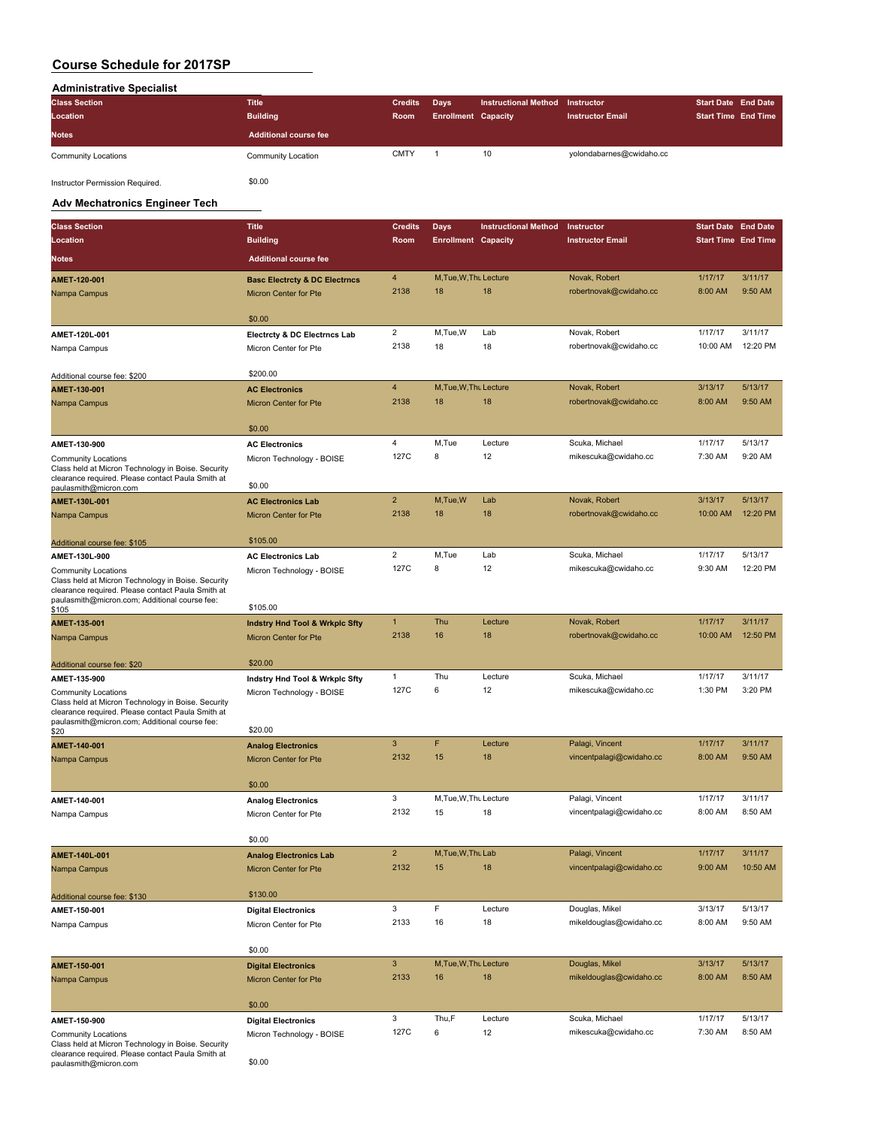### **Administrative Specialist**

| <b>Title</b>                 |             |                               |      |                                                           |            |                                                          |
|------------------------------|-------------|-------------------------------|------|-----------------------------------------------------------|------------|----------------------------------------------------------|
| <b>Building</b>              |             |                               |      | <b>Instructor Email</b>                                   |            |                                                          |
| <b>Additional course fee</b> |             |                               |      |                                                           |            |                                                          |
| Community Location           | <b>CMTY</b> |                               | 10   | yolondabarnes@cwidaho.cc                                  |            |                                                          |
|                              |             | <b>Credits</b><br><b>Room</b> | Days | <b>Instructional Method</b><br><b>Enrollment Capacity</b> | Instructor | <b>Start Date End Date</b><br><b>Start Time End Time</b> |

Instructor Permission Required.  $$0.00$ 

### **Adv Mechatronics Engineer Tech**

| <b>Class Section</b>                                                                                                                                                                   | <b>Title</b>                              | <b>Credits</b>         | <b>Days</b>                | <b>Instructional Method</b> | Instructor                              | <b>Start Date End Date</b> |                     |
|----------------------------------------------------------------------------------------------------------------------------------------------------------------------------------------|-------------------------------------------|------------------------|----------------------------|-----------------------------|-----------------------------------------|----------------------------|---------------------|
| Location                                                                                                                                                                               | <b>Building</b>                           | Room                   | <b>Enrollment Capacity</b> |                             | <b>Instructor Email</b>                 | <b>Start Time End Time</b> |                     |
| Notes                                                                                                                                                                                  | <b>Additional course fee</b>              |                        |                            |                             |                                         |                            |                     |
| AMET-120-001                                                                                                                                                                           | <b>Basc Electrcty &amp; DC Electrncs</b>  | 4                      | M, Tue, W, Thu Lecture     |                             | Novak, Robert                           | 1/17/17                    | 3/11/17             |
| Nampa Campus                                                                                                                                                                           | <b>Micron Center for Pte</b>              | 2138                   | 18                         | 18                          | robertnovak@cwidaho.cc                  | 8:00 AM                    | 9:50 AM             |
|                                                                                                                                                                                        |                                           |                        |                            |                             |                                         |                            |                     |
|                                                                                                                                                                                        | \$0.00                                    |                        |                            |                             |                                         |                            |                     |
| AMET-120L-001                                                                                                                                                                          | <b>Electrcty &amp; DC Electrncs Lab</b>   | $\overline{2}$<br>2138 | M,Tue,W<br>18              | Lab<br>18                   | Novak, Robert<br>robertnovak@cwidaho.cc | 1/17/17<br>10:00 AM        | 3/11/17<br>12:20 PM |
| Nampa Campus                                                                                                                                                                           | Micron Center for Pte                     |                        |                            |                             |                                         |                            |                     |
| Additional course fee: \$200                                                                                                                                                           | \$200.00                                  |                        |                            |                             |                                         |                            |                     |
| AMET-130-001                                                                                                                                                                           | <b>AC Electronics</b>                     | $\overline{4}$         | M, Tue, W, Thu Lecture     |                             | Novak, Robert                           | 3/13/17                    | 5/13/17             |
| Nampa Campus                                                                                                                                                                           | Micron Center for Pte                     | 2138                   | 18                         | 18                          | robertnovak@cwidaho.cc                  | 8:00 AM                    | 9:50 AM             |
|                                                                                                                                                                                        | \$0.00                                    |                        |                            |                             |                                         |                            |                     |
| AMET-130-900                                                                                                                                                                           | <b>AC Electronics</b>                     | 4<br>127C              | M,Tue<br>8                 | Lecture<br>12               | Scuka, Michael                          | 1/17/17                    | 5/13/17<br>9:20 AM  |
| Community Locations<br>Class held at Micron Technology in Boise. Security<br>clearance required. Please contact Paula Smith at                                                         | Micron Technology - BOISE                 |                        |                            |                             | mikescuka@cwidaho.cc                    | 7:30 AM                    |                     |
| paulasmith@micron.com                                                                                                                                                                  | \$0.00                                    |                        |                            |                             |                                         |                            |                     |
| AMET-130L-001                                                                                                                                                                          | <b>AC Electronics Lab</b>                 | $\overline{2}$         | M,Tue,W                    | Lab                         | Novak, Robert                           | 3/13/17                    | 5/13/17             |
| Nampa Campus                                                                                                                                                                           | <b>Micron Center for Pte</b>              | 2138                   | 18                         | 18                          | robertnovak@cwidaho.cc                  | 10:00 AM                   | 12:20 PM            |
| Additional course fee: \$105                                                                                                                                                           | \$105.00                                  |                        |                            |                             |                                         |                            |                     |
| AMET-130L-900                                                                                                                                                                          | <b>AC Electronics Lab</b>                 | $\overline{c}$         | M,Tue                      | Lab                         | Scuka, Michael                          | 1/17/17                    | 5/13/17             |
| <b>Community Locations</b><br>Class held at Micron Technology in Boise. Security<br>clearance required. Please contact Paula Smith at<br>paulasmith@micron.com; Additional course fee: | Micron Technology - BOISE                 | 127C                   | 8                          | 12                          | mikescuka@cwidaho.cc                    | 9:30 AM                    | 12:20 PM            |
| \$105                                                                                                                                                                                  | \$105.00                                  |                        |                            |                             |                                         |                            |                     |
| AMET-135-001                                                                                                                                                                           | <b>Indstry Hnd Tool &amp; Wrkplc Sfty</b> | $\mathbf{1}$           | Thu                        | Lecture                     | Novak, Robert                           | 1/17/17                    | 3/11/17             |
| Nampa Campus                                                                                                                                                                           | <b>Micron Center for Pte</b>              | 2138                   | 16                         | 18                          | robertnovak@cwidaho.cc                  | 10:00 AM                   | 12:50 PM            |
| Additional course fee: \$20                                                                                                                                                            | \$20.00                                   |                        |                            |                             |                                         |                            |                     |
| AMET-135-900                                                                                                                                                                           | Indstry Hnd Tool & Wrkplc Sfty            | $\mathbf{1}$           | Thu                        | Lecture                     | Scuka, Michael                          | 1/17/17                    | 3/11/17             |
| <b>Community Locations</b><br>Class held at Micron Technology in Boise. Security<br>clearance required. Please contact Paula Smith at<br>paulasmith@micron.com; Additional course fee: | Micron Technology - BOISE                 | 127C                   | 6                          | 12                          | mikescuka@cwidaho.cc                    | 1:30 PM                    | 3:20 PM             |
| \$20                                                                                                                                                                                   | \$20.00                                   |                        |                            |                             |                                         |                            |                     |
| AMET-140-001                                                                                                                                                                           | <b>Analog Electronics</b>                 | $\mathbf{3}$           | F                          | Lecture                     | Palagi, Vincent                         | 1/17/17                    | 3/11/17             |
| Nampa Campus                                                                                                                                                                           | <b>Micron Center for Pte</b>              | 2132                   | 15                         | 18                          | vincentpalagi@cwidaho.cc                | 8:00 AM                    | 9:50 AM             |
|                                                                                                                                                                                        | \$0.00                                    |                        |                            |                             |                                         |                            |                     |
| AMET-140-001                                                                                                                                                                           | <b>Analog Electronics</b>                 | 3                      | M, Tue, W, Thu Lecture     |                             | Palagi, Vincent                         | 1/17/17                    | 3/11/17             |
| Nampa Campus                                                                                                                                                                           | Micron Center for Pte                     | 2132                   | 15                         | 18                          | vincentpalagi@cwidaho.cc                | 8:00 AM                    | 8:50 AM             |
|                                                                                                                                                                                        | \$0.00                                    |                        |                            |                             |                                         |                            |                     |
| AMET-140L-001                                                                                                                                                                          | <b>Analog Electronics Lab</b>             | $\overline{2}$         | M, Tue, W, Thu Lab         |                             | Palagi, Vincent                         | 1/17/17                    | 3/11/17             |
| Nampa Campus                                                                                                                                                                           | Micron Center for Pte                     | 2132                   | 15                         | 18                          | vincentpalagi@cwidaho.cc                | 9:00 AM                    | 10:50 AM            |
| Additional course fee: \$130                                                                                                                                                           | \$130.00                                  |                        |                            |                             |                                         |                            |                     |
| AMET-150-001                                                                                                                                                                           | <b>Digital Electronics</b>                | 3                      | F                          | Lecture                     | Douglas, Mikel                          | 3/13/17                    | 5/13/17             |
| Nampa Campus                                                                                                                                                                           | Micron Center for Pte                     | 2133                   | 16                         | 18                          | mikeldouglas@cwidaho.cc                 | 8:00 AM                    | 9:50 AM             |
|                                                                                                                                                                                        | \$0.00                                    |                        |                            |                             |                                         |                            |                     |
| AMET-150-001                                                                                                                                                                           | <b>Digital Electronics</b>                | 3                      | M, Tue, W, Thu Lecture     |                             | Douglas, Mikel                          | 3/13/17                    | 5/13/17             |
| Nampa Campus                                                                                                                                                                           | Micron Center for Pte                     | 2133                   | 16                         | 18                          | mikeldouglas@cwidaho.cc                 | 8:00 AM                    | 8:50 AM             |
|                                                                                                                                                                                        | \$0.00                                    |                        |                            |                             |                                         |                            |                     |
| AMET-150-900                                                                                                                                                                           | <b>Digital Electronics</b>                | 3                      | Thu,F                      | Lecture                     | Scuka, Michael                          | 1/17/17                    | 5/13/17             |
| <b>Community Locations</b><br>Class held at Micron Technology in Boise. Security<br>clearance required. Please contact Paula Smith at                                                  | Micron Technology - BOISE                 | 127C                   | 6                          | 12                          | mikescuka@cwidaho.cc                    | 7:30 AM                    | 8:50 AM             |

clearance required. Please contact Paula Smith at paulasmith@micron.com \$0.00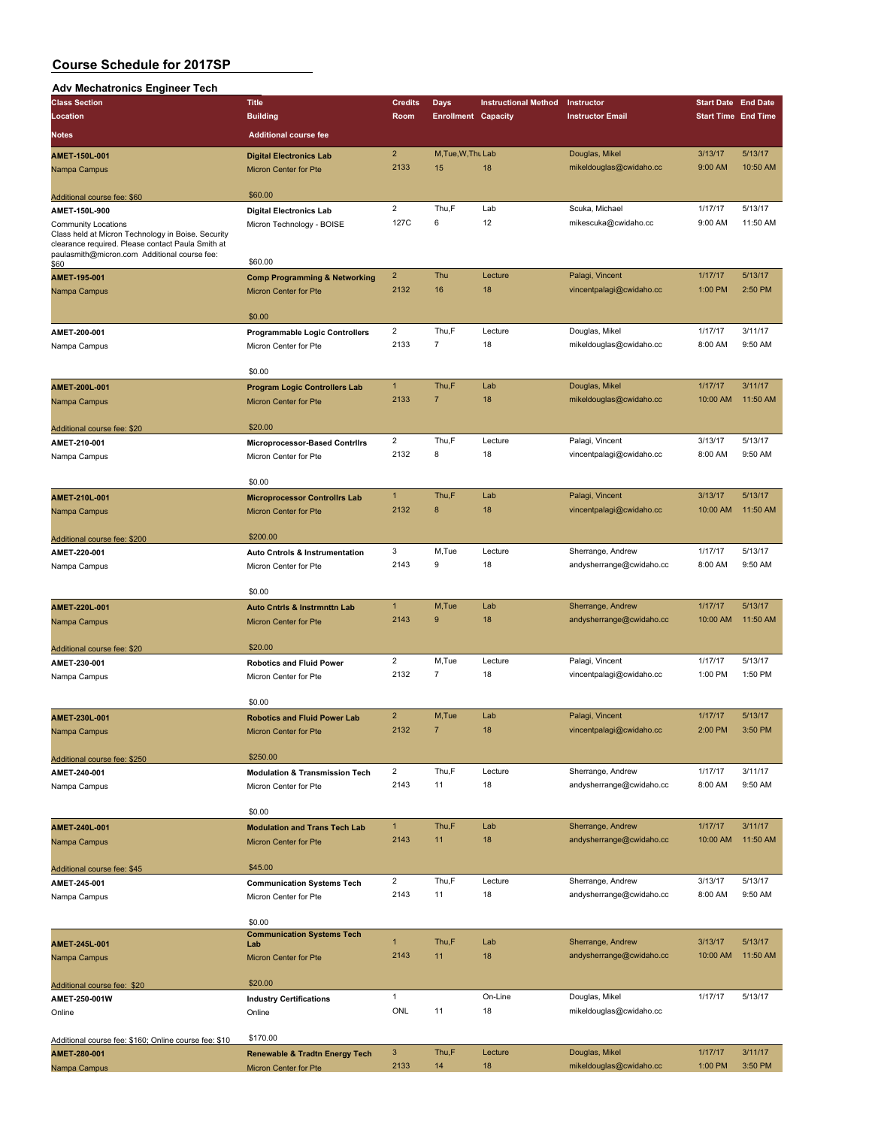### **Adv Mechatronics Engineer Tech**

| Aar moonaa omoo migmoor<br><b>Class Section</b>                                                   | <b>Title</b>                              | <b>Credits</b>          | Days                       | <b>Instructional Method</b> | Instructor               | <b>Start Date End Date</b> |          |
|---------------------------------------------------------------------------------------------------|-------------------------------------------|-------------------------|----------------------------|-----------------------------|--------------------------|----------------------------|----------|
|                                                                                                   |                                           |                         |                            |                             |                          |                            |          |
| Location                                                                                          | <b>Building</b>                           | Room                    | <b>Enrollment Capacity</b> |                             | <b>Instructor Email</b>  | <b>Start Time End Time</b> |          |
| Notes                                                                                             | <b>Additional course fee</b>              |                         |                            |                             |                          |                            |          |
| AMET-150L-001                                                                                     | <b>Digital Electronics Lab</b>            | $\overline{2}$          | M, Tue, W, Thu Lab         |                             | Douglas, Mikel           | 3/13/17                    | 5/13/17  |
| Nampa Campus                                                                                      | Micron Center for Pte                     | 2133                    | 15                         | 18                          | mikeldouglas@cwidaho.cc  | 9:00 AM                    | 10:50 AM |
|                                                                                                   |                                           |                         |                            |                             |                          |                            |          |
| Additional course fee: \$60                                                                       | \$60.00                                   |                         |                            |                             |                          |                            |          |
| AMET-150L-900                                                                                     | <b>Digital Electronics Lab</b>            | $\overline{2}$          | Thu,F                      | Lab                         | Scuka, Michael           | 1/17/17                    | 5/13/17  |
| <b>Community Locations</b>                                                                        | Micron Technology - BOISE                 | 127C                    | 6                          | 12                          | mikescuka@cwidaho.cc     | 9:00 AM                    | 11:50 AM |
| Class held at Micron Technology in Boise. Security                                                |                                           |                         |                            |                             |                          |                            |          |
| clearance required. Please contact Paula Smith at<br>paulasmith@micron.com Additional course fee: |                                           |                         |                            |                             |                          |                            |          |
| \$60                                                                                              | \$60.00                                   |                         |                            |                             |                          |                            |          |
| AMET-195-001                                                                                      | <b>Comp Programming &amp; Networking</b>  | $\overline{2}$          | Thu                        | Lecture                     | Palagi, Vincent          | 1/17/17                    | 5/13/17  |
| Nampa Campus                                                                                      | Micron Center for Pte                     | 2132                    | 16                         | 18                          | vincentpalagi@cwidaho.cc | 1:00 PM                    | 2:50 PM  |
|                                                                                                   |                                           |                         |                            |                             |                          |                            |          |
|                                                                                                   | \$0.00                                    |                         |                            |                             |                          |                            |          |
| AMET-200-001                                                                                      | <b>Programmable Logic Controllers</b>     | $\overline{c}$          | Thu,F                      | Lecture                     | Douglas, Mikel           | 1/17/17                    | 3/11/17  |
| Nampa Campus                                                                                      | Micron Center for Pte                     | 2133                    | $\overline{7}$             | 18                          | mikeldouglas@cwidaho.cc  | 8:00 AM                    | 9:50 AM  |
|                                                                                                   |                                           |                         |                            |                             |                          |                            |          |
|                                                                                                   | \$0.00                                    |                         |                            |                             |                          |                            |          |
| AMET-200L-001                                                                                     | <b>Program Logic Controllers Lab</b>      | $\mathbf{1}$            | Thu,F                      | Lab                         | Douglas, Mikel           | 1/17/17                    | 3/11/17  |
| Nampa Campus                                                                                      | Micron Center for Pte                     | 2133                    | $\overline{7}$             | 18                          | mikeldouglas@cwidaho.cc  | 10:00 AM                   | 11:50 AM |
|                                                                                                   |                                           |                         |                            |                             |                          |                            |          |
| Additional course fee: \$20                                                                       | \$20.00                                   |                         |                            |                             |                          |                            |          |
| AMET-210-001                                                                                      | <b>Microprocessor-Based Contrilrs</b>     | $\overline{a}$          | Thu,F                      | Lecture                     | Palagi, Vincent          | 3/13/17                    | 5/13/17  |
| Nampa Campus                                                                                      | Micron Center for Pte                     | 2132                    | 8                          | 18                          | vincentpalagi@cwidaho.cc | 8:00 AM                    | 9:50 AM  |
|                                                                                                   |                                           |                         |                            |                             |                          |                            |          |
|                                                                                                   | \$0.00                                    |                         |                            |                             |                          |                            |          |
| AMET-210L-001                                                                                     | <b>Microprocessor Controllrs Lab</b>      | $\mathbf{1}$            | Thu,F                      | Lab                         | Palagi, Vincent          | 3/13/17                    | 5/13/17  |
| Nampa Campus                                                                                      | Micron Center for Pte                     | 2132                    | 8                          | 18                          | vincentpalagi@cwidaho.cc | 10:00 AM                   | 11:50 AM |
|                                                                                                   |                                           |                         |                            |                             |                          |                            |          |
| Additional course fee: \$200                                                                      | \$200.00                                  |                         |                            |                             |                          |                            |          |
| AMET-220-001                                                                                      | <b>Auto Cntrols &amp; Instrumentation</b> | 3                       | M,Tue                      | Lecture                     | Sherrange, Andrew        | 1/17/17                    | 5/13/17  |
| Nampa Campus                                                                                      | Micron Center for Pte                     | 2143                    | 9                          | 18                          | andysherrange@cwidaho.cc | 8:00 AM                    | 9:50 AM  |
|                                                                                                   |                                           |                         |                            |                             |                          |                            |          |
|                                                                                                   | \$0.00                                    |                         |                            |                             |                          |                            |          |
| AMET-220L-001                                                                                     | <b>Auto Cntrls &amp; Instrmnttn Lab</b>   | $\mathbf{1}$            | M, Tue                     | Lab                         | Sherrange, Andrew        | 1/17/17                    | 5/13/17  |
| Nampa Campus                                                                                      | <b>Micron Center for Pte</b>              | 2143                    | 9                          | 18                          | andysherrange@cwidaho.cc | 10:00 AM                   | 11:50 AM |
|                                                                                                   |                                           |                         |                            |                             |                          |                            |          |
| Additional course fee: \$20                                                                       | \$20.00                                   |                         |                            |                             |                          |                            |          |
| AMET-230-001                                                                                      | <b>Robotics and Fluid Power</b>           | $\overline{2}$          | M,Tue                      | Lecture                     | Palagi, Vincent          | 1/17/17                    | 5/13/17  |
| Nampa Campus                                                                                      | Micron Center for Pte                     | 2132                    | $\overline{7}$             | 18                          | vincentpalagi@cwidaho.cc | 1:00 PM                    | 1:50 PM  |
|                                                                                                   |                                           |                         |                            |                             |                          |                            |          |
|                                                                                                   | \$0.00                                    |                         |                            |                             |                          |                            |          |
| AMET-230L-001                                                                                     | <b>Robotics and Fluid Power Lab</b>       | $\overline{\mathbf{c}}$ | M,Tue                      | Lab                         | Palagi, Vincent          | 1/17/17                    | 5/13/17  |
| Nampa Campus                                                                                      | Micron Center for Pte                     | 2132                    | $\overline{7}$             | 18                          | vincentpalagi@cwidaho.cc | 2:00 PM                    | 3:50 PM  |
|                                                                                                   |                                           |                         |                            |                             |                          |                            |          |
| Additional course fee: \$250                                                                      | \$250.00                                  |                         |                            |                             |                          |                            |          |
| AMET-240-001                                                                                      | <b>Modulation &amp; Transmission Tech</b> | $\overline{\mathbf{c}}$ | Thu,F                      | Lecture                     | Sherrange, Andrew        | 1/17/17                    | 3/11/17  |
| Nampa Campus                                                                                      | Micron Center for Pte                     | 2143                    | 11                         | 18                          | andysherrange@cwidaho.cc | 8:00 AM                    | 9:50 AM  |
|                                                                                                   |                                           |                         |                            |                             |                          |                            |          |
|                                                                                                   | \$0.00                                    |                         |                            |                             |                          |                            |          |
| AMET-240L-001                                                                                     | <b>Modulation and Trans Tech Lab</b>      | $\mathbf{1}$            | Thu,F                      | Lab                         | Sherrange, Andrew        | 1/17/17                    | 3/11/17  |
| Nampa Campus                                                                                      | <b>Micron Center for Pte</b>              | 2143                    | 11                         | 18                          | andysherrange@cwidaho.cc | 10:00 AM                   | 11:50 AM |
|                                                                                                   |                                           |                         |                            |                             |                          |                            |          |
| Additional course fee: \$45                                                                       | \$45.00                                   |                         |                            |                             |                          |                            |          |
| AMET-245-001                                                                                      | <b>Communication Systems Tech</b>         | $\overline{2}$          | Thu,F                      | Lecture                     | Sherrange, Andrew        | 3/13/17                    | 5/13/17  |
| Nampa Campus                                                                                      | Micron Center for Pte                     | 2143                    | 11                         | 18                          | andysherrange@cwidaho.cc | 8:00 AM                    | 9:50 AM  |
|                                                                                                   |                                           |                         |                            |                             |                          |                            |          |
|                                                                                                   | \$0.00                                    |                         |                            |                             |                          |                            |          |
|                                                                                                   | <b>Communication Systems Tech</b>         |                         |                            |                             |                          |                            |          |
| AMET-245L-001                                                                                     | Lab                                       | $\mathbf{1}$            | Thu,F                      | Lab                         | Sherrange, Andrew        | 3/13/17                    | 5/13/17  |
| Nampa Campus                                                                                      | Micron Center for Pte                     | 2143                    | 11                         | 18                          | andysherrange@cwidaho.cc | 10:00 AM                   | 11:50 AM |
|                                                                                                   |                                           |                         |                            |                             |                          |                            |          |
| Additional course fee: \$20                                                                       | \$20.00                                   |                         |                            |                             |                          |                            |          |
| AMET-250-001W                                                                                     | <b>Industry Certifications</b>            | $\mathbf{1}$            |                            | On-Line                     | Douglas, Mikel           | 1/17/17                    | 5/13/17  |
| Online                                                                                            | Online                                    | ONL                     | 11                         | 18                          | mikeldouglas@cwidaho.cc  |                            |          |
|                                                                                                   |                                           |                         |                            |                             |                          |                            |          |
| Additional course fee: \$160; Online course fee: \$10                                             | \$170.00                                  |                         |                            |                             |                          |                            |          |
| AMET-280-001                                                                                      | <b>Renewable &amp; Tradtn Energy Tech</b> | 3                       | Thu,F                      | Lecture                     | Douglas, Mikel           | 1/17/17                    | 3/11/17  |
| Nampa Campus                                                                                      | Micron Center for Pte                     | 2133                    | 14                         | 18                          | mikeldouglas@cwidaho.cc  | 1:00 PM                    | 3:50 PM  |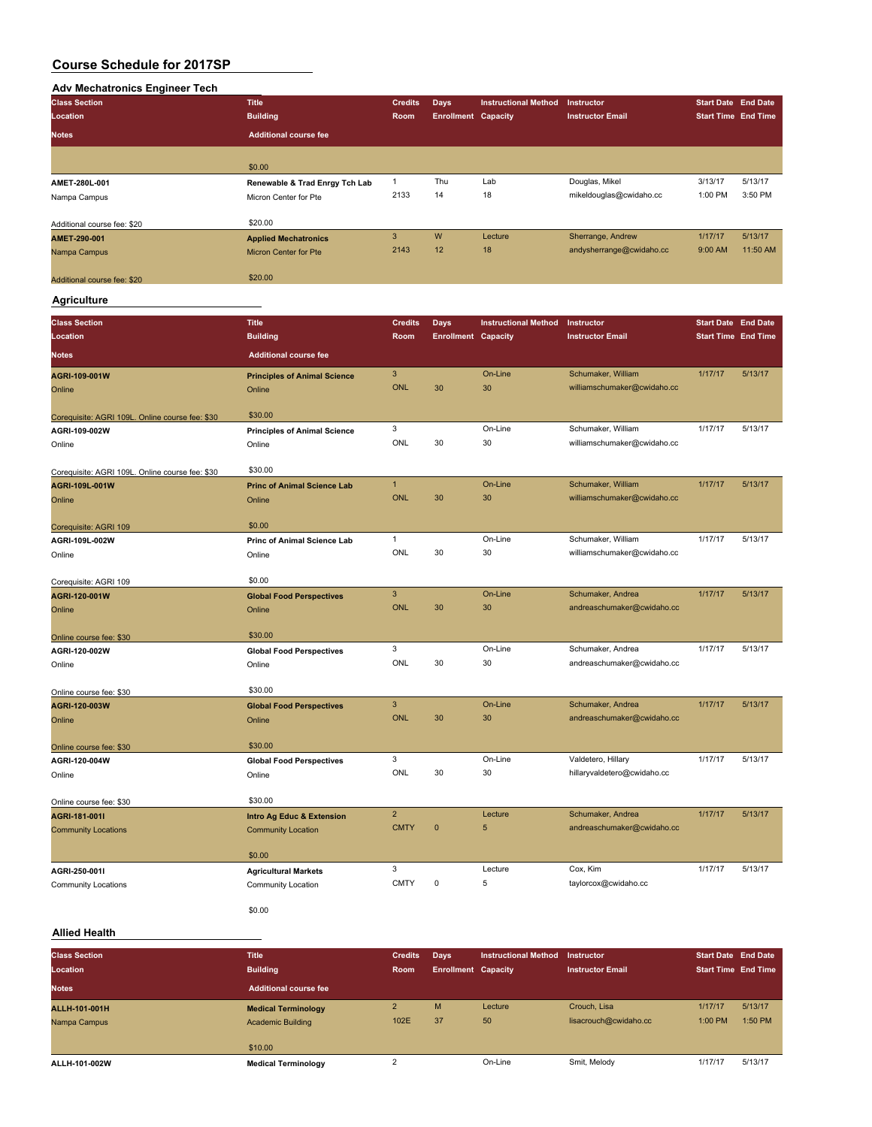### **Adv Mechatronics Engineer Tech**

| <b>Class Section</b>        | <b>Title</b>                   | <b>Credits</b> | Days                       | <b>Instructional Method</b> | <b>Instructor</b>        | <b>Start Date End Date</b> |          |
|-----------------------------|--------------------------------|----------------|----------------------------|-----------------------------|--------------------------|----------------------------|----------|
| Location                    | <b>Building</b>                | Room           | <b>Enrollment Capacity</b> |                             | <b>Instructor Email</b>  | <b>Start Time End Time</b> |          |
| <b>Notes</b>                | <b>Additional course fee</b>   |                |                            |                             |                          |                            |          |
|                             |                                |                |                            |                             |                          |                            |          |
|                             | \$0.00                         |                |                            |                             |                          |                            |          |
| AMET-280L-001               | Renewable & Trad Enrgy Tch Lab |                | Thu                        | Lab                         | Douglas, Mikel           | 3/13/17                    | 5/13/17  |
| Nampa Campus                | Micron Center for Pte          | 2133           | 14                         | 18                          | mikeldouglas@cwidaho.cc  | 1:00 PM                    | 3:50 PM  |
| Additional course fee: \$20 | \$20.00                        |                |                            |                             |                          |                            |          |
| AMET-290-001                | <b>Applied Mechatronics</b>    | 3              | W                          | Lecture                     | Sherrange, Andrew        | 1/17/17                    | 5/13/17  |
| Nampa Campus                | <b>Micron Center for Pte</b>   | 2143           | 12                         | 18                          | andysherrange@cwidaho.cc | 9:00 AM                    | 11:50 AM |
|                             |                                |                |                            |                             |                          |                            |          |
| Additional course fee: \$20 | \$20.00                        |                |                            |                             |                          |                            |          |

# **Agriculture**

| <b>Class Section</b>                                                                                                       | <b>Title</b>                                                                                                                                                                                | <b>Credits</b>                                                            | <b>Days</b>                | <b>Instructional Method</b>         | Instructor                                                                                         | <b>Start Date End Date</b> |                    |
|----------------------------------------------------------------------------------------------------------------------------|---------------------------------------------------------------------------------------------------------------------------------------------------------------------------------------------|---------------------------------------------------------------------------|----------------------------|-------------------------------------|----------------------------------------------------------------------------------------------------|----------------------------|--------------------|
| Location                                                                                                                   | <b>Building</b>                                                                                                                                                                             | Room                                                                      | <b>Enrollment Capacity</b> |                                     | <b>Instructor Email</b>                                                                            | <b>Start Time End Time</b> |                    |
| <b>Notes</b>                                                                                                               | <b>Additional course fee</b>                                                                                                                                                                |                                                                           |                            |                                     |                                                                                                    |                            |                    |
| AGRI-109-001W                                                                                                              | <b>Principles of Animal Science</b>                                                                                                                                                         | 3                                                                         |                            | On-Line                             | Schumaker, William                                                                                 | 1/17/17                    | 5/13/17            |
| Online                                                                                                                     | Online                                                                                                                                                                                      | <b>ONL</b>                                                                | 30                         | 30                                  | williamschumaker@cwidaho.cc                                                                        |                            |                    |
|                                                                                                                            |                                                                                                                                                                                             |                                                                           |                            |                                     |                                                                                                    |                            |                    |
| Corequisite: AGRI 109L. Online course fee: \$30                                                                            | \$30.00                                                                                                                                                                                     | 3                                                                         |                            | On-Line                             | Schumaker, William                                                                                 | 1/17/17                    | 5/13/17            |
| AGRI-109-002W                                                                                                              | <b>Principles of Animal Science</b>                                                                                                                                                         | ONL                                                                       | 30                         | 30                                  | williamschumaker@cwidaho.cc                                                                        |                            |                    |
| Online                                                                                                                     | Online                                                                                                                                                                                      |                                                                           |                            |                                     |                                                                                                    |                            |                    |
| Corequisite: AGRI 109L. Online course fee: \$30                                                                            | \$30.00                                                                                                                                                                                     |                                                                           |                            |                                     |                                                                                                    |                            |                    |
| AGRI-109L-001W                                                                                                             | <b>Princ of Animal Science Lab</b>                                                                                                                                                          | $\mathbf{1}$                                                              |                            | On-Line                             | Schumaker, William                                                                                 | 1/17/17                    | 5/13/17            |
| Online                                                                                                                     | Online                                                                                                                                                                                      | <b>ONL</b>                                                                | 30                         | 30                                  | williamschumaker@cwidaho.cc                                                                        |                            |                    |
|                                                                                                                            |                                                                                                                                                                                             |                                                                           |                            |                                     |                                                                                                    |                            |                    |
| Corequisite: AGRI 109                                                                                                      | \$0.00                                                                                                                                                                                      |                                                                           |                            |                                     |                                                                                                    |                            |                    |
| AGRI-109L-002W                                                                                                             | Princ of Animal Science Lab                                                                                                                                                                 | $\mathbf{1}$                                                              |                            | On-Line                             | Schumaker, William                                                                                 | 1/17/17                    | 5/13/17            |
| Online                                                                                                                     | Online                                                                                                                                                                                      | ONL                                                                       | 30                         | 30                                  | williamschumaker@cwidaho.cc                                                                        |                            |                    |
|                                                                                                                            | \$0.00                                                                                                                                                                                      |                                                                           |                            |                                     |                                                                                                    |                            |                    |
| AGRI-120-001W                                                                                                              |                                                                                                                                                                                             | $\overline{3}$                                                            |                            | On-Line                             | Schumaker, Andrea                                                                                  | 1/17/17                    | 5/13/17            |
| Online                                                                                                                     | Online                                                                                                                                                                                      | <b>ONL</b>                                                                | 30                         | 30                                  | andreaschumaker@cwidaho.cc                                                                         |                            |                    |
|                                                                                                                            |                                                                                                                                                                                             |                                                                           |                            |                                     |                                                                                                    |                            |                    |
| Online course fee: \$30                                                                                                    | \$30.00                                                                                                                                                                                     |                                                                           |                            |                                     |                                                                                                    |                            |                    |
| AGRI-120-002W                                                                                                              | <b>Global Food Perspectives</b>                                                                                                                                                             |                                                                           |                            | On-Line                             | Schumaker, Andrea                                                                                  | 1/17/17                    | 5/13/17            |
| Online                                                                                                                     | Online                                                                                                                                                                                      |                                                                           |                            |                                     | andreaschumaker@cwidaho.cc                                                                         |                            |                    |
|                                                                                                                            |                                                                                                                                                                                             |                                                                           |                            |                                     |                                                                                                    |                            |                    |
|                                                                                                                            |                                                                                                                                                                                             |                                                                           |                            |                                     |                                                                                                    |                            |                    |
|                                                                                                                            |                                                                                                                                                                                             |                                                                           |                            |                                     |                                                                                                    |                            |                    |
|                                                                                                                            |                                                                                                                                                                                             |                                                                           |                            |                                     |                                                                                                    |                            |                    |
| Online course fee: \$30                                                                                                    | \$30.00                                                                                                                                                                                     |                                                                           |                            |                                     |                                                                                                    |                            |                    |
| AGRI-120-004W                                                                                                              | <b>Global Food Perspectives</b>                                                                                                                                                             | 3                                                                         |                            | On-Line                             | Valdetero, Hillary                                                                                 | 1/17/17                    | 5/13/17            |
| Online                                                                                                                     | Online                                                                                                                                                                                      | ONL                                                                       | 30                         | 30                                  | hillaryvaldetero@cwidaho.cc                                                                        |                            |                    |
|                                                                                                                            |                                                                                                                                                                                             |                                                                           |                            |                                     |                                                                                                    |                            |                    |
| Online course fee: \$30                                                                                                    |                                                                                                                                                                                             |                                                                           |                            |                                     |                                                                                                    |                            |                    |
|                                                                                                                            |                                                                                                                                                                                             |                                                                           |                            |                                     |                                                                                                    |                            |                    |
|                                                                                                                            |                                                                                                                                                                                             |                                                                           |                            |                                     |                                                                                                    |                            |                    |
|                                                                                                                            | \$0.00                                                                                                                                                                                      |                                                                           |                            |                                     |                                                                                                    |                            |                    |
| AGRI-250-001I                                                                                                              |                                                                                                                                                                                             | 3                                                                         |                            | Lecture                             | Cox, Kim                                                                                           | 1/17/17                    | 5/13/17            |
| <b>Community Locations</b>                                                                                                 | <b>Community Location</b>                                                                                                                                                                   | <b>CMTY</b>                                                               | $\mathbf 0$                | 5                                   | taylorcox@cwidaho.cc                                                                               |                            |                    |
|                                                                                                                            |                                                                                                                                                                                             |                                                                           |                            |                                     |                                                                                                    |                            |                    |
| Corequisite: AGRI 109<br>Online course fee: \$30<br>AGRI-120-003W<br>Online<br>AGRI-181-001I<br><b>Community Locations</b> | <b>Global Food Perspectives</b><br>\$30.00<br><b>Global Food Perspectives</b><br>Online<br>\$30.00<br>Intro Ag Educ & Extension<br><b>Community Location</b><br><b>Agricultural Markets</b> | 3<br>ONL<br>$\overline{3}$<br><b>ONL</b><br>$\overline{2}$<br><b>CMTY</b> | 30<br>30<br>$\mathbf{0}$   | 30<br>On-Line<br>30<br>Lecture<br>5 | Schumaker, Andrea<br>andreaschumaker@cwidaho.cc<br>Schumaker, Andrea<br>andreaschumaker@cwidaho.cc | 1/17/17<br>1/17/17         | 5/13/17<br>5/13/17 |

\$0.00

# **Allied Health**

| <b>Class Section</b> | <b>Title</b>                 | <b>Credits</b> | <b>Davs</b>                | <b>Instructional Method</b> | Instructor              | <b>Start Date End Date</b> |         |
|----------------------|------------------------------|----------------|----------------------------|-----------------------------|-------------------------|----------------------------|---------|
| Location             | <b>Building</b>              | Room           | <b>Enrollment Capacity</b> |                             | <b>Instructor Email</b> | <b>Start Time End Time</b> |         |
| <b>Notes</b>         | <b>Additional course fee</b> |                |                            |                             |                         |                            |         |
| ALLH-101-001H        | <b>Medical Terminology</b>   |                | M                          | Lecture                     | Crouch, Lisa            | 1/17/17                    | 5/13/17 |
| Nampa Campus         | <b>Academic Building</b>     | 102E           | 37                         | 50                          | lisacrouch@cwidaho.cc   | 1:00 PM                    | 1:50 PM |
|                      | \$10.00                      |                |                            |                             |                         |                            |         |
| ALLH-101-002W        | <b>Medical Terminology</b>   |                |                            | On-Line                     | Smit, Melody            | 1/17/17                    | 5/13/17 |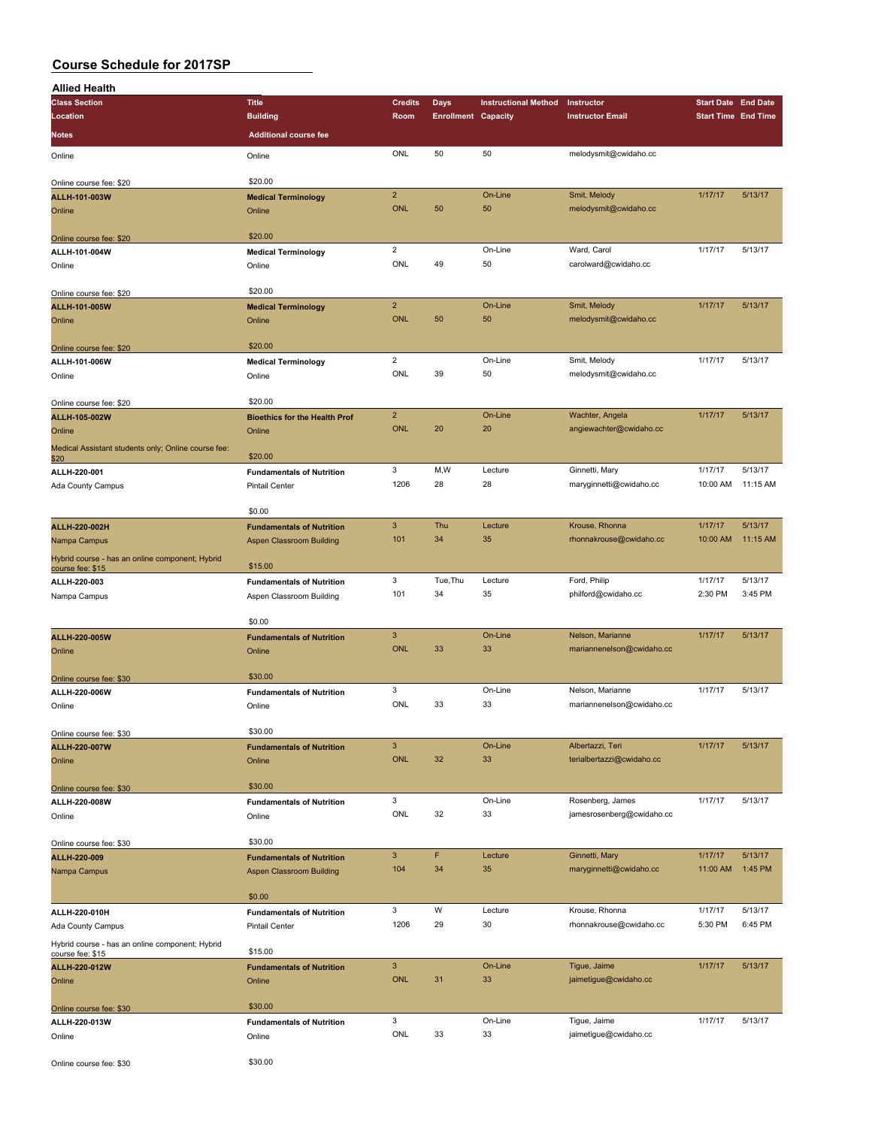| <b>Allied Health</b>                                                |                                                    |                       |                            |                             |                                            |                            |          |
|---------------------------------------------------------------------|----------------------------------------------------|-----------------------|----------------------------|-----------------------------|--------------------------------------------|----------------------------|----------|
| <b>Class Section</b>                                                | <b>Title</b>                                       | <b>Credits</b>        | <b>Days</b>                | <b>Instructional Method</b> | Instructor                                 | <b>Start Date End Date</b> |          |
| Location                                                            | <b>Building</b>                                    | Room                  | <b>Enrollment Capacity</b> |                             | <b>Instructor Email</b>                    | <b>Start Time End Time</b> |          |
| Notes                                                               | <b>Additional course fee</b>                       |                       |                            |                             |                                            |                            |          |
| Online                                                              | Online                                             | ONL                   | 50                         | 50                          | melodysmit@cwidaho.cc                      |                            |          |
| Online course fee: \$20                                             | \$20.00                                            |                       |                            |                             |                                            |                            |          |
| ALLH-101-003W                                                       | <b>Medical Terminology</b>                         | $\overline{2}$        |                            | On-Line                     | Smit, Melody                               | 1/17/17                    | 5/13/17  |
| Online                                                              | Online                                             | <b>ONL</b>            | 50                         | 50                          | melodysmit@cwidaho.cc                      |                            |          |
|                                                                     |                                                    |                       |                            |                             |                                            |                            |          |
| Online course fee: \$20                                             | \$20.00                                            |                       |                            |                             | Ward, Carol                                |                            |          |
| ALLH-101-004W                                                       | <b>Medical Terminology</b>                         | $\overline{2}$<br>ONL | 49                         | On-Line<br>50               | carolward@cwidaho.cc                       | 1/17/17                    | 5/13/17  |
| Online                                                              | Online                                             |                       |                            |                             |                                            |                            |          |
| Online course fee: \$20                                             | \$20.00                                            |                       |                            |                             |                                            |                            |          |
| ALLH-101-005W                                                       | <b>Medical Terminology</b>                         | $\overline{2}$        |                            | On-Line                     | Smit, Melody                               | 1/17/17                    | 5/13/17  |
| Online                                                              | Online                                             | <b>ONL</b>            | 50                         | 50                          | melodysmit@cwidaho.cc                      |                            |          |
| Online course fee: \$20                                             | \$20.00                                            |                       |                            |                             |                                            |                            |          |
| ALLH-101-006W                                                       | <b>Medical Terminology</b>                         | $\overline{2}$        |                            | On-Line                     | Smit, Melody                               | 1/17/17                    | 5/13/17  |
| Online                                                              | Online                                             | ONL                   | 39                         | 50                          | melodysmit@cwidaho.cc                      |                            |          |
|                                                                     |                                                    |                       |                            |                             |                                            |                            |          |
| Online course fee: \$20                                             | \$20.00                                            | $\overline{2}$        |                            | On-Line                     |                                            | 1/17/17                    | 5/13/17  |
| ALLH-105-002W                                                       | <b>Bioethics for the Health Prof</b>               | <b>ONL</b>            | 20                         | 20                          | Wachter, Angela<br>angiewachter@cwidaho.cc |                            |          |
| Online                                                              | Online                                             |                       |                            |                             |                                            |                            |          |
| Medical Assistant students only; Online course fee:<br>\$20         | \$20.00                                            |                       |                            |                             |                                            |                            |          |
| ALLH-220-001                                                        | <b>Fundamentals of Nutrition</b>                   | 3                     | M,W                        | Lecture                     | Ginnetti, Mary                             | 1/17/17                    | 5/13/17  |
| Ada County Campus                                                   | <b>Pintail Center</b>                              | 1206                  | 28                         | 28                          | maryginnetti@cwidaho.cc                    | 10:00 AM                   | 11:15 AM |
|                                                                     | \$0.00                                             |                       |                            |                             |                                            |                            |          |
| ALLH-220-002H                                                       | <b>Fundamentals of Nutrition</b>                   | $\overline{3}$        | Thu                        | Lecture                     | Krouse, Rhonna                             | 1/17/17                    | 5/13/17  |
| Nampa Campus                                                        | Aspen Classroom Building                           | 101                   | 34                         | 35                          | rhonnakrouse@cwidaho.cc                    | 10:00 AM                   | 11:15 AM |
| Hybrid course - has an online component; Hybrid<br>course fee: \$15 | \$15.00                                            |                       |                            |                             |                                            |                            |          |
| ALLH-220-003                                                        | <b>Fundamentals of Nutrition</b>                   | 3                     | Tue, Thu                   | Lecture                     | Ford, Philip                               | 1/17/17                    | 5/13/17  |
| Nampa Campus                                                        | Aspen Classroom Building                           | 101                   | 34                         | 35                          | philford@cwidaho.cc                        | 2:30 PM                    | 3:45 PM  |
|                                                                     |                                                    |                       |                            |                             |                                            |                            |          |
|                                                                     | \$0.00                                             |                       |                            |                             |                                            |                            |          |
| ALLH-220-005W                                                       | <b>Fundamentals of Nutrition</b>                   | $\mathbf{3}$          |                            | On-Line                     | Nelson, Marianne                           | 1/17/17                    | 5/13/17  |
| Online                                                              | Online                                             | <b>ONL</b>            | 33                         | 33                          | mariannenelson@cwidaho.cc                  |                            |          |
| Online course fee: \$30                                             | \$30.00                                            |                       |                            |                             |                                            |                            |          |
| ALLH-220-006W                                                       | <b>Fundamentals of Nutrition</b>                   | 3                     |                            | On-Line                     | Nelson, Marianne                           | 1/17/17                    | 5/13/17  |
| Online                                                              | Online                                             | ONL                   | 33                         | 33                          | mariannenelson@cwidaho.cc                  |                            |          |
|                                                                     |                                                    |                       |                            |                             |                                            |                            |          |
| Online course fee: \$30                                             | \$30.00                                            | $\mathbf{3}$          |                            | On-Line                     | Albertazzi, Teri                           | 1/17/17                    | 5/13/17  |
| ALLH-220-007W<br>Online                                             | <b>Fundamentals of Nutrition</b><br>Online         | ONL                   | 32                         | 33                          | terialbertazzi@cwidaho.cc                  |                            |          |
|                                                                     |                                                    |                       |                            |                             |                                            |                            |          |
| Online course fee: \$30                                             | \$30.00                                            |                       |                            |                             |                                            |                            |          |
| ALLH-220-008W                                                       | <b>Fundamentals of Nutrition</b>                   | 3                     |                            | On-Line                     | Rosenberg, James                           | 1/17/17                    | 5/13/17  |
| Online                                                              | Online                                             | ONL                   | 32                         | 33                          | jamesrosenberg@cwidaho.cc                  |                            |          |
| Online course fee: \$30                                             | \$30.00                                            |                       |                            |                             |                                            |                            |          |
| ALLH-220-009                                                        | <b>Fundamentals of Nutrition</b>                   | $\mathbf{3}$          | F                          | Lecture                     | Ginnetti, Mary                             | 1/17/17                    | 5/13/17  |
| Nampa Campus                                                        | Aspen Classroom Building                           | 104                   | 34                         | 35                          | maryginnetti@cwidaho.cc                    | 11:00 AM                   | 1:45 PM  |
|                                                                     |                                                    |                       |                            |                             |                                            |                            |          |
|                                                                     | \$0.00                                             | 3                     | W                          | Lecture                     | Krouse, Rhonna                             | 1/17/17                    | 5/13/17  |
| ALLH-220-010H<br>Ada County Campus                                  | <b>Fundamentals of Nutrition</b><br>Pintail Center | 1206                  | 29                         | 30                          | rhonnakrouse@cwidaho.cc                    | 5:30 PM                    | 6:45 PM  |
|                                                                     |                                                    |                       |                            |                             |                                            |                            |          |
| Hybrid course - has an online component; Hybrid<br>course fee: \$15 | \$15.00                                            |                       |                            |                             |                                            |                            |          |
| <b>ALLH-220-012W</b>                                                | <b>Fundamentals of Nutrition</b>                   | $\mathbf{3}$          |                            | On-Line                     | Tigue, Jaime                               | 1/17/17                    | 5/13/17  |
| Online                                                              | Online                                             | <b>ONL</b>            | 31                         | 33                          | jaimetigue@cwidaho.cc                      |                            |          |
| Online course fee: \$30                                             | \$30.00                                            |                       |                            |                             |                                            |                            |          |
| ALLH-220-013W                                                       | <b>Fundamentals of Nutrition</b>                   | 3                     |                            | On-Line                     | Tigue, Jaime                               | 1/17/17                    | 5/13/17  |
| Online                                                              | Online                                             | <b>ONL</b>            | 33                         | 33                          | jaimetigue@cwidaho.cc                      |                            |          |
|                                                                     |                                                    |                       |                            |                             |                                            |                            |          |
| Online course fee: \$30                                             | \$30.00                                            |                       |                            |                             |                                            |                            |          |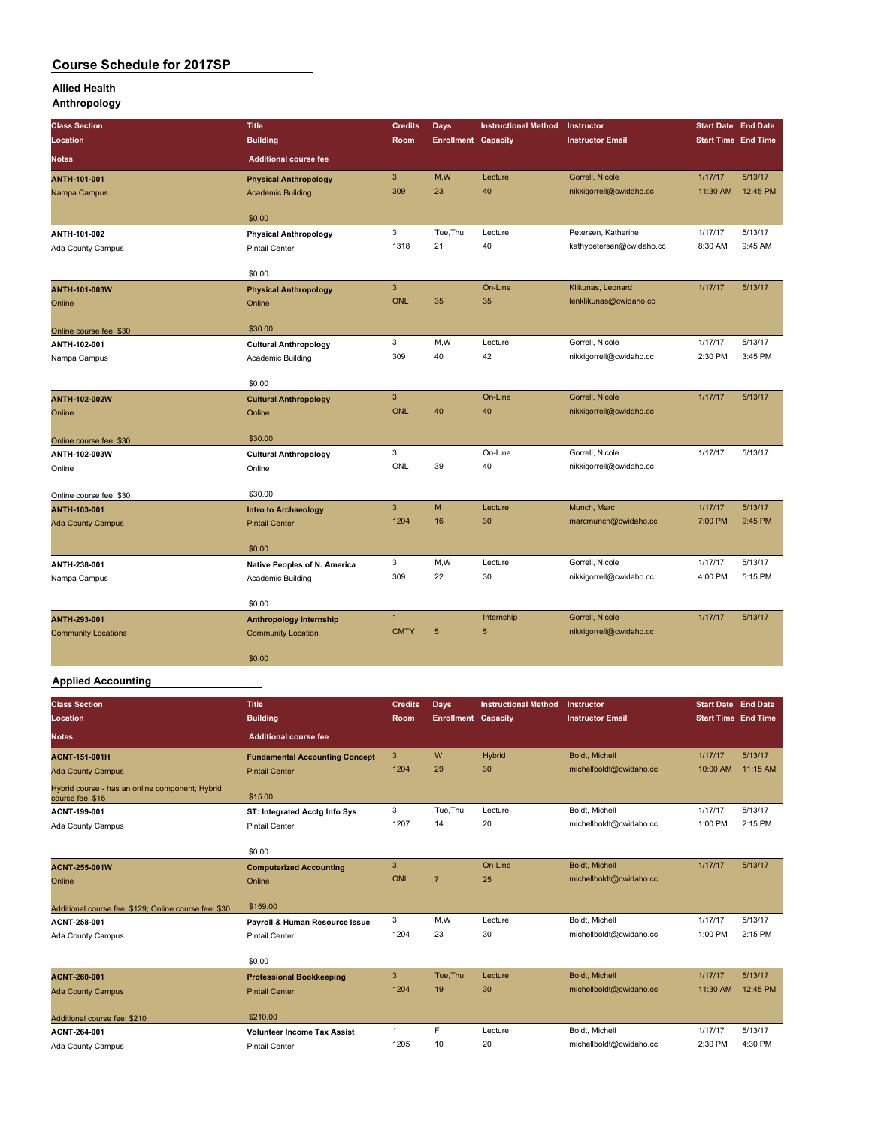### **Allied Health**

**Anthropology**

| <b>Class Section</b>       | <b>Title</b>                   | <b>Credits</b> | <b>Days</b>                | <b>Instructional Method</b> | Instructor               | <b>Start Date End Date</b> |          |
|----------------------------|--------------------------------|----------------|----------------------------|-----------------------------|--------------------------|----------------------------|----------|
| Location                   | <b>Building</b>                | <b>Room</b>    | <b>Enrollment Capacity</b> |                             | <b>Instructor Email</b>  | <b>Start Time End Time</b> |          |
| <b>Notes</b>               | <b>Additional course fee</b>   |                |                            |                             |                          |                            |          |
| ANTH-101-001               | <b>Physical Anthropology</b>   | 3              | M,W                        | Lecture                     | Gorrell, Nicole          | 1/17/17                    | 5/13/17  |
| Nampa Campus               | <b>Academic Building</b>       | 309            | 23                         | 40                          | nikkigorrell@cwidaho.cc  | 11:30 AM                   | 12:45 PM |
|                            | \$0.00                         |                |                            |                             |                          |                            |          |
| ANTH-101-002               | <b>Physical Anthropology</b>   | 3              | Tue, Thu                   | Lecture                     | Petersen, Katherine      | 1/17/17                    | 5/13/17  |
| Ada County Campus          | <b>Pintail Center</b>          | 1318           | 21                         | 40                          | kathypetersen@cwidaho.cc | 8:30 AM                    | 9:45 AM  |
|                            | \$0.00                         |                |                            |                             |                          |                            |          |
| <b>ANTH-101-003W</b>       | <b>Physical Anthropology</b>   | 3              |                            | On-Line                     | Klikunas, Leonard        | 1/17/17                    | 5/13/17  |
| Online                     | Online                         | <b>ONL</b>     | 35                         | 35                          | lenklikunas@cwidaho.cc   |                            |          |
| Online course fee: \$30    | \$30.00                        |                |                            |                             |                          |                            |          |
| ANTH-102-001               | <b>Cultural Anthropology</b>   | 3              | M,W                        | Lecture                     | Gorrell, Nicole          | 1/17/17                    | 5/13/17  |
| Nampa Campus               | Academic Building              | 309            | 40                         | 42                          | nikkigorrell@cwidaho.cc  | 2:30 PM                    | 3:45 PM  |
|                            | \$0.00                         |                |                            |                             |                          |                            |          |
| <b>ANTH-102-002W</b>       | <b>Cultural Anthropology</b>   | 3              |                            | On-Line                     | Gorrell, Nicole          | 1/17/17                    | 5/13/17  |
| Online                     | Online                         | <b>ONL</b>     | 40                         | 40                          | nikkigorrell@cwidaho.cc  |                            |          |
|                            |                                |                |                            |                             |                          |                            |          |
| Online course fee: \$30    | \$30.00                        |                |                            |                             |                          |                            |          |
| ANTH-102-003W              | <b>Cultural Anthropology</b>   | 3              |                            | On-Line                     | Gorrell, Nicole          | 1/17/17                    | 5/13/17  |
| Online                     | Online                         | ONL            | 39                         | 40                          | nikkigorrell@cwidaho.cc  |                            |          |
| Online course fee: \$30    | \$30.00                        |                |                            |                             |                          |                            |          |
| ANTH-103-001               | <b>Intro to Archaeology</b>    | $\overline{3}$ | M                          | Lecture                     | Munch, Marc              | 1/17/17                    | 5/13/17  |
| <b>Ada County Campus</b>   | <b>Pintail Center</b>          | 1204           | 16                         | 30                          | marcmunch@cwidaho.cc     | 7:00 PM                    | 9:45 PM  |
|                            | \$0.00                         |                |                            |                             |                          |                            |          |
| ANTH-238-001               | Native Peoples of N. America   | 3              | M,W                        | Lecture                     | Gorrell, Nicole          | 1/17/17                    | 5/13/17  |
| Nampa Campus               | Academic Building              | 309            | 22                         | 30                          | nikkigorrell@cwidaho.cc  | 4:00 PM                    | 5:15 PM  |
|                            |                                |                |                            |                             |                          |                            |          |
|                            | \$0.00                         |                |                            |                             |                          |                            |          |
| ANTH-293-001               | <b>Anthropology Internship</b> | $\overline{1}$ |                            | Internship                  | Gorrell, Nicole          | 1/17/17                    | 5/13/17  |
| <b>Community Locations</b> | <b>Community Location</b>      | <b>CMTY</b>    | 5                          | 5                           | nikkigorrell@cwidaho.cc  |                            |          |
|                            | \$0.00                         |                |                            |                             |                          |                            |          |
|                            |                                |                |                            |                             |                          |                            |          |

# **Applied Accounting**

| <b>Class Section</b><br>Location                                    | <b>Title</b><br><b>Building</b>       | <b>Credits</b><br>Room | Days<br><b>Enrollment Capacity</b> | <b>Instructional Method</b> | Instructor<br><b>Instructor Email</b> | <b>Start Date End Date</b><br><b>Start Time End Time</b> |          |
|---------------------------------------------------------------------|---------------------------------------|------------------------|------------------------------------|-----------------------------|---------------------------------------|----------------------------------------------------------|----------|
| <b>Notes</b>                                                        | <b>Additional course fee</b>          |                        |                                    |                             |                                       |                                                          |          |
| <b>ACNT-151-001H</b>                                                | <b>Fundamental Accounting Concept</b> | 3                      | W                                  | Hybrid                      | <b>Boldt, Michell</b>                 | 1/17/17                                                  | 5/13/17  |
| <b>Ada County Campus</b>                                            | <b>Pintail Center</b>                 | 1204                   | 29                                 | 30                          | michellboldt@cwidaho.cc               | 10:00 AM                                                 | 11:15 AM |
| Hybrid course - has an online component; Hybrid<br>course fee: \$15 | \$15.00                               |                        |                                    |                             |                                       |                                                          |          |
| ACNT-199-001                                                        | ST: Integrated Acctg Info Sys         | 3                      | Tue, Thu                           | Lecture                     | Boldt, Michell                        | 1/17/17                                                  | 5/13/17  |
| Ada County Campus                                                   | <b>Pintail Center</b>                 | 1207                   | 14                                 | 20                          | michellboldt@cwidaho.cc               | 1:00 PM                                                  | 2:15 PM  |
|                                                                     | \$0.00                                |                        |                                    |                             |                                       |                                                          |          |
| <b>ACNT-255-001W</b>                                                | <b>Computerized Accounting</b>        | 3                      |                                    | On-Line                     | Boldt, Michell                        | 1/17/17                                                  | 5/13/17  |
| Online                                                              | Online                                | <b>ONL</b>             | $\overline{7}$                     | 25                          | michellboldt@cwidaho.cc               |                                                          |          |
| Additional course fee: \$129; Online course fee: \$30               | \$159.00                              |                        |                                    |                             |                                       |                                                          |          |
| ACNT-258-001                                                        | Payroll & Human Resource Issue        | 3                      | M,W                                | Lecture                     | Boldt, Michell                        | 1/17/17                                                  | 5/13/17  |
| Ada County Campus                                                   | <b>Pintail Center</b>                 | 1204                   | 23                                 | 30                          | michellboldt@cwidaho.cc               | 1:00 PM                                                  | 2:15 PM  |
|                                                                     | \$0.00                                |                        |                                    |                             |                                       |                                                          |          |
| ACNT-260-001                                                        | <b>Professional Bookkeeping</b>       | 3                      | Tue, Thu                           | Lecture                     | <b>Boldt, Michell</b>                 | 1/17/17                                                  | 5/13/17  |
| <b>Ada County Campus</b>                                            | <b>Pintail Center</b>                 | 1204                   | 19                                 | 30                          | michellboldt@cwidaho.cc               | 11:30 AM                                                 | 12:45 PM |
| Additional course fee: \$210                                        | \$210.00                              |                        |                                    |                             |                                       |                                                          |          |
| ACNT-264-001                                                        | <b>Volunteer Income Tax Assist</b>    | 1                      | F.                                 | Lecture                     | Boldt, Michell                        | 1/17/17                                                  | 5/13/17  |
| Ada County Campus                                                   | <b>Pintail Center</b>                 | 1205                   | 10                                 | 20                          | michellboldt@cwidaho.cc               | 2:30 PM                                                  | 4:30 PM  |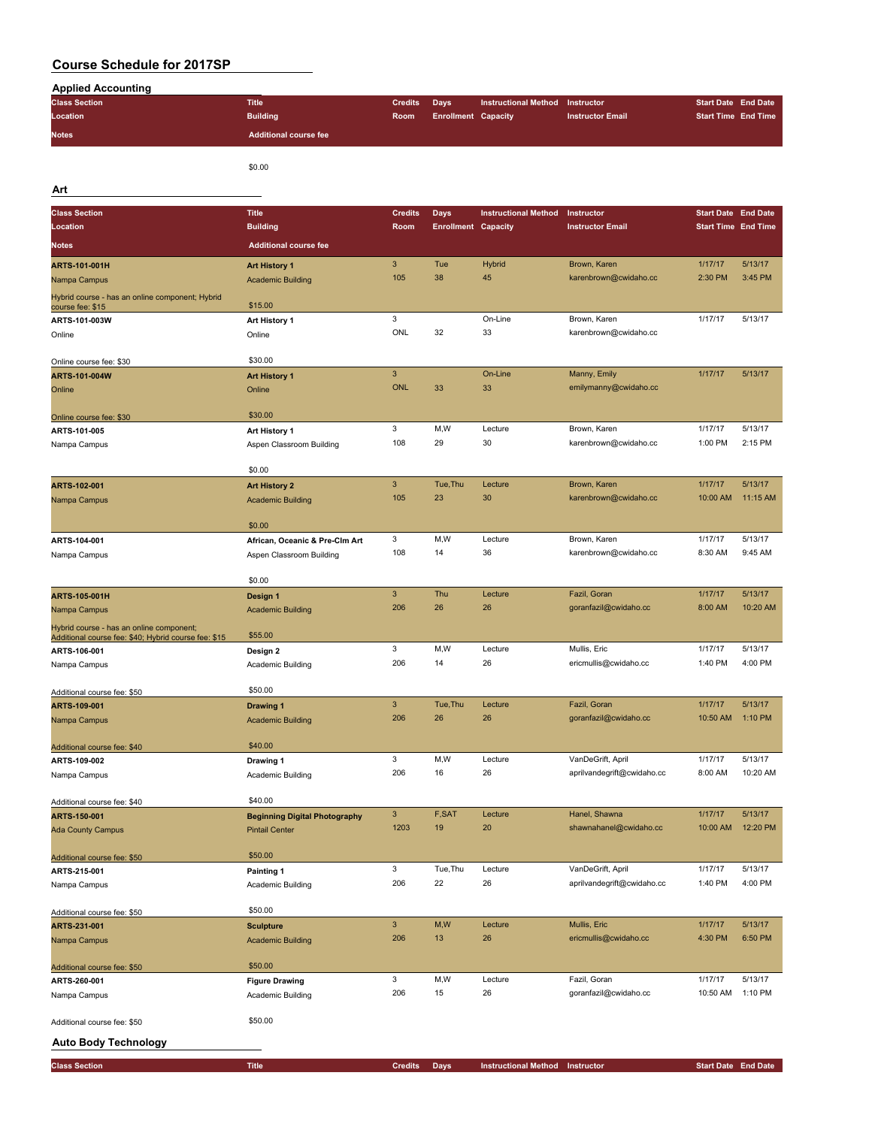| <b>Applied Accounting</b>                                                                        |                                      |                |                            |                             |                            |                            |          |
|--------------------------------------------------------------------------------------------------|--------------------------------------|----------------|----------------------------|-----------------------------|----------------------------|----------------------------|----------|
| <b>Class Section</b>                                                                             | <b>Title</b>                         | <b>Credits</b> | Days                       | <b>Instructional Method</b> | Instructor                 | <b>Start Date End Date</b> |          |
| Location                                                                                         | <b>Building</b>                      | Room           | <b>Enrollment Capacity</b> |                             | <b>Instructor Email</b>    | <b>Start Time End Time</b> |          |
| <b>Notes</b>                                                                                     | <b>Additional course fee</b>         |                |                            |                             |                            |                            |          |
|                                                                                                  |                                      |                |                            |                             |                            |                            |          |
|                                                                                                  |                                      |                |                            |                             |                            |                            |          |
|                                                                                                  | \$0.00                               |                |                            |                             |                            |                            |          |
| Art                                                                                              |                                      |                |                            |                             |                            |                            |          |
| <b>Class Section</b>                                                                             | <b>Title</b>                         | <b>Credits</b> | <b>Days</b>                | <b>Instructional Method</b> | Instructor                 | <b>Start Date End Date</b> |          |
| Location                                                                                         | <b>Building</b>                      | Room           | <b>Enrollment Capacity</b> |                             | <b>Instructor Email</b>    | <b>Start Time End Time</b> |          |
|                                                                                                  |                                      |                |                            |                             |                            |                            |          |
| <b>Notes</b>                                                                                     | <b>Additional course fee</b>         |                |                            |                             |                            |                            |          |
| ARTS-101-001H                                                                                    | <b>Art History 1</b>                 | $\mathbf{3}$   | Tue                        | Hybrid                      | Brown, Karen               | 1/17/17                    | 5/13/17  |
| Nampa Campus                                                                                     | <b>Academic Building</b>             | 105            | 38                         | 45                          | karenbrown@cwidaho.cc      | 2:30 PM                    | 3:45 PM  |
| Hybrid course - has an online component; Hybrid                                                  |                                      |                |                            |                             |                            |                            |          |
| course fee: \$15                                                                                 | \$15.00                              |                |                            |                             |                            |                            |          |
| ARTS-101-003W                                                                                    | Art History 1                        | 3              |                            | On-Line                     | Brown, Karen               | 1/17/17                    | 5/13/17  |
| Online                                                                                           | Online                               | ONL            | 32                         | 33                          | karenbrown@cwidaho.cc      |                            |          |
|                                                                                                  |                                      |                |                            |                             |                            |                            |          |
| Online course fee: \$30                                                                          | \$30.00                              |                |                            |                             |                            |                            |          |
| ARTS-101-004W                                                                                    | <b>Art History 1</b>                 | $\mathbf{3}$   |                            | On-Line                     | Manny, Emily               | 1/17/17                    | 5/13/17  |
| Online                                                                                           | Online                               | <b>ONL</b>     | 33                         | 33                          | emilymanny@cwidaho.cc      |                            |          |
|                                                                                                  |                                      |                |                            |                             |                            |                            |          |
| Online course fee: \$30                                                                          | \$30.00                              |                |                            |                             |                            |                            |          |
| ARTS-101-005                                                                                     | Art History 1                        | 3              | M, W                       | Lecture                     | Brown, Karen               | 1/17/17                    | 5/13/17  |
| Nampa Campus                                                                                     | Aspen Classroom Building             | 108            | 29                         | 30                          | karenbrown@cwidaho.cc      | 1:00 PM                    | 2:15 PM  |
|                                                                                                  |                                      |                |                            |                             |                            |                            |          |
|                                                                                                  | \$0.00                               |                |                            |                             |                            |                            |          |
| ARTS-102-001                                                                                     | <b>Art History 2</b>                 | $\mathbf{3}$   | Tue, Thu                   | Lecture                     | Brown, Karen               | 1/17/17                    | 5/13/17  |
| Nampa Campus                                                                                     | <b>Academic Building</b>             | 105            | 23                         | 30                          | karenbrown@cwidaho.cc      | 10:00 AM                   | 11:15 AM |
|                                                                                                  | \$0.00                               |                |                            |                             |                            |                            |          |
|                                                                                                  |                                      | 3              | M,W                        | Lecture                     | Brown, Karen               | 1/17/17                    | 5/13/17  |
| ARTS-104-001                                                                                     | African, Oceanic & Pre-Clm Art       | 108            | 14                         | 36                          | karenbrown@cwidaho.cc      | 8:30 AM                    | 9:45 AM  |
| Nampa Campus                                                                                     | Aspen Classroom Building             |                |                            |                             |                            |                            |          |
|                                                                                                  | \$0.00                               |                |                            |                             |                            |                            |          |
| <b>ARTS-105-001H</b>                                                                             | Design 1                             | $\mathbf{3}$   | Thu                        | Lecture                     | Fazil, Goran               | 1/17/17                    | 5/13/17  |
|                                                                                                  | <b>Academic Building</b>             | 206            | 26                         | 26                          | goranfazil@cwidaho.cc      | 8:00 AM                    | 10:20 AM |
| Nampa Campus                                                                                     |                                      |                |                            |                             |                            |                            |          |
| Hybrid course - has an online component;<br>Additional course fee: \$40; Hybrid course fee: \$15 | \$55.00                              |                |                            |                             |                            |                            |          |
| ARTS-106-001                                                                                     | Design 2                             | 3              | M, W                       | Lecture                     | Mullis, Eric               | 1/17/17                    | 5/13/17  |
| Nampa Campus                                                                                     | Academic Building                    | 206            | 14                         | 26                          | ericmullis@cwidaho.cc      | 1:40 PM                    | 4:00 PM  |
|                                                                                                  |                                      |                |                            |                             |                            |                            |          |
| Additional course fee: \$50                                                                      | \$50.00                              |                |                            |                             |                            |                            |          |
| ARTS-109-001                                                                                     | Drawing 1                            | $\mathbf{3}$   | Tue, Thu                   | Lecture                     | Fazil, Goran               | 1/17/17                    | 5/13/17  |
| Nampa Campus                                                                                     | <b>Academic Building</b>             | 206            | 26                         | 26                          | goranfazil@cwidaho.cc      | 10:50 AM                   | 1:10 PM  |
|                                                                                                  |                                      |                |                            |                             |                            |                            |          |
| Additional course fee: \$40                                                                      | \$40.00                              |                |                            |                             |                            |                            |          |
| ARTS-109-002                                                                                     | Drawing 1                            | 3              | M, W                       | Lecture                     | VanDeGrift, April          | 1/17/17                    | 5/13/17  |
| Nampa Campus                                                                                     | Academic Building                    | 206            | 16                         | 26                          | aprilvandegrift@cwidaho.cc | 8:00 AM                    | 10:20 AM |
|                                                                                                  |                                      |                |                            |                             |                            |                            |          |
| Additional course fee: \$40                                                                      | \$40.00                              |                |                            |                             |                            |                            |          |
| ARTS-150-001                                                                                     | <b>Beginning Digital Photography</b> | $\mathbf{3}$   | F,SAT                      | Lecture                     | Hanel, Shawna              | 1/17/17                    | 5/13/17  |
| <b>Ada County Campus</b>                                                                         | <b>Pintail Center</b>                | 1203           | 19                         | 20                          | shawnahanel@cwidaho.cc     | 10:00 AM                   | 12:20 PM |
|                                                                                                  |                                      |                |                            |                             |                            |                            |          |
| Additional course fee: \$50                                                                      | \$50.00                              |                |                            |                             |                            |                            |          |
| ARTS-215-001                                                                                     | Painting 1                           | 3              | Tue, Thu                   | Lecture                     | VanDeGrift, April          | 1/17/17                    | 5/13/17  |
| Nampa Campus                                                                                     | Academic Building                    | 206            | 22                         | 26                          | aprilvandegrift@cwidaho.cc | 1:40 PM                    | 4:00 PM  |
|                                                                                                  |                                      |                |                            |                             |                            |                            |          |
| Additional course fee: \$50                                                                      | \$50.00                              |                |                            |                             |                            |                            |          |
| ARTS-231-001                                                                                     | <b>Sculpture</b>                     | $\mathbf{3}$   | M,W                        | Lecture                     | Mullis, Eric               | 1/17/17                    | 5/13/17  |
| Nampa Campus                                                                                     | <b>Academic Building</b>             | 206            | 13                         | 26                          | ericmullis@cwidaho.cc      | 4:30 PM                    | 6:50 PM  |
|                                                                                                  |                                      |                |                            |                             |                            |                            |          |
| Additional course fee: \$50                                                                      | \$50.00                              |                |                            |                             |                            |                            |          |
| ARTS-260-001                                                                                     | <b>Figure Drawing</b>                | 3              | M, W                       | Lecture                     | Fazil, Goran               | 1/17/17                    | 5/13/17  |
| Nampa Campus                                                                                     | Academic Building                    | 206            | 15                         | 26                          | goranfazil@cwidaho.cc      | 10:50 AM                   | 1:10 PM  |
|                                                                                                  | \$50.00                              |                |                            |                             |                            |                            |          |
| Additional course fee: \$50                                                                      |                                      |                |                            |                             |                            |                            |          |
| <b>Auto Body Technology</b>                                                                      |                                      |                |                            |                             |                            |                            |          |
|                                                                                                  |                                      |                |                            |                             |                            |                            |          |
| <b>Class Section</b>                                                                             | <b>Title</b>                         | <b>Credits</b> | <b>Days</b>                | <b>Instructional Method</b> | Instructor                 | <b>Start Date End Date</b> |          |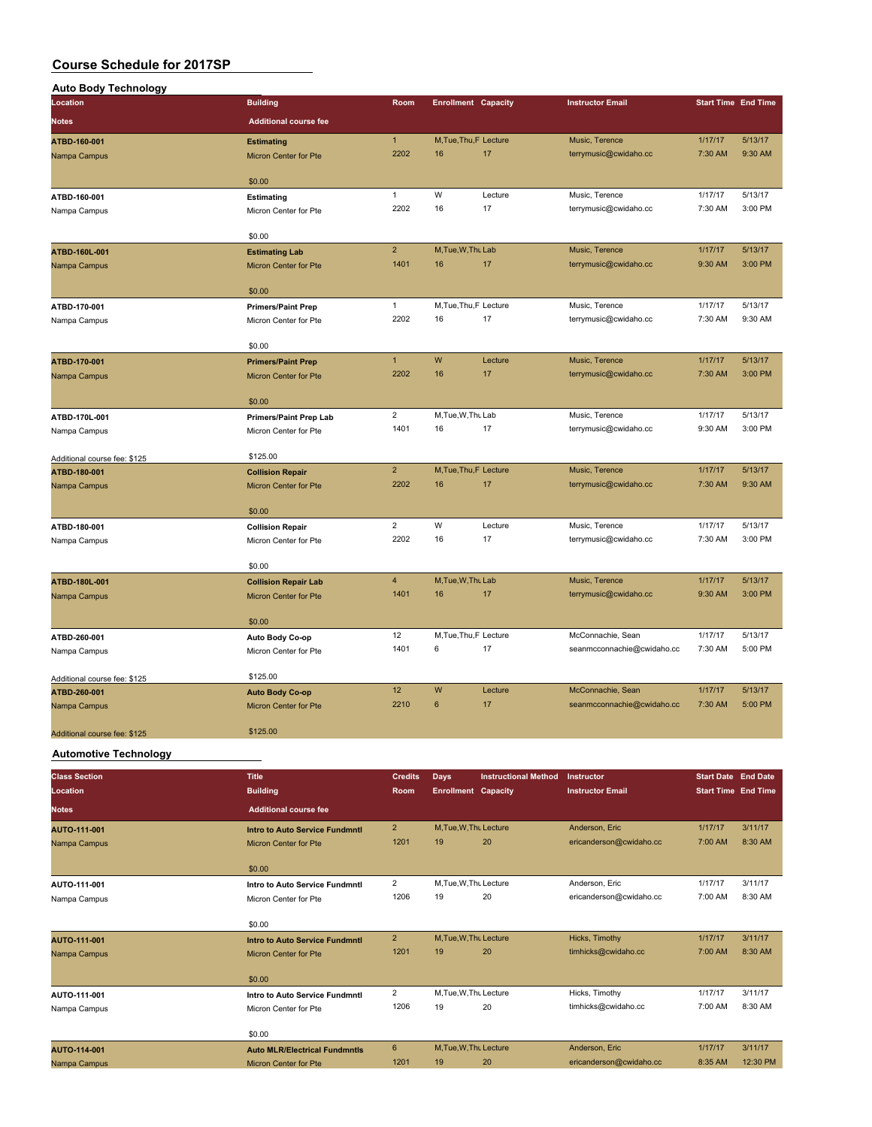| <b>Auto Body Technology</b>  |                               |                 |                            |         |                            |         |                            |
|------------------------------|-------------------------------|-----------------|----------------------------|---------|----------------------------|---------|----------------------------|
| Location                     | <b>Building</b>               | Room            | <b>Enrollment Capacity</b> |         | <b>Instructor Email</b>    |         | <b>Start Time End Time</b> |
| <b>Notes</b>                 | <b>Additional course fee</b>  |                 |                            |         |                            |         |                            |
| ATBD-160-001                 | <b>Estimating</b>             | $\mathbf{1}$    | M.Tue.Thu.F Lecture        |         | Music, Terence             | 1/17/17 | 5/13/17                    |
| Nampa Campus                 | <b>Micron Center for Pte</b>  | 2202            | 16                         | 17      | terrymusic@cwidaho.cc      | 7:30 AM | 9:30 AM                    |
|                              |                               |                 |                            |         |                            |         |                            |
|                              | \$0.00                        | $\mathbf{1}$    | W                          | Lecture | Music, Terence             | 1/17/17 | 5/13/17                    |
| ATBD-160-001                 | Estimating                    | 2202            | 16                         | 17      |                            |         | 3:00 PM                    |
| Nampa Campus                 | Micron Center for Pte         |                 |                            |         | terrymusic@cwidaho.cc      | 7:30 AM |                            |
|                              | \$0.00                        |                 |                            |         |                            |         |                            |
| ATBD-160L-001                | <b>Estimating Lab</b>         | $\overline{2}$  | M, Tue, W, Thu Lab         |         | Music, Terence             | 1/17/17 | 5/13/17                    |
| Nampa Campus                 | Micron Center for Pte         | 1401            | 16                         | 17      | terrymusic@cwidaho.cc      | 9:30 AM | 3:00 PM                    |
|                              | \$0.00                        |                 |                            |         |                            |         |                            |
| ATBD-170-001                 | <b>Primers/Paint Prep</b>     | $\mathbf{1}$    | M, Tue, Thu, F Lecture     |         | Music, Terence             | 1/17/17 | 5/13/17                    |
| Nampa Campus                 | Micron Center for Pte         | 2202            | 16                         | 17      | terrymusic@cwidaho.cc      | 7:30 AM | 9:30 AM                    |
|                              |                               |                 |                            |         |                            |         |                            |
|                              | \$0.00                        | $\mathbf{1}$    | W                          |         |                            |         |                            |
| ATBD-170-001                 | <b>Primers/Paint Prep</b>     |                 |                            | Lecture | Music, Terence             | 1/17/17 | 5/13/17                    |
| Nampa Campus                 | Micron Center for Pte         | 2202            | 16                         | 17      | terrymusic@cwidaho.cc      | 7:30 AM | 3:00 PM                    |
|                              | \$0.00                        |                 |                            |         |                            |         |                            |
| ATBD-170L-001                | <b>Primers/Paint Prep Lab</b> | $\overline{c}$  | M, Tue, W, Thu Lab         |         | Music, Terence             | 1/17/17 | 5/13/17                    |
| Nampa Campus                 | Micron Center for Pte         | 1401            | 16                         | 17      | terrymusic@cwidaho.cc      | 9:30 AM | 3:00 PM                    |
| Additional course fee: \$125 | \$125.00                      |                 |                            |         |                            |         |                            |
| ATBD-180-001                 | <b>Collision Repair</b>       | $\overline{2}$  | M, Tue, Thu, F Lecture     |         | Music, Terence             | 1/17/17 | 5/13/17                    |
| Nampa Campus                 | Micron Center for Pte         | 2202            | 16                         | 17      | terrymusic@cwidaho.cc      | 7:30 AM | 9:30 AM                    |
|                              | \$0.00                        |                 |                            |         |                            |         |                            |
| ATBD-180-001                 | <b>Collision Repair</b>       | $\overline{2}$  | W                          | Lecture | Music, Terence             | 1/17/17 | 5/13/17                    |
| Nampa Campus                 | Micron Center for Pte         | 2202            | 16                         | 17      | terrymusic@cwidaho.cc      | 7:30 AM | 3:00 PM                    |
|                              |                               |                 |                            |         |                            |         |                            |
|                              | \$0.00                        |                 |                            |         |                            |         |                            |
| ATBD-180L-001                | <b>Collision Repair Lab</b>   | $\overline{4}$  | M, Tue, W, Thu Lab         |         | Music, Terence             | 1/17/17 | 5/13/17                    |
| Nampa Campus                 | Micron Center for Pte         | 1401            | 16                         | 17      | terrymusic@cwidaho.cc      | 9:30 AM | 3:00 PM                    |
|                              | \$0.00                        |                 |                            |         |                            |         |                            |
| ATBD-260-001                 | Auto Body Co-op               | 12              | M, Tue, Thu, F Lecture     |         | McConnachie, Sean          | 1/17/17 | 5/13/17                    |
| Nampa Campus                 | Micron Center for Pte         | 1401            | 6                          | 17      | seanmcconnachie@cwidaho.cc | 7:30 AM | 5:00 PM                    |
| Additional course fee: \$125 | \$125.00                      |                 |                            |         |                            |         |                            |
| ATBD-260-001                 | <b>Auto Body Co-op</b>        | 12 <sup>2</sup> | W                          | Lecture | McConnachie, Sean          | 1/17/17 | 5/13/17                    |
| Nampa Campus                 | Micron Center for Pte         | 2210            | $6\phantom{1}$             | 17      | seanmcconnachie@cwidaho.cc | 7:30 AM | 5:00 PM                    |
|                              |                               |                 |                            |         |                            |         |                            |
| Additional course fee: \$125 | \$125.00                      |                 |                            |         |                            |         |                            |

**Automotive Technology**

| <b>Class Section</b><br>Location | <b>Title</b><br><b>Building</b>      | <b>Credits</b><br>Room, | <b>Days</b><br><b>Enrollment Capacity</b> | <b>Instructional Method</b> | Instructor<br><b>Instructor Email</b> | <b>Start Date End Date</b><br><b>Start Time End Time</b> |          |
|----------------------------------|--------------------------------------|-------------------------|-------------------------------------------|-----------------------------|---------------------------------------|----------------------------------------------------------|----------|
| <b>Notes</b>                     | <b>Additional course fee</b>         |                         |                                           |                             |                                       |                                                          |          |
| <b>AUTO-111-001</b>              | Intro to Auto Service Fundmntl       | $\overline{2}$          | M.Tue.W.Thu Lecture                       |                             | Anderson, Eric                        | 1/17/17                                                  | 3/11/17  |
| Nampa Campus                     | <b>Micron Center for Pte</b>         | 1201                    | 19                                        | 20                          | ericanderson@cwidaho.cc               | 7:00 AM                                                  | 8:30 AM  |
|                                  | \$0.00                               |                         |                                           |                             |                                       |                                                          |          |
| AUTO-111-001                     | Intro to Auto Service Fundmntl       | $\overline{2}$          | M.Tue, W.Thu Lecture                      |                             | Anderson, Eric                        | 1/17/17                                                  | 3/11/17  |
| Nampa Campus                     | Micron Center for Pte                | 1206                    | 19                                        | 20                          | ericanderson@cwidaho.cc               | 7:00 AM                                                  | 8:30 AM  |
|                                  | \$0.00                               |                         |                                           |                             |                                       |                                                          |          |
| AUTO-111-001                     | Intro to Auto Service Fundmntl       | $\overline{2}$          | M.Tue.W.Thu Lecture                       |                             | Hicks, Timothy                        | 1/17/17                                                  | 3/11/17  |
| Nampa Campus                     | <b>Micron Center for Pte</b>         | 1201                    | 19                                        | 20                          | timhicks@cwidaho.cc                   | 7:00 AM                                                  | 8:30 AM  |
|                                  | \$0.00                               |                         |                                           |                             |                                       |                                                          |          |
| AUTO-111-001                     | Intro to Auto Service Fundmntl       | $\overline{2}$          | M, Tue, W, Thu Lecture                    |                             | Hicks, Timothy                        | 1/17/17                                                  | 3/11/17  |
| Nampa Campus                     | Micron Center for Pte                | 1206                    | 19                                        | 20                          | timhicks@cwidaho.cc                   | 7:00 AM                                                  | 8:30 AM  |
|                                  | \$0.00                               |                         |                                           |                             |                                       |                                                          |          |
| AUTO-114-001                     | <b>Auto MLR/Electrical Fundmntls</b> | 6                       | M.Tue.W.Thu Lecture                       |                             | Anderson, Eric                        | 1/17/17                                                  | 3/11/17  |
| Nampa Campus                     | <b>Micron Center for Pte</b>         | 1201                    | 19                                        | 20                          | ericanderson@cwidaho.cc               | 8:35 AM                                                  | 12:30 PM |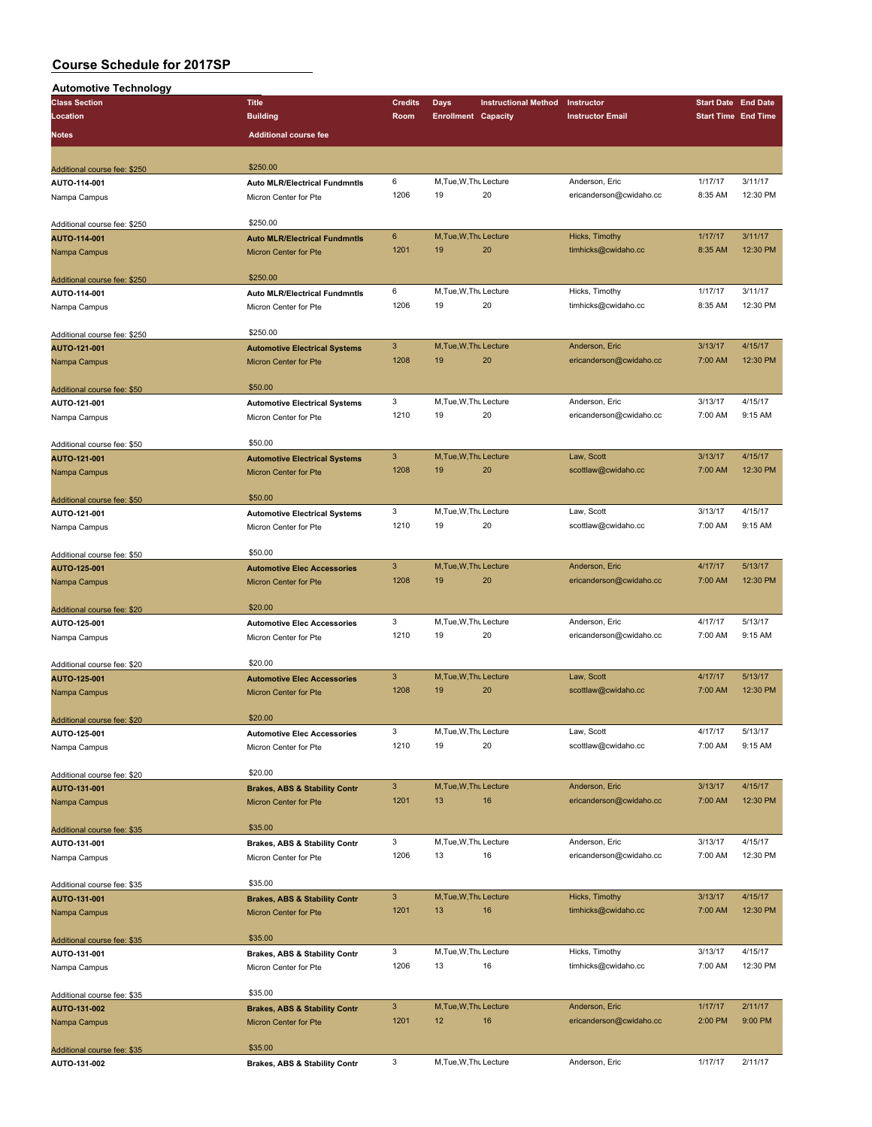| <b>Automotive Technology</b> |                                          |                           |                            |                             |                         |                            |          |
|------------------------------|------------------------------------------|---------------------------|----------------------------|-----------------------------|-------------------------|----------------------------|----------|
| <b>Class Section</b>         | <b>Title</b>                             | <b>Credits</b>            | Days                       | <b>Instructional Method</b> | Instructor              | <b>Start Date End Date</b> |          |
| Location                     | <b>Building</b>                          | Room                      | <b>Enrollment Capacity</b> |                             | <b>Instructor Email</b> | <b>Start Time End Time</b> |          |
| Notes                        | <b>Additional course fee</b>             |                           |                            |                             |                         |                            |          |
|                              |                                          |                           |                            |                             |                         |                            |          |
|                              |                                          |                           |                            |                             |                         |                            |          |
| Additional course fee: \$250 | \$250.00                                 |                           |                            |                             |                         |                            |          |
| AUTO-114-001                 | <b>Auto MLR/Electrical Fundmntls</b>     | 6                         | M.Tue, W.Thu Lecture       |                             | Anderson, Eric          | 1/17/17                    | 3/11/17  |
| Nampa Campus                 | Micron Center for Pte                    | 1206                      | 19                         | 20                          | ericanderson@cwidaho.cc | 8:35 AM                    | 12:30 PM |
|                              |                                          |                           |                            |                             |                         |                            |          |
| Additional course fee: \$250 | \$250.00                                 |                           |                            |                             |                         |                            |          |
| AUTO-114-001                 | <b>Auto MLR/Electrical Fundmntls</b>     | 6                         | M, Tue, W, Thu Lecture     |                             | Hicks, Timothy          | 1/17/17                    | 3/11/17  |
| Nampa Campus                 | Micron Center for Pte                    | 1201                      | 19                         | 20                          | timhicks@cwidaho.cc     | 8:35 AM                    | 12:30 PM |
|                              |                                          |                           |                            |                             |                         |                            |          |
| Additional course fee: \$250 | \$250.00                                 |                           |                            |                             |                         |                            |          |
| AUTO-114-001                 | <b>Auto MLR/Electrical Fundmntls</b>     | 6                         | M, Tue, W, Thu Lecture     |                             | Hicks, Timothy          | 1/17/17                    | 3/11/17  |
| Nampa Campus                 | Micron Center for Pte                    | 1206                      | 19                         | 20                          | timhicks@cwidaho.cc     | 8:35 AM                    | 12:30 PM |
|                              |                                          |                           |                            |                             |                         |                            |          |
| Additional course fee: \$250 | \$250.00                                 |                           |                            |                             |                         |                            |          |
| AUTO-121-001                 | <b>Automotive Electrical Systems</b>     | $\mathbf{3}$              | M, Tue, W, Thu Lecture     |                             | Anderson, Eric          | 3/13/17                    | 4/15/17  |
| Nampa Campus                 | Micron Center for Pte                    | 1208                      | 19                         | 20                          | ericanderson@cwidaho.cc | 7:00 AM                    | 12:30 PM |
|                              |                                          |                           |                            |                             |                         |                            |          |
| Additional course fee: \$50  | \$50.00                                  |                           |                            |                             |                         |                            |          |
| AUTO-121-001                 | <b>Automotive Electrical Systems</b>     | 3                         | M, Tue, W, Thu Lecture     |                             | Anderson, Eric          | 3/13/17                    | 4/15/17  |
| Nampa Campus                 | Micron Center for Pte                    | 1210                      | 19                         | 20                          | ericanderson@cwidaho.cc | 7:00 AM                    | 9:15 AM  |
|                              |                                          |                           |                            |                             |                         |                            |          |
| Additional course fee: \$50  | \$50.00                                  |                           |                            |                             |                         |                            |          |
| AUTO-121-001                 | <b>Automotive Electrical Systems</b>     | $\mathbf{3}$              | M, Tue, W, Thu Lecture     |                             | Law, Scott              | 3/13/17                    | 4/15/17  |
| Nampa Campus                 | Micron Center for Pte                    | 1208                      | 19                         | 20                          | scottlaw@cwidaho.cc     | 7:00 AM                    | 12:30 PM |
|                              |                                          |                           |                            |                             |                         |                            |          |
| Additional course fee: \$50  | \$50.00                                  |                           |                            |                             |                         |                            |          |
| AUTO-121-001                 | <b>Automotive Electrical Systems</b>     | 3                         | M, Tue, W, Thu Lecture     |                             | Law, Scott              | 3/13/17                    | 4/15/17  |
| Nampa Campus                 | Micron Center for Pte                    | 1210                      | 19                         | 20                          | scottlaw@cwidaho.cc     | 7:00 AM                    | 9:15 AM  |
|                              |                                          |                           |                            |                             |                         |                            |          |
| Additional course fee: \$50  | \$50.00                                  |                           |                            |                             |                         |                            |          |
| AUTO-125-001                 | <b>Automotive Elec Accessories</b>       | $\mathbf{3}$              | M, Tue, W, Thu Lecture     |                             | Anderson, Eric          | 4/17/17                    | 5/13/17  |
| Nampa Campus                 | Micron Center for Pte                    | 1208                      | 19                         | 20                          | ericanderson@cwidaho.cc | 7:00 AM                    | 12:30 PM |
|                              |                                          |                           |                            |                             |                         |                            |          |
| Additional course fee: \$20  | \$20.00                                  |                           |                            |                             |                         |                            |          |
| AUTO-125-001                 | <b>Automotive Elec Accessories</b>       | 3                         | M, Tue, W, Thu Lecture     |                             | Anderson, Eric          | 4/17/17                    | 5/13/17  |
| Nampa Campus                 | Micron Center for Pte                    | 1210                      | 19                         | 20                          | ericanderson@cwidaho.cc | 7:00 AM                    | 9:15 AM  |
|                              |                                          |                           |                            |                             |                         |                            |          |
| Additional course fee: \$20  | \$20.00                                  |                           |                            |                             |                         |                            |          |
| AUTO-125-001                 | <b>Automotive Elec Accessories</b>       | $\mathbf{3}$              | M, Tue, W, Thu Lecture     |                             | Law, Scott              | 4/17/17                    | 5/13/17  |
| Nampa Campus                 | Micron Center for Pte                    | 1208                      | 19                         | 20                          | scottlaw@cwidaho.cc     | 7:00 AM                    | 12:30 PM |
|                              |                                          |                           |                            |                             |                         |                            |          |
| Additional course fee: \$20  | \$20.00                                  |                           |                            |                             |                         |                            |          |
| AUTO-125-001                 | <b>Automotive Elec Accessories</b>       | 3                         | M, Tue, W, Thu Lecture     |                             | Law, Scott              | 4/17/17                    | 5/13/17  |
| Nampa Campus                 | Micron Center for Pte                    | 1210                      | 19                         | 20                          | scottlaw@cwidaho.cc     | 7:00 AM                    | 9:15 AM  |
|                              |                                          |                           |                            |                             |                         |                            |          |
| Additional course fee: \$20  | \$20.00                                  |                           |                            |                             |                         |                            |          |
| AUTO-131-001                 | <b>Brakes, ABS &amp; Stability Contr</b> | $\mathbf{3}$              | M, Tue, W, Thu Lecture     |                             | Anderson, Eric          | 3/13/17                    | 4/15/17  |
| Nampa Campus                 | Micron Center for Pte                    | 1201                      | 13                         | 16                          | ericanderson@cwidaho.cc | 7:00 AM                    | 12:30 PM |
|                              |                                          |                           |                            |                             |                         |                            |          |
| Additional course fee: \$35  | \$35.00                                  |                           |                            |                             |                         |                            |          |
| AUTO-131-001                 | <b>Brakes, ABS &amp; Stability Contr</b> | 3                         | M, Tue, W, Thu Lecture     |                             | Anderson, Eric          | 3/13/17                    | 4/15/17  |
| Nampa Campus                 | Micron Center for Pte                    | 1206                      | 13                         | 16                          | ericanderson@cwidaho.cc | 7:00 AM                    | 12:30 PM |
|                              |                                          |                           |                            |                             |                         |                            |          |
| Additional course fee: \$35  | \$35.00                                  |                           |                            |                             |                         |                            |          |
| AUTO-131-001                 | <b>Brakes, ABS &amp; Stability Contr</b> | $\ensuremath{\mathsf{3}}$ | M, Tue, W, Thu Lecture     |                             | Hicks, Timothy          | 3/13/17                    | 4/15/17  |
|                              |                                          | 1201                      | 13                         | 16                          | timhicks@cwidaho.cc     | 7:00 AM                    | 12:30 PM |
| Nampa Campus                 | Micron Center for Pte                    |                           |                            |                             |                         |                            |          |
|                              | \$35.00                                  |                           |                            |                             |                         |                            |          |
| Additional course fee: \$35  |                                          | 3                         | M, Tue, W, Thu Lecture     |                             | Hicks, Timothy          | 3/13/17                    | 4/15/17  |
| AUTO-131-001                 | <b>Brakes, ABS &amp; Stability Contr</b> | 1206                      | 13                         | 16                          | timhicks@cwidaho.cc     | 7:00 AM                    | 12:30 PM |
| Nampa Campus                 | Micron Center for Pte                    |                           |                            |                             |                         |                            |          |
|                              | \$35.00                                  |                           |                            |                             |                         |                            |          |
| Additional course fee: \$35  |                                          | $\mathbf{3}$              | M, Tue, W, Thu Lecture     |                             | Anderson, Eric          | 1/17/17                    | 2/11/17  |
| AUTO-131-002                 | <b>Brakes, ABS &amp; Stability Contr</b> | 1201                      | 12                         | 16                          |                         | 2:00 PM                    | 9:00 PM  |
| Nampa Campus                 | <b>Micron Center for Pte</b>             |                           |                            |                             | ericanderson@cwidaho.cc |                            |          |
|                              |                                          |                           |                            |                             |                         |                            |          |
| Additional course fee: \$35  | \$35.00                                  |                           |                            |                             |                         |                            |          |

**AUTO-131-002 Brakes, ABS & Stability Contr** 3 M,Tue,W,ThuLecture Anderson, Eric 1/17/17 2/11/17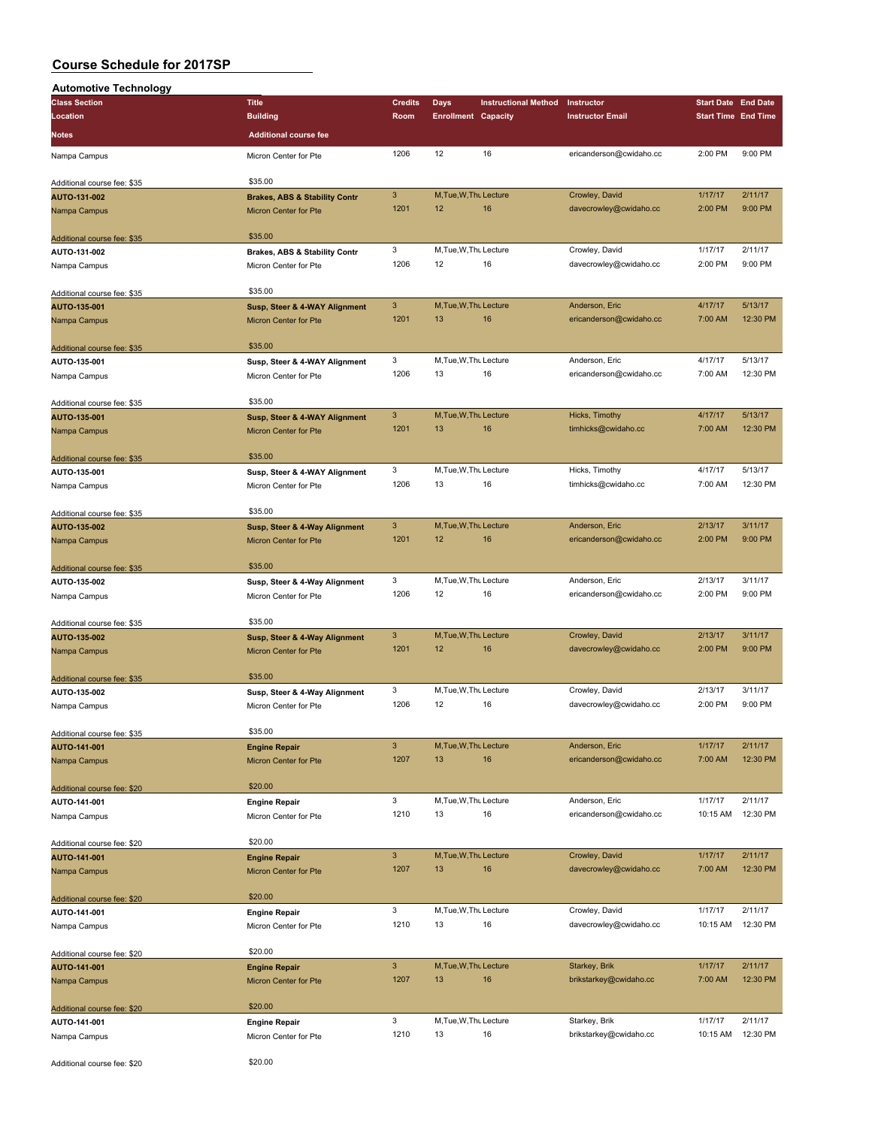| <b>Automotive Technology</b>                |                                          |                |                              |                             |                         |                            |                     |
|---------------------------------------------|------------------------------------------|----------------|------------------------------|-----------------------------|-------------------------|----------------------------|---------------------|
| <b>Class Section</b>                        | <b>Title</b>                             | <b>Credits</b> | Days                         | <b>Instructional Method</b> | Instructor              | <b>Start Date End Date</b> |                     |
| Location                                    | <b>Building</b>                          | Room           | <b>Enrollment Capacity</b>   |                             | <b>Instructor Email</b> | <b>Start Time End Time</b> |                     |
| <b>Notes</b>                                | <b>Additional course fee</b>             |                |                              |                             |                         |                            |                     |
| Nampa Campus                                | Micron Center for Pte                    | 1206           | 12                           | 16                          | ericanderson@cwidaho.cc | 2:00 PM                    | 9:00 PM             |
|                                             |                                          |                |                              |                             |                         |                            |                     |
| Additional course fee: \$35                 | \$35.00                                  |                |                              |                             |                         |                            |                     |
| AUTO-131-002                                | <b>Brakes, ABS &amp; Stability Contr</b> | $\mathbf{3}$   | M.Tue.W.Thu Lecture          |                             | Crowley, David          | 1/17/17                    | 2/11/17             |
| Nampa Campus                                | Micron Center for Pte                    | 1201           | 12                           | 16                          | davecrowley@cwidaho.cc  | 2:00 PM                    | 9:00 PM             |
|                                             | \$35.00                                  |                |                              |                             |                         |                            |                     |
| Additional course fee: \$35<br>AUTO-131-002 | <b>Brakes, ABS &amp; Stability Contr</b> | 3              | M, Tue, W, Thu Lecture       |                             | Crowley, David          | 1/17/17                    | 2/11/17             |
| Nampa Campus                                | Micron Center for Pte                    | 1206           | 12                           | 16                          | davecrowley@cwidaho.cc  | 2:00 PM                    | 9:00 PM             |
|                                             |                                          |                |                              |                             |                         |                            |                     |
| Additional course fee: \$35                 | \$35.00                                  |                |                              |                             |                         |                            |                     |
| AUTO-135-001                                | Susp, Steer & 4-WAY Alignment            | $\mathbf{3}$   | M, Tue, W, Thu Lecture       |                             | Anderson, Eric          | 4/17/17                    | 5/13/17             |
| Nampa Campus                                | <b>Micron Center for Pte</b>             | 1201           | 13                           | 16                          | ericanderson@cwidaho.cc | 7:00 AM                    | 12:30 PM            |
|                                             | \$35.00                                  |                |                              |                             |                         |                            |                     |
| Additional course fee: \$35<br>AUTO-135-001 | Susp, Steer & 4-WAY Alignment            | 3              | M, Tue, W, Thu Lecture       |                             | Anderson, Eric          | 4/17/17                    | 5/13/17             |
| Nampa Campus                                | Micron Center for Pte                    | 1206           | 13                           | 16                          | ericanderson@cwidaho.cc | 7:00 AM                    | 12:30 PM            |
|                                             |                                          |                |                              |                             |                         |                            |                     |
| Additional course fee: \$35                 | \$35.00                                  |                |                              |                             |                         |                            |                     |
| AUTO-135-001                                | Susp, Steer & 4-WAY Alignment            | $\mathbf{3}$   | M, Tue, W, Thu Lecture       |                             | Hicks, Timothy          | 4/17/17                    | 5/13/17             |
| Nampa Campus                                | <b>Micron Center for Pte</b>             | 1201           | 13                           | 16                          | timhicks@cwidaho.cc     | 7:00 AM                    | 12:30 PM            |
|                                             |                                          |                |                              |                             |                         |                            |                     |
| Additional course fee: \$35                 | \$35.00                                  |                |                              |                             |                         |                            |                     |
| AUTO-135-001                                | Susp, Steer & 4-WAY Alignment            | 3<br>1206      | M, Tue, W, Thu Lecture<br>13 | 16                          | Hicks, Timothy          | 4/17/17                    | 5/13/17<br>12:30 PM |
| Nampa Campus                                | Micron Center for Pte                    |                |                              |                             | timhicks@cwidaho.cc     | 7:00 AM                    |                     |
| Additional course fee: \$35                 | \$35.00                                  |                |                              |                             |                         |                            |                     |
| AUTO-135-002                                | Susp, Steer & 4-Way Alignment            | $\mathbf{3}$   | M, Tue, W, Thu Lecture       |                             | Anderson, Eric          | 2/13/17                    | 3/11/17             |
| Nampa Campus                                | <b>Micron Center for Pte</b>             | 1201           | 12                           | 16                          | ericanderson@cwidaho.cc | 2:00 PM                    | 9:00 PM             |
|                                             |                                          |                |                              |                             |                         |                            |                     |
| Additional course fee: \$35                 | \$35.00                                  |                |                              |                             |                         |                            |                     |
| AUTO-135-002                                | Susp, Steer & 4-Way Alignment            | 3              | M, Tue, W, Thu Lecture       |                             | Anderson, Eric          | 2/13/17                    | 3/11/17             |
| Nampa Campus                                | Micron Center for Pte                    | 1206           | 12                           | 16                          | ericanderson@cwidaho.cc | 2:00 PM                    | 9:00 PM             |
|                                             | \$35.00                                  |                |                              |                             |                         |                            |                     |
| Additional course fee: \$35<br>AUTO-135-002 | Susp, Steer & 4-Way Alignment            | $\mathbf{3}$   | M.Tue.W.Thu Lecture          |                             | Crowley, David          | 2/13/17                    | 3/11/17             |
| Nampa Campus                                | <b>Micron Center for Pte</b>             | 1201           | 12                           | 16                          | davecrowley@cwidaho.cc  | 2:00 PM                    | 9:00 PM             |
|                                             |                                          |                |                              |                             |                         |                            |                     |
| Additional course fee: \$35                 | \$35.00                                  |                |                              |                             |                         |                            |                     |
| AUTO-135-002                                | Susp, Steer & 4-Way Alignment            | 3              | M, Tue, W, Thu Lecture       |                             | Crowley, David          | 2/13/17                    | 3/11/17             |
| Nampa Campus                                | Micron Center for Pte                    | 1206           | 12                           | 16                          | davecrowley@cwidaho.cc  | 2:00 PM                    | 9:00 PM             |
|                                             | \$35.00                                  |                |                              |                             |                         |                            |                     |
| Additional course fee: \$35                 | <b>Engine Repair</b>                     | $\mathbf{3}$   | M, Tue, W, Thu Lecture       |                             | Anderson, Eric          | 1/17/17                    | 2/11/17             |
| AUTO-141-001<br>Nampa Campus                | Micron Center for Pte                    | 1207           | 13                           | 16                          | ericanderson@cwidaho.cc | 7:00 AM                    | 12:30 PM            |
|                                             |                                          |                |                              |                             |                         |                            |                     |
| Additional course fee: \$20                 | \$20.00                                  |                |                              |                             |                         |                            |                     |
| AUTO-141-001                                | <b>Engine Repair</b>                     | $\mathbf 3$    | M, Tue, W, Thu Lecture       |                             | Anderson, Eric          | 1/17/17                    | 2/11/17             |
| Nampa Campus                                | Micron Center for Pte                    | 1210           | 13                           | 16                          | ericanderson@cwidaho.cc | 10:15 AM                   | 12:30 PM            |
|                                             |                                          |                |                              |                             |                         |                            |                     |
| Additional course fee: \$20                 | \$20.00                                  | $\mathbf{3}$   |                              |                             | Crowley, David          |                            | 2/11/17             |
| AUTO-141-001                                | <b>Engine Repair</b>                     | 1207           | M, Tue, W, Thu Lecture<br>13 | 16                          | davecrowley@cwidaho.cc  | 1/17/17<br>7:00 AM         | 12:30 PM            |
| Nampa Campus                                | Micron Center for Pte                    |                |                              |                             |                         |                            |                     |
| Additional course fee: \$20                 | \$20.00                                  |                |                              |                             |                         |                            |                     |
| AUTO-141-001                                | <b>Engine Repair</b>                     | 3              | M, Tue, W, Thu Lecture       |                             | Crowley, David          | 1/17/17                    | 2/11/17             |
| Nampa Campus                                | Micron Center for Pte                    | 1210           | 13                           | 16                          | davecrowley@cwidaho.cc  | 10:15 AM                   | 12:30 PM            |
|                                             |                                          |                |                              |                             |                         |                            |                     |
| Additional course fee: \$20                 | \$20.00                                  |                |                              |                             |                         |                            |                     |
| AUTO-141-001                                | <b>Engine Repair</b>                     | $\mathbf{3}$   | M, Tue, W, Thu Lecture       |                             | Starkey, Brik           | 1/17/17                    | 2/11/17             |
| Nampa Campus                                | Micron Center for Pte                    | 1207           | 13                           | 16                          | brikstarkey@cwidaho.cc  | 7:00 AM                    | 12:30 PM            |
|                                             | \$20.00                                  |                |                              |                             |                         |                            |                     |
| Additional course fee: \$20<br>AUTO-141-001 | <b>Engine Repair</b>                     | 3              | M, Tue, W, Thu Lecture       |                             | Starkey, Brik           | 1/17/17                    | 2/11/17             |
| Nampa Campus                                | Micron Center for Pte                    | 1210           | 13                           | 16                          | brikstarkey@cwidaho.cc  | 10:15 AM                   | 12:30 PM            |
|                                             |                                          |                |                              |                             |                         |                            |                     |
| Additional course fee: \$20                 | \$20.00                                  |                |                              |                             |                         |                            |                     |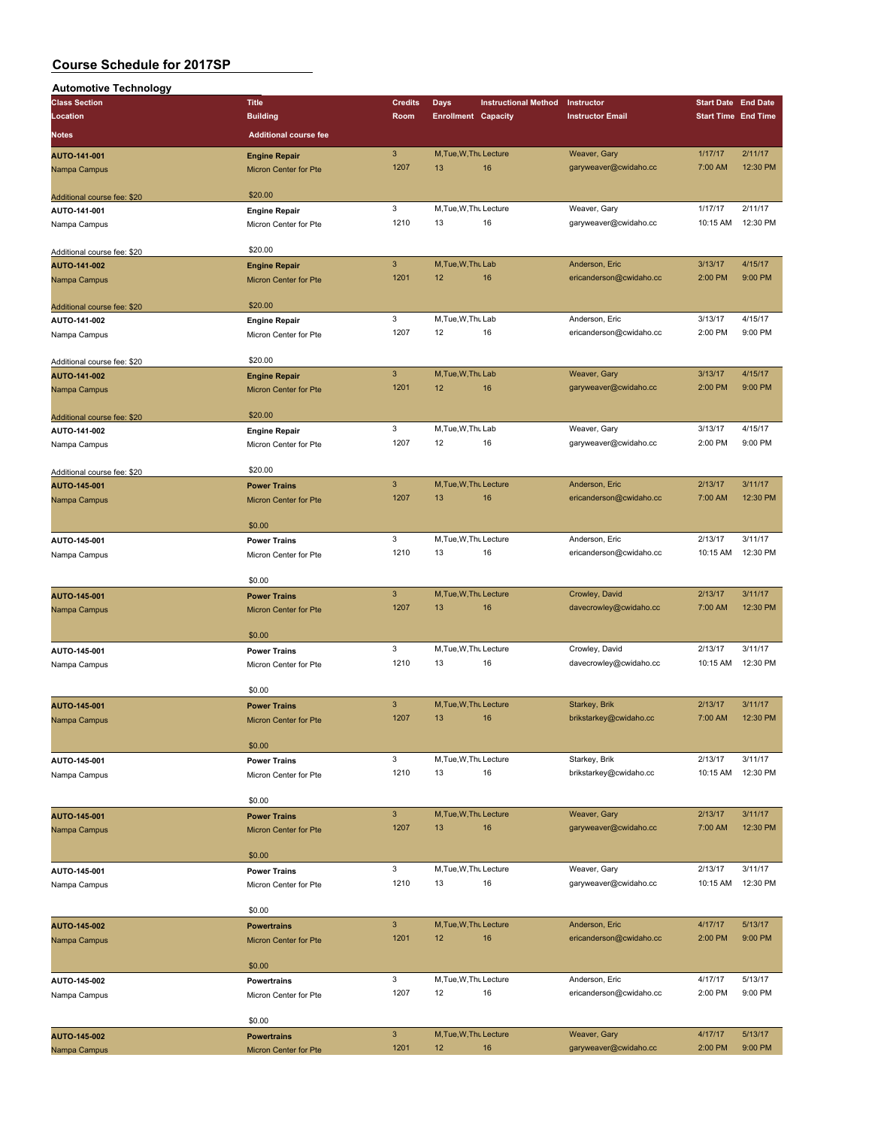| <b>Automotive Technology</b> |                              |                |                            |                             |                         |                            |          |
|------------------------------|------------------------------|----------------|----------------------------|-----------------------------|-------------------------|----------------------------|----------|
| <b>Class Section</b>         | <b>Title</b>                 | <b>Credits</b> | <b>Days</b>                | <b>Instructional Method</b> | Instructor              | <b>Start Date End Date</b> |          |
| Location                     | <b>Building</b>              | Room           | <b>Enrollment Capacity</b> |                             | <b>Instructor Email</b> | <b>Start Time End Time</b> |          |
| <b>Notes</b>                 | <b>Additional course fee</b> |                |                            |                             |                         |                            |          |
|                              |                              |                |                            |                             |                         |                            |          |
| AUTO-141-001                 | <b>Engine Repair</b>         | $\mathbf{3}$   | M, Tue, W, Thu Lecture     |                             | Weaver, Gary            | 1/17/17                    | 2/11/17  |
| Nampa Campus                 | Micron Center for Pte        | 1207           | 13                         | 16                          | garyweaver@cwidaho.cc   | 7:00 AM                    | 12:30 PM |
|                              |                              |                |                            |                             |                         |                            |          |
| Additional course fee: \$20  | \$20.00                      |                |                            |                             |                         |                            |          |
| AUTO-141-001                 | <b>Engine Repair</b>         | 3              | M, Tue, W, Thu Lecture     |                             | Weaver, Gary            | 1/17/17                    | 2/11/17  |
| Nampa Campus                 | Micron Center for Pte        | 1210           | 13                         | 16                          | garyweaver@cwidaho.cc   | 10:15 AM                   | 12:30 PM |
|                              |                              |                |                            |                             |                         |                            |          |
| Additional course fee: \$20  | \$20.00                      |                |                            |                             |                         |                            |          |
| AUTO-141-002                 | <b>Engine Repair</b>         | $\mathbf{3}$   | M, Tue, W, Thu Lab         |                             | Anderson, Eric          | 3/13/17                    | 4/15/17  |
| Nampa Campus                 | Micron Center for Pte        | 1201           | 12                         | 16                          | ericanderson@cwidaho.cc | 2:00 PM                    | 9:00 PM  |
|                              |                              |                |                            |                             |                         |                            |          |
| Additional course fee: \$20  | \$20.00                      |                |                            |                             |                         |                            |          |
| AUTO-141-002                 | <b>Engine Repair</b>         | 3              | M, Tue, W, Thu Lab         |                             | Anderson, Eric          | 3/13/17                    | 4/15/17  |
| Nampa Campus                 | Micron Center for Pte        | 1207           | 12                         | 16                          | ericanderson@cwidaho.cc | 2:00 PM                    | 9:00 PM  |
|                              |                              |                |                            |                             |                         |                            |          |
| Additional course fee: \$20  | \$20.00                      |                |                            |                             |                         |                            |          |
| AUTO-141-002                 | <b>Engine Repair</b>         | $\mathbf{3}$   | M, Tue, W, Thu Lab         |                             | Weaver, Gary            | 3/13/17                    | 4/15/17  |
| Nampa Campus                 | Micron Center for Pte        | 1201           | 12                         | 16                          | garyweaver@cwidaho.cc   | 2:00 PM                    | 9:00 PM  |
|                              |                              |                |                            |                             |                         |                            |          |
| Additional course fee: \$20  | \$20.00                      |                |                            |                             |                         |                            |          |
| AUTO-141-002                 | <b>Engine Repair</b>         | 3              | M, Tue, W, Thu Lab         |                             | Weaver, Gary            | 3/13/17                    | 4/15/17  |
| Nampa Campus                 | Micron Center for Pte        | 1207           | 12                         | 16                          | garyweaver@cwidaho.cc   | 2:00 PM                    | 9:00 PM  |
|                              |                              |                |                            |                             |                         |                            |          |
| Additional course fee: \$20  | \$20.00                      |                |                            |                             |                         |                            |          |
| AUTO-145-001                 | <b>Power Trains</b>          | $\mathbf{3}$   | M, Tue, W, Thu Lecture     |                             | Anderson, Eric          | 2/13/17                    | 3/11/17  |
| Nampa Campus                 | <b>Micron Center for Pte</b> | 1207           | 13                         | 16                          | ericanderson@cwidaho.cc | 7:00 AM                    | 12:30 PM |
|                              |                              |                |                            |                             |                         |                            |          |
|                              | \$0.00                       |                |                            |                             |                         |                            |          |
| AUTO-145-001                 | <b>Power Trains</b>          | 3              | M, Tue, W, Thu Lecture     |                             | Anderson, Eric          | 2/13/17                    | 3/11/17  |
| Nampa Campus                 | Micron Center for Pte        | 1210           | 13                         | 16                          | ericanderson@cwidaho.cc | 10:15 AM                   | 12:30 PM |
|                              |                              |                |                            |                             |                         |                            |          |
|                              | \$0.00                       |                |                            |                             |                         |                            |          |
| AUTO-145-001                 | <b>Power Trains</b>          | $\overline{3}$ | M.Tue.W.Thu Lecture        |                             | Crowley, David          | 2/13/17                    | 3/11/17  |
| Nampa Campus                 | Micron Center for Pte        | 1207           | 13                         | 16                          | davecrowley@cwidaho.cc  | 7:00 AM                    | 12:30 PM |
|                              |                              |                |                            |                             |                         |                            |          |
|                              | \$0.00                       |                |                            |                             |                         |                            |          |
| AUTO-145-001                 | <b>Power Trains</b>          | 3              | M, Tue, W, Thu Lecture     |                             | Crowley, David          | 2/13/17                    | 3/11/17  |
| Nampa Campus                 | Micron Center for Pte        | 1210           | 13                         | 16                          | davecrowley@cwidaho.cc  | 10:15 AM                   | 12:30 PM |
|                              |                              |                |                            |                             |                         |                            |          |
|                              | \$0.00                       |                |                            |                             |                         |                            |          |
| AUTO-145-001                 | <b>Power Trains</b>          | $\mathbf{3}$   | M, Tue, W, Thu Lecture     |                             | Starkey, Brik           | 2/13/17                    | 3/11/17  |
| Nampa Campus                 | <b>Micron Center for Pte</b> | 1207           | 13                         | 16                          | brikstarkey@cwidaho.cc  | 7:00 AM                    | 12:30 PM |
|                              |                              |                |                            |                             |                         |                            |          |
|                              | \$0.00                       |                |                            |                             |                         |                            |          |
| AUTO-145-001                 | <b>Power Trains</b>          | 3              | M, Tue, W, Thu Lecture     |                             | Starkey, Brik           | 2/13/17                    | 3/11/17  |
| Nampa Campus                 | Micron Center for Pte        | 1210           | 13                         | 16                          | brikstarkey@cwidaho.cc  | 10:15 AM                   | 12:30 PM |
|                              |                              |                |                            |                             |                         |                            |          |
|                              | \$0.00                       |                |                            |                             |                         |                            |          |
| AUTO-145-001                 | <b>Power Trains</b>          | $\mathbf{3}$   | M, Tue, W, Thu Lecture     |                             | Weaver, Gary            | 2/13/17                    | 3/11/17  |
| Nampa Campus                 | Micron Center for Pte        | 1207           | 13                         | 16                          | garyweaver@cwidaho.cc   | 7:00 AM                    | 12:30 PM |
|                              |                              |                |                            |                             |                         |                            |          |
|                              | \$0.00                       |                |                            |                             |                         |                            |          |
| AUTO-145-001                 | <b>Power Trains</b>          | 3              | M, Tue, W, Thu Lecture     |                             | Weaver, Gary            | 2/13/17                    | 3/11/17  |
| Nampa Campus                 | Micron Center for Pte        | 1210           | 13                         | 16                          | garyweaver@cwidaho.cc   | 10:15 AM                   | 12:30 PM |
|                              |                              |                |                            |                             |                         |                            |          |
|                              | \$0.00                       |                |                            |                             |                         |                            |          |
| AUTO-145-002                 | <b>Powertrains</b>           | $\mathbf{3}$   | M, Tue, W, Thu Lecture     |                             | Anderson, Eric          | 4/17/17                    | 5/13/17  |
| Nampa Campus                 | Micron Center for Pte        | 1201           | 12                         | 16                          | ericanderson@cwidaho.cc | 2:00 PM                    | 9:00 PM  |
|                              |                              |                |                            |                             |                         |                            |          |
|                              | \$0.00                       |                |                            |                             |                         |                            |          |
| AUTO-145-002                 | <b>Powertrains</b>           | 3              | M, Tue, W, Thu Lecture     |                             | Anderson, Eric          | 4/17/17                    | 5/13/17  |
|                              |                              | 1207           | 12                         | 16                          | ericanderson@cwidaho.cc | 2:00 PM                    | 9:00 PM  |
|                              |                              |                |                            |                             |                         |                            |          |
| Nampa Campus                 | Micron Center for Pte        |                |                            |                             |                         |                            |          |
|                              | \$0.00                       |                |                            |                             |                         |                            |          |
| AUTO-145-002                 | <b>Powertrains</b>           | $\mathbf{3}$   | M, Tue, W, Thu Lecture     |                             | Weaver, Gary            | 4/17/17                    | 5/13/17  |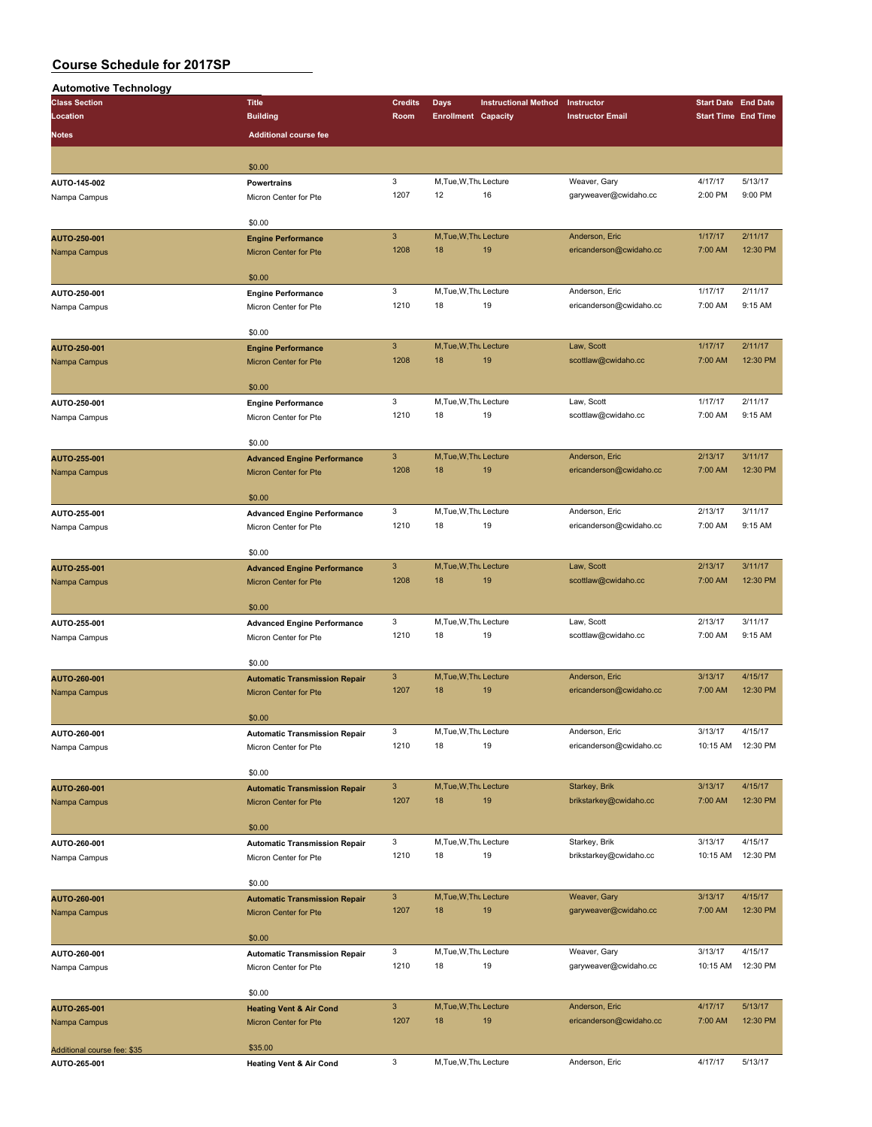| <b>Automotive Technology</b> |                                                                                                                                                                                                                                                                                                                                                                                                                                                                                                                                                                                                                                                                                                                                                                                                                                                                                                                                                                                                                                                                                                                                                                                                                                                                                                                                                                                                                                                                                                                                                                                                                                                                                                                                                                                         |                |                            |                             |                         |                                                                                                                                                                                                                                                                                                       |          |
|------------------------------|-----------------------------------------------------------------------------------------------------------------------------------------------------------------------------------------------------------------------------------------------------------------------------------------------------------------------------------------------------------------------------------------------------------------------------------------------------------------------------------------------------------------------------------------------------------------------------------------------------------------------------------------------------------------------------------------------------------------------------------------------------------------------------------------------------------------------------------------------------------------------------------------------------------------------------------------------------------------------------------------------------------------------------------------------------------------------------------------------------------------------------------------------------------------------------------------------------------------------------------------------------------------------------------------------------------------------------------------------------------------------------------------------------------------------------------------------------------------------------------------------------------------------------------------------------------------------------------------------------------------------------------------------------------------------------------------------------------------------------------------------------------------------------------------|----------------|----------------------------|-----------------------------|-------------------------|-------------------------------------------------------------------------------------------------------------------------------------------------------------------------------------------------------------------------------------------------------------------------------------------------------|----------|
| <b>Class Section</b>         | <b>Title</b>                                                                                                                                                                                                                                                                                                                                                                                                                                                                                                                                                                                                                                                                                                                                                                                                                                                                                                                                                                                                                                                                                                                                                                                                                                                                                                                                                                                                                                                                                                                                                                                                                                                                                                                                                                            | <b>Credits</b> | Days                       | <b>Instructional Method</b> | Instructor              | <b>Start Date End Date</b>                                                                                                                                                                                                                                                                            |          |
| Location                     | <b>Building</b>                                                                                                                                                                                                                                                                                                                                                                                                                                                                                                                                                                                                                                                                                                                                                                                                                                                                                                                                                                                                                                                                                                                                                                                                                                                                                                                                                                                                                                                                                                                                                                                                                                                                                                                                                                         | Room           | <b>Enrollment Capacity</b> |                             | <b>Instructor Email</b> |                                                                                                                                                                                                                                                                                                       |          |
| <b>Notes</b>                 | <b>Additional course fee</b>                                                                                                                                                                                                                                                                                                                                                                                                                                                                                                                                                                                                                                                                                                                                                                                                                                                                                                                                                                                                                                                                                                                                                                                                                                                                                                                                                                                                                                                                                                                                                                                                                                                                                                                                                            |                |                            |                             |                         |                                                                                                                                                                                                                                                                                                       |          |
|                              |                                                                                                                                                                                                                                                                                                                                                                                                                                                                                                                                                                                                                                                                                                                                                                                                                                                                                                                                                                                                                                                                                                                                                                                                                                                                                                                                                                                                                                                                                                                                                                                                                                                                                                                                                                                         |                |                            |                             |                         |                                                                                                                                                                                                                                                                                                       |          |
|                              | \$0.00                                                                                                                                                                                                                                                                                                                                                                                                                                                                                                                                                                                                                                                                                                                                                                                                                                                                                                                                                                                                                                                                                                                                                                                                                                                                                                                                                                                                                                                                                                                                                                                                                                                                                                                                                                                  |                |                            |                             |                         |                                                                                                                                                                                                                                                                                                       |          |
| AUTO-145-002                 | <b>Powertrains</b>                                                                                                                                                                                                                                                                                                                                                                                                                                                                                                                                                                                                                                                                                                                                                                                                                                                                                                                                                                                                                                                                                                                                                                                                                                                                                                                                                                                                                                                                                                                                                                                                                                                                                                                                                                      | 3              | M, Tue, W, Thu Lecture     |                             | Weaver, Gary            |                                                                                                                                                                                                                                                                                                       | 5/13/17  |
| Nampa Campus                 | Micron Center for Pte                                                                                                                                                                                                                                                                                                                                                                                                                                                                                                                                                                                                                                                                                                                                                                                                                                                                                                                                                                                                                                                                                                                                                                                                                                                                                                                                                                                                                                                                                                                                                                                                                                                                                                                                                                   | 1207           | 12                         | 16                          | garyweaver@cwidaho.cc   |                                                                                                                                                                                                                                                                                                       | 9:00 PM  |
|                              |                                                                                                                                                                                                                                                                                                                                                                                                                                                                                                                                                                                                                                                                                                                                                                                                                                                                                                                                                                                                                                                                                                                                                                                                                                                                                                                                                                                                                                                                                                                                                                                                                                                                                                                                                                                         |                |                            |                             |                         |                                                                                                                                                                                                                                                                                                       |          |
|                              | \$0.00                                                                                                                                                                                                                                                                                                                                                                                                                                                                                                                                                                                                                                                                                                                                                                                                                                                                                                                                                                                                                                                                                                                                                                                                                                                                                                                                                                                                                                                                                                                                                                                                                                                                                                                                                                                  |                |                            |                             |                         |                                                                                                                                                                                                                                                                                                       |          |
| AUTO-250-001                 | <b>Engine Performance</b>                                                                                                                                                                                                                                                                                                                                                                                                                                                                                                                                                                                                                                                                                                                                                                                                                                                                                                                                                                                                                                                                                                                                                                                                                                                                                                                                                                                                                                                                                                                                                                                                                                                                                                                                                               | $\mathbf{3}$   | M, Tue, W, Thu Lecture     |                             | Anderson, Eric          | 1/17/17                                                                                                                                                                                                                                                                                               | 2/11/17  |
| Nampa Campus                 | <b>Micron Center for Pte</b>                                                                                                                                                                                                                                                                                                                                                                                                                                                                                                                                                                                                                                                                                                                                                                                                                                                                                                                                                                                                                                                                                                                                                                                                                                                                                                                                                                                                                                                                                                                                                                                                                                                                                                                                                            | 1208           | 18                         | 19                          | ericanderson@cwidaho.cc | 7:00 AM                                                                                                                                                                                                                                                                                               | 12:30 PM |
|                              |                                                                                                                                                                                                                                                                                                                                                                                                                                                                                                                                                                                                                                                                                                                                                                                                                                                                                                                                                                                                                                                                                                                                                                                                                                                                                                                                                                                                                                                                                                                                                                                                                                                                                                                                                                                         |                |                            |                             |                         |                                                                                                                                                                                                                                                                                                       |          |
|                              | \$0.00                                                                                                                                                                                                                                                                                                                                                                                                                                                                                                                                                                                                                                                                                                                                                                                                                                                                                                                                                                                                                                                                                                                                                                                                                                                                                                                                                                                                                                                                                                                                                                                                                                                                                                                                                                                  |                |                            |                             |                         |                                                                                                                                                                                                                                                                                                       |          |
| AUTO-250-001                 | <b>Engine Performance</b>                                                                                                                                                                                                                                                                                                                                                                                                                                                                                                                                                                                                                                                                                                                                                                                                                                                                                                                                                                                                                                                                                                                                                                                                                                                                                                                                                                                                                                                                                                                                                                                                                                                                                                                                                               | 3              |                            |                             | Anderson, Eric          | 1/17/17                                                                                                                                                                                                                                                                                               | 2/11/17  |
| Nampa Campus                 | Micron Center for Pte                                                                                                                                                                                                                                                                                                                                                                                                                                                                                                                                                                                                                                                                                                                                                                                                                                                                                                                                                                                                                                                                                                                                                                                                                                                                                                                                                                                                                                                                                                                                                                                                                                                                                                                                                                   |                | 18                         |                             | ericanderson@cwidaho.cc | 7:00 AM                                                                                                                                                                                                                                                                                               | 9:15 AM  |
|                              |                                                                                                                                                                                                                                                                                                                                                                                                                                                                                                                                                                                                                                                                                                                                                                                                                                                                                                                                                                                                                                                                                                                                                                                                                                                                                                                                                                                                                                                                                                                                                                                                                                                                                                                                                                                         |                |                            |                             |                         |                                                                                                                                                                                                                                                                                                       |          |
|                              |                                                                                                                                                                                                                                                                                                                                                                                                                                                                                                                                                                                                                                                                                                                                                                                                                                                                                                                                                                                                                                                                                                                                                                                                                                                                                                                                                                                                                                                                                                                                                                                                                                                                                                                                                                                         |                |                            |                             |                         |                                                                                                                                                                                                                                                                                                       | 2/11/17  |
| AUTO-250-001                 |                                                                                                                                                                                                                                                                                                                                                                                                                                                                                                                                                                                                                                                                                                                                                                                                                                                                                                                                                                                                                                                                                                                                                                                                                                                                                                                                                                                                                                                                                                                                                                                                                                                                                                                                                                                         |                |                            |                             |                         |                                                                                                                                                                                                                                                                                                       | 12:30 PM |
| Nampa Campus                 |                                                                                                                                                                                                                                                                                                                                                                                                                                                                                                                                                                                                                                                                                                                                                                                                                                                                                                                                                                                                                                                                                                                                                                                                                                                                                                                                                                                                                                                                                                                                                                                                                                                                                                                                                                                         |                |                            |                             |                         |                                                                                                                                                                                                                                                                                                       |          |
|                              |                                                                                                                                                                                                                                                                                                                                                                                                                                                                                                                                                                                                                                                                                                                                                                                                                                                                                                                                                                                                                                                                                                                                                                                                                                                                                                                                                                                                                                                                                                                                                                                                                                                                                                                                                                                         |                |                            |                             |                         |                                                                                                                                                                                                                                                                                                       |          |
| AUTO-250-001                 |                                                                                                                                                                                                                                                                                                                                                                                                                                                                                                                                                                                                                                                                                                                                                                                                                                                                                                                                                                                                                                                                                                                                                                                                                                                                                                                                                                                                                                                                                                                                                                                                                                                                                                                                                                                         | 3              |                            |                             | Law, Scott              |                                                                                                                                                                                                                                                                                                       | 2/11/17  |
| Nampa Campus                 |                                                                                                                                                                                                                                                                                                                                                                                                                                                                                                                                                                                                                                                                                                                                                                                                                                                                                                                                                                                                                                                                                                                                                                                                                                                                                                                                                                                                                                                                                                                                                                                                                                                                                                                                                                                         | 1210           | 18                         | 19                          |                         |                                                                                                                                                                                                                                                                                                       | 9:15 AM  |
|                              |                                                                                                                                                                                                                                                                                                                                                                                                                                                                                                                                                                                                                                                                                                                                                                                                                                                                                                                                                                                                                                                                                                                                                                                                                                                                                                                                                                                                                                                                                                                                                                                                                                                                                                                                                                                         |                |                            |                             |                         |                                                                                                                                                                                                                                                                                                       |          |
|                              | \$0.00                                                                                                                                                                                                                                                                                                                                                                                                                                                                                                                                                                                                                                                                                                                                                                                                                                                                                                                                                                                                                                                                                                                                                                                                                                                                                                                                                                                                                                                                                                                                                                                                                                                                                                                                                                                  |                |                            |                             |                         |                                                                                                                                                                                                                                                                                                       |          |
| AUTO-255-001                 |                                                                                                                                                                                                                                                                                                                                                                                                                                                                                                                                                                                                                                                                                                                                                                                                                                                                                                                                                                                                                                                                                                                                                                                                                                                                                                                                                                                                                                                                                                                                                                                                                                                                                                                                                                                         | $\mathbf{3}$   |                            |                             | Anderson, Eric          | 2/13/17                                                                                                                                                                                                                                                                                               | 3/11/17  |
| Nampa Campus                 | Micron Center for Pte                                                                                                                                                                                                                                                                                                                                                                                                                                                                                                                                                                                                                                                                                                                                                                                                                                                                                                                                                                                                                                                                                                                                                                                                                                                                                                                                                                                                                                                                                                                                                                                                                                                                                                                                                                   | 1208           | 18                         | 19                          | ericanderson@cwidaho.cc | 7:00 AM                                                                                                                                                                                                                                                                                               | 12:30 PM |
|                              |                                                                                                                                                                                                                                                                                                                                                                                                                                                                                                                                                                                                                                                                                                                                                                                                                                                                                                                                                                                                                                                                                                                                                                                                                                                                                                                                                                                                                                                                                                                                                                                                                                                                                                                                                                                         |                |                            |                             |                         |                                                                                                                                                                                                                                                                                                       |          |
|                              | \$0.00                                                                                                                                                                                                                                                                                                                                                                                                                                                                                                                                                                                                                                                                                                                                                                                                                                                                                                                                                                                                                                                                                                                                                                                                                                                                                                                                                                                                                                                                                                                                                                                                                                                                                                                                                                                  |                |                            |                             |                         |                                                                                                                                                                                                                                                                                                       |          |
| AUTO-255-001                 | <b>Advanced Engine Performance</b>                                                                                                                                                                                                                                                                                                                                                                                                                                                                                                                                                                                                                                                                                                                                                                                                                                                                                                                                                                                                                                                                                                                                                                                                                                                                                                                                                                                                                                                                                                                                                                                                                                                                                                                                                      | 3              |                            |                             | Anderson, Eric          | 2/13/17                                                                                                                                                                                                                                                                                               | 3/11/17  |
| Nampa Campus                 | Micron Center for Pte                                                                                                                                                                                                                                                                                                                                                                                                                                                                                                                                                                                                                                                                                                                                                                                                                                                                                                                                                                                                                                                                                                                                                                                                                                                                                                                                                                                                                                                                                                                                                                                                                                                                                                                                                                   | 1210           | 18                         | 19                          | ericanderson@cwidaho.cc | 7:00 AM                                                                                                                                                                                                                                                                                               | 9:15 AM  |
|                              |                                                                                                                                                                                                                                                                                                                                                                                                                                                                                                                                                                                                                                                                                                                                                                                                                                                                                                                                                                                                                                                                                                                                                                                                                                                                                                                                                                                                                                                                                                                                                                                                                                                                                                                                                                                         |                |                            |                             |                         |                                                                                                                                                                                                                                                                                                       |          |
|                              |                                                                                                                                                                                                                                                                                                                                                                                                                                                                                                                                                                                                                                                                                                                                                                                                                                                                                                                                                                                                                                                                                                                                                                                                                                                                                                                                                                                                                                                                                                                                                                                                                                                                                                                                                                                         |                |                            |                             |                         |                                                                                                                                                                                                                                                                                                       |          |
| AUTO-255-001                 | <b>Advanced Engine Performance</b>                                                                                                                                                                                                                                                                                                                                                                                                                                                                                                                                                                                                                                                                                                                                                                                                                                                                                                                                                                                                                                                                                                                                                                                                                                                                                                                                                                                                                                                                                                                                                                                                                                                                                                                                                      |                |                            |                             |                         |                                                                                                                                                                                                                                                                                                       | 3/11/17  |
| Nampa Campus                 | Micron Center for Pte                                                                                                                                                                                                                                                                                                                                                                                                                                                                                                                                                                                                                                                                                                                                                                                                                                                                                                                                                                                                                                                                                                                                                                                                                                                                                                                                                                                                                                                                                                                                                                                                                                                                                                                                                                   |                |                            |                             |                         |                                                                                                                                                                                                                                                                                                       | 12:30 PM |
|                              |                                                                                                                                                                                                                                                                                                                                                                                                                                                                                                                                                                                                                                                                                                                                                                                                                                                                                                                                                                                                                                                                                                                                                                                                                                                                                                                                                                                                                                                                                                                                                                                                                                                                                                                                                                                         |                |                            |                             |                         |                                                                                                                                                                                                                                                                                                       |          |
|                              |                                                                                                                                                                                                                                                                                                                                                                                                                                                                                                                                                                                                                                                                                                                                                                                                                                                                                                                                                                                                                                                                                                                                                                                                                                                                                                                                                                                                                                                                                                                                                                                                                                                                                                                                                                                         |                |                            |                             |                         |                                                                                                                                                                                                                                                                                                       | 3/11/17  |
| AUTO-255-001                 |                                                                                                                                                                                                                                                                                                                                                                                                                                                                                                                                                                                                                                                                                                                                                                                                                                                                                                                                                                                                                                                                                                                                                                                                                                                                                                                                                                                                                                                                                                                                                                                                                                                                                                                                                                                         |                |                            |                             |                         |                                                                                                                                                                                                                                                                                                       | 9:15 AM  |
| Nampa Campus                 |                                                                                                                                                                                                                                                                                                                                                                                                                                                                                                                                                                                                                                                                                                                                                                                                                                                                                                                                                                                                                                                                                                                                                                                                                                                                                                                                                                                                                                                                                                                                                                                                                                                                                                                                                                                         |                |                            |                             |                         |                                                                                                                                                                                                                                                                                                       |          |
|                              | \$0.00                                                                                                                                                                                                                                                                                                                                                                                                                                                                                                                                                                                                                                                                                                                                                                                                                                                                                                                                                                                                                                                                                                                                                                                                                                                                                                                                                                                                                                                                                                                                                                                                                                                                                                                                                                                  |                |                            |                             |                         |                                                                                                                                                                                                                                                                                                       |          |
| AUTO-260-001                 |                                                                                                                                                                                                                                                                                                                                                                                                                                                                                                                                                                                                                                                                                                                                                                                                                                                                                                                                                                                                                                                                                                                                                                                                                                                                                                                                                                                                                                                                                                                                                                                                                                                                                                                                                                                         | $\mathbf{3}$   |                            |                             | Anderson, Eric          | 3/13/17                                                                                                                                                                                                                                                                                               | 4/15/17  |
| Nampa Campus                 | <b>Micron Center for Pte</b>                                                                                                                                                                                                                                                                                                                                                                                                                                                                                                                                                                                                                                                                                                                                                                                                                                                                                                                                                                                                                                                                                                                                                                                                                                                                                                                                                                                                                                                                                                                                                                                                                                                                                                                                                            | 1207           | 18                         | 19                          | ericanderson@cwidaho.cc | <b>Start Time End Time</b><br>4/17/17<br>2:00 PM<br>1/17/17<br>7:00 AM<br>1/17/17<br>7:00 AM<br>2/13/17<br>7:00 AM<br>2/13/17<br>7:00 AM<br>7:00 AM<br>3/13/17<br>10:15 AM<br>3/13/17<br>7:00 AM<br>3/13/17<br>10:15 AM<br>3/13/17<br>7:00 AM<br>3/13/17<br>10:15 AM<br>4/17/17<br>7:00 AM<br>4/17/17 | 12:30 PM |
|                              |                                                                                                                                                                                                                                                                                                                                                                                                                                                                                                                                                                                                                                                                                                                                                                                                                                                                                                                                                                                                                                                                                                                                                                                                                                                                                                                                                                                                                                                                                                                                                                                                                                                                                                                                                                                         |                |                            |                             |                         |                                                                                                                                                                                                                                                                                                       |          |
|                              | \$0.00                                                                                                                                                                                                                                                                                                                                                                                                                                                                                                                                                                                                                                                                                                                                                                                                                                                                                                                                                                                                                                                                                                                                                                                                                                                                                                                                                                                                                                                                                                                                                                                                                                                                                                                                                                                  |                |                            |                             |                         |                                                                                                                                                                                                                                                                                                       |          |
| AUTO-260-001                 | <b>Automatic Transmission Repair</b>                                                                                                                                                                                                                                                                                                                                                                                                                                                                                                                                                                                                                                                                                                                                                                                                                                                                                                                                                                                                                                                                                                                                                                                                                                                                                                                                                                                                                                                                                                                                                                                                                                                                                                                                                    | 3              |                            |                             | Anderson, Eric          |                                                                                                                                                                                                                                                                                                       | 4/15/17  |
| Nampa Campus                 | Micron Center for Pte                                                                                                                                                                                                                                                                                                                                                                                                                                                                                                                                                                                                                                                                                                                                                                                                                                                                                                                                                                                                                                                                                                                                                                                                                                                                                                                                                                                                                                                                                                                                                                                                                                                                                                                                                                   | 1210           | 18                         | 19                          | ericanderson@cwidaho.cc |                                                                                                                                                                                                                                                                                                       | 12:30 PM |
|                              |                                                                                                                                                                                                                                                                                                                                                                                                                                                                                                                                                                                                                                                                                                                                                                                                                                                                                                                                                                                                                                                                                                                                                                                                                                                                                                                                                                                                                                                                                                                                                                                                                                                                                                                                                                                         |                |                            |                             |                         |                                                                                                                                                                                                                                                                                                       |          |
|                              |                                                                                                                                                                                                                                                                                                                                                                                                                                                                                                                                                                                                                                                                                                                                                                                                                                                                                                                                                                                                                                                                                                                                                                                                                                                                                                                                                                                                                                                                                                                                                                                                                                                                                                                                                                                         |                |                            |                             |                         |                                                                                                                                                                                                                                                                                                       |          |
| AUTO-260-001                 | <b>Automatic Transmission Repair</b>                                                                                                                                                                                                                                                                                                                                                                                                                                                                                                                                                                                                                                                                                                                                                                                                                                                                                                                                                                                                                                                                                                                                                                                                                                                                                                                                                                                                                                                                                                                                                                                                                                                                                                                                                    |                |                            |                             |                         |                                                                                                                                                                                                                                                                                                       | 4/15/17  |
| Nampa Campus                 |                                                                                                                                                                                                                                                                                                                                                                                                                                                                                                                                                                                                                                                                                                                                                                                                                                                                                                                                                                                                                                                                                                                                                                                                                                                                                                                                                                                                                                                                                                                                                                                                                                                                                                                                                                                         |                |                            |                             |                         |                                                                                                                                                                                                                                                                                                       | 12:30 PM |
|                              | M, Tue, W, Thu Lecture<br>1210<br>19<br>\$0.00<br>$\mathbf{3}$<br>M, Tue, W, Thu Lecture<br>Law, Scott<br><b>Engine Performance</b><br>1208<br>18<br>19<br>scottlaw@cwidaho.cc<br>Micron Center for Pte<br>\$0.00<br>M, Tue, W, Thu Lecture<br><b>Engine Performance</b><br>scottlaw@cwidaho.cc<br>Micron Center for Pte<br>M, Tue, W, Thu Lecture<br><b>Advanced Engine Performance</b><br>M, Tue, W, Thu Lecture<br>\$0.00<br>$\mathbf{3}$<br>M, Tue, W, Thu Lecture<br>Law, Scott<br>1208<br>19<br>scottlaw@cwidaho.cc<br>18<br>\$0.00<br>3<br>M, Tue, W, Thu Lecture<br>Law, Scott<br><b>Advanced Engine Performance</b><br>1210<br>18<br>19<br>scottlaw@cwidaho.cc<br>Micron Center for Pte<br>M, Tue, W, Thu Lecture<br><b>Automatic Transmission Repair</b><br>M, Tue, W, Thu Lecture<br>\$0.00<br>$\mathbf{3}$<br>M, Tue, W, Thu Lecture<br>Starkey, Brik<br>1207<br>19<br>18<br>brikstarkey@cwidaho.cc<br>Micron Center for Pte<br>\$0.00<br>3<br>M, Tue, W, Thu Lecture<br>Starkey, Brik<br><b>Automatic Transmission Repair</b><br>1210<br>18<br>19<br>brikstarkey@cwidaho.cc<br>Micron Center for Pte<br>\$0.00<br>$\ensuremath{\mathsf{3}}$<br>M, Tue, W, Thu Lecture<br>Weaver, Gary<br><b>Automatic Transmission Repair</b><br>19<br>1207<br>18<br>garyweaver@cwidaho.cc<br>Micron Center for Pte<br>\$0.00<br>3<br>M, Tue, W, Thu Lecture<br>Weaver, Gary<br><b>Automatic Transmission Repair</b><br>1210<br>19<br>18<br>garyweaver@cwidaho.cc<br>Micron Center for Pte<br>\$0.00<br>$\mathbf{3}$<br>M, Tue, W, Thu Lecture<br>Anderson, Eric<br><b>Heating Vent &amp; Air Cond</b><br>1207<br>19<br>18<br>ericanderson@cwidaho.cc<br>Micron Center for Pte<br>\$35.00<br>$\mathbf 3$<br>M, Tue, W, Thu Lecture<br>Anderson, Eric<br><b>Heating Vent &amp; Air Cond</b> |                |                            |                             |                         |                                                                                                                                                                                                                                                                                                       |          |
|                              |                                                                                                                                                                                                                                                                                                                                                                                                                                                                                                                                                                                                                                                                                                                                                                                                                                                                                                                                                                                                                                                                                                                                                                                                                                                                                                                                                                                                                                                                                                                                                                                                                                                                                                                                                                                         |                |                            |                             |                         |                                                                                                                                                                                                                                                                                                       | 4/15/17  |
| AUTO-260-001                 |                                                                                                                                                                                                                                                                                                                                                                                                                                                                                                                                                                                                                                                                                                                                                                                                                                                                                                                                                                                                                                                                                                                                                                                                                                                                                                                                                                                                                                                                                                                                                                                                                                                                                                                                                                                         |                |                            |                             |                         |                                                                                                                                                                                                                                                                                                       | 12:30 PM |
| Nampa Campus                 |                                                                                                                                                                                                                                                                                                                                                                                                                                                                                                                                                                                                                                                                                                                                                                                                                                                                                                                                                                                                                                                                                                                                                                                                                                                                                                                                                                                                                                                                                                                                                                                                                                                                                                                                                                                         |                |                            |                             |                         |                                                                                                                                                                                                                                                                                                       |          |
|                              |                                                                                                                                                                                                                                                                                                                                                                                                                                                                                                                                                                                                                                                                                                                                                                                                                                                                                                                                                                                                                                                                                                                                                                                                                                                                                                                                                                                                                                                                                                                                                                                                                                                                                                                                                                                         |                |                            |                             |                         |                                                                                                                                                                                                                                                                                                       |          |
| AUTO-260-001                 |                                                                                                                                                                                                                                                                                                                                                                                                                                                                                                                                                                                                                                                                                                                                                                                                                                                                                                                                                                                                                                                                                                                                                                                                                                                                                                                                                                                                                                                                                                                                                                                                                                                                                                                                                                                         |                |                            |                             |                         |                                                                                                                                                                                                                                                                                                       | 4/15/17  |
| Nampa Campus                 |                                                                                                                                                                                                                                                                                                                                                                                                                                                                                                                                                                                                                                                                                                                                                                                                                                                                                                                                                                                                                                                                                                                                                                                                                                                                                                                                                                                                                                                                                                                                                                                                                                                                                                                                                                                         |                |                            |                             |                         |                                                                                                                                                                                                                                                                                                       | 12:30 PM |
|                              |                                                                                                                                                                                                                                                                                                                                                                                                                                                                                                                                                                                                                                                                                                                                                                                                                                                                                                                                                                                                                                                                                                                                                                                                                                                                                                                                                                                                                                                                                                                                                                                                                                                                                                                                                                                         |                |                            |                             |                         |                                                                                                                                                                                                                                                                                                       |          |
|                              |                                                                                                                                                                                                                                                                                                                                                                                                                                                                                                                                                                                                                                                                                                                                                                                                                                                                                                                                                                                                                                                                                                                                                                                                                                                                                                                                                                                                                                                                                                                                                                                                                                                                                                                                                                                         |                |                            |                             |                         |                                                                                                                                                                                                                                                                                                       |          |
| AUTO-260-001                 |                                                                                                                                                                                                                                                                                                                                                                                                                                                                                                                                                                                                                                                                                                                                                                                                                                                                                                                                                                                                                                                                                                                                                                                                                                                                                                                                                                                                                                                                                                                                                                                                                                                                                                                                                                                         |                |                            |                             |                         |                                                                                                                                                                                                                                                                                                       | 4/15/17  |
| Nampa Campus                 |                                                                                                                                                                                                                                                                                                                                                                                                                                                                                                                                                                                                                                                                                                                                                                                                                                                                                                                                                                                                                                                                                                                                                                                                                                                                                                                                                                                                                                                                                                                                                                                                                                                                                                                                                                                         |                |                            |                             |                         |                                                                                                                                                                                                                                                                                                       | 12:30 PM |
|                              |                                                                                                                                                                                                                                                                                                                                                                                                                                                                                                                                                                                                                                                                                                                                                                                                                                                                                                                                                                                                                                                                                                                                                                                                                                                                                                                                                                                                                                                                                                                                                                                                                                                                                                                                                                                         |                |                            |                             |                         |                                                                                                                                                                                                                                                                                                       |          |
|                              |                                                                                                                                                                                                                                                                                                                                                                                                                                                                                                                                                                                                                                                                                                                                                                                                                                                                                                                                                                                                                                                                                                                                                                                                                                                                                                                                                                                                                                                                                                                                                                                                                                                                                                                                                                                         |                |                            |                             |                         |                                                                                                                                                                                                                                                                                                       |          |
| AUTO-265-001                 |                                                                                                                                                                                                                                                                                                                                                                                                                                                                                                                                                                                                                                                                                                                                                                                                                                                                                                                                                                                                                                                                                                                                                                                                                                                                                                                                                                                                                                                                                                                                                                                                                                                                                                                                                                                         |                |                            |                             |                         |                                                                                                                                                                                                                                                                                                       | 5/13/17  |
| Nampa Campus                 |                                                                                                                                                                                                                                                                                                                                                                                                                                                                                                                                                                                                                                                                                                                                                                                                                                                                                                                                                                                                                                                                                                                                                                                                                                                                                                                                                                                                                                                                                                                                                                                                                                                                                                                                                                                         |                |                            |                             |                         |                                                                                                                                                                                                                                                                                                       | 12:30 PM |
|                              |                                                                                                                                                                                                                                                                                                                                                                                                                                                                                                                                                                                                                                                                                                                                                                                                                                                                                                                                                                                                                                                                                                                                                                                                                                                                                                                                                                                                                                                                                                                                                                                                                                                                                                                                                                                         |                |                            |                             |                         |                                                                                                                                                                                                                                                                                                       |          |
| Additional course fee: \$35  |                                                                                                                                                                                                                                                                                                                                                                                                                                                                                                                                                                                                                                                                                                                                                                                                                                                                                                                                                                                                                                                                                                                                                                                                                                                                                                                                                                                                                                                                                                                                                                                                                                                                                                                                                                                         |                |                            |                             |                         |                                                                                                                                                                                                                                                                                                       |          |
| AUTO-265-001                 |                                                                                                                                                                                                                                                                                                                                                                                                                                                                                                                                                                                                                                                                                                                                                                                                                                                                                                                                                                                                                                                                                                                                                                                                                                                                                                                                                                                                                                                                                                                                                                                                                                                                                                                                                                                         |                |                            |                             |                         |                                                                                                                                                                                                                                                                                                       | 5/13/17  |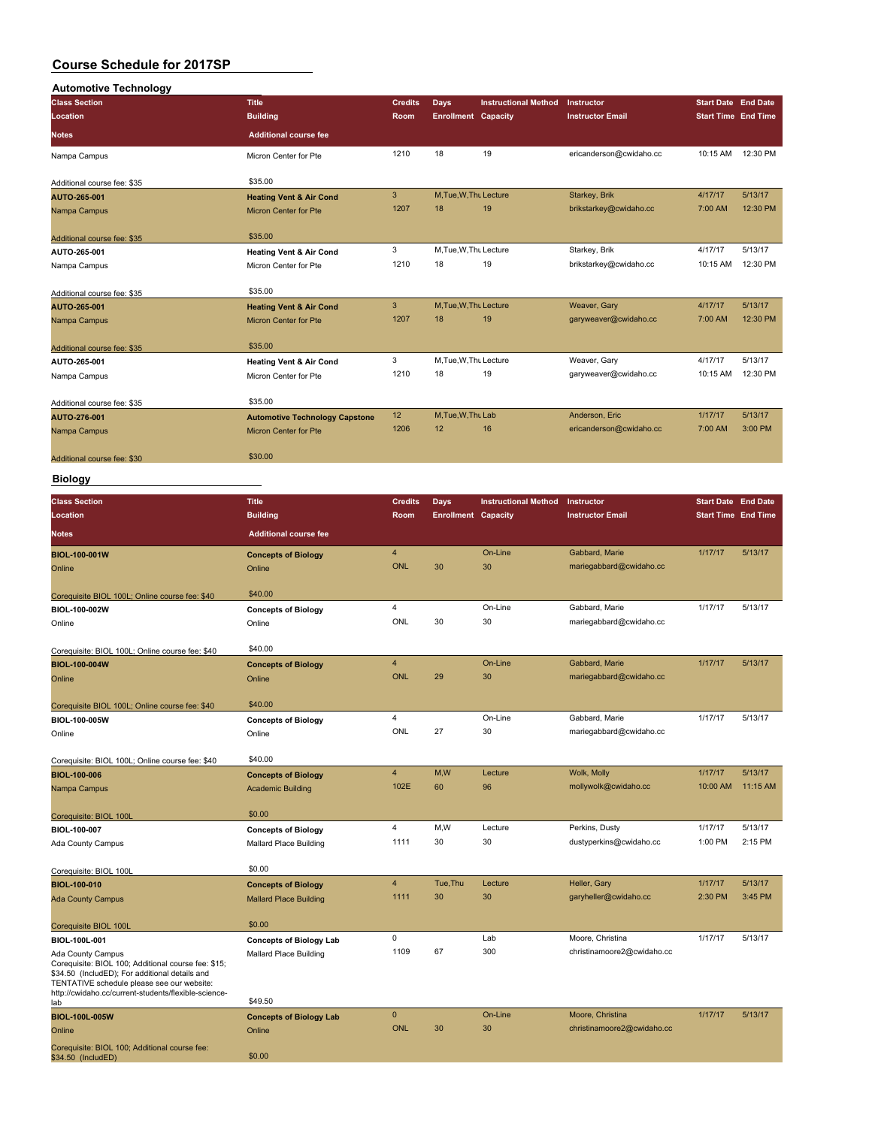| <b>Automotive Technology</b> |                                       |                |                            |                             |                         |                            |          |
|------------------------------|---------------------------------------|----------------|----------------------------|-----------------------------|-------------------------|----------------------------|----------|
| <b>Class Section</b>         | <b>Title</b>                          | <b>Credits</b> | <b>Days</b>                | <b>Instructional Method</b> | Instructor              | Start Date End Date        |          |
| Location                     | <b>Building</b>                       | Room           | <b>Enrollment Capacity</b> |                             | <b>Instructor Email</b> | <b>Start Time End Time</b> |          |
| <b>Notes</b>                 | <b>Additional course fee</b>          |                |                            |                             |                         |                            |          |
| Nampa Campus                 | Micron Center for Pte                 | 1210           | 18                         | 19                          | ericanderson@cwidaho.cc | 10:15 AM                   | 12:30 PM |
| Additional course fee: \$35  | \$35.00                               |                |                            |                             |                         |                            |          |
| AUTO-265-001                 | <b>Heating Vent &amp; Air Cond</b>    | 3              | M, Tue, W, Thu Lecture     |                             | Starkey, Brik           | 4/17/17                    | 5/13/17  |
| Nampa Campus                 | <b>Micron Center for Pte</b>          | 1207           | 18                         | 19                          | brikstarkey@cwidaho.cc  | 7:00 AM                    | 12:30 PM |
| Additional course fee: \$35  | \$35.00                               |                |                            |                             |                         |                            |          |
| AUTO-265-001                 | <b>Heating Vent &amp; Air Cond</b>    | 3              | M, Tue, W, Thu Lecture     |                             | Starkey, Brik           | 4/17/17                    | 5/13/17  |
| Nampa Campus                 | Micron Center for Pte                 | 1210           | 18                         | 19                          | brikstarkey@cwidaho.cc  | 10:15 AM                   | 12:30 PM |
|                              |                                       |                |                            |                             |                         |                            |          |
| Additional course fee: \$35  | \$35.00                               |                |                            |                             |                         |                            |          |
| AUTO-265-001                 | <b>Heating Vent &amp; Air Cond</b>    | 3              | M, Tue, W, Thu Lecture     |                             | Weaver, Gary            | 4/17/17                    | 5/13/17  |
| Nampa Campus                 | <b>Micron Center for Pte</b>          | 1207           | 18                         | 19                          | garyweaver@cwidaho.cc   | 7:00 AM                    | 12:30 PM |
| Additional course fee: \$35  | \$35.00                               |                |                            |                             |                         |                            |          |
| AUTO-265-001                 | <b>Heating Vent &amp; Air Cond</b>    | 3              | M, Tue, W, Thu Lecture     |                             | Weaver, Gary            | 4/17/17                    | 5/13/17  |
| Nampa Campus                 | Micron Center for Pte                 | 1210           | 18                         | 19                          | garyweaver@cwidaho.cc   | 10:15 AM                   | 12:30 PM |
|                              |                                       |                |                            |                             |                         |                            |          |
| Additional course fee: \$35  | \$35.00                               |                |                            |                             |                         |                            |          |
| AUTO-276-001                 | <b>Automotive Technology Capstone</b> | 12             | M, Tue, W, Thu Lab         |                             | Anderson, Eric          | 1/17/17                    | 5/13/17  |
| Nampa Campus                 | Micron Center for Pte                 | 1206           | 12                         | 16                          | ericanderson@cwidaho.cc | 7:00 AM                    | 3:00 PM  |
| Additional course fee: \$30  | \$30.00                               |                |                            |                             |                         |                            |          |

**Biology**

| <b>Class Section</b>                                                                                                                                                                                                             | <b>Title</b>                   | <b>Credits</b>          | Days                       | <b>Instructional Method</b> | Instructor                 | <b>Start Date End Date</b> |          |
|----------------------------------------------------------------------------------------------------------------------------------------------------------------------------------------------------------------------------------|--------------------------------|-------------------------|----------------------------|-----------------------------|----------------------------|----------------------------|----------|
| Location                                                                                                                                                                                                                         | <b>Building</b>                | Room                    | <b>Enrollment Capacity</b> |                             | <b>Instructor Email</b>    | <b>Start Time End Time</b> |          |
| <b>Notes</b>                                                                                                                                                                                                                     | <b>Additional course fee</b>   |                         |                            |                             |                            |                            |          |
| <b>BIOL-100-001W</b>                                                                                                                                                                                                             | <b>Concepts of Biology</b>     | $\overline{\mathbf{4}}$ |                            | On-Line                     | Gabbard, Marie             | 1/17/17                    | 5/13/17  |
| Online                                                                                                                                                                                                                           | Online                         | <b>ONL</b>              | 30                         | 30                          | mariegabbard@cwidaho.cc    |                            |          |
| Corequisite BIOL 100L; Online course fee: \$40                                                                                                                                                                                   | \$40.00                        |                         |                            |                             |                            |                            |          |
| BIOL-100-002W                                                                                                                                                                                                                    | <b>Concepts of Biology</b>     | 4                       |                            | On-Line                     | Gabbard, Marie             | 1/17/17                    | 5/13/17  |
| Online                                                                                                                                                                                                                           | Online                         | ONL                     | 30                         | 30                          | mariegabbard@cwidaho.cc    |                            |          |
| Corequisite: BIOL 100L; Online course fee: \$40                                                                                                                                                                                  | \$40.00                        |                         |                            |                             |                            |                            |          |
| <b>BIOL-100-004W</b>                                                                                                                                                                                                             | <b>Concepts of Biology</b>     | $\overline{4}$          |                            | On-Line                     | Gabbard, Marie             | 1/17/17                    | 5/13/17  |
| Online                                                                                                                                                                                                                           | Online                         | <b>ONL</b>              | 29                         | 30                          | mariegabbard@cwidaho.cc    |                            |          |
| Corequisite BIOL 100L; Online course fee: \$40                                                                                                                                                                                   | \$40.00                        |                         |                            |                             |                            |                            |          |
| BIOL-100-005W                                                                                                                                                                                                                    | <b>Concepts of Biology</b>     | 4                       |                            | On-Line                     | Gabbard, Marie             | 1/17/17                    | 5/13/17  |
| Online                                                                                                                                                                                                                           | Online                         | ONL                     | 27                         | 30                          | mariegabbard@cwidaho.cc    |                            |          |
| Corequisite: BIOL 100L; Online course fee: \$40                                                                                                                                                                                  | \$40.00                        |                         |                            |                             |                            |                            |          |
| <b>BIOL-100-006</b>                                                                                                                                                                                                              | <b>Concepts of Biology</b>     | $\overline{4}$          | M,W                        | Lecture                     | Wolk, Molly                | 1/17/17                    | 5/13/17  |
| Nampa Campus                                                                                                                                                                                                                     | <b>Academic Building</b>       | 102E                    | 60                         | 96                          | mollywolk@cwidaho.cc       | 10:00 AM                   | 11:15 AM |
| Corequisite: BIOL 100L                                                                                                                                                                                                           | \$0.00                         |                         |                            |                             |                            |                            |          |
| BIOL-100-007                                                                                                                                                                                                                     | <b>Concepts of Biology</b>     | 4                       | M,W                        | Lecture                     | Perkins, Dusty             | 1/17/17                    | 5/13/17  |
| Ada County Campus                                                                                                                                                                                                                | Mallard Place Building         | 1111                    | 30                         | 30                          | dustyperkins@cwidaho.cc    | 1:00 PM                    | 2:15 PM  |
| Corequisite: BIOL 100L                                                                                                                                                                                                           | \$0.00                         |                         |                            |                             |                            |                            |          |
| <b>BIOL-100-010</b>                                                                                                                                                                                                              | <b>Concepts of Biology</b>     | $\overline{4}$          | Tue, Thu                   | Lecture                     | Heller, Gary               | 1/17/17                    | 5/13/17  |
| <b>Ada County Campus</b>                                                                                                                                                                                                         | <b>Mallard Place Building</b>  | 1111                    | 30                         | 30                          | garyheller@cwidaho.cc      | 2:30 PM                    | 3:45 PM  |
| Corequisite BIOL 100L                                                                                                                                                                                                            | \$0.00                         |                         |                            |                             |                            |                            |          |
| BIOL-100L-001                                                                                                                                                                                                                    | <b>Concepts of Biology Lab</b> | $\mathbf 0$             |                            | Lab                         | Moore, Christina           | 1/17/17                    | 5/13/17  |
| Ada County Campus<br>Corequisite: BIOL 100; Additional course fee: \$15;<br>\$34.50 (IncludED); For additional details and<br>TENTATIVE schedule please see our website:<br>http://cwidaho.cc/current-students/flexible-science- | Mallard Place Building         | 1109                    | 67                         | 300                         | christinamoore2@cwidaho.cc |                            |          |
| lab                                                                                                                                                                                                                              | \$49.50                        |                         |                            |                             |                            |                            |          |
| <b>BIOL-100L-005W</b>                                                                                                                                                                                                            | <b>Concepts of Biology Lab</b> | $\mathbf{0}$            |                            | On-Line                     | Moore, Christina           | 1/17/17                    | 5/13/17  |
| Online                                                                                                                                                                                                                           | Online                         | <b>ONL</b>              | 30                         | 30                          | christinamoore2@cwidaho.cc |                            |          |
| Corequisite: BIOL 100; Additional course fee:<br>\$34.50 (IncludED)                                                                                                                                                              | \$0.00                         |                         |                            |                             |                            |                            |          |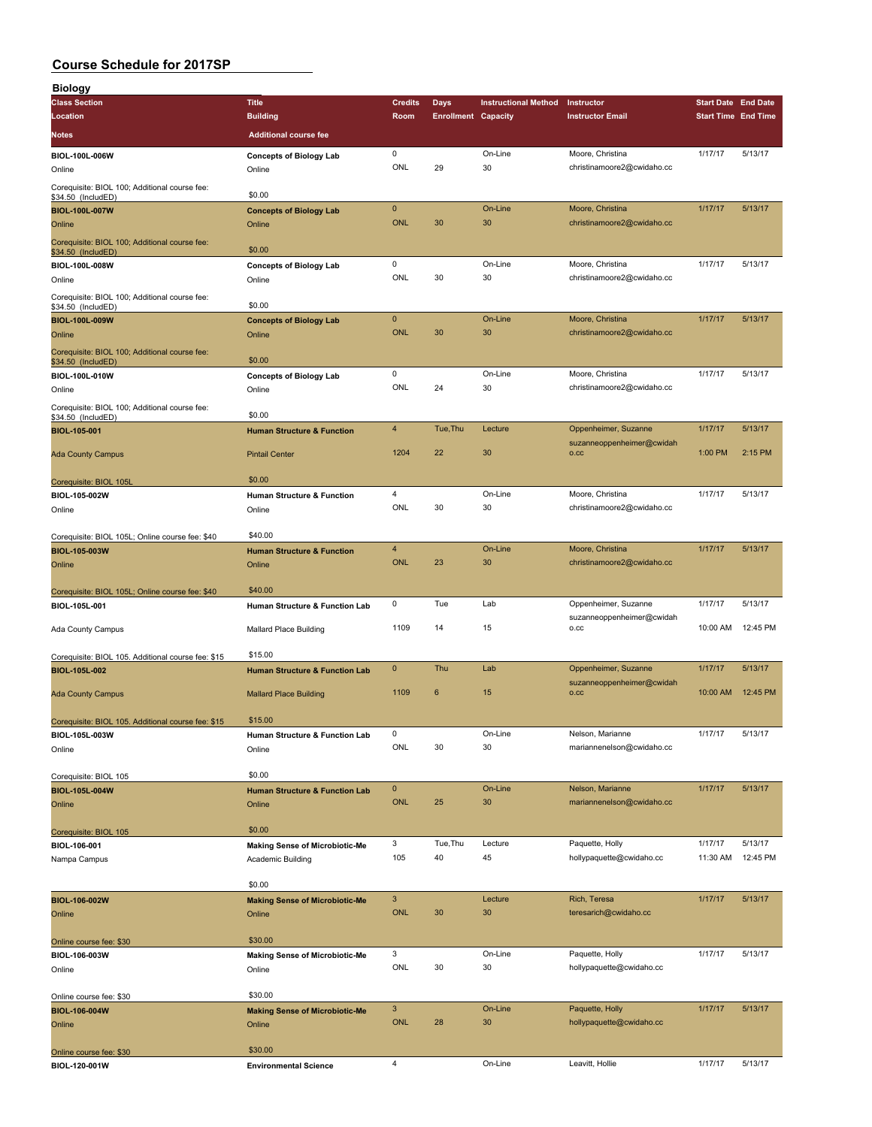| <b>Biology</b>                                                      |                                                 |                     |                            |                             |                                                |                            |          |
|---------------------------------------------------------------------|-------------------------------------------------|---------------------|----------------------------|-----------------------------|------------------------------------------------|----------------------------|----------|
| <b>Class Section</b>                                                | <b>Title</b>                                    | <b>Credits</b>      | Days                       | <b>Instructional Method</b> | Instructor                                     | <b>Start Date End Date</b> |          |
| Location                                                            | <b>Building</b>                                 | Room                | <b>Enrollment Capacity</b> |                             | <b>Instructor Email</b>                        | <b>Start Time End Time</b> |          |
| Notes                                                               | <b>Additional course fee</b>                    |                     |                            |                             |                                                |                            |          |
| BIOL-100L-006W                                                      | <b>Concepts of Biology Lab</b>                  | 0                   |                            | On-Line                     | Moore, Christina                               | 1/17/17                    | 5/13/17  |
| Online                                                              | Online                                          | ONL                 | 29                         | 30                          | christinamoore2@cwidaho.cc                     |                            |          |
| Corequisite: BIOL 100; Additional course fee:<br>\$34.50 (IncludED) | \$0.00                                          |                     |                            |                             |                                                |                            |          |
| <b>BIOL-100L-007W</b>                                               | <b>Concepts of Biology Lab</b>                  | $\mathbf 0$         |                            | On-Line                     | Moore, Christina                               | 1/17/17                    | 5/13/17  |
| Online                                                              | Online                                          | ONL                 | 30                         | 30                          | christinamoore2@cwidaho.cc                     |                            |          |
| Corequisite: BIOL 100; Additional course fee:<br>\$34.50 (IncludED) | \$0.00                                          |                     |                            |                             |                                                |                            |          |
| BIOL-100L-008W                                                      | <b>Concepts of Biology Lab</b>                  | 0                   |                            | On-Line                     | Moore, Christina                               | 1/17/17                    | 5/13/17  |
| Online                                                              | Online                                          | ONL                 | 30                         | 30                          | christinamoore2@cwidaho.cc                     |                            |          |
| Corequisite: BIOL 100; Additional course fee:<br>\$34.50 (IncludED) | \$0.00                                          |                     |                            |                             |                                                |                            |          |
| BIOL-100L-009W                                                      | <b>Concepts of Biology Lab</b>                  | $\mathbf{0}$        |                            | On-Line                     | Moore, Christina                               | 1/17/17                    | 5/13/17  |
| Online                                                              | Online                                          | <b>ONL</b>          | 30                         | 30                          | christinamoore2@cwidaho.cc                     |                            |          |
| Corequisite: BIOL 100; Additional course fee:<br>\$34.50 (IncludED) | \$0.00                                          |                     |                            |                             |                                                |                            |          |
| BIOL-100L-010W<br>Online                                            | <b>Concepts of Biology Lab</b><br>Online        | 0<br>ONL            | 24                         | On-Line<br>30               | Moore, Christina<br>christinamoore2@cwidaho.cc | 1/17/17                    | 5/13/17  |
| Corequisite: BIOL 100; Additional course fee:                       |                                                 |                     |                            |                             |                                                |                            |          |
| \$34.50 (IncludED)                                                  | \$0.00                                          |                     |                            |                             |                                                |                            |          |
| BIOL-105-001                                                        | <b>Human Structure &amp; Function</b>           | 4                   | Tue, Thu                   | Lecture                     | Oppenheimer, Suzanne                           | 1/17/17                    | 5/13/17  |
| <b>Ada County Campus</b>                                            | <b>Pintail Center</b>                           | 1204                | 22                         | 30                          | suzanneoppenheimer@cwidah<br>o.cc              | 1:00 PM                    | 2:15 PM  |
|                                                                     |                                                 |                     |                            |                             |                                                |                            |          |
| Corequisite: BIOL 105L                                              | \$0.00                                          |                     |                            |                             |                                                |                            |          |
| BIOL-105-002W                                                       | <b>Human Structure &amp; Function</b>           | 4<br>ONL            | 30                         | On-Line<br>30               | Moore, Christina<br>christinamoore2@cwidaho.cc | 1/17/17                    | 5/13/17  |
| Online                                                              | Online                                          |                     |                            |                             |                                                |                            |          |
| Corequisite: BIOL 105L; Online course fee: \$40                     | \$40.00                                         |                     |                            |                             |                                                |                            |          |
| BIOL-105-003W                                                       | <b>Human Structure &amp; Function</b>           | $\overline{4}$      |                            | On-Line                     | Moore, Christina                               | 1/17/17                    | 5/13/17  |
| Online                                                              | Online                                          | <b>ONL</b>          | 23                         | 30                          | christinamoore2@cwidaho.cc                     |                            |          |
|                                                                     | \$40.00                                         |                     |                            |                             |                                                |                            |          |
| Corequisite: BIOL 105L; Online course fee: \$40<br>BIOL-105L-001    | Human Structure & Function Lab                  | 0                   | Tue                        | Lab                         | Oppenheimer, Suzanne                           | 1/17/17                    | 5/13/17  |
|                                                                     |                                                 |                     |                            |                             | suzanneoppenheimer@cwidah                      |                            |          |
| Ada County Campus                                                   | Mallard Place Building                          | 1109                | 14                         | 15                          | o.cc                                           | 10:00 AM                   | 12:45 PM |
| Corequisite: BIOL 105. Additional course fee: \$15                  | \$15.00                                         |                     |                            |                             |                                                |                            |          |
| <b>BIOL-105L-002</b>                                                | <b>Human Structure &amp; Function Lab</b>       | 0                   | Thu                        | Lab                         | Oppenheimer, Suzanne                           | 1/17/17                    | 5/13/17  |
|                                                                     |                                                 | 1109                | 6                          | 15                          | suzanneoppenheimer@cwidah<br>O.CC              | 10:00 AM                   | 12:45 PM |
| <b>Ada County Campus</b>                                            | <b>Mallard Place Building</b>                   |                     |                            |                             |                                                |                            |          |
| Corequisite: BIOL 105. Additional course fee: \$15                  | \$15.00                                         |                     |                            |                             |                                                |                            |          |
| BIOL-105L-003W                                                      | Human Structure & Function Lab                  | 0                   |                            | On-Line                     | Nelson, Marianne                               | 1/17/17                    | 5/13/17  |
| Online                                                              | Online                                          | ONL                 | 30                         | 30                          | mariannenelson@cwidaho.cc                      |                            |          |
| Corequisite: BIOL 105                                               | \$0.00                                          |                     |                            |                             |                                                |                            |          |
| BIOL-105L-004W                                                      | <b>Human Structure &amp; Function Lab</b>       | $\pmb{0}$           |                            | On-Line                     | Nelson, Marianne                               | 1/17/17                    | 5/13/17  |
| Online                                                              | Online                                          | ONL                 | 25                         | 30                          | mariannenelson@cwidaho.cc                      |                            |          |
|                                                                     | \$0.00                                          |                     |                            |                             |                                                |                            |          |
| Corequisite: BIOL 105<br>BIOL-106-001                               | <b>Making Sense of Microbiotic-Me</b>           | 3                   | Tue, Thu                   | Lecture                     | Paquette, Holly                                | 1/17/17                    | 5/13/17  |
| Nampa Campus                                                        | Academic Building                               | 105                 | 40                         | 45                          | hollypaquette@cwidaho.cc                       | 11:30 AM                   | 12:45 PM |
|                                                                     |                                                 |                     |                            |                             |                                                |                            |          |
|                                                                     | \$0.00                                          |                     |                            |                             |                                                |                            |          |
| BIOL-106-002W<br>Online                                             | <b>Making Sense of Microbiotic-Me</b><br>Online | $\mathbf{3}$<br>ONL | 30                         | Lecture<br>30               | Rich, Teresa<br>teresarich@cwidaho.cc          | 1/17/17                    | 5/13/17  |
|                                                                     |                                                 |                     |                            |                             |                                                |                            |          |
| Online course fee: \$30                                             | \$30.00                                         |                     |                            |                             |                                                |                            |          |
| BIOL-106-003W                                                       | <b>Making Sense of Microbiotic-Me</b>           | 3                   |                            | On-Line                     | Paquette, Holly                                | 1/17/17                    | 5/13/17  |
| Online                                                              | Online                                          | ONL                 | 30                         | 30                          | hollypaquette@cwidaho.cc                       |                            |          |
| Online course fee: \$30                                             | \$30.00                                         |                     |                            |                             |                                                |                            |          |
| BIOL-106-004W                                                       | <b>Making Sense of Microbiotic-Me</b>           | $\mathbf{3}$        |                            | On-Line                     | Paquette, Holly                                | 1/17/17                    | 5/13/17  |
| Online                                                              | Online                                          | <b>ONL</b>          | 28                         | 30                          | hollypaquette@cwidaho.cc                       |                            |          |
|                                                                     |                                                 |                     |                            |                             |                                                |                            |          |
| Online course fee: \$30<br>BIOL-120-001W                            | \$30.00<br><b>Environmental Science</b>         | $\overline{4}$      |                            | On-Line                     | Leavitt, Hollie                                | 1/17/17                    | 5/13/17  |
|                                                                     |                                                 |                     |                            |                             |                                                |                            |          |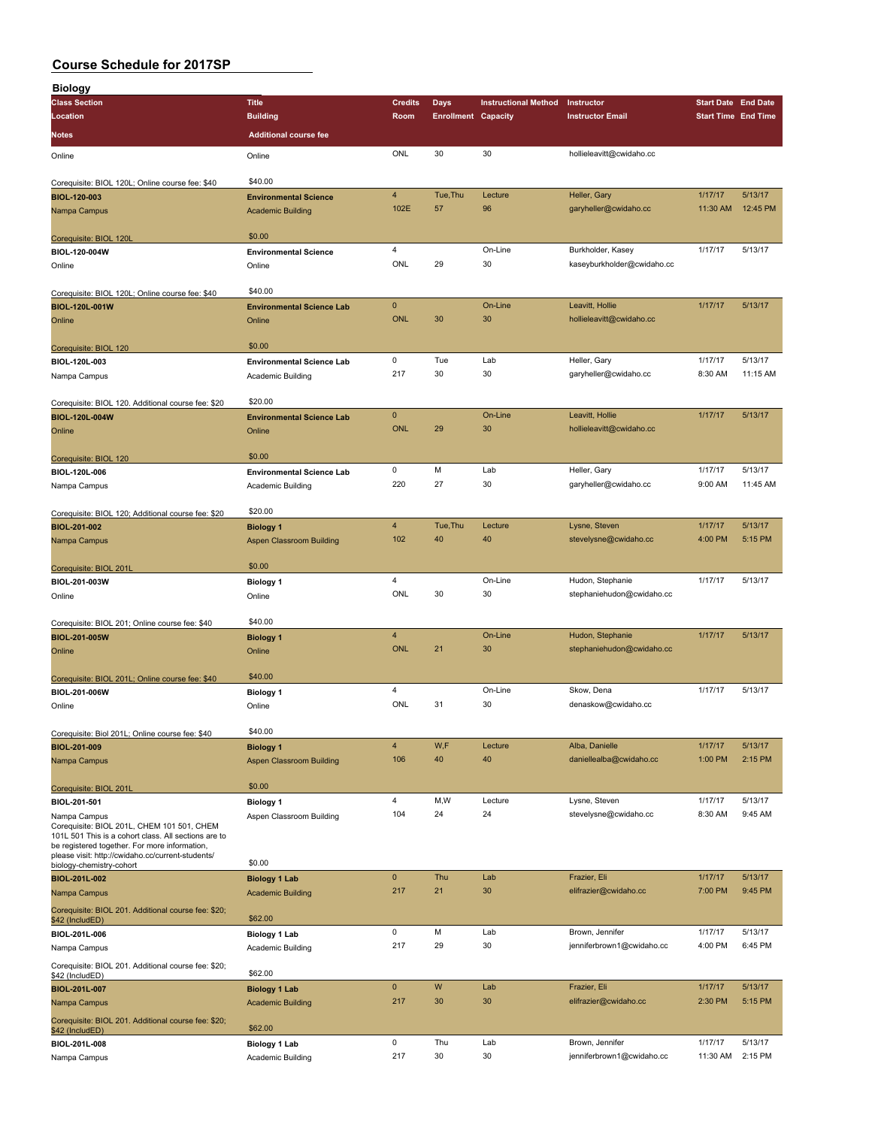| <b>Biology</b>                                                                                        |                                           |                         |                            |                             |                                        |                            |                    |
|-------------------------------------------------------------------------------------------------------|-------------------------------------------|-------------------------|----------------------------|-----------------------------|----------------------------------------|----------------------------|--------------------|
| <b>Class Section</b>                                                                                  | <b>Title</b>                              | <b>Credits</b>          | <b>Days</b>                | <b>Instructional Method</b> | Instructor                             | <b>Start Date End Date</b> |                    |
| Location                                                                                              | <b>Building</b>                           | Room                    | <b>Enrollment Capacity</b> |                             | <b>Instructor Email</b>                | <b>Start Time End Time</b> |                    |
| <b>Notes</b>                                                                                          | <b>Additional course fee</b>              |                         |                            |                             |                                        |                            |                    |
|                                                                                                       |                                           | ONL                     | 30                         | 30                          | hollieleavitt@cwidaho.cc               |                            |                    |
| Online                                                                                                | Online                                    |                         |                            |                             |                                        |                            |                    |
| Corequisite: BIOL 120L; Online course fee: \$40                                                       | \$40.00                                   |                         |                            |                             |                                        |                            |                    |
| BIOL-120-003                                                                                          | <b>Environmental Science</b>              | $\overline{4}$          | Tue, Thu                   | Lecture                     | Heller, Gary                           | 1/17/17                    | 5/13/17            |
| Nampa Campus                                                                                          | <b>Academic Building</b>                  | 102E                    | 57                         | 96                          | garyheller@cwidaho.cc                  | 11:30 AM                   | 12:45 PM           |
|                                                                                                       |                                           |                         |                            |                             |                                        |                            |                    |
| Corequisite: BIOL 120L                                                                                | \$0.00                                    |                         |                            |                             |                                        |                            |                    |
| BIOL-120-004W                                                                                         | <b>Environmental Science</b>              | $\overline{\mathbf{4}}$ |                            | On-Line                     | Burkholder, Kasey                      | 1/17/17                    | 5/13/17            |
| Online                                                                                                | Online                                    | ONL                     | 29                         | 30                          | kaseyburkholder@cwidaho.cc             |                            |                    |
| Corequisite: BIOL 120L; Online course fee: \$40                                                       | \$40.00                                   |                         |                            |                             |                                        |                            |                    |
| BIOL-120L-001W                                                                                        | <b>Environmental Science Lab</b>          | $\mathbf 0$             |                            | On-Line                     | Leavitt, Hollie                        | 1/17/17                    | 5/13/17            |
| Online                                                                                                | Online                                    | <b>ONL</b>              | 30                         | 30                          | hollieleavitt@cwidaho.cc               |                            |                    |
|                                                                                                       |                                           |                         |                            |                             |                                        |                            |                    |
| Corequisite: BIOL 120                                                                                 | \$0.00                                    |                         |                            |                             |                                        |                            |                    |
| BIOL-120L-003                                                                                         | <b>Environmental Science Lab</b>          | 0                       | Tue                        | Lab                         | Heller, Gary                           | 1/17/17                    | 5/13/17            |
| Nampa Campus                                                                                          | Academic Building                         | 217                     | 30                         | 30                          | garyheller@cwidaho.cc                  | 8:30 AM                    | 11:15 AM           |
|                                                                                                       | \$20.00                                   |                         |                            |                             |                                        |                            |                    |
| Corequisite: BIOL 120. Additional course fee: \$20<br>BIOL-120L-004W                                  | <b>Environmental Science Lab</b>          | $\mathbf{0}$            |                            | On-Line                     | Leavitt, Hollie                        | 1/17/17                    | 5/13/17            |
| Online                                                                                                | Online                                    | <b>ONL</b>              | 29                         | 30                          | hollieleavitt@cwidaho.cc               |                            |                    |
|                                                                                                       |                                           |                         |                            |                             |                                        |                            |                    |
| Corequisite: BIOL 120                                                                                 | \$0.00                                    |                         |                            |                             |                                        |                            |                    |
| BIOL-120L-006                                                                                         | <b>Environmental Science Lab</b>          | 0                       | M                          | Lab                         | Heller, Gary                           | 1/17/17                    | 5/13/17            |
| Nampa Campus                                                                                          | Academic Building                         | 220                     | 27                         | 30                          | garyheller@cwidaho.cc                  | 9:00 AM                    | 11:45 AM           |
|                                                                                                       |                                           |                         |                            |                             |                                        |                            |                    |
| Corequisite: BIOL 120; Additional course fee: \$20                                                    | \$20.00                                   |                         |                            |                             |                                        |                            |                    |
| BIOL-201-002                                                                                          | <b>Biology 1</b>                          | $\overline{4}$          | Tue, Thu                   | Lecture                     | Lysne, Steven                          | 1/17/17                    | 5/13/17            |
| Nampa Campus                                                                                          | <b>Aspen Classroom Building</b>           | 102                     | 40                         | 40                          | stevelysne@cwidaho.cc                  | 4:00 PM                    | 5:15 PM            |
| Corequisite: BIOL 201L                                                                                | \$0.00                                    |                         |                            |                             |                                        |                            |                    |
| BIOL-201-003W                                                                                         | <b>Biology 1</b>                          | $\overline{4}$          |                            | On-Line                     | Hudon, Stephanie                       | 1/17/17                    | 5/13/17            |
| Online                                                                                                | Online                                    | ONL                     | 30                         | 30                          | stephaniehudon@cwidaho.cc              |                            |                    |
|                                                                                                       |                                           |                         |                            |                             |                                        |                            |                    |
| Corequisite: BIOL 201; Online course fee: \$40                                                        | \$40.00                                   |                         |                            |                             |                                        |                            |                    |
| <b>BIOL-201-005W</b>                                                                                  | <b>Biology 1</b>                          | $\overline{4}$          |                            | On-Line                     | Hudon, Stephanie                       | 1/17/17                    | 5/13/17            |
| Online                                                                                                | Online                                    | <b>ONL</b>              | 21                         | 30                          | stephaniehudon@cwidaho.cc              |                            |                    |
|                                                                                                       | \$40.00                                   |                         |                            |                             |                                        |                            |                    |
| Corequisite: BIOL 201L; Online course fee: \$40<br>BIOL-201-006W                                      |                                           | 4                       |                            | On-Line                     | Skow, Dena                             | 1/17/17                    | 5/13/17            |
| Online                                                                                                | <b>Biology 1</b><br>Online                | ONL                     | 31                         | 30                          | denaskow@cwidaho.cc                    |                            |                    |
|                                                                                                       |                                           |                         |                            |                             |                                        |                            |                    |
| Corequisite: Biol 201L; Online course fee: \$40                                                       | \$40.00                                   |                         |                            |                             |                                        |                            |                    |
| BIOL-201-009                                                                                          | <b>Biology 1</b>                          | $\overline{4}$          | W, F                       | Lecture                     | Alba, Danielle                         | 1/17/17                    | 5/13/17            |
| Nampa Campus                                                                                          | Aspen Classroom Building                  | 106                     | 40                         | 40                          | daniellealba@cwidaho.cc                | 1:00 PM                    | 2:15 PM            |
|                                                                                                       |                                           |                         |                            |                             |                                        |                            |                    |
| Corequisite: BIOL 201L                                                                                | \$0.00                                    |                         |                            |                             |                                        |                            |                    |
| BIOL-201-501                                                                                          | <b>Biology 1</b>                          | $\overline{4}$<br>104   | M,W<br>24                  | Lecture<br>24               | Lysne, Steven<br>stevelysne@cwidaho.cc | 1/17/17<br>8:30 AM         | 5/13/17<br>9:45 AM |
| Nampa Campus<br>Corequisite: BIOL 201L, CHEM 101 501, CHEM                                            | Aspen Classroom Building                  |                         |                            |                             |                                        |                            |                    |
| 101L 501 This is a cohort class. All sections are to<br>be registered together. For more information, |                                           |                         |                            |                             |                                        |                            |                    |
| please visit: http://cwidaho.cc/current-students/                                                     |                                           |                         |                            |                             |                                        |                            |                    |
| biology-chemistry-cohort                                                                              | \$0.00                                    |                         |                            |                             |                                        |                            |                    |
| BIOL-201L-002                                                                                         | <b>Biology 1 Lab</b>                      | $\mathbf 0$<br>217      | Thu<br>21                  | Lab<br>30                   | Frazier, Eli<br>elifrazier@cwidaho.cc  | 1/17/17<br>7:00 PM         | 5/13/17<br>9:45 PM |
| Nampa Campus                                                                                          | <b>Academic Building</b>                  |                         |                            |                             |                                        |                            |                    |
| Corequisite: BIOL 201. Additional course fee: \$20;<br>\$42 (IncludED)                                | \$62.00                                   |                         |                            |                             |                                        |                            |                    |
| BIOL-201L-006                                                                                         | <b>Biology 1 Lab</b>                      | 0                       | M                          | Lab                         | Brown, Jennifer                        | 1/17/17                    | 5/13/17            |
| Nampa Campus                                                                                          | Academic Building                         | 217                     | 29                         | 30                          | jenniferbrown1@cwidaho.cc              | 4:00 PM                    | 6:45 PM            |
| Corequisite: BIOL 201. Additional course fee: \$20;                                                   |                                           |                         |                            |                             |                                        |                            |                    |
| \$42 (IncludED)                                                                                       | \$62.00                                   |                         |                            |                             |                                        |                            |                    |
| BIOL-201L-007                                                                                         | <b>Biology 1 Lab</b>                      | $\pmb{0}$               | W                          | Lab                         | Frazier, Eli                           | 1/17/17                    | 5/13/17            |
| Nampa Campus                                                                                          | <b>Academic Building</b>                  | 217                     | 30                         | 30                          | elifrazier@cwidaho.cc                  | 2:30 PM                    | 5:15 PM            |
| Corequisite: BIOL 201. Additional course fee: \$20;                                                   |                                           |                         |                            |                             |                                        |                            |                    |
| \$42 (IncludED)<br>BIOL-201L-008                                                                      | \$62.00                                   | 0                       | Thu                        | Lab                         | Brown, Jennifer                        | 1/17/17                    | 5/13/17            |
| Nampa Campus                                                                                          | <b>Biology 1 Lab</b><br>Academic Building | 217                     | 30                         | 30                          | jenniferbrown1@cwidaho.cc              | 11:30 AM                   | 2:15 PM            |
|                                                                                                       |                                           |                         |                            |                             |                                        |                            |                    |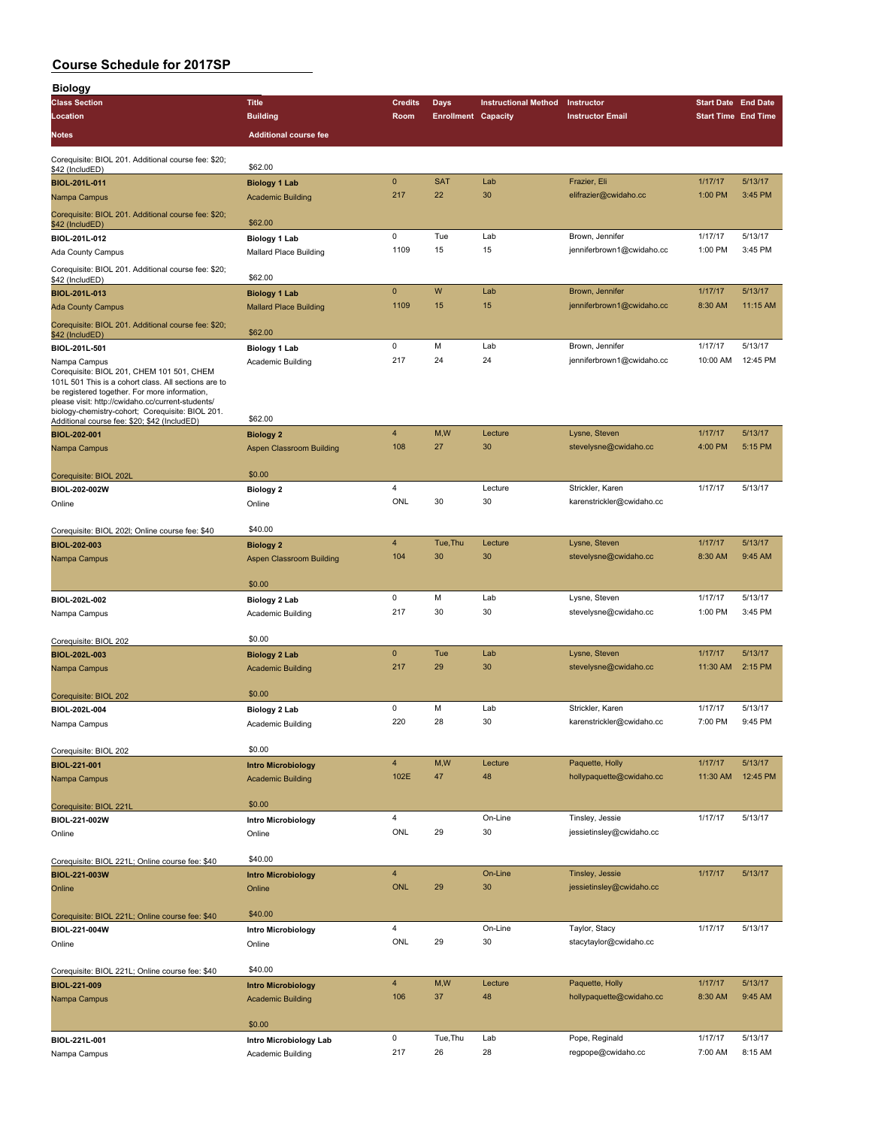| <b>Biology</b>                                                                                                                                                                                                                                                              |                                                       |                |                            |                             |                                              |                            |                    |
|-----------------------------------------------------------------------------------------------------------------------------------------------------------------------------------------------------------------------------------------------------------------------------|-------------------------------------------------------|----------------|----------------------------|-----------------------------|----------------------------------------------|----------------------------|--------------------|
| <b>Class Section</b>                                                                                                                                                                                                                                                        | <b>Title</b>                                          | <b>Credits</b> | <b>Days</b>                | <b>Instructional Method</b> | Instructor                                   | <b>Start Date End Date</b> |                    |
| Location                                                                                                                                                                                                                                                                    | <b>Building</b>                                       | Room           | <b>Enrollment Capacity</b> |                             | <b>Instructor Email</b>                      | <b>Start Time End Time</b> |                    |
| Notes                                                                                                                                                                                                                                                                       | <b>Additional course fee</b>                          |                |                            |                             |                                              |                            |                    |
| Corequisite: BIOL 201. Additional course fee: \$20;                                                                                                                                                                                                                         |                                                       |                |                            |                             |                                              |                            |                    |
| \$42 (IncludED)                                                                                                                                                                                                                                                             | \$62.00                                               |                |                            |                             |                                              |                            |                    |
| BIOL-201L-011                                                                                                                                                                                                                                                               | <b>Biology 1 Lab</b>                                  | $\pmb{0}$      | <b>SAT</b>                 | Lab                         | Frazier, Eli                                 | 1/17/17                    | 5/13/17            |
| Nampa Campus                                                                                                                                                                                                                                                                | <b>Academic Building</b>                              | 217            | 22                         | 30                          | elifrazier@cwidaho.cc                        | 1:00 PM                    | 3:45 PM            |
| Corequisite: BIOL 201. Additional course fee: \$20;<br>\$42 (IncludED)                                                                                                                                                                                                      | \$62.00                                               |                |                            |                             |                                              |                            |                    |
| BIOL-201L-012                                                                                                                                                                                                                                                               | <b>Biology 1 Lab</b>                                  | 0              | Tue                        | Lab                         | Brown, Jennifer                              | 1/17/17                    | 5/13/17            |
| Ada County Campus                                                                                                                                                                                                                                                           | Mallard Place Building                                | 1109           | 15                         | 15                          | jenniferbrown1@cwidaho.cc                    | 1:00 PM                    | 3:45 PM            |
| Corequisite: BIOL 201. Additional course fee: \$20;<br>\$42 (IncludED)                                                                                                                                                                                                      | \$62.00                                               |                |                            |                             |                                              |                            |                    |
| BIOL-201L-013                                                                                                                                                                                                                                                               | <b>Biology 1 Lab</b>                                  | $\pmb{0}$      | W                          | Lab                         | Brown, Jennifer                              | 1/17/17                    | 5/13/17            |
| <b>Ada County Campus</b>                                                                                                                                                                                                                                                    | <b>Mallard Place Building</b>                         | 1109           | 15                         | 15                          | jenniferbrown1@cwidaho.cc                    | 8:30 AM                    | $11:15$ AM         |
| Corequisite: BIOL 201. Additional course fee: \$20;                                                                                                                                                                                                                         |                                                       |                |                            |                             |                                              |                            |                    |
| \$42 (IncludED)                                                                                                                                                                                                                                                             | \$62.00                                               | 0              | M                          | Lab                         |                                              | 1/17/17                    | 5/13/17            |
| BIOL-201L-501                                                                                                                                                                                                                                                               | <b>Biology 1 Lab</b>                                  | 217            | 24                         | 24                          | Brown, Jennifer<br>jenniferbrown1@cwidaho.cc | 10:00 AM                   | 12:45 PM           |
| Nampa Campus<br>Corequisite: BIOL 201, CHEM 101 501, CHEM<br>101L 501 This is a cohort class. All sections are to<br>be registered together. For more information,<br>please visit: http://cwidaho.cc/current-students/<br>biology-chemistry-cohort; Corequisite: BIOL 201. | Academic Building<br>\$62.00                          |                |                            |                             |                                              |                            |                    |
| Additional course fee: \$20; \$42 (IncludED)<br>BIOL-202-001                                                                                                                                                                                                                |                                                       | 4              | M,W                        | Lecture                     | Lysne, Steven                                | 1/17/17                    | 5/13/17            |
| Nampa Campus                                                                                                                                                                                                                                                                | <b>Biology 2</b><br>Aspen Classroom Building          | 108            | 27                         | 30                          | stevelysne@cwidaho.cc                        | 4:00 PM                    | 5:15 PM            |
|                                                                                                                                                                                                                                                                             |                                                       |                |                            |                             |                                              |                            |                    |
| Corequisite: BIOL 202L                                                                                                                                                                                                                                                      | \$0.00                                                |                |                            |                             |                                              |                            |                    |
| BIOL-202-002W                                                                                                                                                                                                                                                               | <b>Biology 2</b>                                      | 4              |                            | Lecture                     | Strickler, Karen                             | 1/17/17                    | 5/13/17            |
| Online                                                                                                                                                                                                                                                                      | Online                                                | ONL            | 30                         | 30                          | karenstrickler@cwidaho.cc                    |                            |                    |
| Corequisite: BIOL 202I; Online course fee: \$40                                                                                                                                                                                                                             | \$40.00                                               |                |                            |                             |                                              |                            |                    |
| BIOL-202-003                                                                                                                                                                                                                                                                | <b>Biology 2</b>                                      | 4              | Tue, Thu                   | Lecture                     | Lysne, Steven                                | 1/17/17                    | 5/13/17            |
| Nampa Campus                                                                                                                                                                                                                                                                | Aspen Classroom Building                              | 104            | 30                         | 30                          | stevelysne@cwidaho.cc                        | 8:30 AM                    | 9:45 AM            |
|                                                                                                                                                                                                                                                                             |                                                       |                |                            |                             |                                              |                            |                    |
|                                                                                                                                                                                                                                                                             | \$0.00                                                |                |                            |                             |                                              |                            |                    |
| BIOL-202L-002                                                                                                                                                                                                                                                               | Biology 2 Lab                                         | 0<br>217       | M                          | Lab                         | Lysne, Steven                                | 1/17/17<br>1:00 PM         | 5/13/17<br>3:45 PM |
| Nampa Campus                                                                                                                                                                                                                                                                | Academic Building                                     |                | 30                         | 30                          | stevelysne@cwidaho.cc                        |                            |                    |
| Corequisite: BIOL 202                                                                                                                                                                                                                                                       | \$0.00                                                |                |                            |                             |                                              |                            |                    |
| BIOL-202L-003                                                                                                                                                                                                                                                               | <b>Biology 2 Lab</b>                                  | $\mathbf 0$    | Tue                        | Lab                         | Lysne, Steven                                | 1/17/17                    | 5/13/17            |
| Nampa Campus                                                                                                                                                                                                                                                                | <b>Academic Building</b>                              | 217            | 29                         | 30                          | stevelysne@cwidaho.cc                        | 11:30 AM                   | 2:15 PM            |
|                                                                                                                                                                                                                                                                             |                                                       |                |                            |                             |                                              |                            |                    |
| Corequisite: BIOL 202                                                                                                                                                                                                                                                       | \$0.00                                                |                |                            |                             |                                              |                            |                    |
| BIOL-202L-004                                                                                                                                                                                                                                                               | Biology 2 Lab                                         | 0              | M                          | Lab                         | Strickler, Karen                             | 1/17/17                    | 5/13/17            |
| Nampa Campus                                                                                                                                                                                                                                                                | Academic Building                                     | 220            | 28                         | 30                          | karenstrickler@cwidaho.cc                    | 7:00 PM                    | 9:45 PM            |
| Corequisite: BIOL 202                                                                                                                                                                                                                                                       | \$0.00                                                |                |                            |                             |                                              |                            |                    |
| BIOL-221-001                                                                                                                                                                                                                                                                | <b>Intro Microbiology</b>                             | 4              | M,W                        | Lecture                     | Paquette, Holly                              | 1/17/17                    | 5/13/17            |
| Nampa Campus                                                                                                                                                                                                                                                                | <b>Academic Building</b>                              | 102E           | 47                         | 48                          | hollypaquette@cwidaho.cc                     | 11:30 AM                   | 12:45 PM           |
|                                                                                                                                                                                                                                                                             |                                                       |                |                            |                             |                                              |                            |                    |
| Corequisite: BIOL 221L                                                                                                                                                                                                                                                      | \$0.00                                                |                |                            |                             |                                              |                            |                    |
| BIOL-221-002W                                                                                                                                                                                                                                                               | Intro Microbiology                                    | 4              |                            | On-Line                     | Tinsley, Jessie                              | 1/17/17                    | 5/13/17            |
| Online                                                                                                                                                                                                                                                                      | Online                                                | ONL            | 29                         | 30                          | jessietinsley@cwidaho.cc                     |                            |                    |
|                                                                                                                                                                                                                                                                             | \$40.00                                               |                |                            |                             |                                              |                            |                    |
| Corequisite: BIOL 221L; Online course fee: \$40<br>BIOL-221-003W                                                                                                                                                                                                            | <b>Intro Microbiology</b>                             | 4              |                            | On-Line                     | Tinsley, Jessie                              | 1/17/17                    | 5/13/17            |
| Online                                                                                                                                                                                                                                                                      | Online                                                | <b>ONL</b>     | 29                         | 30                          | jessietinsley@cwidaho.cc                     |                            |                    |
|                                                                                                                                                                                                                                                                             |                                                       |                |                            |                             |                                              |                            |                    |
| Corequisite: BIOL 221L; Online course fee: \$40                                                                                                                                                                                                                             | \$40.00                                               |                |                            |                             |                                              |                            |                    |
| BIOL-221-004W                                                                                                                                                                                                                                                               | Intro Microbiology                                    | 4              |                            | On-Line                     | Taylor, Stacy                                | 1/17/17                    | 5/13/17            |
| Online                                                                                                                                                                                                                                                                      | Online                                                | ONL            | 29                         | 30                          | stacytaylor@cwidaho.cc                       |                            |                    |
|                                                                                                                                                                                                                                                                             | \$40.00                                               |                |                            |                             |                                              |                            |                    |
| Corequisite: BIOL 221L; Online course fee: \$40                                                                                                                                                                                                                             |                                                       | 4              | M,W                        | Lecture                     | Paquette, Holly                              | 1/17/17                    | 5/13/17            |
| BIOL-221-009<br>Nampa Campus                                                                                                                                                                                                                                                | <b>Intro Microbiology</b><br><b>Academic Building</b> | 106            | 37                         | 48                          | hollypaquette@cwidaho.cc                     | 8:30 AM                    | 9:45 AM            |
|                                                                                                                                                                                                                                                                             |                                                       |                |                            |                             |                                              |                            |                    |
|                                                                                                                                                                                                                                                                             | \$0.00                                                |                |                            |                             |                                              |                            |                    |
| BIOL-221L-001                                                                                                                                                                                                                                                               | Intro Microbiology Lab                                | $\pmb{0}$      | Tue, Thu                   | Lab                         | Pope, Reginald                               | 1/17/17                    | 5/13/17            |
| Nampa Campus                                                                                                                                                                                                                                                                | Academic Building                                     | 217            | 26                         | 28                          | regpope@cwidaho.cc                           | 7:00 AM                    | 8:15 AM            |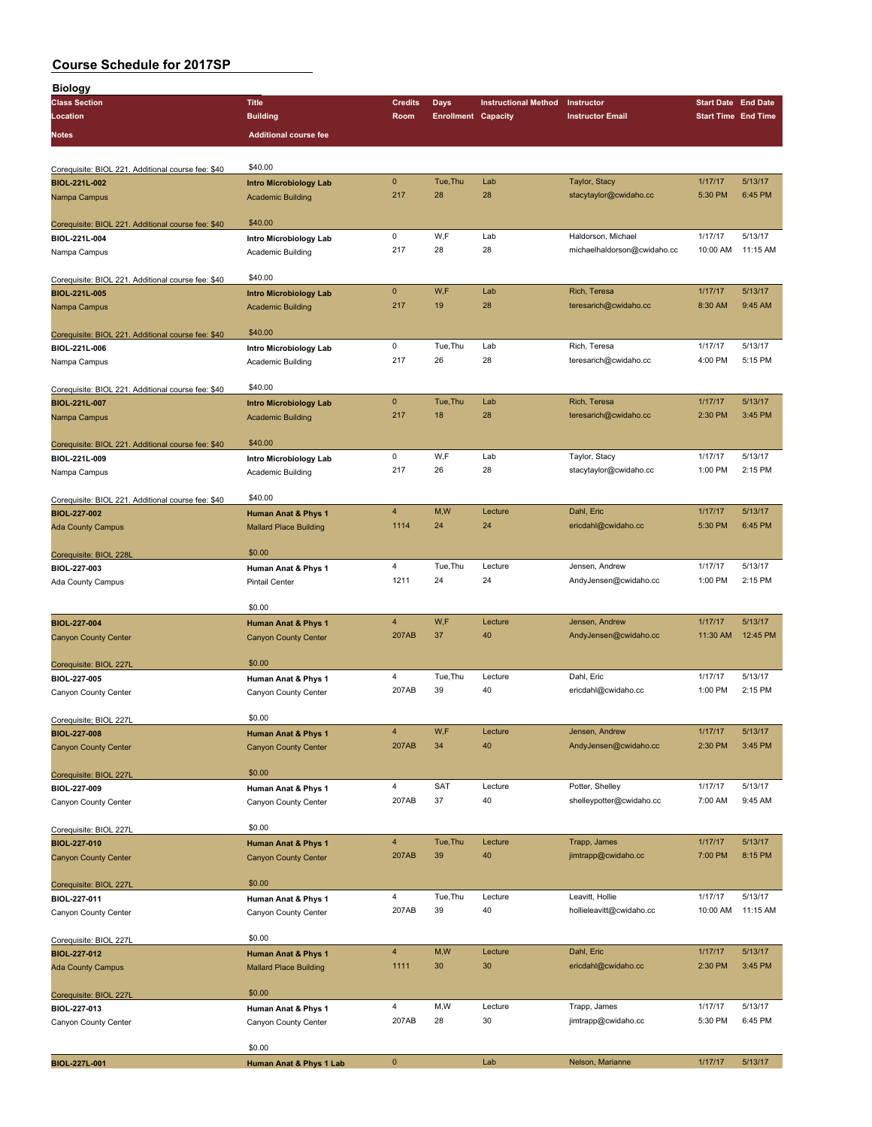| <b>Biology</b>                                     |                                |                |                            |                             |                             |                            |          |
|----------------------------------------------------|--------------------------------|----------------|----------------------------|-----------------------------|-----------------------------|----------------------------|----------|
| <b>Class Section</b>                               | <b>Title</b>                   | <b>Credits</b> | <b>Days</b>                | <b>Instructional Method</b> | Instructor                  | <b>Start Date End Date</b> |          |
| Location                                           | <b>Building</b>                | Room           | <b>Enrollment Capacity</b> |                             | <b>Instructor Email</b>     | <b>Start Time End Time</b> |          |
| Notes                                              | <b>Additional course fee</b>   |                |                            |                             |                             |                            |          |
|                                                    |                                |                |                            |                             |                             |                            |          |
|                                                    |                                |                |                            |                             |                             |                            |          |
| Corequisite: BIOL 221. Additional course fee: \$40 | \$40.00                        |                |                            |                             |                             |                            |          |
| BIOL-221L-002                                      | <b>Intro Microbiology Lab</b>  | $\pmb{0}$      | Tue, Thu                   | Lab                         | Taylor, Stacy               | 1/17/17                    | 5/13/17  |
| Nampa Campus                                       | <b>Academic Building</b>       | 217            | 28                         | 28                          | stacytaylor@cwidaho.cc      | 5:30 PM                    | 6:45 PM  |
|                                                    |                                |                |                            |                             |                             |                            |          |
| Corequisite: BIOL 221. Additional course fee: \$40 | \$40.00                        |                |                            |                             |                             |                            |          |
| BIOL-221L-004                                      | Intro Microbiology Lab         | 0              | W,F                        | Lab                         | Haldorson, Michael          | 1/17/17                    | 5/13/17  |
| Nampa Campus                                       | Academic Building              | 217            | 28                         | 28                          | michaelhaldorson@cwidaho.cc | 10:00 AM                   | 11:15 AM |
|                                                    |                                |                |                            |                             |                             |                            |          |
| Corequisite: BIOL 221. Additional course fee: \$40 | \$40.00                        |                |                            |                             |                             |                            |          |
| BIOL-221L-005                                      | <b>Intro Microbiology Lab</b>  | $\pmb{0}$      | W,F                        | Lab                         | Rich, Teresa                | 1/17/17                    | 5/13/17  |
| Nampa Campus                                       | <b>Academic Building</b>       | 217            | 19                         | 28                          | teresarich@cwidaho.cc       | 8:30 AM                    | 9:45 AM  |
|                                                    |                                |                |                            |                             |                             |                            |          |
| Corequisite: BIOL 221. Additional course fee: \$40 | \$40.00                        |                |                            |                             |                             |                            |          |
| BIOL-221L-006                                      | Intro Microbiology Lab         | 0              | Tue, Thu                   | Lab                         | Rich, Teresa                | 1/17/17                    | 5/13/17  |
| Nampa Campus                                       | Academic Building              | 217            | 26                         | 28                          | teresarich@cwidaho.cc       | 4:00 PM                    | 5:15 PM  |
|                                                    |                                |                |                            |                             |                             |                            |          |
| Corequisite: BIOL 221. Additional course fee: \$40 | \$40.00                        |                |                            |                             |                             |                            |          |
| BIOL-221L-007                                      | <b>Intro Microbiology Lab</b>  | $\mathbf 0$    | Tue, Thu                   | Lab                         | Rich, Teresa                | 1/17/17                    | 5/13/17  |
| Nampa Campus                                       | <b>Academic Building</b>       | 217            | 18                         | 28                          | teresarich@cwidaho.cc       | 2:30 PM                    | 3:45 PM  |
|                                                    |                                |                |                            |                             |                             |                            |          |
| Corequisite: BIOL 221. Additional course fee: \$40 | \$40.00                        |                |                            |                             |                             |                            |          |
| BIOL-221L-009                                      | Intro Microbiology Lab         | 0              | W,F                        | Lab                         | Taylor, Stacy               | 1/17/17                    | 5/13/17  |
| Nampa Campus                                       | Academic Building              | 217            | 26                         | 28                          | stacytaylor@cwidaho.cc      | 1:00 PM                    | 2:15 PM  |
|                                                    |                                |                |                            |                             |                             |                            |          |
| Corequisite: BIOL 221. Additional course fee: \$40 | \$40.00                        |                |                            |                             |                             |                            |          |
| BIOL-227-002                                       | <b>Human Anat &amp; Phys 1</b> | $\overline{4}$ | M,W                        | Lecture                     | Dahl, Eric                  | 1/17/17                    | 5/13/17  |
| <b>Ada County Campus</b>                           | <b>Mallard Place Building</b>  | 1114           | 24                         | 24                          | ericdahl@cwidaho.cc         | 5:30 PM                    | 6:45 PM  |
|                                                    |                                |                |                            |                             |                             |                            |          |
| Corequisite: BIOL 228L                             | \$0.00                         |                |                            |                             |                             |                            |          |
| BIOL-227-003                                       | Human Anat & Phys 1            | 4              | Tue, Thu                   | Lecture                     | Jensen, Andrew              | 1/17/17                    | 5/13/17  |
| Ada County Campus                                  | <b>Pintail Center</b>          | 1211           | 24                         | 24                          | AndyJensen@cwidaho.cc       | 1:00 PM                    | 2:15 PM  |
|                                                    |                                |                |                            |                             |                             |                            |          |
|                                                    | \$0.00                         |                |                            |                             |                             |                            |          |
| BIOL-227-004                                       | Human Anat & Phys 1            | $\overline{4}$ | W,F                        | Lecture                     | Jensen, Andrew              | 1/17/17                    | 5/13/17  |
| <b>Canyon County Center</b>                        | <b>Canyon County Center</b>    | 207AB          | 37                         | 40                          | AndyJensen@cwidaho.cc       | 11:30 AM                   | 12:45 PM |
|                                                    |                                |                |                            |                             |                             |                            |          |
| Corequisite: BIOL 227L                             | \$0.00                         |                |                            |                             |                             |                            |          |
| BIOL-227-005                                       | Human Anat & Phys 1            | 4              | Tue, Thu                   | Lecture                     | Dahl, Eric                  | 1/17/17                    | 5/13/17  |
| Canyon County Center                               | Canyon County Center           | 207AB          | 39                         | 40                          | ericdahl@cwidaho.cc         | 1:00 PM                    | 2:15 PM  |
|                                                    |                                |                |                            |                             |                             |                            |          |
| Corequisite; BIOL 227L                             | \$0.00                         |                |                            |                             |                             |                            |          |
| BIOL-227-008                                       | <b>Human Anat &amp; Phys 1</b> | 4              | W,F                        | Lecture                     | Jensen, Andrew              | 1/17/17                    | 5/13/17  |
| <b>Canyon County Center</b>                        | <b>Canyon County Center</b>    | 207AB          | 34                         | 40                          | AndyJensen@cwidaho.cc       | 2:30 PM                    | 3:45 PM  |
|                                                    |                                |                |                            |                             |                             |                            |          |
| Corequisite: BIOL 227L                             | \$0.00                         |                |                            |                             |                             |                            |          |
| BIOL-227-009                                       | Human Anat & Phys 1            | $\overline{4}$ | <b>SAT</b>                 | Lecture                     | Potter, Shelley             | 1/17/17                    | 5/13/17  |
| Canyon County Center                               | Canyon County Center           | 207AB          | 37                         | 40                          | shelleypotter@cwidaho.cc    | 7:00 AM                    | 9:45 AM  |
|                                                    |                                |                |                            |                             |                             |                            |          |
| Corequisite: BIOL 227L                             | \$0.00                         |                |                            |                             |                             |                            |          |
| BIOL-227-010                                       | <b>Human Anat &amp; Phys 1</b> | $\overline{4}$ | Tue, Thu                   | Lecture                     | Trapp, James                | 1/17/17                    | 5/13/17  |
|                                                    |                                | 207AB          | 39                         | 40                          | jimtrapp@cwidaho.cc         | 7:00 PM                    | 8:15 PM  |
| <b>Canyon County Center</b>                        | <b>Canyon County Center</b>    |                |                            |                             |                             |                            |          |
|                                                    | \$0.00                         |                |                            |                             |                             |                            |          |
| Corequisite: BIOL 227L                             |                                | $\overline{4}$ | Tue, Thu                   | Lecture                     | Leavitt, Hollie             | 1/17/17                    | 5/13/17  |
| BIOL-227-011                                       | Human Anat & Phys 1            | 207AB          | 39                         | 40                          |                             | 10:00 AM                   | 11:15 AM |
| Canyon County Center                               | Canyon County Center           |                |                            |                             | hollieleavitt@cwidaho.cc    |                            |          |
|                                                    | \$0.00                         |                |                            |                             |                             |                            |          |
| Corequisite: BIOL 227L                             |                                | $\overline{4}$ | M, W                       | Lecture                     | Dahl, Eric                  | 1/17/17                    | 5/13/17  |
| BIOL-227-012                                       | <b>Human Anat &amp; Phys 1</b> |                |                            | 30                          |                             |                            | 3:45 PM  |
| <b>Ada County Campus</b>                           | <b>Mallard Place Building</b>  | 1111           | 30                         |                             | ericdahl@cwidaho.cc         | 2:30 PM                    |          |
|                                                    |                                |                |                            |                             |                             |                            |          |
| Corequisite: BIOL 227L                             | \$0.00                         |                |                            |                             |                             |                            |          |
| BIOL-227-013                                       | Human Anat & Phys 1            | 4              | M,W                        | Lecture                     | Trapp, James                | 1/17/17                    | 5/13/17  |
| Canyon County Center                               | Canyon County Center           | 207AB          | 28                         | 30                          | jimtrapp@cwidaho.cc         | 5:30 PM                    | 6:45 PM  |
|                                                    |                                |                |                            |                             |                             |                            |          |
|                                                    | \$0.00                         |                |                            |                             |                             |                            |          |
| BIOL-227L-001                                      | Human Anat & Phys 1 Lab        | $\pmb{0}$      |                            | Lab                         | Nelson, Marianne            | 1/17/17                    | 5/13/17  |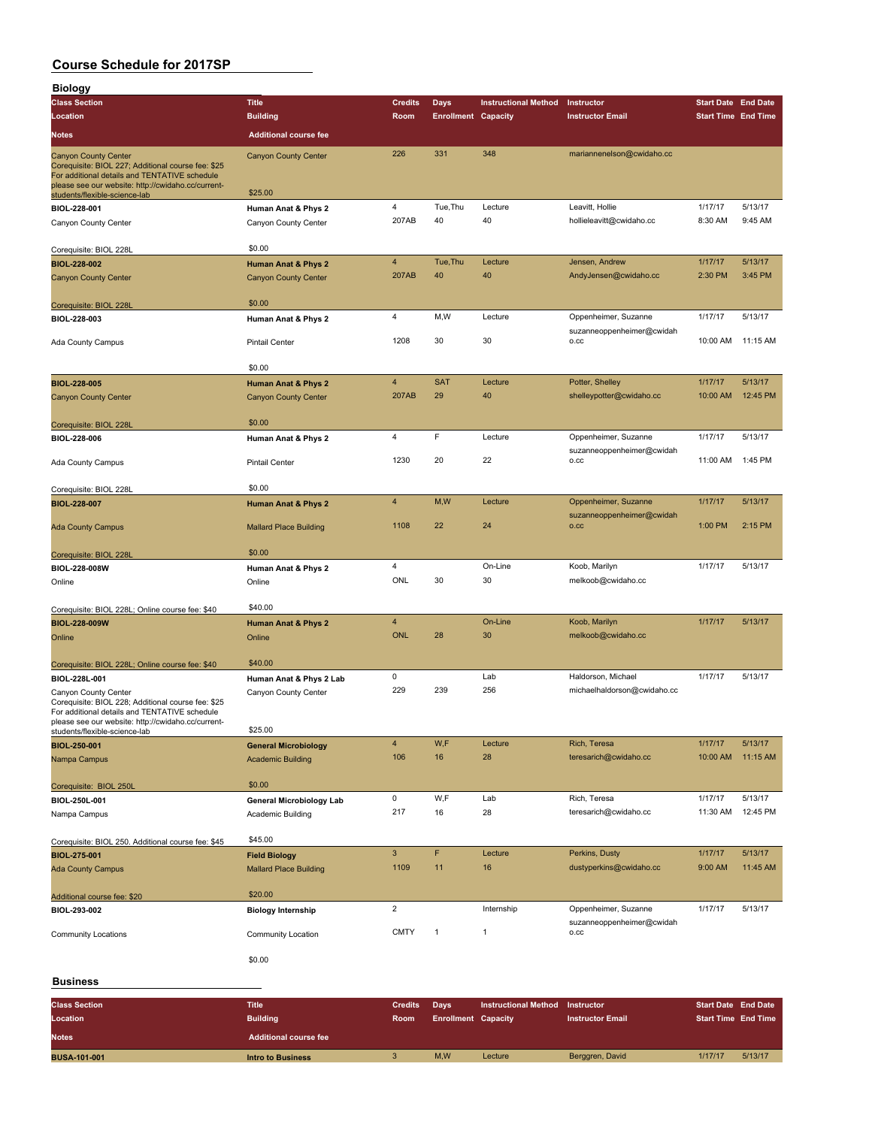| <b>Biology</b>                                                                                                                                                                           |                                                               |                               |                                    |                             |                                                   |                                                          |                            |
|------------------------------------------------------------------------------------------------------------------------------------------------------------------------------------------|---------------------------------------------------------------|-------------------------------|------------------------------------|-----------------------------|---------------------------------------------------|----------------------------------------------------------|----------------------------|
| <b>Class Section</b><br>Location                                                                                                                                                         | <b>Title</b><br><b>Building</b>                               | <b>Credits</b><br><b>Room</b> | Days<br><b>Enrollment Capacity</b> | <b>Instructional Method</b> | Instructor<br><b>Instructor Email</b>             | <b>Start Date End Date</b><br><b>Start Time End Time</b> |                            |
| <b>Notes</b>                                                                                                                                                                             | <b>Additional course fee</b>                                  |                               |                                    |                             |                                                   |                                                          |                            |
| <b>Canyon County Center</b><br>Corequisite: BIOL 227; Additional course fee: \$25<br>For additional details and TENTATIVE schedule<br>please see our website: http://cwidaho.cc/current- | <b>Canyon County Center</b>                                   | 226                           | 331                                | 348                         | mariannenelson@cwidaho.cc                         |                                                          |                            |
| students/flexible-science-lab                                                                                                                                                            | \$25.00                                                       | 4                             | Tue, Thu                           | Lecture                     | Leavitt, Hollie                                   | 1/17/17                                                  | 5/13/17                    |
| BIOL-228-001<br>Canyon County Center                                                                                                                                                     | Human Anat & Phys 2<br>Canyon County Center                   | 207AB                         | 40                                 | 40                          | hollieleavitt@cwidaho.cc                          | 8:30 AM                                                  | 9:45 AM                    |
| Corequisite: BIOL 228L                                                                                                                                                                   | \$0.00                                                        |                               |                                    |                             |                                                   |                                                          |                            |
| BIOL-228-002<br><b>Canyon County Center</b>                                                                                                                                              | <b>Human Anat &amp; Phys 2</b><br><b>Canyon County Center</b> | 4<br>207AB                    | Tue, Thu<br>40                     | Lecture<br>40               | Jensen, Andrew<br>AndyJensen@cwidaho.cc           | 1/17/17<br>2:30 PM                                       | 5/13/17<br>3:45 PM         |
| Corequisite: BIOL 228L                                                                                                                                                                   | \$0.00                                                        |                               |                                    |                             |                                                   |                                                          |                            |
| BIOL-228-003                                                                                                                                                                             | Human Anat & Phys 2                                           | 4                             | M,W                                | Lecture                     | Oppenheimer, Suzanne                              | 1/17/17                                                  | 5/13/17                    |
| Ada County Campus                                                                                                                                                                        | <b>Pintail Center</b>                                         | 1208                          | 30                                 | 30                          | suzanneoppenheimer@cwidah<br>O.CC                 | 10:00 AM                                                 | 11:15 AM                   |
|                                                                                                                                                                                          | \$0.00                                                        |                               |                                    |                             |                                                   |                                                          |                            |
| <b>BIOL-228-005</b><br><b>Canyon County Center</b>                                                                                                                                       | <b>Human Anat &amp; Phys 2</b><br><b>Canyon County Center</b> | 4<br>207AB                    | <b>SAT</b><br>29                   | Lecture<br>40               | Potter, Shelley<br>shelleypotter@cwidaho.cc       | 1/17/17<br>10:00 AM                                      | 5/13/17<br>12:45 PM        |
| Corequisite: BIOL 228L                                                                                                                                                                   | \$0.00                                                        |                               |                                    |                             |                                                   |                                                          |                            |
| BIOL-228-006                                                                                                                                                                             | Human Anat & Phys 2                                           | 4                             | F                                  | Lecture                     | Oppenheimer, Suzanne<br>suzanneoppenheimer@cwidah | 1/17/17                                                  | 5/13/17                    |
| Ada County Campus                                                                                                                                                                        | <b>Pintail Center</b>                                         | 1230                          | 20                                 | 22                          | O.CC                                              | 11:00 AM                                                 | 1:45 PM                    |
| Corequisite: BIOL 228L                                                                                                                                                                   | \$0.00                                                        | 4                             | M,W                                | Lecture                     | Oppenheimer, Suzanne                              | 1/17/17                                                  | 5/13/17                    |
| BIOL-228-007                                                                                                                                                                             | <b>Human Anat &amp; Phys 2</b>                                |                               |                                    |                             | suzanneoppenheimer@cwidah                         |                                                          |                            |
| <b>Ada County Campus</b>                                                                                                                                                                 | <b>Mallard Place Building</b>                                 | 1108                          | 22                                 | 24                          | 0.CC                                              | 1:00 PM                                                  | 2:15 PM                    |
| Corequisite: BIOL 228L                                                                                                                                                                   | \$0.00                                                        | 4                             |                                    | On-Line                     | Koob, Marilyn                                     | 1/17/17                                                  | 5/13/17                    |
| BIOL-228-008W<br>Online                                                                                                                                                                  | Human Anat & Phys 2<br>Online                                 | ONL                           | 30                                 | 30                          | melkoob@cwidaho.cc                                |                                                          |                            |
| Corequisite: BIOL 228L; Online course fee: \$40                                                                                                                                          | \$40.00                                                       |                               |                                    |                             |                                                   |                                                          |                            |
| BIOL-228-009W<br>Online                                                                                                                                                                  | <b>Human Anat &amp; Phys 2</b><br>Online                      | 4<br><b>ONL</b>               | 28                                 | On-Line<br>30               | Koob, Marilyn<br>melkoob@cwidaho.cc               | 1/17/17                                                  | 5/13/17                    |
| Corequisite: BIOL 228L; Online course fee: \$40                                                                                                                                          | \$40.00                                                       |                               |                                    |                             |                                                   |                                                          |                            |
| BIOL-228L-001                                                                                                                                                                            | Human Anat & Phys 2 Lab                                       | 0                             |                                    | Lab                         | Haldorson, Michael                                | 1/17/17                                                  | 5/13/17                    |
| Canyon County Center<br>Corequisite: BIOL 228; Additional course fee: \$25<br>For additional details and TENTATIVE schedule<br>please see our website: http://cwidaho.cc/current-        | Canyon County Center                                          | 229                           | 239                                | 256                         | michaelhaldorson@cwidaho.cc                       |                                                          |                            |
| students/flexible-science-lab<br>BIOL-250-001                                                                                                                                            | \$25.00                                                       | 4                             | W,F                                | Lecture                     | Rich, Teresa                                      | 1/17/17                                                  | 5/13/17                    |
| Nampa Campus                                                                                                                                                                             | <b>General Microbiology</b><br><b>Academic Building</b>       | 106                           | 16                                 | 28                          | teresarich@cwidaho.cc                             | 10:00 AM                                                 | 11:15 AM                   |
| Corequisite: BIOL 250L                                                                                                                                                                   | \$0.00                                                        |                               |                                    |                             |                                                   |                                                          |                            |
| BIOL-250L-001                                                                                                                                                                            | <b>General Microbiology Lab</b>                               | 0                             | W,F                                | Lab                         | Rich, Teresa                                      | 1/17/17                                                  | 5/13/17                    |
| Nampa Campus                                                                                                                                                                             | Academic Building                                             | 217                           | 16                                 | 28                          | teresarich@cwidaho.cc                             | 11:30 AM                                                 | 12:45 PM                   |
| Corequisite: BIOL 250. Additional course fee: \$45                                                                                                                                       | \$45.00                                                       |                               |                                    |                             |                                                   |                                                          |                            |
| BIOL-275-001                                                                                                                                                                             | <b>Field Biology</b>                                          | $\mathbf{3}$<br>1109          | F<br>11                            | Lecture<br>16               | Perkins, Dusty<br>dustyperkins@cwidaho.cc         | 1/17/17<br>9:00 AM                                       | 5/13/17<br>11:45 AM        |
| <b>Ada County Campus</b>                                                                                                                                                                 | <b>Mallard Place Building</b>                                 |                               |                                    |                             |                                                   |                                                          |                            |
| Additional course fee: \$20                                                                                                                                                              | \$20.00                                                       |                               |                                    |                             |                                                   |                                                          |                            |
| BIOL-293-002                                                                                                                                                                             | <b>Biology Internship</b>                                     | $\overline{2}$                |                                    | Internship                  | Oppenheimer, Suzanne<br>suzanneoppenheimer@cwidah | 1/17/17                                                  | 5/13/17                    |
| <b>Community Locations</b>                                                                                                                                                               | Community Location                                            | <b>CMTY</b>                   | 1                                  | 1                           | O.CC                                              |                                                          |                            |
|                                                                                                                                                                                          | \$0.00                                                        |                               |                                    |                             |                                                   |                                                          |                            |
| <b>Business</b>                                                                                                                                                                          |                                                               |                               |                                    |                             |                                                   |                                                          |                            |
| <b>Class Section</b>                                                                                                                                                                     | <b>Title</b>                                                  | <b>Credits</b>                | Days                               | <b>Instructional Method</b> | Instructor                                        | <b>Start Date End Date</b>                               |                            |
| Location                                                                                                                                                                                 | <b>Building</b>                                               | Room                          | <b>Enrollment Capacity</b>         |                             | <b>Instructor Email</b>                           |                                                          | <b>Start Time End Time</b> |
| <b>Notes</b>                                                                                                                                                                             | <b>Additional course fee</b>                                  |                               |                                    |                             |                                                   |                                                          |                            |

| Location            | <b>Building</b>              | Room | <b>Enrollment Capacity</b> |         | <b>Instructor Email</b> | <b>Start Time End Tir</b> |         |
|---------------------|------------------------------|------|----------------------------|---------|-------------------------|---------------------------|---------|
| <b>Notes</b>        | <b>Additional course fee</b> |      |                            |         |                         |                           |         |
| <b>BUSA-101-001</b> | <b>Intro to Business</b>     |      | M.W                        | Lecture | Berggren, David         | 1/17/17                   | 5/13/17 |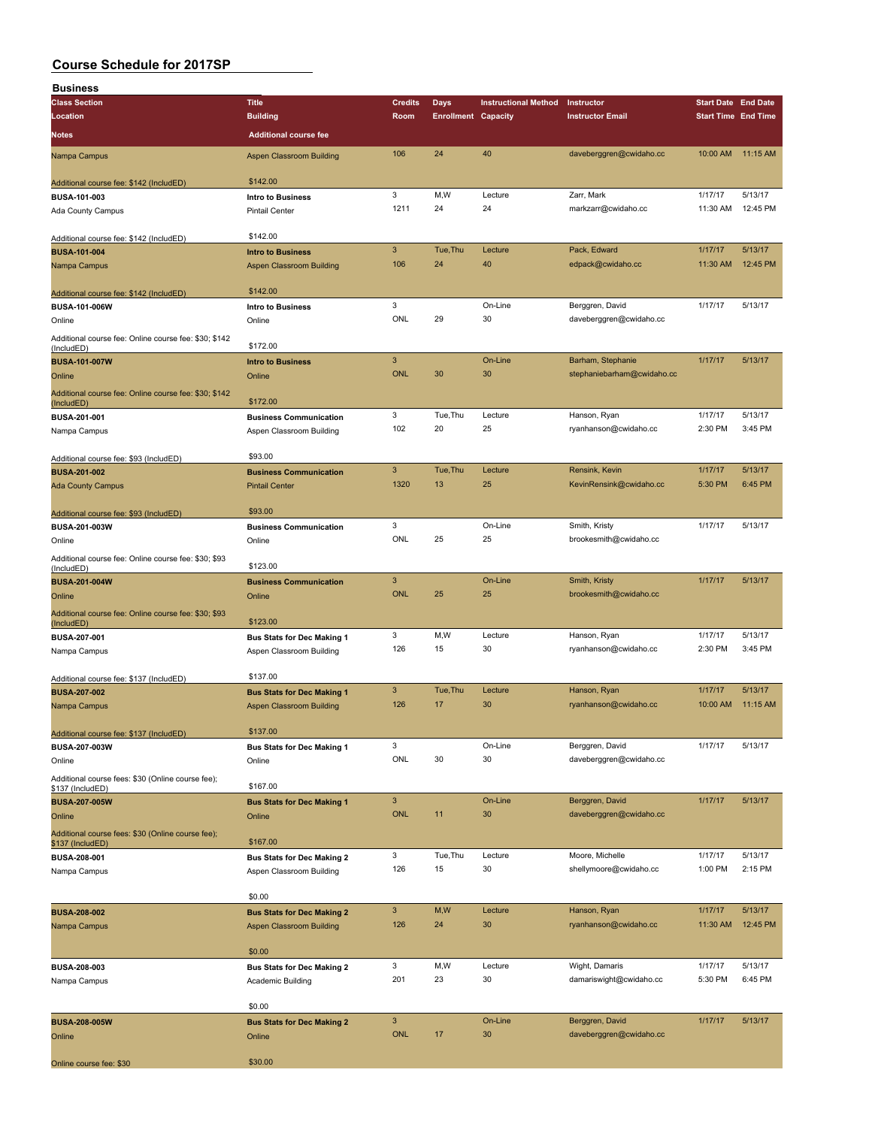| <b>Business</b>                                                     |                                                               |                |                            |                             |                            |                            |          |
|---------------------------------------------------------------------|---------------------------------------------------------------|----------------|----------------------------|-----------------------------|----------------------------|----------------------------|----------|
| <b>Class Section</b>                                                | <b>Title</b>                                                  | <b>Credits</b> | <b>Days</b>                | <b>Instructional Method</b> | Instructor                 | <b>Start Date End Date</b> |          |
| Location                                                            | <b>Building</b>                                               | Room           | <b>Enrollment Capacity</b> |                             | <b>Instructor Email</b>    | <b>Start Time End Time</b> |          |
| Notes                                                               | <b>Additional course fee</b>                                  |                |                            |                             |                            |                            |          |
|                                                                     |                                                               |                |                            |                             |                            |                            |          |
| Nampa Campus                                                        | <b>Aspen Classroom Building</b>                               | 106            | 24                         | 40                          | daveberggren@cwidaho.cc    | 10:00 AM                   | 11:15 AM |
| Additional course fee: \$142 (IncludED)                             | \$142.00                                                      |                |                            |                             |                            |                            |          |
|                                                                     |                                                               | 3              | M,W                        | Lecture                     | Zarr, Mark                 | 1/17/17                    | 5/13/17  |
| BUSA-101-003                                                        | Intro to Business                                             | 1211           | 24                         | 24                          | markzarr@cwidaho.cc        | 11:30 AM                   | 12:45 PM |
| Ada County Campus                                                   | <b>Pintail Center</b>                                         |                |                            |                             |                            |                            |          |
|                                                                     | \$142.00                                                      |                |                            |                             |                            |                            |          |
| Additional course fee: \$142 (IncludED)                             |                                                               | $\mathbf{3}$   | Tue, Thu                   | Lecture                     | Pack, Edward               | 1/17/17                    | 5/13/17  |
| <b>BUSA-101-004</b>                                                 | <b>Intro to Business</b>                                      | 106            | 24                         | 40                          | edpack@cwidaho.cc          | 11:30 AM                   | 12:45 PM |
| Nampa Campus                                                        | <b>Aspen Classroom Building</b>                               |                |                            |                             |                            |                            |          |
|                                                                     | \$142.00                                                      |                |                            |                             |                            |                            |          |
| Additional course fee: \$142 (IncludED)<br>BUSA-101-006W            | <b>Intro to Business</b>                                      | 3              |                            | On-Line                     | Berggren, David            | 1/17/17                    | 5/13/17  |
| Online                                                              | Online                                                        | <b>ONL</b>     | 29                         | 30                          | daveberggren@cwidaho.cc    |                            |          |
|                                                                     |                                                               |                |                            |                             |                            |                            |          |
| Additional course fee: Online course fee: \$30; \$142<br>(IncludED) | \$172.00                                                      |                |                            |                             |                            |                            |          |
| <b>BUSA-101-007W</b>                                                | <b>Intro to Business</b>                                      | $\mathbf{3}$   |                            | On-Line                     | Barham, Stephanie          | 1/17/17                    | 5/13/17  |
|                                                                     |                                                               | <b>ONL</b>     | 30                         | 30                          | stephaniebarham@cwidaho.cc |                            |          |
| Online                                                              | Online                                                        |                |                            |                             |                            |                            |          |
| Additional course fee: Online course fee: \$30; \$142               | \$172.00                                                      |                |                            |                             |                            |                            |          |
| (IncludED)<br>BUSA-201-001                                          | <b>Business Communication</b>                                 | 3              | Tue, Thu                   | Lecture                     | Hanson, Ryan               | 1/17/17                    | 5/13/17  |
|                                                                     |                                                               | 102            | 20                         | 25                          | ryanhanson@cwidaho.cc      | 2:30 PM                    | 3:45 PM  |
| Nampa Campus                                                        | Aspen Classroom Building                                      |                |                            |                             |                            |                            |          |
|                                                                     | \$93.00                                                       |                |                            |                             |                            |                            |          |
| Additional course fee: \$93 (IncludED)                              | <b>Business Communication</b>                                 | $\mathbf{3}$   | Tue, Thu                   | Lecture                     | Rensink, Kevin             | 1/17/17                    | 5/13/17  |
| <b>BUSA-201-002</b>                                                 |                                                               | 1320           | 13                         | 25                          | KevinRensink@cwidaho.cc    | 5:30 PM                    | 6:45 PM  |
| <b>Ada County Campus</b>                                            | <b>Pintail Center</b>                                         |                |                            |                             |                            |                            |          |
|                                                                     | \$93.00                                                       |                |                            |                             |                            |                            |          |
| Additional course fee: \$93 (IncludED)                              |                                                               | 3              |                            | On-Line                     | Smith, Kristy              | 1/17/17                    | 5/13/17  |
| BUSA-201-003W                                                       | <b>Business Communication</b>                                 | ONL            | 25                         | 25                          | brookesmith@cwidaho.cc     |                            |          |
| Online                                                              | Online                                                        |                |                            |                             |                            |                            |          |
| Additional course fee: Online course fee: \$30; \$93                | \$123.00                                                      |                |                            |                             |                            |                            |          |
| (IncludED)                                                          |                                                               | $\overline{3}$ |                            | On-Line                     | Smith, Kristy              | 1/17/17                    | 5/13/17  |
| <b>BUSA-201-004W</b>                                                | <b>Business Communication</b>                                 | <b>ONL</b>     | 25                         | 25                          | brookesmith@cwidaho.cc     |                            |          |
| Online                                                              | Online                                                        |                |                            |                             |                            |                            |          |
| Additional course fee: Online course fee: \$30; \$93                | \$123.00                                                      |                |                            |                             |                            |                            |          |
| (IncludED)                                                          |                                                               | 3              | M,W                        | Lecture                     | Hanson, Ryan               | 1/17/17                    | 5/13/17  |
| BUSA-207-001                                                        | <b>Bus Stats for Dec Making 1</b>                             | 126            | 15                         | 30                          | ryanhanson@cwidaho.cc      | 2:30 PM                    | 3:45 PM  |
| Nampa Campus                                                        | Aspen Classroom Building                                      |                |                            |                             |                            |                            |          |
|                                                                     | \$137.00                                                      |                |                            |                             |                            |                            |          |
| Additional course fee: \$137 (IncludED)                             |                                                               | 3              | Tue, Thu                   | Lecture                     | Hanson, Ryan               | 1/17/17                    | 5/13/17  |
| <b>BUSA-207-002</b>                                                 | <b>Bus Stats for Dec Making 1</b>                             | 126            | 17                         | 30                          | ryanhanson@cwidaho.cc      | 10:00 AM                   | 11:15 AM |
| Nampa Campus                                                        | <b>Aspen Classroom Building</b>                               |                |                            |                             |                            |                            |          |
|                                                                     | \$137.00                                                      |                |                            |                             |                            |                            |          |
| Additional course fee: \$137 (IncludED)                             |                                                               | 3              |                            | On-Line                     | Berggren, David            | 1/17/17                    | 5/13/17  |
| BUSA-207-003W                                                       | <b>Bus Stats for Dec Making 1</b>                             | ONL            | 30                         | 30                          | daveberggren@cwidaho.cc    |                            |          |
| Online                                                              | Online                                                        |                |                            |                             |                            |                            |          |
| Additional course fees: \$30 (Online course fee);                   | \$167.00                                                      |                |                            |                             |                            |                            |          |
| \$137 (IncludED)                                                    |                                                               | $\mathsf 3$    |                            | On-Line                     | Berggren, David            | 1/17/17                    | 5/13/17  |
| <b>BUSA-207-005W</b>                                                | <b>Bus Stats for Dec Making 1</b>                             | <b>ONL</b>     | 11                         | 30                          | daveberggren@cwidaho.cc    |                            |          |
| Online                                                              | Online                                                        |                |                            |                             |                            |                            |          |
| Additional course fees: \$30 (Online course fee);                   | \$167.00                                                      |                |                            |                             |                            |                            |          |
| \$137 (IncludED)                                                    |                                                               | 3              | Tue, Thu                   | Lecture                     | Moore, Michelle            | 1/17/17                    | 5/13/17  |
| <b>BUSA-208-001</b><br>Nampa Campus                                 | <b>Bus Stats for Dec Making 2</b><br>Aspen Classroom Building | 126            | 15                         | 30                          | shellymoore@cwidaho.cc     | 1:00 PM                    | 2:15 PM  |
|                                                                     |                                                               |                |                            |                             |                            |                            |          |
|                                                                     | \$0.00                                                        |                |                            |                             |                            |                            |          |
|                                                                     |                                                               | $\mathbf{3}$   | M,W                        | Lecture                     | Hanson, Ryan               | 1/17/17                    | 5/13/17  |
| <b>BUSA-208-002</b>                                                 | <b>Bus Stats for Dec Making 2</b>                             | 126            | 24                         | 30                          |                            |                            | 12:45 PM |
| Nampa Campus                                                        | <b>Aspen Classroom Building</b>                               |                |                            |                             | ryanhanson@cwidaho.cc      | 11:30 AM                   |          |
|                                                                     | \$0.00                                                        |                |                            |                             |                            |                            |          |
|                                                                     |                                                               | 3              | M,W                        | Lecture                     | Wight, Damaris             | 1/17/17                    | 5/13/17  |
| BUSA-208-003                                                        | <b>Bus Stats for Dec Making 2</b>                             | 201            | 23                         | 30                          |                            | 5:30 PM                    | 6:45 PM  |
| Nampa Campus                                                        | Academic Building                                             |                |                            |                             | damariswight@cwidaho.cc    |                            |          |
|                                                                     | \$0.00                                                        |                |                            |                             |                            |                            |          |
|                                                                     |                                                               | $\mathbf{3}$   |                            | On-Line                     | Berggren, David            | 1/17/17                    | 5/13/17  |
| <b>BUSA-208-005W</b>                                                | <b>Bus Stats for Dec Making 2</b>                             | <b>ONL</b>     | 17                         | 30                          | daveberggren@cwidaho.cc    |                            |          |
| Online                                                              | Online                                                        |                |                            |                             |                            |                            |          |
|                                                                     | \$30.00                                                       |                |                            |                             |                            |                            |          |
| Online course fee: \$30                                             |                                                               |                |                            |                             |                            |                            |          |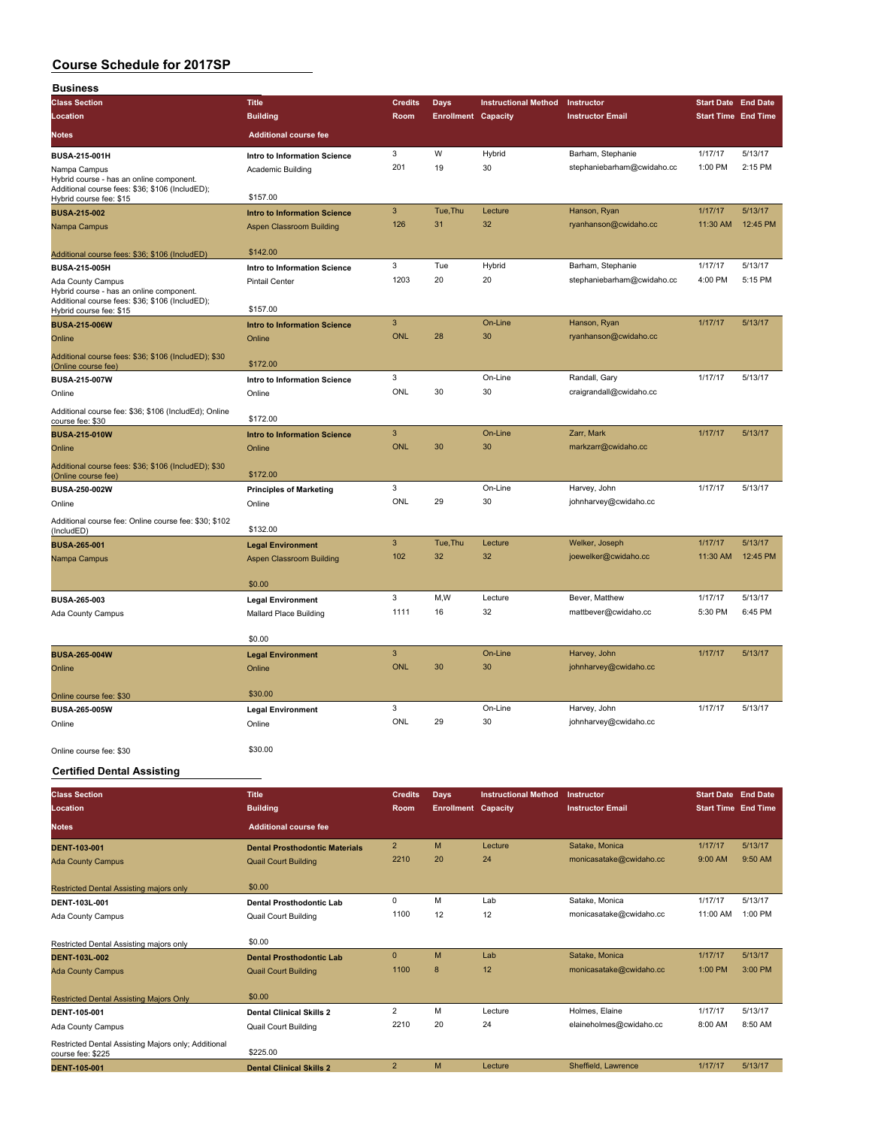| <b>Business</b>                                                                             |                                                                      |                 |                            |                             |                                           |                            |                     |
|---------------------------------------------------------------------------------------------|----------------------------------------------------------------------|-----------------|----------------------------|-----------------------------|-------------------------------------------|----------------------------|---------------------|
| <b>Class Section</b>                                                                        | <b>Title</b>                                                         | <b>Credits</b>  | <b>Days</b>                | <b>Instructional Method</b> | Instructor                                | <b>Start Date End Date</b> |                     |
| Location                                                                                    | <b>Building</b>                                                      | Room            | <b>Enrollment Capacity</b> |                             | <b>Instructor Email</b>                   | <b>Start Time End Time</b> |                     |
| <b>Notes</b>                                                                                | <b>Additional course fee</b>                                         |                 |                            |                             |                                           |                            |                     |
| <b>BUSA-215-001H</b>                                                                        | Intro to Information Science                                         | 3               | W                          | Hybrid                      | Barham, Stephanie                         | 1/17/17                    | 5/13/17             |
| Nampa Campus                                                                                | Academic Building                                                    | 201             | 19                         | 30                          | stephaniebarham@cwidaho.cc                | 1:00 PM                    | 2:15 PM             |
| Hybrid course - has an online component.<br>Additional course fees: \$36; \$106 (IncludED); |                                                                      |                 |                            |                             |                                           |                            |                     |
| Hybrid course fee: \$15                                                                     | \$157.00                                                             |                 |                            |                             |                                           |                            |                     |
| <b>BUSA-215-002</b>                                                                         | <b>Intro to Information Science</b>                                  | 3               | Tue, Thu                   | Lecture<br>32               | Hanson, Ryan                              | 1/17/17                    | 5/13/17             |
| Nampa Campus                                                                                | <b>Aspen Classroom Building</b>                                      | 126             | 31                         |                             | ryanhanson@cwidaho.cc                     | 11:30 AM                   | 12:45 PM            |
| Additional course fees: \$36; \$106 (IncludED)                                              | \$142.00                                                             |                 |                            |                             |                                           |                            |                     |
| <b>BUSA-215-005H</b>                                                                        | Intro to Information Science                                         | 3               | Tue                        | Hybrid                      | Barham, Stephanie                         | 1/17/17                    | 5/13/17             |
| Ada County Campus                                                                           | <b>Pintail Center</b>                                                | 1203            | 20                         | 20                          | stephaniebarham@cwidaho.cc                | 4:00 PM                    | 5:15 PM             |
| Hybrid course - has an online component.<br>Additional course fees: \$36; \$106 (IncludED); |                                                                      |                 |                            |                             |                                           |                            |                     |
| Hybrid course fee: \$15                                                                     | \$157.00                                                             |                 |                            |                             |                                           |                            |                     |
| <b>BUSA-215-006W</b>                                                                        | <b>Intro to Information Science</b>                                  | 3<br>ONL        | 28                         | On-Line<br>30               | Hanson, Ryan                              | 1/17/17                    | 5/13/17             |
| Online                                                                                      | Online                                                               |                 |                            |                             | ryanhanson@cwidaho.cc                     |                            |                     |
| Additional course fees: \$36; \$106 (IncludED); \$30<br>(Online course fee)                 | \$172.00                                                             |                 |                            |                             |                                           |                            |                     |
| BUSA-215-007W                                                                               | Intro to Information Science                                         | 3               |                            | On-Line                     | Randall, Gary                             | 1/17/17                    | 5/13/17             |
| Online                                                                                      | Online                                                               | ONL             | 30                         | 30                          | craigrandall@cwidaho.cc                   |                            |                     |
| Additional course fee: \$36; \$106 (IncludEd); Online                                       |                                                                      |                 |                            |                             |                                           |                            |                     |
| course fee: \$30                                                                            | \$172.00                                                             |                 |                            |                             |                                           |                            |                     |
| <b>BUSA-215-010W</b>                                                                        | <b>Intro to Information Science</b>                                  | 3<br><b>ONL</b> | 30                         | On-Line<br>30               | Zarr, Mark<br>markzarr@cwidaho.cc         | 1/17/17                    | 5/13/17             |
| Online                                                                                      | Online                                                               |                 |                            |                             |                                           |                            |                     |
| Additional course fees: \$36; \$106 (IncludED); \$30<br>(Online course fee)                 | \$172.00                                                             |                 |                            |                             |                                           |                            |                     |
| BUSA-250-002W                                                                               | <b>Principles of Marketing</b>                                       | 3               |                            | On-Line                     | Harvey, John                              | 1/17/17                    | 5/13/17             |
| Online                                                                                      | Online                                                               | ONL             | 29                         | 30                          | johnharvey@cwidaho.cc                     |                            |                     |
| Additional course fee: Online course fee: \$30; \$102                                       |                                                                      |                 |                            |                             |                                           |                            |                     |
| (IncludED)                                                                                  | \$132.00                                                             | 3               |                            |                             |                                           |                            |                     |
| <b>BUSA-265-001</b>                                                                         | <b>Legal Environment</b>                                             | 102             | Tue, Thu<br>32             | Lecture<br>32               | Welker, Joseph<br>joewelker@cwidaho.cc    | 1/17/17<br>11:30 AM        | 5/13/17<br>12:45 PM |
| Nampa Campus                                                                                | Aspen Classroom Building                                             |                 |                            |                             |                                           |                            |                     |
|                                                                                             | \$0.00                                                               |                 |                            |                             |                                           |                            |                     |
| BUSA-265-003                                                                                | <b>Legal Environment</b>                                             | 3               | M,W                        | Lecture                     | Bever, Matthew                            | 1/17/17                    | 5/13/17             |
| Ada County Campus                                                                           | <b>Mallard Place Building</b>                                        | 1111            | 16                         | 32                          | mattbever@cwidaho.cc                      | 5:30 PM                    | 6:45 PM             |
|                                                                                             |                                                                      |                 |                            |                             |                                           |                            |                     |
| <b>BUSA-265-004W</b>                                                                        | \$0.00                                                               | 3               |                            | On-Line                     | Harvey, John                              | 1/17/17                    | 5/13/17             |
| Online                                                                                      | <b>Legal Environment</b><br>Online                                   | <b>ONL</b>      | 30                         | 30                          | johnharvey@cwidaho.cc                     |                            |                     |
|                                                                                             |                                                                      |                 |                            |                             |                                           |                            |                     |
| Online course fee: \$30                                                                     | \$30.00                                                              |                 |                            |                             |                                           |                            |                     |
| BUSA-265-005W                                                                               | <b>Legal Environment</b>                                             | 3               |                            | On-Line                     | Harvey, John                              | 1/17/17                    | 5/13/17             |
| Online                                                                                      | Online                                                               | ONL             | 29                         | 30                          | johnharvey@cwidaho.cc                     |                            |                     |
|                                                                                             | \$30.00                                                              |                 |                            |                             |                                           |                            |                     |
| Online course fee: \$30                                                                     |                                                                      |                 |                            |                             |                                           |                            |                     |
| <b>Certified Dental Assisting</b>                                                           |                                                                      |                 |                            |                             |                                           |                            |                     |
| <b>Class Section</b>                                                                        | <b>Title</b>                                                         | <b>Credits</b>  | <b>Days</b>                | <b>Instructional Method</b> | Instructor                                | <b>Start Date End Date</b> |                     |
| Location                                                                                    | <b>Building</b>                                                      | Room            | <b>Enrollment Capacity</b> |                             | <b>Instructor Email</b>                   | <b>Start Time End Time</b> |                     |
| <b>Notes</b>                                                                                | <b>Additional course fee</b>                                         |                 |                            |                             |                                           |                            |                     |
|                                                                                             |                                                                      | $\overline{2}$  | M                          | Lecture                     |                                           | 1/17/17                    | 5/13/17             |
| <b>DENT-103-001</b>                                                                         | <b>Dental Prosthodontic Materials</b><br><b>Quail Court Building</b> | 2210            | 20                         | 24                          | Satake, Monica<br>monicasatake@cwidaho.cc | 9:00 AM                    | 9:50 AM             |
| <b>Ada County Campus</b>                                                                    |                                                                      |                 |                            |                             |                                           |                            |                     |
| Restricted Dental Assisting majors only                                                     | \$0.00                                                               |                 |                            |                             |                                           |                            |                     |
| DENT-103L-001                                                                               | Dental Prosthodontic Lab                                             | 0               | M                          | Lab                         | Satake, Monica                            | 1/17/17                    | 5/13/17             |
| Ada County Campus                                                                           | <b>Quail Court Building</b>                                          | 1100            | 12                         | 12                          | monicasatake@cwidaho.cc                   | 11:00 AM                   | 1:00 PM             |
|                                                                                             |                                                                      |                 |                            |                             |                                           |                            |                     |
| Restricted Dental Assisting majors only                                                     | \$0.00                                                               | 0               | M                          | Lab                         | Satake, Monica                            | 1/17/17                    | 5/13/17             |
| DENT-103L-002<br><b>Ada County Campus</b>                                                   | <b>Dental Prosthodontic Lab</b><br><b>Quail Court Building</b>       | 1100            | $\bf 8$                    | 12                          | monicasatake@cwidaho.cc                   | 1:00 PM                    | 3:00 PM             |
|                                                                                             |                                                                      |                 |                            |                             |                                           |                            |                     |
| <b>Restricted Dental Assisting Majors Only</b>                                              | \$0.00                                                               |                 |                            |                             |                                           |                            |                     |
| DENT-105-001                                                                                | <b>Dental Clinical Skills 2</b>                                      | $\overline{c}$  | M                          | Lecture                     | Holmes, Elaine                            | 1/17/17                    | 5/13/17             |
| Ada County Campus                                                                           | Quail Court Building                                                 | 2210            | 20                         | 24                          | elaineholmes@cwidaho.cc                   | 8:00 AM                    | 8:50 AM             |
| Restricted Dental Assisting Majors only; Additional                                         | \$225.00                                                             |                 |                            |                             |                                           |                            |                     |
| course fee: \$225<br><b>DENT-105-001</b>                                                    | <b>Dental Clinical Skills 2</b>                                      | $\overline{2}$  | M                          | Lecture                     | Sheffield, Lawrence                       | 1/17/17                    | 5/13/17             |
|                                                                                             |                                                                      |                 |                            |                             |                                           |                            |                     |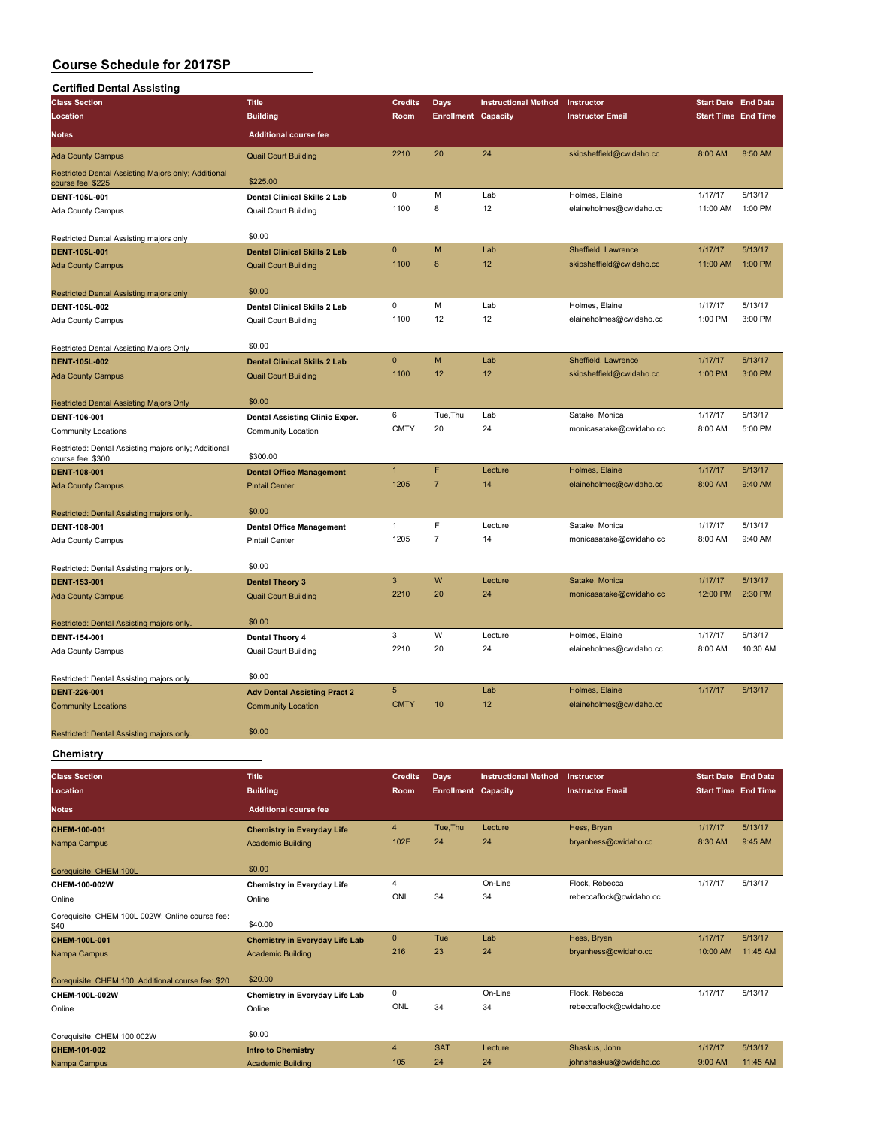| <b>Certified Dental Assisting</b>                                         |                                     |                 |                            |                             |                          |                            |          |
|---------------------------------------------------------------------------|-------------------------------------|-----------------|----------------------------|-----------------------------|--------------------------|----------------------------|----------|
| <b>Class Section</b>                                                      | <b>Title</b>                        | <b>Credits</b>  | <b>Days</b>                | <b>Instructional Method</b> | Instructor               | <b>Start Date End Date</b> |          |
| Location                                                                  | <b>Building</b>                     | Room            | <b>Enrollment Capacity</b> |                             | <b>Instructor Email</b>  | <b>Start Time End Time</b> |          |
| Notes                                                                     | <b>Additional course fee</b>        |                 |                            |                             |                          |                            |          |
| <b>Ada County Campus</b>                                                  | <b>Quail Court Building</b>         | 2210            | 20                         | 24                          | skipsheffield@cwidaho.cc | 8:00 AM                    | 8:50 AM  |
| Restricted Dental Assisting Majors only; Additional<br>course fee: \$225  | \$225.00                            |                 |                            |                             |                          |                            |          |
| DENT-105L-001                                                             | <b>Dental Clinical Skills 2 Lab</b> | $\mathsf 0$     | M                          | Lab                         | Holmes, Elaine           | 1/17/17                    | 5/13/17  |
| Ada County Campus                                                         | <b>Quail Court Building</b>         | 1100            | 8                          | 12                          | elaineholmes@cwidaho.cc  | 11:00 AM                   | 1:00 PM  |
| Restricted Dental Assisting majors only                                   | \$0.00                              |                 |                            |                             |                          |                            |          |
| <b>DENT-105L-001</b>                                                      | <b>Dental Clinical Skills 2 Lab</b> | $\mathbf{0}$    | M                          | Lab                         | Sheffield, Lawrence      | 1/17/17                    | 5/13/17  |
| <b>Ada County Campus</b>                                                  | <b>Quail Court Building</b>         | 1100            | 8                          | 12                          | skipsheffield@cwidaho.cc | 11:00 AM                   | 1:00 PM  |
| Restricted Dental Assisting majors only                                   | \$0.00                              |                 |                            |                             |                          |                            |          |
| DENT-105L-002                                                             | Dental Clinical Skills 2 Lab        | 0               | M                          | Lab                         | Holmes, Elaine           | 1/17/17                    | 5/13/17  |
| Ada County Campus                                                         | <b>Quail Court Building</b>         | 1100            | 12                         | 12                          | elaineholmes@cwidaho.cc  | 1:00 PM                    | 3:00 PM  |
| Restricted Dental Assisting Majors Only                                   | \$0.00                              |                 |                            |                             |                          |                            |          |
| DENT-105L-002                                                             | <b>Dental Clinical Skills 2 Lab</b> | $\mathbf{0}$    | M                          | Lab                         | Sheffield, Lawrence      | 1/17/17                    | 5/13/17  |
| <b>Ada County Campus</b>                                                  | <b>Quail Court Building</b>         | 1100            | 12                         | 12                          | skipsheffield@cwidaho.cc | 1:00 PM                    | 3:00 PM  |
| <b>Restricted Dental Assisting Majors Only</b>                            | \$0.00                              |                 |                            |                             |                          |                            |          |
| DENT-106-001                                                              | Dental Assisting Clinic Exper.      | 6               | Tue, Thu                   | Lab                         | Satake, Monica           | 1/17/17                    | 5/13/17  |
| <b>Community Locations</b>                                                | Community Location                  | <b>CMTY</b>     | 20                         | 24                          | monicasatake@cwidaho.cc  | 8:00 AM                    | 5:00 PM  |
| Restricted: Dental Assisting majors only; Additional<br>course fee: \$300 | \$300.00                            |                 |                            |                             |                          |                            |          |
| <b>DENT-108-001</b>                                                       | <b>Dental Office Management</b>     | $\mathbf{1}$    | F                          | Lecture                     | Holmes, Elaine           | 1/17/17                    | 5/13/17  |
| <b>Ada County Campus</b>                                                  | <b>Pintail Center</b>               | 1205            | $\overline{7}$             | 14                          | elaineholmes@cwidaho.cc  | 8:00 AM                    | 9:40 AM  |
| Restricted: Dental Assisting majors only.                                 | \$0.00                              |                 |                            |                             |                          |                            |          |
| DENT-108-001                                                              | <b>Dental Office Management</b>     | $\mathbf{1}$    | F                          | Lecture                     | Satake, Monica           | 1/17/17                    | 5/13/17  |
| Ada County Campus                                                         | <b>Pintail Center</b>               | 1205            | $\overline{7}$             | 14                          | monicasatake@cwidaho.cc  | 8:00 AM                    | 9:40 AM  |
| Restricted: Dental Assisting majors only.                                 | \$0.00                              |                 |                            |                             |                          |                            |          |
| <b>DENT-153-001</b>                                                       | <b>Dental Theory 3</b>              | $\mathbf{3}$    | W                          | Lecture                     | Satake, Monica           | 1/17/17                    | 5/13/17  |
| <b>Ada County Campus</b>                                                  | <b>Quail Court Building</b>         | 2210            | 20                         | 24                          | monicasatake@cwidaho.cc  | 12:00 PM                   | 2:30 PM  |
| Restricted: Dental Assisting majors only.                                 | \$0.00                              |                 |                            |                             |                          |                            |          |
| DENT-154-001                                                              | Dental Theory 4                     | 3               | W                          | Lecture                     | Holmes, Elaine           | 1/17/17                    | 5/13/17  |
| Ada County Campus                                                         | Quail Court Building                | 2210            | 20                         | 24                          | elaineholmes@cwidaho.cc  | 8:00 AM                    | 10:30 AM |
| Restricted: Dental Assisting majors only.                                 | \$0.00                              |                 |                            |                             |                          |                            |          |
| DENT-226-001                                                              | <b>Adv Dental Assisting Pract 2</b> | $5\phantom{.0}$ |                            | Lab                         | Holmes, Elaine           | 1/17/17                    | 5/13/17  |
| <b>Community Locations</b>                                                | <b>Community Location</b>           | <b>CMTY</b>     | 10                         | 12                          | elaineholmes@cwidaho.cc  |                            |          |
| Restricted: Dental Assisting majors only.                                 | \$0.00                              |                 |                            |                             |                          |                            |          |

#### **Chemistry**

| <b>Class Section</b>                                    | <b>Title</b>                          | <b>Credits</b> | <b>Days</b>                | <b>Instructional Method</b> | Instructor              | <b>Start Date End Date</b> |          |
|---------------------------------------------------------|---------------------------------------|----------------|----------------------------|-----------------------------|-------------------------|----------------------------|----------|
| Location                                                | <b>Building</b>                       | Room           | <b>Enrollment Capacity</b> |                             | <b>Instructor Email</b> | <b>Start Time End Time</b> |          |
| <b>Notes</b>                                            | <b>Additional course fee</b>          |                |                            |                             |                         |                            |          |
| CHEM-100-001                                            | <b>Chemistry in Everyday Life</b>     | $\overline{4}$ | Tue, Thu                   | Lecture                     | Hess, Bryan             | 1/17/17                    | 5/13/17  |
| Nampa Campus                                            | <b>Academic Building</b>              | 102E           | 24                         | 24                          | bryanhess@cwidaho.cc    | 8:30 AM                    | 9:45 AM  |
| Corequisite: CHEM 100L                                  | \$0.00                                |                |                            |                             |                         |                            |          |
| CHEM-100-002W                                           | <b>Chemistry in Everyday Life</b>     | $\overline{4}$ |                            | On-Line                     | Flock, Rebecca          | 1/17/17                    | 5/13/17  |
| Online                                                  | Online                                | ONL            | 34                         | 34                          | rebeccaflock@cwidaho.cc |                            |          |
| Corequisite: CHEM 100L 002W; Online course fee:<br>\$40 | \$40.00                               |                |                            |                             |                         |                            |          |
| CHEM-100L-001                                           | <b>Chemistry in Everyday Life Lab</b> | $\mathbf{0}$   | Tue                        | Lab                         | Hess, Bryan             | 1/17/17                    | 5/13/17  |
| Nampa Campus                                            | <b>Academic Building</b>              | 216            | 23                         | 24                          | bryanhess@cwidaho.cc    | 10:00 AM                   | 11:45 AM |
| Corequisite: CHEM 100. Additional course fee: \$20      | \$20.00                               |                |                            |                             |                         |                            |          |
| CHEM-100L-002W                                          | Chemistry in Everyday Life Lab        | $\mathbf 0$    |                            | On-Line                     | Flock, Rebecca          | 1/17/17                    | 5/13/17  |
| Online                                                  | Online                                | ONL            | 34                         | 34                          | rebeccaflock@cwidaho.cc |                            |          |
| Corequisite: CHEM 100 002W                              | \$0.00                                |                |                            |                             |                         |                            |          |
| CHEM-101-002                                            | <b>Intro to Chemistry</b>             | $\overline{4}$ | <b>SAT</b>                 | Lecture                     | Shaskus, John           | 1/17/17                    | 5/13/17  |
| Nampa Campus                                            | <b>Academic Building</b>              | 105            | 24                         | 24                          | johnshaskus@cwidaho.cc  | 9:00 AM                    | 11:45 AM |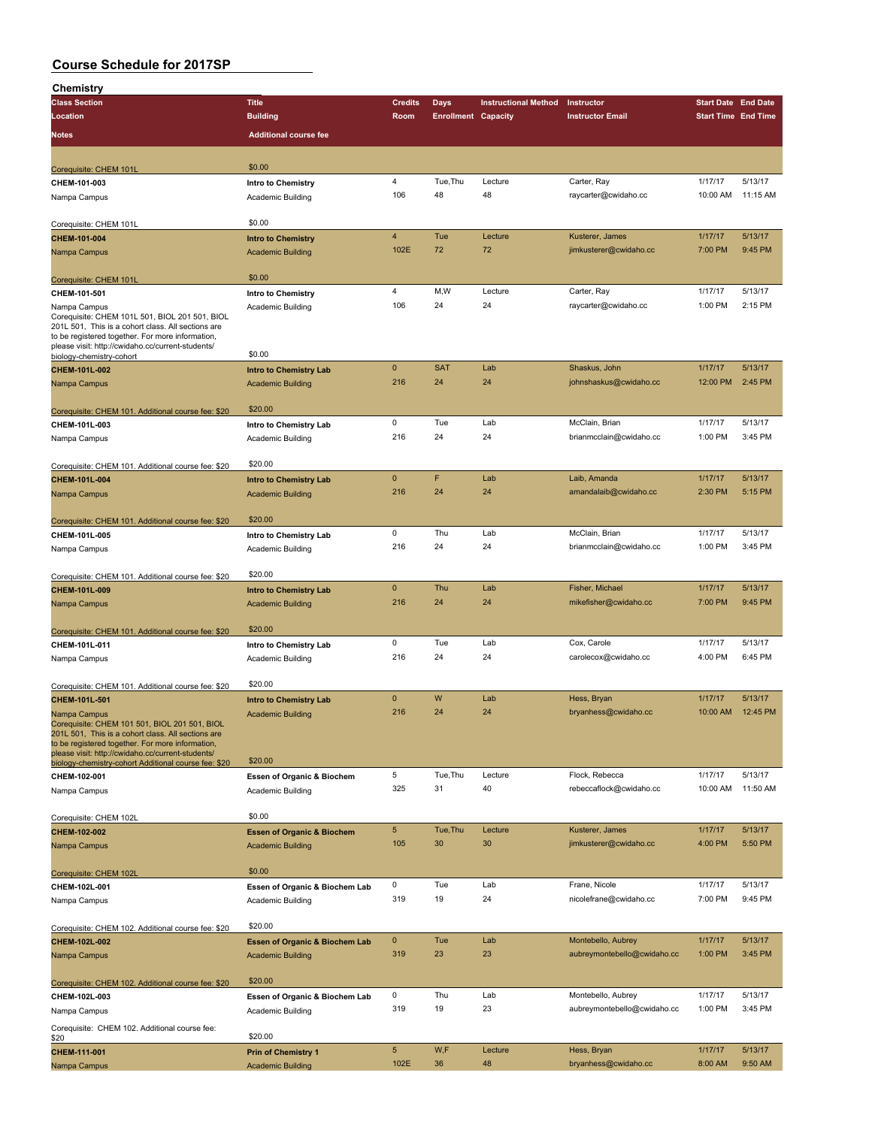| Chemistry                                                                                              |                                                |                         |                            |                             |                             |                            |          |
|--------------------------------------------------------------------------------------------------------|------------------------------------------------|-------------------------|----------------------------|-----------------------------|-----------------------------|----------------------------|----------|
| <b>Class Section</b>                                                                                   | <b>Title</b>                                   | <b>Credits</b>          | <b>Days</b>                | <b>Instructional Method</b> | Instructor                  | <b>Start Date End Date</b> |          |
| Location                                                                                               | <b>Building</b>                                | Room                    | <b>Enrollment Capacity</b> |                             | <b>Instructor Email</b>     | <b>Start Time End Time</b> |          |
| Notes                                                                                                  | <b>Additional course fee</b>                   |                         |                            |                             |                             |                            |          |
|                                                                                                        |                                                |                         |                            |                             |                             |                            |          |
| Corequisite: CHEM 101L                                                                                 | \$0.00                                         |                         |                            |                             |                             |                            |          |
| CHEM-101-003                                                                                           | Intro to Chemistry                             | $\overline{\mathbf{4}}$ | Tue, Thu                   | Lecture                     | Carter, Ray                 | 1/17/17                    | 5/13/17  |
| Nampa Campus                                                                                           | Academic Building                              | 106                     | 48                         | 48                          | raycarter@cwidaho.cc        | 10:00 AM                   | 11:15 AM |
|                                                                                                        |                                                |                         |                            |                             |                             |                            |          |
| Corequisite: CHEM 101L                                                                                 | \$0.00                                         |                         |                            |                             |                             |                            |          |
| CHEM-101-004                                                                                           | <b>Intro to Chemistry</b>                      | $\overline{4}$          | Tue                        | Lecture                     | Kusterer, James             | 1/17/17                    | 5/13/17  |
| Nampa Campus                                                                                           | <b>Academic Building</b>                       | 102E                    | 72                         | 72                          | jimkusterer@cwidaho.cc      | 7:00 PM                    | 9:45 PM  |
|                                                                                                        | \$0.00                                         |                         |                            |                             |                             |                            |          |
| Corequisite: CHEM 101L                                                                                 |                                                | 4                       | M,W                        | Lecture                     | Carter, Ray                 | 1/17/17                    | 5/13/17  |
| CHEM-101-501<br>Nampa Campus                                                                           | <b>Intro to Chemistry</b><br>Academic Building | 106                     | 24                         | 24                          | raycarter@cwidaho.cc        | 1:00 PM                    | 2:15 PM  |
| Corequisite: CHEM 101L 501, BIOL 201 501, BIOL                                                         |                                                |                         |                            |                             |                             |                            |          |
| 201L 501, This is a cohort class. All sections are                                                     |                                                |                         |                            |                             |                             |                            |          |
| to be registered together. For more information,<br>please visit: http://cwidaho.cc/current-students/  |                                                |                         |                            |                             |                             |                            |          |
| biology-chemistry-cohort                                                                               | \$0.00                                         |                         |                            |                             |                             |                            |          |
| CHEM-101L-002                                                                                          | <b>Intro to Chemistry Lab</b>                  | $\mathbf 0$             | <b>SAT</b>                 | Lab                         | Shaskus, John               | 1/17/17                    | 5/13/17  |
| Nampa Campus                                                                                           | <b>Academic Building</b>                       | 216                     | 24                         | 24                          | johnshaskus@cwidaho.cc      | 12:00 PM                   | 2:45 PM  |
|                                                                                                        |                                                |                         |                            |                             |                             |                            |          |
| Corequisite: CHEM 101. Additional course fee: \$20                                                     | \$20.00                                        | 0                       | Tue                        | Lab                         | McClain, Brian              | 1/17/17                    | 5/13/17  |
| CHEM-101L-003                                                                                          | Intro to Chemistry Lab                         | 216                     | 24                         | 24                          | brianmcclain@cwidaho.cc     | 1:00 PM                    | 3:45 PM  |
| Nampa Campus                                                                                           | Academic Building                              |                         |                            |                             |                             |                            |          |
| Corequisite: CHEM 101. Additional course fee: \$20                                                     | \$20.00                                        |                         |                            |                             |                             |                            |          |
| CHEM-101L-004                                                                                          | <b>Intro to Chemistry Lab</b>                  | $\mathbf{0}$            | F                          | Lab                         | Laib, Amanda                | 1/17/17                    | 5/13/17  |
| Nampa Campus                                                                                           | <b>Academic Building</b>                       | 216                     | 24                         | 24                          | amandalaib@cwidaho.cc       | 2:30 PM                    | 5:15 PM  |
|                                                                                                        |                                                |                         |                            |                             |                             |                            |          |
| Corequisite: CHEM 101. Additional course fee: \$20                                                     | \$20.00                                        |                         |                            |                             |                             |                            |          |
| CHEM-101L-005                                                                                          | Intro to Chemistry Lab                         | 0                       | Thu                        | Lab                         | McClain, Brian              | 1/17/17                    | 5/13/17  |
| Nampa Campus                                                                                           | Academic Building                              | 216                     | 24                         | 24                          | brianmcclain@cwidaho.cc     | 1:00 PM                    | 3:45 PM  |
|                                                                                                        |                                                |                         |                            |                             |                             |                            |          |
| Corequisite: CHEM 101. Additional course fee: \$20                                                     | \$20.00                                        |                         |                            |                             |                             |                            |          |
| CHEM-101L-009                                                                                          | <b>Intro to Chemistry Lab</b>                  | $\mathbf 0$             | Thu                        | Lab                         | Fisher, Michael             | 1/17/17                    | 5/13/17  |
| Nampa Campus                                                                                           | <b>Academic Building</b>                       | 216                     | 24                         | 24                          | mikefisher@cwidaho.cc       | 7:00 PM                    | 9:45 PM  |
|                                                                                                        |                                                |                         |                            |                             |                             |                            |          |
| Corequisite: CHEM 101. Additional course fee: \$20                                                     | \$20.00                                        |                         |                            |                             |                             |                            |          |
| CHEM-101L-011                                                                                          | Intro to Chemistry Lab                         | 0                       | Tue                        | Lab                         | Cox, Carole                 | 1/17/17                    | 5/13/17  |
| Nampa Campus                                                                                           | Academic Building                              | 216                     | 24                         | 24                          | carolecox@cwidaho.cc        | 4:00 PM                    | 6:45 PM  |
|                                                                                                        | \$20.00                                        |                         |                            |                             |                             |                            |          |
| Corequisite: CHEM 101. Additional course fee: \$20<br>CHEM-101L-501                                    | <b>Intro to Chemistry Lab</b>                  | $\mathbf{0}$            | W                          | Lab                         | Hess, Bryan                 | 1/17/17                    | 5/13/17  |
| Nampa Campus                                                                                           | <b>Academic Building</b>                       | 216                     | 24                         | 24                          | bryanhess@cwidaho.cc        | 10:00 AM                   | 12:45 PM |
| Corequisite: CHEM 101 501, BIOL 201 501, BIOL                                                          |                                                |                         |                            |                             |                             |                            |          |
| 201L 501, This is a cohort class. All sections are<br>to be registered together. For more information, |                                                |                         |                            |                             |                             |                            |          |
| please visit: http://cwidaho.cc/current-students/                                                      |                                                |                         |                            |                             |                             |                            |          |
| biology-chemistry-cohort Additional course fee: \$20                                                   | \$20.00                                        |                         |                            |                             |                             |                            |          |
| CHEM-102-001                                                                                           | Essen of Organic & Biochem                     | 5                       | Tue, Thu                   | Lecture                     | Flock, Rebecca              | 1/17/17                    | 5/13/17  |
| Nampa Campus                                                                                           | Academic Building                              | 325                     | 31                         | 40                          | rebeccaflock@cwidaho.cc     | 10:00 AM                   | 11:50 AM |
|                                                                                                        | \$0.00                                         |                         |                            |                             |                             |                            |          |
| Corequisite: CHEM 102L                                                                                 |                                                | $\sqrt{5}$              | Tue, Thu                   | Lecture                     | Kusterer, James             | 1/17/17                    | 5/13/17  |
| CHEM-102-002                                                                                           | <b>Essen of Organic &amp; Biochem</b>          | 105                     | 30                         | 30                          | jimkusterer@cwidaho.cc      | 4:00 PM                    | 5:50 PM  |
| Nampa Campus                                                                                           | <b>Academic Building</b>                       |                         |                            |                             |                             |                            |          |
| Corequisite: CHEM 102L                                                                                 | \$0.00                                         |                         |                            |                             |                             |                            |          |
| CHEM-102L-001                                                                                          | Essen of Organic & Biochem Lab                 | 0                       | Tue                        | Lab                         | Frane, Nicole               | 1/17/17                    | 5/13/17  |
| Nampa Campus                                                                                           | Academic Building                              | 319                     | 19                         | 24                          | nicolefrane@cwidaho.cc      | 7:00 PM                    | 9:45 PM  |
|                                                                                                        |                                                |                         |                            |                             |                             |                            |          |
| Corequisite: CHEM 102. Additional course fee: \$20                                                     | \$20.00                                        |                         |                            |                             |                             |                            |          |
| CHEM-102L-002                                                                                          | <b>Essen of Organic &amp; Biochem Lab</b>      | $\mathbf 0$             | Tue                        | Lab                         | Montebello, Aubrey          | 1/17/17                    | 5/13/17  |
| Nampa Campus                                                                                           | <b>Academic Building</b>                       | 319                     | 23                         | 23                          | aubreymontebello@cwidaho.cc | 1:00 PM                    | 3:45 PM  |
|                                                                                                        |                                                |                         |                            |                             |                             |                            |          |
| Corequisite: CHEM 102. Additional course fee: \$20                                                     | \$20.00                                        |                         |                            |                             |                             |                            |          |
| CHEM-102L-003                                                                                          | Essen of Organic & Biochem Lab                 | 0                       | Thu                        | Lab                         | Montebello, Aubrey          | 1/17/17                    | 5/13/17  |
| Nampa Campus                                                                                           | Academic Building                              | 319                     | 19                         | 23                          | aubreymontebello@cwidaho.cc | 1:00 PM                    | 3:45 PM  |
| Corequisite: CHEM 102. Additional course fee:                                                          |                                                |                         |                            |                             |                             |                            |          |
| \$20                                                                                                   | \$20.00                                        |                         |                            |                             |                             |                            |          |
| CHEM-111-001                                                                                           | <b>Prin of Chemistry 1</b>                     | $\sqrt{5}$              | W,F                        | Lecture                     | Hess, Bryan                 | 1/17/17                    | 5/13/17  |
| Nampa Campus                                                                                           | <b>Academic Building</b>                       | 102E                    | 36                         | 48                          | bryanhess@cwidaho.cc        | 8:00 AM                    | 9:50 AM  |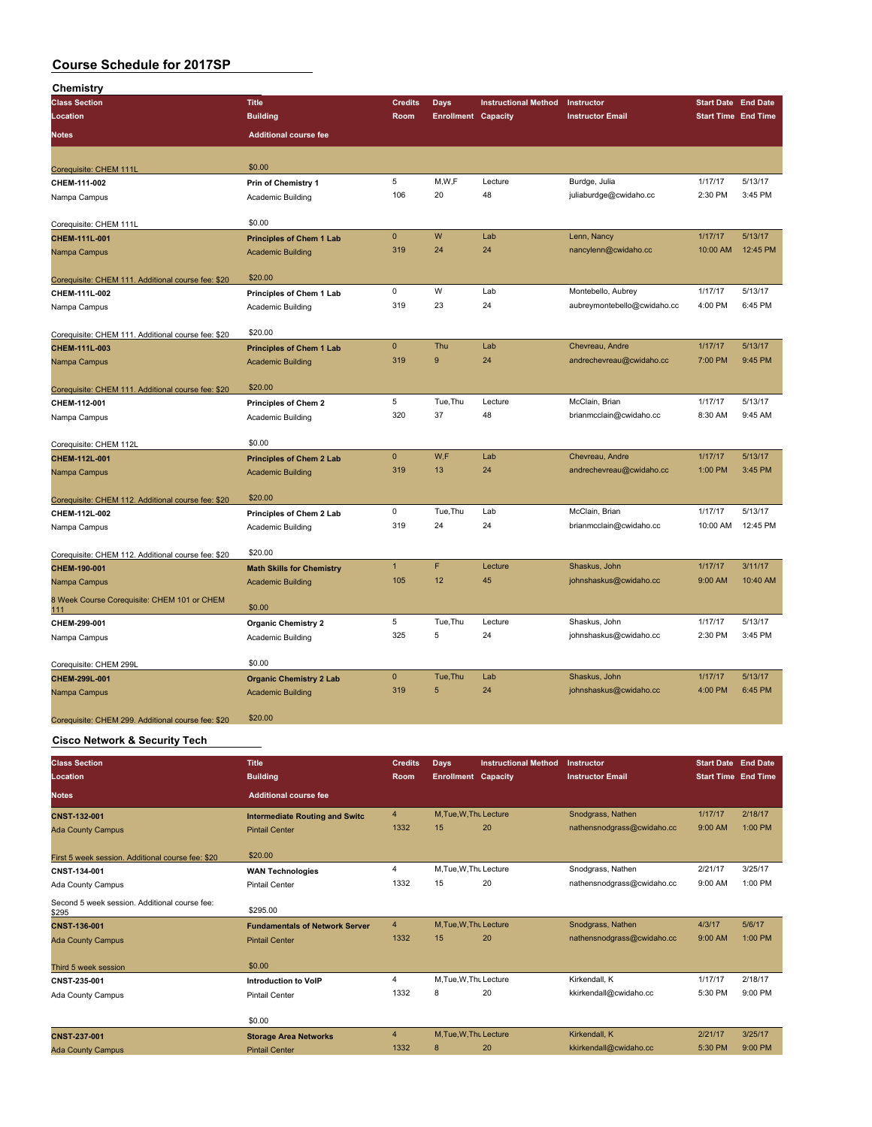| Chemistry                                          |                                  |                |                            |                             |                             |                            |          |
|----------------------------------------------------|----------------------------------|----------------|----------------------------|-----------------------------|-----------------------------|----------------------------|----------|
| <b>Class Section</b>                               | <b>Title</b>                     | <b>Credits</b> | <b>Days</b>                | <b>Instructional Method</b> | Instructor                  | <b>Start Date End Date</b> |          |
| Location                                           | <b>Building</b>                  | Room           | <b>Enrollment Capacity</b> |                             | <b>Instructor Email</b>     | Start Time End Time        |          |
| <b>Notes</b>                                       | <b>Additional course fee</b>     |                |                            |                             |                             |                            |          |
| Corequisite: CHEM 111L                             | \$0.00                           |                |                            |                             |                             |                            |          |
| CHEM-111-002                                       | <b>Prin of Chemistry 1</b>       | 5              | M,W,F                      | Lecture                     | Burdge, Julia               | 1/17/17                    | 5/13/17  |
| Nampa Campus                                       | Academic Building                | 106            | 20                         | 48                          | juliaburdge@cwidaho.cc      | 2:30 PM                    | 3:45 PM  |
| Corequisite: CHEM 111L                             | \$0.00                           |                |                            |                             |                             |                            |          |
| CHEM-111L-001                                      | <b>Principles of Chem 1 Lab</b>  | $\mathbf 0$    | W                          | Lab                         | Lenn, Nancy                 | 1/17/17                    | 5/13/17  |
| Nampa Campus                                       | <b>Academic Building</b>         | 319            | 24                         | 24                          | nancylenn@cwidaho.cc        | 10:00 AM                   | 12:45 PM |
| Corequisite: CHEM 111. Additional course fee: \$20 | \$20.00                          |                |                            |                             |                             |                            |          |
| CHEM-111L-002                                      | Principles of Chem 1 Lab         | $\mathbf 0$    | W                          | Lab                         | Montebello, Aubrey          | 1/17/17                    | 5/13/17  |
| Nampa Campus                                       | Academic Building                | 319            | 23                         | 24                          | aubreymontebello@cwidaho.cc | 4:00 PM                    | 6:45 PM  |
| Corequisite: CHEM 111. Additional course fee: \$20 | \$20.00                          |                |                            |                             |                             |                            |          |
| CHEM-111L-003                                      | <b>Principles of Chem 1 Lab</b>  | $\mathbf{0}$   | Thu                        | Lab                         | Chevreau, Andre             | 1/17/17                    | 5/13/17  |
| Nampa Campus                                       | <b>Academic Building</b>         | 319            | 9                          | 24                          | andrechevreau@cwidaho.cc    | 7:00 PM                    | 9:45 PM  |
| Corequisite: CHEM 111. Additional course fee: \$20 | \$20.00                          |                |                            |                             |                             |                            |          |
| CHEM-112-001                                       | <b>Principles of Chem 2</b>      | $\,$ 5 $\,$    | Tue, Thu                   | Lecture                     | McClain, Brian              | 1/17/17                    | 5/13/17  |
| Nampa Campus                                       | Academic Building                | 320            | 37                         | 48                          | brianmcclain@cwidaho.cc     | 8:30 AM                    | 9:45 AM  |
| Corequisite: CHEM 112L                             | \$0.00                           |                |                            |                             |                             |                            |          |
| CHEM-112L-001                                      | <b>Principles of Chem 2 Lab</b>  | $\mathbf{0}$   | W.F                        | Lab                         | Chevreau, Andre             | 1/17/17                    | 5/13/17  |
| Nampa Campus                                       | <b>Academic Building</b>         | 319            | 13                         | 24                          | andrechevreau@cwidaho.cc    | 1:00 PM                    | 3:45 PM  |
| Corequisite: CHEM 112. Additional course fee: \$20 | \$20.00                          |                |                            |                             |                             |                            |          |
| CHEM-112L-002                                      | Principles of Chem 2 Lab         | $\mathbf 0$    | Tue, Thu                   | Lab                         | McClain, Brian              | 1/17/17                    | 5/13/17  |
| Nampa Campus                                       | Academic Building                | 319            | 24                         | 24                          | brianmcclain@cwidaho.cc     | 10:00 AM                   | 12:45 PM |
| Corequisite: CHEM 112. Additional course fee: \$20 | \$20.00                          |                |                            |                             |                             |                            |          |
| CHEM-190-001                                       | <b>Math Skills for Chemistry</b> | $\mathbf{1}$   | F                          | Lecture                     | Shaskus, John               | 1/17/17                    | 3/11/17  |
| Nampa Campus                                       | <b>Academic Building</b>         | 105            | 12                         | 45                          | johnshaskus@cwidaho.cc      | 9:00 AM                    | 10:40 AM |
| 8 Week Course Corequisite: CHEM 101 or CHEM<br>111 | \$0.00                           |                |                            |                             |                             |                            |          |
| CHEM-299-001                                       | <b>Organic Chemistry 2</b>       | 5              | Tue, Thu                   | Lecture                     | Shaskus, John               | 1/17/17                    | 5/13/17  |
| Nampa Campus                                       | Academic Building                | 325            | 5                          | 24                          | johnshaskus@cwidaho.cc      | 2:30 PM                    | 3:45 PM  |
| Corequisite: CHEM 299L                             | \$0.00                           |                |                            |                             |                             |                            |          |
| CHEM-299L-001                                      | <b>Organic Chemistry 2 Lab</b>   | $\pmb{0}$      | Tue, Thu                   | Lab                         | Shaskus, John               | 1/17/17                    | 5/13/17  |
| Nampa Campus                                       | <b>Academic Building</b>         | 319            | 5                          | 24                          | johnshaskus@cwidaho.cc      | 4:00 PM                    | 6:45 PM  |
| Corequisite: CHEM 299. Additional course fee: \$20 | \$20.00                          |                |                            |                             |                             |                            |          |
| <b>Cisco Network &amp; Security Tech</b>           |                                  |                |                            |                             |                             |                            |          |

| <b>Class Section</b>                                   | Title                                 | <b>Credits</b> | Days                       | <b>Instructional Method</b> | Instructor                 | <b>Start Date End Date</b> |         |
|--------------------------------------------------------|---------------------------------------|----------------|----------------------------|-----------------------------|----------------------------|----------------------------|---------|
| Location                                               | <b>Building</b>                       | Room           | <b>Enrollment Capacity</b> |                             | <b>Instructor Email</b>    | <b>Start Time End Time</b> |         |
| <b>Notes</b>                                           | <b>Additional course fee</b>          |                |                            |                             |                            |                            |         |
| <b>CNST-132-001</b>                                    | <b>Intermediate Routing and Switc</b> | $\overline{4}$ | M.Tue.W.Thu Lecture        |                             | Snodgrass, Nathen          | 1/17/17                    | 2/18/17 |
| <b>Ada County Campus</b>                               | <b>Pintail Center</b>                 | 1332           | 15                         | 20                          | nathensnodgrass@cwidaho.cc | 9:00 AM                    | 1:00 PM |
| First 5 week session. Additional course fee: \$20      | \$20.00                               |                |                            |                             |                            |                            |         |
| CNST-134-001                                           | <b>WAN Technologies</b>               | 4              | M.Tue.W.Thu Lecture        |                             | Snodgrass, Nathen          | 2/21/17                    | 3/25/17 |
| Ada County Campus                                      | <b>Pintail Center</b>                 | 1332           | 15                         | 20                          | nathensnodgrass@cwidaho.cc | 9:00 AM                    | 1:00 PM |
| Second 5 week session. Additional course fee:<br>\$295 | \$295.00                              |                |                            |                             |                            |                            |         |
| <b>CNST-136-001</b>                                    | <b>Fundamentals of Network Server</b> | $\overline{4}$ | M.Tue.W.Thu Lecture        |                             | Snodgrass, Nathen          | 4/3/17                     | 5/6/17  |
| <b>Ada County Campus</b>                               | <b>Pintail Center</b>                 | 1332           | 15                         | 20                          | nathensnodgrass@cwidaho.cc | 9:00 AM                    | 1:00 PM |
| Third 5 week session                                   | \$0.00                                |                |                            |                             |                            |                            |         |
| CNST-235-001                                           | <b>Introduction to VoIP</b>           | 4              | M, Tue, W, Thu Lecture     |                             | Kirkendall, K              | 1/17/17                    | 2/18/17 |
| Ada County Campus                                      | <b>Pintail Center</b>                 | 1332           | 8                          | 20                          | kkirkendall@cwidaho.cc     | 5:30 PM                    | 9:00 PM |
|                                                        | \$0.00                                |                |                            |                             |                            |                            |         |
| <b>CNST-237-001</b>                                    | <b>Storage Area Networks</b>          | 4              | M, Tue, W, Thu Lecture     |                             | Kirkendall, K              | 2/21/17                    | 3/25/17 |
| <b>Ada County Campus</b>                               | <b>Pintail Center</b>                 | 1332           | 8                          | 20                          | kkirkendall@cwidaho.cc     | 5:30 PM                    | 9:00 PM |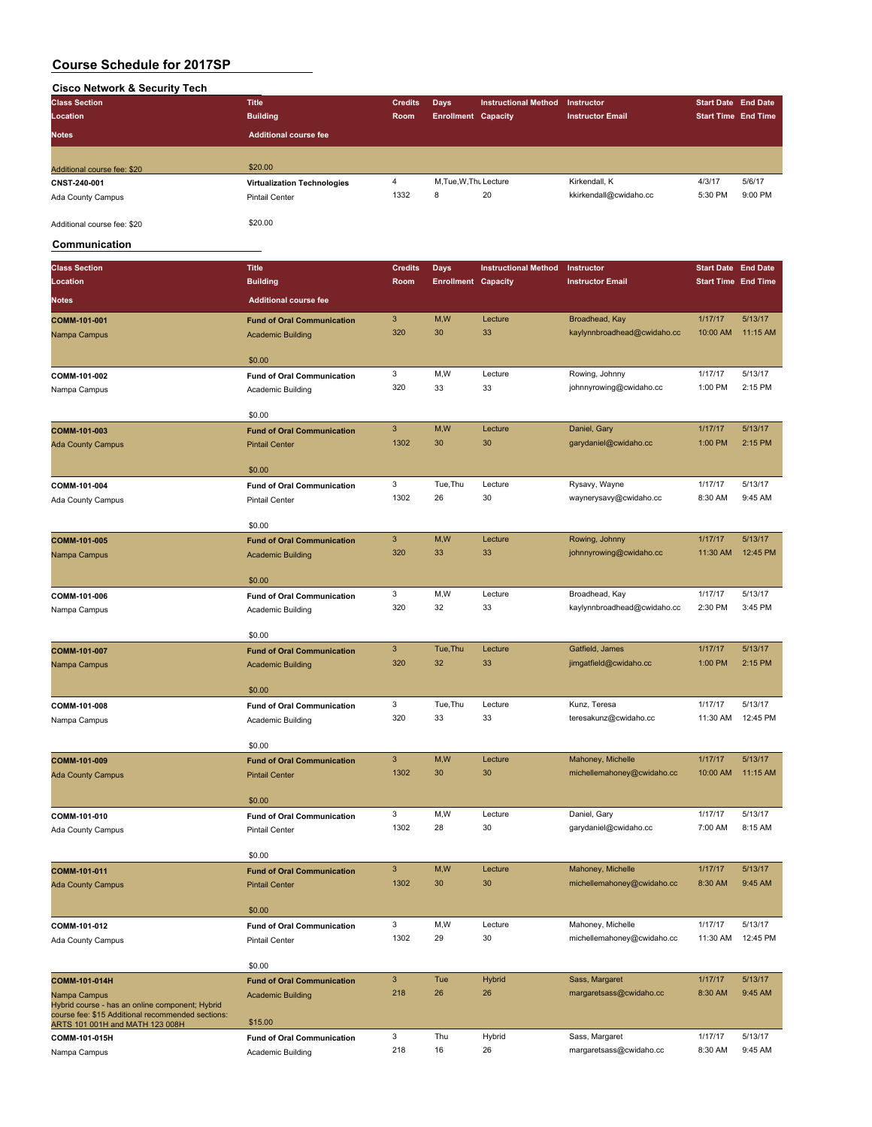# **Cisco Network & Security Tech**

| <b>Class Section</b>        | <b>Title</b>                       | <b>Credits</b> | Days                       | <b>Instructional Method</b> | Instructor              | <b>Start Date End Date</b> |         |
|-----------------------------|------------------------------------|----------------|----------------------------|-----------------------------|-------------------------|----------------------------|---------|
| Location                    | <b>Building</b>                    | Room           | <b>Enrollment Capacity</b> |                             | <b>Instructor Email</b> | <b>Start Time End Time</b> |         |
| <b>Notes</b>                | <b>Additional course fee</b>       |                |                            |                             |                         |                            |         |
|                             |                                    |                |                            |                             |                         |                            |         |
| Additional course fee: \$20 | \$20.00                            |                |                            |                             |                         |                            |         |
| CNST-240-001                | <b>Virtualization Technologies</b> | 4              | M.Tue.W.Thu Lecture        |                             | Kirkendall, K           | 4/3/17                     | 5/6/17  |
| Ada County Campus           | Pintail Center                     | 1332           | 8                          | 20                          | kkirkendall@cwidaho.cc  | 5:30 PM                    | 9:00 PM |
| Additional course fee: \$20 | \$20.00                            |                |                            |                             |                         |                            |         |

### **Communication**

| <b>Class Section</b>                                                                 | <b>Title</b>                                | <b>Credits</b>            | <b>Days</b>                | <b>Instructional Method</b> | Instructor                  | <b>Start Date End Date</b> |                    |
|--------------------------------------------------------------------------------------|---------------------------------------------|---------------------------|----------------------------|-----------------------------|-----------------------------|----------------------------|--------------------|
| Location                                                                             | <b>Building</b>                             | Room                      | <b>Enrollment Capacity</b> |                             | <b>Instructor Email</b>     | <b>Start Time End Time</b> |                    |
| <b>Notes</b>                                                                         | <b>Additional course fee</b>                |                           |                            |                             |                             |                            |                    |
| COMM-101-001                                                                         | <b>Fund of Oral Communication</b>           | $\ensuremath{\mathsf{3}}$ | M,W                        | Lecture                     | Broadhead, Kay              | 1/17/17                    | 5/13/17            |
| Nampa Campus                                                                         | <b>Academic Building</b>                    | 320                       | 30                         | 33                          | kaylynnbroadhead@cwidaho.cc | 10:00 AM                   | 11:15 AM           |
|                                                                                      |                                             |                           |                            |                             |                             |                            |                    |
| COMM-101-002                                                                         | \$0.00<br><b>Fund of Oral Communication</b> | 3                         | M, W                       | Lecture                     | Rowing, Johnny              | 1/17/17                    | 5/13/17            |
| Nampa Campus                                                                         | Academic Building                           | 320                       | 33                         | 33                          | johnnyrowing@cwidaho.cc     | 1:00 PM                    | 2:15 PM            |
|                                                                                      |                                             |                           |                            |                             |                             |                            |                    |
|                                                                                      | \$0.00                                      |                           |                            |                             |                             |                            |                    |
| COMM-101-003                                                                         | <b>Fund of Oral Communication</b>           | 3                         | M,W                        | Lecture                     | Daniel, Gary                | 1/17/17                    | 5/13/17            |
| <b>Ada County Campus</b>                                                             | <b>Pintail Center</b>                       | 1302                      | 30                         | 30                          | garydaniel@cwidaho.cc       | 1:00 PM                    | 2:15 PM            |
|                                                                                      | \$0.00                                      |                           |                            |                             |                             |                            |                    |
| COMM-101-004                                                                         | <b>Fund of Oral Communication</b>           | 3                         | Tue, Thu                   | Lecture                     | Rysavy, Wayne               | 1/17/17                    | 5/13/17            |
| Ada County Campus                                                                    | <b>Pintail Center</b>                       | 1302                      | 26                         | 30                          | waynerysavy@cwidaho.cc      | 8:30 AM                    | 9:45 AM            |
|                                                                                      | \$0.00                                      |                           |                            |                             |                             |                            |                    |
| COMM-101-005                                                                         | <b>Fund of Oral Communication</b>           | 3                         | M,W                        | Lecture                     | Rowing, Johnny              | 1/17/17                    | 5/13/17            |
| Nampa Campus                                                                         | <b>Academic Building</b>                    | 320                       | 33                         | 33                          | johnnyrowing@cwidaho.cc     | 11:30 AM                   | 12:45 PM           |
|                                                                                      | \$0.00                                      |                           |                            |                             |                             |                            |                    |
| COMM-101-006                                                                         | <b>Fund of Oral Communication</b>           | 3                         | M, W                       | Lecture                     | Broadhead, Kay              | 1/17/17                    | 5/13/17            |
| Nampa Campus                                                                         | Academic Building                           | 320                       | 32                         | 33                          | kaylynnbroadhead@cwidaho.cc | 2:30 PM                    | 3:45 PM            |
|                                                                                      |                                             |                           |                            |                             |                             |                            |                    |
|                                                                                      | \$0.00                                      |                           |                            |                             |                             |                            |                    |
| COMM-101-007                                                                         | <b>Fund of Oral Communication</b>           | $\mathbf{3}$              | Tue, Thu                   | Lecture                     | Gatfield, James             | 1/17/17                    | 5/13/17            |
| Nampa Campus                                                                         | <b>Academic Building</b>                    | 320                       | 32                         | 33                          | jimgatfield@cwidaho.cc      | 1:00 PM                    | 2:15 PM            |
|                                                                                      | \$0.00                                      |                           |                            |                             |                             |                            |                    |
| COMM-101-008                                                                         | <b>Fund of Oral Communication</b>           | 3                         | Tue, Thu                   | Lecture                     | Kunz, Teresa                | 1/17/17                    | 5/13/17            |
| Nampa Campus                                                                         | Academic Building                           | 320                       | 33                         | 33                          | teresakunz@cwidaho.cc       | 11:30 AM                   | 12:45 PM           |
|                                                                                      | \$0.00                                      |                           |                            |                             |                             |                            |                    |
| COMM-101-009                                                                         | <b>Fund of Oral Communication</b>           | $\ensuremath{\mathsf{3}}$ | M,W                        | Lecture                     | Mahoney, Michelle           | 1/17/17                    | 5/13/17            |
| <b>Ada County Campus</b>                                                             | <b>Pintail Center</b>                       | 1302                      | 30                         | 30                          | michellemahoney@cwidaho.cc  | 10:00 AM                   | 11:15 AM           |
|                                                                                      |                                             |                           |                            |                             |                             |                            |                    |
|                                                                                      | \$0.00                                      |                           |                            |                             |                             |                            |                    |
| COMM-101-010                                                                         | <b>Fund of Oral Communication</b>           | 3                         | M, W                       | Lecture                     | Daniel, Gary                | 1/17/17                    | 5/13/17            |
| Ada County Campus                                                                    | <b>Pintail Center</b>                       | 1302                      | 28                         | 30                          | garydaniel@cwidaho.cc       | 7:00 AM                    | 8:15 AM            |
|                                                                                      | \$0.00                                      |                           |                            |                             |                             |                            |                    |
| COMM-101-011                                                                         | <b>Fund of Oral Communication</b>           | 3                         | M,W                        | Lecture                     | Mahoney, Michelle           | 1/17/17                    | 5/13/17            |
| <b>Ada County Campus</b>                                                             | <b>Pintail Center</b>                       | 1302                      | 30                         | 30                          | michellemahoney@cwidaho.cc  | 8:30 AM                    | 9:45 AM            |
|                                                                                      |                                             |                           |                            |                             |                             |                            |                    |
| COMM-101-012                                                                         | \$0.00<br><b>Fund of Oral Communication</b> | 3                         | M,W                        | Lecture                     | Mahoney, Michelle           | 1/17/17                    | 5/13/17            |
| Ada County Campus                                                                    | <b>Pintail Center</b>                       | 1302                      | 29                         | 30                          | michellemahoney@cwidaho.cc  | 11:30 AM                   | 12:45 PM           |
|                                                                                      |                                             |                           |                            |                             |                             |                            |                    |
|                                                                                      | \$0.00                                      |                           |                            |                             |                             |                            |                    |
| COMM-101-014H                                                                        | <b>Fund of Oral Communication</b>           | 3                         | Tue                        | <b>Hybrid</b>               | Sass, Margaret              | 1/17/17                    | 5/13/17<br>9:45 AM |
| Nampa Campus<br>Hybrid course - has an online component; Hybrid                      | <b>Academic Building</b>                    | 218                       | 26                         | 26                          | margaretsass@cwidaho.cc     | 8:30 AM                    |                    |
| course fee: \$15 Additional recommended sections:<br>ARTS 101 001H and MATH 123 008H | \$15.00                                     |                           |                            |                             |                             |                            |                    |
| COMM-101-015H                                                                        | <b>Fund of Oral Communication</b>           | 3                         | Thu                        | Hybrid                      | Sass, Margaret              | 1/17/17                    | 5/13/17            |
| Nampa Campus                                                                         | Academic Building                           | 218                       | 16                         | 26                          | margaretsass@cwidaho.cc     | 8:30 AM                    | 9:45 AM            |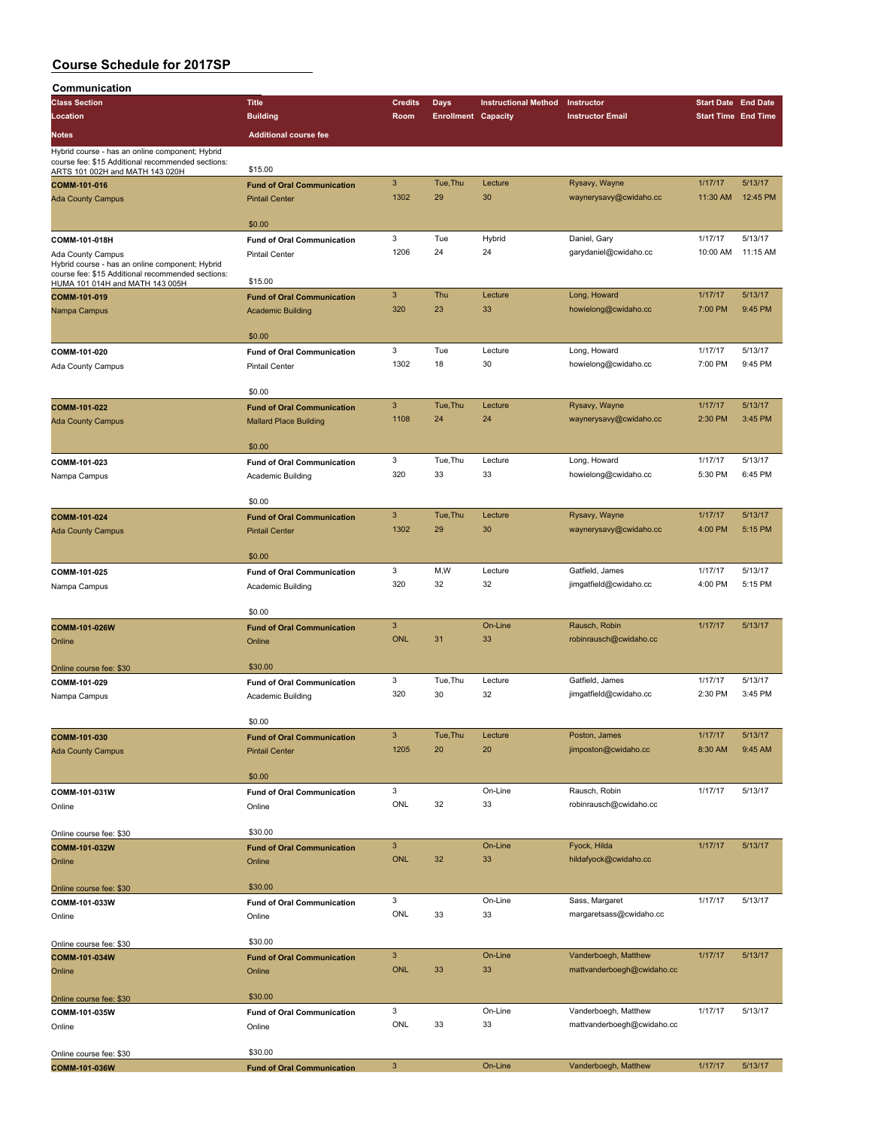| Communication                                                                                        |                                   |                |                            |                             |                            |                                                                                                                                                                                                                                                                |          |
|------------------------------------------------------------------------------------------------------|-----------------------------------|----------------|----------------------------|-----------------------------|----------------------------|----------------------------------------------------------------------------------------------------------------------------------------------------------------------------------------------------------------------------------------------------------------|----------|
| <b>Class Section</b>                                                                                 | <b>Title</b>                      | <b>Credits</b> | Days                       | <b>Instructional Method</b> | Instructor                 |                                                                                                                                                                                                                                                                |          |
| Location                                                                                             | <b>Building</b>                   | Room           | <b>Enrollment Capacity</b> |                             | <b>Instructor Email</b>    |                                                                                                                                                                                                                                                                |          |
|                                                                                                      |                                   |                |                            |                             |                            |                                                                                                                                                                                                                                                                |          |
| <b>Notes</b>                                                                                         | <b>Additional course fee</b>      |                |                            |                             |                            |                                                                                                                                                                                                                                                                |          |
| Hybrid course - has an online component; Hybrid<br>course fee: \$15 Additional recommended sections: |                                   |                |                            |                             |                            |                                                                                                                                                                                                                                                                |          |
| ARTS 101 002H and MATH 143 020H                                                                      | \$15.00                           |                |                            |                             |                            |                                                                                                                                                                                                                                                                |          |
| COMM-101-016                                                                                         | <b>Fund of Oral Communication</b> | 3              | Tue, Thu                   | Lecture                     | Rysavy, Wayne              | 1/17/17                                                                                                                                                                                                                                                        | 5/13/17  |
| <b>Ada County Campus</b>                                                                             | <b>Pintail Center</b>             | 1302           | 29                         | 30                          | waynerysavy@cwidaho.cc     | 11:30 AM                                                                                                                                                                                                                                                       | 12:45 PM |
|                                                                                                      |                                   |                |                            |                             |                            |                                                                                                                                                                                                                                                                |          |
|                                                                                                      | \$0.00                            |                |                            |                             |                            |                                                                                                                                                                                                                                                                |          |
| COMM-101-018H                                                                                        | <b>Fund of Oral Communication</b> | 3              | Tue                        | Hybrid                      | Daniel, Gary               | 1/17/17                                                                                                                                                                                                                                                        | 5/13/17  |
| Ada County Campus                                                                                    | <b>Pintail Center</b>             | 1206           | 24                         | 24                          | garydaniel@cwidaho.cc      | 10:00 AM                                                                                                                                                                                                                                                       | 11:15 AM |
| Hybrid course - has an online component; Hybrid                                                      |                                   |                |                            |                             |                            |                                                                                                                                                                                                                                                                |          |
| course fee: \$15 Additional recommended sections:<br>HUMA 101 014H and MATH 143 005H                 | \$15.00                           |                |                            |                             |                            |                                                                                                                                                                                                                                                                |          |
| COMM-101-019                                                                                         | <b>Fund of Oral Communication</b> | $\mathsf 3$    | Thu                        | Lecture                     | Long, Howard               |                                                                                                                                                                                                                                                                | 5/13/17  |
| Nampa Campus                                                                                         | <b>Academic Building</b>          | 320            | 23                         | 33                          | howielong@cwidaho.cc       | 7:00 PM                                                                                                                                                                                                                                                        | 9:45 PM  |
|                                                                                                      |                                   |                |                            |                             |                            |                                                                                                                                                                                                                                                                |          |
|                                                                                                      | \$0.00                            |                |                            |                             |                            |                                                                                                                                                                                                                                                                |          |
| COMM-101-020                                                                                         | <b>Fund of Oral Communication</b> | 3              | Tue                        | Lecture                     | Long, Howard               | 1/17/17                                                                                                                                                                                                                                                        | 5/13/17  |
| Ada County Campus                                                                                    | <b>Pintail Center</b>             | 1302           | 18                         | 30                          | howielong@cwidaho.cc       | 7:00 PM                                                                                                                                                                                                                                                        | 9:45 PM  |
|                                                                                                      |                                   |                |                            |                             |                            |                                                                                                                                                                                                                                                                |          |
|                                                                                                      | \$0.00                            |                |                            |                             |                            |                                                                                                                                                                                                                                                                |          |
| COMM-101-022                                                                                         | <b>Fund of Oral Communication</b> | $\overline{3}$ | Tue.Thu                    | Lecture                     | Rysavy, Wayne              | 1/17/17                                                                                                                                                                                                                                                        | 5/13/17  |
| <b>Ada County Campus</b>                                                                             | <b>Mallard Place Building</b>     | 1108           | 24                         | 24                          | waynerysavy@cwidaho.cc     | <b>Start Date End Date</b><br><b>Start Time End Time</b><br>1/17/17<br>2:30 PM<br>1/17/17<br>5:30 PM<br>1/17/17<br>4:00 PM<br>1/17/17<br>4:00 PM<br>1/17/17<br>1/17/17<br>2:30 PM<br>1/17/17<br>8:30 AM<br>1/17/17<br>1/17/17<br>1/17/17<br>1/17/17<br>1/17/17 | 3:45 PM  |
|                                                                                                      |                                   |                |                            |                             |                            |                                                                                                                                                                                                                                                                |          |
|                                                                                                      | \$0.00                            |                |                            |                             |                            |                                                                                                                                                                                                                                                                |          |
| COMM-101-023                                                                                         | <b>Fund of Oral Communication</b> | 3              | Tue, Thu                   | Lecture                     | Long, Howard               |                                                                                                                                                                                                                                                                | 5/13/17  |
| Nampa Campus                                                                                         | Academic Building                 | 320            | 33                         | 33                          | howielong@cwidaho.cc       |                                                                                                                                                                                                                                                                | 6:45 PM  |
|                                                                                                      |                                   |                |                            |                             |                            |                                                                                                                                                                                                                                                                |          |
|                                                                                                      | \$0.00                            |                |                            |                             |                            |                                                                                                                                                                                                                                                                |          |
| COMM-101-024                                                                                         | <b>Fund of Oral Communication</b> | $\mathbf{3}$   | Tue, Thu                   | Lecture                     | Rysavy, Wayne              |                                                                                                                                                                                                                                                                | 5/13/17  |
| <b>Ada County Campus</b>                                                                             | <b>Pintail Center</b>             | 1302           | 29                         | 30                          | waynerysavy@cwidaho.cc     |                                                                                                                                                                                                                                                                | 5:15 PM  |
|                                                                                                      |                                   |                |                            |                             |                            |                                                                                                                                                                                                                                                                |          |
|                                                                                                      | \$0.00                            |                |                            |                             |                            |                                                                                                                                                                                                                                                                |          |
| COMM-101-025                                                                                         | <b>Fund of Oral Communication</b> | 3              | M,W                        | Lecture                     | Gatfield, James            |                                                                                                                                                                                                                                                                | 5/13/17  |
| Nampa Campus                                                                                         | Academic Building                 | 320            | 32                         | 32                          | jimgatfield@cwidaho.cc     |                                                                                                                                                                                                                                                                | 5:15 PM  |
|                                                                                                      |                                   |                |                            |                             |                            |                                                                                                                                                                                                                                                                |          |
|                                                                                                      | \$0.00                            |                |                            |                             |                            |                                                                                                                                                                                                                                                                |          |
| COMM-101-026W                                                                                        | <b>Fund of Oral Communication</b> | $\overline{3}$ |                            | On-Line                     | Rausch, Robin              |                                                                                                                                                                                                                                                                | 5/13/17  |
| Online                                                                                               | Online                            | <b>ONL</b>     | 31                         | 33                          | robinrausch@cwidaho.cc     |                                                                                                                                                                                                                                                                |          |
|                                                                                                      |                                   |                |                            |                             |                            |                                                                                                                                                                                                                                                                |          |
| Online course fee: \$30                                                                              | \$30.00                           |                |                            |                             |                            |                                                                                                                                                                                                                                                                |          |
| COMM-101-029                                                                                         | <b>Fund of Oral Communication</b> | 3              | Tue, Thu                   | Lecture                     | Gatfield, James            |                                                                                                                                                                                                                                                                | 5/13/17  |
| Nampa Campus                                                                                         | Academic Building                 | 320            | 30                         | 32                          | jimgatfield@cwidaho.cc     |                                                                                                                                                                                                                                                                | 3:45 PM  |
|                                                                                                      |                                   |                |                            |                             |                            |                                                                                                                                                                                                                                                                |          |
|                                                                                                      | \$0.00                            |                |                            |                             |                            | 1/17/17                                                                                                                                                                                                                                                        |          |
| COMM-101-030                                                                                         | <b>Fund of Oral Communication</b> | $\mathsf 3$    | Tue, Thu                   | Lecture                     | Poston, James              |                                                                                                                                                                                                                                                                | 5/13/17  |
| <b>Ada County Campus</b>                                                                             | <b>Pintail Center</b>             | 1205           | 20                         | 20                          | jimposton@cwidaho.cc       |                                                                                                                                                                                                                                                                | 9:45 AM  |
|                                                                                                      |                                   |                |                            |                             |                            |                                                                                                                                                                                                                                                                |          |
|                                                                                                      | \$0.00                            |                |                            |                             |                            |                                                                                                                                                                                                                                                                |          |
| COMM-101-031W                                                                                        | <b>Fund of Oral Communication</b> | 3              |                            | On-Line                     | Rausch, Robin              |                                                                                                                                                                                                                                                                | 5/13/17  |
| Online                                                                                               | Online                            | ONL            | 32                         | 33                          | robinrausch@cwidaho.cc     |                                                                                                                                                                                                                                                                |          |
|                                                                                                      |                                   |                |                            |                             |                            |                                                                                                                                                                                                                                                                |          |
| Online course fee: \$30                                                                              | \$30.00                           |                |                            |                             |                            |                                                                                                                                                                                                                                                                |          |
| COMM-101-032W                                                                                        | <b>Fund of Oral Communication</b> | $\mathsf 3$    |                            | On-Line                     | Fyock, Hilda               |                                                                                                                                                                                                                                                                | 5/13/17  |
| Online                                                                                               | Online                            | ONL            | 32                         | 33                          | hildafyock@cwidaho.cc      |                                                                                                                                                                                                                                                                |          |
|                                                                                                      |                                   |                |                            |                             |                            |                                                                                                                                                                                                                                                                |          |
| Online course fee: \$30                                                                              | \$30.00                           |                |                            |                             |                            |                                                                                                                                                                                                                                                                |          |
| COMM-101-033W                                                                                        | <b>Fund of Oral Communication</b> | 3              |                            | On-Line                     | Sass, Margaret             |                                                                                                                                                                                                                                                                | 5/13/17  |
| Online                                                                                               | Online                            | ONL            | 33                         | 33                          | margaretsass@cwidaho.cc    |                                                                                                                                                                                                                                                                |          |
|                                                                                                      |                                   |                |                            |                             |                            |                                                                                                                                                                                                                                                                |          |
| Online course fee: \$30                                                                              | \$30.00                           |                |                            |                             |                            |                                                                                                                                                                                                                                                                |          |
| COMM-101-034W                                                                                        | <b>Fund of Oral Communication</b> | $\mathbf{3}$   |                            | On-Line                     | Vanderboegh, Matthew       |                                                                                                                                                                                                                                                                | 5/13/17  |
| Online                                                                                               | Online                            | ONL            | 33                         | 33                          | mattvanderboegh@cwidaho.cc |                                                                                                                                                                                                                                                                |          |
|                                                                                                      |                                   |                |                            |                             |                            |                                                                                                                                                                                                                                                                |          |
| Online course fee: \$30                                                                              | \$30.00                           |                |                            |                             |                            |                                                                                                                                                                                                                                                                |          |
| COMM-101-035W                                                                                        | <b>Fund of Oral Communication</b> | 3              |                            | On-Line                     | Vanderboegh, Matthew       |                                                                                                                                                                                                                                                                | 5/13/17  |
| Online                                                                                               | Online                            | ONL            | 33                         | 33                          | mattvanderboegh@cwidaho.cc |                                                                                                                                                                                                                                                                |          |
|                                                                                                      |                                   |                |                            |                             |                            |                                                                                                                                                                                                                                                                |          |
| Online course fee: \$30                                                                              | \$30.00                           |                |                            |                             |                            |                                                                                                                                                                                                                                                                |          |
| COMM-101-036W                                                                                        | <b>Fund of Oral Communication</b> | $\mathsf 3$    |                            | On-Line                     | Vanderboegh, Matthew       |                                                                                                                                                                                                                                                                | 5/13/17  |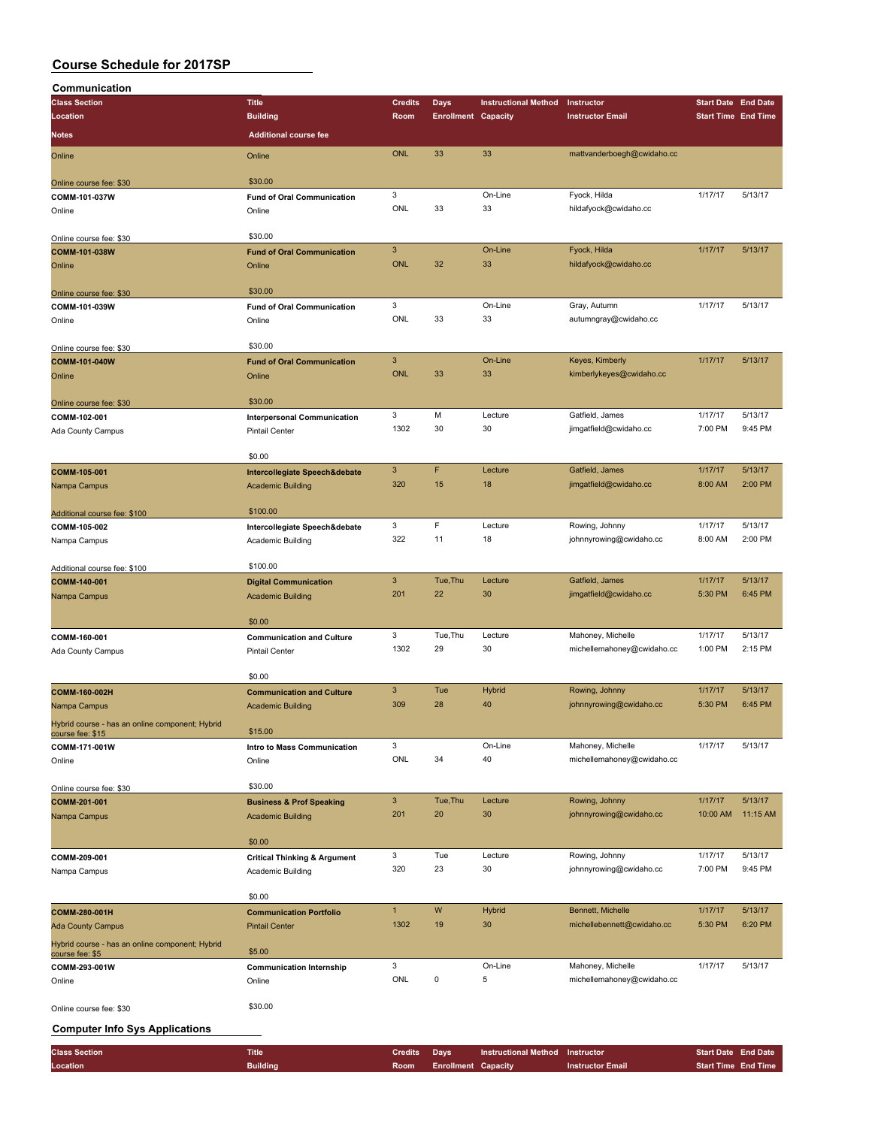| Communication                                                      |                                         |                |                            |                             |                            |                            |          |
|--------------------------------------------------------------------|-----------------------------------------|----------------|----------------------------|-----------------------------|----------------------------|----------------------------|----------|
| <b>Class Section</b>                                               | <b>Title</b>                            | <b>Credits</b> | <b>Days</b>                | <b>Instructional Method</b> | Instructor                 | <b>Start Date End Date</b> |          |
| Location                                                           | <b>Building</b>                         | Room           | <b>Enrollment Capacity</b> |                             | <b>Instructor Email</b>    | <b>Start Time End Time</b> |          |
|                                                                    |                                         |                |                            |                             |                            |                            |          |
| Notes                                                              | <b>Additional course fee</b>            |                |                            |                             |                            |                            |          |
|                                                                    |                                         | <b>ONL</b>     | 33                         | 33                          | mattvanderboegh@cwidaho.cc |                            |          |
| Online                                                             | Online                                  |                |                            |                             |                            |                            |          |
|                                                                    |                                         |                |                            |                             |                            |                            |          |
| Online course fee: \$30                                            | \$30.00                                 |                |                            |                             |                            |                            |          |
| COMM-101-037W                                                      | <b>Fund of Oral Communication</b>       | 3              |                            | On-Line                     | Fyock, Hilda               | 1/17/17                    | 5/13/17  |
| Online                                                             | Online                                  | ONL            | 33                         | 33                          | hildafyock@cwidaho.cc      |                            |          |
|                                                                    |                                         |                |                            |                             |                            |                            |          |
|                                                                    | \$30.00                                 |                |                            |                             |                            |                            |          |
| Online course fee: \$30                                            |                                         |                |                            |                             |                            |                            | 5/13/17  |
| COMM-101-038W                                                      | <b>Fund of Oral Communication</b>       | $\mathbf{3}$   |                            | On-Line                     | Fyock, Hilda               | 1/17/17                    |          |
| Online                                                             | Online                                  | <b>ONL</b>     | 32                         | 33                          | hildafyock@cwidaho.cc      |                            |          |
|                                                                    |                                         |                |                            |                             |                            |                            |          |
| Online course fee: \$30                                            | \$30.00                                 |                |                            |                             |                            |                            |          |
| COMM-101-039W                                                      | <b>Fund of Oral Communication</b>       | 3              |                            | On-Line                     | Gray, Autumn               | 1/17/17                    | 5/13/17  |
|                                                                    |                                         | ONL            | 33                         | 33                          | autumngray@cwidaho.cc      |                            |          |
| Online                                                             | Online                                  |                |                            |                             |                            |                            |          |
|                                                                    |                                         |                |                            |                             |                            |                            |          |
| Online course fee: \$30                                            | \$30.00                                 |                |                            |                             |                            |                            |          |
| COMM-101-040W                                                      | <b>Fund of Oral Communication</b>       | $\mathsf 3$    |                            | On-Line                     | Keyes, Kimberly            | 1/17/17                    | 5/13/17  |
| Online                                                             | Online                                  | <b>ONL</b>     | 33                         | 33                          | kimberlykeyes@cwidaho.cc   |                            |          |
|                                                                    |                                         |                |                            |                             |                            |                            |          |
|                                                                    | \$30.00                                 |                |                            |                             |                            |                            |          |
| Online course fee: \$30                                            |                                         |                | M                          |                             | Gatfield, James            |                            |          |
| COMM-102-001                                                       | <b>Interpersonal Communication</b>      | 3              |                            | Lecture                     |                            | 1/17/17                    | 5/13/17  |
| Ada County Campus                                                  | <b>Pintail Center</b>                   | 1302           | 30                         | 30                          | jimgatfield@cwidaho.cc     | 7:00 PM                    | 9:45 PM  |
|                                                                    |                                         |                |                            |                             |                            |                            |          |
|                                                                    | \$0.00                                  |                |                            |                             |                            |                            |          |
| COMM-105-001                                                       | Intercollegiate Speech&debate           | $\mathbf{3}$   | F                          | Lecture                     | Gatfield, James            | 1/17/17                    | 5/13/17  |
|                                                                    |                                         | 320            | 15                         | 18                          | jimgatfield@cwidaho.cc     | 8:00 AM                    | 2:00 PM  |
| Nampa Campus                                                       | <b>Academic Building</b>                |                |                            |                             |                            |                            |          |
|                                                                    |                                         |                |                            |                             |                            |                            |          |
| Additional course fee: \$100                                       | \$100.00                                |                |                            |                             |                            |                            |          |
| COMM-105-002                                                       | Intercollegiate Speech&debate           | 3              | F                          | Lecture                     | Rowing, Johnny             | 1/17/17                    | 5/13/17  |
| Nampa Campus                                                       | Academic Building                       | 322            | 11                         | 18                          | johnnyrowing@cwidaho.cc    | 8:00 AM                    | 2:00 PM  |
|                                                                    |                                         |                |                            |                             |                            |                            |          |
|                                                                    | \$100.00                                |                |                            |                             |                            |                            |          |
| Additional course fee: \$100                                       |                                         |                |                            |                             |                            |                            |          |
| COMM-140-001                                                       | <b>Digital Communication</b>            | $\mathbf{3}$   | Tue, Thu                   | Lecture                     | Gatfield, James            | 1/17/17                    | 5/13/17  |
| Nampa Campus                                                       | <b>Academic Building</b>                | 201            | 22                         | 30                          | jimgatfield@cwidaho.cc     | 5:30 PM                    | 6:45 PM  |
|                                                                    |                                         |                |                            |                             |                            |                            |          |
|                                                                    | \$0.00                                  |                |                            |                             |                            |                            |          |
| COMM-160-001                                                       | <b>Communication and Culture</b>        | 3              | Tue, Thu                   | Lecture                     | Mahoney, Michelle          | 1/17/17                    | 5/13/17  |
|                                                                    |                                         | 1302           | 29                         | 30                          |                            | 1:00 PM                    | 2:15 PM  |
| Ada County Campus                                                  | <b>Pintail Center</b>                   |                |                            |                             | michellemahoney@cwidaho.cc |                            |          |
|                                                                    |                                         |                |                            |                             |                            |                            |          |
|                                                                    | \$0.00                                  |                |                            |                             |                            |                            |          |
| COMM-160-002H                                                      | <b>Communication and Culture</b>        | $\mathbf{3}$   | Tue                        | Hybrid                      | Rowing, Johnny             | 1/17/17                    | 5/13/17  |
| Nampa Campus                                                       | <b>Academic Building</b>                | 309            | 28                         | 40                          | johnnyrowing@cwidaho.cc    | 5:30 PM                    | 6:45 PM  |
|                                                                    |                                         |                |                            |                             |                            |                            |          |
| Hybrid course - has an online component; Hybrid                    |                                         |                |                            |                             |                            |                            |          |
| course fee: \$15                                                   | \$15.00                                 |                |                            |                             |                            |                            |          |
| COMM-171-001W                                                      | Intro to Mass Communication             | 3              |                            | On-Line                     | Mahoney, Michelle          | 1/17/17                    | 5/13/17  |
| Online                                                             | Online                                  | ONL            | 34                         | 40                          | michellemahoney@cwidaho.cc |                            |          |
|                                                                    |                                         |                |                            |                             |                            |                            |          |
| Online course fee: \$30                                            | \$30.00                                 |                |                            |                             |                            |                            |          |
|                                                                    |                                         | $\mathbf{3}$   | Tue, Thu                   | Lecture                     | Rowing, Johnny             | 1/17/17                    | 5/13/17  |
| COMM-201-001                                                       | <b>Business &amp; Prof Speaking</b>     |                |                            |                             |                            |                            |          |
| Nampa Campus                                                       | <b>Academic Building</b>                | 201            | 20                         | 30                          | johnnyrowing@cwidaho.cc    | 10:00 AM                   | 11:15 AM |
|                                                                    |                                         |                |                            |                             |                            |                            |          |
|                                                                    | \$0.00                                  |                |                            |                             |                            |                            |          |
| COMM-209-001                                                       | <b>Critical Thinking &amp; Argument</b> | 3              | Tue                        | Lecture                     | Rowing, Johnny             | 1/17/17                    | 5/13/17  |
| Nampa Campus                                                       | Academic Building                       | 320            | 23                         | 30                          | johnnyrowing@cwidaho.cc    | 7:00 PM                    | 9:45 PM  |
|                                                                    |                                         |                |                            |                             |                            |                            |          |
|                                                                    |                                         |                |                            |                             |                            |                            |          |
|                                                                    | \$0.00                                  |                |                            |                             |                            |                            |          |
| COMM-280-001H                                                      | <b>Communication Portfolio</b>          | $\mathbf{1}$   | W                          | Hybrid                      | Bennett, Michelle          | 1/17/17                    | 5/13/17  |
| <b>Ada County Campus</b>                                           | <b>Pintail Center</b>                   | 1302           | 19                         | 30                          | michellebennett@cwidaho.cc | 5:30 PM                    | 6:20 PM  |
|                                                                    |                                         |                |                            |                             |                            |                            |          |
| Hybrid course - has an online component; Hybrid<br>course fee: \$5 | \$5.00                                  |                |                            |                             |                            |                            |          |
|                                                                    |                                         | 3              |                            | On-Line                     | Mahoney, Michelle          | 1/17/17                    | 5/13/17  |
| COMM-293-001W                                                      | <b>Communication Internship</b>         |                |                            |                             |                            |                            |          |
| Online                                                             | Online                                  | ONL            | 0                          | 5                           | michellemahoney@cwidaho.cc |                            |          |
|                                                                    |                                         |                |                            |                             |                            |                            |          |
| Online course fee: \$30                                            | \$30.00                                 |                |                            |                             |                            |                            |          |
|                                                                    |                                         |                |                            |                             |                            |                            |          |
| <b>Computer Info Sys Applications</b>                              |                                         |                |                            |                             |                            |                            |          |

| <b>Class Section</b> | <b>Title</b>    | <b>Credits</b> Davs |                                 | Instructional Method Instructor |                  | <b>Start Date End Date</b> |  |
|----------------------|-----------------|---------------------|---------------------------------|---------------------------------|------------------|----------------------------|--|
| Location             | <b>Building</b> |                     | <b>Room</b> Enrollment Capacity |                                 | Instructor Email | <b>Start Time End Time</b> |  |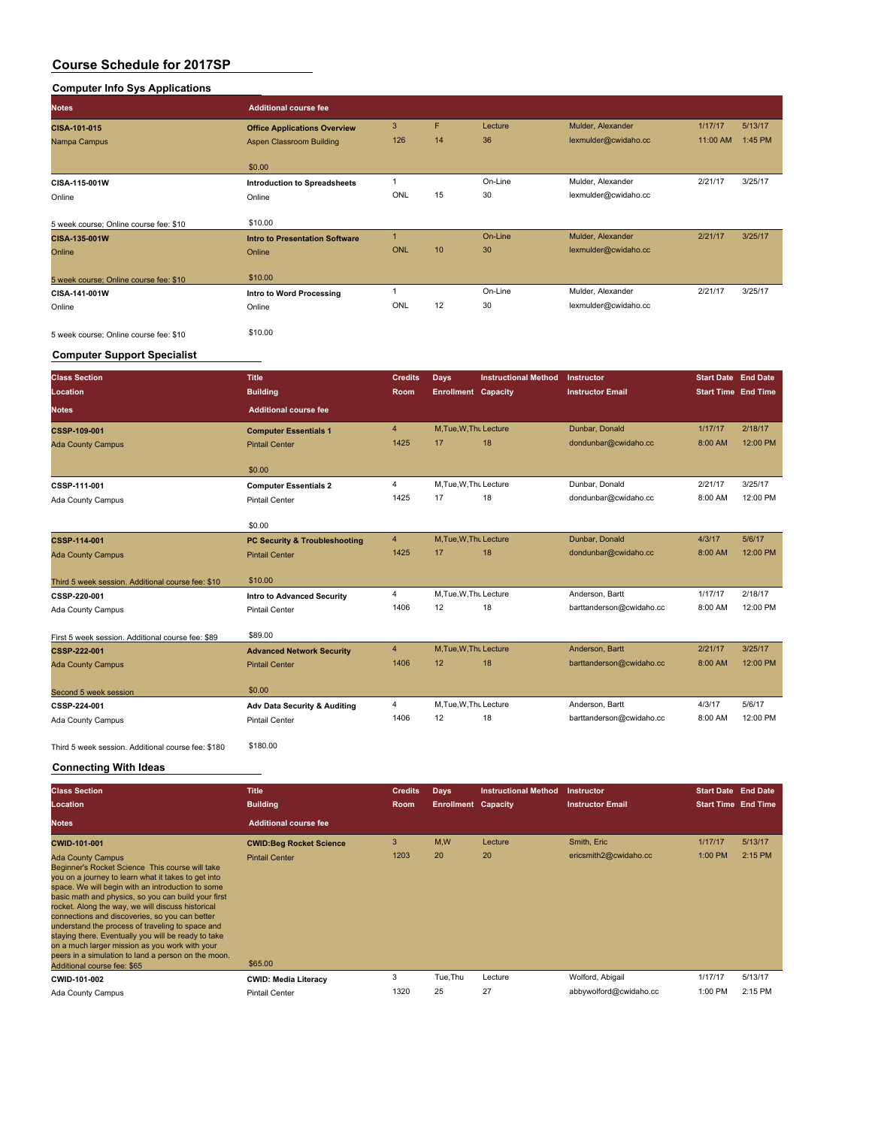### **Computer Info Sys Applications**

| <b>Notes</b>                           | <b>Additional course fee</b>          |            |                  |         |                      |          |         |
|----------------------------------------|---------------------------------------|------------|------------------|---------|----------------------|----------|---------|
| CISA-101-015                           | <b>Office Applications Overview</b>   | 3          | F                | Lecture | Mulder, Alexander    | 1/17/17  | 5/13/17 |
| Nampa Campus                           | Aspen Classroom Building              | 126        | 14               | 36      | lexmulder@cwidaho.cc | 11:00 AM | 1:45 PM |
|                                        | \$0.00                                |            |                  |         |                      |          |         |
| CISA-115-001W                          | <b>Introduction to Spreadsheets</b>   |            |                  | On-Line | Mulder, Alexander    | 2/21/17  | 3/25/17 |
| Online                                 | Online                                | ONL        | 15               | 30      | lexmulder@cwidaho.cc |          |         |
| 5 week course; Online course fee: \$10 | \$10.00                               |            |                  |         |                      |          |         |
| CISA-135-001W                          | <b>Intro to Presentation Software</b> |            |                  | On-Line | Mulder, Alexander    | 2/21/17  | 3/25/17 |
| Online                                 | Online                                | <b>ONL</b> | 10 <sup>10</sup> | 30      | lexmulder@cwidaho.cc |          |         |
| 5 week course; Online course fee: \$10 | \$10.00                               |            |                  |         |                      |          |         |
| CISA-141-001W                          | Intro to Word Processing              |            |                  | On-Line | Mulder, Alexander    | 2/21/17  | 3/25/17 |
| Online                                 | Online                                | ONL        | 12               | 30      | lexmulder@cwidaho.cc |          |         |
| 5 week course; Online course fee: \$10 | \$10.00                               |            |                  |         |                      |          |         |

### **Computer Support Specialist**

| <b>Class Section</b>                              | <b>Title</b>                             | <b>Credits</b> | Days                       | <b>Instructional Method</b> | Instructor               | <b>Start Date End Date</b> |          |
|---------------------------------------------------|------------------------------------------|----------------|----------------------------|-----------------------------|--------------------------|----------------------------|----------|
| Location                                          | <b>Building</b>                          | Room           | <b>Enrollment</b> Capacity |                             | <b>Instructor Email</b>  | <b>Start Time End Time</b> |          |
| <b>Notes</b>                                      | <b>Additional course fee</b>             |                |                            |                             |                          |                            |          |
| CSSP-109-001                                      | <b>Computer Essentials 1</b>             | $\overline{4}$ | M, Tue, W, Thu Lecture     |                             | Dunbar, Donald           | 1/17/17                    | 2/18/17  |
| <b>Ada County Campus</b>                          | <b>Pintail Center</b>                    | 1425           | 17                         | 18                          | dondunbar@cwidaho.cc     | 8:00 AM                    | 12:00 PM |
|                                                   | \$0.00                                   |                |                            |                             |                          |                            |          |
| CSSP-111-001                                      | <b>Computer Essentials 2</b>             | $\overline{4}$ | M, Tue, W, Thu Lecture     |                             | Dunbar, Donald           | 2/21/17                    | 3/25/17  |
| Ada County Campus                                 | <b>Pintail Center</b>                    | 1425           | 17                         | 18                          | dondunbar@cwidaho.cc     | 8:00 AM                    | 12:00 PM |
|                                                   | \$0.00                                   |                |                            |                             |                          |                            |          |
| CSSP-114-001                                      | <b>PC Security &amp; Troubleshooting</b> | $\overline{4}$ | M.Tue.W.Thu Lecture        |                             | Dunbar, Donald           | 4/3/17                     | 5/6/17   |
| <b>Ada County Campus</b>                          | <b>Pintail Center</b>                    | 1425           | 17                         | 18                          | dondunbar@cwidaho.cc     | 8:00 AM                    | 12:00 PM |
| Third 5 week session. Additional course fee: \$10 | \$10.00                                  |                |                            |                             |                          |                            |          |
| CSSP-220-001                                      | <b>Intro to Advanced Security</b>        | 4              | M.Tue, W.Thu Lecture       |                             | Anderson, Bartt          | 1/17/17                    | 2/18/17  |
| Ada County Campus                                 | <b>Pintail Center</b>                    | 1406           | 12                         | 18                          | barttanderson@cwidaho.cc | 8:00 AM                    | 12:00 PM |
| First 5 week session. Additional course fee: \$89 | \$89.00                                  |                |                            |                             |                          |                            |          |
| CSSP-222-001                                      | <b>Advanced Network Security</b>         | 4              | M.Tue.W.Thu Lecture        |                             | Anderson, Bartt          | 2/21/17                    | 3/25/17  |
| <b>Ada County Campus</b>                          | <b>Pintail Center</b>                    | 1406           | 12                         | 18                          | barttanderson@cwidaho.cc | 8:00 AM                    | 12:00 PM |
| Second 5 week session                             | \$0.00                                   |                |                            |                             |                          |                            |          |
| CSSP-224-001                                      | Adv Data Security & Auditing             | 4              | M, Tue, W, Thu Lecture     |                             | Anderson, Bartt          | 4/3/17                     | 5/6/17   |
| Ada County Campus                                 | Pintail Center                           | 1406           | 12                         | 18                          | barttanderson@cwidaho.cc | 8:00 AM                    | 12:00 PM |

Third 5 week session. Additional course fee: \$180 \$180.00

### **Connecting With Ideas**

| <b>Class Section</b>                                                                                                                                                                                                                                                                                                                                                                                                                                                                                                                                                                                     | <b>Title</b>                     | <b>Credits</b> | Days                       | <b>Instructional Method</b> | Instructor              | <b>Start Date End Date</b> |         |
|----------------------------------------------------------------------------------------------------------------------------------------------------------------------------------------------------------------------------------------------------------------------------------------------------------------------------------------------------------------------------------------------------------------------------------------------------------------------------------------------------------------------------------------------------------------------------------------------------------|----------------------------------|----------------|----------------------------|-----------------------------|-------------------------|----------------------------|---------|
| Location                                                                                                                                                                                                                                                                                                                                                                                                                                                                                                                                                                                                 | <b>Building</b>                  | <b>Room</b>    | <b>Enrollment Capacity</b> |                             | <b>Instructor Email</b> | <b>Start Time End Time</b> |         |
| <b>Notes</b>                                                                                                                                                                                                                                                                                                                                                                                                                                                                                                                                                                                             | <b>Additional course fee</b>     |                |                            |                             |                         |                            |         |
| CWID-101-001                                                                                                                                                                                                                                                                                                                                                                                                                                                                                                                                                                                             | <b>CWID:Beg Rocket Science</b>   | 3              | M,W                        | Lecture                     | Smith, Eric             | 1/17/17                    | 5/13/17 |
| <b>Ada County Campus</b><br>Beginner's Rocket Science This course will take<br>you on a journey to learn what it takes to get into<br>space. We will begin with an introduction to some<br>basic math and physics, so you can build your first<br>rocket. Along the way, we will discuss historical<br>connections and discoveries, so you can better<br>understand the process of traveling to space and<br>staying there. Eventually you will be ready to take<br>on a much larger mission as you work with your<br>peers in a simulation to land a person on the moon.<br>Additional course fee: \$65 | <b>Pintail Center</b><br>\$65.00 | 1203           | 20                         | 20                          | ericsmith2@cwidaho.cc   | 1:00 PM                    | 2:15 PM |
| CWID-101-002                                                                                                                                                                                                                                                                                                                                                                                                                                                                                                                                                                                             | <b>CWID: Media Literacy</b>      | 3              | Tue, Thu                   | Lecture                     | Wolford, Abigail        | 1/17/17                    | 5/13/17 |
| Ada County Campus                                                                                                                                                                                                                                                                                                                                                                                                                                                                                                                                                                                        | <b>Pintail Center</b>            | 1320           | 25                         | 27                          | abbywolford@cwidaho.cc  | 1:00 PM                    | 2:15 PM |

Ada County Campus **Ada County Campus** Pintail Center 1406 12 18 barttanderson@cwidaho.cc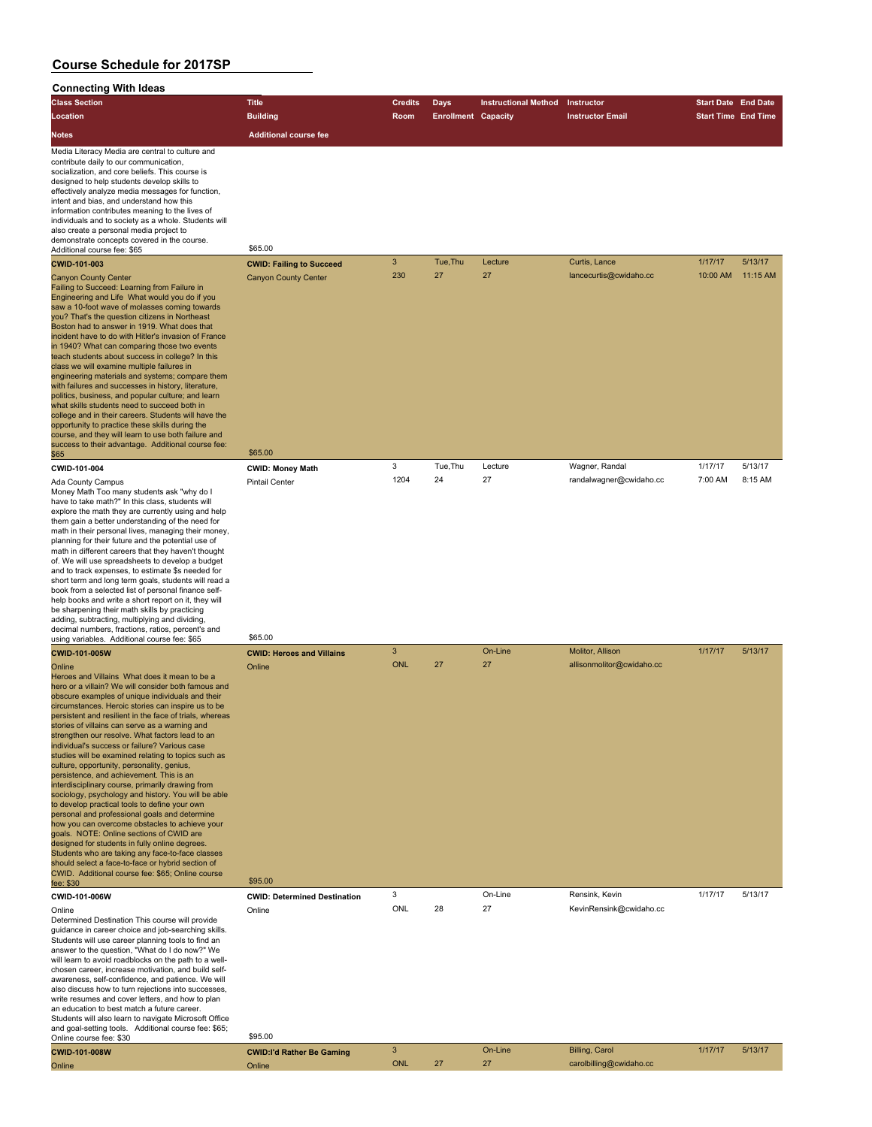| Connecting with ideas                                                                                                                                                                                                                                                                                                                                                                                                                                                                                                                                                                                                                                                                                                                                                                                                                                                                                                                                                                                                                                                                                                                              |                                                       |                            |                            |                             |                                               |                            |          |
|----------------------------------------------------------------------------------------------------------------------------------------------------------------------------------------------------------------------------------------------------------------------------------------------------------------------------------------------------------------------------------------------------------------------------------------------------------------------------------------------------------------------------------------------------------------------------------------------------------------------------------------------------------------------------------------------------------------------------------------------------------------------------------------------------------------------------------------------------------------------------------------------------------------------------------------------------------------------------------------------------------------------------------------------------------------------------------------------------------------------------------------------------|-------------------------------------------------------|----------------------------|----------------------------|-----------------------------|-----------------------------------------------|----------------------------|----------|
| <b>Class Section</b>                                                                                                                                                                                                                                                                                                                                                                                                                                                                                                                                                                                                                                                                                                                                                                                                                                                                                                                                                                                                                                                                                                                               | <b>Title</b>                                          | <b>Credits</b>             | <b>Days</b>                | <b>Instructional Method</b> | Instructor                                    | <b>Start Date End Date</b> |          |
| Location                                                                                                                                                                                                                                                                                                                                                                                                                                                                                                                                                                                                                                                                                                                                                                                                                                                                                                                                                                                                                                                                                                                                           | <b>Building</b>                                       | Room                       | <b>Enrollment Capacity</b> |                             | <b>Instructor Email</b>                       | <b>Start Time End Time</b> |          |
| Notes                                                                                                                                                                                                                                                                                                                                                                                                                                                                                                                                                                                                                                                                                                                                                                                                                                                                                                                                                                                                                                                                                                                                              | <b>Additional course fee</b>                          |                            |                            |                             |                                               |                            |          |
| Media Literacy Media are central to culture and<br>contribute daily to our communication,<br>socialization, and core beliefs. This course is<br>designed to help students develop skills to<br>effectively analyze media messages for function,<br>intent and bias, and understand how this<br>information contributes meaning to the lives of<br>individuals and to society as a whole. Students will<br>also create a personal media project to<br>demonstrate concepts covered in the course.<br>Additional course fee: \$65<br>CWID-101-003                                                                                                                                                                                                                                                                                                                                                                                                                                                                                                                                                                                                    | \$65.00<br><b>CWID: Failing to Succeed</b>            | $\mathbf{3}$               | Tue, Thu                   | Lecture                     | Curtis, Lance                                 | 1/17/17                    | 5/13/17  |
| <b>Canyon County Center</b><br>Failing to Succeed: Learning from Failure in<br>Engineering and Life What would you do if you<br>saw a 10-foot wave of molasses coming towards<br>you? That's the question citizens in Northeast<br>Boston had to answer in 1919. What does that<br>incident have to do with Hitler's invasion of France<br>in 1940? What can comparing those two events<br>teach students about success in college? In this<br>class we will examine multiple failures in<br>engineering materials and systems; compare them<br>with failures and successes in history, literature,<br>politics, business, and popular culture; and learn<br>what skills students need to succeed both in<br>college and in their careers. Students will have the<br>opportunity to practice these skills during the<br>course, and they will learn to use both failure and<br>success to their advantage. Additional course fee:                                                                                                                                                                                                                  | <b>Canyon County Center</b><br>\$65.00                | 230                        | 27                         | 27                          | lancecurtis@cwidaho.cc                        | 10:00 AM                   | 11:15 AM |
| \$65<br>CWID-101-004                                                                                                                                                                                                                                                                                                                                                                                                                                                                                                                                                                                                                                                                                                                                                                                                                                                                                                                                                                                                                                                                                                                               | <b>CWID: Money Math</b>                               | 3                          | Tue, Thu                   | Lecture                     | Wagner, Randal                                | 1/17/17                    | 5/13/17  |
| Ada County Campus<br>Money Math Too many students ask "why do I<br>have to take math?" In this class, students will<br>explore the math they are currently using and help<br>them gain a better understanding of the need for<br>math in their personal lives, managing their money,<br>planning for their future and the potential use of<br>math in different careers that they haven't thought<br>of. We will use spreadsheets to develop a budget<br>and to track expenses, to estimate \$s needed for<br>short term and long term goals, students will read a<br>book from a selected list of personal finance self-<br>help books and write a short report on it, they will<br>be sharpening their math skills by practicing<br>adding, subtracting, multiplying and dividing,<br>decimal numbers, fractions, ratios, percent's and                                                                                                                                                                                                                                                                                                          | <b>Pintail Center</b>                                 | 1204                       | 24                         | 27                          | randalwagner@cwidaho.cc                       | 7:00 AM                    | 8:15 AM  |
| using variables. Additional course fee: \$65                                                                                                                                                                                                                                                                                                                                                                                                                                                                                                                                                                                                                                                                                                                                                                                                                                                                                                                                                                                                                                                                                                       | \$65.00                                               |                            |                            |                             |                                               |                            |          |
| CWID-101-005W<br>Online<br>Heroes and Villains What does it mean to be a<br>hero or a villain? We will consider both famous and<br>obscure examples of unique individuals and their<br>circumstances. Heroic stories can inspire us to be<br>persistent and resilient in the face of trials, whereas<br>stories of villains can serve as a warning and<br>strengthen our resolve. What factors lead to an<br>individual's success or failure? Various case<br>studies will be examined relating to topics such as<br>culture, opportunity, personality, genius,<br>persistence, and achievement. This is an<br>interdisciplinary course, primarily drawing from<br>sociology, psychology and history. You will be able<br>to develop practical tools to define your own<br>personal and professional goals and determine<br>how you can overcome obstacles to achieve your<br>goals. NOTE: Online sections of CWID are<br>designed for students in fully online degrees.<br>Students who are taking any face-to-face classes<br>should select a face-to-face or hybrid section of<br>CWID. Additional course fee: \$65; Online course<br>fee: \$30 | <b>CWID: Heroes and Villains</b><br>Online<br>\$95.00 | $\mathbf{3}$<br><b>ONL</b> | 27                         | On-Line<br>27               | Molitor, Allison<br>allisonmolitor@cwidaho.cc | 1/17/17                    | 5/13/17  |
| CWID-101-006W                                                                                                                                                                                                                                                                                                                                                                                                                                                                                                                                                                                                                                                                                                                                                                                                                                                                                                                                                                                                                                                                                                                                      | <b>CWID: Determined Destination</b>                   | 3                          |                            | On-Line                     | Rensink, Kevin                                | 1/17/17                    | 5/13/17  |
| Online<br>Determined Destination This course will provide<br>guidance in career choice and job-searching skills.<br>Students will use career planning tools to find an<br>answer to the question, "What do I do now?" We<br>will learn to avoid roadblocks on the path to a well-<br>chosen career, increase motivation, and build self-<br>awareness, self-confidence, and patience. We will<br>also discuss how to turn rejections into successes,<br>write resumes and cover letters, and how to plan<br>an education to best match a future career.<br>Students will also learn to navigate Microsoft Office<br>and goal-setting tools. Additional course fee: \$65;<br>Online course fee: \$30                                                                                                                                                                                                                                                                                                                                                                                                                                                | Online<br>\$95.00                                     | ONL                        | 28                         | 27                          | KevinRensink@cwidaho.cc                       |                            |          |
| CWID-101-008W                                                                                                                                                                                                                                                                                                                                                                                                                                                                                                                                                                                                                                                                                                                                                                                                                                                                                                                                                                                                                                                                                                                                      | <b>CWID:I'd Rather Be Gaming</b>                      | $\mathbf{3}$               |                            | On-Line                     | <b>Billing, Carol</b>                         | 1/17/17                    | 5/13/17  |
| Online                                                                                                                                                                                                                                                                                                                                                                                                                                                                                                                                                                                                                                                                                                                                                                                                                                                                                                                                                                                                                                                                                                                                             | Online                                                | <b>ONL</b>                 | 27                         | 27                          | carolbilling@cwidaho.cc                       |                            |          |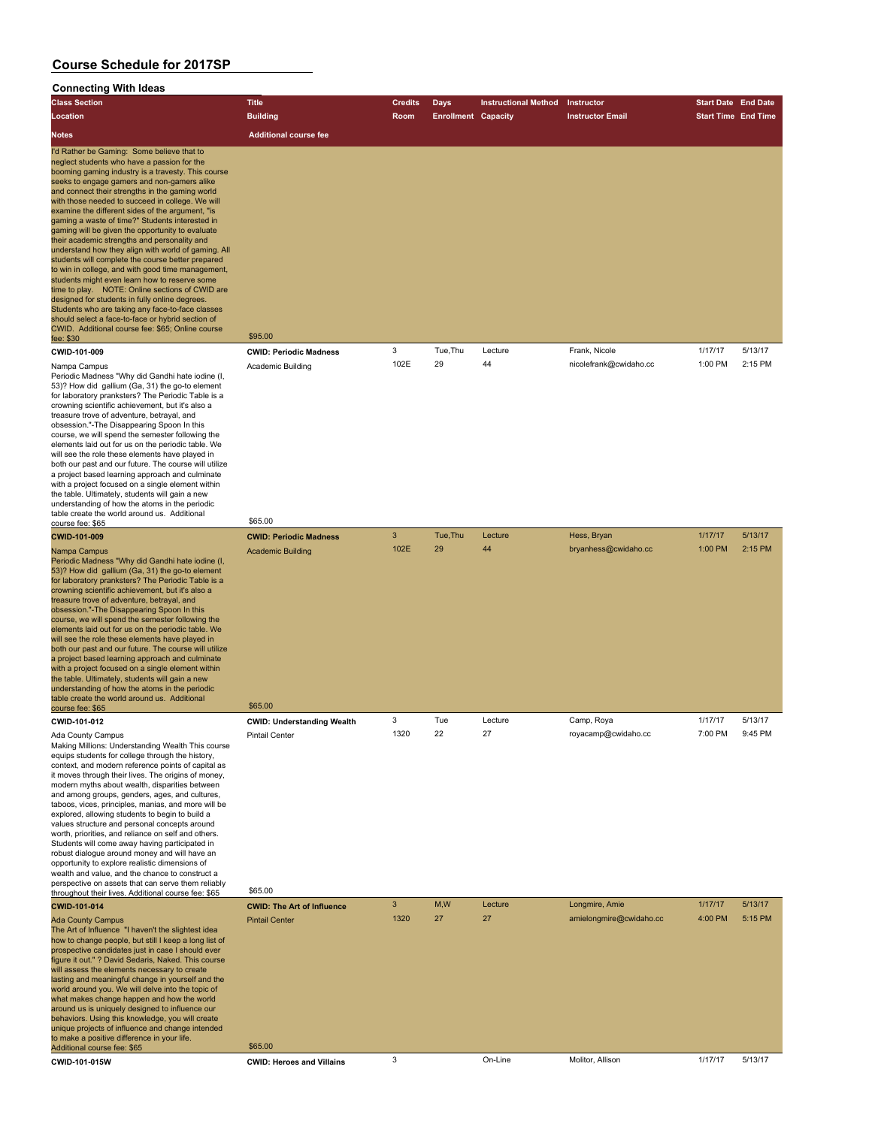| <b>Class Section</b>                                                                                                                                                                                                                                                                                                                                                                                                                                                                                                                                                                                                                                                                                                                                                                                                                                                                                                                                                                                                                                                                                                                                                                                                                                                                                                                                                                                                                                                                                                                                                                                                                                                                                                                            | <b>Title</b>                                                          | <b>Credits</b> | Days                       | <b>Instructional Method</b> | Instructor                              | <b>Start Date End Date</b> |                    |
|-------------------------------------------------------------------------------------------------------------------------------------------------------------------------------------------------------------------------------------------------------------------------------------------------------------------------------------------------------------------------------------------------------------------------------------------------------------------------------------------------------------------------------------------------------------------------------------------------------------------------------------------------------------------------------------------------------------------------------------------------------------------------------------------------------------------------------------------------------------------------------------------------------------------------------------------------------------------------------------------------------------------------------------------------------------------------------------------------------------------------------------------------------------------------------------------------------------------------------------------------------------------------------------------------------------------------------------------------------------------------------------------------------------------------------------------------------------------------------------------------------------------------------------------------------------------------------------------------------------------------------------------------------------------------------------------------------------------------------------------------|-----------------------------------------------------------------------|----------------|----------------------------|-----------------------------|-----------------------------------------|----------------------------|--------------------|
| Location                                                                                                                                                                                                                                                                                                                                                                                                                                                                                                                                                                                                                                                                                                                                                                                                                                                                                                                                                                                                                                                                                                                                                                                                                                                                                                                                                                                                                                                                                                                                                                                                                                                                                                                                        | <b>Building</b>                                                       | Room           | <b>Enrollment Capacity</b> |                             | <b>Instructor Email</b>                 | <b>Start Time End Time</b> |                    |
| Notes                                                                                                                                                                                                                                                                                                                                                                                                                                                                                                                                                                                                                                                                                                                                                                                                                                                                                                                                                                                                                                                                                                                                                                                                                                                                                                                                                                                                                                                                                                                                                                                                                                                                                                                                           | <b>Additional course fee</b>                                          |                |                            |                             |                                         |                            |                    |
| I'd Rather be Gaming: Some believe that to<br>neglect students who have a passion for the<br>booming gaming industry is a travesty. This course<br>seeks to engage gamers and non-gamers alike<br>and connect their strengths in the gaming world<br>with those needed to succeed in college. We will<br>examine the different sides of the argument, "is<br>gaming a waste of time?" Students interested in<br>gaming will be given the opportunity to evaluate<br>their academic strengths and personality and<br>understand how they align with world of gaming. All<br>students will complete the course better prepared<br>to win in college, and with good time management,<br>students might even learn how to reserve some<br>time to play. NOTE: Online sections of CWID are<br>designed for students in fully online degrees.<br>Students who are taking any face-to-face classes<br>should select a face-to-face or hybrid section of<br>CWID. Additional course fee: \$65; Online course<br>fee: \$30<br>CWID-101-009<br>Nampa Campus<br>Periodic Madness "Why did Gandhi hate iodine (I,<br>53)? How did gallium (Ga, 31) the go-to element<br>for laboratory pranksters? The Periodic Table is a<br>crowning scientific achievement, but it's also a<br>treasure trove of adventure, betrayal, and<br>obsession."-The Disappearing Spoon In this<br>course, we will spend the semester following the<br>elements laid out for us on the periodic table. We<br>will see the role these elements have played in<br>both our past and our future. The course will utilize<br>a project based learning approach and culminate<br>with a project focused on a single element within<br>the table. Ultimately, students will gain a new | \$95.00<br><b>CWID: Periodic Madness</b><br>Academic Building         | 3<br>102E      | Tue, Thu<br>29             | Lecture<br>44               | Frank, Nicole<br>nicolefrank@cwidaho.cc | 1/17/17<br>1:00 PM         | 5/13/17<br>2:15 PM |
| understanding of how the atoms in the periodic<br>table create the world around us. Additional                                                                                                                                                                                                                                                                                                                                                                                                                                                                                                                                                                                                                                                                                                                                                                                                                                                                                                                                                                                                                                                                                                                                                                                                                                                                                                                                                                                                                                                                                                                                                                                                                                                  |                                                                       |                |                            |                             |                                         |                            |                    |
| course fee: \$65<br><b>CWID-101-009</b>                                                                                                                                                                                                                                                                                                                                                                                                                                                                                                                                                                                                                                                                                                                                                                                                                                                                                                                                                                                                                                                                                                                                                                                                                                                                                                                                                                                                                                                                                                                                                                                                                                                                                                         | \$65.00<br><b>CWID: Periodic Madness</b>                              | 3              | Tue, Thu                   | Lecture                     | Hess, Bryan                             | 1/17/17                    | 5/13/17            |
| Nampa Campus<br>Periodic Madness "Why did Gandhi hate iodine (I,<br>53)? How did gallium (Ga, 31) the go-to element<br>for laboratory pranksters? The Periodic Table is a<br>crowning scientific achievement, but it's also a<br>treasure trove of adventure, betrayal, and<br>obsession."-The Disappearing Spoon In this<br>course, we will spend the semester following the<br>elements laid out for us on the periodic table. We<br>will see the role these elements have played in<br>both our past and our future. The course will utilize<br>a project based learning approach and culminate<br>with a project focused on a single element within<br>the table. Ultimately, students will gain a new<br>understanding of how the atoms in the periodic<br>table create the world around us. Additional                                                                                                                                                                                                                                                                                                                                                                                                                                                                                                                                                                                                                                                                                                                                                                                                                                                                                                                                    | <b>Academic Building</b>                                              | 102E           | 29                         | 44                          | bryanhess@cwidaho.cc                    | 1:00 PM                    | 2:15 PM            |
| course fee: \$65                                                                                                                                                                                                                                                                                                                                                                                                                                                                                                                                                                                                                                                                                                                                                                                                                                                                                                                                                                                                                                                                                                                                                                                                                                                                                                                                                                                                                                                                                                                                                                                                                                                                                                                                | \$65.00                                                               | 3              | Tue                        | Lecture                     |                                         | 1/17/17                    | 5/13/17            |
| CWID-101-012<br>Ada County Campus<br>Making Millions: Understanding Wealth This course<br>equips students for college through the history,<br>context, and modern reference points of capital as<br>it moves through their lives. The origins of money,<br>modern myths about wealth, disparities between<br>and among groups, genders, ages, and cultures,<br>taboos, vices, principles, manias, and more will be<br>explored, allowing students to begin to build a<br>values structure and personal concepts around<br>worth, priorities, and reliance on self and others.<br>Students will come away having participated in<br>robust dialogue around money and will have an<br>opportunity to explore realistic dimensions of<br>wealth and value, and the chance to construct a<br>perspective on assets that can serve them reliably<br>throughout their lives. Additional course fee: \$65                                                                                                                                                                                                                                                                                                                                                                                                                                                                                                                                                                                                                                                                                                                                                                                                                                              | <b>CWID: Understanding Wealth</b><br><b>Pintail Center</b><br>\$65.00 | 1320           | 22                         | 27                          | Camp, Roya<br>royacamp@cwidano.cc       | 7:00 PM                    |                    |
| CWID-101-014                                                                                                                                                                                                                                                                                                                                                                                                                                                                                                                                                                                                                                                                                                                                                                                                                                                                                                                                                                                                                                                                                                                                                                                                                                                                                                                                                                                                                                                                                                                                                                                                                                                                                                                                    | <b>CWID: The Art of Influence</b>                                     | 3              | M,W                        | Lecture                     | Longmire, Amie                          | 1/17/17                    | 5/13/17            |
| <b>Ada County Campus</b><br>The Art of Influence "I haven't the slightest idea<br>how to change people, but still I keep a long list of<br>prospective candidates just in case I should ever<br>figure it out." ? David Sedaris, Naked. This course<br>will assess the elements necessary to create<br>lasting and meaningful change in yourself and the<br>world around you. We will delve into the topic of<br>what makes change happen and how the world<br>around us is uniquely designed to influence our<br>behaviors. Using this knowledge, you will create<br>unique projects of influence and change intended<br>to make a positive difference in your life.<br>Additional course fee: \$65                                                                                                                                                                                                                                                                                                                                                                                                                                                                                                                                                                                                                                                                                                                                                                                                                                                                                                                                                                                                                                            | <b>Pintail Center</b><br>\$65.00                                      | 1320           | 27                         | 27                          | amielongmire@cwidaho.cc                 | 4:00 PM                    | 5:15 PM            |
| CWID-101-015W                                                                                                                                                                                                                                                                                                                                                                                                                                                                                                                                                                                                                                                                                                                                                                                                                                                                                                                                                                                                                                                                                                                                                                                                                                                                                                                                                                                                                                                                                                                                                                                                                                                                                                                                   | <b>CWID: Heroes and Villains</b>                                      | 3              |                            | On-Line                     | Molitor, Allison                        | 1/17/17                    | 5/13/17            |
|                                                                                                                                                                                                                                                                                                                                                                                                                                                                                                                                                                                                                                                                                                                                                                                                                                                                                                                                                                                                                                                                                                                                                                                                                                                                                                                                                                                                                                                                                                                                                                                                                                                                                                                                                 |                                                                       |                |                            |                             |                                         |                            |                    |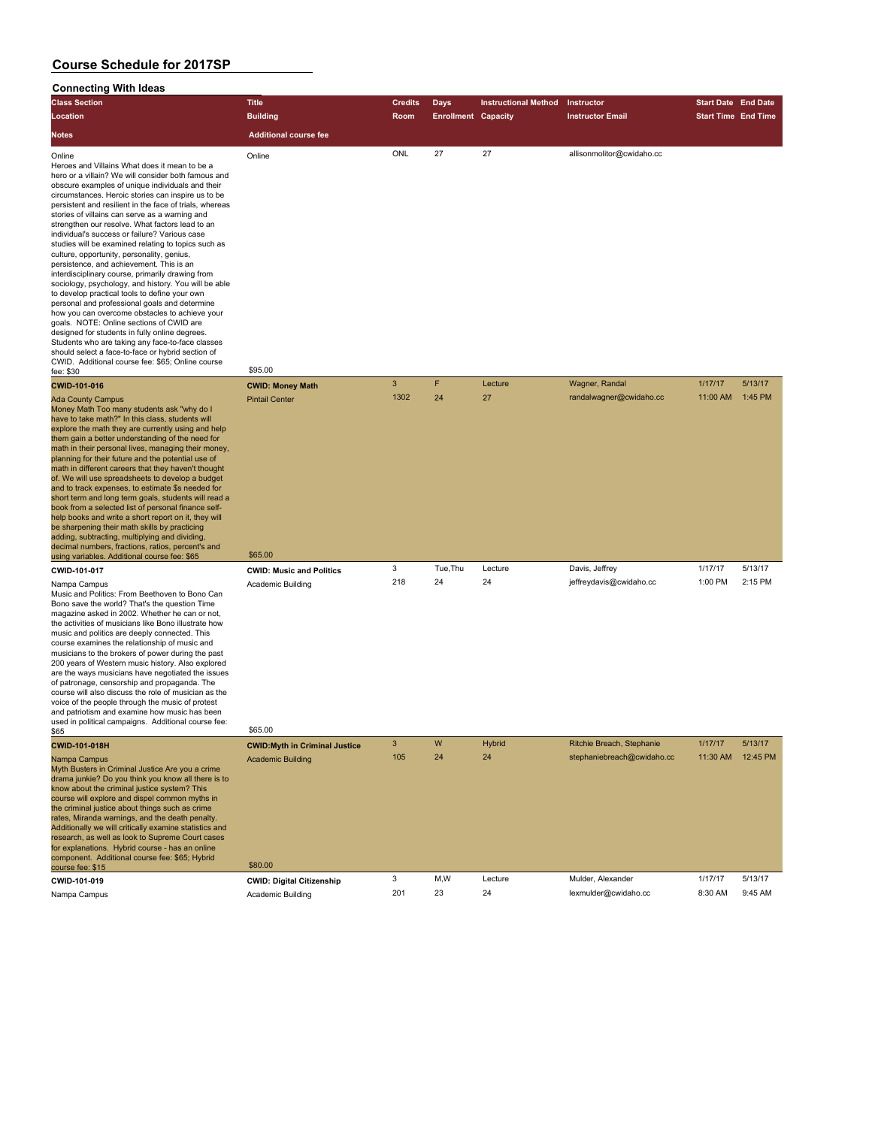| <b>Class Section</b>                                                                                                                                                                                                                                                                                                                                                                                                                                                                                                                                                                                                                                                                                                                                                                                                                                                                                                                                                                                                                                                                                                  | <b>Title</b>                                                                 | <b>Credits</b> | Days                       | <b>Instructional Method</b> | Instructor                                              | <b>Start Date End Date</b> |                     |
|-----------------------------------------------------------------------------------------------------------------------------------------------------------------------------------------------------------------------------------------------------------------------------------------------------------------------------------------------------------------------------------------------------------------------------------------------------------------------------------------------------------------------------------------------------------------------------------------------------------------------------------------------------------------------------------------------------------------------------------------------------------------------------------------------------------------------------------------------------------------------------------------------------------------------------------------------------------------------------------------------------------------------------------------------------------------------------------------------------------------------|------------------------------------------------------------------------------|----------------|----------------------------|-----------------------------|---------------------------------------------------------|----------------------------|---------------------|
| Location                                                                                                                                                                                                                                                                                                                                                                                                                                                                                                                                                                                                                                                                                                                                                                                                                                                                                                                                                                                                                                                                                                              | <b>Building</b>                                                              | Room           | <b>Enrollment Capacity</b> |                             | <b>Instructor Email</b>                                 | <b>Start Time End Time</b> |                     |
| Notes                                                                                                                                                                                                                                                                                                                                                                                                                                                                                                                                                                                                                                                                                                                                                                                                                                                                                                                                                                                                                                                                                                                 | <b>Additional course fee</b>                                                 |                |                            |                             |                                                         |                            |                     |
| Online<br>Heroes and Villains What does it mean to be a<br>hero or a villain? We will consider both famous and<br>obscure examples of unique individuals and their<br>circumstances. Heroic stories can inspire us to be<br>persistent and resilient in the face of trials, whereas<br>stories of villains can serve as a warning and<br>strengthen our resolve. What factors lead to an<br>individual's success or failure? Various case<br>studies will be examined relating to topics such as<br>culture, opportunity, personality, genius,<br>persistence, and achievement. This is an<br>interdisciplinary course, primarily drawing from<br>sociology, psychology, and history. You will be able<br>to develop practical tools to define your own<br>personal and professional goals and determine<br>how you can overcome obstacles to achieve your<br>goals. NOTE: Online sections of CWID are<br>designed for students in fully online degrees.<br>Students who are taking any face-to-face classes<br>should select a face-to-face or hybrid section of<br>CWID. Additional course fee: \$65; Online course | Online                                                                       | ONL            | 27                         | 27                          | allisonmolitor@cwidaho.cc                               |                            |                     |
| fee: \$30                                                                                                                                                                                                                                                                                                                                                                                                                                                                                                                                                                                                                                                                                                                                                                                                                                                                                                                                                                                                                                                                                                             | \$95.00                                                                      | 3              | F                          |                             |                                                         | 1/17/17                    | 5/13/17             |
| CWID-101-016<br><b>Ada County Campus</b><br>Money Math Too many students ask "why do I<br>have to take math?" In this class, students will<br>explore the math they are currently using and help<br>them gain a better understanding of the need for<br>math in their personal lives, managing their money,<br>planning for their future and the potential use of<br>math in different careers that they haven't thought<br>of. We will use spreadsheets to develop a budget<br>and to track expenses, to estimate \$s needed for<br>short term and long term goals, students will read a<br>book from a selected list of personal finance self-<br>help books and write a short report on it, they will<br>be sharpening their math skills by practicing<br>adding, subtracting, multiplying and dividing,<br>decimal numbers, fractions, ratios, percent's and                                                                                                                                                                                                                                                      | <b>CWID: Money Math</b><br><b>Pintail Center</b>                             | 1302           | 24                         | Lecture<br>27               | Wagner, Randal<br>randalwagner@cwidaho.cc               | 11:00 AM                   | 1:45 PM             |
| using variables. Additional course fee: \$65                                                                                                                                                                                                                                                                                                                                                                                                                                                                                                                                                                                                                                                                                                                                                                                                                                                                                                                                                                                                                                                                          | \$65.00                                                                      |                |                            |                             |                                                         |                            |                     |
| CWID-101-017<br>Nampa Campus<br>Music and Politics: From Beethoven to Bono Can<br>Bono save the world? That's the question Time<br>magazine asked in 2002. Whether he can or not,<br>the activities of musicians like Bono illustrate how<br>music and politics are deeply connected. This<br>course examines the relationship of music and<br>musicians to the brokers of power during the past<br>200 years of Western music history. Also explored<br>are the ways musicians have negotiated the issues<br>of patronage, censorship and propaganda. The<br>course will also discuss the role of musician as the<br>voice of the people through the music of protest<br>and patriotism and examine how music has been<br>used in political campaigns. Additional course fee:                                                                                                                                                                                                                                                                                                                                        | <b>CWID: Music and Politics</b><br><b>Academic Building</b>                  | 3<br>218       | Tue, Thu<br>24             | Lecture<br>24               | Davis, Jeffrey<br>jeffreydavis@cwidaho.cc               | 1/17/17<br>1:00 PM         | 5/13/17<br>2:15 PM  |
| \$65                                                                                                                                                                                                                                                                                                                                                                                                                                                                                                                                                                                                                                                                                                                                                                                                                                                                                                                                                                                                                                                                                                                  | \$65.00                                                                      |                |                            |                             |                                                         |                            |                     |
| CWID-101-018H<br>Nampa Campus<br>Myth Busters in Criminal Justice Are you a crime<br>drama junkie? Do you think you know all there is to<br>know about the criminal justice system? This<br>course will explore and dispel common myths in<br>the criminal justice about things such as crime<br>rates, Miranda warnings, and the death penalty.<br>Additionally we will critically examine statistics and<br>research, as well as look to Supreme Court cases<br>for explanations. Hybrid course - has an online<br>component. Additional course fee: \$65; Hybrid<br>course fee: \$15                                                                                                                                                                                                                                                                                                                                                                                                                                                                                                                               | <b>CWID: Myth in Criminal Justice</b><br><b>Academic Building</b><br>\$80.00 | 3<br>105       | W<br>24                    | Hybrid<br>24                | Ritchie Breach, Stephanie<br>stephaniebreach@cwidaho.cc | 1/17/17<br>11:30 AM        | 5/13/17<br>12:45 PM |
| CWID-101-019                                                                                                                                                                                                                                                                                                                                                                                                                                                                                                                                                                                                                                                                                                                                                                                                                                                                                                                                                                                                                                                                                                          | <b>CWID: Digital Citizenship</b>                                             | 3              | M,W                        | Lecture                     | Mulder, Alexander                                       | 1/17/17                    | 5/13/17             |
| Nampa Campus                                                                                                                                                                                                                                                                                                                                                                                                                                                                                                                                                                                                                                                                                                                                                                                                                                                                                                                                                                                                                                                                                                          | Academic Building                                                            | 201            | 23                         | 24                          | lexmulder@cwidaho.cc                                    | 8:30 AM                    | 9:45 AM             |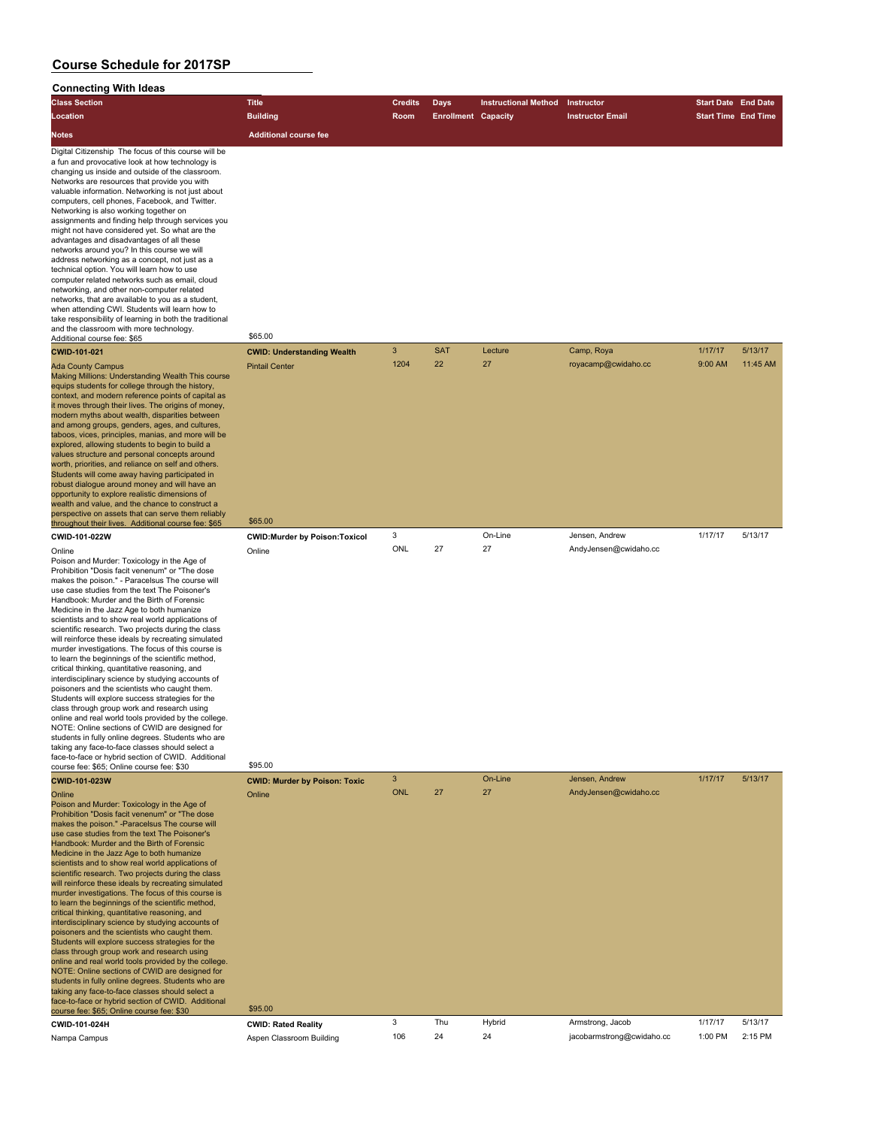| <b>Class Section</b>                                                                                                                                                                                                                                                                                                                                                                                                                                                                                                                                                                                                                                                                                                                                                                                                                                                                                                                                                                                                                                                                                                                                                 | <b>Title</b>                         | <b>Credits</b> | <b>Days</b>                | <b>Instructional Method</b> | Instructor                | <b>Start Date End Date</b> |          |
|----------------------------------------------------------------------------------------------------------------------------------------------------------------------------------------------------------------------------------------------------------------------------------------------------------------------------------------------------------------------------------------------------------------------------------------------------------------------------------------------------------------------------------------------------------------------------------------------------------------------------------------------------------------------------------------------------------------------------------------------------------------------------------------------------------------------------------------------------------------------------------------------------------------------------------------------------------------------------------------------------------------------------------------------------------------------------------------------------------------------------------------------------------------------|--------------------------------------|----------------|----------------------------|-----------------------------|---------------------------|----------------------------|----------|
| Location                                                                                                                                                                                                                                                                                                                                                                                                                                                                                                                                                                                                                                                                                                                                                                                                                                                                                                                                                                                                                                                                                                                                                             | <b>Building</b>                      | Room           | <b>Enrollment Capacity</b> |                             | <b>Instructor Email</b>   | <b>Start Time End Time</b> |          |
| Notes                                                                                                                                                                                                                                                                                                                                                                                                                                                                                                                                                                                                                                                                                                                                                                                                                                                                                                                                                                                                                                                                                                                                                                | <b>Additional course fee</b>         |                |                            |                             |                           |                            |          |
| Digital Citizenship The focus of this course will be<br>a fun and provocative look at how technology is<br>changing us inside and outside of the classroom.<br>Networks are resources that provide you with<br>valuable information. Networking is not just about<br>computers, cell phones, Facebook, and Twitter.<br>Networking is also working together on<br>assignments and finding help through services you<br>might not have considered yet. So what are the<br>advantages and disadvantages of all these<br>networks around you? In this course we will<br>address networking as a concept, not just as a<br>technical option. You will learn how to use<br>computer related networks such as email, cloud<br>networking, and other non-computer related<br>networks, that are available to you as a student,<br>when attending CWI. Students will learn how to<br>take responsibility of learning in both the traditional<br>and the classroom with more technology.<br>Additional course fee: \$65                                                                                                                                                        | \$65.00                              |                |                            |                             |                           |                            |          |
| CWID-101-021                                                                                                                                                                                                                                                                                                                                                                                                                                                                                                                                                                                                                                                                                                                                                                                                                                                                                                                                                                                                                                                                                                                                                         | <b>CWID: Understanding Wealth</b>    | 3              | <b>SAT</b>                 | Lecture                     | Camp, Roya                | 1/17/17                    | 5/13/17  |
| Ada County Campus<br>Making Millions: Understanding Wealth This course<br>equips students for college through the history,<br>context, and modern reference points of capital as<br>it moves through their lives. The origins of money,<br>modern myths about wealth, disparities between<br>and among groups, genders, ages, and cultures,<br>taboos, vices, principles, manias, and more will be<br>explored, allowing students to begin to build a<br>values structure and personal concepts around<br>worth, priorities, and reliance on self and others.<br>Students will come away having participated in<br>robust dialogue around money and will have an<br>opportunity to explore realistic dimensions of<br>wealth and value, and the chance to construct a<br>perspective on assets that can serve them reliably<br>throughout their lives. Additional course fee: \$65                                                                                                                                                                                                                                                                                   | <b>Pintail Center</b><br>\$65.00     | 1204           | 22                         | 27                          | royacamp@cwidaho.cc       | 9:00 AM                    | 11:45 AM |
| CWID-101-022W                                                                                                                                                                                                                                                                                                                                                                                                                                                                                                                                                                                                                                                                                                                                                                                                                                                                                                                                                                                                                                                                                                                                                        | <b>CWID:Murder by Poison:Toxicol</b> | 3              |                            | On-Line                     | Jensen, Andrew            | 1/17/17                    | 5/13/17  |
| Online<br>Poison and Murder: Toxicology in the Age of<br>Prohibition "Dosis facit venenum" or "The dose<br>makes the poison." - Paracelsus The course will<br>use case studies from the text The Poisoner's<br>Handbook: Murder and the Birth of Forensic<br>Medicine in the Jazz Age to both humanize<br>scientists and to show real world applications of<br>scientific research. Two projects during the class<br>will reinforce these ideals by recreating simulated<br>murder investigations. The focus of this course is<br>to learn the beginnings of the scientific method,<br>critical thinking, quantitative reasoning, and<br>interdisciplinary science by studying accounts of<br>poisoners and the scientists who caught them.<br>Students will explore success strategies for the<br>class through group work and research using<br>online and real world tools provided by the college.<br>NOTE: Online sections of CWID are designed for<br>students in fully online degrees. Students who are<br>taking any face-to-face classes should select a<br>face-to-face or hybrid section of CWID. Additional<br>course fee: \$65; Online course fee: \$30 | Online<br>\$95.00                    | ONL            | 27                         | 27                          | AndyJensen@cwidaho.cc     |                            |          |
| CWID-101-023W                                                                                                                                                                                                                                                                                                                                                                                                                                                                                                                                                                                                                                                                                                                                                                                                                                                                                                                                                                                                                                                                                                                                                        | <b>CWID: Murder by Poison: Toxic</b> | 3              |                            | On-Line                     | Jensen, Andrew            | 1/17/17                    | 5/13/17  |
| Online<br>Poison and Murder: Toxicology in the Age of<br>Prohibition "Dosis facit venenum" or "The dose<br>makes the poison." -Paracelsus The course will<br>use case studies from the text The Poisoner's<br>Handbook: Murder and the Birth of Forensic<br>Medicine in the Jazz Age to both humanize<br>scientists and to show real world applications of<br>scientific research. Two projects during the class<br>will reinforce these ideals by recreating simulated<br>murder investigations. The focus of this course is<br>to learn the beginnings of the scientific method,<br>critical thinking, quantitative reasoning, and<br>interdisciplinary science by studying accounts of<br>poisoners and the scientists who caught them.<br>Students will explore success strategies for the<br>class through group work and research using<br>online and real world tools provided by the college.<br>NOTE: Online sections of CWID are designed for<br>students in fully online degrees. Students who are<br>taking any face-to-face classes should select a<br>face-to-face or hybrid section of CWID. Additional<br>course fee: \$65; Online course fee: \$30  | Online<br>\$95.00                    | <b>ONL</b>     | 27                         | 27                          | AndyJensen@cwidaho.cc     |                            |          |
| CWID-101-024H                                                                                                                                                                                                                                                                                                                                                                                                                                                                                                                                                                                                                                                                                                                                                                                                                                                                                                                                                                                                                                                                                                                                                        | <b>CWID: Rated Reality</b>           | 3              | Thu                        | Hybrid                      | Armstrong, Jacob          | 1/17/17                    | 5/13/17  |
| Nampa Campus                                                                                                                                                                                                                                                                                                                                                                                                                                                                                                                                                                                                                                                                                                                                                                                                                                                                                                                                                                                                                                                                                                                                                         | Aspen Classroom Building             | 106            | 24                         | 24                          | jacobarmstrong@cwidaho.cc | 1:00 PM                    | 2:15 PM  |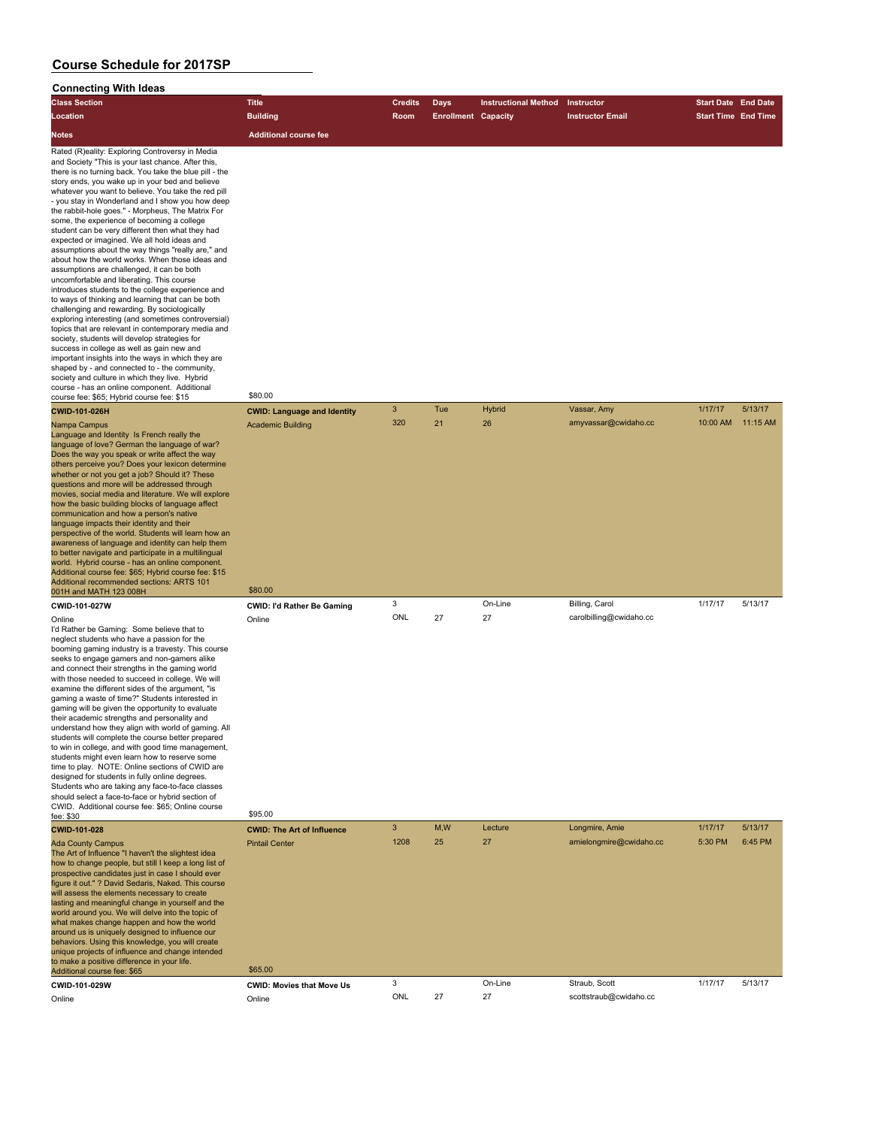| <b>Class Section</b>                                                                                                                                                                                                                                                                                                                                                                                                                                                                                                                                                                                                                                                                                                                                                                                                                                                                                                                                                                                                                                                                                                                                                                                                                                                                                                   | <b>Title</b>                                           | <b>Credits</b> | Days                       | <b>Instructional Method</b> | Instructor                              | <b>Start Date End Date</b> |          |
|------------------------------------------------------------------------------------------------------------------------------------------------------------------------------------------------------------------------------------------------------------------------------------------------------------------------------------------------------------------------------------------------------------------------------------------------------------------------------------------------------------------------------------------------------------------------------------------------------------------------------------------------------------------------------------------------------------------------------------------------------------------------------------------------------------------------------------------------------------------------------------------------------------------------------------------------------------------------------------------------------------------------------------------------------------------------------------------------------------------------------------------------------------------------------------------------------------------------------------------------------------------------------------------------------------------------|--------------------------------------------------------|----------------|----------------------------|-----------------------------|-----------------------------------------|----------------------------|----------|
| Location                                                                                                                                                                                                                                                                                                                                                                                                                                                                                                                                                                                                                                                                                                                                                                                                                                                                                                                                                                                                                                                                                                                                                                                                                                                                                                               | <b>Building</b>                                        | Room           | <b>Enrollment Capacity</b> |                             | <b>Instructor Email</b>                 | <b>Start Time End Time</b> |          |
| Notes                                                                                                                                                                                                                                                                                                                                                                                                                                                                                                                                                                                                                                                                                                                                                                                                                                                                                                                                                                                                                                                                                                                                                                                                                                                                                                                  | <b>Additional course fee</b>                           |                |                            |                             |                                         |                            |          |
| Rated (R)eality: Exploring Controversy in Media<br>and Society "This is your last chance. After this,<br>there is no turning back. You take the blue pill - the<br>story ends, you wake up in your bed and believe<br>whatever you want to believe. You take the red pill<br>- you stay in Wonderland and I show you how deep<br>the rabbit-hole goes." - Morpheus, The Matrix For<br>some, the experience of becoming a college<br>student can be very different then what they had<br>expected or imagined. We all hold ideas and<br>assumptions about the way things "really are," and<br>about how the world works. When those ideas and<br>assumptions are challenged, it can be both<br>uncomfortable and liberating. This course<br>introduces students to the college experience and<br>to ways of thinking and learning that can be both<br>challenging and rewarding. By sociologically<br>exploring interesting (and sometimes controversial)<br>topics that are relevant in contemporary media and<br>society, students will develop strategies for<br>success in college as well as gain new and<br>important insights into the ways in which they are<br>shaped by - and connected to - the community,<br>society and culture in which they live. Hybrid<br>course - has an online component. Additional | \$80.00                                                |                |                            |                             |                                         |                            |          |
| course fee: \$65; Hybrid course fee: \$15<br><b>CWID-101-026H</b>                                                                                                                                                                                                                                                                                                                                                                                                                                                                                                                                                                                                                                                                                                                                                                                                                                                                                                                                                                                                                                                                                                                                                                                                                                                      | <b>CWID: Language and Identity</b>                     | $\mathbf{3}$   | Tue                        | <b>Hybrid</b>               | Vassar, Amy                             | 1/17/17                    | 5/13/17  |
| Nampa Campus<br>Language and Identity Is French really the<br>language of love? German the language of war?<br>Does the way you speak or write affect the way<br>others perceive you? Does your lexicon determine<br>whether or not you get a job? Should it? These<br>questions and more will be addressed through<br>movies, social media and literature. We will explore<br>how the basic building blocks of language affect<br>communication and how a person's native<br>language impacts their identity and their<br>perspective of the world. Students will learn how an<br>awareness of language and identity can help them<br>to better navigate and participate in a multilingual<br>world. Hybrid course - has an online component.<br>Additional course fee: \$65; Hybrid course fee: \$15<br>Additional recommended sections: ARTS 101                                                                                                                                                                                                                                                                                                                                                                                                                                                                    | <b>Academic Building</b>                               | 320            | 21                         | 26                          | amyvassar@cwidaho.cc                    | 10:00 AM                   | 11:15 AM |
| 001H and MATH 123 008H                                                                                                                                                                                                                                                                                                                                                                                                                                                                                                                                                                                                                                                                                                                                                                                                                                                                                                                                                                                                                                                                                                                                                                                                                                                                                                 | \$80.00                                                | 3              |                            | On-Line                     | Billing, Carol                          | 1/17/17                    | 5/13/17  |
| CWID-101-027W<br>Online<br>I'd Rather be Gaming: Some believe that to<br>neglect students who have a passion for the<br>booming gaming industry is a travesty. This course<br>seeks to engage gamers and non-gamers alike<br>and connect their strengths in the gaming world<br>with those needed to succeed in college. We will<br>examine the different sides of the argument, "is<br>gaming a waste of time?" Students interested in<br>gaming will be given the opportunity to evaluate<br>their academic strengths and personality and<br>understand how they align with world of gaming. All<br>students will complete the course better prepared<br>to win in college, and with good time management,<br>students might even learn how to reserve some<br>time to play. NOTE: Online sections of CWID are<br>designed for students in fully online degrees.<br>Students who are taking any face-to-face classes<br>should select a face-to-face or hybrid section of<br>CWID. Additional course fee: \$65; Online course                                                                                                                                                                                                                                                                                        | <b>CWID: I'd Rather Be Gaming</b><br>Online<br>\$95.00 | ONL            | 27                         | 27                          | carolbilling@cwidaho.cc                 |                            |          |
| fee: \$30<br>CWID-101-028                                                                                                                                                                                                                                                                                                                                                                                                                                                                                                                                                                                                                                                                                                                                                                                                                                                                                                                                                                                                                                                                                                                                                                                                                                                                                              | <b>CWID: The Art of Influence</b>                      | 3              | M,W                        | Lecture                     | Longmire, Amie                          | 1/17/17                    | 5/13/17  |
| <b>Ada County Campus</b><br>The Art of Influence "I haven't the slightest idea<br>how to change people, but still I keep a long list of<br>prospective candidates just in case I should ever<br>figure it out." ? David Sedaris, Naked. This course<br>will assess the elements necessary to create<br>lasting and meaningful change in yourself and the<br>world around you. We will delve into the topic of<br>what makes change happen and how the world<br>around us is uniquely designed to influence our<br>behaviors. Using this knowledge, you will create<br>unique projects of influence and change intended<br>to make a positive difference in your life.                                                                                                                                                                                                                                                                                                                                                                                                                                                                                                                                                                                                                                                  | <b>Pintail Center</b>                                  | 1208           | 25                         | 27                          | amielongmire@cwidaho.cc                 | 5:30 PM                    | 6:45 PM  |
| Additional course fee: \$65                                                                                                                                                                                                                                                                                                                                                                                                                                                                                                                                                                                                                                                                                                                                                                                                                                                                                                                                                                                                                                                                                                                                                                                                                                                                                            | \$65.00                                                |                |                            |                             |                                         |                            |          |
| CWID-101-029W                                                                                                                                                                                                                                                                                                                                                                                                                                                                                                                                                                                                                                                                                                                                                                                                                                                                                                                                                                                                                                                                                                                                                                                                                                                                                                          | <b>CWID: Movies that Move Us</b>                       | 3<br>ONL       | 27                         | On-Line<br>27               | Straub, Scott<br>scottstraub@cwidaho.cc | 1/17/17                    | 5/13/17  |
| Online                                                                                                                                                                                                                                                                                                                                                                                                                                                                                                                                                                                                                                                                                                                                                                                                                                                                                                                                                                                                                                                                                                                                                                                                                                                                                                                 | Online                                                 |                |                            |                             |                                         |                            |          |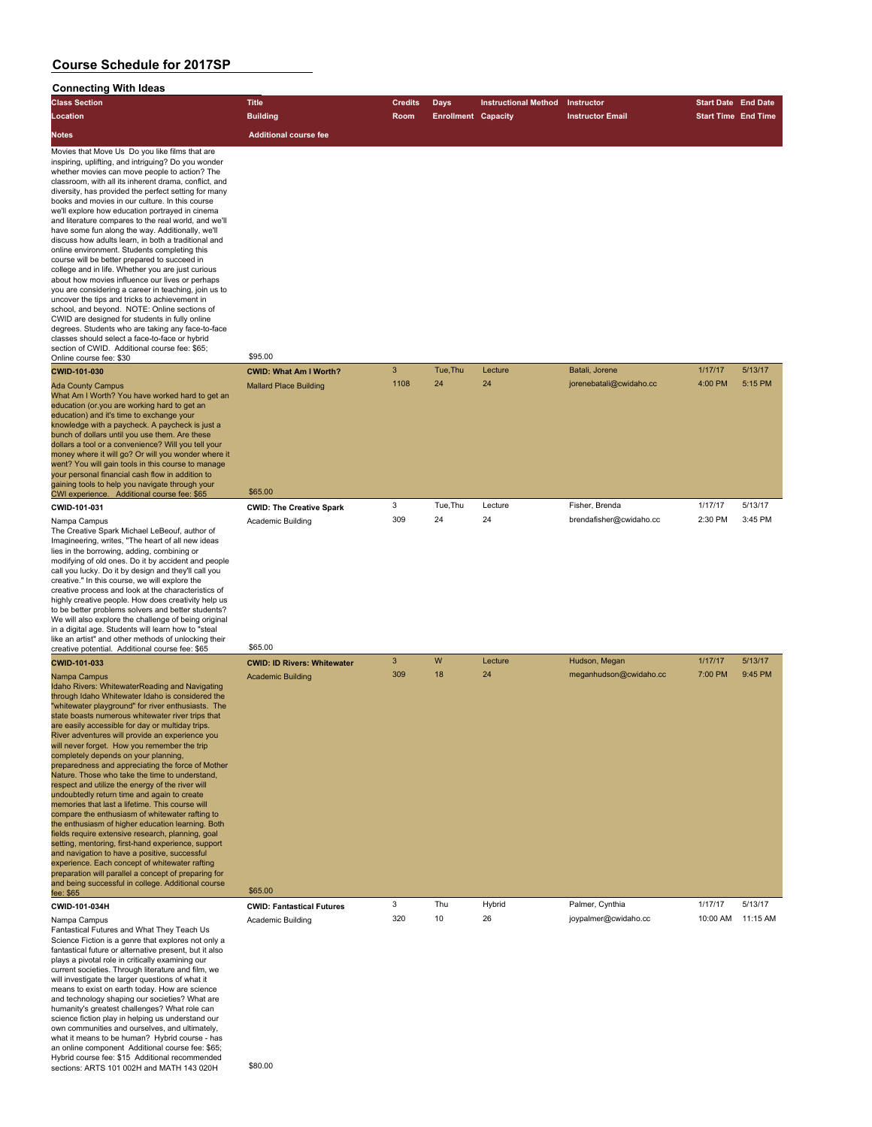| <b>Class Section</b>                                                                                                                                                                                                                                                                                                                                                                                                                                                                                                                                                                                                                                                                                                                                                                                                                                                                                                                                                                                                                                                                                                                                                                                                                                                                                                                                                                                                                                    | <b>Title</b>                                                              | <b>Credits</b> | <b>Days</b>                | <b>Instructional Method</b> | Instructor                                | <b>Start Date End Date</b> |                    |
|---------------------------------------------------------------------------------------------------------------------------------------------------------------------------------------------------------------------------------------------------------------------------------------------------------------------------------------------------------------------------------------------------------------------------------------------------------------------------------------------------------------------------------------------------------------------------------------------------------------------------------------------------------------------------------------------------------------------------------------------------------------------------------------------------------------------------------------------------------------------------------------------------------------------------------------------------------------------------------------------------------------------------------------------------------------------------------------------------------------------------------------------------------------------------------------------------------------------------------------------------------------------------------------------------------------------------------------------------------------------------------------------------------------------------------------------------------|---------------------------------------------------------------------------|----------------|----------------------------|-----------------------------|-------------------------------------------|----------------------------|--------------------|
| Location                                                                                                                                                                                                                                                                                                                                                                                                                                                                                                                                                                                                                                                                                                                                                                                                                                                                                                                                                                                                                                                                                                                                                                                                                                                                                                                                                                                                                                                | <b>Building</b>                                                           | <b>Room</b>    | <b>Enrollment Capacity</b> |                             | <b>Instructor Email</b>                   | <b>Start Time End Time</b> |                    |
| <b>Notes</b>                                                                                                                                                                                                                                                                                                                                                                                                                                                                                                                                                                                                                                                                                                                                                                                                                                                                                                                                                                                                                                                                                                                                                                                                                                                                                                                                                                                                                                            | <b>Additional course fee</b>                                              |                |                            |                             |                                           |                            |                    |
| Movies that Move Us Do you like films that are<br>inspiring, uplifting, and intriguing? Do you wonder<br>whether movies can move people to action? The<br>classroom, with all its inherent drama, conflict, and<br>diversity, has provided the perfect setting for many<br>books and movies in our culture. In this course<br>we'll explore how education portrayed in cinema<br>and literature compares to the real world, and we'll<br>have some fun along the way. Additionally, we'll<br>discuss how adults learn, in both a traditional and<br>online environment. Students completing this<br>course will be better prepared to succeed in<br>college and in life. Whether you are just curious<br>about how movies influence our lives or perhaps<br>you are considering a career in teaching, join us to<br>uncover the tips and tricks to achievement in<br>school, and beyond. NOTE: Online sections of<br>CWID are designed for students in fully online<br>degrees. Students who are taking any face-to-face<br>classes should select a face-to-face or hybrid<br>section of CWID. Additional course fee: \$65;<br>Online course fee: \$30<br>CWID-101-030<br><b>Ada County Campus</b><br>What Am I Worth? You have worked hard to get an<br>education (or you are working hard to get an<br>education) and it's time to exchange your<br>knowledge with a paycheck. A paycheck is just a<br>bunch of dollars until you use them. Are these | \$95.00<br><b>CWID: What Am I Worth?</b><br><b>Mallard Place Building</b> | 3<br>1108      | Tue, Thu<br>24             | Lecture<br>24               | Batali, Jorene<br>jorenebatali@cwidaho.cc | 1/17/17<br>4:00 PM         | 5/13/17<br>5:15 PM |
| dollars a tool or a convenience? Will you tell your<br>money where it will go? Or will you wonder where it<br>went? You will gain tools in this course to manage<br>your personal financial cash flow in addition to<br>gaining tools to help you navigate through your<br>CWI experience. Additional course fee: \$65                                                                                                                                                                                                                                                                                                                                                                                                                                                                                                                                                                                                                                                                                                                                                                                                                                                                                                                                                                                                                                                                                                                                  | \$65.00                                                                   |                |                            |                             |                                           |                            |                    |
| CWID-101-031                                                                                                                                                                                                                                                                                                                                                                                                                                                                                                                                                                                                                                                                                                                                                                                                                                                                                                                                                                                                                                                                                                                                                                                                                                                                                                                                                                                                                                            | <b>CWID: The Creative Spark</b>                                           | 3              | Tue, Thu                   | Lecture                     | Fisher, Brenda                            | 1/17/17                    | 5/13/17            |
| Nampa Campus<br>The Creative Spark Michael LeBeouf, author of<br>Imagineering, writes, "The heart of all new ideas<br>lies in the borrowing, adding, combining or<br>modifying of old ones. Do it by accident and people<br>call you lucky. Do it by design and they'll call you<br>creative." In this course, we will explore the<br>creative process and look at the characteristics of<br>highly creative people. How does creativity help us<br>to be better problems solvers and better students?<br>We will also explore the challenge of being original<br>in a digital age. Students will learn how to "steal<br>like an artist" and other methods of unlocking their                                                                                                                                                                                                                                                                                                                                                                                                                                                                                                                                                                                                                                                                                                                                                                           | Academic Building<br>\$65.00                                              | 309            | 24                         | 24                          | brendafisher@cwidaho.cc                   | 2:30 PM                    | 3:45 PM            |
| creative potential. Additional course fee: \$65<br>CWID-101-033                                                                                                                                                                                                                                                                                                                                                                                                                                                                                                                                                                                                                                                                                                                                                                                                                                                                                                                                                                                                                                                                                                                                                                                                                                                                                                                                                                                         | <b>CWID: ID Rivers: Whitewater</b>                                        | 3              | W                          | Lecture                     | Hudson, Megan                             | 1/17/17                    | 5/13/17            |
| Nampa Campus<br>Idaho Rivers: WhitewaterReading and Navigating<br>through Idaho Whitewater Idaho is considered the<br>"whitewater playground" for river enthusiasts. The<br>state boasts numerous whitewater river trips that<br>are easily accessible for day or multiday trips.<br>River adventures will provide an experience you<br>will never forget. How you remember the trip<br>completely depends on your planning,<br>preparedness and appreciating the force of Mother<br>Nature. Those who take the time to understand,<br>respect and utilize the energy of the river will<br>undoubtedly return time and again to create<br>memories that last a lifetime. This course will<br>compare the enthusiasm of whitewater rafting to<br>the enthusiasm of higher education learning. Both<br>fields require extensive research, planning, goal<br>setting, mentoring, first-hand experience, support<br>and navigation to have a positive, successful<br>experience. Each concept of whitewater rafting<br>preparation will parallel a concept of preparing for<br>and being successful in college. Additional course<br>fee: \$65                                                                                                                                                                                                                                                                                                              | <b>Academic Building</b><br>\$65.00                                       | 309            | 18                         | 24                          | meganhudson@cwidaho.cc                    | 7:00 PM                    | 9:45 PM            |
| CWID-101-034H                                                                                                                                                                                                                                                                                                                                                                                                                                                                                                                                                                                                                                                                                                                                                                                                                                                                                                                                                                                                                                                                                                                                                                                                                                                                                                                                                                                                                                           | <b>CWID: Fantastical Futures</b>                                          | 3              | Thu                        | Hybrid                      | Palmer, Cynthia                           | 1/17/17                    | 5/13/17            |
| Nampa Campus<br>Fantastical Futures and What They Teach Us<br>Science Fiction is a genre that explores not only a<br>fantastical future or alternative present, but it also<br>plays a pivotal role in critically examining our<br>current societies. Through literature and film, we<br>will investigate the larger questions of what it<br>means to exist on earth today. How are science<br>and technology shaping our societies? What are<br>humanity's greatest challenges? What role can<br>science fiction play in helping us understand our<br>own communities and ourselves, and ultimately,<br>what it means to be human? Hybrid course - has<br>an online component Additional course fee: \$65;<br>Hybrid course fee: \$15 Additional recommended<br>sections: ARTS 101 002H and MATH 143 020H                                                                                                                                                                                                                                                                                                                                                                                                                                                                                                                                                                                                                                              | Academic Building<br>\$80.00                                              | 320            | 10                         | 26                          | joypalmer@cwidaho.cc                      | 10:00 AM                   | 11:15 AM           |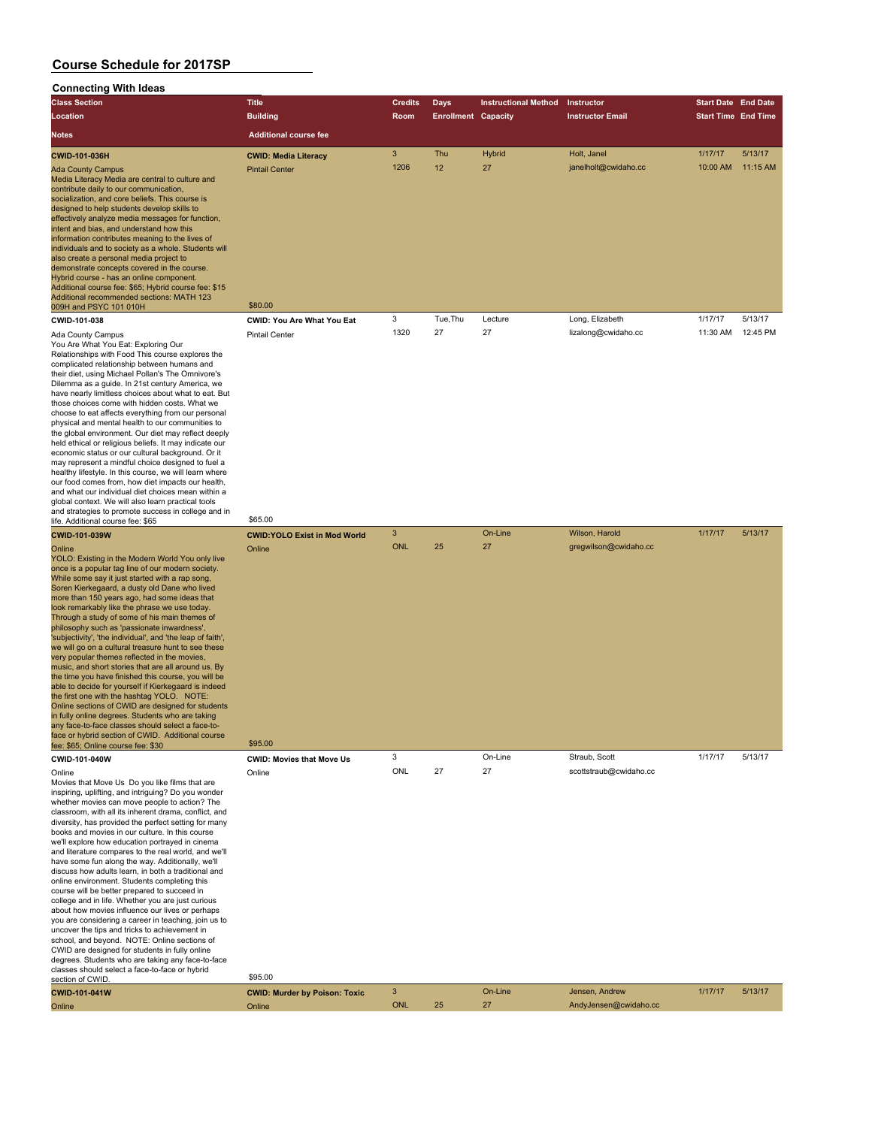#### **Connecting With Ideas**

| <b>Class Section</b>                                                                                                                                                                                                                                                                                                                                                                                                                                                                                                                                                                                                                                                        | <b>Title</b>                                         | <b>Credits</b> | Days                       | <b>Instructional Method</b> | Instructor                          | <b>Start Date End Date</b> |                            |
|-----------------------------------------------------------------------------------------------------------------------------------------------------------------------------------------------------------------------------------------------------------------------------------------------------------------------------------------------------------------------------------------------------------------------------------------------------------------------------------------------------------------------------------------------------------------------------------------------------------------------------------------------------------------------------|------------------------------------------------------|----------------|----------------------------|-----------------------------|-------------------------------------|----------------------------|----------------------------|
| Location                                                                                                                                                                                                                                                                                                                                                                                                                                                                                                                                                                                                                                                                    | <b>Building</b>                                      | <b>Room</b>    | <b>Enrollment Capacity</b> |                             | <b>Instructor Email</b>             |                            | <b>Start Time End Time</b> |
| <b>Notes</b>                                                                                                                                                                                                                                                                                                                                                                                                                                                                                                                                                                                                                                                                | <b>Additional course fee</b>                         |                |                            |                             |                                     |                            |                            |
| <b>CWID-101-036H</b><br><b>Ada County Campus</b>                                                                                                                                                                                                                                                                                                                                                                                                                                                                                                                                                                                                                            | <b>CWID: Media Literacy</b><br><b>Pintail Center</b> | 3<br>1206      | Thu<br>12                  | <b>Hybrid</b><br>27         | Holt. Janel<br>janelholt@cwidaho.cc | 1/17/17<br>10:00 AM        | 5/13/17<br>$11:15$ AM      |
| Media Literacy Media are central to culture and<br>contribute daily to our communication,<br>socialization, and core beliefs. This course is<br>designed to help students develop skills to<br>effectively analyze media messages for function,<br>intent and bias, and understand how this<br>information contributes meaning to the lives of<br>individuals and to society as a whole. Students will<br>also create a personal media project to<br>demonstrate concepts covered in the course.<br>Hybrid course - has an online component.<br>Additional course fee: \$65; Hybrid course fee: \$15<br>Additional recommended sections: MATH 123<br>009H and PSYC 101 010H | \$80.00                                              |                |                            |                             |                                     |                            |                            |
| CWID-101-038                                                                                                                                                                                                                                                                                                                                                                                                                                                                                                                                                                                                                                                                | <b>CWID: You Are What You Eat</b>                    | 3              | Tue, Thu                   | Lecture                     | Long, Elizabeth                     | 1/17/17                    | 5/13/17                    |
| Ada County Campus<br>You Are What You Eat: Exploring Our<br>Detektoraktea wikk Eusel This sowiet swetsjes klas                                                                                                                                                                                                                                                                                                                                                                                                                                                                                                                                                              | <b>Pintail Center</b>                                | 1320           | 27                         | 27                          | lizalong@cwidaho.cc                 | 11:30 AM                   | 12:45 PM                   |

Relationships with Food This course explores the complicated relationship between humans and their diet, using Michael Pollan's The Omnivore's Dilemma as a guide. In 21st century America, we have nearly limitless choices about what to eat. But those choices come with hidden costs. What we choose to eat affects everything from our personal physical and mental health to our communities to the global environment. Our diet may reflect deeply held ethical or religious beliefs. It may indicate our economic status or our cultural background. Or it may represent a mindful choice designed to fuel a healthy lifestyle. In this course, we will learn where our food comes from, how diet impacts our health, and what our individual diet choices mean within a global context. We will also learn practical tools and strategies to promote success in college and in

life. Additional course fee: \$65.00 **CWID-101-039W CWID:YOLO Exist in Mod World** 3 On-Line Wilson, Harold 1/17/17 5/13/17 Online Online ONL 25 27 gregwilson@cwidaho.cc YOLO: Existing in the Modern World You only live once is a popular tag line of our modern society. While some say it just started with a rap song, Soren Kierkegaard, a dusty old Dane who lived more than 150 years ago, had some ideas that look remarkably like the phrase we use today. Through a study of some of his main themes of philosophy such as 'passionate inwardness', 'subjectivity', 'the individual', and 'the leap of faith', we will go on a cultural treasure hunt to see these very popular themes reflected in the movies, music, and short stories that are all around us. By the time you have finished this course, you will be able to decide for yourself if Kierkegaard is indeed the first one with the hashtag YOLO. NOTE: Online sections of CWID are designed for students in fully online degrees. Students who are taking any face-to-face classes should select a face-toface or hybrid section of CWID. Additional course race or hydrid section of OWID. Additional course<br>fee: \$65: Online course fee: \$30 **CWID-101-040W CWID: Movies that Move Us** 3 On-Line Straub, Scott 1/17/17 5/13/17<br>
Coline Online ONL 27 27 scottstraub@cwidaho.cc Online Online ONL 27 27 scottstraub@cwidaho.cc Movies that Move Us Do you like films that are inspiring, uplifting, and intriguing? Do you wonder whether movies can move people to action? The classroom, with all its inherent drama, conflict, and diversity, has provided the perfect setting for many books and movies in our culture. In this course we'll explore how education portrayed in cinema and literature compares to the real world, and we'll have some fun along the way. Additionally, we'll discuss how adults learn, in both a traditional and online environment. Students completing this course will be better prepared to succeed in college and in life. Whether you are just curious about how movies influence our lives or perhaps you are considering a career in teaching, join us to uncover the tips and tricks to achievement in school, and beyond. NOTE: Online sections of CWID are designed for students in fully online degrees. Students who are taking any face-to-face

### section of CWID. \$95.00

classes should select a face-to-face or hybrid

| <u>JUULIUI UI U IILU.</u><br><b>CWID-101-041W</b> | <b>CWID: Murder by Poison: Toxic</b> |            | On-Line | Jensen, Andrew        | 1/17/17 | 5/13/17 |
|---------------------------------------------------|--------------------------------------|------------|---------|-----------------------|---------|---------|
| Online                                            | Online                               | <b>ONL</b> |         | AndyJensen@cwidaho.cc |         |         |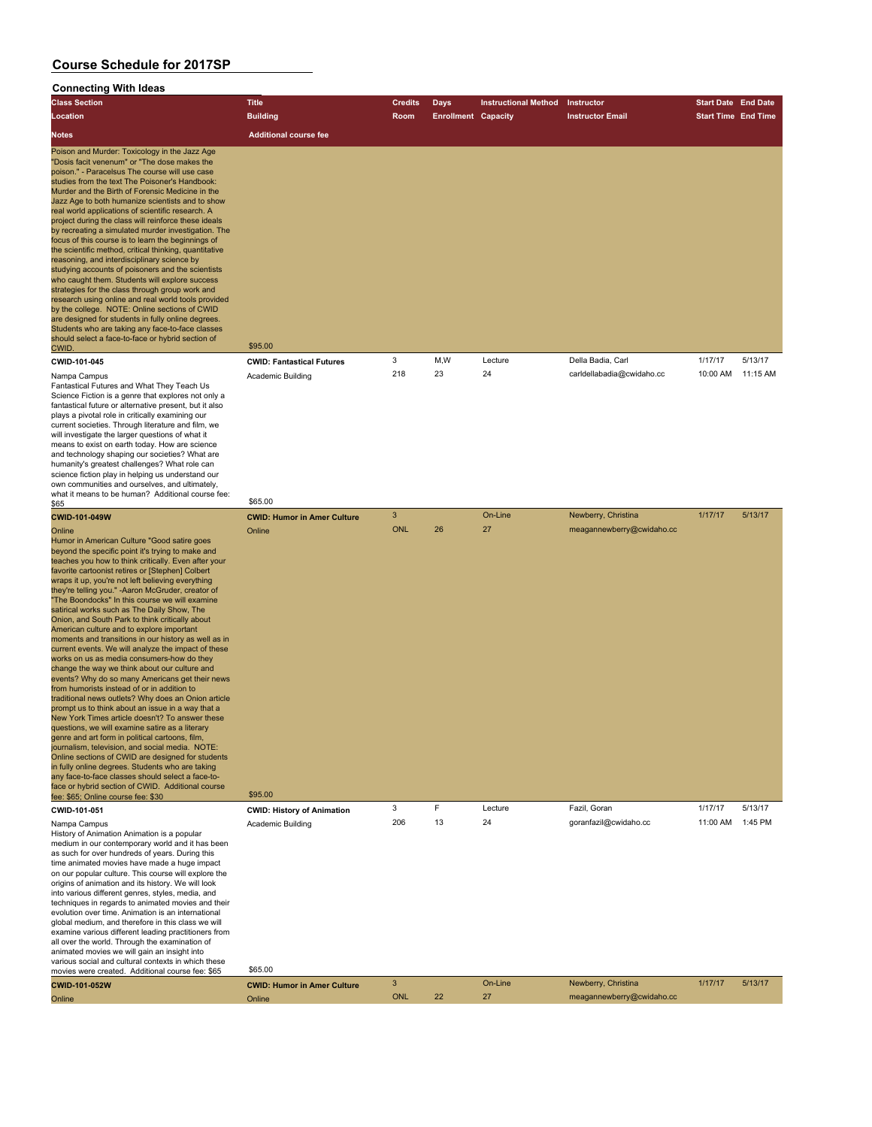| <b>Class Section</b>                                                                                                                                                                                                                                                                                                                                                                                                                                                                                                                                                                                                                                                                                                                                                                                                                                                                                                                                                                                                                                                                                                                                                                                                                                                                                                                                                                                                                                       | <b>Title</b>                                            | <b>Credits</b>  | <b>Days</b>                | <b>Instructional Method</b> | Instructor                                       | <b>Start Date End Date</b> |          |
|------------------------------------------------------------------------------------------------------------------------------------------------------------------------------------------------------------------------------------------------------------------------------------------------------------------------------------------------------------------------------------------------------------------------------------------------------------------------------------------------------------------------------------------------------------------------------------------------------------------------------------------------------------------------------------------------------------------------------------------------------------------------------------------------------------------------------------------------------------------------------------------------------------------------------------------------------------------------------------------------------------------------------------------------------------------------------------------------------------------------------------------------------------------------------------------------------------------------------------------------------------------------------------------------------------------------------------------------------------------------------------------------------------------------------------------------------------|---------------------------------------------------------|-----------------|----------------------------|-----------------------------|--------------------------------------------------|----------------------------|----------|
| Location                                                                                                                                                                                                                                                                                                                                                                                                                                                                                                                                                                                                                                                                                                                                                                                                                                                                                                                                                                                                                                                                                                                                                                                                                                                                                                                                                                                                                                                   | <b>Building</b>                                         | <b>Room</b>     | <b>Enrollment Capacity</b> |                             | <b>Instructor Email</b>                          | <b>Start Time End Time</b> |          |
| <b>Notes</b>                                                                                                                                                                                                                                                                                                                                                                                                                                                                                                                                                                                                                                                                                                                                                                                                                                                                                                                                                                                                                                                                                                                                                                                                                                                                                                                                                                                                                                               | <b>Additional course fee</b>                            |                 |                            |                             |                                                  |                            |          |
| Poison and Murder: Toxicology in the Jazz Age<br>"Dosis facit venenum" or "The dose makes the<br>poison." - Paracelsus The course will use case<br>studies from the text The Poisoner's Handbook:<br>Murder and the Birth of Forensic Medicine in the<br>Jazz Age to both humanize scientists and to show<br>real world applications of scientific research. A<br>project during the class will reinforce these ideals<br>by recreating a simulated murder investigation. The<br>focus of this course is to learn the beginnings of<br>the scientific method, critical thinking, quantitative<br>reasoning, and interdisciplinary science by<br>studying accounts of poisoners and the scientists<br>who caught them. Students will explore success<br>strategies for the class through group work and<br>research using online and real world tools provided<br>by the college. NOTE: Online sections of CWID<br>are designed for students in fully online degrees.<br>Students who are taking any face-to-face classes<br>should select a face-to-face or hybrid section of<br>CWID.                                                                                                                                                                                                                                                                                                                                                                     | \$95.00                                                 |                 |                            |                             |                                                  |                            |          |
| CWID-101-045                                                                                                                                                                                                                                                                                                                                                                                                                                                                                                                                                                                                                                                                                                                                                                                                                                                                                                                                                                                                                                                                                                                                                                                                                                                                                                                                                                                                                                               | <b>CWID: Fantastical Futures</b>                        | 3               | M,W                        | Lecture                     | Della Badia, Carl                                | 1/17/17                    | 5/13/17  |
| Nampa Campus<br>Fantastical Futures and What They Teach Us<br>Science Fiction is a genre that explores not only a<br>fantastical future or alternative present, but it also<br>plays a pivotal role in critically examining our<br>current societies. Through literature and film, we<br>will investigate the larger questions of what it<br>means to exist on earth today. How are science<br>and technology shaping our societies? What are<br>humanity's greatest challenges? What role can<br>science fiction play in helping us understand our<br>own communities and ourselves, and ultimately,<br>what it means to be human? Additional course fee:                                                                                                                                                                                                                                                                                                                                                                                                                                                                                                                                                                                                                                                                                                                                                                                                 | Academic Building                                       | 218             | 23                         | 24                          | carldellabadia@cwidaho.cc                        | 10:00 AM                   | 11:15 AM |
| \$65                                                                                                                                                                                                                                                                                                                                                                                                                                                                                                                                                                                                                                                                                                                                                                                                                                                                                                                                                                                                                                                                                                                                                                                                                                                                                                                                                                                                                                                       | \$65.00                                                 |                 |                            |                             |                                                  |                            |          |
| <b>CWID-101-049W</b><br>Online<br>Humor in American Culture "Good satire goes<br>beyond the specific point it's trying to make and<br>teaches you how to think critically. Even after your<br>favorite cartoonist retires or [Stephen] Colbert<br>wraps it up, you're not left believing everything<br>they're telling you." -Aaron McGruder, creator of<br>"The Boondocks" In this course we will examine<br>satirical works such as The Daily Show, The<br>Onion, and South Park to think critically about<br>American culture and to explore important<br>moments and transitions in our history as well as in<br>current events. We will analyze the impact of these<br>works on us as media consumers-how do they<br>change the way we think about our culture and<br>events? Why do so many Americans get their news<br>from humorists instead of or in addition to<br>traditional news outlets? Why does an Onion article<br>prompt us to think about an issue in a way that a<br>New York Times article doesn't? To answer these<br>questions, we will examine satire as a literary<br>genre and art form in political cartoons, film,<br>journalism, television, and social media. NOTE:<br>Online sections of CWID are designed for students<br>in fully online degrees. Students who are taking<br>any face-to-face classes should select a face-to-<br>face or hybrid section of CWID. Additional course<br>fee: \$65; Online course fee: \$30 | <b>CWID: Humor in Amer Culture</b><br>Online<br>\$95.00 | 3<br><b>ONL</b> | 26                         | On-Line<br>27               | Newberry, Christina<br>meagannewberry@cwidaho.cc | 1/17/17                    | 5/13/17  |
| CWID-101-051                                                                                                                                                                                                                                                                                                                                                                                                                                                                                                                                                                                                                                                                                                                                                                                                                                                                                                                                                                                                                                                                                                                                                                                                                                                                                                                                                                                                                                               | <b>CWID: History of Animation</b>                       | 3               | F                          | Lecture                     | Fazil, Goran                                     | 1/17/17                    | 5/13/17  |
| Nampa Campus<br>History of Animation Animation is a popular<br>medium in our contemporary world and it has been<br>as such for over hundreds of years. During this<br>time animated movies have made a huge impact<br>on our popular culture. This course will explore the<br>origins of animation and its history. We will look<br>into various different genres, styles, media, and<br>techniques in regards to animated movies and their<br>evolution over time. Animation is an international<br>global medium, and therefore in this class we will<br>examine various different leading practitioners from<br>all over the world. Through the examination of<br>animated movies we will gain an insight into<br>various social and cultural contexts in which these                                                                                                                                                                                                                                                                                                                                                                                                                                                                                                                                                                                                                                                                                   | Academic Building                                       | 206             | 13                         | 24                          | goranfazil@cwidaho.cc                            | 11:00 AM                   | 1:45 PM  |
| movies were created. Additional course fee: \$65                                                                                                                                                                                                                                                                                                                                                                                                                                                                                                                                                                                                                                                                                                                                                                                                                                                                                                                                                                                                                                                                                                                                                                                                                                                                                                                                                                                                           | \$65.00                                                 | 3               |                            | On-Line                     | Newberry, Christina                              | 1/17/17                    | 5/13/17  |
| <b>CWID-101-052W</b><br>Online                                                                                                                                                                                                                                                                                                                                                                                                                                                                                                                                                                                                                                                                                                                                                                                                                                                                                                                                                                                                                                                                                                                                                                                                                                                                                                                                                                                                                             | <b>CWID: Humor in Amer Culture</b><br>Online            | <b>ONL</b>      | 22                         | 27                          | meagannewberry@cwidaho.cc                        |                            |          |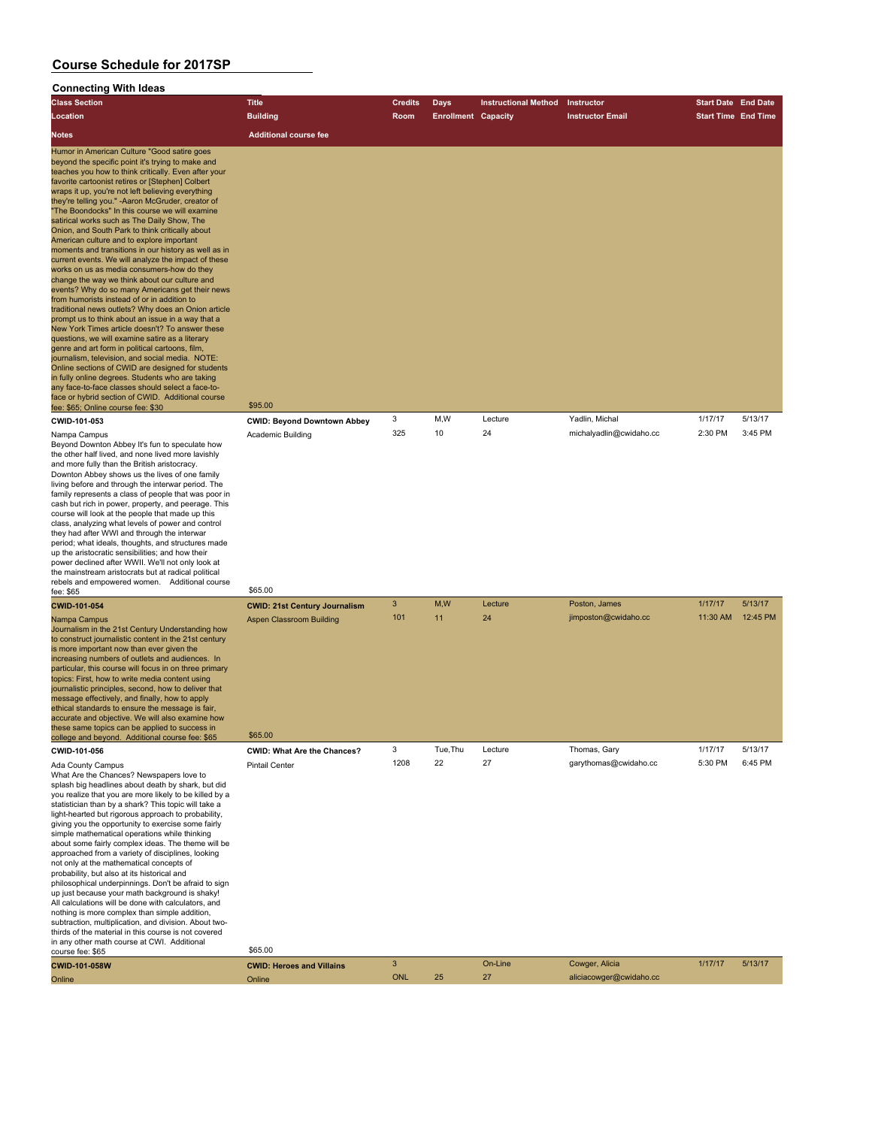### **Connecting With Ideas**

| <b>Class Section</b>                                                                                                                                                                                                                                                                                                                                                                                                                                                                                                                                                                                                                                                                                                                                                                                                                                                                                                                                                                                                                                                                                                                                                                                                                                                                                                                                                               | <b>Title</b>                                                            | <b>Credits</b> | Days                       | <b>Instructional Method</b> | Instructor                                | <b>Start Date End Date</b> |                     |
|------------------------------------------------------------------------------------------------------------------------------------------------------------------------------------------------------------------------------------------------------------------------------------------------------------------------------------------------------------------------------------------------------------------------------------------------------------------------------------------------------------------------------------------------------------------------------------------------------------------------------------------------------------------------------------------------------------------------------------------------------------------------------------------------------------------------------------------------------------------------------------------------------------------------------------------------------------------------------------------------------------------------------------------------------------------------------------------------------------------------------------------------------------------------------------------------------------------------------------------------------------------------------------------------------------------------------------------------------------------------------------|-------------------------------------------------------------------------|----------------|----------------------------|-----------------------------|-------------------------------------------|----------------------------|---------------------|
| Location                                                                                                                                                                                                                                                                                                                                                                                                                                                                                                                                                                                                                                                                                                                                                                                                                                                                                                                                                                                                                                                                                                                                                                                                                                                                                                                                                                           | <b>Building</b>                                                         | Room           | <b>Enrollment Capacity</b> |                             | <b>Instructor Email</b>                   | <b>Start Time End Time</b> |                     |
| Notes                                                                                                                                                                                                                                                                                                                                                                                                                                                                                                                                                                                                                                                                                                                                                                                                                                                                                                                                                                                                                                                                                                                                                                                                                                                                                                                                                                              | <b>Additional course fee</b>                                            |                |                            |                             |                                           |                            |                     |
|                                                                                                                                                                                                                                                                                                                                                                                                                                                                                                                                                                                                                                                                                                                                                                                                                                                                                                                                                                                                                                                                                                                                                                                                                                                                                                                                                                                    |                                                                         |                |                            |                             |                                           |                            |                     |
| Humor in American Culture "Good satire goes<br>beyond the specific point it's trying to make and<br>teaches you how to think critically. Even after your<br>favorite cartoonist retires or [Stephen] Colbert<br>wraps it up, you're not left believing everything<br>they're telling you." -Aaron McGruder, creator of<br>"The Boondocks" In this course we will examine<br>satirical works such as The Daily Show, The<br>Onion, and South Park to think critically about<br>American culture and to explore important<br>moments and transitions in our history as well as in<br>current events. We will analyze the impact of these<br>works on us as media consumers-how do they<br>change the way we think about our culture and<br>events? Why do so many Americans get their news<br>from humorists instead of or in addition to<br>traditional news outlets? Why does an Onion article<br>prompt us to think about an issue in a way that a<br>New York Times article doesn't? To answer these<br>questions, we will examine satire as a literary<br>genre and art form in political cartoons, film,<br>journalism, television, and social media. NOTE:<br>Online sections of CWID are designed for students<br>in fully online degrees. Students who are taking<br>any face-to-face classes should select a face-to-<br>face or hybrid section of CWID. Additional course |                                                                         |                |                            |                             |                                           |                            |                     |
| fee: \$65; Online course fee: \$30                                                                                                                                                                                                                                                                                                                                                                                                                                                                                                                                                                                                                                                                                                                                                                                                                                                                                                                                                                                                                                                                                                                                                                                                                                                                                                                                                 | \$95.00                                                                 |                |                            |                             |                                           |                            |                     |
| CWID-101-053<br>Nampa Campus<br>Beyond Downton Abbey It's fun to speculate how<br>the other half lived, and none lived more lavishly<br>and more fully than the British aristocracy.<br>Downton Abbey shows us the lives of one family<br>living before and through the interwar period. The<br>family represents a class of people that was poor in<br>cash but rich in power, property, and peerage. This<br>course will look at the people that made up this<br>class, analyzing what levels of power and control<br>they had after WWI and through the interwar<br>period; what ideals, thoughts, and structures made<br>up the aristocratic sensibilities; and how their<br>power declined after WWII. We'll not only look at<br>the mainstream aristocrats but at radical political                                                                                                                                                                                                                                                                                                                                                                                                                                                                                                                                                                                          | <b>CWID: Beyond Downtown Abbey</b><br><b>Academic Building</b>          | 3<br>325       | M,W<br>10                  | Lecture<br>24               | Yadlin, Michal<br>michalyadlin@cwidaho.cc | 1/17/17<br>2:30 PM         | 5/13/17<br>3:45 PM  |
| rebels and empowered women. Additional course<br>fee: \$65                                                                                                                                                                                                                                                                                                                                                                                                                                                                                                                                                                                                                                                                                                                                                                                                                                                                                                                                                                                                                                                                                                                                                                                                                                                                                                                         | \$65.00                                                                 |                |                            |                             |                                           |                            |                     |
| CWID-101-054<br>Nampa Campus<br>Journalism in the 21st Century Understanding how<br>to construct journalistic content in the 21st century<br>is more important now than ever given the<br>increasing numbers of outlets and audiences. In<br>particular, this course will focus in on three primary<br>topics: First, how to write media content using<br>journalistic principles, second, how to deliver that<br>message effectively, and finally, how to apply<br>ethical standards to ensure the message is fair,<br>accurate and objective. We will also examine how<br>these same topics can be applied to success in                                                                                                                                                                                                                                                                                                                                                                                                                                                                                                                                                                                                                                                                                                                                                         | <b>CWID: 21st Century Journalism</b><br><b>Aspen Classroom Building</b> | 3<br>101       | M, W<br>11                 | Lecture<br>24               | Poston, James<br>jimposton@cwidaho.cc     | 1/17/17<br>11:30 AM        | 5/13/17<br>12:45 PM |
| college and beyond. Additional course fee: \$65                                                                                                                                                                                                                                                                                                                                                                                                                                                                                                                                                                                                                                                                                                                                                                                                                                                                                                                                                                                                                                                                                                                                                                                                                                                                                                                                    | \$65,00                                                                 |                |                            |                             |                                           |                            |                     |
| CWID-101-056<br>Ada County Campus<br>What Are the Chances? Newspapers love to<br>splash big headlines about death by shark, but did<br>you realize that you are more likely to be killed by a<br>statistician than by a shark? This topic will take a<br>light-hearted but rigorous approach to probability,<br>giving you the opportunity to exercise some fairly<br>simple mathematical operations while thinking<br>about some fairly complex ideas. The theme will be<br>approached from a variety of disciplines, looking<br>not only at the mathematical concepts of<br>probability, but also at its historical and<br>philosophical underpinnings. Don't be afraid to sign<br>up just because your math background is shaky!<br>All calculations will be done with calculators, and<br>nothing is more complex than simple addition,<br>subtraction, multiplication, and division. About two-<br>thirds of the material in this course is not covered<br>in any other math course at CWI. Additional<br>course fee: \$65                                                                                                                                                                                                                                                                                                                                                    | CWID: What Are the Chances?<br><b>Pintail Center</b><br>\$65.00         | 3<br>1208      | Tue, Thu<br>22             | Lecture<br>27               | Thomas, Gary<br>garythomas@cwidaho.cc     | 1/17/17<br>5:30 PM         | 5/13/17<br>6:45 PM  |
| <b>CWID-101-058W</b>                                                                                                                                                                                                                                                                                                                                                                                                                                                                                                                                                                                                                                                                                                                                                                                                                                                                                                                                                                                                                                                                                                                                                                                                                                                                                                                                                               | <b>CWID: Heroes and Villains</b>                                        | 3              |                            | On-Line                     | Cowger, Alicia                            | 1/17/17                    | 5/13/17             |
| Online                                                                                                                                                                                                                                                                                                                                                                                                                                                                                                                                                                                                                                                                                                                                                                                                                                                                                                                                                                                                                                                                                                                                                                                                                                                                                                                                                                             | Online                                                                  | <b>ONL</b>     | 25                         | 27                          | aliciacowger@cwidaho.cc                   |                            |                     |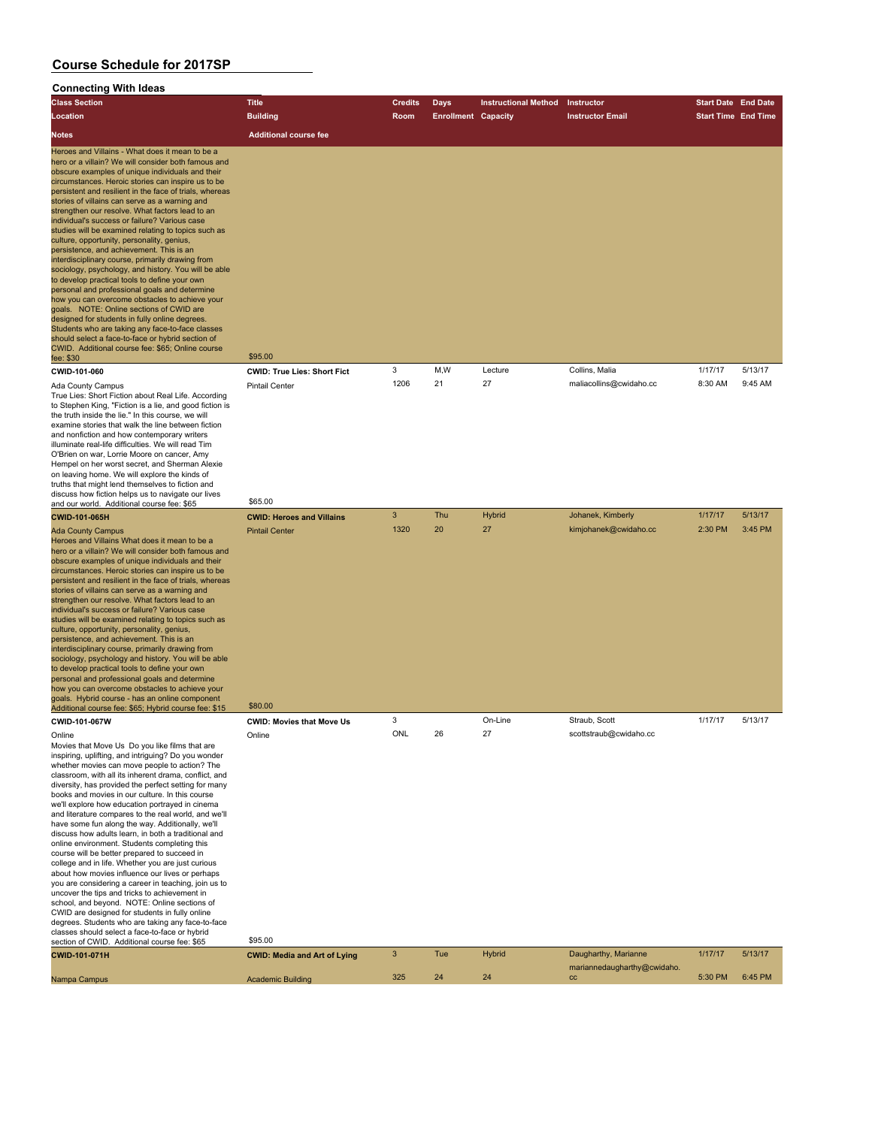### **Connecting With Ideas**

| <b>Class Section</b>                                                                                                                                                                                                                                                                                                                                                                                                                                                                                                                                                                                                                                                                                                                                                                                                                                                                                                                                                                                                                                                                                                                 | <b>Title</b>                        | Credits      | Days                       | <b>Instructional Method</b> | Instructor                       | <b>Start Date End Date</b> |         |
|--------------------------------------------------------------------------------------------------------------------------------------------------------------------------------------------------------------------------------------------------------------------------------------------------------------------------------------------------------------------------------------------------------------------------------------------------------------------------------------------------------------------------------------------------------------------------------------------------------------------------------------------------------------------------------------------------------------------------------------------------------------------------------------------------------------------------------------------------------------------------------------------------------------------------------------------------------------------------------------------------------------------------------------------------------------------------------------------------------------------------------------|-------------------------------------|--------------|----------------------------|-----------------------------|----------------------------------|----------------------------|---------|
| Location                                                                                                                                                                                                                                                                                                                                                                                                                                                                                                                                                                                                                                                                                                                                                                                                                                                                                                                                                                                                                                                                                                                             | <b>Building</b>                     | Room         | <b>Enrollment Capacity</b> |                             | <b>Instructor Email</b>          | <b>Start Time End Time</b> |         |
| <b>Notes</b>                                                                                                                                                                                                                                                                                                                                                                                                                                                                                                                                                                                                                                                                                                                                                                                                                                                                                                                                                                                                                                                                                                                         | <b>Additional course fee</b>        |              |                            |                             |                                  |                            |         |
| Heroes and Villains - What does it mean to be a<br>hero or a villain? We will consider both famous and<br>obscure examples of unique individuals and their<br>circumstances. Heroic stories can inspire us to be<br>persistent and resilient in the face of trials, whereas<br>stories of villains can serve as a warning and<br>strengthen our resolve. What factors lead to an<br>individual's success or failure? Various case<br>studies will be examined relating to topics such as<br>culture, opportunity, personality, genius,<br>persistence, and achievement. This is an<br>interdisciplinary course, primarily drawing from<br>sociology, psychology, and history. You will be able<br>to develop practical tools to define your own<br>personal and professional goals and determine<br>how you can overcome obstacles to achieve your<br>goals. NOTE: Online sections of CWID are<br>designed for students in fully online degrees.<br>Students who are taking any face-to-face classes<br>should select a face-to-face or hybrid section of<br>CWID. Additional course fee: \$65; Online course<br>fee: \$30           | \$95.00                             |              |                            |                             |                                  |                            |         |
| CWID-101-060                                                                                                                                                                                                                                                                                                                                                                                                                                                                                                                                                                                                                                                                                                                                                                                                                                                                                                                                                                                                                                                                                                                         | <b>CWID: True Lies: Short Fict</b>  | 3            | M,W                        | Lecture                     | Collins, Malia                   | 1/17/17                    | 5/13/17 |
| <b>Ada County Campus</b><br>True Lies: Short Fiction about Real Life. According<br>to Stephen King, "Fiction is a lie, and good fiction is<br>the truth inside the lie." In this course, we will<br>examine stories that walk the line between fiction<br>and nonfiction and how contemporary writers<br>illuminate real-life difficulties. We will read Tim<br>O'Brien on war, Lorrie Moore on cancer, Amy<br>Hempel on her worst secret, and Sherman Alexie<br>on leaving home. We will explore the kinds of<br>truths that might lend themselves to fiction and<br>discuss how fiction helps us to navigate our lives<br>and our world. Additional course fee: \$65                                                                                                                                                                                                                                                                                                                                                                                                                                                               | <b>Pintail Center</b><br>\$65.00    | 1206         | 21                         | 27                          | maliacollins@cwidaho.cc          | 8:30 AM                    | 9:45 AM |
| CWID-101-065H                                                                                                                                                                                                                                                                                                                                                                                                                                                                                                                                                                                                                                                                                                                                                                                                                                                                                                                                                                                                                                                                                                                        | <b>CWID: Heroes and Villains</b>    | $\mathbf{3}$ | Thu                        | <b>Hybrid</b>               | Johanek, Kimberly                | 1/17/17                    | 5/13/17 |
| <b>Ada County Campus</b><br>Heroes and Villains What does it mean to be a<br>hero or a villain? We will consider both famous and<br>obscure examples of unique individuals and their<br>circumstances. Heroic stories can inspire us to be<br>persistent and resilient in the face of trials, whereas<br>stories of villains can serve as a warning and<br>strengthen our resolve. What factors lead to an<br>individual's success or failure? Various case<br>studies will be examined relating to topics such as<br>culture, opportunity, personality, genius,<br>persistence, and achievement. This is an<br>interdisciplinary course, primarily drawing from<br>sociology, psychology and history. You will be able<br>to develop practical tools to define your own<br>personal and professional goals and determine<br>how you can overcome obstacles to achieve your<br>goals. Hybrid course - has an online component<br>Additional course fee: \$65; Hybrid course fee: \$15                                                                                                                                                | <b>Pintail Center</b><br>\$80.00    | 1320         | 20                         | 27                          | kimjohanek@cwidaho.cc            | 2:30 PM                    | 3:45 PM |
| CWID-101-067W                                                                                                                                                                                                                                                                                                                                                                                                                                                                                                                                                                                                                                                                                                                                                                                                                                                                                                                                                                                                                                                                                                                        | <b>CWID: Movies that Move Us</b>    | 3            |                            | On-Line                     | Straub, Scott                    | 1/17/17                    | 5/13/17 |
| Online<br>Movies that Move Us Do you like films that are<br>inspiring, uplifting, and intriguing? Do you wonder<br>whether movies can move people to action? The<br>classroom, with all its inherent drama, conflict, and<br>diversity, has provided the perfect setting for many<br>books and movies in our culture. In this course<br>we'll explore how education portrayed in cinema<br>and literature compares to the real world, and we'll<br>have some fun along the way. Additionally, we'll<br>discuss how adults learn, in both a traditional and<br>online environment. Students completing this<br>course will be better prepared to succeed in<br>college and in life. Whether you are just curious<br>about how movies influence our lives or perhaps<br>you are considering a career in teaching, join us to<br>uncover the tips and tricks to achievement in<br>school, and beyond. NOTE: Online sections of<br>CWID are designed for students in fully online<br>degrees. Students who are taking any face-to-face<br>classes should select a face-to-face or hybrid<br>section of CWID. Additional course fee: \$65 | Online<br>\$95.00                   | ONL          | 26                         | 27                          | scottstraub@cwidaho.cc           |                            |         |
| CWID-101-071H                                                                                                                                                                                                                                                                                                                                                                                                                                                                                                                                                                                                                                                                                                                                                                                                                                                                                                                                                                                                                                                                                                                        | <b>CWID: Media and Art of Lying</b> | $\mathbf{3}$ | Tue                        | <b>Hybrid</b>               | Daugharthy, Marianne             | 1/17/17                    | 5/13/17 |
| Nampa Campus                                                                                                                                                                                                                                                                                                                                                                                                                                                                                                                                                                                                                                                                                                                                                                                                                                                                                                                                                                                                                                                                                                                         | <b>Academic Building</b>            | 325          | 24                         | 24                          | mariannedaugharthy@cwidaho<br>cc | 5:30 PM                    | 6:45 PM |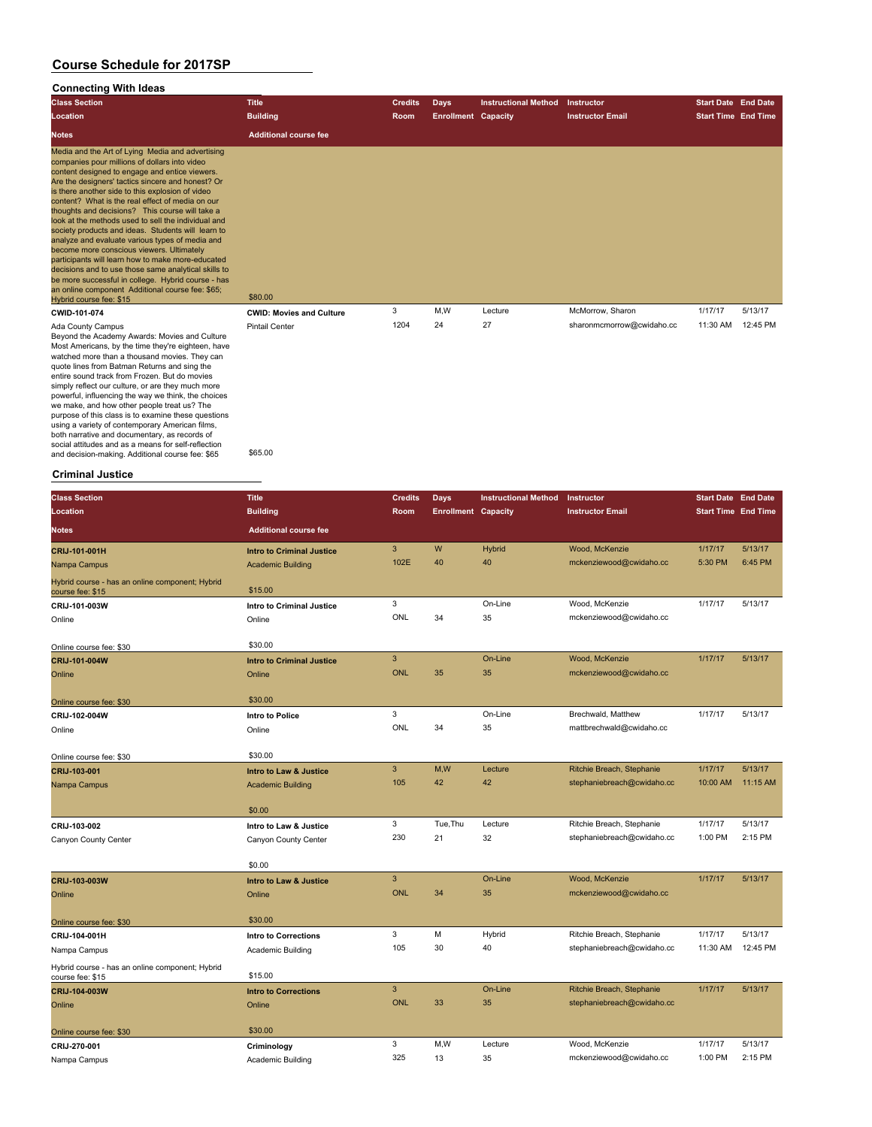### **Connecting With Ideas**

| <b>Class Section</b>                                                                                                                                                                                                                                                                                                                                                                                                                                                                                                                                                                                                                                                                                                                                                                                                               | <b>Title</b>                    | <b>Credits</b> | <b>Days</b>                | <b>Instructional Method</b> | Instructor                | <b>Start Date End Date</b> |          |
|------------------------------------------------------------------------------------------------------------------------------------------------------------------------------------------------------------------------------------------------------------------------------------------------------------------------------------------------------------------------------------------------------------------------------------------------------------------------------------------------------------------------------------------------------------------------------------------------------------------------------------------------------------------------------------------------------------------------------------------------------------------------------------------------------------------------------------|---------------------------------|----------------|----------------------------|-----------------------------|---------------------------|----------------------------|----------|
| Location                                                                                                                                                                                                                                                                                                                                                                                                                                                                                                                                                                                                                                                                                                                                                                                                                           | <b>Building</b>                 | Room           | <b>Enrollment Capacity</b> |                             | <b>Instructor Email</b>   | <b>Start Time End Time</b> |          |
| <b>Notes</b>                                                                                                                                                                                                                                                                                                                                                                                                                                                                                                                                                                                                                                                                                                                                                                                                                       | <b>Additional course fee</b>    |                |                            |                             |                           |                            |          |
| Media and the Art of Lying Media and advertising<br>companies pour millions of dollars into video<br>content designed to engage and entice viewers.<br>Are the designers' tactics sincere and honest? Or<br>is there another side to this explosion of video<br>content? What is the real effect of media on our<br>thoughts and decisions? This course will take a<br>look at the methods used to sell the individual and<br>society products and ideas. Students will learn to<br>analyze and evaluate various types of media and<br>become more conscious viewers. Ultimately<br>participants will learn how to make more-educated<br>decisions and to use those same analytical skills to<br>be more successful in college. Hybrid course - has<br>an online component Additional course fee: \$65;<br>Hybrid course fee: \$15 | \$80.00                         |                |                            |                             |                           |                            |          |
| CWID-101-074                                                                                                                                                                                                                                                                                                                                                                                                                                                                                                                                                                                                                                                                                                                                                                                                                       | <b>CWID: Movies and Culture</b> | 3              | M,W                        | Lecture                     | McMorrow, Sharon          | 1/17/17                    | 5/13/17  |
| Ada County Campus<br>Beyond the Academy Awards: Movies and Culture                                                                                                                                                                                                                                                                                                                                                                                                                                                                                                                                                                                                                                                                                                                                                                 | <b>Pintail Center</b>           | 1204           | 24                         | 27                          | sharonmcmorrow@cwidaho.cc | 11:30 AM                   | 12:45 PM |

Beyond the Academy Awards: Movies and Culture Most Americans, by the time they're eighteen, have watched more than a thousand movies. They can quote lines from Batman Returns and sing the entire sound track from Frozen. But do movies simply reflect our culture, or are they much more powerful, influencing the way we think, the choices we make, and how other people treat us? The<br>purpose of this class is to examine these questions<br>using a variety of contemporary American films,<br>both narrative and documentary, as records of<br>social attitudes and as a means and decision-making. Additional course fee: \$65 \$65.00

#### **Criminal Justice**

| <b>Class Section</b>                                                | <b>Title</b>                      | <b>Credits</b> | <b>Days</b>                | <b>Instructional Method</b> | Instructor                 | <b>Start Date End Date</b> |          |
|---------------------------------------------------------------------|-----------------------------------|----------------|----------------------------|-----------------------------|----------------------------|----------------------------|----------|
| Location                                                            | <b>Building</b>                   | Room           | <b>Enrollment Capacity</b> |                             | <b>Instructor Email</b>    | <b>Start Time End Time</b> |          |
| <b>Notes</b>                                                        | <b>Additional course fee</b>      |                |                            |                             |                            |                            |          |
| CRIJ-101-001H                                                       | <b>Intro to Criminal Justice</b>  | 3              | W                          | <b>Hybrid</b>               | Wood, McKenzie             | 1/17/17                    | 5/13/17  |
| Nampa Campus                                                        | <b>Academic Building</b>          | 102E           | 40                         | 40                          | mckenziewood@cwidaho.cc    | 5:30 PM                    | 6:45 PM  |
| Hybrid course - has an online component; Hybrid<br>course fee: \$15 | \$15.00                           |                |                            |                             |                            |                            |          |
| CRIJ-101-003W                                                       | Intro to Criminal Justice         | 3              |                            | On-Line                     | Wood, McKenzie             | 1/17/17                    | 5/13/17  |
| Online                                                              | Online                            | ONL            | 34                         | 35                          | mckenziewood@cwidaho.cc    |                            |          |
| Online course fee: \$30                                             | \$30.00                           |                |                            |                             |                            |                            |          |
| CRIJ-101-004W                                                       | <b>Intro to Criminal Justice</b>  | 3              |                            | On-Line                     | Wood, McKenzie             | 1/17/17                    | 5/13/17  |
| Online                                                              | Online                            | <b>ONL</b>     | 35                         | 35                          | mckenziewood@cwidaho.cc    |                            |          |
| Online course fee: \$30                                             | \$30.00                           |                |                            |                             |                            |                            |          |
| CRIJ-102-004W                                                       | Intro to Police                   | 3              |                            | On-Line                     | Brechwald, Matthew         | 1/17/17                    | 5/13/17  |
| Online                                                              | Online                            | <b>ONL</b>     | 34                         | 35                          | mattbrechwald@cwidaho.cc   |                            |          |
| Online course fee: \$30                                             | \$30.00                           |                |                            |                             |                            |                            |          |
| CRIJ-103-001                                                        | Intro to Law & Justice            | 3              | M,W                        | Lecture                     | Ritchie Breach, Stephanie  | 1/17/17                    | 5/13/17  |
| Nampa Campus                                                        | <b>Academic Building</b>          | 105            | 42                         | 42                          | stephaniebreach@cwidaho.cc | 10:00 AM                   | 11:15 AM |
|                                                                     | \$0.00                            |                |                            |                             |                            |                            |          |
| CRIJ-103-002                                                        | Intro to Law & Justice            | 3              | Tue, Thu                   | Lecture                     | Ritchie Breach, Stephanie  | 1/17/17                    | 5/13/17  |
| Canyon County Center                                                | Canyon County Center              | 230            | 21                         | 32                          | stephaniebreach@cwidaho.cc | 1:00 PM                    | 2:15 PM  |
|                                                                     | \$0.00                            |                |                            |                             |                            |                            |          |
| CRIJ-103-003W                                                       | <b>Intro to Law &amp; Justice</b> | $\overline{3}$ |                            | On-Line                     | Wood, McKenzie             | 1/17/17                    | 5/13/17  |
| Online                                                              | Online                            | <b>ONL</b>     | 34                         | 35                          | mckenziewood@cwidaho.cc    |                            |          |
| Online course fee: \$30                                             | \$30.00                           |                |                            |                             |                            |                            |          |
| CRIJ-104-001H                                                       | Intro to Corrections              | 3              | M                          | Hybrid                      | Ritchie Breach, Stephanie  | 1/17/17                    | 5/13/17  |
| Nampa Campus                                                        | Academic Building                 | 105            | 30                         | 40                          | stephaniebreach@cwidaho.cc | 11:30 AM                   | 12:45 PM |
| Hybrid course - has an online component; Hybrid<br>course fee: \$15 | \$15.00                           |                |                            |                             |                            |                            |          |
| CRIJ-104-003W                                                       | <b>Intro to Corrections</b>       | 3              |                            | On-Line                     | Ritchie Breach, Stephanie  | 1/17/17                    | 5/13/17  |
| Online                                                              | Online                            | <b>ONL</b>     | 33                         | 35                          | stephaniebreach@cwidaho.cc |                            |          |
| Online course fee: \$30                                             | \$30.00                           |                |                            |                             |                            |                            |          |
| CRIJ-270-001                                                        | Criminology                       | 3              | M,W                        | Lecture                     | Wood, McKenzie             | 1/17/17                    | 5/13/17  |
| Nampa Campus                                                        | Academic Building                 | 325            | 13                         | 35                          | mckenziewood@cwidaho.cc    | 1:00 PM                    | 2:15 PM  |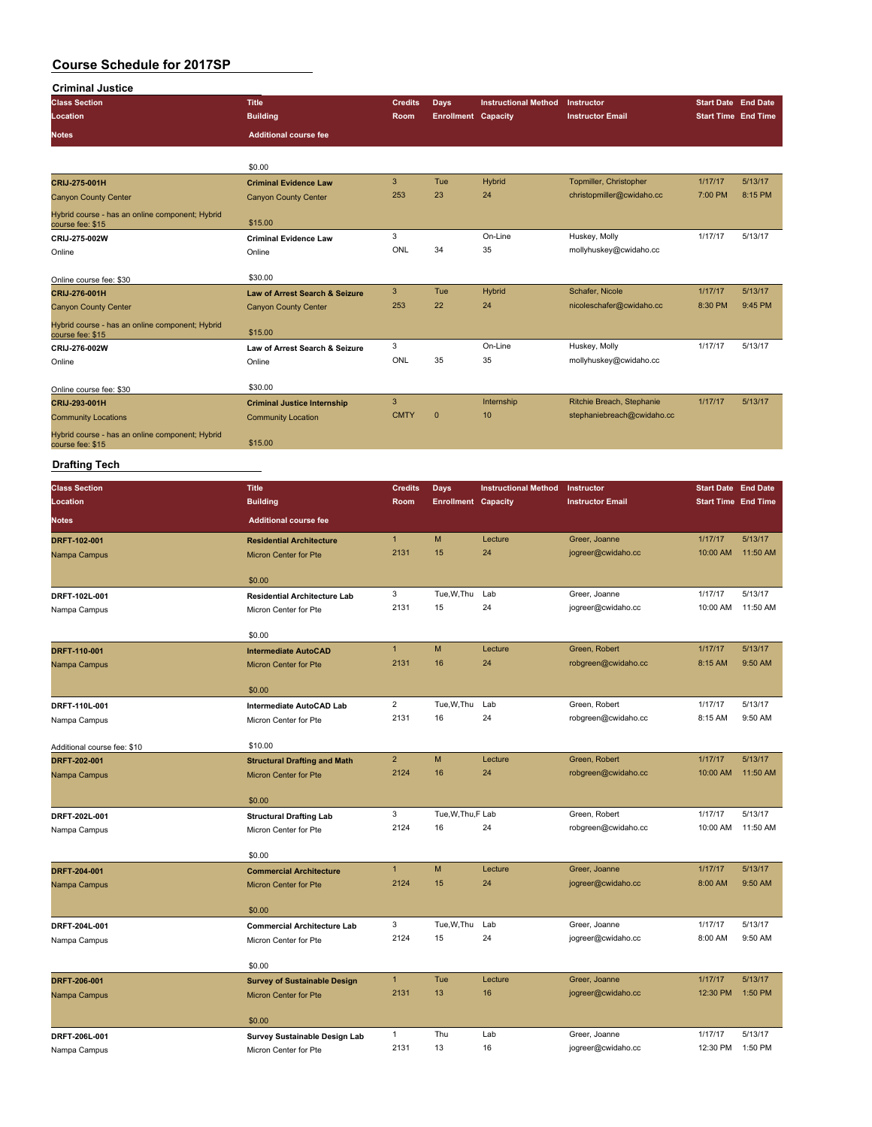| <b>Criminal Justice</b>                                             |                                                              |                             |                            |                             |                                                         |                            |                     |
|---------------------------------------------------------------------|--------------------------------------------------------------|-----------------------------|----------------------------|-----------------------------|---------------------------------------------------------|----------------------------|---------------------|
| <b>Class Section</b>                                                | <b>Title</b>                                                 | <b>Credits</b>              | Days                       | <b>Instructional Method</b> | Instructor                                              | <b>Start Date End Date</b> |                     |
| Location                                                            | <b>Building</b>                                              | Room                        | <b>Enrollment Capacity</b> |                             | <b>Instructor Email</b>                                 | <b>Start Time End Time</b> |                     |
| Notes                                                               | <b>Additional course fee</b>                                 |                             |                            |                             |                                                         |                            |                     |
|                                                                     |                                                              |                             |                            |                             |                                                         |                            |                     |
|                                                                     | \$0.00                                                       |                             |                            |                             |                                                         |                            |                     |
| CRIJ-275-001H                                                       | <b>Criminal Evidence Law</b>                                 | $\mathbf{3}$                | Tue                        | Hybrid                      | Topmiller, Christopher                                  | 1/17/17                    | 5/13/17             |
| <b>Canyon County Center</b>                                         | <b>Canyon County Center</b>                                  | 253                         | 23                         | 24                          | christopmiller@cwidaho.cc                               | 7:00 PM                    | 8:15 PM             |
| Hybrid course - has an online component; Hybrid                     |                                                              |                             |                            |                             |                                                         |                            |                     |
| course fee: \$15                                                    | \$15.00                                                      |                             |                            |                             |                                                         |                            |                     |
| CRIJ-275-002W                                                       | <b>Criminal Evidence Law</b>                                 | 3                           |                            | On-Line                     | Huskey, Molly                                           | 1/17/17                    | 5/13/17             |
| Online                                                              | Online                                                       | ONL                         | 34                         | 35                          | mollyhuskey@cwidaho.cc                                  |                            |                     |
|                                                                     | \$30.00                                                      |                             |                            |                             |                                                         |                            |                     |
| Online course fee: \$30<br>CRIJ-276-001H                            | Law of Arrest Search & Seizure                               | $\mathbf{3}$                | Tue                        | Hybrid                      | Schafer, Nicole                                         | 1/17/17                    | 5/13/17             |
| <b>Canyon County Center</b>                                         | <b>Canyon County Center</b>                                  | 253                         | 22                         | 24                          | nicoleschafer@cwidaho.cc                                | 8:30 PM                    | 9:45 PM             |
|                                                                     |                                                              |                             |                            |                             |                                                         |                            |                     |
| Hybrid course - has an online component; Hybrid<br>course fee: \$15 | \$15.00                                                      |                             |                            |                             |                                                         |                            |                     |
| CRIJ-276-002W                                                       | Law of Arrest Search & Seizure                               | 3                           |                            | On-Line                     | Huskey, Molly                                           | 1/17/17                    | 5/13/17             |
| Online                                                              | Online                                                       | ONL                         | 35                         | 35                          | mollyhuskey@cwidaho.cc                                  |                            |                     |
|                                                                     |                                                              |                             |                            |                             |                                                         |                            |                     |
| Online course fee: \$30                                             | \$30.00                                                      |                             |                            |                             |                                                         |                            | 5/13/17             |
| CRIJ-293-001H                                                       | <b>Criminal Justice Internship</b>                           | $\mathbf{3}$<br><b>CMTY</b> | $\mathbf 0$                | Internship<br>10            | Ritchie Breach, Stephanie<br>stephaniebreach@cwidaho.cc | 1/17/17                    |                     |
| <b>Community Locations</b>                                          | <b>Community Location</b>                                    |                             |                            |                             |                                                         |                            |                     |
| Hybrid course - has an online component; Hybrid<br>course fee: \$15 | \$15.00                                                      |                             |                            |                             |                                                         |                            |                     |
|                                                                     |                                                              |                             |                            |                             |                                                         |                            |                     |
| <b>Drafting Tech</b>                                                |                                                              |                             |                            |                             |                                                         |                            |                     |
| <b>Class Section</b>                                                | <b>Title</b>                                                 | <b>Credits</b>              | Days                       | <b>Instructional Method</b> | Instructor                                              | <b>Start Date End Date</b> |                     |
| Location                                                            | <b>Building</b>                                              | Room                        | <b>Enrollment Capacity</b> |                             | <b>Instructor Email</b>                                 | <b>Start Time End Time</b> |                     |
| Notes                                                               | <b>Additional course fee</b>                                 |                             |                            |                             |                                                         |                            |                     |
|                                                                     |                                                              |                             |                            |                             |                                                         |                            |                     |
| DRFT-102-001                                                        | <b>Residential Architecture</b>                              | $\mathbf{1}$<br>2131        | M<br>15                    | Lecture<br>24               | Greer, Joanne<br>jogreer@cwidaho.cc                     | 1/17/17<br>10:00 AM        | 5/13/17<br>11:50 AM |
| Nampa Campus                                                        | Micron Center for Pte                                        |                             |                            |                             |                                                         |                            |                     |
|                                                                     | \$0.00                                                       |                             |                            |                             |                                                         |                            |                     |
| DRFT-102L-001                                                       | <b>Residential Architecture Lab</b>                          | 3                           | Tue, W, Thu                | Lab                         | Greer, Joanne                                           | 1/17/17                    | 5/13/17             |
| Nampa Campus                                                        | Micron Center for Pte                                        | 2131                        | 15                         | 24                          | jogreer@cwidaho.cc                                      | 10:00 AM                   | 11:50 AM            |
|                                                                     |                                                              |                             |                            |                             |                                                         |                            |                     |
|                                                                     | \$0.00                                                       |                             |                            |                             |                                                         |                            |                     |
| DRFT-110-001                                                        | <b>Intermediate AutoCAD</b>                                  | $\mathbf{1}$                | M                          | Lecture                     | Green, Robert                                           | 1/17/17                    | 5/13/17             |
| Nampa Campus                                                        | <b>Micron Center for Pte</b>                                 | 2131                        | 16                         | 24                          | robgreen@cwidaho.cc                                     | 8:15 AM                    | 9:50 AM             |
|                                                                     | \$0.00                                                       |                             |                            |                             |                                                         |                            |                     |
| DRFT-110L-001                                                       | Intermediate AutoCAD Lab                                     | $\overline{2}$              | Tue,W,Thu                  | Lab                         | Green, Robert                                           | 1/17/17                    | 5/13/17             |
| Nampa Campus                                                        | Micron Center for Pte                                        | 2131                        | 16                         | 24                          | robgreen@cwidaho.cc                                     | 8:15 AM                    | 9:50 AM             |
|                                                                     |                                                              |                             |                            |                             |                                                         |                            |                     |
| Additional course fee: \$10                                         | \$10.00                                                      |                             |                            |                             |                                                         |                            |                     |
| DRFT-202-001                                                        | <b>Structural Drafting and Math</b>                          | $\overline{2}$              | M                          | Lecture                     | Green, Robert                                           | 1/17/17                    | 5/13/17             |
| Nampa Campus                                                        | Micron Center for Pte                                        | 2124                        | 16                         | 24                          | robgreen@cwidaho.cc                                     | 10:00 AM                   | 11:50 AM            |
|                                                                     |                                                              |                             |                            |                             |                                                         |                            |                     |
|                                                                     | \$0.00                                                       |                             |                            |                             |                                                         |                            |                     |
| DRFT-202L-001                                                       | <b>Structural Drafting Lab</b>                               | 3<br>2124                   | Tue, W, Thu, F Lab<br>16   | 24                          | Green, Robert<br>robgreen@cwidaho.cc                    | 1/17/17<br>10:00 AM        | 5/13/17<br>11:50 AM |
| Nampa Campus                                                        | Micron Center for Pte                                        |                             |                            |                             |                                                         |                            |                     |
|                                                                     | \$0.00                                                       |                             |                            |                             |                                                         |                            |                     |
| DRFT-204-001                                                        | <b>Commercial Architecture</b>                               | $\mathbf{1}$                | M                          | Lecture                     | Greer, Joanne                                           | 1/17/17                    | 5/13/17             |
| Nampa Campus                                                        | <b>Micron Center for Pte</b>                                 | 2124                        | 15                         | 24                          | jogreer@cwidaho.cc                                      | 8:00 AM                    | 9:50 AM             |
|                                                                     |                                                              |                             |                            |                             |                                                         |                            |                     |
|                                                                     | \$0.00                                                       |                             |                            |                             |                                                         |                            |                     |
| DRFT-204L-001                                                       | <b>Commercial Architecture Lab</b>                           | 3                           | Tue, W, Thu                | Lab                         | Greer, Joanne                                           | 1/17/17                    | 5/13/17             |
| Nampa Campus                                                        | Micron Center for Pte                                        | 2124                        | 15                         | 24                          | jogreer@cwidaho.cc                                      | 8:00 AM                    | 9:50 AM             |
|                                                                     | \$0.00                                                       |                             |                            |                             |                                                         |                            |                     |
|                                                                     |                                                              | $\mathbf{1}$                | Tue                        | Lecture                     | Greer, Joanne                                           | 1/17/17                    | 5/13/17             |
| DRFT-206-001<br>Nampa Campus                                        | <b>Survey of Sustainable Design</b><br>Micron Center for Pte | 2131                        | 13                         | 16                          | jogreer@cwidaho.cc                                      | 12:30 PM                   | 1:50 PM             |
|                                                                     |                                                              |                             |                            |                             |                                                         |                            |                     |
|                                                                     | \$0.00                                                       |                             |                            |                             |                                                         |                            |                     |
| DRFT-206L-001                                                       | Survey Sustainable Design Lab                                | $\mathbf{1}$                | Thu                        | Lab                         | Greer, Joanne                                           | 1/17/17                    | 5/13/17             |
| Nampa Campus                                                        | Micron Center for Pte                                        | 2131                        | 13                         | 16                          | jogreer@cwidaho.cc                                      | 12:30 PM                   | 1:50 PM             |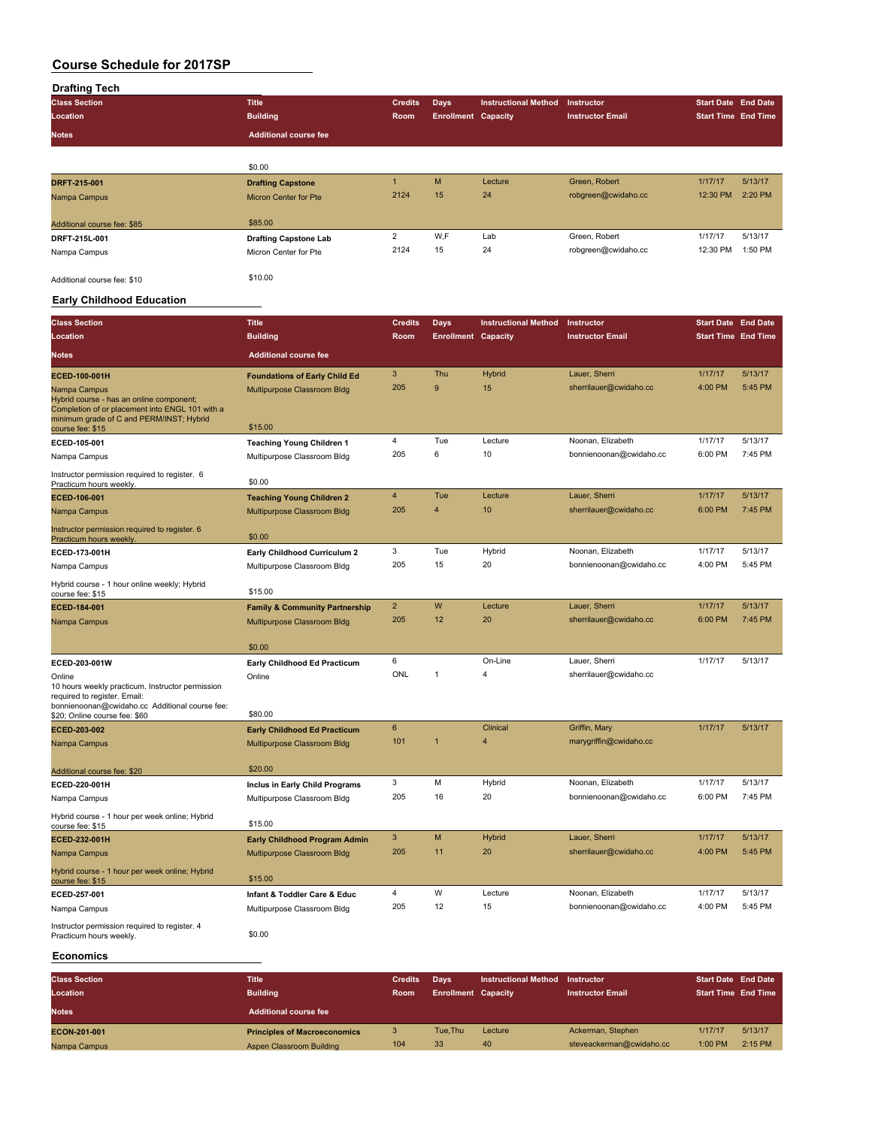| <b>Drafting Tech</b>                                                             |                                           |                |                            |                             |                         |                            |         |
|----------------------------------------------------------------------------------|-------------------------------------------|----------------|----------------------------|-----------------------------|-------------------------|----------------------------|---------|
| <b>Class Section</b>                                                             | <b>Title</b>                              | <b>Credits</b> | Days                       | <b>Instructional Method</b> | Instructor              | <b>Start Date End Date</b> |         |
| Location                                                                         | <b>Building</b>                           | Room           | <b>Enrollment Capacity</b> |                             | <b>Instructor Email</b> | <b>Start Time End Time</b> |         |
| Notes                                                                            | <b>Additional course fee</b>              |                |                            |                             |                         |                            |         |
|                                                                                  | \$0.00                                    |                |                            |                             |                         |                            |         |
| DRFT-215-001                                                                     | <b>Drafting Capstone</b>                  | $\mathbf{1}$   | M                          | Lecture                     | Green, Robert           | 1/17/17                    | 5/13/17 |
| Nampa Campus                                                                     | <b>Micron Center for Pte</b>              | 2124           | 15                         | 24                          | robgreen@cwidaho.cc     | 12:30 PM                   | 2:20 PM |
| Additional course fee: \$85                                                      | \$85.00                                   |                |                            |                             |                         |                            |         |
| DRFT-215L-001                                                                    | <b>Drafting Capstone Lab</b>              | $\overline{c}$ | W,F                        | Lab                         | Green, Robert           | 1/17/17                    | 5/13/17 |
| Nampa Campus                                                                     | Micron Center for Pte                     | 2124           | 15                         | 24                          | robgreen@cwidaho.cc     | 12:30 PM                   | 1:50 PM |
| Additional course fee: \$10                                                      | \$10.00                                   |                |                            |                             |                         |                            |         |
| <b>Early Childhood Education</b>                                                 |                                           |                |                            |                             |                         |                            |         |
| <b>Class Section</b>                                                             | <b>Title</b>                              | <b>Credits</b> | <b>Days</b>                | <b>Instructional Method</b> | Instructor              | <b>Start Date End Date</b> |         |
| Location                                                                         | <b>Building</b>                           | Room           | <b>Enrollment Capacity</b> |                             | <b>Instructor Email</b> | <b>Start Time End Time</b> |         |
|                                                                                  |                                           |                |                            |                             |                         |                            |         |
| <b>Notes</b>                                                                     | <b>Additional course fee</b>              |                |                            |                             |                         |                            |         |
| ECED-100-001H                                                                    | <b>Foundations of Early Child Ed</b>      | 3              | Thu                        | <b>Hybrid</b>               | Lauer, Sherri           | 1/17/17                    | 5/13/17 |
| Nampa Campus<br>Hybrid course - has an online component;                         | Multipurpose Classroom Bldg               | 205            | 9                          | 15                          | sherrilauer@cwidaho.cc  | 4:00 PM                    | 5:45 PM |
| Completion of or placement into ENGL 101 with a                                  |                                           |                |                            |                             |                         |                            |         |
| minimum grade of C and PERM/INST; Hybrid<br>course fee: \$15                     | \$15.00                                   |                |                            |                             |                         |                            |         |
| ECED-105-001                                                                     | <b>Teaching Young Children 1</b>          | 4              | Tue                        | Lecture                     | Noonan, Elizabeth       | 1/17/17                    | 5/13/17 |
| Nampa Campus                                                                     | Multipurpose Classroom Bldg               | 205            | 6                          | 10                          | bonnienoonan@cwidaho.cc | 6:00 PM                    | 7:45 PM |
| Instructor permission required to register. 6<br>Practicum hours weekly.         | \$0.00                                    |                |                            |                             |                         |                            |         |
| ECED-106-001                                                                     | <b>Teaching Young Children 2</b>          | $\overline{4}$ | Tue                        | Lecture                     | Lauer, Sherri           | 1/17/17                    | 5/13/17 |
| Nampa Campus                                                                     | Multipurpose Classroom Bldg               | 205            | 4                          | 10                          | sherrilauer@cwidaho.cc  | 6:00 PM                    | 7:45 PM |
| Instructor permission required to register. 6<br>Practicum hours weekly.         | \$0.00                                    |                |                            |                             |                         |                            |         |
| ECED-173-001H                                                                    | Early Childhood Curriculum 2              | 3              | Tue                        | Hybrid                      | Noonan, Elizabeth       | 1/17/17                    | 5/13/17 |
| Nampa Campus                                                                     | Multipurpose Classroom Bldg               | 205            | 15                         | 20                          | bonnienoonan@cwidaho.cc | 4:00 PM                    | 5:45 PM |
| Hybrid course - 1 hour online weekly; Hybrid<br>course fee: \$15                 | \$15.00                                   |                |                            |                             |                         |                            |         |
| ECED-184-001                                                                     | <b>Family &amp; Community Partnership</b> | $\overline{2}$ | W                          | Lecture                     | Lauer, Sherri           | 1/17/17                    | 5/13/17 |
| Nampa Campus                                                                     | Multipurpose Classroom Bldg               | 205            | 12                         | 20                          | sherrilauer@cwidaho.cc  | 6:00 PM                    | 7:45 PM |
|                                                                                  | \$0.00                                    |                |                            |                             |                         |                            |         |
| ECED-203-001W                                                                    | Early Childhood Ed Practicum              | 6              |                            | On-Line                     | Lauer, Sherri           | 1/17/17                    | 5/13/17 |
| Online                                                                           | Online                                    | ONL            | 1                          | 4                           | sherrilauer@cwidaho.cc  |                            |         |
| 10 hours weekly practicum. Instructor permission<br>required to register. Email: |                                           |                |                            |                             |                         |                            |         |
| bonnienoonan@cwidaho.cc Additional course fee:                                   | \$80.00                                   |                |                            |                             |                         |                            |         |
| \$20; Online course fee: \$60<br>ECED-203-002                                    | <b>Early Childhood Ed Practicum</b>       | 6              |                            | Clinical                    | Griffin, Mary           | 1/17/17                    | 5/13/17 |
| Nampa Campus                                                                     | Multipurpose Classroom Bldg               | 101            |                            | $\overline{4}$              | marygriffin@cwidaho.cc  |                            |         |
|                                                                                  |                                           |                |                            |                             |                         |                            |         |
| Additional course fee: \$20                                                      | \$20.00                                   |                |                            |                             |                         |                            |         |
| ECED-220-001H                                                                    | Inclus in Early Child Programs            | 3              | М                          | Hybrid                      | Noonan, Elizabeth       | 1/17/17                    | 5/13/17 |
| Nampa Campus                                                                     | Multipurpose Classroom Bldg               | 205            | 16                         | 20                          | bonnienoonan@cwidaho.cc | 6:00 PM                    | 7:45 PM |
| Hybrid course - 1 hour per week online; Hybrid<br>course fee: \$15               | \$15.00                                   |                |                            |                             |                         |                            |         |
| ECED-232-001H                                                                    | <b>Early Childhood Program Admin</b>      | 3              | M                          | <b>Hybrid</b>               | Lauer, Sherri           | 1/17/17                    | 5/13/17 |
| Nampa Campus                                                                     | Multipurpose Classroom Bldg               | 205            | 11                         | 20                          | sherrilauer@cwidaho.cc  | 4:00 PM                    | 5:45 PM |
| Hybrid course - 1 hour per week online; Hybrid<br>course fee: \$15               | \$15.00                                   |                |                            |                             |                         |                            |         |
| ECED-257-001                                                                     | Infant & Toddler Care & Educ              | 4              | W                          | Lecture                     | Noonan, Elizabeth       | 1/17/17                    | 5/13/17 |
| Nampa Campus                                                                     | Multipurpose Classroom Bldg               | 205            | 12                         | 15                          | bonnienoonan@cwidaho.cc | 4:00 PM                    | 5:45 PM |
| Instructor permission required to register. 4<br>Practicum hours weekly.         | \$0.00                                    |                |                            |                             |                         |                            |         |

#### **Economics**

| <b>Class Section</b> | <b>Title</b>                        | <b>Credits</b> | <b>Davs</b>                | <b>Instructional Method</b> | Instructor               | <b>Start Date End Date</b> |           |
|----------------------|-------------------------------------|----------------|----------------------------|-----------------------------|--------------------------|----------------------------|-----------|
| Location             | <b>Building</b>                     | <b>Room</b>    | <b>Enrollment Capacity</b> |                             | <b>Instructor Email</b>  | <b>Start Time End Time</b> |           |
| <b>Notes</b>         | <b>Additional course fee</b>        |                |                            |                             |                          |                            |           |
| ECON-201-001         | <b>Principles of Macroeconomics</b> |                | Tue.Thu                    | Lecture                     | Ackerman, Stephen        | 1/17/17                    | 5/13/17   |
| Nampa Campus         | Aspen Classroom Building            | 104            | 33                         | 40                          | steveackerman@cwidaho.cc | 1:00 PM                    | $2:15$ PM |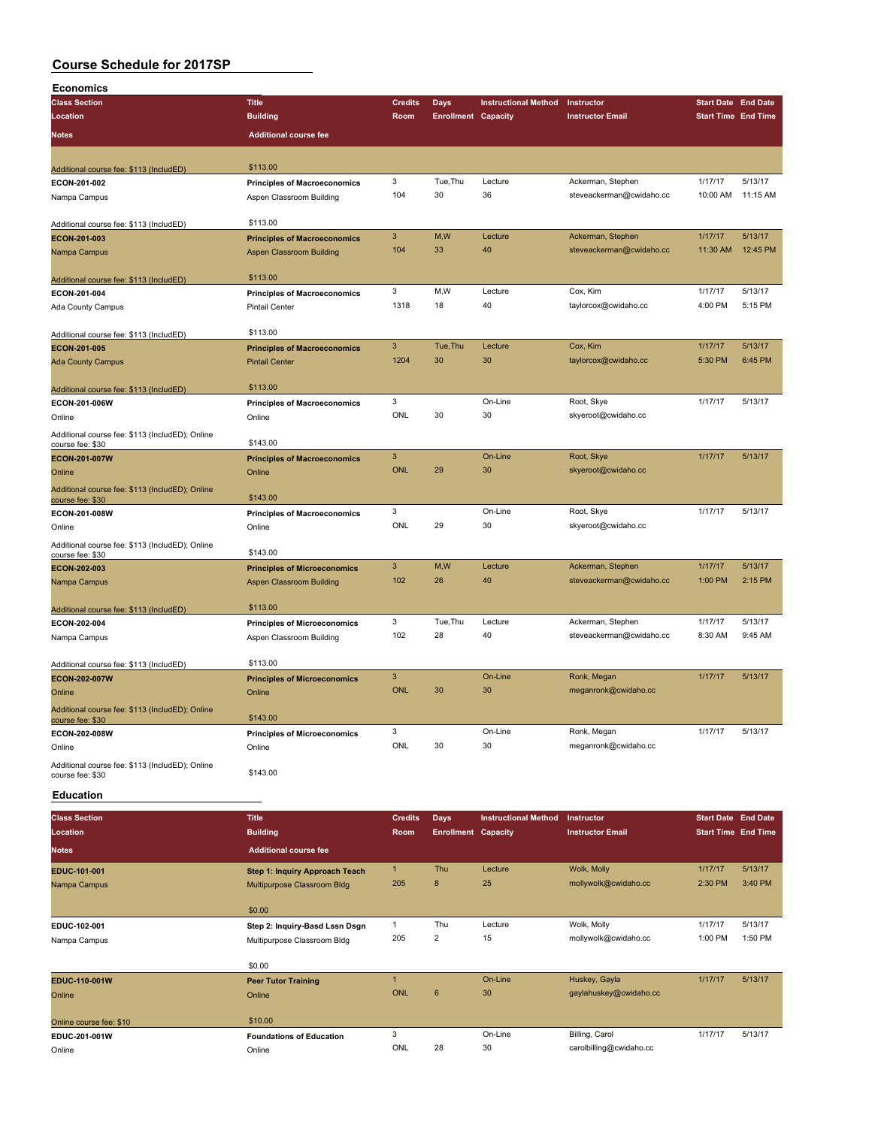| <b>Economics</b>                                |                                       |                           |                            |                             |                          |                            |          |
|-------------------------------------------------|---------------------------------------|---------------------------|----------------------------|-----------------------------|--------------------------|----------------------------|----------|
| <b>Class Section</b>                            | <b>Title</b>                          | <b>Credits</b>            | Days                       | <b>Instructional Method</b> | Instructor               | <b>Start Date End Date</b> |          |
| Location                                        | <b>Building</b>                       | Room                      | <b>Enrollment Capacity</b> |                             | <b>Instructor Email</b>  | <b>Start Time End Time</b> |          |
| Notes                                           | <b>Additional course fee</b>          |                           |                            |                             |                          |                            |          |
|                                                 |                                       |                           |                            |                             |                          |                            |          |
|                                                 |                                       |                           |                            |                             |                          |                            |          |
| Additional course fee: \$113 (IncludED)         | \$113.00                              |                           |                            |                             |                          |                            |          |
| ECON-201-002                                    | <b>Principles of Macroeconomics</b>   | $\mathbf 3$               | Tue, Thu                   | Lecture                     | Ackerman, Stephen        | 1/17/17                    | 5/13/17  |
| Nampa Campus                                    | Aspen Classroom Building              | 104                       | 30                         | 36                          | steveackerman@cwidaho.cc | 10:00 AM                   | 11:15 AM |
|                                                 |                                       |                           |                            |                             |                          |                            |          |
| Additional course fee: \$113 (IncludED)         | \$113.00                              |                           |                            |                             |                          |                            |          |
| ECON-201-003                                    | <b>Principles of Macroeconomics</b>   | $\mathbf{3}$              | M,W                        | Lecture                     | Ackerman, Stephen        | 1/17/17                    | 5/13/17  |
| Nampa Campus                                    | <b>Aspen Classroom Building</b>       | 104                       | 33                         | 40                          | steveackerman@cwidaho.cc | 11:30 AM                   | 12:45 PM |
|                                                 |                                       |                           |                            |                             |                          |                            |          |
| Additional course fee: \$113 (IncludED)         | \$113.00                              |                           |                            |                             |                          |                            |          |
| ECON-201-004                                    | <b>Principles of Macroeconomics</b>   | 3                         | M, W                       | Lecture                     | Cox, Kim                 | 1/17/17                    | 5/13/17  |
| Ada County Campus                               | <b>Pintail Center</b>                 | 1318                      | 18                         | 40                          | taylorcox@cwidaho.cc     | 4:00 PM                    | 5:15 PM  |
|                                                 |                                       |                           |                            |                             |                          |                            |          |
| Additional course fee: \$113 (IncludED)         | \$113.00                              |                           |                            |                             |                          |                            |          |
| ECON-201-005                                    | <b>Principles of Macroeconomics</b>   | $\mathbf{3}$              | Tue, Thu                   | Lecture                     | Cox, Kim                 | 1/17/17                    | 5/13/17  |
| <b>Ada County Campus</b>                        | <b>Pintail Center</b>                 | 1204                      | 30                         | 30                          | taylorcox@cwidaho.cc     | 5:30 PM                    | 6:45 PM  |
|                                                 |                                       |                           |                            |                             |                          |                            |          |
| Additional course fee: \$113 (IncludED)         | \$113.00                              |                           |                            |                             |                          |                            |          |
| ECON-201-006W                                   | <b>Principles of Macroeconomics</b>   | $\mathbf 3$               |                            | On-Line                     | Root, Skye               | 1/17/17                    | 5/13/17  |
| Online                                          | Online                                | ONL                       | 30                         | 30                          | skyeroot@cwidaho.cc      |                            |          |
| Additional course fee: \$113 (IncludED); Online |                                       |                           |                            |                             |                          |                            |          |
| course fee: \$30                                | \$143.00                              |                           |                            |                             |                          |                            |          |
| ECON-201-007W                                   | <b>Principles of Macroeconomics</b>   | $\mathbf{3}$              |                            | On-Line                     | Root, Skye               | 1/17/17                    | 5/13/17  |
| Online                                          | Online                                | <b>ONL</b>                | 29                         | 30                          | skyeroot@cwidaho.cc      |                            |          |
| Additional course fee: \$113 (IncludED); Online |                                       |                           |                            |                             |                          |                            |          |
| course fee: \$30                                | \$143.00                              |                           |                            |                             |                          |                            |          |
| ECON-201-008W                                   | <b>Principles of Macroeconomics</b>   | 3                         |                            | On-Line                     | Root, Skye               | 1/17/17                    | 5/13/17  |
| Online                                          | Online                                | ONL                       | 29                         | 30                          | skyeroot@cwidaho.cc      |                            |          |
| Additional course fee: \$113 (IncludED); Online |                                       |                           |                            |                             |                          |                            |          |
| course fee: \$30                                | \$143.00                              |                           |                            |                             |                          |                            |          |
| ECON-202-003                                    | <b>Principles of Microeconomics</b>   | $\ensuremath{\mathsf{3}}$ | M,W                        | Lecture                     | Ackerman, Stephen        | 1/17/17                    | 5/13/17  |
| Nampa Campus                                    | Aspen Classroom Building              | 102                       | 26                         | 40                          | steveackerman@cwidaho.cc | 1:00 PM                    | 2:15 PM  |
|                                                 |                                       |                           |                            |                             |                          |                            |          |
| Additional course fee: \$113 (IncludED)         | \$113.00                              |                           |                            |                             |                          |                            |          |
| ECON-202-004                                    | <b>Principles of Microeconomics</b>   | 3                         | Tue, Thu                   | Lecture                     | Ackerman, Stephen        | 1/17/17                    | 5/13/17  |
| Nampa Campus                                    | Aspen Classroom Building              | 102                       | 28                         | 40                          | steveackerman@cwidaho.cc | 8:30 AM                    | 9:45 AM  |
|                                                 |                                       |                           |                            |                             |                          |                            |          |
| Additional course fee: \$113 (IncludED)         | \$113.00                              |                           |                            |                             |                          |                            |          |
| <b>ECON-202-007W</b>                            | <b>Principles of Microeconomics</b>   | $\mathbf{3}$              |                            | On-Line                     | Ronk, Megan              | 1/17/17                    | 5/13/17  |
| Online                                          | Online                                | <b>ONL</b>                | 30                         | 30                          | meganronk@cwidaho.cc     |                            |          |
| Additional course fee: \$113 (IncludED); Online |                                       |                           |                            |                             |                          |                            |          |
| course fee: \$30                                | \$143.00                              |                           |                            |                             |                          |                            |          |
| ECON-202-008W                                   | <b>Principles of Microeconomics</b>   | 3                         |                            | On-Line                     | Ronk, Megan              | 1/17/17                    | 5/13/17  |
| Online                                          | Online                                | <b>ONL</b>                | 30                         | 30                          | meganronk@cwidaho.cc     |                            |          |
| Additional course fee: \$113 (IncludED); Online |                                       |                           |                            |                             |                          |                            |          |
| course fee: \$30                                | \$143.00                              |                           |                            |                             |                          |                            |          |
|                                                 |                                       |                           |                            |                             |                          |                            |          |
| <b>Education</b>                                |                                       |                           |                            |                             |                          |                            |          |
| <b>Class Section</b>                            | <b>Title</b>                          | <b>Credits</b>            | <b>Days</b>                | <b>Instructional Method</b> | Instructor               | <b>Start Date End Date</b> |          |
| Location                                        | <b>Building</b>                       | Room                      | <b>Enrollment Capacity</b> |                             | <b>Instructor Email</b>  | <b>Start Time End Time</b> |          |
|                                                 |                                       |                           |                            |                             |                          |                            |          |
| Notes                                           | <b>Additional course fee</b>          |                           |                            |                             |                          |                            |          |
| EDUC-101-001                                    | <b>Step 1: Inquiry Approach Teach</b> | $\mathbf{1}$              | Thu                        | Lecture                     | Wolk, Molly              | 1/17/17                    | 5/13/17  |
| Nampa Campus                                    | Multipurpose Classroom Bldg           | 205                       | 8                          | 25                          | mollywolk@cwidaho.cc     | 2:30 PM                    | 3:40 PM  |
|                                                 |                                       |                           |                            |                             |                          |                            |          |
|                                                 | \$0.00                                |                           |                            |                             |                          |                            |          |
| EDUC-102-001                                    | Step 2: Inquiry-Basd Lssn Dsgn        | $\mathbf{1}$              | Thu                        | Lecture                     | Wolk, Molly              | 1/17/17                    | 5/13/17  |
| Nampa Campus                                    | Multipurpose Classroom Bldg           | 205                       | $\overline{2}$             | 15                          | mollywolk@cwidaho.cc     | 1:00 PM                    | 1:50 PM  |
|                                                 |                                       |                           |                            |                             |                          |                            |          |
|                                                 | \$0.00                                |                           |                            |                             |                          |                            |          |
| EDUC-110-001W                                   | <b>Peer Tutor Training</b>            | $\mathbf{1}$              |                            | On-Line                     | Huskey, Gayla            | 1/17/17                    | 5/13/17  |
| Online                                          | Online                                | <b>ONL</b>                | $\boldsymbol{6}$           | 30                          | gaylahuskey@cwidaho.cc   |                            |          |
|                                                 |                                       |                           |                            |                             |                          |                            |          |
| Online course fee: \$10                         | \$10.00                               |                           |                            |                             |                          |                            |          |
| EDUC-201-001W                                   | <b>Foundations of Education</b>       | 3                         |                            | On-Line                     | Billing, Carol           | 1/17/17                    | 5/13/17  |
| Online                                          | Online                                | ONL                       | 28                         | 30                          | carolbilling@cwidaho.cc  |                            |          |
|                                                 |                                       |                           |                            |                             |                          |                            |          |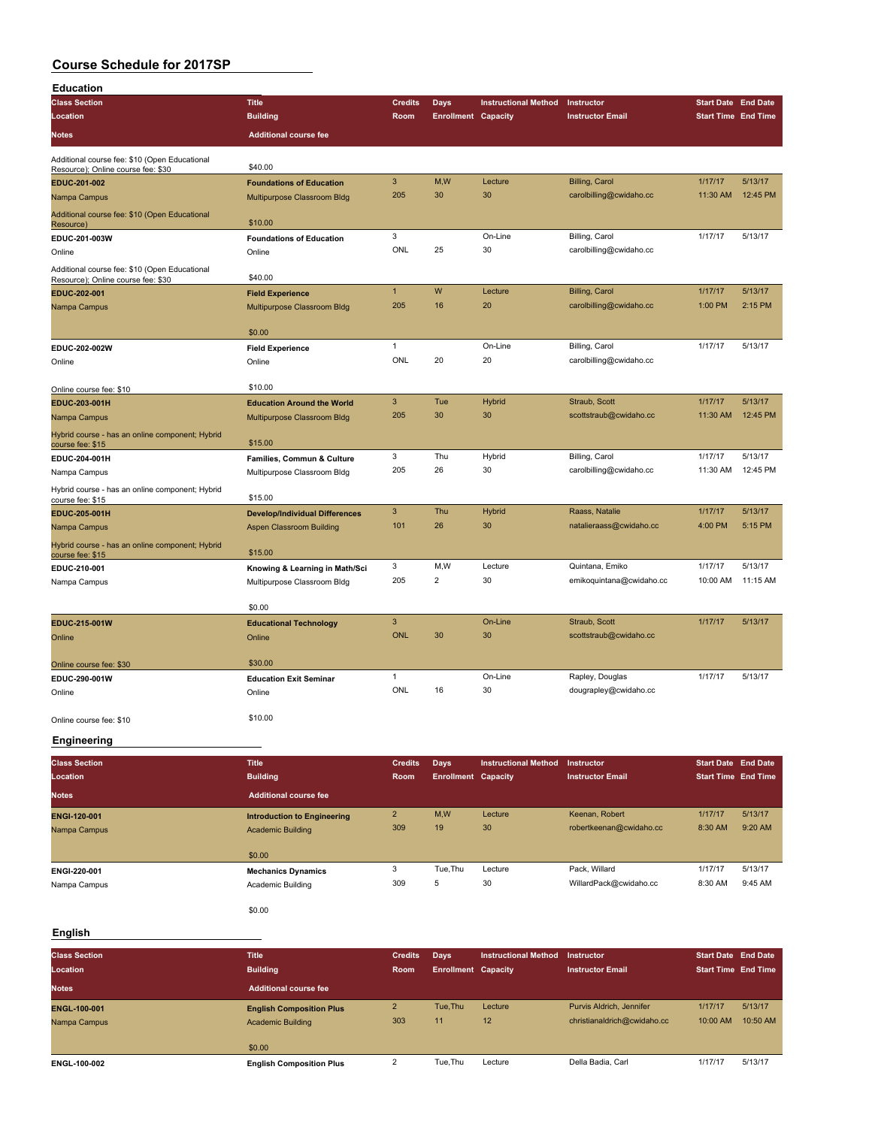| <b>Education</b>                                                                    |                                       |                |                            |                             |                                         |                            |                     |
|-------------------------------------------------------------------------------------|---------------------------------------|----------------|----------------------------|-----------------------------|-----------------------------------------|----------------------------|---------------------|
| <b>Class Section</b>                                                                | <b>Title</b>                          | <b>Credits</b> | <b>Days</b>                | <b>Instructional Method</b> | Instructor                              | <b>Start Date End Date</b> |                     |
| Location                                                                            | <b>Building</b>                       | Room           | <b>Enrollment Capacity</b> |                             | <b>Instructor Email</b>                 | <b>Start Time End Time</b> |                     |
| <b>Notes</b>                                                                        | <b>Additional course fee</b>          |                |                            |                             |                                         |                            |                     |
| Additional course fee: \$10 (Open Educational<br>Resource); Online course fee: \$30 | \$40.00                               |                |                            |                             |                                         |                            |                     |
| EDUC-201-002                                                                        | <b>Foundations of Education</b>       | 3              | M,W                        | Lecture                     | Billing, Carol                          | 1/17/17                    | 5/13/17             |
| Nampa Campus                                                                        | Multipurpose Classroom Bldg           | 205            | 30                         | 30                          | carolbilling@cwidaho.cc                 | 11:30 AM                   | 12:45 PM            |
| Additional course fee: \$10 (Open Educational<br>Resource)                          | \$10.00                               |                |                            |                             |                                         |                            |                     |
| EDUC-201-003W                                                                       | <b>Foundations of Education</b>       | 3              |                            | On-Line                     | Billing, Carol                          | 1/17/17                    | 5/13/17             |
| Online                                                                              | Online                                | ONL            | 25                         | 30                          | carolbilling@cwidaho.cc                 |                            |                     |
| Additional course fee: \$10 (Open Educational<br>Resource); Online course fee: \$30 | \$40.00                               |                |                            |                             |                                         |                            |                     |
| EDUC-202-001                                                                        | <b>Field Experience</b>               | $\mathbf{1}$   | W                          | Lecture                     | Billing, Carol                          | 1/17/17                    | 5/13/17             |
| Nampa Campus                                                                        | Multipurpose Classroom Bldg           | 205            | 16                         | 20                          | carolbilling@cwidaho.cc                 | 1:00 PM                    | 2:15 PM             |
|                                                                                     | \$0.00                                |                |                            |                             |                                         |                            |                     |
| EDUC-202-002W                                                                       | <b>Field Experience</b>               | $\mathbf{1}$   |                            | On-Line                     | Billing, Carol                          | 1/17/17                    | 5/13/17             |
| Online                                                                              | Online                                | ONL            | 20                         | 20                          | carolbilling@cwidaho.cc                 |                            |                     |
|                                                                                     |                                       |                |                            |                             |                                         |                            |                     |
| Online course fee: \$10                                                             | \$10.00                               |                |                            |                             |                                         |                            |                     |
| EDUC-203-001H                                                                       | <b>Education Around the World</b>     | 3<br>205       | Tue<br>30                  | Hybrid<br>30                | Straub, Scott<br>scottstraub@cwidaho.cc | 1/17/17<br>11:30 AM        | 5/13/17<br>12:45 PM |
| Nampa Campus                                                                        | Multipurpose Classroom Bldg           |                |                            |                             |                                         |                            |                     |
| Hybrid course - has an online component; Hybrid<br>course fee: \$15                 | \$15.00                               |                |                            |                             |                                         |                            |                     |
| EDUC-204-001H                                                                       | Families, Commun & Culture            | 3              | Thu                        | Hybrid                      | Billing, Carol                          | 1/17/17                    | 5/13/17             |
| Nampa Campus                                                                        | Multipurpose Classroom Bldg           | 205            | 26                         | 30                          | carolbilling@cwidaho.cc                 | 11:30 AM                   | 12:45 PM            |
| Hybrid course - has an online component; Hybrid<br>course fee: \$15                 | \$15.00                               |                |                            |                             |                                         |                            |                     |
| EDUC-205-001H                                                                       | <b>Develop/Individual Differences</b> | 3              | Thu                        | <b>Hybrid</b>               | Raass, Natalie                          | 1/17/17                    | 5/13/17             |
| Nampa Campus                                                                        | <b>Aspen Classroom Building</b>       | 101            | 26                         | 30                          | natalieraass@cwidaho.cc                 | 4:00 PM                    | 5:15 PM             |
| Hybrid course - has an online component; Hybrid<br>course fee: \$15                 | \$15.00                               |                |                            |                             |                                         |                            |                     |
| EDUC-210-001                                                                        | Knowing & Learning in Math/Sci        | 3              | M,W                        | Lecture                     | Quintana, Emiko                         | 1/17/17                    | 5/13/17             |
| Nampa Campus                                                                        | Multipurpose Classroom Bldg           | 205            | $\overline{2}$             | 30                          | emikoquintana@cwidaho.cc                | 10:00 AM                   | 11:15 AM            |
|                                                                                     | \$0.00                                |                |                            |                             |                                         |                            |                     |
| EDUC-215-001W                                                                       | <b>Educational Technology</b>         | 3              |                            | On-Line                     | Straub, Scott                           | 1/17/17                    | 5/13/17             |
| Online                                                                              | Online                                | <b>ONL</b>     | 30                         | 30                          | scottstraub@cwidaho.cc                  |                            |                     |
| Online course fee: \$30                                                             | \$30.00                               |                |                            |                             |                                         |                            |                     |
| EDUC-290-001W                                                                       | <b>Education Exit Seminar</b>         | $\mathbf{1}$   |                            | On-Line                     | Rapley, Douglas                         | 1/17/17                    | 5/13/17             |
| Online                                                                              | Online                                | ONL            | 16                         | 30                          | dougrapley@cwidaho.cc                   |                            |                     |
| Online course fee: \$10                                                             | \$10.00                               |                |                            |                             |                                         |                            |                     |

### **Engineering**

| <b>Class Section</b><br>Location | <b>Title</b><br><b>Building</b>                                | <b>Credits</b><br>Room | Days<br><b>Enrollment Capacity</b> | <b>Instructional Method</b> | Instructor<br><b>Instructor Email</b>     | <b>Start Date End Date</b><br><b>Start Time End Time</b> |                    |
|----------------------------------|----------------------------------------------------------------|------------------------|------------------------------------|-----------------------------|-------------------------------------------|----------------------------------------------------------|--------------------|
| <b>Notes</b>                     | Additional course fee                                          |                        |                                    |                             |                                           |                                                          |                    |
| ENGI-120-001<br>Nampa Campus     | <b>Introduction to Engineering</b><br><b>Academic Building</b> | $\overline{2}$<br>309  | M,W<br>19                          | Lecture<br>30               | Keenan, Robert<br>robertkeenan@cwidaho.cc | 1/17/17<br>8:30 AM                                       | 5/13/17<br>9:20 AM |
|                                  | \$0.00                                                         |                        |                                    |                             |                                           |                                                          |                    |
| ENGI-220-001<br>Nampa Campus     | <b>Mechanics Dynamics</b><br>Academic Building                 | 3<br>309               | Tue.Thu<br>5                       | Lecture<br>30               | Pack, Willard<br>WillardPack@cwidaho.cc   | 1/17/17<br>8:30 AM                                       | 5/13/17<br>9:45 AM |
|                                  |                                                                |                        |                                    |                             |                                           |                                                          |                    |

\$0.00

### **English**

| <b>Class Section</b><br>Location | <b>Title</b><br><b>Building</b>                             | <b>Credits</b><br>Room | Days<br><b>Enrollment Capacity</b> | <b>Instructional Method</b> | <b>Instructor</b><br><b>Instructor Email</b>            | <b>Start Date End Date</b><br><b>Start Time End Time</b> |                     |
|----------------------------------|-------------------------------------------------------------|------------------------|------------------------------------|-----------------------------|---------------------------------------------------------|----------------------------------------------------------|---------------------|
| <b>Notes</b>                     | <b>Additional course fee</b>                                |                        |                                    |                             |                                                         |                                                          |                     |
| ENGL-100-001<br>Nampa Campus     | <b>English Composition Plus</b><br><b>Academic Building</b> | $\overline{2}$<br>303  | Tue.Thu<br>11                      | Lecture<br>12               | Purvis Aldrich, Jennifer<br>christianaldrich@cwidaho.cc | 1/17/17<br>10:00 AM                                      | 5/13/17<br>10:50 AM |
| ENGL-100-002                     | \$0.00<br><b>English Composition Plus</b>                   |                        | Tue.Thu                            | Lecture                     | Della Badia, Carl                                       | 1/17/17                                                  | 5/13/17             |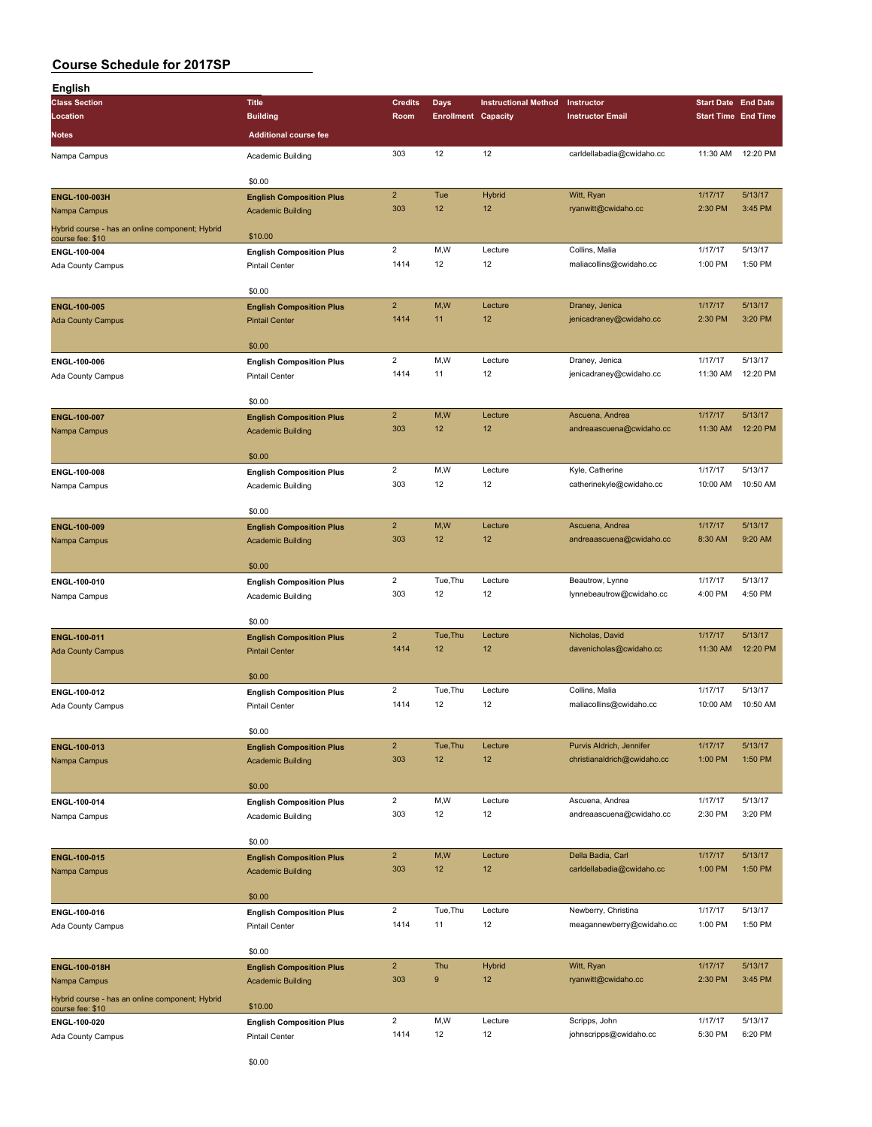| English                                                             |                                 |                |                            |                             |                             |                            |          |
|---------------------------------------------------------------------|---------------------------------|----------------|----------------------------|-----------------------------|-----------------------------|----------------------------|----------|
| <b>Class Section</b>                                                | <b>Title</b>                    | <b>Credits</b> | Days                       | <b>Instructional Method</b> | Instructor                  | <b>Start Date</b> End Date |          |
| Location                                                            | <b>Building</b>                 | Room           | <b>Enrollment Capacity</b> |                             | <b>Instructor Email</b>     | <b>Start Time End Time</b> |          |
|                                                                     |                                 |                |                            |                             |                             |                            |          |
| Notes                                                               | <b>Additional course fee</b>    |                |                            |                             |                             |                            |          |
| Nampa Campus                                                        | Academic Building               | 303            | 12                         | 12                          | carldellabadia@cwidaho.cc   | 11:30 AM                   | 12:20 PM |
|                                                                     |                                 |                |                            |                             |                             |                            |          |
|                                                                     | \$0.00                          |                |                            |                             |                             |                            |          |
| ENGL-100-003H                                                       | <b>English Composition Plus</b> | $\overline{2}$ | Tue                        | <b>Hybrid</b>               | Witt, Ryan                  | 1/17/17                    | 5/13/17  |
| Nampa Campus                                                        | <b>Academic Building</b>        | 303            | 12                         | 12                          | ryanwitt@cwidaho.cc         | 2:30 PM                    | 3:45 PM  |
|                                                                     |                                 |                |                            |                             |                             |                            |          |
| Hybrid course - has an online component; Hybrid<br>course fee: \$10 | \$10.00                         |                |                            |                             |                             |                            |          |
| ENGL-100-004                                                        | <b>English Composition Plus</b> | $\overline{c}$ | M,W                        | Lecture                     | Collins, Malia              | 1/17/17                    | 5/13/17  |
| Ada County Campus                                                   | <b>Pintail Center</b>           | 1414           | 12                         | 12                          | maliacollins@cwidaho.cc     | 1:00 PM                    | 1:50 PM  |
|                                                                     |                                 |                |                            |                             |                             |                            |          |
|                                                                     | \$0.00                          |                |                            |                             |                             |                            |          |
|                                                                     |                                 | $\overline{2}$ | M,W                        | Lecture                     | Draney, Jenica              | 1/17/17                    | 5/13/17  |
| ENGL-100-005                                                        | <b>English Composition Plus</b> | 1414           | 11                         | 12                          | jenicadraney@cwidaho.cc     | 2:30 PM                    | 3:20 PM  |
| <b>Ada County Campus</b>                                            | <b>Pintail Center</b>           |                |                            |                             |                             |                            |          |
|                                                                     |                                 |                |                            |                             |                             |                            |          |
|                                                                     | \$0.00                          |                |                            |                             |                             |                            |          |
| ENGL-100-006                                                        | <b>English Composition Plus</b> | $\overline{2}$ | M, W                       | Lecture                     | Draney, Jenica              | 1/17/17                    | 5/13/17  |
| Ada County Campus                                                   | <b>Pintail Center</b>           | 1414           | 11                         | 12                          | jenicadraney@cwidaho.cc     | 11:30 AM                   | 12:20 PM |
|                                                                     |                                 |                |                            |                             |                             |                            |          |
|                                                                     | \$0.00                          |                |                            |                             |                             |                            |          |
| ENGL-100-007                                                        | <b>English Composition Plus</b> | $\overline{2}$ | M,W                        | Lecture                     | Ascuena, Andrea             | 1/17/17                    | 5/13/17  |
| Nampa Campus                                                        | <b>Academic Building</b>        | 303            | 12                         | 12                          | andreaascuena@cwidaho.cc    | 11:30 AM                   | 12:20 PM |
|                                                                     |                                 |                |                            |                             |                             |                            |          |
|                                                                     | \$0.00                          |                |                            |                             |                             |                            |          |
| ENGL-100-008                                                        | <b>English Composition Plus</b> | $\overline{2}$ | M, W                       | Lecture                     | Kyle, Catherine             | 1/17/17                    | 5/13/17  |
| Nampa Campus                                                        | Academic Building               | 303            | 12                         | 12                          | catherinekyle@cwidaho.cc    | 10:00 AM                   | 10:50 AM |
|                                                                     |                                 |                |                            |                             |                             |                            |          |
|                                                                     | \$0.00                          |                |                            |                             |                             |                            |          |
| ENGL-100-009                                                        | <b>English Composition Plus</b> | $\overline{2}$ | M,W                        | Lecture                     | Ascuena, Andrea             | 1/17/17                    | 5/13/17  |
| Nampa Campus                                                        | <b>Academic Building</b>        | 303            | 12                         | 12                          | andreaascuena@cwidaho.cc    | 8:30 AM                    | 9:20 AM  |
|                                                                     |                                 |                |                            |                             |                             |                            |          |
|                                                                     | \$0.00                          |                |                            |                             |                             |                            |          |
| ENGL-100-010                                                        | <b>English Composition Plus</b> | $\overline{c}$ | Tue, Thu                   | Lecture                     | Beautrow, Lynne             | 1/17/17                    | 5/13/17  |
|                                                                     |                                 | 303            | 12                         | 12                          | lynnebeautrow@cwidaho.cc    | 4:00 PM                    | 4:50 PM  |
| Nampa Campus                                                        | Academic Building               |                |                            |                             |                             |                            |          |
|                                                                     | \$0.00                          |                |                            |                             |                             |                            |          |
|                                                                     |                                 | $\overline{2}$ | Tue, Thu                   |                             | Nicholas, David             | 1/17/17                    | 5/13/17  |
| ENGL-100-011                                                        | <b>English Composition Plus</b> |                |                            | Lecture                     |                             |                            |          |
| <b>Ada County Campus</b>                                            | <b>Pintail Center</b>           | 1414           | 12                         | 12                          | davenicholas@cwidaho.cc     | 11:30 AM                   | 12:20 PM |
|                                                                     |                                 |                |                            |                             |                             |                            |          |
|                                                                     | \$0.00                          |                |                            |                             |                             |                            |          |
| ENGL-100-012                                                        | <b>English Composition Plus</b> | $\overline{2}$ | Tue.Thu                    | Lecture                     | Collins, Malia              | 1/17/17                    | 5/13/17  |
| Ada County Campus                                                   | <b>Pintail Center</b>           | 1414           | 12                         | 12                          | maliacollins@cwidaho.cc     | 10:00 AM                   | 10:50 AM |
|                                                                     |                                 |                |                            |                             |                             |                            |          |
|                                                                     | \$0.00                          |                |                            |                             |                             |                            |          |
| ENGL-100-013                                                        | <b>English Composition Plus</b> | $\mathbf 2$    | Tue, Thu                   | Lecture                     | Purvis Aldrich, Jennifer    | 1/17/17                    | 5/13/17  |
| Nampa Campus                                                        | <b>Academic Building</b>        | 303            | 12                         | 12                          | christianaldrich@cwidaho.cc | 1:00 PM                    | 1:50 PM  |
|                                                                     |                                 |                |                            |                             |                             |                            |          |
|                                                                     | \$0.00                          |                |                            |                             |                             |                            |          |
| ENGL-100-014                                                        | <b>English Composition Plus</b> | $\overline{2}$ | M,W                        | Lecture                     | Ascuena, Andrea             | 1/17/17                    | 5/13/17  |
| Nampa Campus                                                        | Academic Building               | 303            | 12                         | 12                          | andreaascuena@cwidaho.cc    | 2:30 PM                    | 3:20 PM  |
|                                                                     |                                 |                |                            |                             |                             |                            |          |
|                                                                     | \$0.00                          |                |                            |                             |                             |                            |          |
| ENGL-100-015                                                        | <b>English Composition Plus</b> | $\overline{2}$ | M,W                        | Lecture                     | Della Badia, Carl           | 1/17/17                    | 5/13/17  |
| Nampa Campus                                                        | <b>Academic Building</b>        | 303            | 12                         | 12                          | carldellabadia@cwidaho.cc   | 1:00 PM                    | 1:50 PM  |
|                                                                     |                                 |                |                            |                             |                             |                            |          |
|                                                                     | \$0.00                          |                |                            |                             |                             |                            |          |
| ENGL-100-016                                                        | <b>English Composition Plus</b> | $\overline{2}$ | Tue, Thu                   | Lecture                     | Newberry, Christina         | 1/17/17                    | 5/13/17  |
| Ada County Campus                                                   | <b>Pintail Center</b>           | 1414           | 11                         | 12                          | meagannewberry@cwidaho.cc   | 1:00 PM                    | 1:50 PM  |
|                                                                     |                                 |                |                            |                             |                             |                            |          |
|                                                                     | \$0.00                          |                |                            |                             |                             |                            |          |
|                                                                     |                                 | $\overline{2}$ | Thu                        | <b>Hybrid</b>               | Witt, Ryan                  | 1/17/17                    | 5/13/17  |
| ENGL-100-018H                                                       | <b>English Composition Plus</b> | 303            | 9                          | 12                          |                             | 2:30 PM                    | 3:45 PM  |
| Nampa Campus                                                        | <b>Academic Building</b>        |                |                            |                             | ryanwitt@cwidaho.cc         |                            |          |
| Hybrid course - has an online component; Hybrid                     |                                 |                |                            |                             |                             |                            |          |
| course fee: \$10                                                    | \$10.00                         |                |                            |                             |                             |                            |          |
| ENGL-100-020                                                        | <b>English Composition Plus</b> | $\overline{2}$ | M,W                        | Lecture                     | Scripps, John               | 1/17/17                    | 5/13/17  |
| Ada County Campus                                                   | <b>Pintail Center</b>           | 1414           | 12                         | 12                          | johnscripps@cwidaho.cc      | 5:30 PM                    | 6:20 PM  |
|                                                                     |                                 |                |                            |                             |                             |                            |          |
|                                                                     | \$0.00                          |                |                            |                             |                             |                            |          |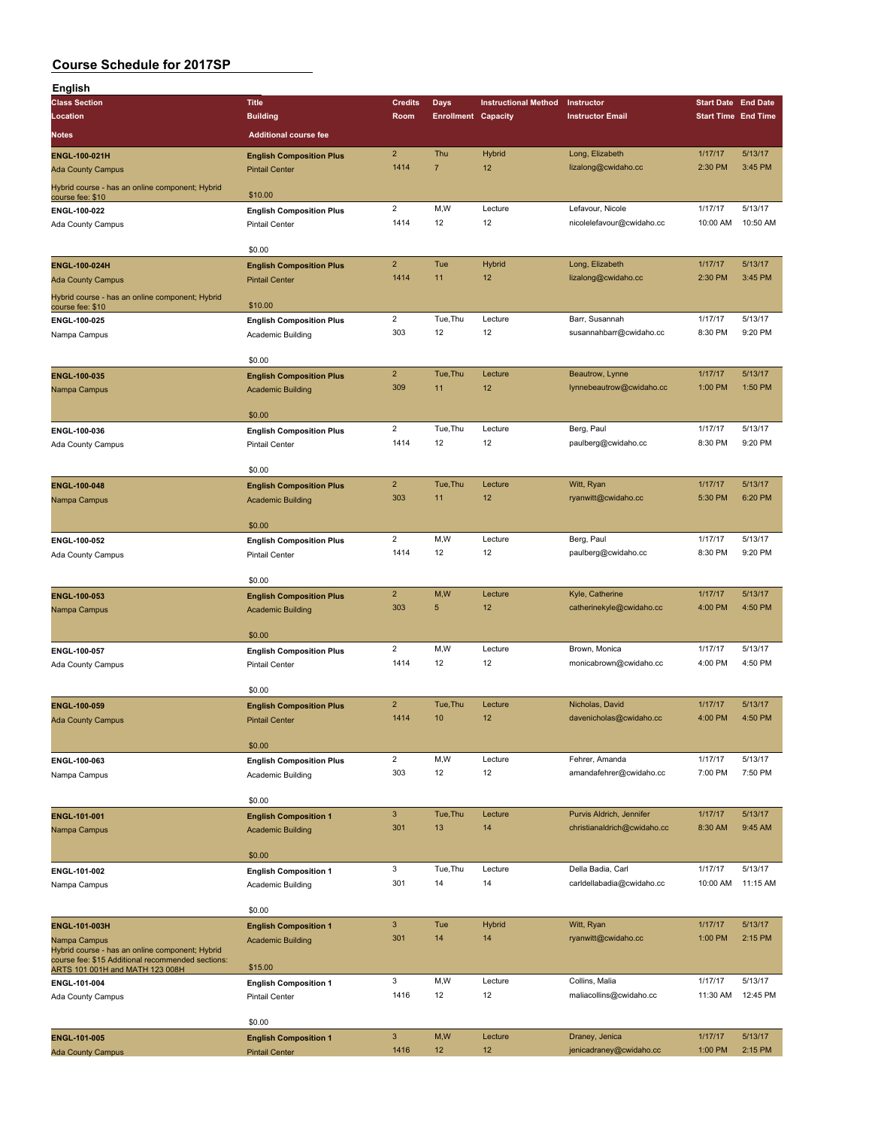| English                                                                              |                                 |                       |                            |                             |                             |                            |                    |
|--------------------------------------------------------------------------------------|---------------------------------|-----------------------|----------------------------|-----------------------------|-----------------------------|----------------------------|--------------------|
| <b>Class Section</b>                                                                 | <b>Title</b>                    | <b>Credits</b>        | Days                       | <b>Instructional Method</b> | Instructor                  | <b>Start Date End Date</b> |                    |
| Location                                                                             | <b>Building</b>                 | Room                  | <b>Enrollment Capacity</b> |                             | <b>Instructor Email</b>     | <b>Start Time End Time</b> |                    |
| Notes                                                                                | <b>Additional course fee</b>    |                       |                            |                             |                             |                            |                    |
|                                                                                      |                                 | $\overline{2}$        | Thu                        | Hybrid                      | Long, Elizabeth             | 1/17/17                    | 5/13/17            |
| ENGL-100-021H                                                                        | <b>English Composition Plus</b> | 1414                  | $\overline{7}$             | 12                          | lizalong@cwidaho.cc         | 2:30 PM                    | 3:45 PM            |
| <b>Ada County Campus</b>                                                             | <b>Pintail Center</b>           |                       |                            |                             |                             |                            |                    |
| Hybrid course - has an online component; Hybrid<br>course fee: \$10                  | \$10.00                         |                       |                            |                             |                             |                            |                    |
| ENGL-100-022                                                                         | <b>English Composition Plus</b> | $\overline{2}$        | M,W                        | Lecture                     | Lefavour, Nicole            | 1/17/17                    | 5/13/17            |
| Ada County Campus                                                                    | <b>Pintail Center</b>           | 1414                  | 12                         | 12                          | nicolelefavour@cwidaho.cc   | 10:00 AM                   | 10:50 AM           |
|                                                                                      |                                 |                       |                            |                             |                             |                            |                    |
|                                                                                      | \$0.00                          |                       |                            |                             |                             |                            |                    |
| ENGL-100-024H                                                                        | <b>English Composition Plus</b> | $\overline{2}$        | Tue                        | Hybrid                      | Long, Elizabeth             | 1/17/17                    | 5/13/17            |
| <b>Ada County Campus</b>                                                             | <b>Pintail Center</b>           | 1414                  | 11                         | 12                          | lizalong@cwidaho.cc         | 2:30 PM                    | 3:45 PM            |
| Hybrid course - has an online component; Hybrid                                      |                                 |                       |                            |                             |                             |                            |                    |
| course fee: \$10                                                                     | \$10.00                         |                       |                            |                             |                             |                            |                    |
| ENGL-100-025                                                                         | <b>English Composition Plus</b> | $\overline{2}$        | Tue, Thu                   | Lecture                     | Barr, Susannah              | 1/17/17                    | 5/13/17            |
| Nampa Campus                                                                         | Academic Building               | 303                   | 12                         | 12                          | susannahbarr@cwidaho.cc     | 8:30 PM                    | 9:20 PM            |
|                                                                                      |                                 |                       |                            |                             |                             |                            |                    |
|                                                                                      | \$0.00                          |                       |                            |                             |                             |                            |                    |
| ENGL-100-035                                                                         | <b>English Composition Plus</b> | $\overline{2}$        | Tue, Thu                   | Lecture                     | Beautrow, Lynne             | 1/17/17                    | 5/13/17            |
| Nampa Campus                                                                         | <b>Academic Building</b>        | 309                   | 11                         | 12                          | lynnebeautrow@cwidaho.cc    | 1:00 PM                    | 1:50 PM            |
|                                                                                      |                                 |                       |                            |                             |                             |                            |                    |
|                                                                                      | \$0.00                          |                       |                            |                             |                             |                            |                    |
| ENGL-100-036                                                                         | <b>English Composition Plus</b> | $\overline{2}$        | Tue, Thu                   | Lecture                     | Berg, Paul                  | 1/17/17                    | 5/13/17            |
| Ada County Campus                                                                    | <b>Pintail Center</b>           | 1414                  | 12                         | 12                          | paulberg@cwidaho.cc         | 8:30 PM                    | 9:20 PM            |
|                                                                                      | \$0.00                          |                       |                            |                             |                             |                            |                    |
|                                                                                      |                                 | $\overline{2}$        | Tue, Thu                   | Lecture                     | Witt, Ryan                  | 1/17/17                    | 5/13/17            |
| ENGL-100-048                                                                         | <b>English Composition Plus</b> | 303                   | 11                         | 12                          | ryanwitt@cwidaho.cc         | 5:30 PM                    | 6:20 PM            |
| Nampa Campus                                                                         | <b>Academic Building</b>        |                       |                            |                             |                             |                            |                    |
|                                                                                      | \$0.00                          |                       |                            |                             |                             |                            |                    |
| ENGL-100-052                                                                         | <b>English Composition Plus</b> | $\overline{2}$        | M,W                        | Lecture                     | Berg, Paul                  | 1/17/17                    | 5/13/17            |
| Ada County Campus                                                                    | <b>Pintail Center</b>           | 1414                  | 12                         | 12                          | paulberg@cwidaho.cc         | 8:30 PM                    | 9:20 PM            |
|                                                                                      |                                 |                       |                            |                             |                             |                            |                    |
|                                                                                      | \$0.00                          |                       |                            |                             |                             |                            |                    |
| ENGL-100-053                                                                         | <b>English Composition Plus</b> | $\overline{2}$        | M,W                        | Lecture                     | Kyle, Catherine             | 1/17/17                    | 5/13/17            |
| Nampa Campus                                                                         | <b>Academic Building</b>        | 303                   | 5                          | 12                          | catherinekyle@cwidaho.cc    | 4:00 PM                    | 4:50 PM            |
|                                                                                      |                                 |                       |                            |                             |                             |                            |                    |
|                                                                                      | \$0.00                          |                       |                            |                             |                             |                            |                    |
| ENGL-100-057                                                                         | <b>English Composition Plus</b> | $\overline{2}$        | M, W                       | Lecture                     | Brown, Monica               | 1/17/17                    | 5/13/17            |
| Ada County Campus                                                                    | <b>Pintail Center</b>           | 1414                  | 12                         | 12                          | monicabrown@cwidaho.cc      | 4:00 PM                    | 4:50 PM            |
|                                                                                      |                                 |                       |                            |                             |                             |                            |                    |
|                                                                                      | \$0.00                          |                       |                            |                             |                             |                            |                    |
| <b>ENGL-100-059</b>                                                                  | <b>English Composition Plus</b> | $\overline{2}$        | Tue, Thu                   | Lecture                     | Nicholas, David             | 1/17/17                    | 5/13/17            |
| <b>Ada County Campus</b>                                                             | <b>Pintail Center</b>           | 1414                  | 10                         | 12                          | davenicholas@cwidaho.cc     | 4:00 PM                    | 4:50 PM            |
|                                                                                      |                                 |                       |                            |                             |                             |                            |                    |
|                                                                                      | \$0.00                          |                       |                            |                             |                             |                            |                    |
| ENGL-100-063                                                                         | <b>English Composition Plus</b> | $\overline{2}$<br>303 | M,W<br>12                  | Lecture<br>12               | Fehrer, Amanda              | 1/17/17                    | 5/13/17<br>7:50 PM |
| Nampa Campus                                                                         | Academic Building               |                       |                            |                             | amandafehrer@cwidaho.cc     | 7:00 PM                    |                    |
|                                                                                      | \$0.00                          |                       |                            |                             |                             |                            |                    |
| ENGL-101-001                                                                         | <b>English Composition 1</b>    | $\mathbf{3}$          | Tue, Thu                   | Lecture                     | Purvis Aldrich, Jennifer    | 1/17/17                    | 5/13/17            |
| Nampa Campus                                                                         | <b>Academic Building</b>        | 301                   | 13                         | 14                          | christianaldrich@cwidaho.cc | 8:30 AM                    | 9:45 AM            |
|                                                                                      |                                 |                       |                            |                             |                             |                            |                    |
|                                                                                      | \$0.00                          |                       |                            |                             |                             |                            |                    |
| ENGL-101-002                                                                         | <b>English Composition 1</b>    | 3                     | Tue, Thu                   | Lecture                     | Della Badia, Carl           | 1/17/17                    | 5/13/17            |
| Nampa Campus                                                                         | Academic Building               | 301                   | 14                         | 14                          | carldellabadia@cwidaho.cc   | 10:00 AM                   | 11:15 AM           |
|                                                                                      |                                 |                       |                            |                             |                             |                            |                    |
|                                                                                      | \$0.00                          |                       |                            |                             |                             |                            |                    |
| ENGL-101-003H                                                                        | <b>English Composition 1</b>    | $\mathbf{3}$          | Tue                        | Hybrid                      | Witt, Ryan                  | 1/17/17                    | 5/13/17            |
| Nampa Campus                                                                         | <b>Academic Building</b>        | 301                   | 14                         | 14                          | ryanwitt@cwidaho.cc         | 1:00 PM                    | 2:15 PM            |
| Hybrid course - has an online component; Hybrid                                      |                                 |                       |                            |                             |                             |                            |                    |
| course fee: \$15 Additional recommended sections:<br>ARTS 101 001H and MATH 123 008H | \$15.00                         |                       |                            |                             |                             |                            |                    |
| ENGL-101-004                                                                         | <b>English Composition 1</b>    | 3                     | M, W                       | Lecture                     | Collins, Malia              | 1/17/17                    | 5/13/17            |
| Ada County Campus                                                                    | <b>Pintail Center</b>           | 1416                  | 12                         | 12                          | maliacollins@cwidaho.cc     | 11:30 AM                   | 12:45 PM           |
|                                                                                      |                                 |                       |                            |                             |                             |                            |                    |
|                                                                                      | \$0.00                          |                       |                            |                             |                             |                            |                    |
| ENGL-101-005                                                                         | <b>English Composition 1</b>    | $\mathbf{3}$          | M,W                        | Lecture                     | Draney, Jenica              | 1/17/17                    | 5/13/17            |
| <b>Ada County Campus</b>                                                             | <b>Pintail Center</b>           | 1416                  | 12                         | 12                          | jenicadraney@cwidaho.cc     | 1:00 PM                    | 2:15 PM            |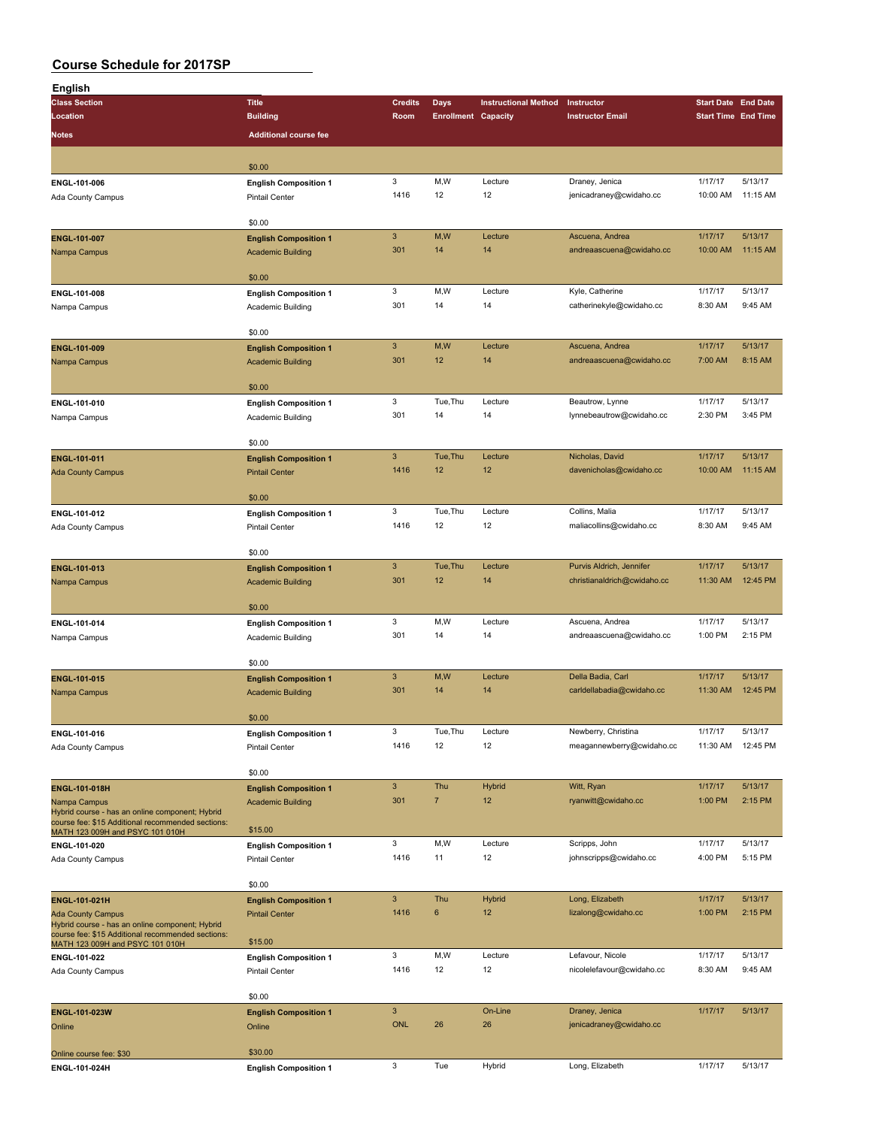| English                                                                                              |                              |                           |                            |                             |                             |                            |          |
|------------------------------------------------------------------------------------------------------|------------------------------|---------------------------|----------------------------|-----------------------------|-----------------------------|----------------------------|----------|
| <b>Class Section</b>                                                                                 | <b>Title</b>                 | <b>Credits</b>            | <b>Days</b>                | <b>Instructional Method</b> | Instructor                  | <b>Start Date End Date</b> |          |
| Location                                                                                             | <b>Building</b>              | Room                      | <b>Enrollment Capacity</b> |                             | <b>Instructor Email</b>     | <b>Start Time End Time</b> |          |
| Notes                                                                                                | <b>Additional course fee</b> |                           |                            |                             |                             |                            |          |
|                                                                                                      |                              |                           |                            |                             |                             |                            |          |
|                                                                                                      |                              |                           |                            |                             |                             |                            |          |
|                                                                                                      | \$0.00                       |                           |                            |                             |                             |                            |          |
| ENGL-101-006                                                                                         | <b>English Composition 1</b> | 3                         | M,W                        | Lecture                     | Draney, Jenica              | 1/17/17                    | 5/13/17  |
| <b>Ada County Campus</b>                                                                             | Pintail Center               | 1416                      | 12                         | 12                          | jenicadraney@cwidaho.cc     | 10:00 AM                   | 11:15 AM |
|                                                                                                      | \$0.00                       |                           |                            |                             |                             |                            |          |
|                                                                                                      |                              | $\ensuremath{\mathsf{3}}$ | M,W                        | Lecture                     | Ascuena, Andrea             | 1/17/17                    | 5/13/17  |
| ENGL-101-007                                                                                         | <b>English Composition 1</b> | 301                       | 14                         | 14                          |                             | 10:00 AM                   | 11:15 AM |
| Nampa Campus                                                                                         | <b>Academic Building</b>     |                           |                            |                             | andreaascuena@cwidaho.cc    |                            |          |
|                                                                                                      | \$0.00                       |                           |                            |                             |                             |                            |          |
|                                                                                                      |                              | 3                         | M,W                        | Lecture                     | Kyle, Catherine             | 1/17/17                    | 5/13/17  |
| ENGL-101-008                                                                                         | <b>English Composition 1</b> | 301                       | 14                         | 14                          | catherinekyle@cwidaho.cc    | 8:30 AM                    | 9:45 AM  |
| Nampa Campus                                                                                         | Academic Building            |                           |                            |                             |                             |                            |          |
|                                                                                                      | \$0.00                       |                           |                            |                             |                             |                            |          |
| ENGL-101-009                                                                                         | <b>English Composition 1</b> | $\mathbf{3}$              | M,W                        | Lecture                     | Ascuena, Andrea             | 1/17/17                    | 5/13/17  |
|                                                                                                      | <b>Academic Building</b>     | 301                       | 12                         | 14                          | andreaascuena@cwidaho.cc    | 7:00 AM                    | 8:15 AM  |
| Nampa Campus                                                                                         |                              |                           |                            |                             |                             |                            |          |
|                                                                                                      | \$0.00                       |                           |                            |                             |                             |                            |          |
| ENGL-101-010                                                                                         | <b>English Composition 1</b> | 3                         | Tue, Thu                   | Lecture                     | Beautrow, Lynne             | 1/17/17                    | 5/13/17  |
| Nampa Campus                                                                                         | Academic Building            | 301                       | 14                         | 14                          | lynnebeautrow@cwidaho.cc    | 2:30 PM                    | 3:45 PM  |
|                                                                                                      |                              |                           |                            |                             |                             |                            |          |
|                                                                                                      | \$0.00                       |                           |                            |                             |                             |                            |          |
| ENGL-101-011                                                                                         | <b>English Composition 1</b> | $\mathbf{3}$              | Tue, Thu                   | Lecture                     | Nicholas, David             | 1/17/17                    | 5/13/17  |
| <b>Ada County Campus</b>                                                                             | <b>Pintail Center</b>        | 1416                      | 12                         | 12                          | davenicholas@cwidaho.cc     | 10:00 AM                   | 11:15 AM |
|                                                                                                      |                              |                           |                            |                             |                             |                            |          |
|                                                                                                      | \$0.00                       |                           |                            |                             |                             |                            |          |
| ENGL-101-012                                                                                         | <b>English Composition 1</b> | 3                         | Tue, Thu                   | Lecture                     | Collins, Malia              | 1/17/17                    | 5/13/17  |
| Ada County Campus                                                                                    | <b>Pintail Center</b>        | 1416                      | 12                         | 12                          | maliacollins@cwidaho.cc     | 8:30 AM                    | 9:45 AM  |
|                                                                                                      |                              |                           |                            |                             |                             |                            |          |
|                                                                                                      | \$0.00                       |                           |                            |                             |                             |                            |          |
| ENGL-101-013                                                                                         | <b>English Composition 1</b> | $\mathbf{3}$              | Tue, Thu                   | Lecture                     | Purvis Aldrich, Jennifer    | 1/17/17                    | 5/13/17  |
| Nampa Campus                                                                                         | <b>Academic Building</b>     | 301                       | 12                         | 14                          | christianaldrich@cwidaho.cc | 11:30 AM                   | 12:45 PM |
|                                                                                                      |                              |                           |                            |                             |                             |                            |          |
|                                                                                                      | \$0.00                       |                           |                            |                             |                             |                            |          |
| ENGL-101-014                                                                                         | <b>English Composition 1</b> | 3                         | M,W                        | Lecture                     | Ascuena, Andrea             | 1/17/17                    | 5/13/17  |
| Nampa Campus                                                                                         | Academic Building            | 301                       | 14                         | 14                          | andreaascuena@cwidaho.cc    | 1:00 PM                    | 2:15 PM  |
|                                                                                                      |                              |                           |                            |                             |                             |                            |          |
|                                                                                                      | \$0.00                       |                           |                            |                             |                             |                            |          |
| ENGL-101-015                                                                                         | <b>English Composition 1</b> | $\mathbf{3}$              | M,W                        | Lecture                     | Della Badia, Carl           | 1/17/17                    | 5/13/17  |
| Nampa Campus                                                                                         | <b>Academic Building</b>     | 301                       | 14                         | 14                          | carldellabadia@cwidaho.cc   | 11:30 AM                   | 12:45 PM |
|                                                                                                      |                              |                           |                            |                             |                             |                            |          |
|                                                                                                      | \$0.00                       |                           |                            |                             |                             |                            |          |
| ENGL-101-016                                                                                         | <b>English Composition 1</b> | 3                         | Tue, Thu                   | Lecture                     | Newberry, Christina         | 1/17/17                    | 5/13/17  |
| Ada County Campus                                                                                    | <b>Pintail Center</b>        | 1416                      | 12                         | 12                          | meagannewberry@cwidaho.cc   | 11:30 AM                   | 12:45 PM |
|                                                                                                      |                              |                           |                            |                             |                             |                            |          |
|                                                                                                      | \$0.00                       |                           |                            |                             |                             |                            |          |
| ENGL-101-018H                                                                                        | <b>English Composition 1</b> | $\mathbf{3}$              | Thu                        | <b>Hybrid</b>               | Witt, Ryan                  | 1/17/17                    | 5/13/17  |
| Nampa Campus                                                                                         | <b>Academic Building</b>     | 301                       | $\overline{7}$             | 12                          | ryanwitt@cwidaho.cc         | 1:00 PM                    | 2:15 PM  |
| Hybrid course - has an online component; Hybrid<br>course fee: \$15 Additional recommended sections: |                              |                           |                            |                             |                             |                            |          |
| MATH 123 009H and PSYC 101 010H                                                                      | \$15.00                      |                           |                            |                             |                             |                            |          |
| ENGL-101-020                                                                                         | <b>English Composition 1</b> | 3                         | M,W                        | Lecture                     | Scripps, John               | 1/17/17                    | 5/13/17  |
| Ada County Campus                                                                                    | <b>Pintail Center</b>        | 1416                      | 11                         | 12                          | johnscripps@cwidaho.cc      | 4:00 PM                    | 5:15 PM  |
|                                                                                                      |                              |                           |                            |                             |                             |                            |          |
|                                                                                                      | \$0.00                       |                           |                            |                             |                             |                            |          |
| ENGL-101-021H                                                                                        | <b>English Composition 1</b> | $\ensuremath{\mathsf{3}}$ | Thu                        | <b>Hybrid</b>               | Long, Elizabeth             | 1/17/17                    | 5/13/17  |
| <b>Ada County Campus</b>                                                                             | <b>Pintail Center</b>        | 1416                      | $\bf 6$                    | 12                          | lizalong@cwidaho.cc         | 1:00 PM                    | 2:15 PM  |
| Hybrid course - has an online component; Hybrid<br>course fee: \$15 Additional recommended sections: |                              |                           |                            |                             |                             |                            |          |
| MATH 123 009H and PSYC 101 010H                                                                      | \$15.00                      |                           |                            |                             |                             |                            |          |
| ENGL-101-022                                                                                         | <b>English Composition 1</b> | 3                         | M, W                       | Lecture                     | Lefavour, Nicole            | 1/17/17                    | 5/13/17  |
| Ada County Campus                                                                                    | <b>Pintail Center</b>        | 1416                      | 12                         | 12                          | nicolelefavour@cwidaho.cc   | 8:30 AM                    | 9:45 AM  |
|                                                                                                      |                              |                           |                            |                             |                             |                            |          |
|                                                                                                      | \$0.00                       |                           |                            |                             |                             |                            |          |
| ENGL-101-023W                                                                                        | <b>English Composition 1</b> | $\mathbf{3}$              |                            | On-Line                     | Draney, Jenica              | 1/17/17                    | 5/13/17  |
| Online                                                                                               | Online                       | <b>ONL</b>                | 26                         | 26                          | jenicadraney@cwidaho.cc     |                            |          |
|                                                                                                      |                              |                           |                            |                             |                             |                            |          |
| Online course fee: \$30                                                                              | \$30.00                      |                           |                            |                             |                             |                            |          |
| ENGL-101-024H                                                                                        | <b>English Composition 1</b> | 3                         | Tue                        | Hybrid                      | Long, Elizabeth             | 1/17/17                    | 5/13/17  |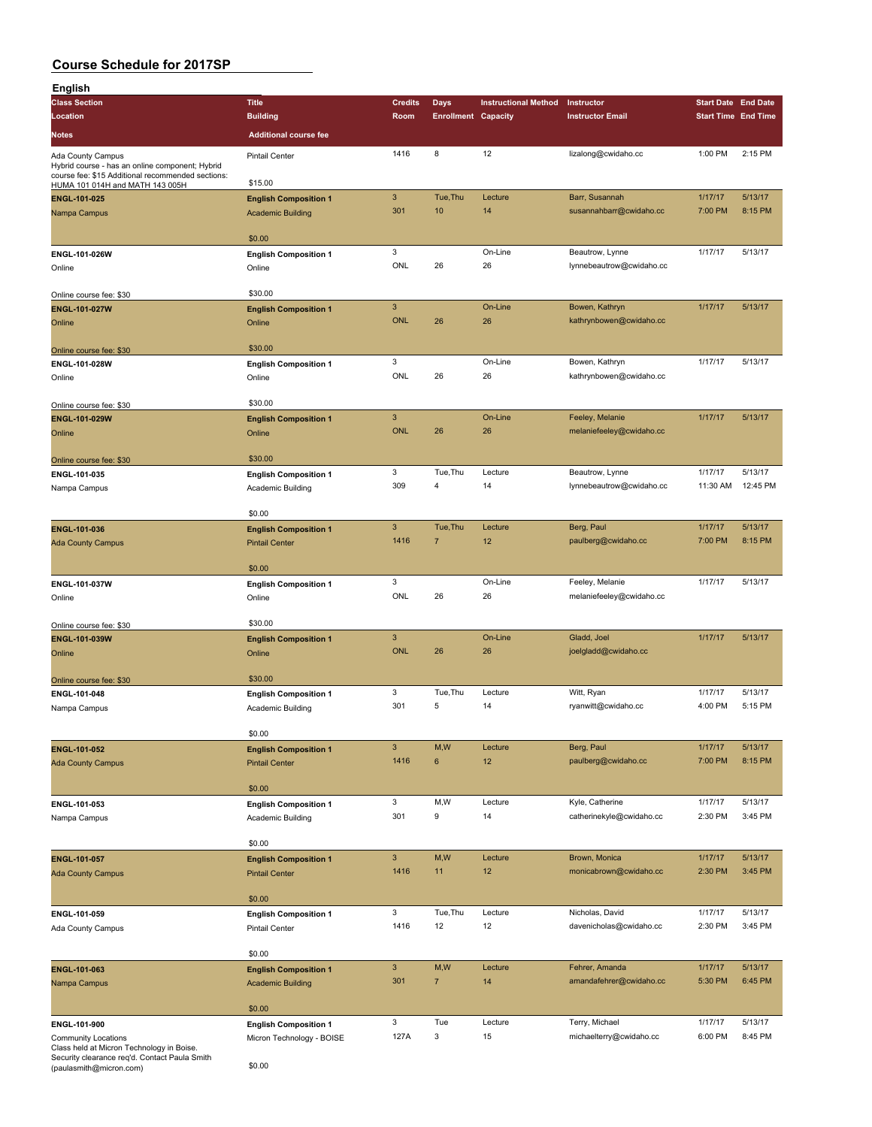| English                                                                                    |                              |                           |                            |                             |                          |                            |          |
|--------------------------------------------------------------------------------------------|------------------------------|---------------------------|----------------------------|-----------------------------|--------------------------|----------------------------|----------|
| <b>Class Section</b>                                                                       | <b>Title</b>                 | <b>Credits</b>            | <b>Days</b>                | <b>Instructional Method</b> | Instructor               | <b>Start Date End Date</b> |          |
| Location                                                                                   | <b>Building</b>              | Room                      | <b>Enrollment Capacity</b> |                             | <b>Instructor Email</b>  | <b>Start Time End Time</b> |          |
| Notes                                                                                      | <b>Additional course fee</b> |                           |                            |                             |                          |                            |          |
|                                                                                            |                              |                           |                            |                             |                          |                            |          |
| Ada County Campus<br>Hybrid course - has an online component; Hybrid                       | <b>Pintail Center</b>        | 1416                      | 8                          | 12                          | lizalong@cwidaho.cc      | 1:00 PM                    | 2:15 PM  |
| course fee: \$15 Additional recommended sections:                                          |                              |                           |                            |                             |                          |                            |          |
| HUMA 101 014H and MATH 143 005H                                                            | \$15.00                      |                           |                            |                             |                          |                            |          |
| ENGL-101-025                                                                               | <b>English Composition 1</b> | $\ensuremath{\mathsf{3}}$ | Tue, Thu                   | Lecture                     | Barr, Susannah           | 1/17/17                    | 5/13/17  |
| Nampa Campus                                                                               | <b>Academic Building</b>     | 301                       | 10                         | 14                          | susannahbarr@cwidaho.cc  | 7:00 PM                    | 8:15 PM  |
|                                                                                            |                              |                           |                            |                             |                          |                            |          |
|                                                                                            | \$0.00                       |                           |                            |                             |                          |                            |          |
| ENGL-101-026W                                                                              | <b>English Composition 1</b> | $\mathbf 3$               |                            | On-Line                     | Beautrow, Lynne          | 1/17/17                    | 5/13/17  |
| Online                                                                                     | Online                       | ONL                       | 26                         | 26                          | lynnebeautrow@cwidaho.cc |                            |          |
|                                                                                            |                              |                           |                            |                             |                          |                            |          |
| Online course fee: \$30                                                                    | \$30.00                      |                           |                            |                             |                          |                            |          |
| <b>ENGL-101-027W</b>                                                                       | <b>English Composition 1</b> | $\ensuremath{\mathsf{3}}$ |                            | On-Line                     | Bowen, Kathryn           | 1/17/17                    | 5/13/17  |
| Online                                                                                     | Online                       | <b>ONL</b>                | 26                         | 26                          | kathrynbowen@cwidaho.cc  |                            |          |
|                                                                                            |                              |                           |                            |                             |                          |                            |          |
| Online course fee: \$30                                                                    | \$30.00                      |                           |                            |                             |                          |                            |          |
| ENGL-101-028W                                                                              | <b>English Composition 1</b> | $\mathbf 3$               |                            | On-Line                     | Bowen, Kathryn           | 1/17/17                    | 5/13/17  |
| Online                                                                                     | Online                       | ONL                       | 26                         | 26                          | kathrynbowen@cwidaho.cc  |                            |          |
|                                                                                            |                              |                           |                            |                             |                          |                            |          |
| Online course fee: \$30                                                                    | \$30.00                      |                           |                            |                             |                          |                            |          |
| ENGL-101-029W                                                                              | <b>English Composition 1</b> | $\ensuremath{\mathsf{3}}$ |                            | On-Line                     | Feeley, Melanie          | 1/17/17                    | 5/13/17  |
| Online                                                                                     | Online                       | <b>ONL</b>                | 26                         | 26                          | melaniefeeley@cwidaho.cc |                            |          |
|                                                                                            |                              |                           |                            |                             |                          |                            |          |
| Online course fee: \$30                                                                    | \$30.00                      |                           |                            |                             |                          |                            |          |
| ENGL-101-035                                                                               | <b>English Composition 1</b> | 3                         | Tue, Thu                   | Lecture                     | Beautrow, Lynne          | 1/17/17                    | 5/13/17  |
| Nampa Campus                                                                               | Academic Building            | 309                       | 4                          | 14                          | lynnebeautrow@cwidaho.cc | 11:30 AM                   | 12:45 PM |
|                                                                                            |                              |                           |                            |                             |                          |                            |          |
|                                                                                            | \$0.00                       |                           |                            |                             |                          |                            |          |
| <b>ENGL-101-036</b>                                                                        | <b>English Composition 1</b> | $\mathbf{3}$              | Tue, Thu                   | Lecture                     | Berg, Paul               | 1/17/17                    | 5/13/17  |
| <b>Ada County Campus</b>                                                                   | <b>Pintail Center</b>        | 1416                      | $\overline{7}$             | 12                          | paulberg@cwidaho.cc      | 7:00 PM                    | 8:15 PM  |
|                                                                                            |                              |                           |                            |                             |                          |                            |          |
|                                                                                            | \$0.00                       |                           |                            |                             |                          |                            |          |
| ENGL-101-037W                                                                              | <b>English Composition 1</b> | 3                         |                            | On-Line                     | Feeley, Melanie          | 1/17/17                    | 5/13/17  |
| Online                                                                                     | Online                       | ONL                       | 26                         | 26                          | melaniefeeley@cwidaho.cc |                            |          |
|                                                                                            |                              |                           |                            |                             |                          |                            |          |
| Online course fee: \$30                                                                    | \$30.00                      |                           |                            |                             |                          |                            |          |
| ENGL-101-039W                                                                              | <b>English Composition 1</b> | $\ensuremath{\mathsf{3}}$ |                            | On-Line                     | Gladd, Joel              | 1/17/17                    | 5/13/17  |
| Online                                                                                     | Online                       | <b>ONL</b>                | 26                         | 26                          | joelgladd@cwidaho.cc     |                            |          |
|                                                                                            |                              |                           |                            |                             |                          |                            |          |
| Online course fee: \$30                                                                    | \$30.00                      |                           |                            |                             |                          |                            |          |
| ENGL-101-048                                                                               | <b>English Composition 1</b> | 3                         | Tue, Thu                   | Lecture                     | Witt, Ryan               | 1/17/17                    | 5/13/17  |
|                                                                                            | Academic Building            | 301                       | 5                          | 14                          | ryanwitt@cwidaho.cc      | 4:00 PM                    | 5:15 PM  |
| Nampa Campus                                                                               |                              |                           |                            |                             |                          |                            |          |
|                                                                                            | \$0.00                       |                           |                            |                             |                          |                            |          |
|                                                                                            |                              | $\ensuremath{\mathsf{3}}$ | M,W                        | Lecture                     | Berg, Paul               | 1/17/17                    | 5/13/17  |
| <b>ENGL-101-052</b>                                                                        | <b>English Composition 1</b> | 1416                      | 6                          | 12                          | paulberg@cwidaho.cc      | 7:00 PM                    | 8:15 PM  |
| <b>Ada County Campus</b>                                                                   | <b>Pintail Center</b>        |                           |                            |                             |                          |                            |          |
|                                                                                            |                              |                           |                            |                             |                          |                            |          |
|                                                                                            | \$0.00                       |                           |                            |                             |                          |                            | 5/13/17  |
| ENGL-101-053                                                                               | <b>English Composition 1</b> | 3                         | M, W                       | Lecture                     | Kyle, Catherine          | 1/17/17                    |          |
| Nampa Campus                                                                               | Academic Building            | 301                       | 9                          | 14                          | catherinekyle@cwidaho.cc | 2:30 PM                    | 3:45 PM  |
|                                                                                            |                              |                           |                            |                             |                          |                            |          |
|                                                                                            | \$0.00                       |                           |                            |                             |                          |                            |          |
| ENGL-101-057                                                                               | <b>English Composition 1</b> | $\ensuremath{\mathsf{3}}$ | M,W                        | Lecture                     | Brown, Monica            | 1/17/17                    | 5/13/17  |
| <b>Ada County Campus</b>                                                                   | <b>Pintail Center</b>        | 1416                      | 11                         | 12                          | monicabrown@cwidaho.cc   | 2:30 PM                    | 3:45 PM  |
|                                                                                            |                              |                           |                            |                             |                          |                            |          |
|                                                                                            | \$0.00                       |                           |                            |                             |                          |                            |          |
| ENGL-101-059                                                                               | <b>English Composition 1</b> | 3                         | Tue, Thu                   | Lecture                     | Nicholas, David          | 1/17/17                    | 5/13/17  |
| <b>Ada County Campus</b>                                                                   | <b>Pintail Center</b>        | 1416                      | 12                         | 12                          | davenicholas@cwidaho.cc  | 2:30 PM                    | 3:45 PM  |
|                                                                                            |                              |                           |                            |                             |                          |                            |          |
|                                                                                            | \$0.00                       |                           |                            |                             |                          |                            |          |
| ENGL-101-063                                                                               | <b>English Composition 1</b> | $\ensuremath{\mathsf{3}}$ | M,W                        | Lecture                     | Fehrer, Amanda           | 1/17/17                    | 5/13/17  |
| Nampa Campus                                                                               | <b>Academic Building</b>     | 301                       | $\overline{7}$             | 14                          | amandafehrer@cwidaho.cc  | 5:30 PM                    | 6:45 PM  |
|                                                                                            |                              |                           |                            |                             |                          |                            |          |
|                                                                                            | \$0.00                       |                           |                            |                             |                          |                            |          |
| ENGL-101-900                                                                               | <b>English Composition 1</b> | 3                         | Tue                        | Lecture                     | Terry, Michael           | 1/17/17                    | 5/13/17  |
| <b>Community Locations</b>                                                                 | Micron Technology - BOISE    | 127A                      | 3                          | 15                          | michaelterry@cwidaho.cc  | 6:00 PM                    | 8:45 PM  |
| Class held at Micron Technology in Boise.<br>Security clearance reg'd. Contact Paula Smith |                              |                           |                            |                             |                          |                            |          |

Security clearance req'd. Contact Paula Smith (paulasmith@micron.com) \$0.00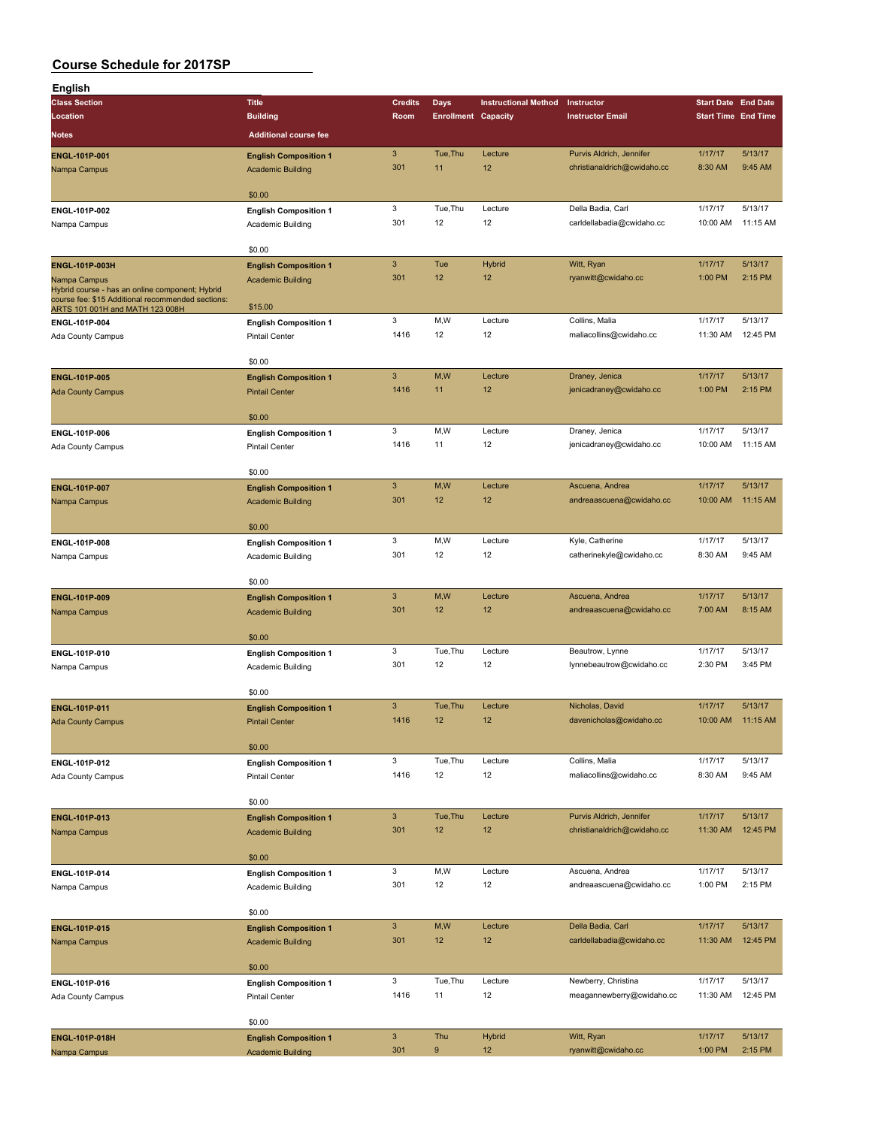| English                                                                                              |                              |                           |                            |                             |                             |                            |          |
|------------------------------------------------------------------------------------------------------|------------------------------|---------------------------|----------------------------|-----------------------------|-----------------------------|----------------------------|----------|
| <b>Class Section</b>                                                                                 | <b>Title</b>                 | <b>Credits</b>            | Days                       | <b>Instructional Method</b> | Instructor                  | <b>Start Date End Date</b> |          |
| Location                                                                                             | <b>Building</b>              | Room                      | <b>Enrollment Capacity</b> |                             | <b>Instructor Email</b>     | <b>Start Time End Time</b> |          |
| Notes                                                                                                | <b>Additional course fee</b> |                           |                            |                             |                             |                            |          |
| ENGL-101P-001                                                                                        | <b>English Composition 1</b> | $\mathbf{3}$              | Tue, Thu                   | Lecture                     | Purvis Aldrich, Jennifer    | 1/17/17                    | 5/13/17  |
| Nampa Campus                                                                                         | <b>Academic Building</b>     | 301                       | 11                         | 12                          | christianaldrich@cwidaho.cc | 8:30 AM                    | 9:45 AM  |
|                                                                                                      |                              |                           |                            |                             |                             |                            |          |
|                                                                                                      | \$0.00                       |                           |                            |                             |                             |                            |          |
| ENGL-101P-002                                                                                        | <b>English Composition 1</b> | 3                         | Tue, Thu                   | Lecture                     | Della Badia, Carl           | 1/17/17                    | 5/13/17  |
| Nampa Campus                                                                                         | Academic Building            | 301                       | 12                         | 12                          | carldellabadia@cwidaho.cc   | 10:00 AM                   | 11:15 AM |
|                                                                                                      |                              |                           |                            |                             |                             |                            |          |
|                                                                                                      | \$0.00                       |                           |                            |                             |                             |                            |          |
| ENGL-101P-003H                                                                                       | <b>English Composition 1</b> | $\mathbf{3}$              | Tue                        | <b>Hybrid</b>               | Witt, Ryan                  | 1/17/17                    | 5/13/17  |
| Nampa Campus                                                                                         | <b>Academic Building</b>     | 301                       | 12                         | 12                          | ryanwitt@cwidaho.cc         | 1:00 PM                    | 2:15 PM  |
| Hybrid course - has an online component; Hybrid<br>course fee: \$15 Additional recommended sections: |                              |                           |                            |                             |                             |                            |          |
| ARTS 101 001H and MATH 123 008H                                                                      | \$15.00                      |                           |                            |                             |                             |                            |          |
| ENGL-101P-004                                                                                        | <b>English Composition 1</b> | 3                         | M,W                        | Lecture                     | Collins, Malia              | 1/17/17                    | 5/13/17  |
| Ada County Campus                                                                                    | <b>Pintail Center</b>        | 1416                      | 12                         | 12                          | maliacollins@cwidaho.cc     | 11:30 AM                   | 12:45 PM |
|                                                                                                      | \$0.00                       |                           |                            |                             |                             |                            |          |
| <b>ENGL-101P-005</b>                                                                                 |                              | $\mathbf{3}$              | M,W                        | Lecture                     | Draney, Jenica              | 1/17/17                    | 5/13/17  |
| <b>Ada County Campus</b>                                                                             | <b>English Composition 1</b> | 1416                      | 11                         | 12                          | jenicadraney@cwidaho.cc     | 1:00 PM                    | 2:15 PM  |
|                                                                                                      | <b>Pintail Center</b>        |                           |                            |                             |                             |                            |          |
|                                                                                                      | \$0.00                       |                           |                            |                             |                             |                            |          |
| ENGL-101P-006                                                                                        | <b>English Composition 1</b> | 3                         | M,W                        | Lecture                     | Draney, Jenica              | 1/17/17                    | 5/13/17  |
| Ada County Campus                                                                                    | <b>Pintail Center</b>        | 1416                      | 11                         | 12                          | jenicadraney@cwidaho.cc     | 10:00 AM                   | 11:15 AM |
|                                                                                                      |                              |                           |                            |                             |                             |                            |          |
|                                                                                                      | \$0.00                       |                           |                            |                             |                             |                            |          |
| ENGL-101P-007                                                                                        | <b>English Composition 1</b> | $\mathbf{3}$              | M, W                       | Lecture                     | Ascuena, Andrea             | 1/17/17                    | 5/13/17  |
| Nampa Campus                                                                                         | <b>Academic Building</b>     | 301                       | 12                         | 12                          | andreaascuena@cwidaho.cc    | 10:00 AM                   | 11:15 AM |
|                                                                                                      |                              |                           |                            |                             |                             |                            |          |
|                                                                                                      | \$0.00                       |                           |                            |                             |                             |                            |          |
| ENGL-101P-008                                                                                        | <b>English Composition 1</b> | 3                         | M,W                        | Lecture                     | Kyle, Catherine             | 1/17/17                    | 5/13/17  |
| Nampa Campus                                                                                         | Academic Building            | 301                       | 12                         | 12                          | catherinekyle@cwidaho.cc    | 8:30 AM                    | 9:45 AM  |
|                                                                                                      |                              |                           |                            |                             |                             |                            |          |
|                                                                                                      | \$0.00                       |                           |                            |                             |                             |                            |          |
| ENGL-101P-009                                                                                        | <b>English Composition 1</b> | $\mathbf{3}$              | M, W                       | Lecture                     | Ascuena, Andrea             | 1/17/17                    | 5/13/17  |
| Nampa Campus                                                                                         | <b>Academic Building</b>     | 301                       | 12                         | 12                          | andreaascuena@cwidaho.cc    | 7:00 AM                    | 8:15 AM  |
|                                                                                                      | \$0.00                       |                           |                            |                             |                             |                            |          |
| ENGL-101P-010                                                                                        | <b>English Composition 1</b> | 3                         | Tue, Thu                   | Lecture                     | Beautrow, Lynne             | 1/17/17                    | 5/13/17  |
| Nampa Campus                                                                                         | Academic Building            | 301                       | 12                         | 12                          | lynnebeautrow@cwidaho.cc    | 2:30 PM                    | 3:45 PM  |
|                                                                                                      |                              |                           |                            |                             |                             |                            |          |
|                                                                                                      | \$0.00                       |                           |                            |                             |                             |                            |          |
| <b>ENGL-101P-011</b>                                                                                 | <b>English Composition 1</b> | $\mathbf{3}$              | Tue, Thu                   | Lecture                     | Nicholas, David             | 1/17/17                    | 5/13/17  |
| <b>Ada County Campus</b>                                                                             | <b>Pintail Center</b>        | 1416                      | 12                         | 12                          | davenicholas@cwidaho.cc     | 10:00 AM                   | 11:15 AM |
|                                                                                                      |                              |                           |                            |                             |                             |                            |          |
|                                                                                                      | \$0.00                       |                           |                            |                             |                             |                            |          |
| ENGL-101P-012                                                                                        | <b>English Composition 1</b> | 3                         | Tue, Thu                   | Lecture                     | Collins, Malia              | 1/17/17                    | 5/13/17  |
| Ada County Campus                                                                                    | <b>Pintail Center</b>        | 1416                      | 12                         | 12                          | maliacollins@cwidaho.cc     | 8:30 AM                    | 9:45 AM  |
|                                                                                                      |                              |                           |                            |                             |                             |                            |          |
|                                                                                                      | \$0.00                       |                           |                            |                             |                             |                            |          |
| ENGL-101P-013                                                                                        | <b>English Composition 1</b> | $\ensuremath{\mathsf{3}}$ | Tue, Thu                   | Lecture                     | Purvis Aldrich, Jennifer    | 1/17/17                    | 5/13/17  |
| Nampa Campus                                                                                         | <b>Academic Building</b>     | 301                       | 12                         | 12                          | christianaldrich@cwidaho.cc | 11:30 AM                   | 12:45 PM |
|                                                                                                      |                              |                           |                            |                             |                             |                            |          |
|                                                                                                      | \$0.00                       | 3                         | M, W                       | Lecture                     | Ascuena, Andrea             | 1/17/17                    | 5/13/17  |
| ENGL-101P-014                                                                                        | <b>English Composition 1</b> | 301                       | 12                         | 12                          | andreaascuena@cwidaho.cc    | 1:00 PM                    | 2:15 PM  |
| Nampa Campus                                                                                         | Academic Building            |                           |                            |                             |                             |                            |          |
|                                                                                                      | \$0.00                       |                           |                            |                             |                             |                            |          |
| ENGL-101P-015                                                                                        | <b>English Composition 1</b> | $\mathbf{3}$              | M,W                        | Lecture                     | Della Badia, Carl           | 1/17/17                    | 5/13/17  |
| Nampa Campus                                                                                         | <b>Academic Building</b>     | 301                       | 12                         | 12                          | carldellabadia@cwidaho.cc   | 11:30 AM                   | 12:45 PM |
|                                                                                                      |                              |                           |                            |                             |                             |                            |          |
|                                                                                                      | \$0.00                       |                           |                            |                             |                             |                            |          |
| ENGL-101P-016                                                                                        | <b>English Composition 1</b> | 3                         | Tue, Thu                   | Lecture                     | Newberry, Christina         | 1/17/17                    | 5/13/17  |
| Ada County Campus                                                                                    | <b>Pintail Center</b>        | 1416                      | 11                         | 12                          | meagannewberry@cwidaho.cc   | 11:30 AM                   | 12:45 PM |
|                                                                                                      |                              |                           |                            |                             |                             |                            |          |
|                                                                                                      | \$0.00                       |                           |                            |                             |                             |                            |          |
| <b>ENGL-101P-018H</b>                                                                                | <b>English Composition 1</b> | $\ensuremath{\mathsf{3}}$ | Thu                        | <b>Hybrid</b>               | Witt, Ryan                  | 1/17/17                    | 5/13/17  |
| Nampa Campus                                                                                         | <b>Academic Building</b>     | 301                       | 9                          | 12                          | ryanwitt@cwidaho.cc         | 1:00 PM                    | 2:15 PM  |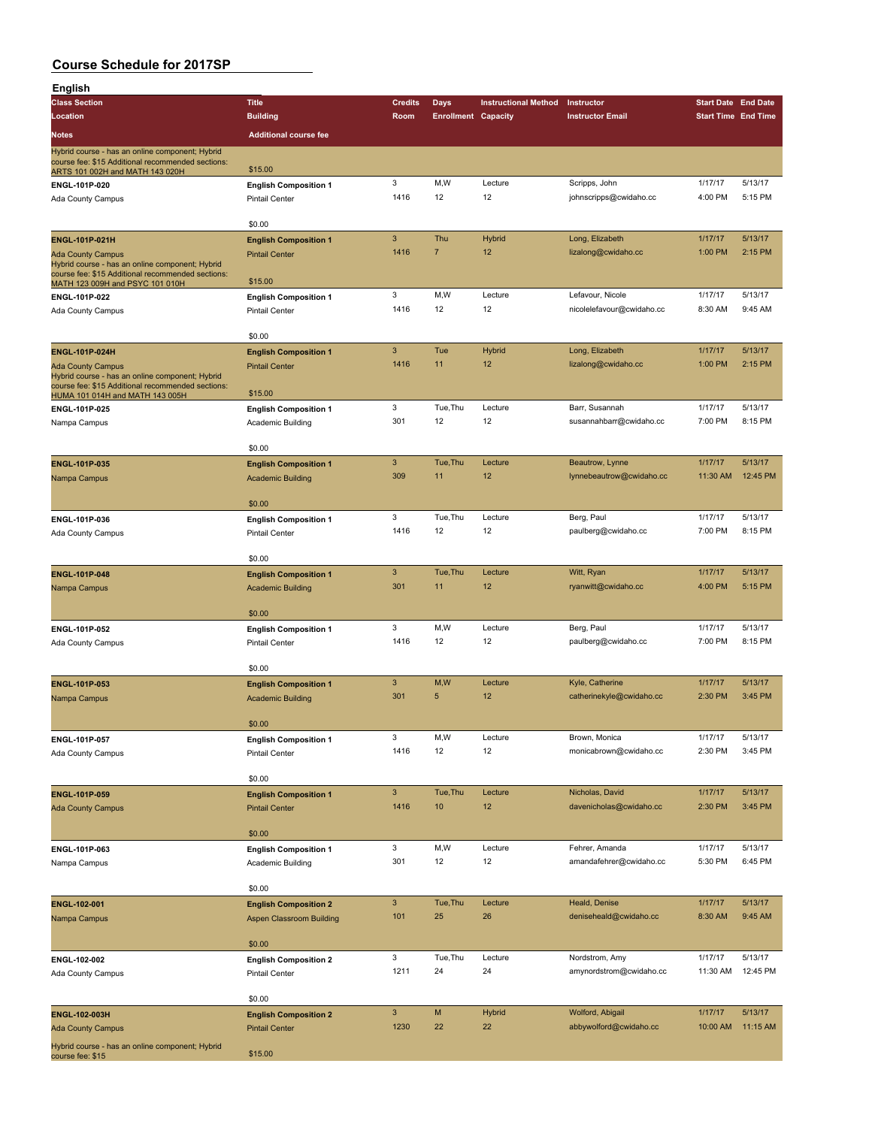| English                                                                              |                                                   |                           |                            |                             |                                   |                            |          |
|--------------------------------------------------------------------------------------|---------------------------------------------------|---------------------------|----------------------------|-----------------------------|-----------------------------------|----------------------------|----------|
| <b>Class Section</b>                                                                 | <b>Title</b>                                      | <b>Credits</b>            | <b>Days</b>                | <b>Instructional Method</b> | Instructor                        | <b>Start Date End Date</b> |          |
| Location                                                                             | <b>Building</b>                                   | Room                      | <b>Enrollment Capacity</b> |                             | <b>Instructor Email</b>           | <b>Start Time End Time</b> |          |
| Notes                                                                                | <b>Additional course fee</b>                      |                           |                            |                             |                                   |                            |          |
| Hybrid course - has an online component; Hybrid                                      |                                                   |                           |                            |                             |                                   |                            |          |
| course fee: \$15 Additional recommended sections:<br>ARTS 101 002H and MATH 143 020H | \$15.00                                           |                           |                            |                             |                                   |                            |          |
| ENGL-101P-020                                                                        | <b>English Composition 1</b>                      | $\mathbf 3$               | M,W                        | Lecture                     | Scripps, John                     | 1/17/17                    | 5/13/17  |
| Ada County Campus                                                                    | Pintail Center                                    | 1416                      | 12                         | 12                          | johnscripps@cwidaho.cc            | 4:00 PM                    | 5:15 PM  |
|                                                                                      |                                                   |                           |                            |                             |                                   |                            |          |
|                                                                                      | \$0.00                                            |                           |                            |                             |                                   |                            |          |
| <b>ENGL-101P-021H</b>                                                                | <b>English Composition 1</b>                      | $\mathbf{3}$              | Thu                        | <b>Hybrid</b>               | Long, Elizabeth                   | 1/17/17                    | 5/13/17  |
| <b>Ada County Campus</b>                                                             | <b>Pintail Center</b>                             | 1416                      | $\overline{7}$             | 12                          | lizalong@cwidaho.cc               | 1:00 PM                    | 2:15 PM  |
| Hybrid course - has an online component; Hybrid                                      |                                                   |                           |                            |                             |                                   |                            |          |
| course fee: \$15 Additional recommended sections:<br>MATH 123 009H and PSYC 101 010H | \$15.00                                           |                           |                            |                             |                                   |                            |          |
| ENGL-101P-022                                                                        | <b>English Composition 1</b>                      | 3                         | M,W                        | Lecture                     | Lefavour, Nicole                  | 1/17/17                    | 5/13/17  |
| Ada County Campus                                                                    | <b>Pintail Center</b>                             | 1416                      | 12                         | 12                          | nicolelefavour@cwidaho.cc         | 8:30 AM                    | 9:45 AM  |
|                                                                                      |                                                   |                           |                            |                             |                                   |                            |          |
|                                                                                      | \$0.00                                            |                           |                            |                             |                                   |                            |          |
| ENGL-101P-024H                                                                       | <b>English Composition 1</b>                      | $\mathbf{3}$              | Tue                        | Hybrid                      | Long, Elizabeth                   | 1/17/17                    | 5/13/17  |
| <b>Ada County Campus</b>                                                             | <b>Pintail Center</b>                             | 1416                      | 11                         | 12                          | lizalong@cwidaho.cc               | 1:00 PM                    | 2:15 PM  |
| Hybrid course - has an online component; Hybrid                                      |                                                   |                           |                            |                             |                                   |                            |          |
| course fee: \$15 Additional recommended sections:<br>HUMA 101 014H and MATH 143 005H | \$15.00                                           |                           |                            |                             |                                   |                            |          |
| ENGL-101P-025                                                                        | <b>English Composition 1</b>                      | 3                         | Tue, Thu                   | Lecture                     | Barr, Susannah                    | 1/17/17                    | 5/13/17  |
| Nampa Campus                                                                         | Academic Building                                 | 301                       | 12                         | 12                          | susannahbarr@cwidaho.cc           | 7:00 PM                    | 8:15 PM  |
|                                                                                      |                                                   |                           |                            |                             |                                   |                            |          |
|                                                                                      | \$0.00                                            |                           |                            |                             |                                   |                            |          |
| ENGL-101P-035                                                                        | <b>English Composition 1</b>                      | $\ensuremath{\mathsf{3}}$ | Tue, Thu                   | Lecture                     | Beautrow, Lynne                   | 1/17/17                    | 5/13/17  |
| Nampa Campus                                                                         | <b>Academic Building</b>                          | 309                       | 11                         | 12                          | lynnebeautrow@cwidaho.cc          | 11:30 AM                   | 12:45 PM |
|                                                                                      |                                                   |                           |                            |                             |                                   |                            |          |
|                                                                                      | \$0.00                                            |                           |                            |                             |                                   |                            |          |
| ENGL-101P-036                                                                        | <b>English Composition 1</b>                      | 3                         | Tue, Thu                   | Lecture                     | Berg, Paul                        | 1/17/17                    | 5/13/17  |
| Ada County Campus                                                                    | <b>Pintail Center</b>                             | 1416                      | 12                         | 12                          | paulberg@cwidaho.cc               | 7:00 PM                    | 8:15 PM  |
|                                                                                      |                                                   |                           |                            |                             |                                   |                            |          |
|                                                                                      | \$0.00                                            | $\mathbf{3}$              | Tue, Thu                   | Lecture                     |                                   | 1/17/17                    | 5/13/17  |
| ENGL-101P-048                                                                        | <b>English Composition 1</b>                      | 301                       | 11                         | 12                          | Witt, Ryan<br>ryanwitt@cwidaho.cc | 4:00 PM                    | 5:15 PM  |
| Nampa Campus                                                                         | <b>Academic Building</b>                          |                           |                            |                             |                                   |                            |          |
|                                                                                      | \$0.00                                            |                           |                            |                             |                                   |                            |          |
| ENGL-101P-052                                                                        | <b>English Composition 1</b>                      | 3                         | M,W                        | Lecture                     | Berg, Paul                        | 1/17/17                    | 5/13/17  |
| Ada County Campus                                                                    | <b>Pintail Center</b>                             | 1416                      | 12                         | 12                          | paulberg@cwidaho.cc               | 7:00 PM                    | 8:15 PM  |
|                                                                                      |                                                   |                           |                            |                             |                                   |                            |          |
|                                                                                      | \$0.00                                            |                           |                            |                             |                                   |                            |          |
| ENGL-101P-053                                                                        | <b>English Composition 1</b>                      | $\mathbf{3}$              | M,W                        | Lecture                     | Kyle, Catherine                   | 1/17/17                    | 5/13/17  |
| Nampa Campus                                                                         | <b>Academic Building</b>                          | 301                       | 5                          | 12                          | catherinekyle@cwidaho.cc          | 2:30 PM                    | 3:45 PM  |
|                                                                                      |                                                   |                           |                            |                             |                                   |                            |          |
|                                                                                      | \$0.00                                            |                           |                            |                             |                                   |                            |          |
| ENGL-101P-057                                                                        | <b>English Composition 1</b>                      | $\mathbf 3$               | M, W                       | Lecture                     | Brown, Monica                     | 1/17/17                    | 5/13/17  |
| Ada County Campus                                                                    | Pintail Center                                    | 1416                      | 12                         | 12                          | monicabrown@cwidaho.cc            | 2:30 PM                    | 3:45 PM  |
|                                                                                      |                                                   |                           |                            |                             |                                   |                            |          |
|                                                                                      | \$0.00                                            |                           |                            |                             |                                   |                            |          |
| ENGL-101P-059                                                                        | <b>English Composition 1</b>                      | $\mathbf{3}$              | Tue, Thu                   | Lecture                     | Nicholas, David                   | 1/17/17                    | 5/13/17  |
| <b>Ada County Campus</b>                                                             | <b>Pintail Center</b>                             | 1416                      | 10                         | 12                          | davenicholas@cwidaho.cc           | 2:30 PM                    | 3:45 PM  |
|                                                                                      | \$0.00                                            |                           |                            |                             |                                   |                            |          |
|                                                                                      |                                                   | 3                         | M,W                        | Lecture                     | Fehrer, Amanda                    | 1/17/17                    | 5/13/17  |
| ENGL-101P-063                                                                        | <b>English Composition 1</b><br>Academic Building | 301                       | 12                         | 12                          | amandafehrer@cwidaho.cc           | 5:30 PM                    | 6:45 PM  |
| Nampa Campus                                                                         |                                                   |                           |                            |                             |                                   |                            |          |
|                                                                                      | \$0.00                                            |                           |                            |                             |                                   |                            |          |
| ENGL-102-001                                                                         | <b>English Composition 2</b>                      | $\mathsf 3$               | Tue, Thu                   | Lecture                     | Heald, Denise                     | 1/17/17                    | 5/13/17  |
| Nampa Campus                                                                         | <b>Aspen Classroom Building</b>                   | 101                       | 25                         | 26                          | deniseheald@cwidaho.cc            | 8:30 AM                    | 9:45 AM  |
|                                                                                      |                                                   |                           |                            |                             |                                   |                            |          |
|                                                                                      | \$0.00                                            |                           |                            |                             |                                   |                            |          |
| ENGL-102-002                                                                         | <b>English Composition 2</b>                      | 3                         | Tue, Thu                   | Lecture                     | Nordstrom, Amy                    | 1/17/17                    | 5/13/17  |
| Ada County Campus                                                                    | Pintail Center                                    | 1211                      | 24                         | 24                          | amynordstrom@cwidaho.cc           | 11:30 AM                   | 12:45 PM |
|                                                                                      |                                                   |                           |                            |                             |                                   |                            |          |
|                                                                                      | \$0.00                                            |                           |                            |                             |                                   |                            |          |
| ENGL-102-003H                                                                        | <b>English Composition 2</b>                      | $\ensuremath{\mathsf{3}}$ | M                          | <b>Hybrid</b>               | Wolford, Abigail                  | 1/17/17                    | 5/13/17  |
| <b>Ada County Campus</b>                                                             | <b>Pintail Center</b>                             | 1230                      | 22                         | 22                          | abbywolford@cwidaho.cc            | 10:00 AM                   | 11:15 AM |
| Hybrid course - has an online component; Hybrid                                      | \$15.00                                           |                           |                            |                             |                                   |                            |          |
| course fee: \$15                                                                     |                                                   |                           |                            |                             |                                   |                            |          |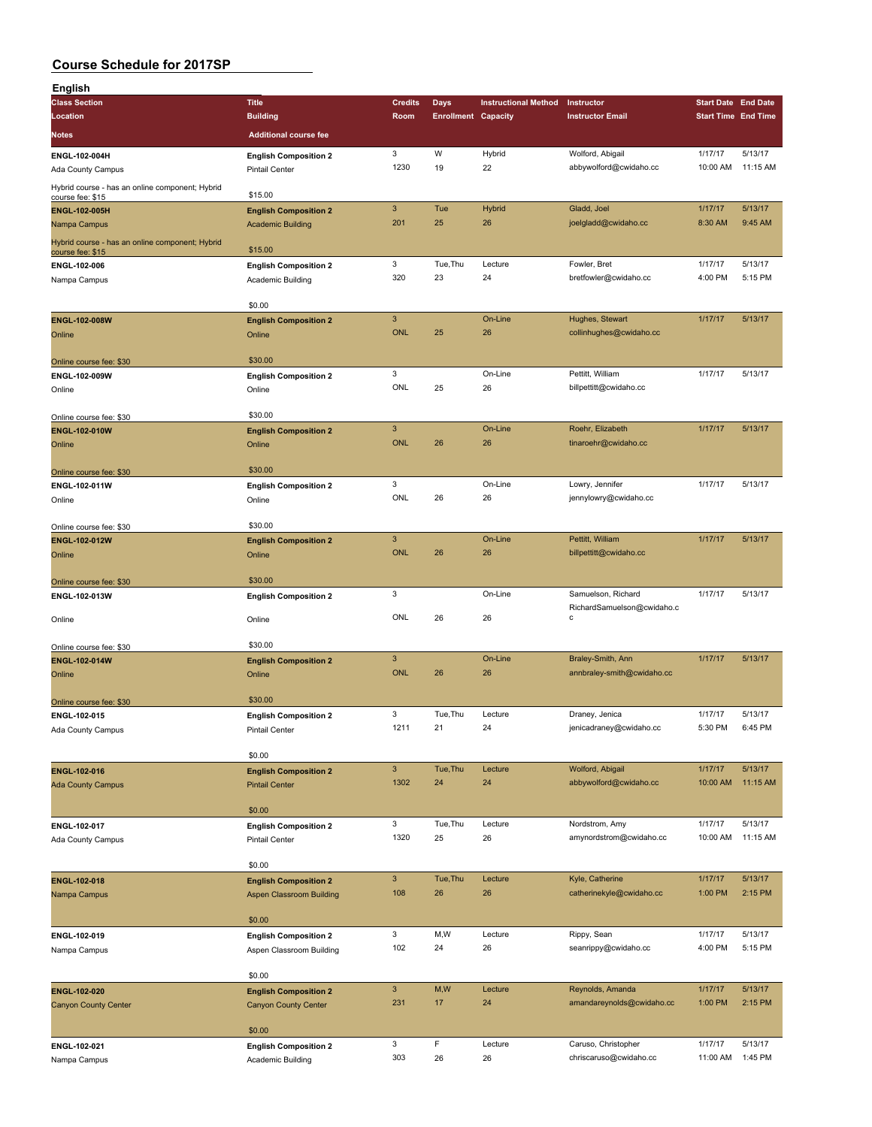| <b>English</b>                                                      |                                                |                           |                            |                             |                                                  |                            |          |
|---------------------------------------------------------------------|------------------------------------------------|---------------------------|----------------------------|-----------------------------|--------------------------------------------------|----------------------------|----------|
| <b>Class Section</b>                                                | <b>Title</b>                                   | <b>Credits</b>            | Days                       | <b>Instructional Method</b> | Instructor                                       | <b>Start Date End Date</b> |          |
| Location                                                            | <b>Building</b>                                | Room                      | <b>Enrollment Capacity</b> |                             | <b>Instructor Email</b>                          | <b>Start Time End Time</b> |          |
| Notes                                                               | <b>Additional course fee</b>                   |                           |                            |                             |                                                  |                            |          |
| ENGL-102-004H                                                       | <b>English Composition 2</b>                   | 3                         | W                          | Hybrid                      | Wolford, Abigail                                 | 1/17/17                    | 5/13/17  |
| Ada County Campus                                                   | <b>Pintail Center</b>                          | 1230                      | 19                         | 22                          | abbywolford@cwidaho.cc                           | 10:00 AM                   | 11:15 AM |
| Hybrid course - has an online component; Hybrid                     |                                                |                           |                            |                             |                                                  |                            |          |
| course fee: \$15                                                    | \$15.00                                        |                           |                            |                             |                                                  |                            |          |
| ENGL-102-005H                                                       | <b>English Composition 2</b>                   | $\ensuremath{\mathsf{3}}$ | Tue                        | <b>Hybrid</b>               | Gladd, Joel                                      | 1/17/17                    | 5/13/17  |
| Nampa Campus                                                        | <b>Academic Building</b>                       | 201                       | 25                         | 26                          | joelgladd@cwidaho.cc                             | 8:30 AM                    | 9:45 AM  |
| Hybrid course - has an online component; Hybrid<br>course fee: \$15 | \$15.00                                        |                           |                            |                             |                                                  |                            |          |
| ENGL-102-006                                                        | <b>English Composition 2</b>                   | 3                         | Tue, Thu                   | Lecture                     | Fowler, Bret                                     | 1/17/17                    | 5/13/17  |
| Nampa Campus                                                        | Academic Building                              | 320                       | 23                         | 24                          | bretfowler@cwidaho.cc                            | 4:00 PM                    | 5:15 PM  |
|                                                                     |                                                |                           |                            |                             |                                                  |                            |          |
|                                                                     | \$0.00                                         |                           |                            |                             |                                                  |                            |          |
| <b>ENGL-102-008W</b>                                                | <b>English Composition 2</b>                   | $\ensuremath{\mathsf{3}}$ |                            | On-Line                     | Hughes, Stewart                                  | 1/17/17                    | 5/13/17  |
| Online                                                              | Online                                         | <b>ONL</b>                | 25                         | 26                          | collinhughes@cwidaho.cc                          |                            |          |
|                                                                     | \$30.00                                        |                           |                            |                             |                                                  |                            |          |
| Online course fee: \$30<br>ENGL-102-009W                            | <b>English Composition 2</b>                   | 3                         |                            | On-Line                     | Pettitt, William                                 | 1/17/17                    | 5/13/17  |
| Online                                                              | Online                                         | ONL                       | 25                         | 26                          | billpettitt@cwidaho.cc                           |                            |          |
|                                                                     |                                                |                           |                            |                             |                                                  |                            |          |
| Online course fee: \$30                                             | \$30.00                                        |                           |                            |                             |                                                  |                            |          |
| <b>ENGL-102-010W</b>                                                | <b>English Composition 2</b>                   | $\ensuremath{\mathsf{3}}$ |                            | On-Line                     | Roehr, Elizabeth                                 | 1/17/17                    | 5/13/17  |
| Online                                                              | Online                                         | <b>ONL</b>                | 26                         | 26                          | tinaroehr@cwidaho.cc                             |                            |          |
|                                                                     |                                                |                           |                            |                             |                                                  |                            |          |
| Online course fee: \$30                                             | \$30.00                                        | 3                         |                            | On-Line                     | Lowry, Jennifer                                  | 1/17/17                    | 5/13/17  |
| ENGL-102-011W<br>Online                                             | <b>English Composition 2</b><br>Online         | ONL                       | 26                         | 26                          | jennylowry@cwidaho.cc                            |                            |          |
|                                                                     |                                                |                           |                            |                             |                                                  |                            |          |
| Online course fee: \$30                                             | \$30.00                                        |                           |                            |                             |                                                  |                            |          |
| ENGL-102-012W                                                       | <b>English Composition 2</b>                   | $\mathbf{3}$              |                            | On-Line                     | Pettitt, William                                 | 1/17/17                    | 5/13/17  |
| Online                                                              | Online                                         | <b>ONL</b>                | 26                         | 26                          | billpettitt@cwidaho.cc                           |                            |          |
|                                                                     |                                                |                           |                            |                             |                                                  |                            |          |
| Online course fee: \$30                                             | \$30.00                                        |                           |                            |                             |                                                  |                            |          |
| ENGL-102-013W                                                       | <b>English Composition 2</b>                   | 3                         |                            | On-Line                     | Samuelson, Richard<br>RichardSamuelson@cwidaho.c | 1/17/17                    | 5/13/17  |
| Online                                                              | Online                                         | ONL                       | 26                         | 26                          | C                                                |                            |          |
|                                                                     |                                                |                           |                            |                             |                                                  |                            |          |
| Online course fee: \$30                                             | \$30.00                                        |                           |                            |                             |                                                  |                            |          |
| ENGL-102-014W                                                       | <b>English Composition 2</b>                   | $\mathbf{3}$              |                            | On-Line                     | Braley-Smith, Ann                                | 1/17/17                    | 5/13/17  |
| Online                                                              | Online                                         | <b>ONL</b>                | 26                         | 26                          | annbraley-smith@cwidaho.cc                       |                            |          |
|                                                                     | \$30.00                                        |                           |                            |                             |                                                  |                            |          |
| Online course fee: \$30<br>ENGL-102-015                             | <b>English Composition 2</b>                   | 3                         | Tue, Thu                   | Lecture                     | Draney, Jenica                                   | 1/17/17                    | 5/13/17  |
| Ada County Campus                                                   | <b>Pintail Center</b>                          | 1211                      | 21                         | 24                          | jenicadraney@cwidaho.cc                          | 5:30 PM                    | 6:45 PM  |
|                                                                     |                                                |                           |                            |                             |                                                  |                            |          |
|                                                                     | \$0.00                                         |                           |                            |                             |                                                  |                            |          |
| ENGL-102-016                                                        | <b>English Composition 2</b>                   | $\mathsf 3$               | Tue, Thu                   | Lecture                     | Wolford, Abigail                                 | 1/17/17                    | 5/13/17  |
| <b>Ada County Campus</b>                                            | <b>Pintail Center</b>                          | 1302                      | 24                         | 24                          | abbywolford@cwidaho.cc                           | 10:00 AM                   | 11:15 AM |
|                                                                     |                                                |                           |                            |                             |                                                  |                            |          |
|                                                                     | \$0.00                                         | 3                         | Tue, Thu                   | Lecture                     | Nordstrom, Amy                                   | 1/17/17                    | 5/13/17  |
| ENGL-102-017<br><b>Ada County Campus</b>                            | <b>English Composition 2</b><br>Pintail Center | 1320                      | 25                         | 26                          | amynordstrom@cwidaho.cc                          | 10:00 AM                   | 11:15 AM |
|                                                                     |                                                |                           |                            |                             |                                                  |                            |          |
|                                                                     | \$0.00                                         |                           |                            |                             |                                                  |                            |          |
| ENGL-102-018                                                        | <b>English Composition 2</b>                   | $\mathbf{3}$              | Tue, Thu                   | Lecture                     | Kyle, Catherine                                  | 1/17/17                    | 5/13/17  |
| Nampa Campus                                                        | <b>Aspen Classroom Building</b>                | 108                       | 26                         | 26                          | catherinekyle@cwidaho.cc                         | 1:00 PM                    | 2:15 PM  |
|                                                                     |                                                |                           |                            |                             |                                                  |                            |          |
|                                                                     | \$0.00                                         |                           |                            |                             |                                                  |                            |          |
| ENGL-102-019                                                        | <b>English Composition 2</b>                   | 3                         | M, W                       | Lecture                     | Rippy, Sean                                      | 1/17/17                    | 5/13/17  |
| Nampa Campus                                                        | Aspen Classroom Building                       | 102                       | 24                         | 26                          | seanrippy@cwidaho.cc                             | 4:00 PM                    | 5:15 PM  |
|                                                                     | \$0.00                                         |                           |                            |                             |                                                  |                            |          |
| ENGL-102-020                                                        | <b>English Composition 2</b>                   | $\mathbf{3}$              | M,W                        | Lecture                     | Reynolds, Amanda                                 | 1/17/17                    | 5/13/17  |
| <b>Canyon County Center</b>                                         | <b>Canyon County Center</b>                    | 231                       | 17                         | 24                          | amandareynolds@cwidaho.cc                        | 1:00 PM                    | 2:15 PM  |
|                                                                     |                                                |                           |                            |                             |                                                  |                            |          |
|                                                                     | \$0.00                                         |                           |                            |                             |                                                  |                            |          |
| ENGL-102-021                                                        | <b>English Composition 2</b>                   | 3                         | F                          | Lecture                     | Caruso, Christopher                              | 1/17/17                    | 5/13/17  |
| Nampa Campus                                                        | Academic Building                              | 303                       | 26                         | 26                          | chriscaruso@cwidaho.cc                           | 11:00 AM                   | 1:45 PM  |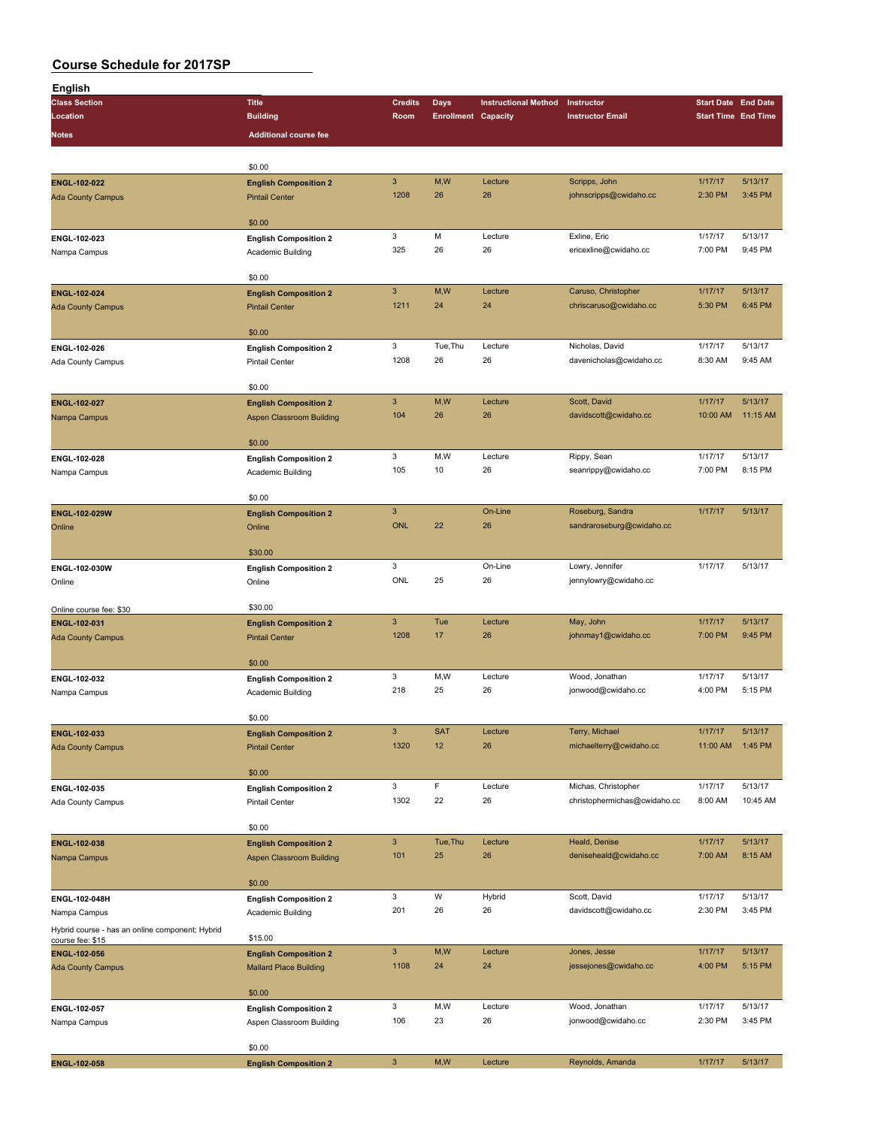| English                                         |                                 |                           |                            |                             |                              |                            |                            |
|-------------------------------------------------|---------------------------------|---------------------------|----------------------------|-----------------------------|------------------------------|----------------------------|----------------------------|
| <b>Class Section</b>                            | <b>Title</b>                    | <b>Credits</b>            | Days                       | <b>Instructional Method</b> | Instructor                   | <b>Start Date End Date</b> |                            |
| Location                                        | <b>Building</b>                 | Room                      | <b>Enrollment Capacity</b> |                             | <b>Instructor Email</b>      |                            | <b>Start Time End Time</b> |
|                                                 |                                 |                           |                            |                             |                              |                            |                            |
| Notes                                           | <b>Additional course fee</b>    |                           |                            |                             |                              |                            |                            |
|                                                 |                                 |                           |                            |                             |                              |                            |                            |
|                                                 | \$0.00                          |                           |                            |                             |                              |                            |                            |
| ENGL-102-022                                    | <b>English Composition 2</b>    | $\ensuremath{\mathsf{3}}$ | M,W                        | Lecture                     | Scripps, John                | 1/17/17                    | 5/13/17                    |
| <b>Ada County Campus</b>                        | <b>Pintail Center</b>           | 1208                      | 26                         | 26                          | johnscripps@cwidaho.cc       | 2:30 PM                    | 3:45 PM                    |
|                                                 |                                 |                           |                            |                             |                              |                            |                            |
|                                                 | \$0.00                          |                           |                            |                             |                              |                            |                            |
| ENGL-102-023                                    | <b>English Composition 2</b>    | 3                         | M                          | Lecture                     | Exline, Eric                 | 1/17/17                    | 5/13/17                    |
| Nampa Campus                                    | Academic Building               | 325                       | 26                         | 26                          | ericexline@cwidaho.cc        | 7:00 PM                    | 9:45 PM                    |
|                                                 |                                 |                           |                            |                             |                              |                            |                            |
|                                                 | \$0.00                          |                           |                            |                             |                              |                            |                            |
| ENGL-102-024                                    |                                 | $\mathbf{3}$              | M,W                        | Lecture                     | Caruso, Christopher          | 1/17/17                    | 5/13/17                    |
|                                                 | <b>English Composition 2</b>    | 1211                      | 24                         | 24                          | chriscaruso@cwidaho.cc       | 5:30 PM                    | 6:45 PM                    |
| <b>Ada County Campus</b>                        | <b>Pintail Center</b>           |                           |                            |                             |                              |                            |                            |
|                                                 | \$0.00                          |                           |                            |                             |                              |                            |                            |
|                                                 |                                 | 3                         |                            |                             |                              |                            | 5/13/17                    |
| ENGL-102-026                                    | <b>English Composition 2</b>    |                           | Tue, Thu                   | Lecture                     | Nicholas, David              | 1/17/17                    |                            |
| Ada County Campus                               | <b>Pintail Center</b>           | 1208                      | 26                         | 26                          | davenicholas@cwidaho.cc      | 8:30 AM                    | 9:45 AM                    |
|                                                 |                                 |                           |                            |                             |                              |                            |                            |
|                                                 | \$0.00                          |                           |                            |                             |                              |                            |                            |
| ENGL-102-027                                    | <b>English Composition 2</b>    | $\mathbf{3}$              | M,W                        | Lecture                     | Scott, David                 | 1/17/17                    | 5/13/17                    |
| Nampa Campus                                    | <b>Aspen Classroom Building</b> | 104                       | 26                         | 26                          | davidscott@cwidaho.cc        | 10:00 AM                   | 11:15 AM                   |
|                                                 |                                 |                           |                            |                             |                              |                            |                            |
|                                                 | \$0.00                          |                           |                            |                             |                              |                            |                            |
| ENGL-102-028                                    | <b>English Composition 2</b>    | 3                         | M, W                       | Lecture                     | Rippy, Sean                  | 1/17/17                    | 5/13/17                    |
| Nampa Campus                                    | Academic Building               | 105                       | 10                         | 26                          | seanrippy@cwidaho.cc         | 7:00 PM                    | 8:15 PM                    |
|                                                 |                                 |                           |                            |                             |                              |                            |                            |
|                                                 | \$0.00                          |                           |                            |                             |                              |                            |                            |
| ENGL-102-029W                                   | <b>English Composition 2</b>    | $\overline{3}$            |                            | On-Line                     | Roseburg, Sandra             | 1/17/17                    | 5/13/17                    |
| Online                                          | Online                          | <b>ONL</b>                | 22                         | 26                          | sandraroseburg@cwidaho.cc    |                            |                            |
|                                                 |                                 |                           |                            |                             |                              |                            |                            |
|                                                 | \$30.00                         |                           |                            |                             |                              |                            |                            |
| ENGL-102-030W                                   |                                 | 3                         |                            | On-Line                     | Lowry, Jennifer              | 1/17/17                    | 5/13/17                    |
|                                                 | <b>English Composition 2</b>    | ONL                       | 25                         | 26                          | jennylowry@cwidaho.cc        |                            |                            |
| Online                                          | Online                          |                           |                            |                             |                              |                            |                            |
|                                                 |                                 |                           |                            |                             |                              |                            |                            |
| Online course fee: \$30                         | \$30.00                         |                           |                            |                             |                              |                            |                            |
| ENGL-102-031                                    | <b>English Composition 2</b>    | $\mathsf 3$               | Tue                        | Lecture                     | May, John                    | 1/17/17                    | 5/13/17                    |
| <b>Ada County Campus</b>                        | <b>Pintail Center</b>           | 1208                      | 17                         | 26                          | johnmay1@cwidaho.cc          | 7:00 PM                    | 9:45 PM                    |
|                                                 |                                 |                           |                            |                             |                              |                            |                            |
|                                                 | \$0.00                          |                           |                            |                             |                              |                            |                            |
| ENGL-102-032                                    | <b>English Composition 2</b>    | 3                         | M,W                        | Lecture                     | Wood, Jonathan               | 1/17/17                    | 5/13/17                    |
| Nampa Campus                                    | Academic Building               | 218                       | 25                         | 26                          | jonwood@cwidaho.cc           | 4:00 PM                    | 5:15 PM                    |
|                                                 |                                 |                           |                            |                             |                              |                            |                            |
|                                                 | \$0.00                          |                           |                            |                             |                              |                            |                            |
| ENGL-102-033                                    | <b>English Composition 2</b>    | $\ensuremath{\mathsf{3}}$ | <b>SAT</b>                 | Lecture                     | Terry, Michael               | 1/17/17                    | 5/13/17                    |
| <b>Ada County Campus</b>                        | <b>Pintail Center</b>           | 1320                      | 12                         | 26                          | michaelterry@cwidaho.cc      | 11:00 AM                   | 1:45 PM                    |
|                                                 |                                 |                           |                            |                             |                              |                            |                            |
|                                                 | \$0.00                          |                           |                            |                             |                              |                            |                            |
| ENGL-102-035                                    | <b>English Composition 2</b>    | 3                         | F                          | Lecture                     | Michas, Christopher          | 1/17/17                    | 5/13/17                    |
| Ada County Campus                               | Pintail Center                  | 1302                      | 22                         | 26                          | christophermichas@cwidaho.cc | 8:00 AM                    | 10:45 AM                   |
|                                                 |                                 |                           |                            |                             |                              |                            |                            |
|                                                 | \$0.00                          |                           |                            |                             |                              |                            |                            |
|                                                 |                                 | $\mathsf 3$               |                            |                             |                              |                            |                            |
| ENGL-102-038                                    | <b>English Composition 2</b>    |                           | Tue, Thu                   | Lecture                     | Heald, Denise                | 1/17/17                    | 5/13/17                    |
| Nampa Campus                                    | Aspen Classroom Building        | 101                       | 25                         | 26                          | deniseheald@cwidaho.cc       | 7:00 AM                    | 8:15 AM                    |
|                                                 |                                 |                           |                            |                             |                              |                            |                            |
|                                                 | \$0.00                          |                           |                            |                             |                              |                            |                            |
| ENGL-102-048H                                   | <b>English Composition 2</b>    | 3                         | W                          | Hybrid                      | Scott, David                 | 1/17/17                    | 5/13/17                    |
| Nampa Campus                                    | Academic Building               | 201                       | 26                         | 26                          | davidscott@cwidaho.cc        | 2:30 PM                    | 3:45 PM                    |
| Hybrid course - has an online component; Hybrid |                                 |                           |                            |                             |                              |                            |                            |
| course fee: \$15                                | \$15.00                         |                           |                            |                             |                              |                            |                            |
| ENGL-102-056                                    | <b>English Composition 2</b>    | $\mathbf{3}$              | M, W                       | Lecture                     | Jones, Jesse                 | 1/17/17                    | 5/13/17                    |
| <b>Ada County Campus</b>                        | <b>Mallard Place Building</b>   | 1108                      | 24                         | 24                          | jessejones@cwidaho.cc        | 4:00 PM                    | 5:15 PM                    |
|                                                 |                                 |                           |                            |                             |                              |                            |                            |
|                                                 | \$0.00                          |                           |                            |                             |                              |                            |                            |
| ENGL-102-057                                    | <b>English Composition 2</b>    | 3                         | M,W                        | Lecture                     | Wood, Jonathan               | 1/17/17                    | 5/13/17                    |
| Nampa Campus                                    | Aspen Classroom Building        | 106                       | 23                         | 26                          | jonwood@cwidaho.cc           | 2:30 PM                    | 3:45 PM                    |
|                                                 |                                 |                           |                            |                             |                              |                            |                            |
|                                                 | \$0.00                          |                           |                            |                             |                              |                            |                            |
| ENGL-102-058                                    | <b>English Composition 2</b>    | $\mathsf 3$               | M,W                        | Lecture                     | Reynolds, Amanda             | 1/17/17                    | 5/13/17                    |
|                                                 |                                 |                           |                            |                             |                              |                            |                            |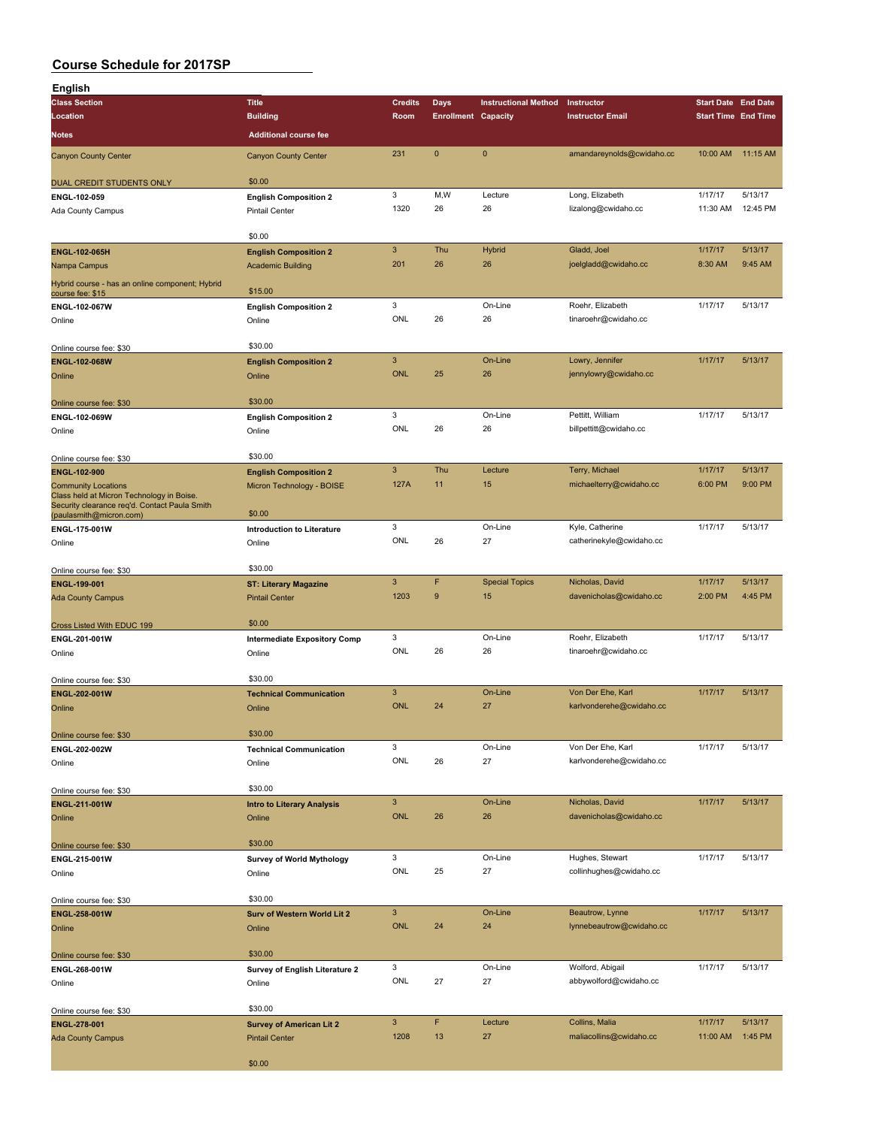| English                                                                                    |                                       |                |                            |                             |                           |                            |          |
|--------------------------------------------------------------------------------------------|---------------------------------------|----------------|----------------------------|-----------------------------|---------------------------|----------------------------|----------|
| <b>Class Section</b>                                                                       | <b>Title</b>                          | <b>Credits</b> | <b>Days</b>                | <b>Instructional Method</b> | Instructor                | <b>Start Date End Date</b> |          |
| Location                                                                                   | <b>Building</b>                       | Room           | <b>Enrollment Capacity</b> |                             | <b>Instructor Email</b>   | <b>Start Time End Time</b> |          |
| Notes                                                                                      | <b>Additional course fee</b>          |                |                            |                             |                           |                            |          |
| <b>Canyon County Center</b>                                                                | <b>Canyon County Center</b>           | 231            | $\mathbf{0}$               | $\mathbf{0}$                | amandareynolds@cwidaho.cc | 10:00 AM                   | 11:15 AM |
| DUAL CREDIT STUDENTS ONLY                                                                  | \$0.00                                |                |                            |                             |                           |                            |          |
| ENGL-102-059                                                                               | <b>English Composition 2</b>          | 3              | M,W                        | Lecture                     | Long, Elizabeth           | 1/17/17                    | 5/13/17  |
| Ada County Campus                                                                          | <b>Pintail Center</b>                 | 1320           | 26                         | 26                          | lizalong@cwidaho.cc       | 11:30 AM                   | 12:45 PM |
|                                                                                            | \$0.00                                |                |                            |                             |                           |                            |          |
| <b>ENGL-102-065H</b>                                                                       | <b>English Composition 2</b>          | $\mathbf{3}$   | Thu                        | <b>Hybrid</b>               | Gladd, Joel               | 1/17/17                    | 5/13/17  |
| Nampa Campus                                                                               | <b>Academic Building</b>              | 201            | 26                         | 26                          | joelgladd@cwidaho.cc      | 8:30 AM                    | 9:45 AM  |
| Hybrid course - has an online component; Hybrid<br>course fee: \$15                        | \$15.00                               |                |                            |                             |                           |                            |          |
| <b>ENGL-102-067W</b>                                                                       | <b>English Composition 2</b>          | 3              |                            | On-Line                     | Roehr, Elizabeth          | 1/17/17                    | 5/13/17  |
| Online                                                                                     | Online                                | ONL            | 26                         | 26                          | tinaroehr@cwidaho.cc      |                            |          |
| Online course fee: \$30                                                                    | \$30.00                               |                |                            |                             |                           |                            |          |
| <b>ENGL-102-068W</b>                                                                       | <b>English Composition 2</b>          | $\mathsf 3$    |                            | On-Line                     | Lowry, Jennifer           | 1/17/17                    | 5/13/17  |
| Online                                                                                     | Online                                | <b>ONL</b>     | 25                         | 26                          | jennylowry@cwidaho.cc     |                            |          |
|                                                                                            |                                       |                |                            |                             |                           |                            |          |
| Online course fee: \$30                                                                    | \$30.00                               |                |                            |                             |                           |                            |          |
| ENGL-102-069W                                                                              | <b>English Composition 2</b>          | 3<br>ONL       |                            | On-Line                     | Pettitt, William          | 1/17/17                    | 5/13/17  |
| Online                                                                                     | Online                                |                | 26                         | 26                          | billpettitt@cwidaho.cc    |                            |          |
| Online course fee: \$30                                                                    | \$30.00                               |                |                            |                             |                           |                            |          |
| ENGL-102-900                                                                               | <b>English Composition 2</b>          | $\mathbf{3}$   | Thu                        | Lecture                     | Terry, Michael            | 1/17/17                    | 5/13/17  |
| <b>Community Locations</b>                                                                 | Micron Technology - BOISE             | 127A           | 11                         | 15                          | michaelterry@cwidaho.cc   | 6:00 PM                    | 9:00 PM  |
| Class held at Micron Technology in Boise.<br>Security clearance req'd. Contact Paula Smith |                                       |                |                            |                             |                           |                            |          |
| (paulasmith@micron.com)                                                                    | \$0.00                                |                |                            |                             |                           |                            |          |
| ENGL-175-001W                                                                              | <b>Introduction to Literature</b>     | 3              |                            | On-Line                     | Kyle, Catherine           | 1/17/17                    | 5/13/17  |
| Online                                                                                     | Online                                | ONL            | 26                         | 27                          | catherinekyle@cwidaho.cc  |                            |          |
| Online course fee: \$30                                                                    | \$30.00                               |                |                            |                             |                           |                            |          |
| <b>ENGL-199-001</b>                                                                        | <b>ST: Literary Magazine</b>          | $\mathbf{3}$   | F                          | <b>Special Topics</b>       | Nicholas, David           | 1/17/17                    | 5/13/17  |
| <b>Ada County Campus</b>                                                                   | <b>Pintail Center</b>                 | 1203           | $9$                        | 15                          | davenicholas@cwidaho.cc   | 2:00 PM                    | 4:45 PM  |
|                                                                                            | \$0.00                                |                |                            |                             |                           |                            |          |
| Cross Listed With EDUC 199<br>ENGL-201-001W                                                | <b>Intermediate Expository Comp</b>   | 3              |                            | On-Line                     | Roehr, Elizabeth          | 1/17/17                    | 5/13/17  |
| Online                                                                                     | Online                                | ONL            | 26                         | 26                          | tinaroehr@cwidaho.cc      |                            |          |
| Online course fee: \$30                                                                    | \$30.00                               |                |                            |                             |                           |                            |          |
| ENGL-202-001W                                                                              | <b>Technical Communication</b>        | $\mathbf{3}$   |                            | On-Line                     | Von Der Ehe, Karl         | 1/17/17                    | 5/13/17  |
| Online                                                                                     | Online                                | <b>ONL</b>     | 24                         | 27                          | karlvonderehe@cwidaho.cc  |                            |          |
|                                                                                            | \$30.00                               |                |                            |                             |                           |                            |          |
| Online course fee: \$30<br>ENGL-202-002W                                                   | <b>Technical Communication</b>        | 3              |                            | On-Line                     | Von Der Ehe, Karl         | 1/17/17                    | 5/13/17  |
| Online                                                                                     | Online                                | <b>ONL</b>     | 26                         | 27                          | karlvonderehe@cwidaho.cc  |                            |          |
|                                                                                            |                                       |                |                            |                             |                           |                            |          |
| Online course fee: \$30                                                                    | \$30.00                               |                |                            |                             |                           |                            |          |
| ENGL-211-001W                                                                              | <b>Intro to Literary Analysis</b>     | $\mathbf{3}$   |                            | On-Line                     | Nicholas, David           | 1/17/17                    | 5/13/17  |
| Online                                                                                     | Online                                | <b>ONL</b>     | 26                         | 26                          | davenicholas@cwidaho.cc   |                            |          |
| Online course fee: \$30                                                                    | \$30.00                               |                |                            |                             |                           |                            |          |
| ENGL-215-001W                                                                              | <b>Survey of World Mythology</b>      | 3              |                            | On-Line                     | Hughes, Stewart           | 1/17/17                    | 5/13/17  |
| Online                                                                                     | Online                                | ONL            | 25                         | 27                          | collinhughes@cwidaho.cc   |                            |          |
|                                                                                            |                                       |                |                            |                             |                           |                            |          |
| Online course fee: \$30                                                                    | \$30.00                               | $\mathbf{3}$   |                            | On-Line                     | Beautrow, Lynne           | 1/17/17                    | 5/13/17  |
| ENGL-258-001W<br>Online                                                                    | Surv of Western World Lit 2<br>Online | <b>ONL</b>     | 24                         | 24                          | lynnebeautrow@cwidaho.cc  |                            |          |
|                                                                                            |                                       |                |                            |                             |                           |                            |          |
| Online course fee: \$30                                                                    | \$30.00                               |                |                            |                             |                           |                            |          |
| ENGL-268-001W                                                                              | Survey of English Literature 2        | 3              |                            | On-Line                     | Wolford, Abigail          | 1/17/17                    | 5/13/17  |
| Online                                                                                     | Online                                | ONL            | 27                         | 27                          | abbywolford@cwidaho.cc    |                            |          |
|                                                                                            | \$30.00                               |                |                            |                             |                           |                            |          |
| Online course fee: \$30<br>ENGL-278-001                                                    | <b>Survey of American Lit 2</b>       | $\mathbf{3}$   | F                          | Lecture                     | Collins, Malia            | 1/17/17                    | 5/13/17  |
| <b>Ada County Campus</b>                                                                   | <b>Pintail Center</b>                 | 1208           | 13                         | 27                          | maliacollins@cwidaho.cc   | 11:00 AM                   | 1:45 PM  |
|                                                                                            |                                       |                |                            |                             |                           |                            |          |
|                                                                                            | \$0.00                                |                |                            |                             |                           |                            |          |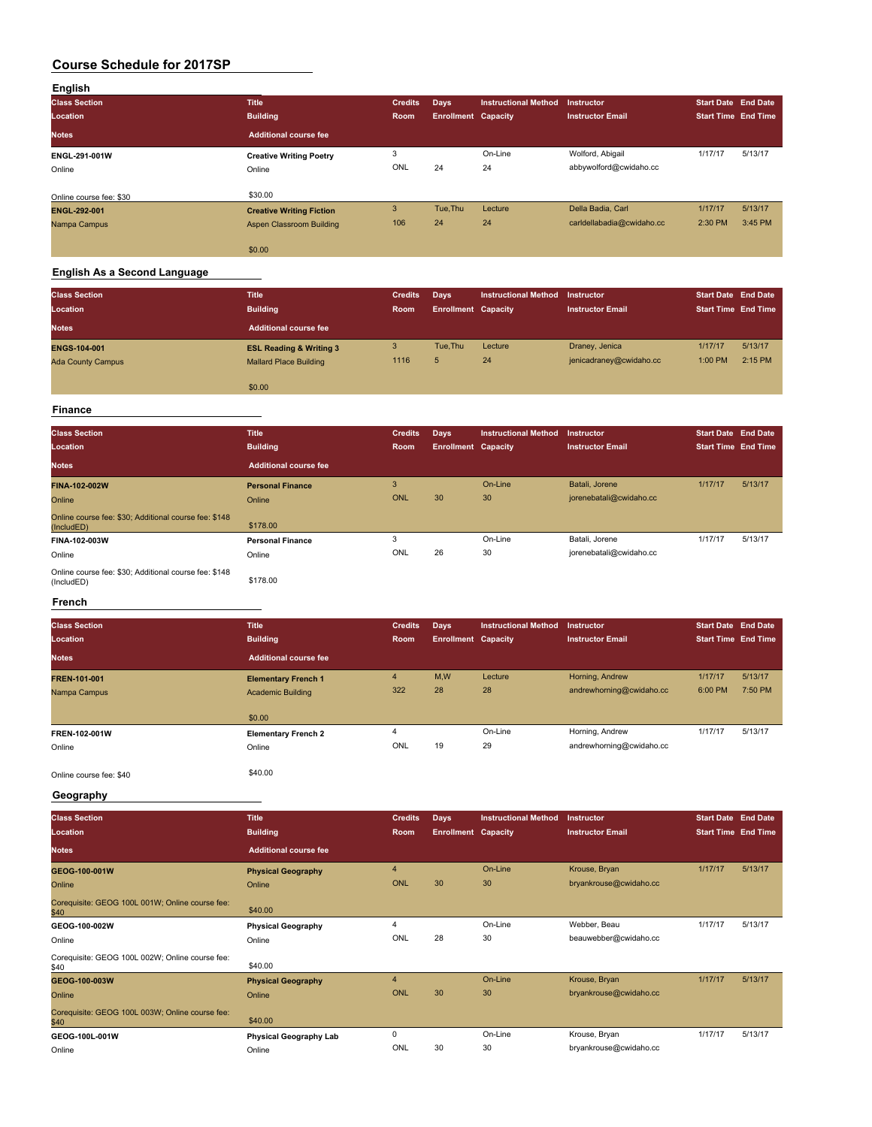| English                 |                                 |                |                            |                             |                           |                            |         |
|-------------------------|---------------------------------|----------------|----------------------------|-----------------------------|---------------------------|----------------------------|---------|
| <b>Class Section</b>    | <b>Title</b>                    | <b>Credits</b> | Days                       | <b>Instructional Method</b> | <b>Instructor</b>         | <b>Start Date End Date</b> |         |
| Location                | <b>Building</b>                 | Room           | <b>Enrollment Capacity</b> |                             | <b>Instructor Email</b>   | <b>Start Time End Time</b> |         |
| <b>Notes</b>            | Additional course fee           |                |                            |                             |                           |                            |         |
| ENGL-291-001W           | <b>Creative Writing Poetry</b>  | 3              |                            | On-Line                     | Wolford, Abigail          | 1/17/17                    | 5/13/17 |
| Online                  | Online                          | ONL            | 24                         | 24                          | abbywolford@cwidaho.cc    |                            |         |
|                         |                                 |                |                            |                             |                           |                            |         |
| Online course fee: \$30 | \$30.00                         |                |                            |                             |                           |                            |         |
| ENGL-292-001            | <b>Creative Writing Fiction</b> | 3              | Tue.Thu                    | Lecture                     | Della Badia, Carl         | 1/17/17                    | 5/13/17 |
| Nampa Campus            | Aspen Classroom Building        | 106            | 24                         | 24                          | carldellabadia@cwidaho.cc | 2:30 PM                    | 3:45 PM |
|                         |                                 |                |                            |                             |                           |                            |         |
|                         | \$0.00                          |                |                            |                             |                           |                            |         |

# **English As a Second Language**

| <b>Class Section</b><br>Location | <b>Title</b><br><b>Building</b>    | <b>Credits</b><br>Room | Days<br><b>Enrollment Capacity</b> | <b>Instructional Method</b> | <b>Instructor</b><br><b>Instructor Email</b> | <b>Start Date End Date</b><br><b>Start Time End Time</b> |         |
|----------------------------------|------------------------------------|------------------------|------------------------------------|-----------------------------|----------------------------------------------|----------------------------------------------------------|---------|
| <b>Notes</b>                     | <b>Additional course fee</b>       |                        |                                    |                             |                                              |                                                          |         |
| <b>ENGS-104-001</b>              | <b>ESL Reading &amp; Writing 3</b> | 3                      | Tue, Thu                           | Lecture                     | Draney, Jenica                               | 1/17/17                                                  | 5/13/17 |
| <b>Ada County Campus</b>         | <b>Mallard Place Building</b>      | 1116                   | 5                                  | 24                          | jenicadraney@cwidaho.cc                      | 1:00 PM                                                  | 2:15 PM |
|                                  | \$0.00                             |                        |                                    |                             |                                              |                                                          |         |
| <b>Finance</b>                   |                                    |                        |                                    |                             |                                              |                                                          |         |

### **Class Section Title Credits Days Instructional Method Instructor Start Date End Date Location Building Room Enrollment Capacity Instructor Email Start Time End Time Notes Additional course fee FINA-102-002W Personal Finance** 3 On-Line Batali, Jorene 1/17/17 5/13/17

| Online                                                              | Online                  | <b>ONL</b> | 30 | 30      | jorenebatali@cwidaho.cc |         |         |
|---------------------------------------------------------------------|-------------------------|------------|----|---------|-------------------------|---------|---------|
| Online course fee: \$30; Additional course fee: \$148<br>(IncludED) | \$178.00                |            |    |         |                         |         |         |
| FINA-102-003W                                                       | <b>Personal Finance</b> |            |    | On-Line | Batali, Jorene          | 1/17/17 | 5/13/17 |
| Online                                                              | Online                  | ONL        | 26 | 30      | jorenebatali@cwidaho.cc |         |         |
| Online course fee: \$30; Additional course fee: \$148<br>(IncludED) | \$178.00                |            |    |         |                         |         |         |

### **French**

| <b>Class Section</b><br>Location | <b>Title</b><br><b>Building</b>                        | <b>Credits</b><br>Room | Days<br><b>Enrollment Capacity</b> | <b>Instructional Method</b> | <b>Instructor</b><br><b>Instructor Email</b> | <b>Start Date End Date</b><br><b>Start Time End Time</b> |                    |
|----------------------------------|--------------------------------------------------------|------------------------|------------------------------------|-----------------------------|----------------------------------------------|----------------------------------------------------------|--------------------|
| <b>Notes</b>                     | <b>Additional course fee</b>                           |                        |                                    |                             |                                              |                                                          |                    |
| FREN-101-001<br>Nampa Campus     | <b>Elementary French 1</b><br><b>Academic Building</b> | $\overline{4}$<br>322  | M,W<br>28                          | Lecture<br>28               | Horning, Andrew<br>andrewhorning@cwidaho.cc  | 1/17/17<br>6:00 PM                                       | 5/13/17<br>7:50 PM |
|                                  | \$0.00                                                 |                        |                                    |                             |                                              |                                                          |                    |
| FREN-102-001W<br>Online          | <b>Elementary French 2</b><br>Online                   | 4<br>ONL               | 19                                 | On-Line<br>29               | Horning, Andrew<br>andrewhorning@cwidaho.cc  | 1/17/17                                                  | 5/13/17            |
| Online course fee: \$40          | \$40.00                                                |                        |                                    |                             |                                              |                                                          |                    |

**Geography**

| <b>Class Section</b><br>Location                        | <b>Title</b><br><b>Building</b> | <b>Credits</b><br>Room | <b>Days</b><br><b>Enrollment Capacity</b> | <b>Instructional Method</b> | <b>Instructor</b><br><b>Instructor Email</b> | <b>Start Date End Date</b><br><b>Start Time End Time</b> |         |
|---------------------------------------------------------|---------------------------------|------------------------|-------------------------------------------|-----------------------------|----------------------------------------------|----------------------------------------------------------|---------|
| <b>Notes</b>                                            | <b>Additional course fee</b>    |                        |                                           |                             |                                              |                                                          |         |
| GEOG-100-001W                                           | <b>Physical Geography</b>       | $\overline{4}$         |                                           | On-Line                     | Krouse, Bryan                                | 1/17/17                                                  | 5/13/17 |
| Online                                                  | Online                          | <b>ONL</b>             | 30                                        | 30                          | bryankrouse@cwidaho.cc                       |                                                          |         |
| Corequisite: GEOG 100L 001W; Online course fee:<br>\$40 | \$40.00                         |                        |                                           |                             |                                              |                                                          |         |
| GEOG-100-002W                                           | <b>Physical Geography</b>       | 4                      |                                           | On-Line                     | Webber, Beau                                 | 1/17/17                                                  | 5/13/17 |
| Online                                                  | Online                          | ONL                    | 28                                        | 30                          | beauwebber@cwidaho.cc                        |                                                          |         |
| Corequisite: GEOG 100L 002W; Online course fee:<br>\$40 | \$40.00                         |                        |                                           |                             |                                              |                                                          |         |
| GEOG-100-003W                                           | <b>Physical Geography</b>       | 4                      |                                           | On-Line                     | Krouse, Bryan                                | 1/17/17                                                  | 5/13/17 |
| Online                                                  | Online                          | ONL                    | 30                                        | 30                          | bryankrouse@cwidaho.cc                       |                                                          |         |
| Corequisite: GEOG 100L 003W; Online course fee:<br>\$40 | \$40.00                         |                        |                                           |                             |                                              |                                                          |         |
| GEOG-100L-001W                                          | <b>Physical Geography Lab</b>   | 0                      |                                           | On-Line                     | Krouse, Bryan                                | 1/17/17                                                  | 5/13/17 |
| Online                                                  | Online                          | ONL                    | 30                                        | 30                          | bryankrouse@cwidaho.cc                       |                                                          |         |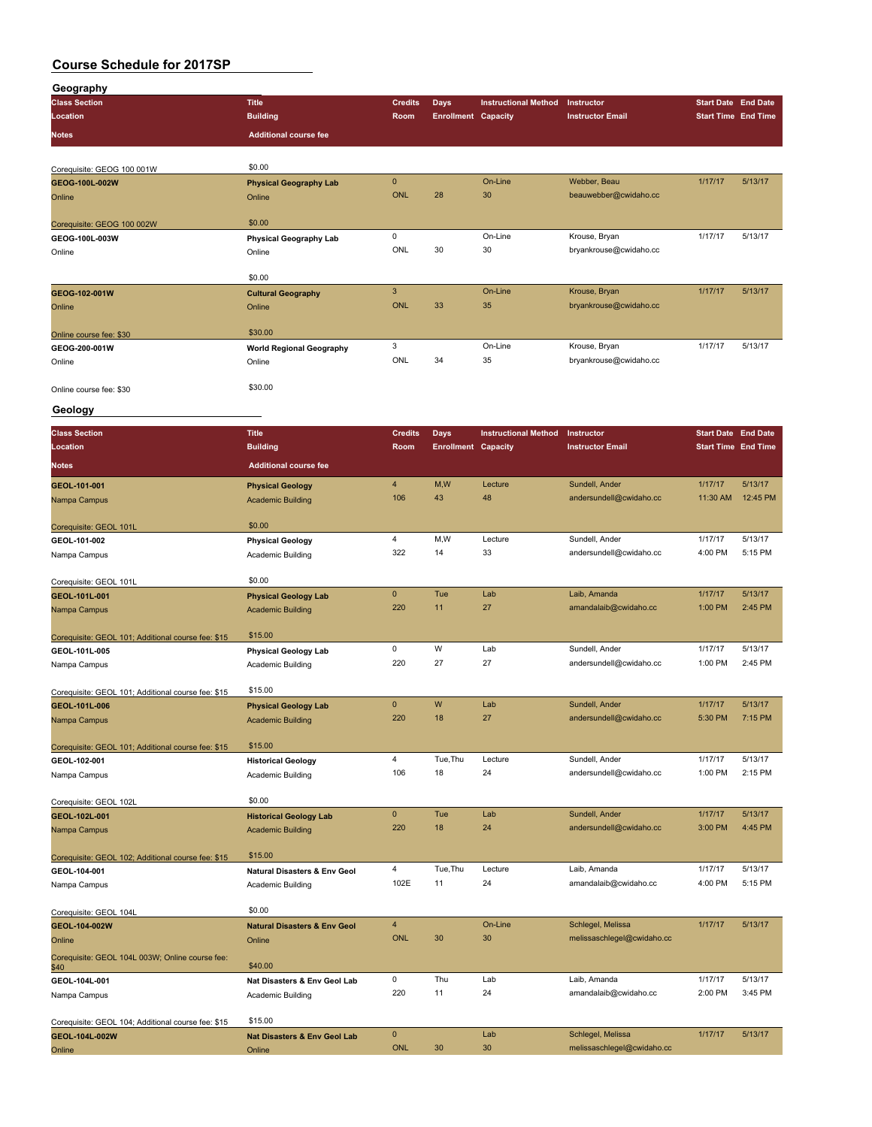| Geography                                          |                                         |                |                            |                             |                            |                            |          |
|----------------------------------------------------|-----------------------------------------|----------------|----------------------------|-----------------------------|----------------------------|----------------------------|----------|
| <b>Class Section</b>                               | <b>Title</b>                            | <b>Credits</b> | <b>Days</b>                | <b>Instructional Method</b> | Instructor                 | <b>Start Date End Date</b> |          |
| Location                                           | <b>Building</b>                         | Room           | <b>Enrollment Capacity</b> |                             | <b>Instructor Email</b>    | <b>Start Time End Time</b> |          |
|                                                    |                                         |                |                            |                             |                            |                            |          |
| Notes                                              | <b>Additional course fee</b>            |                |                            |                             |                            |                            |          |
|                                                    |                                         |                |                            |                             |                            |                            |          |
| Corequisite: GEOG 100 001W                         | \$0.00                                  |                |                            |                             |                            |                            |          |
| GEOG-100L-002W                                     | <b>Physical Geography Lab</b>           | $\pmb{0}$      |                            | On-Line                     | Webber, Beau               | 1/17/17                    | 5/13/17  |
| Online                                             | Online                                  | <b>ONL</b>     | 28                         | 30                          | beauwebber@cwidaho.cc      |                            |          |
|                                                    |                                         |                |                            |                             |                            |                            |          |
| Corequisite: GEOG 100 002W                         | \$0.00                                  |                |                            |                             |                            |                            |          |
| GEOG-100L-003W                                     | Physical Geography Lab                  | $\mathsf 0$    |                            | On-Line                     | Krouse, Bryan              | 1/17/17                    | 5/13/17  |
| Online                                             | Online                                  | ONL            | 30                         | 30                          | bryankrouse@cwidaho.cc     |                            |          |
|                                                    |                                         |                |                            |                             |                            |                            |          |
|                                                    | \$0.00                                  |                |                            |                             |                            |                            |          |
| GEOG-102-001W                                      | <b>Cultural Geography</b>               | $\overline{3}$ |                            | On-Line                     | Krouse, Bryan              | 1/17/17                    | 5/13/17  |
| Online                                             | Online                                  | <b>ONL</b>     | 33                         | 35                          | bryankrouse@cwidaho.cc     |                            |          |
|                                                    |                                         |                |                            |                             |                            |                            |          |
| Online course fee: \$30                            | \$30.00                                 |                |                            |                             |                            |                            |          |
| GEOG-200-001W                                      | <b>World Regional Geography</b>         | 3              |                            | On-Line                     | Krouse, Bryan              | 1/17/17                    | 5/13/17  |
|                                                    |                                         | ONL            | 34                         | 35                          | bryankrouse@cwidaho.cc     |                            |          |
| Online                                             | Online                                  |                |                            |                             |                            |                            |          |
|                                                    | \$30.00                                 |                |                            |                             |                            |                            |          |
| Online course fee: \$30                            |                                         |                |                            |                             |                            |                            |          |
| Geology                                            |                                         |                |                            |                             |                            |                            |          |
|                                                    |                                         |                |                            |                             |                            |                            |          |
| <b>Class Section</b>                               | <b>Title</b>                            | <b>Credits</b> | <b>Days</b>                | <b>Instructional Method</b> | Instructor                 | <b>Start Date End Date</b> |          |
| Location                                           | <b>Building</b>                         | Room           | <b>Enrollment Capacity</b> |                             | <b>Instructor Email</b>    | <b>Start Time End Time</b> |          |
|                                                    |                                         |                |                            |                             |                            |                            |          |
| Notes                                              | <b>Additional course fee</b>            |                |                            |                             |                            |                            |          |
| GEOL-101-001                                       | <b>Physical Geology</b>                 | $\overline{4}$ | M,W                        | Lecture                     | Sundell, Ander             | 1/17/17                    | 5/13/17  |
| Nampa Campus                                       | <b>Academic Building</b>                | 106            | 43                         | 48                          | andersundell@cwidaho.cc    | 11:30 AM                   | 12:45 PM |
|                                                    |                                         |                |                            |                             |                            |                            |          |
| Corequisite: GEOL 101L                             | \$0.00                                  |                |                            |                             |                            |                            |          |
| GEOL-101-002                                       | <b>Physical Geology</b>                 | $\overline{4}$ | M, W                       | Lecture                     | Sundell, Ander             | 1/17/17                    | 5/13/17  |
|                                                    |                                         | 322            | 14                         | 33                          | andersundell@cwidaho.cc    | 4:00 PM                    | 5:15 PM  |
| Nampa Campus                                       | <b>Academic Building</b>                |                |                            |                             |                            |                            |          |
|                                                    | \$0.00                                  |                |                            |                             |                            |                            |          |
| Corequisite: GEOL 101L                             |                                         |                |                            |                             |                            |                            |          |
| GEOL-101L-001                                      | <b>Physical Geology Lab</b>             | $\mathbf 0$    | Tue                        | Lab                         | Laib, Amanda               | 1/17/17                    | 5/13/17  |
| Nampa Campus                                       | <b>Academic Building</b>                | 220            | 11                         | 27                          | amandalaib@cwidaho.cc      | 1:00 PM                    | 2:45 PM  |
|                                                    |                                         |                |                            |                             |                            |                            |          |
| Corequisite: GEOL 101; Additional course fee: \$15 | \$15.00                                 |                |                            |                             |                            |                            |          |
| GEOL-101L-005                                      | <b>Physical Geology Lab</b>             | 0              | W                          | Lab                         | Sundell, Ander             | 1/17/17                    | 5/13/17  |
| Nampa Campus                                       | Academic Building                       | 220            | 27                         | 27                          | andersundell@cwidaho.cc    | 1:00 PM                    | 2:45 PM  |
|                                                    |                                         |                |                            |                             |                            |                            |          |
| Corequisite: GEOL 101; Additional course fee: \$15 | \$15.00                                 |                |                            |                             |                            |                            |          |
| GEOL-101L-006                                      | <b>Physical Geology Lab</b>             | $\mathbf{0}$   | W                          | Lab                         | Sundell, Ander             | 1/17/17                    | 5/13/17  |
| Nampa Campus                                       | <b>Academic Building</b>                | 220            | 18                         | 27                          | andersundell@cwidaho.cc    | 5:30 PM                    | 7:15 PM  |
|                                                    |                                         |                |                            |                             |                            |                            |          |
| Corequisite: GEOL 101; Additional course fee: \$15 | \$15.00                                 |                |                            |                             |                            |                            |          |
|                                                    |                                         | $\overline{4}$ | Tue, Thu                   | Lecture                     | Sundell, Ander             | 1/17/17                    | 5/13/17  |
| GEOL-102-001                                       | <b>Historical Geology</b>               | 106            | 18                         | 24                          | andersundell@cwidaho.cc    | 1:00 PM                    | 2:15 PM  |
| Nampa Campus                                       | Academic Building                       |                |                            |                             |                            |                            |          |
|                                                    |                                         |                |                            |                             |                            |                            |          |
| Corequisite: GEOL 102L                             | \$0.00                                  |                |                            |                             |                            |                            |          |
| GEOL-102L-001                                      | <b>Historical Geology Lab</b>           | $\pmb{0}$      | Tue                        | Lab                         | Sundell, Ander             | 1/17/17                    | 5/13/17  |
| Nampa Campus                                       | <b>Academic Building</b>                | 220            | 18                         | 24                          | andersundell@cwidaho.cc    | 3:00 PM                    | 4:45 PM  |
|                                                    |                                         |                |                            |                             |                            |                            |          |
| Corequisite: GEOL 102; Additional course fee: \$15 | \$15.00                                 |                |                            |                             |                            |                            |          |
| GEOL-104-001                                       | <b>Natural Disasters &amp; Env Geol</b> | $\overline{4}$ | Tue, Thu                   | Lecture                     | Laib, Amanda               | 1/17/17                    | 5/13/17  |
| Nampa Campus                                       | Academic Building                       | 102E           | 11                         | 24                          | amandalaib@cwidaho.cc      | 4:00 PM                    | 5:15 PM  |
|                                                    |                                         |                |                            |                             |                            |                            |          |
| Corequisite: GEOL 104L                             | \$0.00                                  |                |                            |                             |                            |                            |          |
| GEOL-104-002W                                      | <b>Natural Disasters &amp; Env Geol</b> | $\overline{4}$ |                            | On-Line                     | Schlegel, Melissa          | 1/17/17                    | 5/13/17  |
| Online                                             | Online                                  | <b>ONL</b>     | 30                         | 30                          | melissaschlegel@cwidaho.cc |                            |          |
|                                                    |                                         |                |                            |                             |                            |                            |          |
| Corequisite: GEOL 104L 003W; Online course fee:    | \$40.00                                 |                |                            |                             |                            |                            |          |
| \$40                                               |                                         | $\mathsf 0$    | Thu                        | Lab                         | Laib, Amanda               | 1/17/17                    | 5/13/17  |
| GEOL-104L-001                                      | Nat Disasters & Env Geol Lab            |                |                            |                             |                            |                            |          |
| Nampa Campus                                       | Academic Building                       | 220            | 11                         | 24                          | amandalaib@cwidaho.cc      | 2:00 PM                    | 3:45 PM  |
|                                                    |                                         |                |                            |                             |                            |                            |          |
| Corequisite: GEOL 104; Additional course fee: \$15 | \$15.00                                 |                |                            |                             |                            |                            |          |
| GEOL-104L-002W                                     | <b>Nat Disasters &amp; Env Geol Lab</b> | $\pmb{0}$      |                            | Lab                         | Schlegel, Melissa          | 1/17/17                    | 5/13/17  |
| Online                                             | Online                                  | <b>ONL</b>     | 30                         | 30                          | melissaschlegel@cwidaho.cc |                            |          |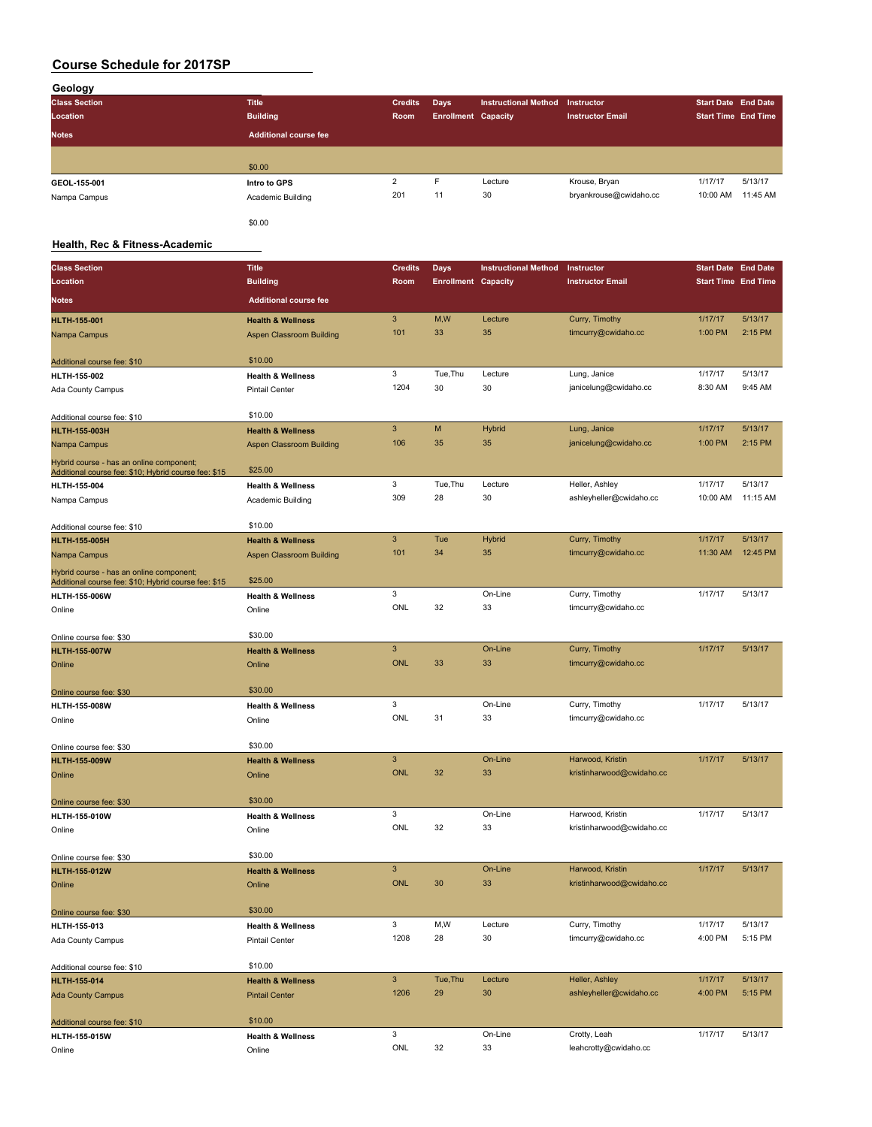| Geology              |                              |                |                            |                             |                         |                            |          |
|----------------------|------------------------------|----------------|----------------------------|-----------------------------|-------------------------|----------------------------|----------|
| <b>Class Section</b> | <b>Title</b>                 | <b>Credits</b> | Days                       | <b>Instructional Method</b> | <b>Instructor</b>       | <b>Start Date End Date</b> |          |
| Location             | <b>Building</b>              | Room           | <b>Enrollment Capacity</b> |                             | <b>Instructor Email</b> | <b>Start Time End Time</b> |          |
| <b>Notes</b>         | <b>Additional course fee</b> |                |                            |                             |                         |                            |          |
|                      |                              |                |                            |                             |                         |                            |          |
|                      | \$0.00                       |                |                            |                             |                         |                            |          |
| GEOL-155-001         | Intro to GPS                 | $\overline{2}$ | Е                          | Lecture                     | Krouse, Bryan           | 1/17/17                    | 5/13/17  |
| Nampa Campus         | Academic Building            | 201            | 11                         | 30                          | bryankrouse@cwidaho.cc  | 10:00 AM                   | 11:45 AM |
|                      | \$0.00                       |                |                            |                             |                         |                            |          |

### **Health, Rec & Fitness-Academic**

| <b>Class Section</b>                                                                             | <b>Title</b>                           | <b>Credits</b> | Days                       | <b>Instructional Method</b> | Instructor                | <b>Start Date End Date</b> |          |
|--------------------------------------------------------------------------------------------------|----------------------------------------|----------------|----------------------------|-----------------------------|---------------------------|----------------------------|----------|
| Location                                                                                         | <b>Building</b>                        | Room           | <b>Enrollment Capacity</b> |                             | <b>Instructor Email</b>   | <b>Start Time End Time</b> |          |
| <b>Notes</b>                                                                                     | <b>Additional course fee</b>           |                |                            |                             |                           |                            |          |
| <b>HLTH-155-001</b>                                                                              | <b>Health &amp; Wellness</b>           | 3              | M,W                        | Lecture                     | Curry, Timothy            | 1/17/17                    | 5/13/17  |
| Nampa Campus                                                                                     | Aspen Classroom Building               | 101            | 33                         | 35                          | timcurry@cwidaho.cc       | 1:00 PM                    | 2:15 PM  |
| Additional course fee: \$10                                                                      | \$10.00                                |                |                            |                             |                           |                            |          |
| HLTH-155-002                                                                                     | <b>Health &amp; Wellness</b>           | 3              | Tue, Thu                   | Lecture                     | Lung, Janice              | 1/17/17                    | 5/13/17  |
| Ada County Campus                                                                                | <b>Pintail Center</b>                  | 1204           | 30                         | 30                          | janicelung@cwidaho.cc     | 8:30 AM                    | 9:45 AM  |
| Additional course fee: \$10                                                                      | \$10.00                                |                |                            |                             |                           |                            |          |
| <b>HLTH-155-003H</b>                                                                             | <b>Health &amp; Wellness</b>           | 3              | M                          | <b>Hybrid</b>               | Lung, Janice              | 1/17/17                    | 5/13/17  |
| Nampa Campus                                                                                     | Aspen Classroom Building               | 106            | 35                         | 35                          | janicelung@cwidaho.cc     | 1:00 PM                    | 2:15 PM  |
| Hybrid course - has an online component;<br>Additional course fee: \$10; Hybrid course fee: \$15 | \$25.00                                |                |                            |                             |                           |                            |          |
| HLTH-155-004                                                                                     | <b>Health &amp; Wellness</b>           | 3              | Tue, Thu                   | Lecture                     | Heller, Ashley            | 1/17/17                    | 5/13/17  |
| Nampa Campus                                                                                     | Academic Building                      | 309            | 28                         | 30                          | ashleyheller@cwidaho.cc   | 10:00 AM                   | 11:15 AM |
| Additional course fee: \$10                                                                      | \$10.00                                |                |                            |                             |                           |                            |          |
| <b>HLTH-155-005H</b>                                                                             | <b>Health &amp; Wellness</b>           | 3              | Tue                        | <b>Hybrid</b>               | Curry, Timothy            | 1/17/17                    | 5/13/17  |
| Nampa Campus                                                                                     | Aspen Classroom Building               | 101            | 34                         | 35                          | timcurry@cwidaho.cc       | 11:30 AM                   | 12:45 PM |
| Hybrid course - has an online component;                                                         | \$25.00                                |                |                            |                             |                           |                            |          |
| Additional course fee: \$10; Hybrid course fee: \$15                                             |                                        | 3              |                            | On-Line                     | Curry, Timothy            | 1/17/17                    | 5/13/17  |
| HLTH-155-006W                                                                                    | <b>Health &amp; Wellness</b><br>Online | ONL            | 32                         | 33                          | timcurry@cwidaho.cc       |                            |          |
| Online                                                                                           |                                        |                |                            |                             |                           |                            |          |
| Online course fee: \$30                                                                          | \$30.00                                |                |                            |                             |                           |                            |          |
| <b>HLTH-155-007W</b>                                                                             | <b>Health &amp; Wellness</b>           | 3              |                            | On-Line                     | Curry, Timothy            | 1/17/17                    | 5/13/17  |
| Online                                                                                           | Online                                 | <b>ONL</b>     | 33                         | 33                          | timcurry@cwidaho.cc       |                            |          |
| Online course fee: \$30                                                                          | \$30.00                                |                |                            |                             |                           |                            |          |
| HLTH-155-008W                                                                                    | <b>Health &amp; Wellness</b>           | 3              |                            | On-Line                     | Curry, Timothy            | 1/17/17                    | 5/13/17  |
| Online                                                                                           | Online                                 | ONL            | 31                         | 33                          | timcurry@cwidaho.cc       |                            |          |
| Online course fee: \$30                                                                          | \$30.00                                |                |                            |                             |                           |                            |          |
| <b>HLTH-155-009W</b>                                                                             | <b>Health &amp; Wellness</b>           | 3              |                            | On-Line                     | Harwood, Kristin          | 1/17/17                    | 5/13/17  |
| Online                                                                                           | Online                                 | <b>ONL</b>     | 32                         | 33                          | kristinharwood@cwidaho.cc |                            |          |
| Online course fee: \$30                                                                          | \$30.00                                |                |                            |                             |                           |                            |          |
| HLTH-155-010W                                                                                    | <b>Health &amp; Wellness</b>           | 3              |                            | On-Line                     | Harwood, Kristin          | 1/17/17                    | 5/13/17  |
| Online                                                                                           | Online                                 | ONL            | 32                         | 33                          | kristinharwood@cwidaho.cc |                            |          |
| Online course fee: \$30                                                                          | \$30.00                                |                |                            |                             |                           |                            |          |
| <b>HLTH-155-012W</b>                                                                             | <b>Health &amp; Wellness</b>           | 3              |                            | On-Line                     | Harwood, Kristin          | 1/17/17                    | 5/13/17  |
| Online                                                                                           | Online                                 | <b>ONL</b>     | 30                         | 33                          | kristinharwood@cwidaho.cc |                            |          |
| Online course fee: \$30                                                                          | \$30.00                                |                |                            |                             |                           |                            |          |
| HLTH-155-013                                                                                     | <b>Health &amp; Wellness</b>           | 3              | M,W                        | Lecture                     | Curry, Timothy            | 1/17/17                    | 5/13/17  |
| Ada County Campus                                                                                | <b>Pintail Center</b>                  | 1208           | 28                         | 30                          | timcurry@cwidaho.cc       | 4:00 PM                    | 5:15 PM  |
| Additional course fee: \$10                                                                      | \$10.00                                |                |                            |                             |                           |                            |          |
| HLTH-155-014                                                                                     | <b>Health &amp; Wellness</b>           | $\mathbf{3}$   | Tue, Thu                   | Lecture                     | Heller, Ashley            | 1/17/17                    | 5/13/17  |
| <b>Ada County Campus</b>                                                                         | <b>Pintail Center</b>                  | 1206           | 29                         | 30                          | ashleyheller@cwidaho.cc   | 4:00 PM                    | 5:15 PM  |
| Additional course fee: \$10                                                                      | \$10.00                                |                |                            |                             |                           |                            |          |
| <b>HLTH-155-015W</b>                                                                             | <b>Health &amp; Wellness</b>           | 3              |                            | On-Line                     | Crotty, Leah              | 1/17/17                    | 5/13/17  |
| Online                                                                                           | Online                                 | ONL            | 32                         | 33                          | leahcrotty@cwidaho.cc     |                            |          |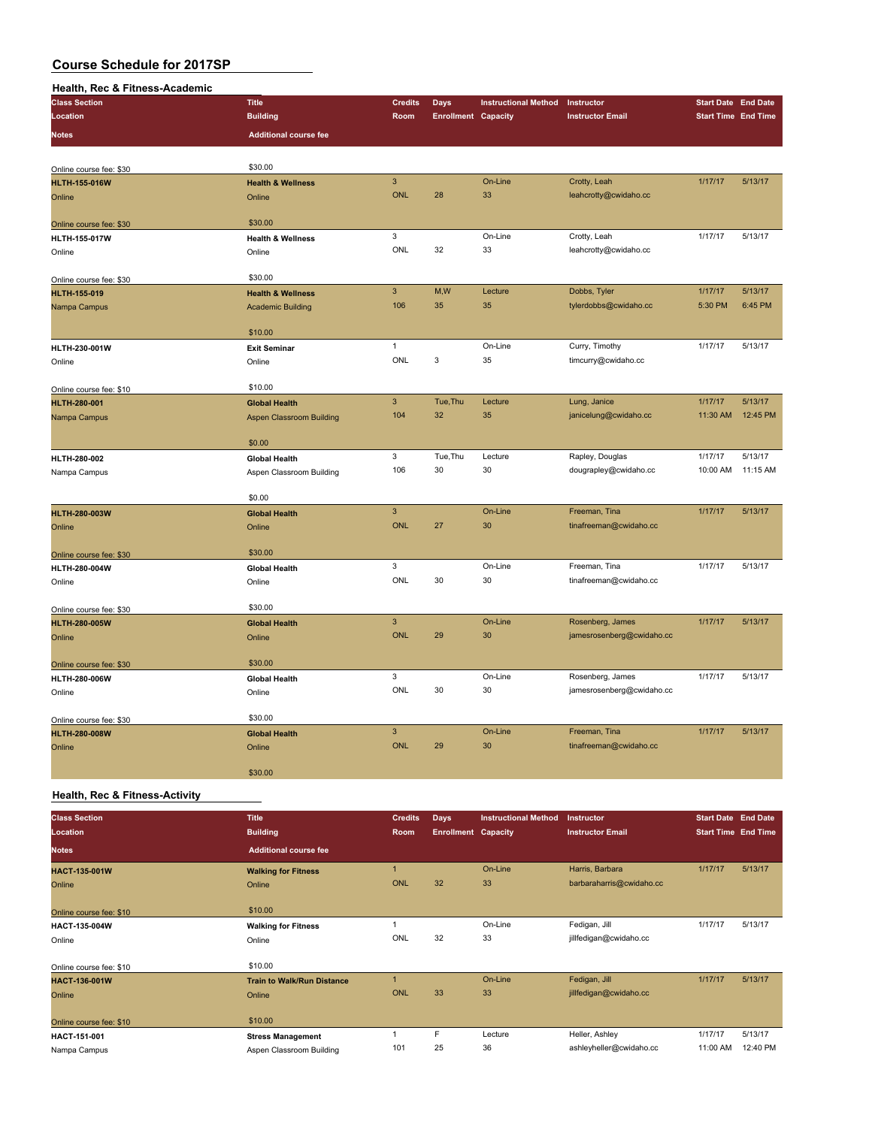#### **Health, Rec & Fitness-Academic**

| <b>Class Section</b>    | <b>Title</b>                    | <b>Credits</b> | <b>Days</b>                | <b>Instructional Method</b> | Instructor                | <b>Start Date End Date</b> |          |
|-------------------------|---------------------------------|----------------|----------------------------|-----------------------------|---------------------------|----------------------------|----------|
| Location                | <b>Building</b>                 | Room           | <b>Enrollment Capacity</b> |                             | <b>Instructor Email</b>   | <b>Start Time End Time</b> |          |
| <b>Notes</b>            | <b>Additional course fee</b>    |                |                            |                             |                           |                            |          |
|                         |                                 |                |                            |                             |                           |                            |          |
| Online course fee: \$30 | \$30.00                         |                |                            |                             |                           |                            |          |
| <b>HLTH-155-016W</b>    | <b>Health &amp; Wellness</b>    | $\mathbf{3}$   |                            | On-Line                     | Crotty, Leah              | 1/17/17                    | 5/13/17  |
| Online                  | Online                          | <b>ONL</b>     | 28                         | 33                          | leahcrotty@cwidaho.cc     |                            |          |
| Online course fee: \$30 | \$30.00                         |                |                            |                             |                           |                            |          |
| <b>HLTH-155-017W</b>    | <b>Health &amp; Wellness</b>    | 3              |                            | On-Line                     | Crotty, Leah              | 1/17/17                    | 5/13/17  |
| Online                  | Online                          | ONL            | 32                         | 33                          | leahcrotty@cwidaho.cc     |                            |          |
| Online course fee: \$30 | \$30.00                         |                |                            |                             |                           |                            |          |
| HLTH-155-019            | <b>Health &amp; Wellness</b>    | $\mathsf 3$    | M,W                        | Lecture                     | Dobbs, Tyler              | 1/17/17                    | 5/13/17  |
| Nampa Campus            | <b>Academic Building</b>        | 106            | 35                         | 35                          | tylerdobbs@cwidaho.cc     | 5:30 PM                    | 6:45 PM  |
|                         | \$10.00                         |                |                            |                             |                           |                            |          |
| HLTH-230-001W           | <b>Exit Seminar</b>             | $\mathbf{1}$   |                            | On-Line                     | Curry, Timothy            | 1/17/17                    | 5/13/17  |
| Online                  | Online                          | <b>ONL</b>     | 3                          | 35                          | timcurry@cwidaho.cc       |                            |          |
| Online course fee: \$10 | \$10.00                         |                |                            |                             |                           |                            |          |
| <b>HLTH-280-001</b>     | <b>Global Health</b>            | $\overline{3}$ | Tue, Thu                   | Lecture                     | Lung, Janice              | 1/17/17                    | 5/13/17  |
| Nampa Campus            | <b>Aspen Classroom Building</b> | 104            | 32                         | 35                          | janicelung@cwidaho.cc     | 11:30 AM                   | 12:45 PM |
|                         |                                 |                |                            |                             |                           |                            |          |
|                         | \$0.00                          |                |                            |                             |                           |                            |          |
| HLTH-280-002            | <b>Global Health</b>            | 3              | Tue, Thu                   | Lecture                     | Rapley, Douglas           | 1/17/17                    | 5/13/17  |
| Nampa Campus            | Aspen Classroom Building        | 106            | 30                         | 30                          | dougrapley@cwidaho.cc     | 10:00 AM                   | 11:15 AM |
|                         | \$0.00                          |                |                            |                             |                           |                            |          |
| <b>HLTH-280-003W</b>    | <b>Global Health</b>            | $\mathbf{3}$   |                            | On-Line                     | Freeman, Tina             | 1/17/17                    | 5/13/17  |
| Online                  | Online                          | <b>ONL</b>     | 27                         | 30                          | tinafreeman@cwidaho.cc    |                            |          |
| Online course fee: \$30 | \$30.00                         |                |                            |                             |                           |                            |          |
| HLTH-280-004W           | <b>Global Health</b>            | 3              |                            | On-Line                     | Freeman, Tina             | 1/17/17                    | 5/13/17  |
| Online                  | Online                          | ONL            | 30                         | 30                          | tinafreeman@cwidaho.cc    |                            |          |
|                         |                                 |                |                            |                             |                           |                            |          |
| Online course fee: \$30 | \$30.00                         |                |                            |                             |                           |                            |          |
| <b>HLTH-280-005W</b>    | <b>Global Health</b>            | $\overline{3}$ |                            | On-Line                     | Rosenberg, James          | 1/17/17                    | 5/13/17  |
| Online                  | Online                          | <b>ONL</b>     | 29                         | 30                          | jamesrosenberg@cwidaho.cc |                            |          |
| Online course fee: \$30 | \$30.00                         |                |                            |                             |                           |                            |          |
| HLTH-280-006W           | <b>Global Health</b>            | 3              |                            | On-Line                     | Rosenberg, James          | 1/17/17                    | 5/13/17  |
| Online                  | Online                          | ONL            | 30                         | 30                          | jamesrosenberg@cwidaho.cc |                            |          |
| Online course fee: \$30 | \$30.00                         |                |                            |                             |                           |                            |          |
| <b>HLTH-280-008W</b>    | <b>Global Health</b>            | $\overline{3}$ |                            | On-Line                     | Freeman, Tina             | 1/17/17                    | 5/13/17  |
| Online                  | Online                          | <b>ONL</b>     | 29                         | 30                          | tinafreeman@cwidaho.cc    |                            |          |
|                         | \$30.00                         |                |                            |                             |                           |                            |          |

#### **Health, Rec & Fitness-Activity**

| <b>Class Section</b>    | <b>Title</b>                      | <b>Credits</b> | <b>Days</b>                | <b>Instructional Method</b> | Instructor               | <b>Start Date End Date</b> |          |
|-------------------------|-----------------------------------|----------------|----------------------------|-----------------------------|--------------------------|----------------------------|----------|
| Location                | <b>Building</b>                   | Room           | <b>Enrollment Capacity</b> |                             | <b>Instructor Email</b>  | <b>Start Time End Time</b> |          |
| <b>Notes</b>            | <b>Additional course fee</b>      |                |                            |                             |                          |                            |          |
| <b>HACT-135-001W</b>    | <b>Walking for Fitness</b>        |                |                            | On-Line                     | Harris, Barbara          | 1/17/17                    | 5/13/17  |
| Online                  | Online                            | <b>ONL</b>     | 32                         | 33                          | barbaraharris@cwidaho.cc |                            |          |
|                         |                                   |                |                            |                             |                          |                            |          |
| Online course fee: \$10 | \$10.00                           |                |                            |                             |                          |                            |          |
| HACT-135-004W           | <b>Walking for Fitness</b>        |                |                            | On-Line                     | Fedigan, Jill            | 1/17/17                    | 5/13/17  |
| Online                  | Online                            | ONL            | 32                         | 33                          | jillfedigan@cwidaho.cc   |                            |          |
|                         |                                   |                |                            |                             |                          |                            |          |
| Online course fee: \$10 | \$10.00                           |                |                            |                             |                          |                            |          |
| <b>HACT-136-001W</b>    | <b>Train to Walk/Run Distance</b> |                |                            | On-Line                     | Fedigan, Jill            | 1/17/17                    | 5/13/17  |
| Online                  | Online                            | <b>ONL</b>     | 33                         | 33                          | jillfedigan@cwidaho.cc   |                            |          |
|                         |                                   |                |                            |                             |                          |                            |          |
| Online course fee: \$10 | \$10.00                           |                |                            |                             |                          |                            |          |
| HACT-151-001            | <b>Stress Management</b>          |                | F                          | Lecture                     | Heller, Ashley           | 1/17/17                    | 5/13/17  |
| Nampa Campus            | Aspen Classroom Building          | 101            | 25                         | 36                          | ashleyheller@cwidaho.cc  | 11:00 AM                   | 12:40 PM |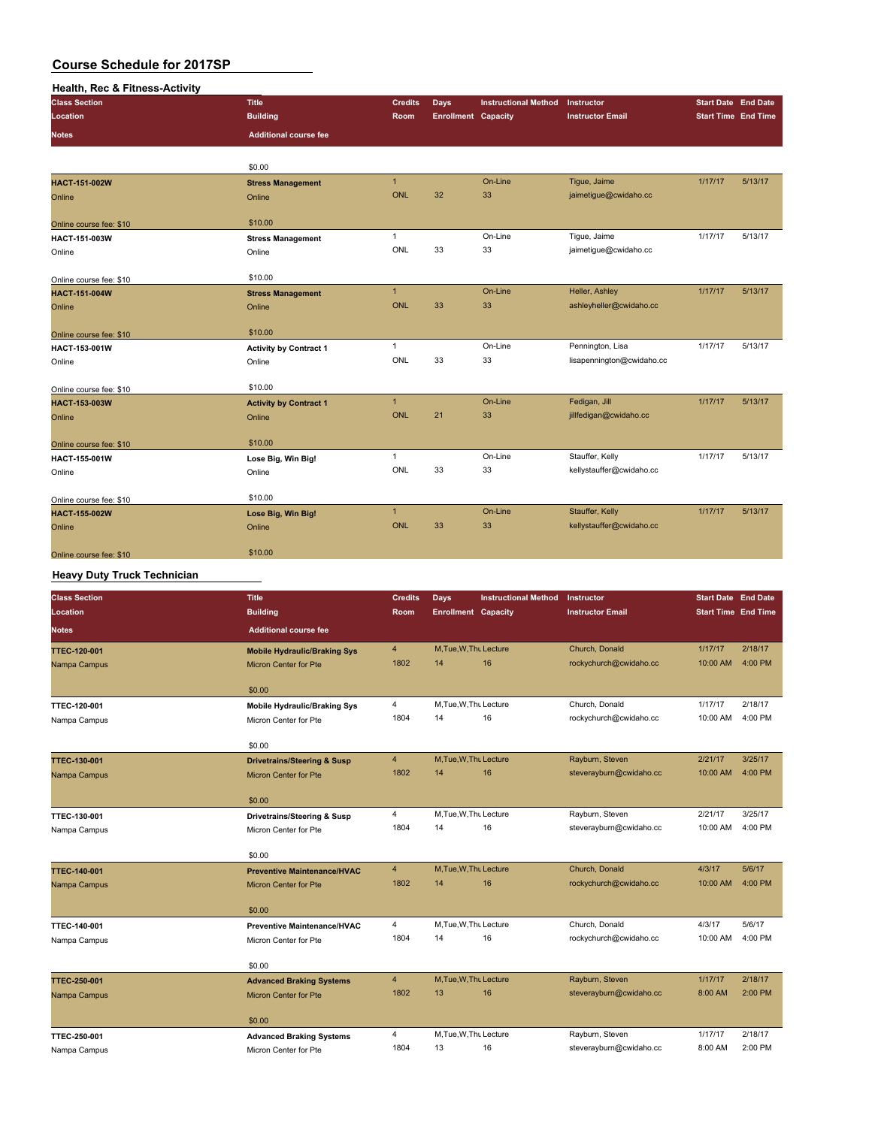| <b>Health, Rec &amp; Fitness-Activity</b> |                               |                |                            |                             |                           |                            |         |
|-------------------------------------------|-------------------------------|----------------|----------------------------|-----------------------------|---------------------------|----------------------------|---------|
| <b>Class Section</b>                      | <b>Title</b>                  | <b>Credits</b> | <b>Days</b>                | <b>Instructional Method</b> | Instructor                | <b>Start Date</b> End Date |         |
| Location                                  | <b>Building</b>               | Room           | <b>Enrollment Capacity</b> |                             | <b>Instructor Email</b>   | <b>Start Time End Time</b> |         |
| <b>Notes</b>                              | <b>Additional course fee</b>  |                |                            |                             |                           |                            |         |
|                                           |                               |                |                            |                             |                           |                            |         |
|                                           | \$0.00                        |                |                            |                             |                           |                            |         |
| <b>HACT-151-002W</b>                      | <b>Stress Management</b>      | $\mathbf{1}$   |                            | On-Line                     | Tigue, Jaime              | 1/17/17                    | 5/13/17 |
| Online                                    | Online                        | <b>ONL</b>     | 32                         | 33                          | jaimetigue@cwidaho.cc     |                            |         |
| Online course fee: \$10                   | \$10.00                       |                |                            |                             |                           |                            |         |
| HACT-151-003W                             | <b>Stress Management</b>      | $\mathbf{1}$   |                            | On-Line                     | Tique, Jaime              | 1/17/17                    | 5/13/17 |
| Online                                    | Online                        | ONL            | 33                         | 33                          | jaimetigue@cwidaho.cc     |                            |         |
| Online course fee: \$10                   | \$10.00                       |                |                            |                             |                           |                            |         |
| <b>HACT-151-004W</b>                      | <b>Stress Management</b>      | $\mathbf{1}$   |                            | On-Line                     | Heller, Ashley            | 1/17/17                    | 5/13/17 |
| Online                                    | Online                        | <b>ONL</b>     | 33                         | 33                          | ashleyheller@cwidaho.cc   |                            |         |
| Online course fee: \$10                   | \$10.00                       |                |                            |                             |                           |                            |         |
| HACT-153-001W                             | <b>Activity by Contract 1</b> | $\mathbf{1}$   |                            | On-Line                     | Pennington, Lisa          | 1/17/17                    | 5/13/17 |
| Online                                    | Online                        | ONL            | 33                         | 33                          | lisapennington@cwidaho.cc |                            |         |
| Online course fee: \$10                   | \$10.00                       |                |                            |                             |                           |                            |         |
| HACT-153-003W                             | <b>Activity by Contract 1</b> | $\mathbf{1}$   |                            | On-Line                     | Fedigan, Jill             | 1/17/17                    | 5/13/17 |
| Online                                    | Online                        | <b>ONL</b>     | 21                         | 33                          | jillfedigan@cwidaho.cc    |                            |         |
| Online course fee: \$10                   | \$10.00                       |                |                            |                             |                           |                            |         |
| HACT-155-001W                             | Lose Big, Win Big!            | $\mathbf{1}$   |                            | On-Line                     | Stauffer, Kelly           | 1/17/17                    | 5/13/17 |
| Online                                    | Online                        | ONL            | 33                         | 33                          | kellystauffer@cwidaho.cc  |                            |         |
| Online course fee: \$10                   | \$10.00                       |                |                            |                             |                           |                            |         |
| <b>HACT-155-002W</b>                      | Lose Big, Win Big!            | $\mathbf{1}$   |                            | On-Line                     | Stauffer, Kelly           | 1/17/17                    | 5/13/17 |
| Online                                    | Online                        | <b>ONL</b>     | 33                         | 33                          | kellystauffer@cwidaho.cc  |                            |         |
| Online course fee: \$10                   | \$10.00                       |                |                            |                             |                           |                            |         |

### **Heavy Duty Truck Technician**

| <b>Class Section</b> | <b>Title</b>                           | <b>Credits</b> | Days                       | <b>Instructional Method</b> | Instructor              | <b>Start Date End Date</b> |         |
|----------------------|----------------------------------------|----------------|----------------------------|-----------------------------|-------------------------|----------------------------|---------|
| Location             | <b>Building</b>                        | Room           | <b>Enrollment Capacity</b> |                             | <b>Instructor Email</b> | <b>Start Time End Time</b> |         |
| <b>Notes</b>         | <b>Additional course fee</b>           |                |                            |                             |                         |                            |         |
| <b>TTEC-120-001</b>  | <b>Mobile Hydraulic/Braking Sys</b>    | $\overline{4}$ | M, Tue, W, Thu Lecture     |                             | Church, Donald          | 1/17/17                    | 2/18/17 |
| Nampa Campus         | <b>Micron Center for Pte</b>           | 1802           | 14                         | 16                          | rockychurch@cwidaho.cc  | 10:00 AM                   | 4:00 PM |
|                      | \$0.00                                 |                |                            |                             |                         |                            |         |
| TTEC-120-001         | <b>Mobile Hydraulic/Braking Sys</b>    | 4              | M.Tue, W.Thu Lecture       |                             | Church, Donald          | 1/17/17                    | 2/18/17 |
| Nampa Campus         | Micron Center for Pte                  | 1804           | 14                         | 16                          | rockychurch@cwidaho.cc  | 10:00 AM                   | 4:00 PM |
|                      | \$0.00                                 |                |                            |                             |                         |                            |         |
| <b>TTEC-130-001</b>  | <b>Drivetrains/Steering &amp; Susp</b> | $\overline{4}$ | M.Tue.W.Thu Lecture        |                             | Rayburn, Steven         | 2/21/17                    | 3/25/17 |
| Nampa Campus         | Micron Center for Pte                  | 1802           | 14                         | 16                          | steverayburn@cwidaho.cc | 10:00 AM                   | 4:00 PM |
|                      | \$0.00                                 |                |                            |                             |                         |                            |         |
| TTEC-130-001         | Drivetrains/Steering & Susp            | 4              | M.Tue, W.Thu Lecture       |                             | Rayburn, Steven         | 2/21/17                    | 3/25/17 |
| Nampa Campus         | Micron Center for Pte                  | 1804           | 14                         | 16                          | steverayburn@cwidaho.cc | 10:00 AM                   | 4:00 PM |
|                      | \$0.00                                 |                |                            |                             |                         |                            |         |
| <b>TTEC-140-001</b>  | <b>Preventive Maintenance/HVAC</b>     | $\overline{4}$ | M, Tue, W, Thu Lecture     |                             | Church, Donald          | 4/3/17                     | 5/6/17  |
| Nampa Campus         | <b>Micron Center for Pte</b>           | 1802           | 14                         | 16                          | rockychurch@cwidaho.cc  | 10:00 AM                   | 4:00 PM |
|                      | \$0.00                                 |                |                            |                             |                         |                            |         |
| TTEC-140-001         | <b>Preventive Maintenance/HVAC</b>     | 4              | M,Tue,W,Thu Lecture        |                             | Church, Donald          | 4/3/17                     | 5/6/17  |
| Nampa Campus         | Micron Center for Pte                  | 1804           | 14                         | 16                          | rockychurch@cwidaho.cc  | 10:00 AM                   | 4:00 PM |
|                      | \$0.00                                 |                |                            |                             |                         |                            |         |
| <b>TTEC-250-001</b>  | <b>Advanced Braking Systems</b>        | $\overline{4}$ | M, Tue, W, Thu Lecture     |                             | Rayburn, Steven         | 1/17/17                    | 2/18/17 |
| Nampa Campus         | <b>Micron Center for Pte</b>           | 1802           | 13                         | 16                          | steverayburn@cwidaho.cc | 8:00 AM                    | 2:00 PM |
|                      | \$0.00                                 |                |                            |                             |                         |                            |         |
| TTEC-250-001         | <b>Advanced Braking Systems</b>        | 4              | M.Tue, W.Th. Lecture       |                             | Rayburn, Steven         | 1/17/17                    | 2/18/17 |
| Nampa Campus         | Micron Center for Pte                  | 1804           | 13                         | 16                          | steverayburn@cwidaho.cc | 8:00 AM                    | 2:00 PM |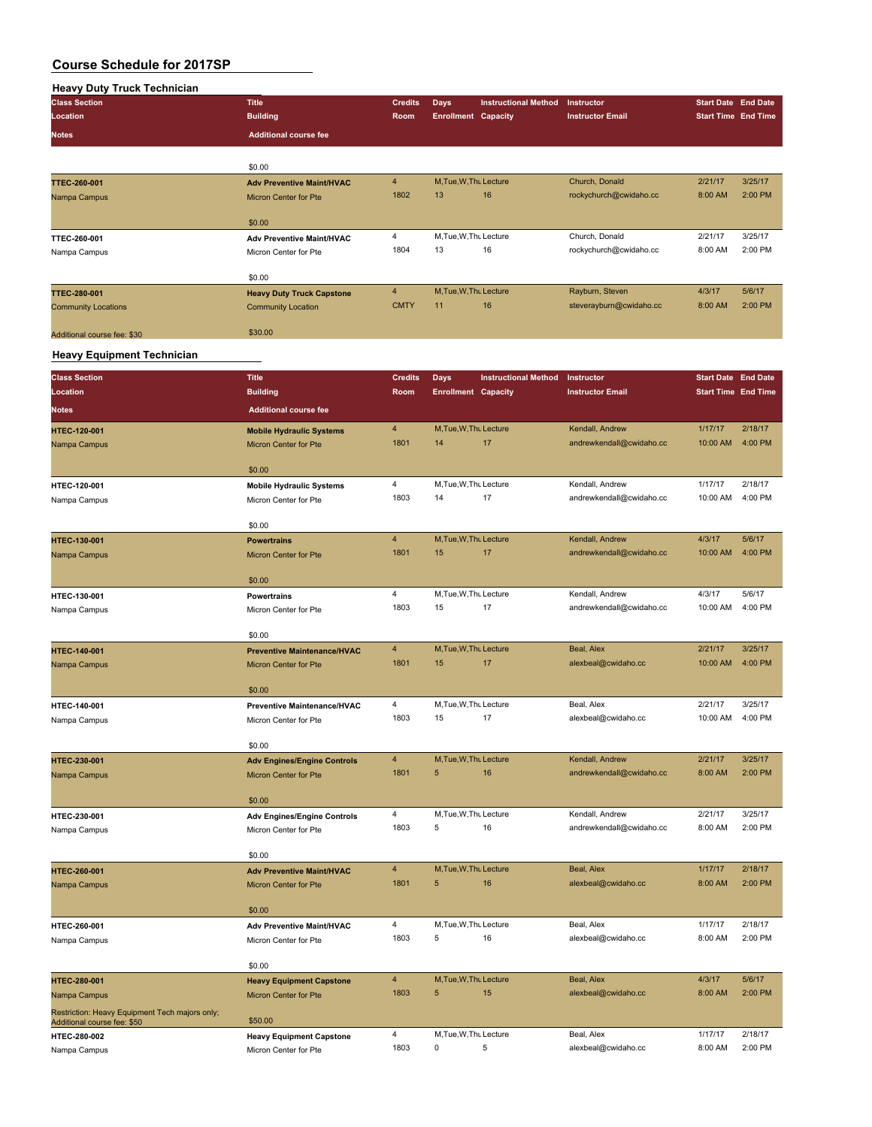| <b>Heavy Duty Truck Technician</b> |                                  |                |                            |                             |                         |                            |         |
|------------------------------------|----------------------------------|----------------|----------------------------|-----------------------------|-------------------------|----------------------------|---------|
| <b>Class Section</b>               | <b>Title</b>                     | <b>Credits</b> | <b>Days</b>                | <b>Instructional Method</b> | Instructor              | <b>Start Date End Date</b> |         |
| Location                           | <b>Building</b>                  | <b>Room</b>    | <b>Enrollment Capacity</b> |                             | <b>Instructor Email</b> | <b>Start Time End Time</b> |         |
| <b>Notes</b>                       | <b>Additional course fee</b>     |                |                            |                             |                         |                            |         |
|                                    |                                  |                |                            |                             |                         |                            |         |
|                                    | \$0.00                           |                |                            |                             |                         |                            |         |
| <b>TTEC-260-001</b>                | <b>Adv Preventive Maint/HVAC</b> | $\overline{4}$ | M, Tue, W, Thu Lecture     |                             | Church, Donald          | 2/21/17                    | 3/25/17 |
| Nampa Campus                       | <b>Micron Center for Pte</b>     | 1802           | 13                         | 16                          | rockychurch@cwidaho.cc  | 8:00 AM                    | 2:00 PM |
|                                    |                                  |                |                            |                             |                         |                            |         |
|                                    | \$0.00                           |                |                            |                             |                         |                            |         |
| <b>TTEC-260-001</b>                | <b>Adv Preventive Maint/HVAC</b> | 4              | M, Tue, W, Thu Lecture     |                             | Church, Donald          | 2/21/17                    | 3/25/17 |
| Nampa Campus                       | Micron Center for Pte            | 1804           | 13                         | 16                          | rockychurch@cwidaho.cc  | 8:00 AM                    | 2:00 PM |
|                                    |                                  |                |                            |                             |                         |                            |         |
|                                    | \$0.00                           |                |                            |                             |                         |                            |         |
| <b>TTEC-280-001</b>                | <b>Heavy Duty Truck Capstone</b> | $\overline{4}$ | M, Tue, W, Thu Lecture     |                             | Rayburn, Steven         | 4/3/17                     | 5/6/17  |
| <b>Community Locations</b>         | <b>Community Location</b>        | <b>CMTY</b>    | 11                         | 16                          | steverayburn@cwidaho.cc | 8:00 AM                    | 2:00 PM |
|                                    |                                  |                |                            |                             |                         |                            |         |
| Additional course fee: \$30        | \$30.00                          |                |                            |                             |                         |                            |         |
|                                    |                                  |                |                            |                             |                         |                            |         |
| <b>Heavy Equipment Technician</b>  |                                  |                |                            |                             |                         |                            |         |

| <b>Class Section</b>                           | <b>Title</b>                       | <b>Credits</b> | Days                       | <b>Instructional Method</b> | Instructor               | <b>Start Date End Date</b> |         |
|------------------------------------------------|------------------------------------|----------------|----------------------------|-----------------------------|--------------------------|----------------------------|---------|
| Location                                       | <b>Building</b>                    | Room           | <b>Enrollment Capacity</b> |                             | <b>Instructor Email</b>  | <b>Start Time End Time</b> |         |
|                                                |                                    |                |                            |                             |                          |                            |         |
| <b>Notes</b>                                   | <b>Additional course fee</b>       |                |                            |                             |                          |                            |         |
| <b>HTEC-120-001</b>                            | <b>Mobile Hydraulic Systems</b>    | $\overline{4}$ | M, Tue, W, Thu Lecture     |                             | Kendall, Andrew          | 1/17/17                    | 2/18/17 |
| Nampa Campus                                   | Micron Center for Pte              | 1801           | 14                         | 17                          | andrewkendall@cwidaho.cc | 10:00 AM                   | 4:00 PM |
|                                                |                                    |                |                            |                             |                          |                            |         |
|                                                | \$0.00                             |                |                            |                             |                          |                            |         |
| HTEC-120-001                                   | <b>Mobile Hydraulic Systems</b>    | 4              | M, Tue, W, Thu Lecture     |                             | Kendall, Andrew          | 1/17/17                    | 2/18/17 |
| Nampa Campus                                   | Micron Center for Pte              | 1803           | 14                         | 17                          | andrewkendall@cwidaho.cc | 10:00 AM                   | 4:00 PM |
|                                                | \$0.00                             |                |                            |                             |                          |                            |         |
|                                                |                                    | 4              | M, Tue, W, Thu Lecture     |                             | Kendall, Andrew          | 4/3/17                     | 5/6/17  |
| HTEC-130-001                                   | <b>Powertrains</b>                 | 1801           | 15                         | 17                          | andrewkendall@cwidaho.cc | 10:00 AM                   | 4:00 PM |
| Nampa Campus                                   | Micron Center for Pte              |                |                            |                             |                          |                            |         |
|                                                | \$0.00                             |                |                            |                             |                          |                            |         |
| HTEC-130-001                                   | <b>Powertrains</b>                 | 4              | M, Tue, W, Thu Lecture     |                             | Kendall, Andrew          | 4/3/17                     | 5/6/17  |
| Nampa Campus                                   | Micron Center for Pte              | 1803           | 15                         | 17                          | andrewkendall@cwidaho.cc | 10:00 AM                   | 4:00 PM |
|                                                |                                    |                |                            |                             |                          |                            |         |
|                                                | \$0.00                             |                |                            |                             |                          |                            |         |
| HTEC-140-001                                   | <b>Preventive Maintenance/HVAC</b> | $\overline{4}$ | M, Tue, W, Thu Lecture     |                             | Beal, Alex               | 2/21/17                    | 3/25/17 |
| Nampa Campus                                   | <b>Micron Center for Pte</b>       | 1801           | 15                         | 17                          | alexbeal@cwidaho.cc      | 10:00 AM                   | 4:00 PM |
|                                                |                                    |                |                            |                             |                          |                            |         |
|                                                | \$0.00                             |                |                            |                             |                          |                            |         |
| HTEC-140-001                                   | <b>Preventive Maintenance/HVAC</b> | 4              | M, Tue, W, Thu Lecture     |                             | Beal, Alex               | 2/21/17                    | 3/25/17 |
| Nampa Campus                                   | Micron Center for Pte              | 1803           | 15                         | 17                          | alexbeal@cwidaho.cc      | 10:00 AM                   | 4:00 PM |
|                                                | \$0.00                             |                |                            |                             |                          |                            |         |
| HTEC-230-001                                   | <b>Adv Engines/Engine Controls</b> | 4              | M, Tue, W, Thu Lecture     |                             | Kendall, Andrew          | 2/21/17                    | 3/25/17 |
| Nampa Campus                                   | <b>Micron Center for Pte</b>       | 1801           | 5                          | 16                          | andrewkendall@cwidaho.cc | 8:00 AM                    | 2:00 PM |
|                                                |                                    |                |                            |                             |                          |                            |         |
|                                                | \$0.00                             |                |                            |                             |                          |                            |         |
| HTEC-230-001                                   | <b>Adv Engines/Engine Controls</b> | 4              | M, Tue, W, Thu Lecture     |                             | Kendall, Andrew          | 2/21/17                    | 3/25/17 |
| Nampa Campus                                   | Micron Center for Pte              | 1803           | 5                          | 16                          | andrewkendall@cwidaho.cc | 8:00 AM                    | 2:00 PM |
|                                                |                                    |                |                            |                             |                          |                            |         |
|                                                | \$0.00                             |                |                            |                             |                          |                            |         |
| HTEC-260-001                                   | <b>Adv Preventive Maint/HVAC</b>   | $\overline{4}$ | M, Tue, W, Thu Lecture     |                             | Beal, Alex               | 1/17/17                    | 2/18/17 |
| Nampa Campus                                   | <b>Micron Center for Pte</b>       | 1801           | 5                          | 16                          | alexbeal@cwidaho.cc      | 8:00 AM                    | 2:00 PM |
|                                                |                                    |                |                            |                             |                          |                            |         |
|                                                | \$0.00                             | 4              | M, Tue, W, Thu Lecture     |                             | Beal, Alex               | 1/17/17                    | 2/18/17 |
| HTEC-260-001                                   | <b>Adv Preventive Maint/HVAC</b>   | 1803           | 5                          | 16                          | alexbeal@cwidaho.cc      | 8:00 AM                    | 2:00 PM |
| Nampa Campus                                   | Micron Center for Pte              |                |                            |                             |                          |                            |         |
|                                                | \$0.00                             |                |                            |                             |                          |                            |         |
| HTEC-280-001                                   | <b>Heavy Equipment Capstone</b>    | $\overline{4}$ | M, Tue, W, Thu Lecture     |                             | Beal, Alex               | 4/3/17                     | 5/6/17  |
| Nampa Campus                                   | <b>Micron Center for Pte</b>       | 1803           | 5                          | 15                          | alexbeal@cwidaho.cc      | 8:00 AM                    | 2:00 PM |
| Restriction: Heavy Equipment Tech majors only; |                                    |                |                            |                             |                          |                            |         |
| Additional course fee: \$50                    | \$50.00                            |                |                            |                             |                          |                            |         |
| HTEC-280-002                                   | <b>Heavy Equipment Capstone</b>    | $\overline{4}$ | M, Tue, W, Thu Lecture     |                             | Beal, Alex               | 1/17/17                    | 2/18/17 |
| Nampa Campus                                   | Micron Center for Pte              | 1803           | 0                          | 5                           | alexbeal@cwidaho.cc      | 8:00 AM                    | 2:00 PM |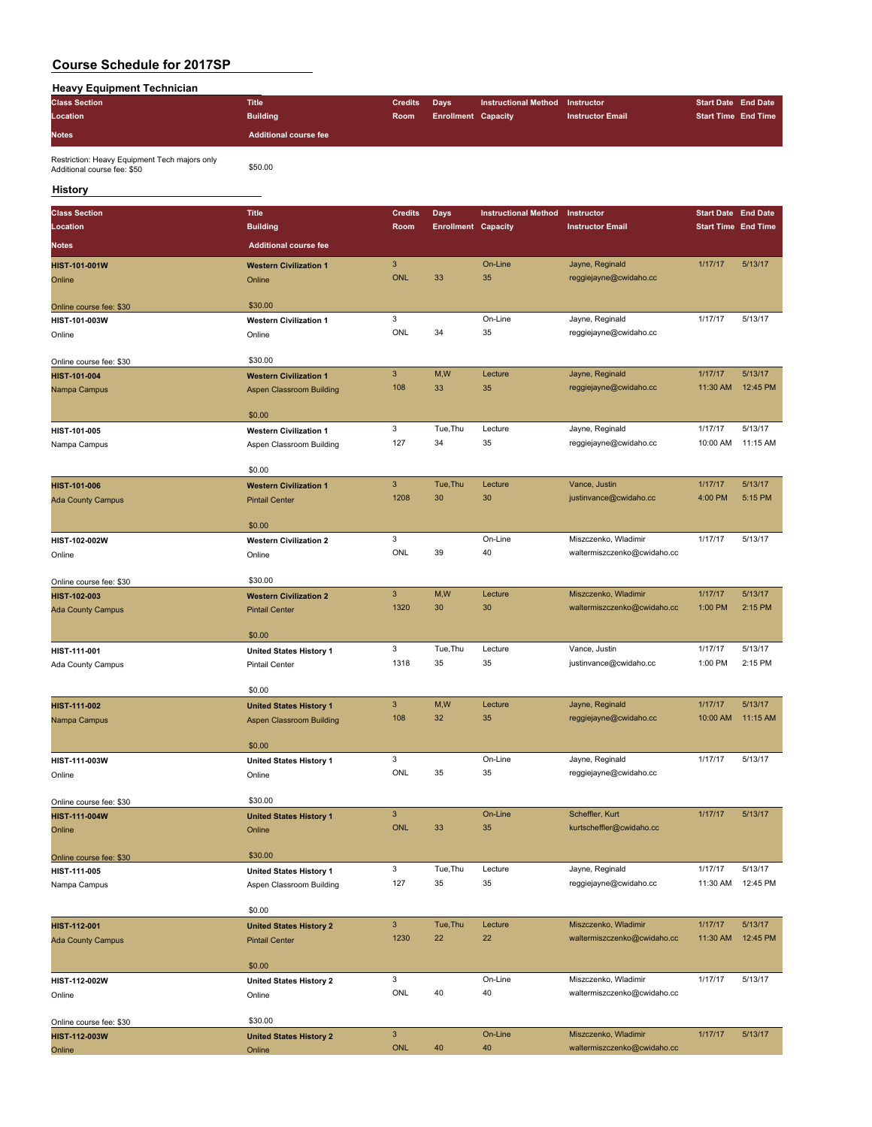| <b>Heavy Equipment Technician</b>                                            |                                                        |                           |                            |                             |                                                     |                            |                     |
|------------------------------------------------------------------------------|--------------------------------------------------------|---------------------------|----------------------------|-----------------------------|-----------------------------------------------------|----------------------------|---------------------|
| <b>Class Section</b>                                                         | <b>Title</b>                                           | <b>Credits</b>            | <b>Days</b>                | <b>Instructional Method</b> | Instructor                                          | <b>Start Date End Date</b> |                     |
| Location                                                                     | <b>Building</b>                                        | Room                      | <b>Enrollment Capacity</b> |                             | <b>Instructor Email</b>                             | <b>Start Time End Time</b> |                     |
| <b>Notes</b>                                                                 | <b>Additional course fee</b>                           |                           |                            |                             |                                                     |                            |                     |
|                                                                              |                                                        |                           |                            |                             |                                                     |                            |                     |
| Restriction: Heavy Equipment Tech majors only<br>Additional course fee: \$50 | \$50.00                                                |                           |                            |                             |                                                     |                            |                     |
| History                                                                      |                                                        |                           |                            |                             |                                                     |                            |                     |
| <b>Class Section</b>                                                         | <b>Title</b>                                           | <b>Credits</b>            | <b>Days</b>                | <b>Instructional Method</b> | Instructor                                          | <b>Start Date End Date</b> |                     |
| Location                                                                     | <b>Building</b>                                        | Room                      | <b>Enrollment Capacity</b> |                             | <b>Instructor Email</b>                             | <b>Start Time End Time</b> |                     |
| <b>Notes</b>                                                                 | <b>Additional course fee</b>                           |                           |                            |                             |                                                     |                            |                     |
| <b>HIST-101-001W</b>                                                         | <b>Western Civilization 1</b>                          | $\mathbf{3}$              |                            | On-Line                     | Jayne, Reginald                                     | 1/17/17                    | 5/13/17             |
| Online                                                                       | Online                                                 | <b>ONL</b>                | 33                         | 35                          | reggiejayne@cwidaho.cc                              |                            |                     |
|                                                                              |                                                        |                           |                            |                             |                                                     |                            |                     |
| Online course fee: \$30                                                      | \$30.00                                                |                           |                            |                             |                                                     |                            |                     |
| HIST-101-003W                                                                | <b>Western Civilization 1</b>                          | 3                         |                            | On-Line                     | Jayne, Reginald                                     | 1/17/17                    | 5/13/17             |
| Online                                                                       | Online                                                 | ONL                       | 34                         | 35                          | reggiejayne@cwidaho.cc                              |                            |                     |
| Online course fee: \$30                                                      | \$30.00                                                |                           |                            |                             |                                                     |                            |                     |
| HIST-101-004                                                                 | <b>Western Civilization 1</b>                          | $\mathbf{3}$              | M,W                        | Lecture                     | Jayne, Reginald                                     | 1/17/17                    | 5/13/17             |
| Nampa Campus                                                                 | <b>Aspen Classroom Building</b>                        | 108                       | 33                         | 35                          | reggiejayne@cwidaho.cc                              | 11:30 AM                   | 12:45 PM            |
|                                                                              |                                                        |                           |                            |                             |                                                     |                            |                     |
|                                                                              | \$0.00                                                 |                           |                            |                             |                                                     |                            |                     |
| HIST-101-005                                                                 | <b>Western Civilization 1</b>                          | 3                         | Tue, Thu                   | Lecture                     | Jayne, Reginald                                     | 1/17/17                    | 5/13/17             |
| Nampa Campus                                                                 | Aspen Classroom Building                               | 127                       | 34                         | 35                          | reggiejayne@cwidaho.cc                              | 10:00 AM                   | 11:15 AM            |
|                                                                              | \$0.00                                                 |                           |                            |                             |                                                     |                            |                     |
| HIST-101-006                                                                 | <b>Western Civilization 1</b>                          | $\mathbf{3}$              | Tue, Thu                   | Lecture                     | Vance, Justin                                       | 1/17/17                    | 5/13/17             |
| <b>Ada County Campus</b>                                                     | <b>Pintail Center</b>                                  | 1208                      | 30                         | 30                          | justinvance@cwidaho.cc                              | 4:00 PM                    | 5:15 PM             |
|                                                                              |                                                        |                           |                            |                             |                                                     |                            |                     |
|                                                                              | \$0.00                                                 |                           |                            |                             |                                                     |                            |                     |
| HIST-102-002W                                                                | <b>Western Civilization 2</b>                          | 3                         |                            | On-Line                     | Miszczenko, Wladimir                                | 1/17/17                    | 5/13/17             |
| Online                                                                       | Online                                                 | ONL                       | 39                         | 40                          | waltermiszczenko@cwidaho.cc                         |                            |                     |
|                                                                              | \$30.00                                                |                           |                            |                             |                                                     |                            |                     |
| Online course fee: \$30                                                      |                                                        | $\ensuremath{\mathsf{3}}$ | M,W                        | Lecture                     | Miszczenko, Wladimir                                | 1/17/17                    | 5/13/17             |
| HIST-102-003<br><b>Ada County Campus</b>                                     | <b>Western Civilization 2</b><br><b>Pintail Center</b> | 1320                      | 30                         | 30                          | waltermiszczenko@cwidaho.cc                         | 1:00 PM                    | 2:15 PM             |
|                                                                              |                                                        |                           |                            |                             |                                                     |                            |                     |
|                                                                              | \$0.00                                                 |                           |                            |                             |                                                     |                            |                     |
| HIST-111-001                                                                 | <b>United States History 1</b>                         | 3                         | Tue, Thu                   | Lecture                     | Vance, Justin                                       | 1/17/17                    | 5/13/17             |
| Ada County Campus                                                            | Pintail Center                                         | 1318                      | 35                         | 35                          | justinvance@cwidaho.cc                              | 1:00 PM                    | 2:15 PM             |
|                                                                              |                                                        |                           |                            |                             |                                                     |                            |                     |
| HIST-111-002                                                                 | \$0.00<br><b>United States History 1</b>               | $\mathbf{3}$              | M,W                        | Lecture                     | Jayne, Reginald                                     | 1/17/17                    | 5/13/17             |
| Nampa Campus                                                                 | Aspen Classroom Building                               | 108                       | 32                         | 35                          | reggiejayne@cwidaho.cc                              | 10:00 AM                   | 11:15 AM            |
|                                                                              |                                                        |                           |                            |                             |                                                     |                            |                     |
|                                                                              | \$0.00                                                 |                           |                            |                             |                                                     |                            |                     |
| HIST-111-003W                                                                | <b>United States History 1</b>                         | 3                         |                            | On-Line                     | Jayne, Reginald                                     | 1/17/17                    | 5/13/17             |
| Online                                                                       | Online                                                 | ONL                       | 35                         | 35                          | reggiejayne@cwidaho.cc                              |                            |                     |
|                                                                              |                                                        |                           |                            |                             |                                                     |                            |                     |
| Online course fee: \$30                                                      | \$30.00                                                | $\mathsf 3$               |                            | On-Line                     | Scheffler, Kurt                                     | 1/17/17                    | 5/13/17             |
| HIST-111-004W<br>Online                                                      | <b>United States History 1</b><br>Online               | ONL                       | 33                         | 35                          | kurtscheffler@cwidaho.cc                            |                            |                     |
|                                                                              |                                                        |                           |                            |                             |                                                     |                            |                     |
| Online course fee: \$30                                                      | \$30.00                                                |                           |                            |                             |                                                     |                            |                     |
| HIST-111-005                                                                 | <b>United States History 1</b>                         | 3                         | Tue, Thu                   | Lecture                     | Jayne, Reginald                                     | 1/17/17                    | 5/13/17             |
| Nampa Campus                                                                 | Aspen Classroom Building                               | 127                       | 35                         | 35                          | reggiejayne@cwidaho.cc                              | 11:30 AM                   | 12:45 PM            |
|                                                                              |                                                        |                           |                            |                             |                                                     |                            |                     |
|                                                                              | \$0.00                                                 |                           |                            |                             |                                                     |                            |                     |
| HIST-112-001                                                                 | <b>United States History 2</b>                         | $\mathbf{3}$<br>1230      | Tue, Thu<br>22             | Lecture<br>22               | Miszczenko, Wladimir<br>waltermiszczenko@cwidaho.cc | 1/17/17<br>11:30 AM        | 5/13/17<br>12:45 PM |
| <b>Ada County Campus</b>                                                     | <b>Pintail Center</b>                                  |                           |                            |                             |                                                     |                            |                     |
|                                                                              | \$0.00                                                 |                           |                            |                             |                                                     |                            |                     |
| HIST-112-002W                                                                | <b>United States History 2</b>                         | 3                         |                            | On-Line                     | Miszczenko, Wladimir                                | 1/17/17                    | 5/13/17             |
| Online                                                                       | Online                                                 | ONL                       | 40                         | 40                          | waltermiszczenko@cwidaho.cc                         |                            |                     |
|                                                                              |                                                        |                           |                            |                             |                                                     |                            |                     |
| Online course fee: \$30                                                      | \$30.00                                                |                           |                            |                             |                                                     |                            |                     |
| HIST-112-003W                                                                | <b>United States History 2</b>                         | $\mathsf 3$<br>ONL        |                            | On-Line                     | Miszczenko, Wladimir                                | 1/17/17                    | 5/13/17             |
| Online                                                                       | Online                                                 |                           | 40                         | 40                          | waltermiszczenko@cwidaho.cc                         |                            |                     |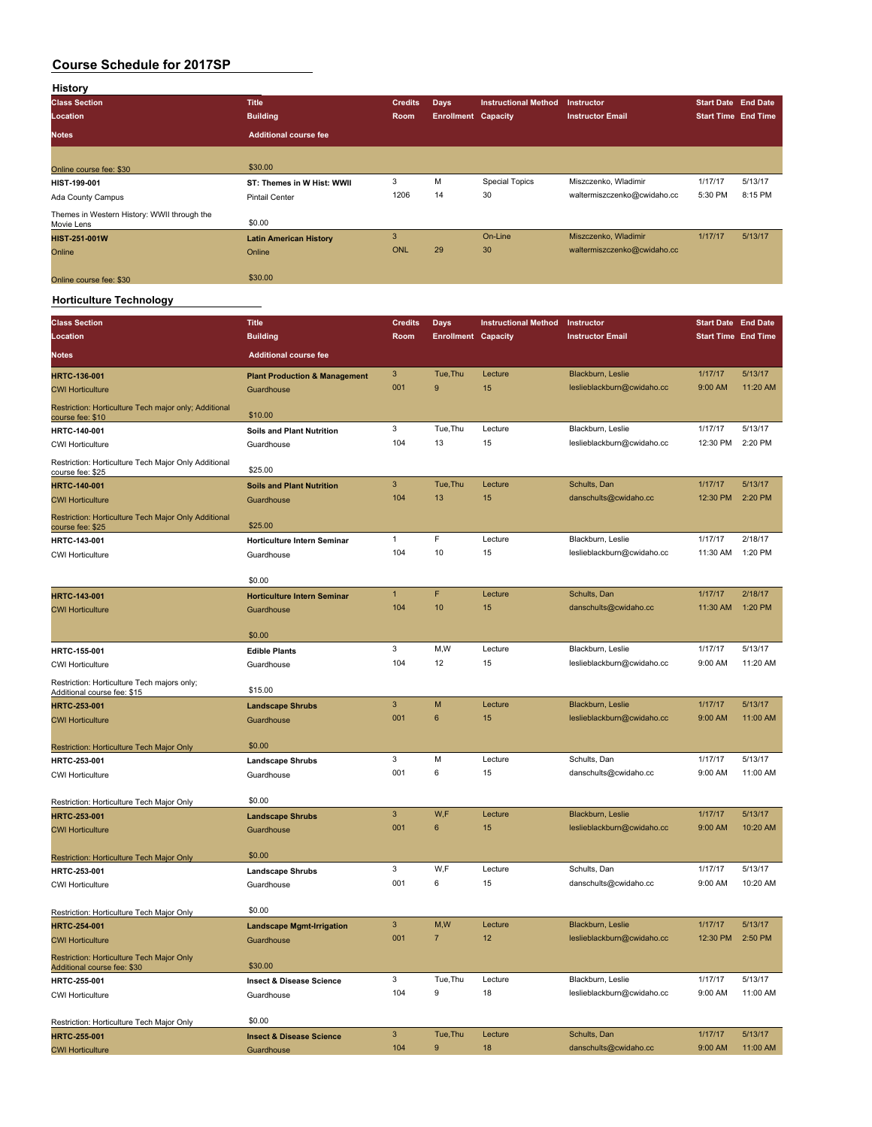| History                                                   |                               |                |                            |                             |                             |         |                            |
|-----------------------------------------------------------|-------------------------------|----------------|----------------------------|-----------------------------|-----------------------------|---------|----------------------------|
| <b>Class Section</b>                                      | <b>Title</b>                  | <b>Credits</b> | <b>Days</b>                | <b>Instructional Method</b> | <b>Instructor</b>           |         | <b>Start Date End Date</b> |
| Location                                                  | <b>Building</b>               | Room           | <b>Enrollment Capacity</b> |                             | <b>Instructor Email</b>     |         | <b>Start Time End Time</b> |
| <b>Notes</b>                                              | <b>Additional course fee</b>  |                |                            |                             |                             |         |                            |
|                                                           |                               |                |                            |                             |                             |         |                            |
| Online course fee: \$30                                   | \$30.00                       |                |                            |                             |                             |         |                            |
| HIST-199-001                                              | ST: Themes in W Hist: WWII    | 3              | M                          | <b>Special Topics</b>       | Miszczenko, Wladimir        | 1/17/17 | 5/13/17                    |
| Ada County Campus                                         | <b>Pintail Center</b>         | 1206           | 14                         | 30                          | waltermiszczenko@cwidaho.cc | 5:30 PM | 8:15 PM                    |
| Themes in Western History: WWII through the<br>Movie Lens | \$0.00                        |                |                            |                             |                             |         |                            |
| <b>HIST-251-001W</b>                                      | <b>Latin American History</b> | 3              |                            | On-Line                     | Miszczenko, Wladimir        | 1/17/17 | 5/13/17                    |
| Online                                                    | Online                        | ONL            | 29                         | 30                          | waltermiszczenko@cwidaho.cc |         |                            |
| Online course fee: \$30                                   | \$30.00                       |                |                            |                             |                             |         |                            |

### **Horticulture Technology**

| <b>Class Section</b>                                                       | <b>Title</b>                             | <b>Credits</b>            | <b>Days</b>                | <b>Instructional Method</b> | Instructor                 | <b>Start Date End Date</b> |          |
|----------------------------------------------------------------------------|------------------------------------------|---------------------------|----------------------------|-----------------------------|----------------------------|----------------------------|----------|
| Location                                                                   | <b>Building</b>                          | Room                      | <b>Enrollment Capacity</b> |                             | <b>Instructor Email</b>    | <b>Start Time End Time</b> |          |
| <b>Notes</b>                                                               | <b>Additional course fee</b>             |                           |                            |                             |                            |                            |          |
| <b>HRTC-136-001</b>                                                        | <b>Plant Production &amp; Management</b> | $\ensuremath{\mathsf{3}}$ | Tue, Thu                   | Lecture                     | Blackburn, Leslie          | 1/17/17                    | 5/13/17  |
| <b>CWI Horticulture</b>                                                    | Guardhouse                               | 001                       | 9                          | 15                          | leslieblackburn@cwidaho.cc | 9:00 AM                    | 11:20 AM |
| Restriction: Horticulture Tech major only; Additional<br>course fee: \$10  | \$10.00                                  |                           |                            |                             |                            |                            |          |
| <b>HRTC-140-001</b>                                                        | <b>Soils and Plant Nutrition</b>         | 3                         | Tue, Thu                   | Lecture                     | Blackburn, Leslie          | 1/17/17                    | 5/13/17  |
| <b>CWI Horticulture</b>                                                    | Guardhouse                               | 104                       | 13                         | 15                          | leslieblackburn@cwidaho.cc | 12:30 PM                   | 2:20 PM  |
| Restriction: Horticulture Tech Major Only Additional<br>course fee: \$25   | \$25.00                                  |                           |                            |                             |                            |                            |          |
| <b>HRTC-140-001</b>                                                        | <b>Soils and Plant Nutrition</b>         | $\mathbf{3}$              | Tue, Thu                   | Lecture                     | Schults, Dan               | 1/17/17                    | 5/13/17  |
| <b>CWI Horticulture</b>                                                    | Guardhouse                               | 104                       | 13                         | 15                          | danschults@cwidaho.cc      | 12:30 PM                   | 2:20 PM  |
| Restriction: Horticulture Tech Major Only Additional<br>course fee: \$25   | \$25.00                                  |                           |                            |                             |                            |                            |          |
| HRTC-143-001                                                               | Horticulture Intern Seminar              | $\mathbf{1}$              | F                          | Lecture                     | Blackburn, Leslie          | 1/17/17                    | 2/18/17  |
| <b>CWI Horticulture</b>                                                    | Guardhouse                               | 104                       | 10                         | 15                          | leslieblackburn@cwidaho.cc | 11:30 AM                   | 1:20 PM  |
|                                                                            | \$0.00                                   |                           |                            |                             |                            |                            |          |
| HRTC-143-001                                                               | <b>Horticulture Intern Seminar</b>       | $\mathbf{1}$              | F                          | Lecture                     | Schults, Dan               | 1/17/17                    | 2/18/17  |
| <b>CWI Horticulture</b>                                                    | Guardhouse                               | 104                       | 10                         | 15                          | danschults@cwidaho.cc      | 11:30 AM                   | 1:20 PM  |
|                                                                            | \$0.00                                   |                           |                            |                             |                            |                            |          |
| HRTC-155-001                                                               | <b>Edible Plants</b>                     | 3                         | M, W                       | Lecture                     | Blackburn, Leslie          | 1/17/17                    | 5/13/17  |
| <b>CWI Horticulture</b>                                                    | Guardhouse                               | 104                       | 12                         | 15                          | leslieblackburn@cwidaho.cc | 9:00 AM                    | 11:20 AM |
| Restriction: Horticulture Tech majors only;<br>Additional course fee: \$15 | \$15.00                                  |                           |                            |                             |                            |                            |          |
| HRTC-253-001                                                               | <b>Landscape Shrubs</b>                  | 3                         | M                          | Lecture                     | Blackburn, Leslie          | 1/17/17                    | 5/13/17  |
| <b>CWI Horticulture</b>                                                    | Guardhouse                               | 001                       | $\boldsymbol{6}$           | 15                          | leslieblackburn@cwidaho.cc | 9:00 AM                    | 11:00 AM |
|                                                                            |                                          |                           |                            |                             |                            |                            |          |
| Restriction: Horticulture Tech Major Only                                  | \$0.00                                   | 3                         | M                          | Lecture                     | Schults, Dan               | 1/17/17                    | 5/13/17  |
| HRTC-253-001                                                               | <b>Landscape Shrubs</b>                  | 001                       | 6                          | 15                          | danschults@cwidaho.cc      | 9:00 AM                    | 11:00 AM |
| <b>CWI Horticulture</b>                                                    | Guardhouse                               |                           |                            |                             |                            |                            |          |
| Restriction: Horticulture Tech Major Only                                  | \$0.00                                   |                           |                            |                             |                            |                            |          |
| <b>HRTC-253-001</b>                                                        | <b>Landscape Shrubs</b>                  | $\mathbf{3}$              | W,F                        | Lecture                     | Blackburn, Leslie          | 1/17/17                    | 5/13/17  |
| <b>CWI Horticulture</b>                                                    | Guardhouse                               | 001                       | $\bf 6$                    | 15                          | leslieblackburn@cwidaho.cc | 9:00 AM                    | 10:20 AM |
|                                                                            |                                          |                           |                            |                             |                            |                            |          |
| <b>Restriction: Horticulture Tech Major Only</b><br>HRTC-253-001           | \$0.00<br><b>Landscape Shrubs</b>        | 3                         | W,F                        | Lecture                     | Schults, Dan               | 1/17/17                    | 5/13/17  |
| <b>CWI Horticulture</b>                                                    | Guardhouse                               | 001                       | 6                          | 15                          | danschults@cwidaho.cc      | 9:00 AM                    | 10:20 AM |
|                                                                            |                                          |                           |                            |                             |                            |                            |          |
| Restriction: Horticulture Tech Major Only                                  | \$0.00                                   |                           |                            |                             |                            |                            |          |
| <b>HRTC-254-001</b>                                                        | <b>Landscape Mgmt-Irrigation</b>         | $\mathbf{3}$              | M,W                        | Lecture                     | Blackburn, Leslie          | 1/17/17                    | 5/13/17  |
| <b>CWI Horticulture</b>                                                    | Guardhouse                               | 001                       | $\overline{7}$             | 12                          | leslieblackburn@cwidaho.cc | 12:30 PM                   | 2:50 PM  |
| Restriction: Horticulture Tech Major Only<br>Additional course fee: \$30   | \$30.00                                  |                           |                            |                             |                            |                            |          |
| HRTC-255-001                                                               | <b>Insect &amp; Disease Science</b>      | 3                         | Tue, Thu                   | Lecture                     | Blackburn, Leslie          | 1/17/17                    | 5/13/17  |
| <b>CWI Horticulture</b>                                                    | Guardhouse                               | 104                       | 9                          | 18                          | leslieblackburn@cwidaho.cc | 9:00 AM                    | 11:00 AM |
| Restriction: Horticulture Tech Major Only                                  | \$0.00                                   |                           |                            |                             |                            |                            |          |
| <b>HRTC-255-001</b>                                                        | <b>Insect &amp; Disease Science</b>      | 3                         | Tue, Thu                   | Lecture                     | Schults, Dan               | 1/17/17                    | 5/13/17  |
| <b>CWI Horticulture</b>                                                    | Guardhouse                               | 104                       | $\mathbf{Q}$               | 18                          | danschults@cwidaho.cc      | 9:00 AM                    | 11:00 AM |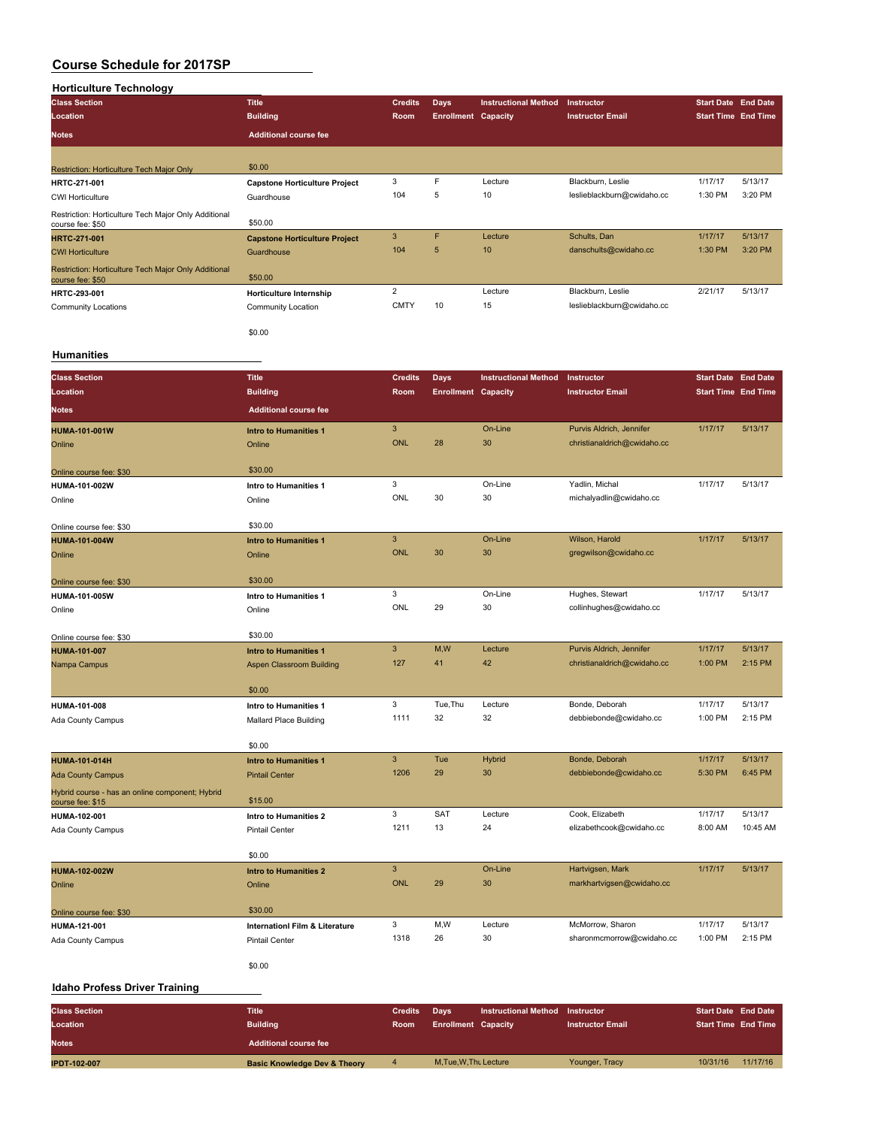### **Horticulture Technology**

| <b>Class Section</b>                                                     | <b>Title</b>                         | <b>Credits</b> | <b>Days</b>                | <b>Instructional Method</b> | Instructor                 | <b>Start Date End Date</b> |         |
|--------------------------------------------------------------------------|--------------------------------------|----------------|----------------------------|-----------------------------|----------------------------|----------------------------|---------|
| Location                                                                 | <b>Building</b>                      | Room           | <b>Enrollment Capacity</b> |                             | <b>Instructor Email</b>    | <b>Start Time End Time</b> |         |
| <b>Notes</b>                                                             | <b>Additional course fee</b>         |                |                            |                             |                            |                            |         |
|                                                                          |                                      |                |                            |                             |                            |                            |         |
| <b>Restriction: Horticulture Tech Major Only</b>                         | \$0.00                               |                |                            |                             |                            |                            |         |
| HRTC-271-001                                                             | <b>Capstone Horticulture Project</b> | 3              | F                          | Lecture                     | Blackburn, Leslie          | 1/17/17                    | 5/13/17 |
| <b>CWI Horticulture</b>                                                  | Guardhouse                           | 104            | 5                          | 10                          | leslieblackburn@cwidaho.cc | 1:30 PM                    | 3:20 PM |
| Restriction: Horticulture Tech Major Only Additional<br>course fee: \$50 | \$50.00                              |                |                            |                             |                            |                            |         |
| <b>HRTC-271-001</b>                                                      | <b>Capstone Horticulture Project</b> | 3              | F                          | Lecture                     | Schults, Dan               | 1/17/17                    | 5/13/17 |
| <b>CWI Horticulture</b>                                                  | Guardhouse                           | 104            | 5                          | 10                          | danschults@cwidaho.cc      | 1:30 PM                    | 3:20 PM |
| Restriction: Horticulture Tech Major Only Additional<br>course fee: \$50 | \$50.00                              |                |                            |                             |                            |                            |         |
| HRTC-293-001                                                             | Horticulture Internship              | $\overline{2}$ |                            | Lecture                     | Blackburn, Leslie          | 2/21/17                    | 5/13/17 |
| <b>Community Locations</b>                                               | Community Location                   | <b>CMTY</b>    | 10                         | 15                          | leslieblackburn@cwidaho.cc |                            |         |
|                                                                          | \$0.00                               |                |                            |                             |                            |                            |         |

### **Humanities**

| <b>Class Section</b>                                                | <b>Title</b>                              | <b>Credits</b> | Days                       | <b>Instructional Method</b> | Instructor                  | <b>Start Date End Date</b> |          |
|---------------------------------------------------------------------|-------------------------------------------|----------------|----------------------------|-----------------------------|-----------------------------|----------------------------|----------|
| Location                                                            | <b>Building</b>                           | Room           | <b>Enrollment Capacity</b> |                             | <b>Instructor Email</b>     | <b>Start Time End Time</b> |          |
| <b>Notes</b>                                                        | <b>Additional course fee</b>              |                |                            |                             |                             |                            |          |
| <b>HUMA-101-001W</b>                                                | <b>Intro to Humanities 1</b>              | 3              |                            | On-Line                     | Purvis Aldrich, Jennifer    | 1/17/17                    | 5/13/17  |
| Online                                                              | Online                                    | <b>ONL</b>     | 28                         | 30                          | christianaldrich@cwidaho.cc |                            |          |
|                                                                     |                                           |                |                            |                             |                             |                            |          |
| Online course fee: \$30                                             | \$30.00                                   |                |                            |                             |                             |                            |          |
| HUMA-101-002W                                                       | Intro to Humanities 1                     | 3              |                            | On-Line                     | Yadlin, Michal              | 1/17/17                    | 5/13/17  |
| Online                                                              | Online                                    | ONL            | 30                         | 30                          | michalyadlin@cwidaho.cc     |                            |          |
| Online course fee: \$30                                             | \$30.00                                   |                |                            |                             |                             |                            |          |
| <b>HUMA-101-004W</b>                                                | <b>Intro to Humanities 1</b>              | 3              |                            | On-Line                     | Wilson, Harold              | 1/17/17                    | 5/13/17  |
| Online                                                              | Online                                    | <b>ONL</b>     | 30                         | 30                          | gregwilson@cwidaho.cc       |                            |          |
| Online course fee: \$30                                             | \$30.00                                   |                |                            |                             |                             |                            |          |
| HUMA-101-005W                                                       | Intro to Humanities 1                     | 3              |                            | On-Line                     | Hughes, Stewart             | 1/17/17                    | 5/13/17  |
| Online                                                              | Online                                    | ONL            | 29                         | 30                          | collinhughes@cwidaho.cc     |                            |          |
|                                                                     |                                           |                |                            |                             |                             |                            |          |
| Online course fee: \$30                                             | \$30.00                                   |                |                            |                             |                             |                            |          |
| <b>HUMA-101-007</b>                                                 | <b>Intro to Humanities 1</b>              | $\overline{3}$ | M,W                        | Lecture                     | Purvis Aldrich, Jennifer    | 1/17/17                    | 5/13/17  |
| Nampa Campus                                                        | <b>Aspen Classroom Building</b>           | 127            | 41                         | 42                          | christianaldrich@cwidaho.cc | 1:00 PM                    | 2:15 PM  |
|                                                                     | \$0.00                                    |                |                            |                             |                             |                            |          |
| HUMA-101-008                                                        | Intro to Humanities 1                     | 3              | Tue, Thu                   | Lecture                     | Bonde, Deborah              | 1/17/17                    | 5/13/17  |
| Ada County Campus                                                   | Mallard Place Building                    | 1111           | 32                         | 32                          | debbiebonde@cwidaho.cc      | 1:00 PM                    | 2:15 PM  |
|                                                                     |                                           |                |                            |                             |                             |                            |          |
|                                                                     | \$0.00                                    | 3              | Tue                        | <b>Hybrid</b>               | Bonde, Deborah              | 1/17/17                    | 5/13/17  |
| <b>HUMA-101-014H</b>                                                | <b>Intro to Humanities 1</b>              | 1206           | 29                         | 30                          | debbiebonde@cwidaho.cc      | 5:30 PM                    | 6:45 PM  |
| <b>Ada County Campus</b>                                            | <b>Pintail Center</b>                     |                |                            |                             |                             |                            |          |
| Hybrid course - has an online component; Hybrid<br>course fee: \$15 | \$15.00                                   |                |                            |                             |                             |                            |          |
| HUMA-102-001                                                        | Intro to Humanities 2                     | 3              | SAT                        | Lecture                     | Cook, Elizabeth             | 1/17/17                    | 5/13/17  |
| Ada County Campus                                                   | <b>Pintail Center</b>                     | 1211           | 13                         | 24                          | elizabethcook@cwidaho.cc    | 8:00 AM                    | 10:45 AM |
|                                                                     |                                           |                |                            |                             |                             |                            |          |
|                                                                     | \$0.00                                    |                |                            |                             |                             |                            |          |
| <b>HUMA-102-002W</b>                                                | <b>Intro to Humanities 2</b>              | 3              |                            | On-Line                     | Hartvigsen, Mark            | 1/17/17                    | 5/13/17  |
| Online                                                              | Online                                    | <b>ONL</b>     | 29                         | 30                          | markhartvigsen@cwidaho.cc   |                            |          |
| Online course fee: \$30                                             | \$30.00                                   |                |                            |                             |                             |                            |          |
| HUMA-121-001                                                        | <b>InternationI Film &amp; Literature</b> | 3              | M,W                        | Lecture                     | McMorrow, Sharon            | 1/17/17                    | 5/13/17  |
| Ada County Campus                                                   | <b>Pintail Center</b>                     | 1318           | 26                         | 30                          | sharonmcmorrow@cwidaho.cc   | 1:00 PM                    | 2:15 PM  |
|                                                                     | \$0.00                                    |                |                            |                             |                             |                            |          |

### **Idaho Profess Driver Training**

| <b>Class Section</b><br>Location | Title<br><b>Building</b>                | <b>Credits</b><br><b>Room</b> | Davs<br><b>Enrollment Capacity</b> | <b>Instructional Method</b> | Instructor<br><b>Instructor Email</b> | <b>Start Date End Date</b><br><b>Start Time End Time</b> |          |
|----------------------------------|-----------------------------------------|-------------------------------|------------------------------------|-----------------------------|---------------------------------------|----------------------------------------------------------|----------|
| <b>Notes</b>                     | <b>Additional course fee</b>            |                               |                                    |                             |                                       |                                                          |          |
| <b>IPDT-102-007</b>              | <b>Basic Knowledge Dev &amp; Theory</b> |                               | M.Tue.W.Thu Lecture                |                             | Younger, Tracy                        | 10/31/16                                                 | 11/17/16 |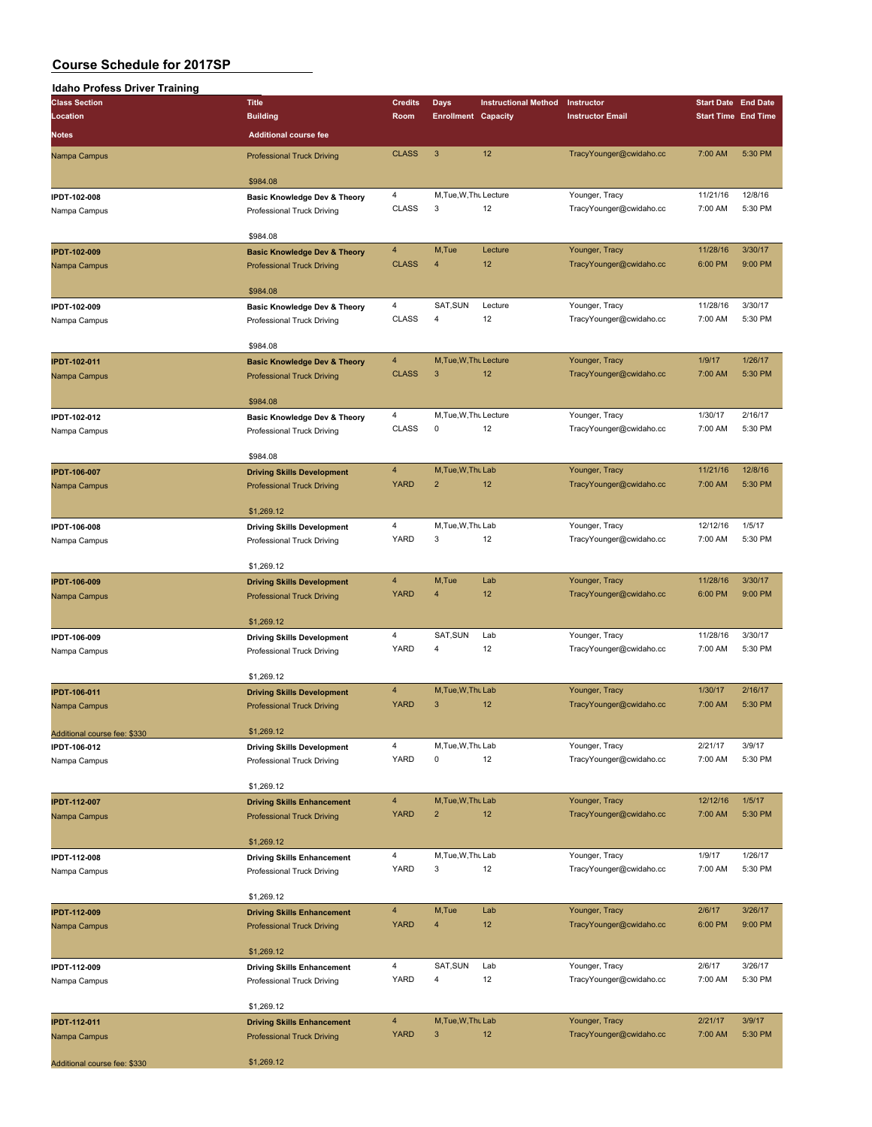| Idaho Profess Driver Training |                                         |                         |                            |                             |                         |                            |                            |
|-------------------------------|-----------------------------------------|-------------------------|----------------------------|-----------------------------|-------------------------|----------------------------|----------------------------|
| <b>Class Section</b>          | <b>Title</b>                            | <b>Credits</b>          | <b>Days</b>                | <b>Instructional Method</b> | Instructor              | <b>Start Date End Date</b> |                            |
| Location                      | <b>Building</b>                         | Room                    | <b>Enrollment Capacity</b> |                             | <b>Instructor Email</b> |                            | <b>Start Time End Time</b> |
| <b>Notes</b>                  | <b>Additional course fee</b>            |                         |                            |                             |                         |                            |                            |
|                               |                                         |                         |                            |                             |                         |                            |                            |
| Nampa Campus                  | <b>Professional Truck Driving</b>       | <b>CLASS</b>            | $\mathbf{3}$               | 12                          | TracyYounger@cwidaho.cc | 7:00 AM                    | 5:30 PM                    |
|                               |                                         |                         |                            |                             |                         |                            |                            |
|                               | \$984.08                                |                         |                            |                             |                         |                            |                            |
| IPDT-102-008                  | <b>Basic Knowledge Dev &amp; Theory</b> | $\overline{4}$          | M, Tue, W, Thu Lecture     |                             | Younger, Tracy          | 11/21/16                   | 12/8/16                    |
| Nampa Campus                  | Professional Truck Driving              | <b>CLASS</b>            | 3                          | 12                          | TracyYounger@cwidaho.cc | 7:00 AM                    | 5:30 PM                    |
|                               |                                         |                         |                            |                             |                         |                            |                            |
|                               | \$984.08                                |                         |                            |                             |                         |                            |                            |
| <b>IPDT-102-009</b>           | <b>Basic Knowledge Dev &amp; Theory</b> | $\overline{4}$          | M,Tue                      | Lecture                     | Younger, Tracy          | 11/28/16                   | 3/30/17                    |
| Nampa Campus                  | <b>Professional Truck Driving</b>       | <b>CLASS</b>            | 4                          | 12                          | TracyYounger@cwidaho.cc | 6:00 PM                    | 9:00 PM                    |
|                               |                                         |                         |                            |                             |                         |                            |                            |
|                               | \$984.08                                |                         |                            |                             |                         |                            |                            |
| IPDT-102-009                  | <b>Basic Knowledge Dev &amp; Theory</b> | $\overline{4}$          | SAT, SUN                   | Lecture                     | Younger, Tracy          | 11/28/16                   | 3/30/17                    |
| Nampa Campus                  | Professional Truck Driving              | <b>CLASS</b>            | $\overline{4}$             | 12                          | TracyYounger@cwidaho.cc | 7:00 AM                    | 5:30 PM                    |
|                               |                                         |                         |                            |                             |                         |                            |                            |
|                               | \$984.08                                |                         |                            |                             |                         |                            |                            |
| <b>IPDT-102-011</b>           | <b>Basic Knowledge Dev &amp; Theory</b> | $\overline{4}$          | M, Tue, W, Thu Lecture     |                             | Younger, Tracy          | 1/9/17                     | 1/26/17                    |
| Nampa Campus                  | <b>Professional Truck Driving</b>       | <b>CLASS</b>            | 3                          | 12                          | TracyYounger@cwidaho.cc | 7:00 AM                    | 5:30 PM                    |
|                               |                                         |                         |                            |                             |                         |                            |                            |
|                               | \$984.08                                |                         |                            |                             |                         |                            |                            |
| IPDT-102-012                  | <b>Basic Knowledge Dev &amp; Theory</b> | $\overline{4}$          | M, Tue, W, Thu Lecture     |                             | Younger, Tracy          | 1/30/17                    | 2/16/17                    |
| Nampa Campus                  | Professional Truck Driving              | <b>CLASS</b>            | 0                          | 12                          | TracyYounger@cwidaho.cc | 7:00 AM                    | 5:30 PM                    |
|                               |                                         |                         |                            |                             |                         |                            |                            |
|                               | \$984.08                                |                         |                            |                             |                         |                            |                            |
| <b>IPDT-106-007</b>           | <b>Driving Skills Development</b>       | $\overline{4}$          | M.Tue.W.Thu Lab            |                             | Younger, Tracy          | 11/21/16                   | 12/8/16                    |
| Nampa Campus                  | <b>Professional Truck Driving</b>       | <b>YARD</b>             | $\overline{2}$             | 12                          | TracyYounger@cwidaho.cc | 7:00 AM                    | 5:30 PM                    |
|                               |                                         |                         |                            |                             |                         |                            |                            |
|                               | \$1,269.12                              |                         |                            |                             |                         |                            |                            |
| IPDT-106-008                  | <b>Driving Skills Development</b>       | $\overline{4}$          | M, Tue, W, Thu Lab         |                             | Younger, Tracy          | 12/12/16                   | 1/5/17                     |
| Nampa Campus                  | Professional Truck Driving              | <b>YARD</b>             | 3                          | 12                          | TracyYounger@cwidaho.cc | 7:00 AM                    | 5:30 PM                    |
|                               |                                         |                         |                            |                             |                         |                            |                            |
|                               | \$1,269.12                              |                         |                            |                             |                         |                            |                            |
| <b>IPDT-106-009</b>           | <b>Driving Skills Development</b>       | $\overline{4}$          | M,Tue                      | Lab                         | Younger, Tracy          | 11/28/16                   | 3/30/17                    |
| Nampa Campus                  | <b>Professional Truck Driving</b>       | <b>YARD</b>             | 4                          | 12                          | TracyYounger@cwidaho.cc | 6:00 PM                    | 9:00 PM                    |
|                               |                                         |                         |                            |                             |                         |                            |                            |
|                               | \$1,269.12                              |                         |                            |                             |                         |                            |                            |
| IPDT-106-009                  | <b>Driving Skills Development</b>       | $\overline{\mathbf{4}}$ | SAT, SUN                   | Lab                         | Younger, Tracy          | 11/28/16                   | 3/30/17                    |
| Nampa Campus                  | Professional Truck Driving              | YARD                    | 4                          | 12                          | TracyYounger@cwidaho.cc | 7:00 AM                    | 5:30 PM                    |
|                               |                                         |                         |                            |                             |                         |                            |                            |
|                               | \$1,269.12                              |                         |                            |                             |                         |                            |                            |
| <b>IPDT-106-011</b>           | <b>Driving Skills Development</b>       | $\overline{4}$          | M, Tue, W, Thu Lab         |                             | Younger, Tracy          | 1/30/17                    | 2/16/17                    |
| Nampa Campus                  | <b>Professional Truck Driving</b>       | <b>YARD</b>             | $\mathbf{3}$               | 12                          | TracyYounger@cwidaho.cc | 7:00 AM                    | 5:30 PM                    |
|                               |                                         |                         |                            |                             |                         |                            |                            |
| Additional course fee: \$330  | \$1,269.12                              |                         |                            |                             |                         |                            |                            |
| IPDT-106-012                  | <b>Driving Skills Development</b>       | $\overline{\mathbf{4}}$ | M, Tue, W, Thu Lab         |                             | Younger, Tracy          | 2/21/17                    | 3/9/17                     |
| Nampa Campus                  | Professional Truck Driving              | YARD                    | 0                          | 12                          | TracyYounger@cwidaho.cc | 7:00 AM                    | 5:30 PM                    |
|                               |                                         |                         |                            |                             |                         |                            |                            |
|                               | \$1,269.12                              |                         |                            |                             |                         |                            |                            |
| <b>IPDT-112-007</b>           | <b>Driving Skills Enhancement</b>       | $\overline{4}$          | M, Tue, W, Thu Lab         |                             | Younger, Tracy          | 12/12/16                   | 1/5/17                     |
| Nampa Campus                  | <b>Professional Truck Driving</b>       | <b>YARD</b>             | 2                          | 12                          | TracyYounger@cwidaho.cc | 7:00 AM                    | 5:30 PM                    |
|                               |                                         |                         |                            |                             |                         |                            |                            |
|                               | \$1,269.12                              |                         |                            |                             |                         |                            |                            |
| IPDT-112-008                  | <b>Driving Skills Enhancement</b>       | $\overline{4}$          | M, Tue, W, Thu Lab         |                             | Younger, Tracy          | 1/9/17                     | 1/26/17                    |
| Nampa Campus                  | Professional Truck Driving              | <b>YARD</b>             | 3                          | 12                          | TracyYounger@cwidaho.cc | 7:00 AM                    | 5:30 PM                    |
|                               |                                         |                         |                            |                             |                         |                            |                            |
|                               | \$1,269.12                              |                         |                            |                             |                         |                            |                            |
| <b>IPDT-112-009</b>           | <b>Driving Skills Enhancement</b>       | $\overline{4}$          | M,Tue                      | Lab                         | Younger, Tracy          | 2/6/17                     | 3/26/17                    |
| Nampa Campus                  | <b>Professional Truck Driving</b>       | <b>YARD</b>             | 4                          | 12                          | TracyYounger@cwidaho.cc | 6:00 PM                    | 9:00 PM                    |
|                               |                                         |                         |                            |                             |                         |                            |                            |
|                               | \$1,269.12                              |                         |                            |                             |                         |                            |                            |
| IPDT-112-009                  | <b>Driving Skills Enhancement</b>       | 4                       | SAT, SUN                   | Lab                         | Younger, Tracy          | 2/6/17                     | 3/26/17                    |
| Nampa Campus                  | Professional Truck Driving              | YARD                    | 4                          | 12                          | TracyYounger@cwidaho.cc | 7:00 AM                    | 5:30 PM                    |
|                               |                                         |                         |                            |                             |                         |                            |                            |
|                               | \$1,269.12                              |                         |                            |                             |                         |                            |                            |
| <b>IPDT-112-011</b>           | <b>Driving Skills Enhancement</b>       | $\overline{\mathbf{4}}$ | M, Tue, W, Thu Lab         |                             | Younger, Tracy          | 2/21/17                    | 3/9/17                     |
| Nampa Campus                  | <b>Professional Truck Driving</b>       | <b>YARD</b>             | $\sqrt{3}$                 | 12                          | TracyYounger@cwidaho.cc | 7:00 AM                    | 5:30 PM                    |
|                               |                                         |                         |                            |                             |                         |                            |                            |
| Additional course fee: \$330  | \$1,269.12                              |                         |                            |                             |                         |                            |                            |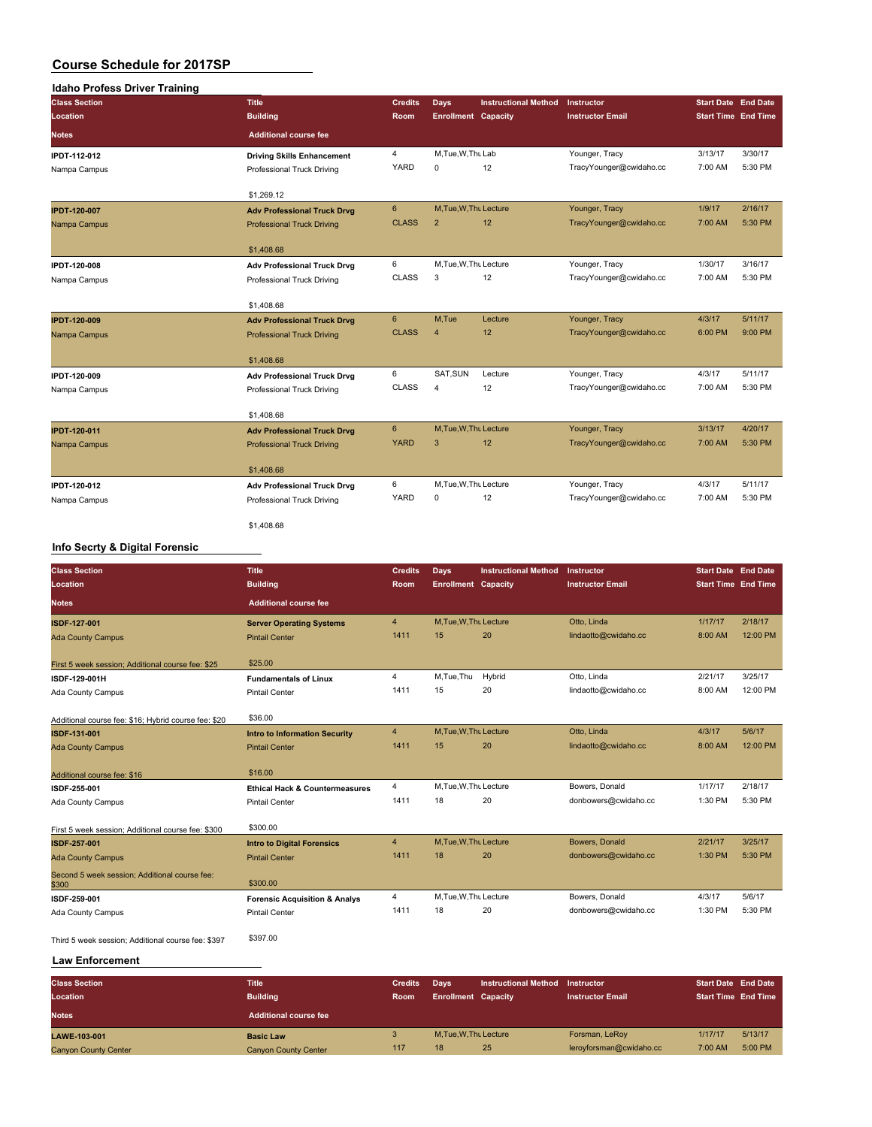| <b>Idaho Profess Driver Training</b> |                                    |                |                            |                             |                         |                                                                                                                          |         |
|--------------------------------------|------------------------------------|----------------|----------------------------|-----------------------------|-------------------------|--------------------------------------------------------------------------------------------------------------------------|---------|
| <b>Class Section</b>                 | <b>Title</b>                       | <b>Credits</b> | <b>Days</b>                | <b>Instructional Method</b> | Instructor              |                                                                                                                          |         |
| Location                             | <b>Building</b>                    | Room           | <b>Enrollment Capacity</b> |                             | <b>Instructor Email</b> |                                                                                                                          |         |
| <b>Notes</b>                         | <b>Additional course fee</b>       |                |                            |                             |                         |                                                                                                                          |         |
| <b>IPDT-112-012</b>                  | <b>Driving Skills Enhancement</b>  | $\overline{4}$ | M, Tue, W, Thu Lab         |                             | Younger, Tracy          | 3/13/17                                                                                                                  | 3/30/17 |
| Nampa Campus                         | Professional Truck Driving         | YARD           | $\mathbf 0$                | 12                          | TracyYounger@cwidaho.cc | 7:00 AM                                                                                                                  | 5:30 PM |
|                                      | \$1,269.12                         |                |                            |                             |                         |                                                                                                                          |         |
| <b>IPDT-120-007</b>                  | <b>Adv Professional Truck Drvg</b> | $6\phantom{1}$ | M, Tue, W, Thu Lecture     |                             | Younger, Tracy          | 1/9/17                                                                                                                   | 2/16/17 |
| Nampa Campus                         | <b>Professional Truck Driving</b>  | <b>CLASS</b>   | $\overline{2}$             | 12                          | TracyYounger@cwidaho.cc | 7:00 AM                                                                                                                  | 5:30 PM |
|                                      | \$1,408.68                         |                |                            |                             |                         |                                                                                                                          |         |
| <b>IPDT-120-008</b>                  | <b>Adv Professional Truck Drvg</b> | 6              | M, Tue, W, Thu Lecture     |                             | Younger, Tracy          | 1/30/17                                                                                                                  | 3/16/17 |
| Nampa Campus                         | Professional Truck Driving         | <b>CLASS</b>   | 3                          | 12                          | TracyYounger@cwidaho.cc | 7:00 AM                                                                                                                  | 5:30 PM |
|                                      | \$1,408.68                         |                |                            |                             |                         |                                                                                                                          |         |
| <b>IPDT-120-009</b>                  | <b>Adv Professional Truck Drvg</b> | 6              | M,Tue                      | Lecture                     | Younger, Tracy          | 4/3/17                                                                                                                   | 5/11/17 |
| Nampa Campus                         | <b>Professional Truck Driving</b>  | <b>CLASS</b>   | $\overline{4}$             | 12                          | TracyYounger@cwidaho.cc | 6:00 PM                                                                                                                  | 9:00 PM |
|                                      | \$1,408.68                         |                |                            |                             |                         | <b>Start Date End Date</b><br><b>Start Time End Time</b><br>4/3/17<br>7:00 AM<br>3/13/17<br>7:00 AM<br>4/3/17<br>7:00 AM |         |
| IPDT-120-009                         | <b>Adv Professional Truck Drvg</b> | 6              | SAT, SUN                   | Lecture                     | Younger, Tracy          |                                                                                                                          | 5/11/17 |
| Nampa Campus                         | Professional Truck Driving         | <b>CLASS</b>   | $\overline{4}$             | 12                          | TracyYounger@cwidaho.cc |                                                                                                                          | 5:30 PM |
|                                      | \$1,408.68                         |                |                            |                             |                         |                                                                                                                          |         |
| <b>IPDT-120-011</b>                  | <b>Adv Professional Truck Drvg</b> | 6              | M, Tue, W, Thu Lecture     |                             | Younger, Tracy          |                                                                                                                          | 4/20/17 |
| Nampa Campus                         | <b>Professional Truck Driving</b>  | <b>YARD</b>    | 3                          | 12                          | TracyYounger@cwidaho.cc |                                                                                                                          | 5:30 PM |
|                                      | \$1,408.68                         |                |                            |                             |                         |                                                                                                                          |         |
| IPDT-120-012                         | <b>Adv Professional Truck Drvg</b> | 6              | M, Tue, W, Thu Lecture     |                             | Younger, Tracy          |                                                                                                                          | 5/11/17 |
| Nampa Campus                         | Professional Truck Driving         | YARD           | $\mathbf 0$                | 12                          | TracyYounger@cwidaho.cc |                                                                                                                          | 5:30 PM |
|                                      | \$1,408.68                         |                |                            |                             |                         |                                                                                                                          |         |

### **Info Secrty & Digital Forensic**

| <b>Class Section</b><br>Location                       | <b>Title</b><br><b>Building</b>           | <b>Credits</b><br><b>Room</b> | Days<br><b>Enrollment Capacity</b> | <b>Instructional Method</b> | Instructor<br><b>Instructor Email</b> | <b>Start Date End Date</b><br><b>Start Time End Time</b> |          |
|--------------------------------------------------------|-------------------------------------------|-------------------------------|------------------------------------|-----------------------------|---------------------------------------|----------------------------------------------------------|----------|
| <b>Notes</b>                                           | <b>Additional course fee</b>              |                               |                                    |                             |                                       |                                                          |          |
| ISDF-127-001                                           | <b>Server Operating Systems</b>           | $\overline{4}$                | M.Tue.W.Thu Lecture                |                             | Otto, Linda                           | 1/17/17                                                  | 2/18/17  |
| <b>Ada County Campus</b>                               | <b>Pintail Center</b>                     | 1411                          | 15                                 | 20                          | lindaotto@cwidaho.cc                  | 8:00 AM                                                  | 12:00 PM |
| First 5 week session; Additional course fee: \$25      | \$25.00                                   |                               |                                    |                             |                                       |                                                          |          |
| ISDF-129-001H                                          | <b>Fundamentals of Linux</b>              | 4                             | M,Tue,Thu                          | Hybrid                      | Otto, Linda                           | 2/21/17                                                  | 3/25/17  |
| Ada County Campus                                      | <b>Pintail Center</b>                     | 1411                          | 15                                 | 20                          | lindaotto@cwidaho.cc                  | 8:00 AM                                                  | 12:00 PM |
| Additional course fee: \$16; Hybrid course fee: \$20   | \$36.00                                   |                               |                                    |                             |                                       |                                                          |          |
| ISDF-131-001                                           | <b>Intro to Information Security</b>      | $\overline{4}$                | M, Tue, W, Thu Lecture             |                             | Otto, Linda                           | 4/3/17                                                   | 5/6/17   |
| <b>Ada County Campus</b>                               | <b>Pintail Center</b>                     | 1411                          | 15                                 | 20                          | lindaotto@cwidaho.cc                  | 8:00 AM                                                  | 12:00 PM |
| Additional course fee: \$16                            | \$16.00                                   |                               |                                    |                             |                                       |                                                          |          |
| ISDF-255-001                                           | <b>Ethical Hack &amp; Countermeasures</b> | 4                             | M, Tue, W, Thu Lecture             |                             | Bowers, Donald                        | 1/17/17                                                  | 2/18/17  |
| Ada County Campus                                      | <b>Pintail Center</b>                     | 1411                          | 18                                 | 20                          | donbowers@cwidaho.cc                  | 1:30 PM                                                  | 5:30 PM  |
| First 5 week session; Additional course fee: \$300     | \$300.00                                  |                               |                                    |                             |                                       |                                                          |          |
| ISDF-257-001                                           | <b>Intro to Digital Forensics</b>         | $\overline{4}$                | M, Tue, W, Thu Lecture             |                             | Bowers, Donald                        | 2/21/17                                                  | 3/25/17  |
| <b>Ada County Campus</b>                               | <b>Pintail Center</b>                     | 1411                          | 18                                 | 20                          | donbowers@cwidaho.cc                  | 1:30 PM                                                  | 5:30 PM  |
| Second 5 week session; Additional course fee:<br>\$300 | \$300.00                                  |                               |                                    |                             |                                       |                                                          |          |
| ISDF-259-001                                           | <b>Forensic Acquisition &amp; Analys</b>  | $\overline{4}$                | M, Tue, W, Thu Lecture             |                             | Bowers, Donald                        | 4/3/17                                                   | 5/6/17   |
| Ada County Campus                                      | <b>Pintail Center</b>                     | 1411                          | 18                                 | 20                          | donbowers@cwidaho.cc                  | 1:30 PM                                                  | 5:30 PM  |
| Third 5 week session; Additional course fee: \$397     | \$397.00                                  |                               |                                    |                             |                                       |                                                          |          |

### **Law Enforcement**

| <b>Class Section</b>        | <b>Title</b>                 | <b>Credits</b> | Davs                       | <b>Instructional Method</b> | Instructor              | <b>Start Date End Date</b> |         |
|-----------------------------|------------------------------|----------------|----------------------------|-----------------------------|-------------------------|----------------------------|---------|
| Location                    | <b>Building</b>              | <b>Room</b>    | <b>Enrollment Capacity</b> |                             | <b>Instructor Email</b> | <b>Start Time End Time</b> |         |
| <b>Notes</b>                | <b>Additional course fee</b> |                |                            |                             |                         |                            |         |
| LAWE-103-001                | <b>Basic Law</b>             |                | M.Tue.W.Thu Lecture        |                             | Forsman, LeRoy          | 1/17/17                    | 5/13/17 |
| <b>Canyon County Center</b> | <b>Canyon County Center</b>  | 117            | 18                         | 25                          | leroyforsman@cwidaho.cc | 7:00 AM                    | 5:00 PM |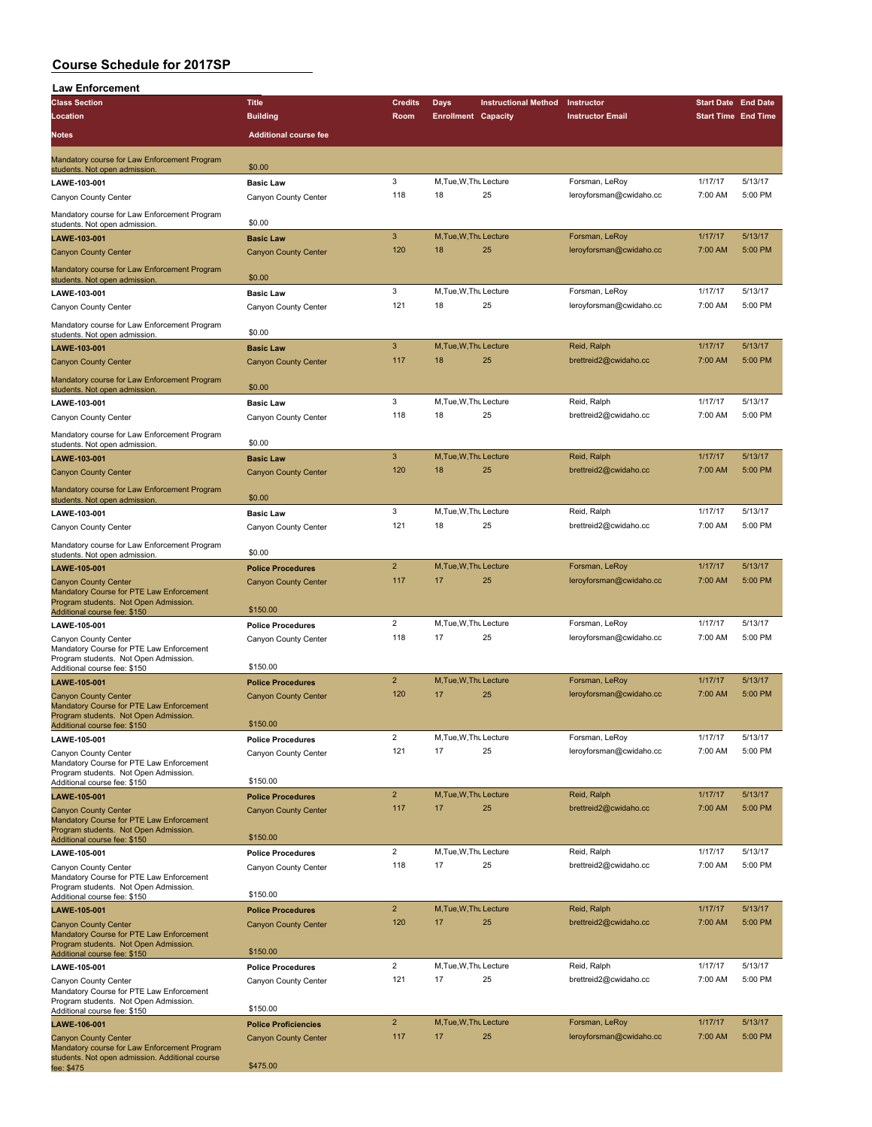| <b>Law Enforcement</b>                                                                          |                                                         |                       |                              |                             |                                      |                            |                    |
|-------------------------------------------------------------------------------------------------|---------------------------------------------------------|-----------------------|------------------------------|-----------------------------|--------------------------------------|----------------------------|--------------------|
| <b>Class Section</b>                                                                            | <b>Title</b>                                            | <b>Credits</b>        | Days                         | <b>Instructional Method</b> | Instructor                           | <b>Start Date End Date</b> |                    |
| Location                                                                                        | <b>Building</b>                                         | Room                  | <b>Enrollment Capacity</b>   |                             | <b>Instructor Email</b>              | <b>Start Time End Time</b> |                    |
| <b>Notes</b>                                                                                    | <b>Additional course fee</b>                            |                       |                              |                             |                                      |                            |                    |
| Mandatory course for Law Enforcement Program<br>students. Not open admission.                   | \$0.00                                                  |                       |                              |                             |                                      |                            |                    |
| LAWE-103-001                                                                                    | <b>Basic Law</b>                                        | 3                     | M, Tue, W, Thu Lecture       |                             | Forsman, LeRoy                       | 1/17/17                    | 5/13/17            |
| Canyon County Center                                                                            | Canyon County Center                                    | 118                   | 18                           | 25                          | leroyforsman@cwidaho.cc              | 7:00 AM                    | 5:00 PM            |
| Mandatory course for Law Enforcement Program                                                    |                                                         |                       |                              |                             |                                      |                            |                    |
| students. Not open admission.                                                                   | \$0.00<br><b>Basic Law</b>                              | 3                     | M, Tue, W, Thu Lecture       |                             | Forsman, LeRoy                       | 1/17/17                    | 5/13/17            |
| LAWE-103-001<br><b>Canyon County Center</b>                                                     | <b>Canyon County Center</b>                             | 120                   | 18                           | 25                          | leroyforsman@cwidaho.cc              | 7:00 AM                    | 5:00 PM            |
| Mandatory course for Law Enforcement Program                                                    |                                                         |                       |                              |                             |                                      |                            |                    |
| students. Not open admission.                                                                   | \$0.00                                                  |                       |                              |                             |                                      |                            |                    |
| LAWE-103-001                                                                                    | <b>Basic Law</b>                                        | 3                     | M, Tue, W, Thu Lecture       |                             | Forsman, LeRoy                       | 1/17/17                    | 5/13/17            |
| Canyon County Center                                                                            | Canyon County Center                                    | 121                   | 18                           | 25                          | leroyforsman@cwidaho.cc              | 7:00 AM                    | 5:00 PM            |
| Mandatory course for Law Enforcement Program<br>students. Not open admission.                   | \$0.00                                                  |                       |                              |                             |                                      |                            |                    |
| LAWE-103-001                                                                                    | <b>Basic Law</b>                                        | 3                     | M, Tue, W, Thu Lecture       |                             | Reid, Ralph                          | 1/17/17                    | 5/13/17            |
| <b>Canyon County Center</b>                                                                     | <b>Canyon County Center</b>                             | 117                   | 18                           | 25                          | brettreid2@cwidaho.cc                | 7:00 AM                    | 5:00 PM            |
| Mandatory course for Law Enforcement Program                                                    |                                                         |                       |                              |                             |                                      |                            |                    |
| students. Not open admission.                                                                   | \$0.00                                                  | 3                     | M, Tue, W, Thu Lecture       |                             | Reid, Ralph                          | 1/17/17                    | 5/13/17            |
| LAWE-103-001<br>Canyon County Center                                                            | <b>Basic Law</b><br>Canyon County Center                | 118                   | 18                           | 25                          | brettreid2@cwidaho.cc                | 7:00 AM                    | 5:00 PM            |
|                                                                                                 |                                                         |                       |                              |                             |                                      |                            |                    |
| Mandatory course for Law Enforcement Program<br>students. Not open admission.                   | \$0.00                                                  |                       |                              |                             |                                      |                            |                    |
| LAWE-103-001                                                                                    | <b>Basic Law</b>                                        | 3                     | M.Tue.W.Tht Lecture          |                             | Reid, Ralph                          | 1/17/17                    | 5/13/17            |
| <b>Canyon County Center</b>                                                                     | <b>Canyon County Center</b>                             | 120                   | 18                           | 25                          | brettreid2@cwidaho.cc                | 7:00 AM                    | 5:00 PM            |
| Mandatory course for Law Enforcement Program<br>students. Not open admission.                   | \$0.00                                                  |                       |                              |                             |                                      |                            |                    |
| LAWE-103-001                                                                                    | <b>Basic Law</b>                                        | 3                     | M, Tue, W, Thu Lecture       |                             | Reid, Ralph                          | 1/17/17                    | 5/13/17            |
| Canyon County Center                                                                            | Canyon County Center                                    | 121                   | 18                           | 25                          | brettreid2@cwidaho.cc                | 7:00 AM                    | 5:00 PM            |
| Mandatory course for Law Enforcement Program                                                    |                                                         |                       |                              |                             |                                      |                            |                    |
| students. Not open admission.<br>LAWE-105-001                                                   | \$0.00                                                  | $\overline{2}$        | M, Tue, W, Thu Lecture       |                             | Forsman, LeRoy                       | 1/17/17                    | 5/13/17            |
| <b>Canyon County Center</b>                                                                     | <b>Police Procedures</b><br><b>Canyon County Center</b> | 117                   | 17                           | 25                          | leroyforsman@cwidaho.cc              | 7:00 AM                    | 5:00 PM            |
| Mandatory Course for PTE Law Enforcement                                                        |                                                         |                       |                              |                             |                                      |                            |                    |
| Program students. Not Open Admission.<br>Additional course fee: \$150                           | \$150.00                                                |                       |                              |                             |                                      |                            |                    |
| LAWE-105-001                                                                                    | <b>Police Procedures</b>                                | $\overline{2}$        | M, Tue, W, Thu Lecture       |                             | Forsman, LeRoy                       | 1/17/17                    | 5/13/17            |
| Canyon County Center<br>Mandatory Course for PTE Law Enforcement                                | Canyon County Center                                    | 118                   | 17                           | 25                          | leroyforsman@cwidaho.cc              | 7:00 AM                    | 5:00 PM            |
| Program students. Not Open Admission.                                                           | \$150.00                                                |                       |                              |                             |                                      |                            |                    |
| Additional course fee: \$150<br>LAWE-105-001                                                    | <b>Police Procedures</b>                                | $\overline{2}$        | M, Tue, W, Thu Lecture       |                             | Forsman, LeRoy                       | 1/17/17                    | 5/13/17            |
| <b>Canyon County Center</b>                                                                     | <b>Canyon County Center</b>                             | 120                   | 17                           | 25                          | leroyforsman@cwidaho.cc              | 7:00 AM                    | 5:00 PM            |
| Mandatory Course for PTE Law Enforcement<br>Program students. Not Open Admission.               |                                                         |                       |                              |                             |                                      |                            |                    |
| Additional course fee: \$150                                                                    | \$150.00                                                |                       |                              |                             |                                      |                            |                    |
| LAWE-105-001                                                                                    | <b>Police Procedures</b>                                | $\overline{2}$        | M, Tue, W, Thu Lecture       |                             | Forsman, LeRoy                       | 1/17/17                    | 5/13/17            |
| Canyon County Center<br>Mandatory Course for PTE Law Enforcement                                | Canyon County Center                                    | 121                   | 17                           | 25                          | leroyforsman@cwidaho.cc              | 7:00 AM                    | 5:00 PM            |
| Program students. Not Open Admission.                                                           | \$150.00                                                |                       |                              |                             |                                      |                            |                    |
| Additional course fee: \$150<br>LAWE-105-001                                                    | <b>Police Procedures</b>                                | $\overline{2}$        | M, Tue, W, Thu Lecture       |                             | Reid, Ralph                          | 1/17/17                    | 5/13/17            |
| <b>Canyon County Center</b>                                                                     | <b>Canyon County Center</b>                             | 117                   | 17                           | 25                          | brettreid2@cwidaho.cc                | 7:00 AM                    | 5:00 PM            |
| Mandatory Course for PTE Law Enforcement<br>Program students. Not Open Admission.               |                                                         |                       |                              |                             |                                      |                            |                    |
| Additional course fee: \$150                                                                    | \$150.00                                                |                       |                              |                             |                                      |                            |                    |
| LAWE-105-001                                                                                    | <b>Police Procedures</b>                                | $\overline{2}$<br>118 | M, Tue, W, Thu Lecture<br>17 | 25                          | Reid, Ralph<br>brettreid2@cwidaho.cc | 1/17/17<br>7:00 AM         | 5/13/17<br>5:00 PM |
| Canyon County Center<br>Mandatory Course for PTE Law Enforcement                                | Canyon County Center                                    |                       |                              |                             |                                      |                            |                    |
| Program students. Not Open Admission.<br>Additional course fee: \$150                           | \$150.00                                                |                       |                              |                             |                                      |                            |                    |
| LAWE-105-001                                                                                    | <b>Police Procedures</b>                                | $\overline{2}$        | M, Tue, W, Thu Lecture       |                             | Reid, Ralph                          | 1/17/17                    | 5/13/17            |
| <b>Canyon County Center</b>                                                                     | <b>Canyon County Center</b>                             | 120                   | 17                           | 25                          | brettreid2@cwidaho.cc                | 7:00 AM                    | 5:00 PM            |
| Mandatory Course for PTE Law Enforcement<br>Program students. Not Open Admission.               |                                                         |                       |                              |                             |                                      |                            |                    |
| Additional course fee: \$150                                                                    | \$150.00                                                |                       |                              |                             |                                      |                            |                    |
| LAWE-105-001                                                                                    | <b>Police Procedures</b>                                | $\overline{2}$<br>121 | M, Tue, W, Thu Lecture<br>17 | 25                          | Reid, Ralph<br>brettreid2@cwidaho.cc | 1/17/17<br>7:00 AM         | 5/13/17<br>5:00 PM |
| Canyon County Center<br>Mandatory Course for PTE Law Enforcement                                | Canyon County Center                                    |                       |                              |                             |                                      |                            |                    |
| Program students. Not Open Admission.<br>Additional course fee: \$150                           | \$150.00                                                |                       |                              |                             |                                      |                            |                    |
| LAWE-106-001                                                                                    | <b>Police Proficiencies</b>                             | $\overline{2}$        | M.Tue.W.Thu Lecture          |                             | Forsman, LeRoy                       | 1/17/17                    | 5/13/17            |
| <b>Canyon County Center</b>                                                                     | <b>Canyon County Center</b>                             | 117                   | 17                           | 25                          | leroyforsman@cwidaho.cc              | 7:00 AM                    | 5:00 PM            |
| Mandatory course for Law Enforcement Program<br>students. Not open admission. Additional course |                                                         |                       |                              |                             |                                      |                            |                    |
| fee: \$475                                                                                      | \$475.00                                                |                       |                              |                             |                                      |                            |                    |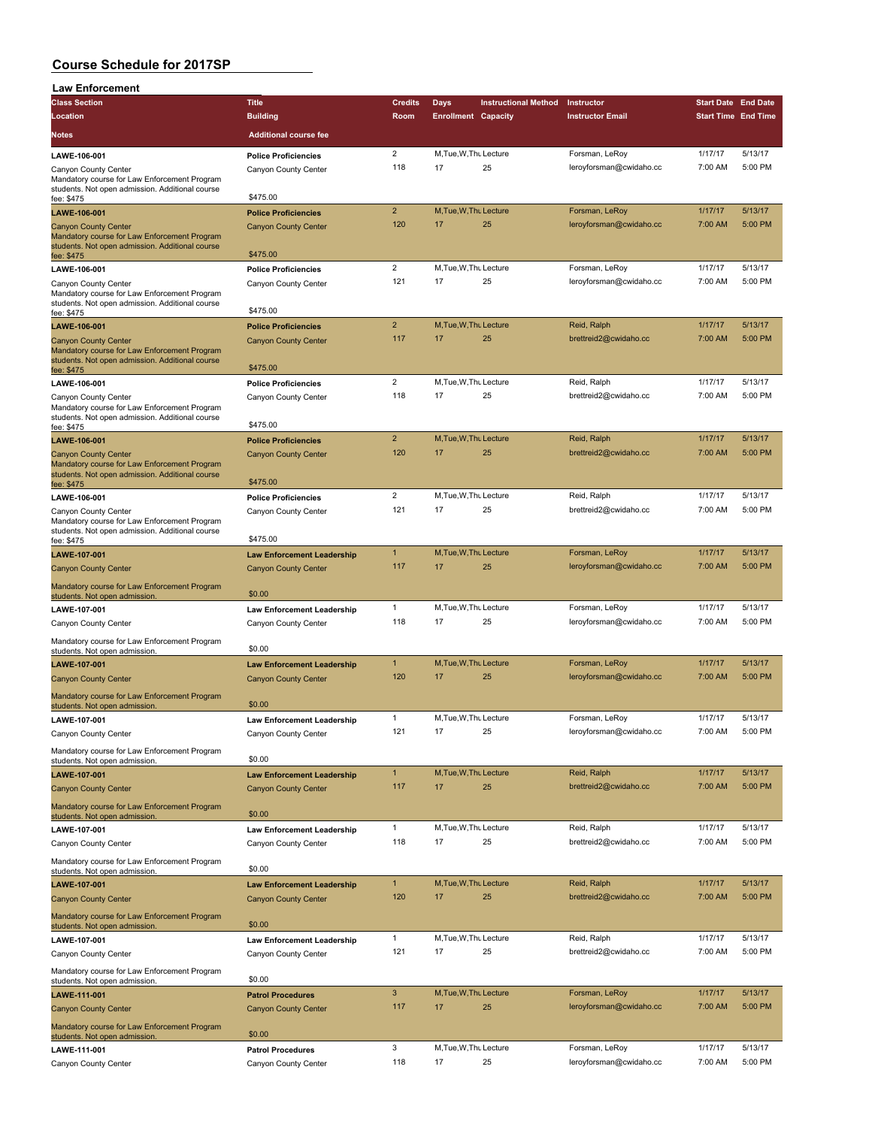| <b>Law Enforcement</b>                                                                          |                                                     |                         |                            |                             |                                           |                            |                    |
|-------------------------------------------------------------------------------------------------|-----------------------------------------------------|-------------------------|----------------------------|-----------------------------|-------------------------------------------|----------------------------|--------------------|
| <b>Class Section</b>                                                                            | <b>Title</b>                                        | <b>Credits</b>          | <b>Days</b>                | <b>Instructional Method</b> | Instructor                                | <b>Start Date End Date</b> |                    |
| Location                                                                                        | <b>Building</b>                                     | Room                    | <b>Enrollment Capacity</b> |                             | <b>Instructor Email</b>                   | <b>Start Time End Time</b> |                    |
| Notes                                                                                           | <b>Additional course fee</b>                        |                         |                            |                             |                                           |                            |                    |
|                                                                                                 |                                                     | $\overline{2}$          | M, Tue, W, Thu Lecture     |                             | Forsman, LeRoy                            | 1/17/17                    | 5/13/17            |
| LAWE-106-001<br>Canyon County Center                                                            | <b>Police Proficiencies</b><br>Canyon County Center | 118                     | 17                         | 25                          | leroyforsman@cwidaho.cc                   | 7:00 AM                    | 5:00 PM            |
| Mandatory course for Law Enforcement Program                                                    |                                                     |                         |                            |                             |                                           |                            |                    |
| students. Not open admission. Additional course                                                 | \$475.00                                            |                         |                            |                             |                                           |                            |                    |
| fee: \$475                                                                                      |                                                     | $\overline{2}$          | M.Tue.W.Thu Lecture        |                             | Forsman, LeRoy                            | 1/17/17                    | 5/13/17            |
| LAWE-106-001                                                                                    | <b>Police Proficiencies</b>                         | 120                     | 17                         | 25                          | leroyforsman@cwidaho.cc                   | 7:00 AM                    | 5:00 PM            |
| <b>Canyon County Center</b><br>Mandatory course for Law Enforcement Program                     | <b>Canyon County Center</b>                         |                         |                            |                             |                                           |                            |                    |
| students. Not open admission. Additional course                                                 |                                                     |                         |                            |                             |                                           |                            |                    |
| fee: \$475                                                                                      | \$475.00                                            |                         |                            |                             |                                           |                            |                    |
| LAWE-106-001                                                                                    | <b>Police Proficiencies</b>                         | $\overline{\mathbf{c}}$ | M.Tue, W.Thu Lecture<br>17 |                             | Forsman, LeRoy                            | 1/17/17                    | 5/13/17<br>5:00 PM |
| Canyon County Center<br>Mandatory course for Law Enforcement Program                            | Canyon County Center                                | 121                     |                            | 25                          | leroyforsman@cwidaho.cc                   | 7:00 AM                    |                    |
| students. Not open admission. Additional course                                                 |                                                     |                         |                            |                             |                                           |                            |                    |
| fee: \$475                                                                                      | \$475.00                                            |                         |                            |                             |                                           |                            |                    |
| LAWE-106-001                                                                                    | <b>Police Proficiencies</b>                         | $\overline{2}$          | M, Tue, W, Thu Lecture     |                             | Reid, Ralph                               | 1/17/17                    | 5/13/17            |
| <b>Canyon County Center</b><br>Mandatory course for Law Enforcement Program                     | <b>Canyon County Center</b>                         | 117                     | 17                         | 25                          | brettreid2@cwidaho.cc                     | 7:00 AM                    | 5:00 PM            |
| students. Not open admission. Additional course                                                 |                                                     |                         |                            |                             |                                           |                            |                    |
| fee: \$475                                                                                      | \$475.00                                            |                         |                            |                             |                                           |                            |                    |
| LAWE-106-001                                                                                    | <b>Police Proficiencies</b>                         | $\overline{c}$          | M, Tue, W, Thu Lecture     |                             | Reid, Ralph                               | 1/17/17                    | 5/13/17            |
| Canyon County Center<br>Mandatory course for Law Enforcement Program                            | Canyon County Center                                | 118                     | 17                         | 25                          | brettreid2@cwidaho.cc                     | 7:00 AM                    | 5:00 PM            |
| students. Not open admission. Additional course                                                 |                                                     |                         |                            |                             |                                           |                            |                    |
| fee: \$475                                                                                      | \$475.00                                            |                         |                            |                             |                                           |                            |                    |
| LAWE-106-001                                                                                    | <b>Police Proficiencies</b>                         | $\overline{2}$          | M, Tue, W, Thu Lecture     |                             | Reid, Ralph                               | 1/17/17                    | 5/13/17            |
| <b>Canyon County Center</b>                                                                     | <b>Canyon County Center</b>                         | 120                     | 17                         | 25                          | brettreid2@cwidaho.cc                     | 7:00 AM                    | $5:00$ PM          |
| Mandatory course for Law Enforcement Program<br>students. Not open admission. Additional course |                                                     |                         |                            |                             |                                           |                            |                    |
| fee: \$475                                                                                      | \$475.00                                            |                         |                            |                             |                                           |                            |                    |
| LAWE-106-001                                                                                    | <b>Police Proficiencies</b>                         | $\overline{2}$          | M, Tue, W, Thu Lecture     |                             | Reid, Ralph                               | 1/17/17                    | 5/13/17            |
| Canyon County Center                                                                            | Canyon County Center                                | 121                     | 17                         | 25                          | brettreid2@cwidaho.cc                     | 7:00 AM                    | 5:00 PM            |
| Mandatory course for Law Enforcement Program<br>students. Not open admission. Additional course |                                                     |                         |                            |                             |                                           |                            |                    |
| fee: \$475                                                                                      | \$475.00                                            |                         |                            |                             |                                           |                            |                    |
| LAWE-107-001                                                                                    | <b>Law Enforcement Leadership</b>                   | $\mathbf{1}$            | M, Tue, W, Thu Lecture     |                             | Forsman, LeRoy                            | 1/17/17                    | 5/13/17            |
| <b>Canyon County Center</b>                                                                     | <b>Canyon County Center</b>                         | 117                     | 17                         | 25                          | leroyforsman@cwidaho.cc                   | 7:00 AM                    | 5:00 PM            |
| Mandatory course for Law Enforcement Program                                                    |                                                     |                         |                            |                             |                                           |                            |                    |
| students. Not open admission                                                                    | \$0.00                                              |                         |                            |                             |                                           |                            |                    |
| LAWE-107-001                                                                                    | <b>Law Enforcement Leadership</b>                   | $\mathbf{1}$            | M, Tue, W, Thu Lecture     |                             | Forsman, LeRoy                            | 1/17/17                    | 5/13/17            |
| Canyon County Center                                                                            | Canyon County Center                                | 118                     | 17                         | 25                          | leroyforsman@cwidaho.cc                   | 7:00 AM                    | 5:00 PM            |
| Mandatory course for Law Enforcement Program                                                    | \$0.00                                              |                         |                            |                             |                                           |                            |                    |
| students. Not open admission.                                                                   |                                                     | $\mathbf{1}$            | M.Tue, W, Thu Lecture      |                             | Forsman, LeRoy                            | 1/17/17                    | 5/13/17            |
| LAWE-107-001                                                                                    | <b>Law Enforcement Leadership</b>                   | 120                     | 17                         | 25                          | leroyforsman@cwidaho.cc                   | 7:00 AM                    | 5:00 PM            |
| <b>Canyon County Center</b>                                                                     | <b>Canyon County Center</b>                         |                         |                            |                             |                                           |                            |                    |
| Mandatory course for Law Enforcement Program                                                    | \$0.00                                              |                         |                            |                             |                                           |                            |                    |
| students. Not open admission.<br>LAWE-107-001                                                   | <b>Law Enforcement Leadership</b>                   | 1                       | M, Tue, W, Thu Lecture     |                             | Forsman, LeRoy                            | 1/17/17                    | 5/13/17            |
| Canyon County Center                                                                            | Canyon County Center                                | 121                     | 17                         | 25                          | leroyforsman@cwidaho.cc                   | 7:00 AM                    | 5:00 PM            |
|                                                                                                 |                                                     |                         |                            |                             |                                           |                            |                    |
| Mandatory course for Law Enforcement Program<br>students. Not open admission.                   | \$0.00                                              |                         |                            |                             |                                           |                            |                    |
| LAWE-107-001                                                                                    | <b>Law Enforcement Leadership</b>                   | $\mathbf{1}$            | M, Tue, W, Thu Lecture     |                             | Reid, Ralph                               | 1/17/17                    | 5/13/17            |
| <b>Canyon County Center</b>                                                                     | <b>Canyon County Center</b>                         | 117                     | 17                         | 25                          | brettreid2@cwidaho.cc                     | 7:00 AM                    | 5:00 PM            |
|                                                                                                 |                                                     |                         |                            |                             |                                           |                            |                    |
| Mandatory course for Law Enforcement Program<br>students. Not open admission.                   | \$0.00                                              |                         |                            |                             |                                           |                            |                    |
| LAWE-107-001                                                                                    | <b>Law Enforcement Leadership</b>                   | 1                       | M.Tue, W.Thu Lecture       |                             | Reid, Ralph                               | 1/17/17                    | 5/13/17            |
| Canyon County Center                                                                            | Canyon County Center                                | 118                     | 17                         | 25                          | brettreid2@cwidaho.cc                     | 7:00 AM                    | 5:00 PM            |
| Mandatory course for Law Enforcement Program                                                    |                                                     |                         |                            |                             |                                           |                            |                    |
| students. Not open admission.                                                                   | \$0.00                                              |                         |                            |                             |                                           |                            |                    |
| LAWE-107-001                                                                                    | <b>Law Enforcement Leadership</b>                   | $\mathbf{1}$            | M, Tue, W, Thu Lecture     |                             | Reid, Ralph                               | 1/17/17                    | 5/13/17            |
| <b>Canyon County Center</b>                                                                     | <b>Canyon County Center</b>                         | 120                     | 17                         | 25                          | brettreid2@cwidaho.cc                     | 7:00 AM                    | 5:00 PM            |
| Mandatory course for Law Enforcement Program                                                    |                                                     |                         |                            |                             |                                           |                            |                    |
| students. Not open admission.                                                                   | \$0.00                                              |                         |                            |                             |                                           |                            |                    |
| LAWE-107-001                                                                                    | <b>Law Enforcement Leadership</b>                   | $\mathbf{1}$            | M, Tue, W, Thu Lecture     |                             | Reid, Ralph                               | 1/17/17                    | 5/13/17            |
| Canyon County Center                                                                            | Canyon County Center                                | 121                     | 17                         | 25                          | brettreid2@cwidaho.cc                     | 7:00 AM                    | 5:00 PM            |
| Mandatory course for Law Enforcement Program                                                    |                                                     |                         |                            |                             |                                           |                            |                    |
| students. Not open admission.                                                                   | \$0.00                                              |                         |                            |                             |                                           |                            |                    |
| LAWE-111-001                                                                                    | <b>Patrol Procedures</b>                            | 3                       | M, Tue, W, Thu Lecture     |                             | Forsman, LeRoy                            | 1/17/17                    | 5/13/17            |
| <b>Canyon County Center</b>                                                                     | <b>Canyon County Center</b>                         | 117                     | 17                         | 25                          | leroyforsman@cwidaho.cc                   | 7:00 AM                    | 5:00 PM            |
| Mandatory course for Law Enforcement Program                                                    |                                                     |                         |                            |                             |                                           |                            |                    |
| students. Not open admission.                                                                   | \$0.00                                              |                         |                            |                             |                                           |                            |                    |
| LAWE-111-001                                                                                    | <b>Patrol Procedures</b>                            | 3<br>118                | M, Tue, W, Thu Lecture     |                             | Forsman, LeRoy<br>leroyforsman@cwidaho.cc | 1/17/17<br>7:00 AM         | 5/13/17<br>5:00 PM |
| Canyon County Center                                                                            | Canyon County Center                                |                         | 17                         | 25                          |                                           |                            |                    |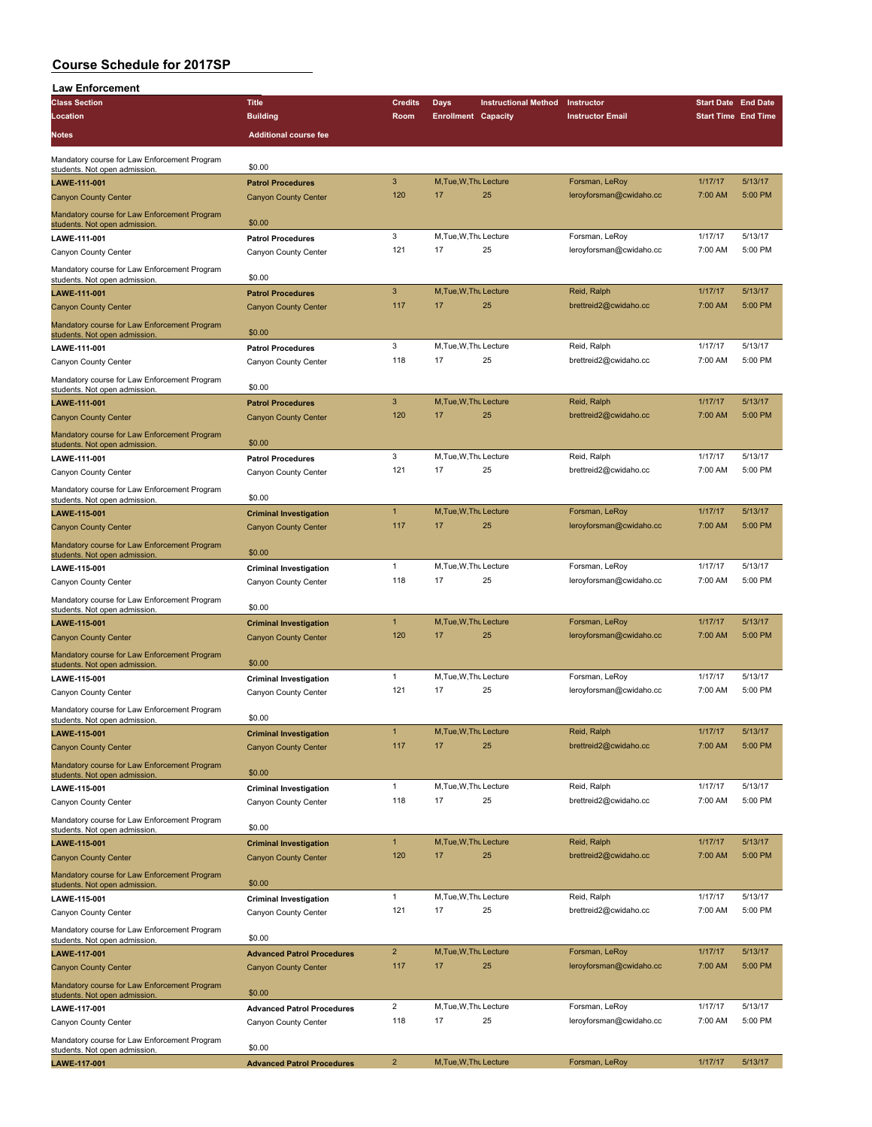| <b>Law Enforcement</b>                                                        |                                                              |                     |                              |                             |                                           |                            |                    |
|-------------------------------------------------------------------------------|--------------------------------------------------------------|---------------------|------------------------------|-----------------------------|-------------------------------------------|----------------------------|--------------------|
| <b>Class Section</b>                                                          | <b>Title</b>                                                 | <b>Credits</b>      | Days                         | <b>Instructional Method</b> | Instructor                                | <b>Start Date End Date</b> |                    |
| Location                                                                      | <b>Building</b>                                              | Room                | <b>Enrollment Capacity</b>   |                             | <b>Instructor Email</b>                   | <b>Start Time End Time</b> |                    |
| <b>Notes</b>                                                                  | <b>Additional course fee</b>                                 |                     |                              |                             |                                           |                            |                    |
|                                                                               |                                                              |                     |                              |                             |                                           |                            |                    |
| Mandatory course for Law Enforcement Program<br>students. Not open admission. | \$0.00                                                       |                     |                              |                             |                                           |                            |                    |
| LAWE-111-001                                                                  | <b>Patrol Procedures</b>                                     | 3                   | M, Tue, W, Thu Lecture       |                             | Forsman, LeRoy                            | 1/17/17                    | 5/13/17            |
| <b>Canyon County Center</b>                                                   | <b>Canyon County Center</b>                                  | 120                 | 17                           | 25                          | leroyforsman@cwidaho.cc                   | 7:00 AM                    | 5:00 PM            |
| Mandatory course for Law Enforcement Program                                  |                                                              |                     |                              |                             |                                           |                            |                    |
| students. Not open admission.                                                 | \$0.00                                                       |                     |                              |                             |                                           |                            |                    |
| LAWE-111-001                                                                  | <b>Patrol Procedures</b>                                     | 3<br>121            | M, Tue, W, Thu Lecture<br>17 | 25                          | Forsman, LeRoy<br>leroyforsman@cwidaho.cc | 1/17/17<br>7:00 AM         | 5/13/17<br>5:00 PM |
| Canyon County Center                                                          | Canyon County Center                                         |                     |                              |                             |                                           |                            |                    |
| Mandatory course for Law Enforcement Program<br>students. Not open admission. | \$0.00                                                       |                     |                              |                             |                                           |                            |                    |
| LAWE-111-001                                                                  | <b>Patrol Procedures</b>                                     | 3                   | M, Tue, W, Thu Lecture       |                             | Reid, Ralph                               | 1/17/17                    | 5/13/17            |
| <b>Canyon County Center</b>                                                   | <b>Canyon County Center</b>                                  | 117                 | 17                           | 25                          | brettreid2@cwidaho.cc                     | 7:00 AM                    | 5:00 PM            |
| Mandatory course for Law Enforcement Program                                  |                                                              |                     |                              |                             |                                           |                            |                    |
| students. Not open admission.                                                 | \$0.00                                                       | 3                   | M, Tue, W, Thu Lecture       |                             |                                           | 1/17/17                    | 5/13/17            |
| LAWE-111-001                                                                  | <b>Patrol Procedures</b>                                     | 118                 | 17                           | 25                          | Reid, Ralph<br>brettreid2@cwidaho.cc      | 7:00 AM                    | 5:00 PM            |
| Canyon County Center                                                          | Canyon County Center                                         |                     |                              |                             |                                           |                            |                    |
| Mandatory course for Law Enforcement Program<br>students. Not open admission. | \$0.00                                                       |                     |                              |                             |                                           |                            |                    |
| LAWE-111-001                                                                  | <b>Patrol Procedures</b>                                     | 3                   | M, Tue, W, Thu Lecture       |                             | Reid, Ralph                               | 1/17/17                    | 5/13/17            |
| <b>Canyon County Center</b>                                                   | <b>Canyon County Center</b>                                  | 120                 | 17                           | 25                          | brettreid2@cwidaho.cc                     | 7:00 AM                    | 5:00 PM            |
| Mandatory course for Law Enforcement Program                                  |                                                              |                     |                              |                             |                                           |                            |                    |
| students. Not open admission                                                  | \$0.00                                                       |                     |                              |                             |                                           |                            |                    |
| LAWE-111-001                                                                  | <b>Patrol Procedures</b>                                     | 3                   | M, Tue, W, Thu Lecture       |                             | Reid, Ralph                               | 1/17/17                    | 5/13/17            |
| Canyon County Center                                                          | Canyon County Center                                         | 121                 | 17                           | 25                          | brettreid2@cwidaho.cc                     | 7:00 AM                    | 5:00 PM            |
| Mandatory course for Law Enforcement Program                                  | \$0.00                                                       |                     |                              |                             |                                           |                            |                    |
| students. Not open admission.<br>LAWE-115-001                                 | <b>Criminal Investigation</b>                                | $\mathbf{1}$        | M.Tue.W.Thu Lecture          |                             | Forsman, LeRoy                            | 1/17/17                    | 5/13/17            |
| <b>Canyon County Center</b>                                                   | <b>Canyon County Center</b>                                  | 117                 | 17                           | 25                          | leroyforsman@cwidaho.cc                   | 7:00 AM                    | 5:00 PM            |
| Mandatory course for Law Enforcement Program                                  |                                                              |                     |                              |                             |                                           |                            |                    |
| students. Not open admission                                                  | \$0.00                                                       |                     |                              |                             |                                           |                            |                    |
| LAWE-115-001                                                                  | <b>Criminal Investigation</b>                                | $\mathbf{1}$        | M, Tue, W, Thu Lecture       |                             | Forsman, LeRoy                            | 1/17/17                    | 5/13/17            |
| Canyon County Center                                                          | Canyon County Center                                         | 118                 | 17                           | 25                          | leroyforsman@cwidaho.cc                   | 7:00 AM                    | 5:00 PM            |
| Mandatory course for Law Enforcement Program                                  | \$0.00                                                       |                     |                              |                             |                                           |                            |                    |
| students. Not open admission.<br>LAWE-115-001                                 | <b>Criminal Investigation</b>                                | $\mathbf{1}$        | M, Tue, W, Thu Lecture       |                             | Forsman, LeRoy                            | 1/17/17                    | 5/13/17            |
| <b>Canyon County Center</b>                                                   | <b>Canyon County Center</b>                                  | 120                 | 17                           | 25                          | leroyforsman@cwidaho.cc                   | 7:00 AM                    | 5:00 PM            |
| Mandatory course for Law Enforcement Program                                  |                                                              |                     |                              |                             |                                           |                            |                    |
| students. Not open admission                                                  | \$0.00                                                       |                     |                              |                             |                                           |                            |                    |
| LAWE-115-001                                                                  | <b>Criminal Investigation</b>                                | 1                   | M.Tue, W.Thu Lecture         |                             | Forsman, LeRoy                            | 1/17/17                    | 5/13/17            |
| Canyon County Center                                                          | Canyon County Center                                         | 121                 | 17                           | 25                          | leroyforsman@cwidaho.cc                   | 7:00 AM                    | 5:00 PM            |
| Mandatory course for Law Enforcement Program                                  | \$0.00                                                       |                     |                              |                             |                                           |                            |                    |
| students. Not open admission.                                                 |                                                              | 1                   | M, Tue, W, Thu Lecture       |                             | Reid, Ralph                               | 1/17/17                    | 5/13/17            |
| LAWE-115-001<br><b>Canyon County Center</b>                                   | <b>Criminal Investigation</b><br><b>Canyon County Center</b> | 117                 | 17                           | 25                          | brettreid2@cwidaho.cc                     | 7:00 AM                    | 5:00 PM            |
|                                                                               |                                                              |                     |                              |                             |                                           |                            |                    |
| Mandatory course for Law Enforcement Program<br>students. Not open admission. | \$0.00                                                       |                     |                              |                             |                                           |                            |                    |
| LAWE-115-001                                                                  | <b>Criminal Investigation</b>                                | $\mathbf{1}$        | M, Tue, W, Thu Lecture       |                             | Reid, Ralph                               | 1/17/17                    | 5/13/17            |
| Canyon County Center                                                          | Canyon County Center                                         | 118                 | 17                           | 25                          | brettreid2@cwidaho.cc                     | 7:00 AM                    | 5:00 PM            |
| Mandatory course for Law Enforcement Program                                  |                                                              |                     |                              |                             |                                           |                            |                    |
| students. Not open admission.                                                 | \$0.00                                                       |                     |                              |                             |                                           |                            |                    |
| LAWE-115-001                                                                  | <b>Criminal Investigation</b>                                | $\mathbf{1}$<br>120 | M, Tue, W, Thu Lecture<br>17 | 25                          | Reid, Ralph<br>brettreid2@cwidaho.cc      | 1/17/17<br>7:00 AM         | 5/13/17<br>5:00 PM |
| <b>Canyon County Center</b>                                                   | <b>Canyon County Center</b>                                  |                     |                              |                             |                                           |                            |                    |
| Mandatory course for Law Enforcement Program<br>students. Not open admission. | \$0.00                                                       |                     |                              |                             |                                           |                            |                    |
| LAWE-115-001                                                                  | <b>Criminal Investigation</b>                                | $\mathbf{1}$        | M, Tue, W, Thu Lecture       |                             | Reid, Ralph                               | 1/17/17                    | 5/13/17            |
| Canyon County Center                                                          | Canyon County Center                                         | 121                 | 17                           | 25                          | brettreid2@cwidaho.cc                     | 7:00 AM                    | 5:00 PM            |
| Mandatory course for Law Enforcement Program                                  |                                                              |                     |                              |                             |                                           |                            |                    |
| students. Not open admission.                                                 | \$0.00                                                       |                     |                              |                             |                                           |                            |                    |
| LAWE-117-001                                                                  | <b>Advanced Patrol Procedures</b>                            | $\overline{2}$      | M, Tue, W, Thu Lecture       |                             | Forsman, LeRoy                            | 1/17/17                    | 5/13/17            |
| <b>Canyon County Center</b>                                                   | <b>Canyon County Center</b>                                  | 117                 | 17                           | 25                          | leroyforsman@cwidaho.cc                   | 7:00 AM                    | 5:00 PM            |
| Mandatory course for Law Enforcement Program                                  | \$0.00                                                       |                     |                              |                             |                                           |                            |                    |
| students. Not open admission.<br>LAWE-117-001                                 | <b>Advanced Patrol Procedures</b>                            | $\overline{2}$      | M, Tue, W, Thu Lecture       |                             | Forsman, LeRoy                            | 1/17/17                    | 5/13/17            |
| Canyon County Center                                                          | Canyon County Center                                         | 118                 | 17                           | 25                          | leroyforsman@cwidaho.cc                   | 7:00 AM                    | 5:00 PM            |
| Mandatory course for Law Enforcement Program                                  |                                                              |                     |                              |                             |                                           |                            |                    |
| students. Not open admission.                                                 | \$0.00                                                       |                     |                              |                             |                                           |                            |                    |
| LAWE-117-001                                                                  | <b>Advanced Patrol Procedures</b>                            | $\overline{2}$      | M, Tue, W, Thu Lecture       |                             | Forsman, LeRoy                            | 1/17/17                    | 5/13/17            |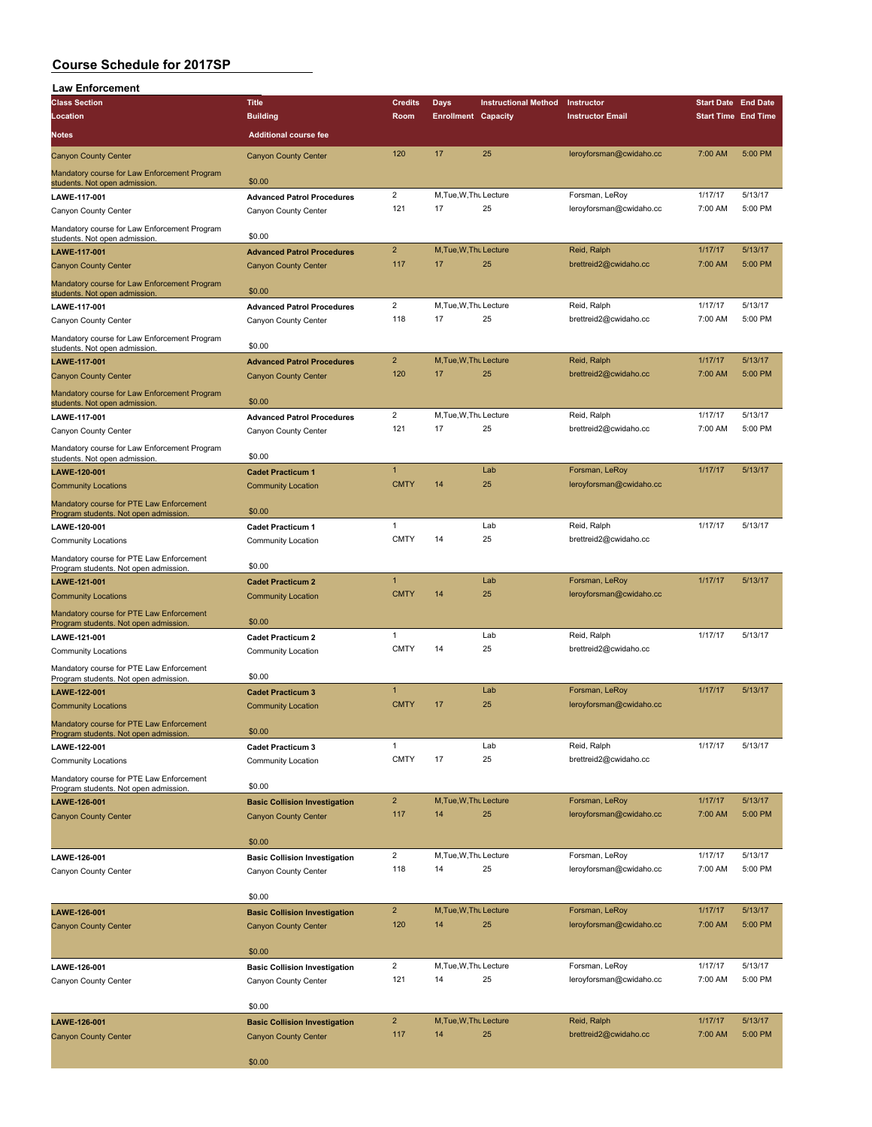| <b>Law Enforcement</b>                                                            |                                                       |                             |                            |                             |                                           |                            |         |
|-----------------------------------------------------------------------------------|-------------------------------------------------------|-----------------------------|----------------------------|-----------------------------|-------------------------------------------|----------------------------|---------|
| <b>Class Section</b>                                                              | <b>Title</b>                                          | <b>Credits</b>              | Days                       | <b>Instructional Method</b> | Instructor                                | <b>Start Date End Date</b> |         |
| Location                                                                          | <b>Building</b>                                       | Room                        | <b>Enrollment Capacity</b> |                             | <b>Instructor Email</b>                   | <b>Start Time End Time</b> |         |
| <b>Notes</b>                                                                      | <b>Additional course fee</b>                          |                             |                            |                             |                                           |                            |         |
| <b>Canyon County Center</b>                                                       | <b>Canyon County Center</b>                           | 120                         | 17                         | 25                          | leroyforsman@cwidaho.cc                   | 7:00 AM                    | 5:00 PM |
| Mandatory course for Law Enforcement Program<br>students. Not open admission.     | \$0.00                                                |                             |                            |                             |                                           |                            |         |
| LAWE-117-001                                                                      | <b>Advanced Patrol Procedures</b>                     | $\overline{c}$              | M, Tue, W, Thu Lecture     |                             | Forsman, LeRoy                            | 1/17/17                    | 5/13/17 |
| Canyon County Center                                                              | Canyon County Center                                  | 121                         | 17                         | 25                          | leroyforsman@cwidaho.cc                   | 7:00 AM                    | 5:00 PM |
| Mandatory course for Law Enforcement Program                                      | \$0.00                                                |                             |                            |                             |                                           |                            |         |
| students. Not open admission.<br>LAWE-117-001                                     | <b>Advanced Patrol Procedures</b>                     | $\overline{\mathbf{c}}$     | M, Tue, W, Thu Lecture     |                             | Reid, Ralph                               | 1/17/17                    | 5/13/17 |
| <b>Canyon County Center</b>                                                       | <b>Canyon County Center</b>                           | 117                         | 17                         | 25                          | brettreid2@cwidaho.cc                     | 7:00 AM                    | 5:00 PM |
| Mandatory course for Law Enforcement Program<br>students. Not open admission.     | \$0.00                                                |                             |                            |                             |                                           |                            |         |
| LAWE-117-001                                                                      | <b>Advanced Patrol Procedures</b>                     | $\overline{2}$              | M, Tue, W, Thu Lecture     |                             | Reid, Ralph                               | 1/17/17                    | 5/13/17 |
| Canyon County Center                                                              | Canyon County Center                                  | 118                         | 17                         | 25                          | brettreid2@cwidaho.cc                     | 7:00 AM                    | 5:00 PM |
| Mandatory course for Law Enforcement Program                                      | \$0.00                                                |                             |                            |                             |                                           |                            |         |
| students. Not open admission<br>LAWE-117-001                                      | <b>Advanced Patrol Procedures</b>                     | $\overline{2}$              | M, Tue, W, Thu Lecture     |                             | Reid, Ralph                               | 1/17/17                    | 5/13/17 |
| <b>Canyon County Center</b>                                                       | <b>Canyon County Center</b>                           | 120                         | 17                         | 25                          | brettreid2@cwidaho.cc                     | 7:00 AM                    | 5:00 PM |
| Mandatory course for Law Enforcement Program                                      |                                                       |                             |                            |                             |                                           |                            |         |
| students. Not open admission.<br>LAWE-117-001                                     | \$0.00<br><b>Advanced Patrol Procedures</b>           | $\overline{2}$              | M, Tue, W, Thu Lecture     |                             | Reid, Ralph                               | 1/17/17                    | 5/13/17 |
| Canyon County Center                                                              | Canyon County Center                                  | 121                         | 17                         | 25                          | brettreid2@cwidaho.cc                     | 7:00 AM                    | 5:00 PM |
| Mandatory course for Law Enforcement Program                                      |                                                       |                             |                            |                             |                                           |                            |         |
| students. Not open admission.                                                     | \$0.00<br><b>Cadet Practicum 1</b>                    | $\mathbf{1}$                |                            | Lab                         | Forsman, LeRoy                            | 1/17/17                    | 5/13/17 |
| LAWE-120-001<br><b>Community Locations</b>                                        | <b>Community Location</b>                             | <b>CMTY</b>                 | 14                         | 25                          | leroyforsman@cwidaho.cc                   |                            |         |
| Mandatory course for PTE Law Enforcement                                          |                                                       |                             |                            |                             |                                           |                            |         |
| Program students. Not open admission.                                             | \$0.00                                                | 1                           |                            | Lab                         | Reid, Ralph                               | 1/17/17                    | 5/13/17 |
| LAWE-120-001<br><b>Community Locations</b>                                        | <b>Cadet Practicum 1</b><br>Community Location        | <b>CMTY</b>                 | 14                         | 25                          | brettreid2@cwidaho.cc                     |                            |         |
| Mandatory course for PTE Law Enforcement                                          |                                                       |                             |                            |                             |                                           |                            |         |
| Program students. Not open admission.                                             | \$0.00                                                |                             |                            |                             |                                           |                            |         |
| LAWE-121-001<br><b>Community Locations</b>                                        | <b>Cadet Practicum 2</b><br><b>Community Location</b> | $\mathbf{1}$<br><b>CMTY</b> | 14                         | Lab<br>25                   | Forsman, LeRoy<br>leroyforsman@cwidaho.cc | 1/17/17                    | 5/13/17 |
| Mandatory course for PTE Law Enforcement                                          |                                                       |                             |                            |                             |                                           |                            |         |
| Program students. Not open admission.                                             | \$0.00                                                |                             |                            |                             |                                           |                            |         |
| LAWE-121-001                                                                      | <b>Cadet Practicum 2</b>                              | $\mathbf{1}$<br><b>CMTY</b> | 14                         | Lab<br>25                   | Reid, Ralph<br>brettreid2@cwidaho.cc      | 1/17/17                    | 5/13/17 |
| <b>Community Locations</b>                                                        | Community Location                                    |                             |                            |                             |                                           |                            |         |
| Mandatory course for PTE Law Enforcement<br>Program students. Not open admission. | \$0.00                                                |                             |                            |                             |                                           |                            |         |
| LAWE-122-001                                                                      | <b>Cadet Practicum 3</b>                              | $\mathbf{1}$<br><b>CMTY</b> |                            | Lab<br>25                   | Forsman, LeRoy<br>leroyforsman@cwidaho.cc | 1/17/17                    | 5/13/17 |
| <b>Community Locations</b>                                                        | <b>Community Location</b>                             |                             | 17                         |                             |                                           |                            |         |
| Mandatory course for PTE Law Enforcement<br>Program students. Not open admission  | \$0.00                                                |                             |                            |                             |                                           |                            |         |
| LAWE-122-001                                                                      | <b>Cadet Practicum 3</b>                              | $\mathbf{1}$                |                            | Lab                         | Reid, Ralph                               | 1/17/17                    | 5/13/17 |
| <b>Community Locations</b>                                                        | Community Location                                    | <b>CMTY</b>                 | 17                         | 25                          | brettreid2@cwidaho.cc                     |                            |         |
| Mandatory course for PTE Law Enforcement<br>Program students. Not open admission. | \$0.00                                                |                             |                            |                             |                                           |                            |         |
| LAWE-126-001                                                                      | <b>Basic Collision Investigation</b>                  | $\overline{2}$              | M, Tue, W, Thu Lecture     |                             | Forsman, LeRoy                            | 1/17/17                    | 5/13/17 |
| <b>Canyon County Center</b>                                                       | <b>Canyon County Center</b>                           | 117                         | 14                         | 25                          | leroyforsman@cwidaho.cc                   | 7:00 AM                    | 5:00 PM |
|                                                                                   | \$0.00                                                |                             |                            |                             |                                           |                            |         |
| LAWE-126-001                                                                      | <b>Basic Collision Investigation</b>                  | $\overline{c}$              | M, Tue, W, Thu Lecture     |                             | Forsman, LeRoy                            | 1/17/17                    | 5/13/17 |
| Canyon County Center                                                              | Canyon County Center                                  | 118                         | 14                         | 25                          | leroyforsman@cwidaho.cc                   | 7:00 AM                    | 5:00 PM |
|                                                                                   | \$0.00                                                |                             |                            |                             |                                           |                            |         |
| LAWE-126-001                                                                      | <b>Basic Collision Investigation</b>                  | $\overline{2}$              | M, Tue, W, Thu Lecture     |                             | Forsman, LeRoy                            | 1/17/17                    | 5/13/17 |
| <b>Canyon County Center</b>                                                       | <b>Canyon County Center</b>                           | 120                         | 14                         | 25                          | leroyforsman@cwidaho.cc                   | 7:00 AM                    | 5:00 PM |
|                                                                                   | \$0.00                                                |                             |                            |                             |                                           |                            |         |
| LAWE-126-001                                                                      | <b>Basic Collision Investigation</b>                  | $\overline{2}$              | M, Tue, W, Thu Lecture     |                             | Forsman, LeRoy                            | 1/17/17                    | 5/13/17 |
| Canyon County Center                                                              | Canyon County Center                                  | 121                         | 14                         | 25                          | leroyforsman@cwidaho.cc                   | 7:00 AM                    | 5:00 PM |
|                                                                                   | \$0.00                                                |                             |                            |                             |                                           |                            |         |
| LAWE-126-001                                                                      | <b>Basic Collision Investigation</b>                  | $\overline{2}$              | M, Tue, W, Thu Lecture     |                             | Reid, Ralph                               | 1/17/17                    | 5/13/17 |
| <b>Canyon County Center</b>                                                       | <b>Canyon County Center</b>                           | 117                         | 14                         | 25                          | brettreid2@cwidaho.cc                     | 7:00 AM                    | 5:00 PM |
|                                                                                   | \$0.00                                                |                             |                            |                             |                                           |                            |         |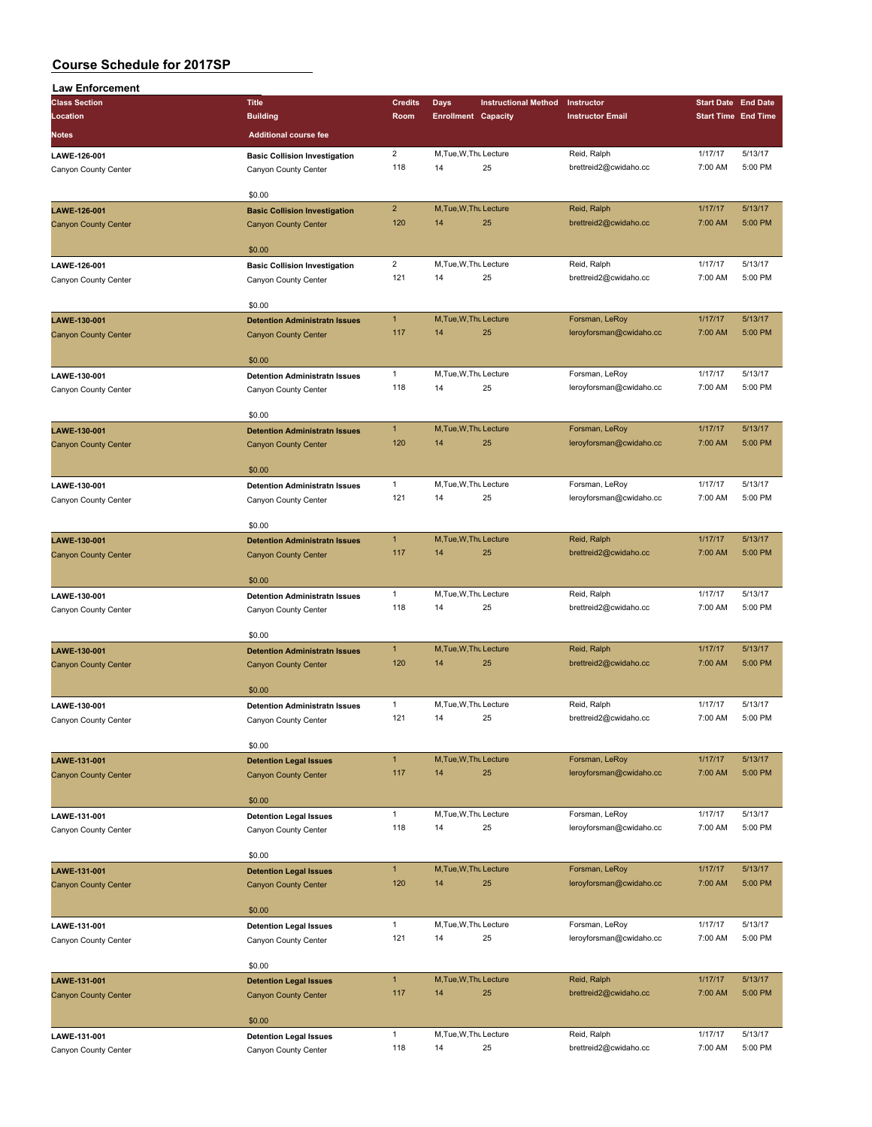| <b>Law Enforcement</b>      |                                                              |                     |                              |                             |                                      |                                                                                                                                                                                                                                                                                         |                    |
|-----------------------------|--------------------------------------------------------------|---------------------|------------------------------|-----------------------------|--------------------------------------|-----------------------------------------------------------------------------------------------------------------------------------------------------------------------------------------------------------------------------------------------------------------------------------------|--------------------|
| <b>Class Section</b>        | <b>Title</b>                                                 | <b>Credits</b>      | Days                         | <b>Instructional Method</b> | Instructor                           | <b>Start Date End Date</b>                                                                                                                                                                                                                                                              |                    |
| Location                    | <b>Building</b>                                              | Room                | <b>Enrollment Capacity</b>   |                             | <b>Instructor Email</b>              |                                                                                                                                                                                                                                                                                         |                    |
| Notes                       | <b>Additional course fee</b>                                 |                     |                              |                             |                                      |                                                                                                                                                                                                                                                                                         |                    |
| LAWE-126-001                |                                                              | $\overline{2}$      | M, Tue, W, Thu Lecture       |                             | Reid, Ralph                          |                                                                                                                                                                                                                                                                                         | 5/13/17            |
| Canyon County Center        | <b>Basic Collision Investigation</b><br>Canyon County Center | 118                 | 14                           | 25                          | brettreid2@cwidaho.cc                | 7:00 AM                                                                                                                                                                                                                                                                                 | 5:00 PM            |
|                             |                                                              |                     |                              |                             |                                      |                                                                                                                                                                                                                                                                                         |                    |
|                             | \$0.00                                                       |                     |                              |                             |                                      |                                                                                                                                                                                                                                                                                         |                    |
| LAWE-126-001                | <b>Basic Collision Investigation</b>                         | $\overline{2}$      | M, Tue, W, Thu Lecture       |                             | Reid, Ralph                          | 1/17/17                                                                                                                                                                                                                                                                                 | 5/13/17            |
| <b>Canyon County Center</b> | <b>Canyon County Center</b>                                  | 120                 | 14                           | 25                          | brettreid2@cwidaho.cc                | 7:00 AM                                                                                                                                                                                                                                                                                 | 5:00 PM            |
|                             |                                                              |                     |                              |                             |                                      |                                                                                                                                                                                                                                                                                         |                    |
|                             | \$0.00                                                       |                     |                              |                             |                                      |                                                                                                                                                                                                                                                                                         |                    |
| LAWE-126-001                | <b>Basic Collision Investigation</b>                         | $\overline{2}$      | M, Tue, W, Thu Lecture       |                             | Reid, Ralph                          |                                                                                                                                                                                                                                                                                         | 5/13/17<br>5:00 PM |
| Canyon County Center        | Canyon County Center                                         | 121                 | 14                           | 25                          | brettreid2@cwidaho.cc                |                                                                                                                                                                                                                                                                                         |                    |
|                             | \$0.00                                                       |                     |                              |                             |                                      |                                                                                                                                                                                                                                                                                         |                    |
| LAWE-130-001                | <b>Detention Administratn Issues</b>                         | $\mathbf{1}$        | M, Tue, W, Thu Lecture       |                             | Forsman, LeRoy                       |                                                                                                                                                                                                                                                                                         | 5/13/17            |
| <b>Canyon County Center</b> | <b>Canyon County Center</b>                                  | 117                 | 14                           | 25                          | leroyforsman@cwidaho.cc              | 7:00 AM                                                                                                                                                                                                                                                                                 | 5:00 PM            |
|                             |                                                              |                     |                              |                             |                                      |                                                                                                                                                                                                                                                                                         |                    |
|                             | \$0.00                                                       |                     |                              |                             |                                      |                                                                                                                                                                                                                                                                                         |                    |
| LAWE-130-001                | <b>Detention Administratn Issues</b>                         | $\mathbf{1}$        | M, Tue, W, Thu Lecture       |                             | Forsman, LeRoy                       | 1/17/17                                                                                                                                                                                                                                                                                 | 5/13/17            |
| Canyon County Center        | Canyon County Center                                         | 118                 | 14                           | 25                          | leroyforsman@cwidaho.cc              | 7:00 AM                                                                                                                                                                                                                                                                                 | 5:00 PM            |
|                             |                                                              |                     |                              |                             |                                      |                                                                                                                                                                                                                                                                                         |                    |
|                             | \$0.00                                                       |                     |                              |                             |                                      |                                                                                                                                                                                                                                                                                         |                    |
| LAWE-130-001                | <b>Detention Administratn Issues</b>                         | $\mathbf{1}$        | M, Tue, W, Thu Lecture       |                             | Forsman, LeRoy                       |                                                                                                                                                                                                                                                                                         | 5/13/17            |
| <b>Canyon County Center</b> | <b>Canyon County Center</b>                                  | 120                 | 14                           | 25                          | leroyforsman@cwidaho.cc              |                                                                                                                                                                                                                                                                                         | 5:00 PM            |
|                             | \$0.00                                                       |                     |                              |                             |                                      |                                                                                                                                                                                                                                                                                         |                    |
|                             |                                                              | $\mathbf{1}$        | M, Tue, W, Thu Lecture       |                             | Forsman, LeRoy                       |                                                                                                                                                                                                                                                                                         | 5/13/17            |
| LAWE-130-001                | <b>Detention Administratn Issues</b>                         | 121                 | 14                           | 25                          | leroyforsman@cwidaho.cc              |                                                                                                                                                                                                                                                                                         | 5:00 PM            |
| Canyon County Center        | Canyon County Center                                         |                     |                              |                             |                                      |                                                                                                                                                                                                                                                                                         |                    |
|                             | \$0.00                                                       |                     |                              |                             |                                      |                                                                                                                                                                                                                                                                                         |                    |
| LAWE-130-001                | <b>Detention Administratn Issues</b>                         | $\mathbf{1}$        | M, Tue, W, Thu Lecture       |                             | Reid, Ralph                          | 1/17/17                                                                                                                                                                                                                                                                                 | 5/13/17            |
| <b>Canyon County Center</b> | <b>Canyon County Center</b>                                  | 117                 | 14                           | 25                          | brettreid2@cwidaho.cc                | 7:00 AM                                                                                                                                                                                                                                                                                 | 5:00 PM            |
|                             |                                                              |                     |                              |                             |                                      |                                                                                                                                                                                                                                                                                         |                    |
|                             | \$0.00                                                       |                     |                              |                             |                                      |                                                                                                                                                                                                                                                                                         |                    |
| LAWE-130-001                | <b>Detention Administratn Issues</b>                         | $\mathbf{1}$        | M, Tue, W, Thu Lecture       |                             | Reid, Ralph                          | 1/17/17                                                                                                                                                                                                                                                                                 | 5/13/17            |
| Canyon County Center        | Canyon County Center                                         | 118                 | 14                           | 25                          | brettreid2@cwidaho.cc                | 7:00 AM                                                                                                                                                                                                                                                                                 | 5:00 PM            |
|                             |                                                              |                     |                              |                             |                                      |                                                                                                                                                                                                                                                                                         |                    |
|                             | \$0.00                                                       |                     |                              |                             |                                      |                                                                                                                                                                                                                                                                                         |                    |
| LAWE-130-001                | <b>Detention Administratn Issues</b>                         | $\mathbf{1}$<br>120 | M, Tue, W, Thu Lecture<br>14 | 25                          | Reid, Ralph                          |                                                                                                                                                                                                                                                                                         | 5/13/17<br>5:00 PM |
| <b>Canyon County Center</b> | <b>Canyon County Center</b>                                  |                     |                              |                             | brettreid2@cwidaho.cc                |                                                                                                                                                                                                                                                                                         |                    |
|                             | \$0.00                                                       |                     |                              |                             |                                      |                                                                                                                                                                                                                                                                                         |                    |
| LAWE-130-001                | <b>Detention Administratn Issues</b>                         | $\mathbf{1}$        | M, Tue, W, Thu Lecture       |                             | Reid, Ralph                          |                                                                                                                                                                                                                                                                                         | 5/13/17            |
| Canyon County Center        | Canyon County Center                                         | 121                 | 14                           | 25                          | brettreid2@cwidaho.cc                | 7:00 AM                                                                                                                                                                                                                                                                                 | 5:00 PM            |
|                             |                                                              |                     |                              |                             |                                      |                                                                                                                                                                                                                                                                                         |                    |
|                             | \$0.00                                                       |                     |                              |                             |                                      | <b>Start Time End Time</b><br>1/17/17<br>1/17/17<br>7:00 AM<br>1/17/17<br>1/17/17<br>7:00 AM<br>1/17/17<br>7:00 AM<br>1/17/17<br>7:00 AM<br>1/17/17<br>1/17/17<br>7:00 AM<br>1/17/17<br>7:00 AM<br>1/17/17<br>7:00 AM<br>1/17/17<br>7:00 AM<br>1/17/17<br>7:00 AM<br>1/17/17<br>7:00 AM |                    |
| LAWE-131-001                | <b>Detention Legal Issues</b>                                | $\mathbf{1}$        | M, Tue, W, Thu Lecture       |                             | Forsman, LeRoy                       |                                                                                                                                                                                                                                                                                         | 5/13/17            |
| <b>Canyon County Center</b> | <b>Canyon County Center</b>                                  | 117                 | 14                           | 25                          | leroyforsman@cwidaho.cc              |                                                                                                                                                                                                                                                                                         | 5:00 PM            |
|                             |                                                              |                     |                              |                             |                                      |                                                                                                                                                                                                                                                                                         |                    |
|                             | \$0.00                                                       |                     |                              |                             |                                      |                                                                                                                                                                                                                                                                                         |                    |
| LAWE-131-001                | <b>Detention Legal Issues</b>                                | $\mathbf{1}$        | M, Tue, W, Thu Lecture       |                             | Forsman, LeRoy                       |                                                                                                                                                                                                                                                                                         | 5/13/17            |
| Canyon County Center        | Canyon County Center                                         | 118                 | 14                           | 25                          | leroyforsman@cwidaho.cc              |                                                                                                                                                                                                                                                                                         | 5:00 PM            |
|                             | \$0.00                                                       |                     |                              |                             |                                      |                                                                                                                                                                                                                                                                                         |                    |
| LAWE-131-001                | <b>Detention Legal Issues</b>                                | 1                   | M, Tue, W, Thu Lecture       |                             | Forsman, LeRoy                       |                                                                                                                                                                                                                                                                                         | 5/13/17            |
| <b>Canyon County Center</b> | <b>Canyon County Center</b>                                  | 120                 | 14                           | 25                          | leroyforsman@cwidaho.cc              |                                                                                                                                                                                                                                                                                         | 5:00 PM            |
|                             |                                                              |                     |                              |                             |                                      |                                                                                                                                                                                                                                                                                         |                    |
|                             | \$0.00                                                       |                     |                              |                             |                                      |                                                                                                                                                                                                                                                                                         |                    |
| LAWE-131-001                | <b>Detention Legal Issues</b>                                | $\mathbf{1}$        | M, Tue, W, Thu Lecture       |                             | Forsman, LeRoy                       |                                                                                                                                                                                                                                                                                         | 5/13/17            |
| Canyon County Center        | Canyon County Center                                         | 121                 | 14                           | 25                          | leroyforsman@cwidaho.cc              |                                                                                                                                                                                                                                                                                         | 5:00 PM            |
|                             |                                                              |                     |                              |                             |                                      |                                                                                                                                                                                                                                                                                         |                    |
|                             | \$0.00                                                       |                     |                              |                             |                                      |                                                                                                                                                                                                                                                                                         |                    |
| LAWE-131-001                | <b>Detention Legal Issues</b>                                | $\mathbf{1}$        | M, Tue, W, Thu Lecture       |                             | Reid, Ralph                          |                                                                                                                                                                                                                                                                                         | 5/13/17            |
| <b>Canyon County Center</b> | <b>Canyon County Center</b>                                  | 117                 | 14                           | 25                          | brettreid2@cwidaho.cc                |                                                                                                                                                                                                                                                                                         | 5:00 PM            |
|                             |                                                              |                     |                              |                             |                                      |                                                                                                                                                                                                                                                                                         |                    |
|                             | \$0.00                                                       |                     |                              |                             |                                      |                                                                                                                                                                                                                                                                                         |                    |
| LAWE-131-001                | <b>Detention Legal Issues</b>                                | $\mathbf{1}$<br>118 | M, Tue, W, Thu Lecture<br>14 | 25                          | Reid, Ralph<br>brettreid2@cwidaho.cc |                                                                                                                                                                                                                                                                                         | 5/13/17<br>5:00 PM |
| Canyon County Center        | Canyon County Center                                         |                     |                              |                             |                                      |                                                                                                                                                                                                                                                                                         |                    |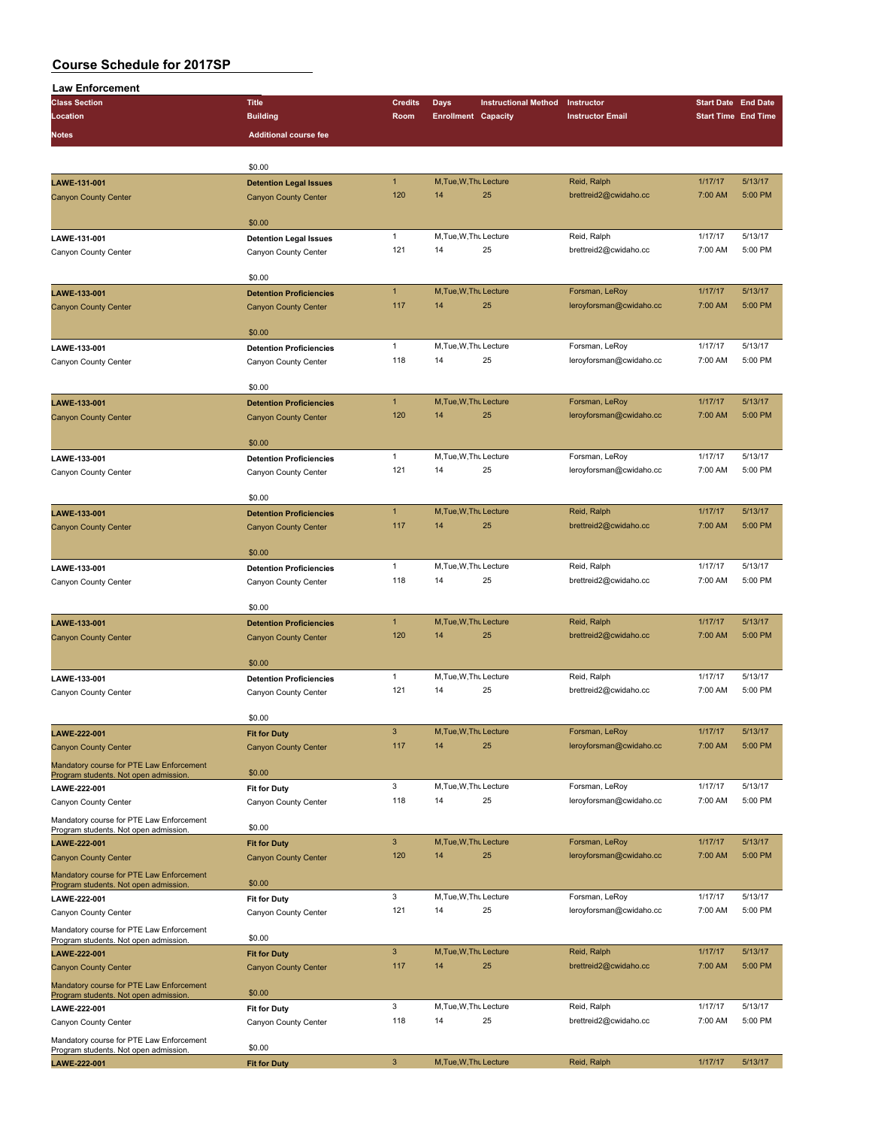| <b>Law Enforcement</b>                                                            |                                                    |                |                            |                             |                         |                            |         |
|-----------------------------------------------------------------------------------|----------------------------------------------------|----------------|----------------------------|-----------------------------|-------------------------|----------------------------|---------|
| <b>Class Section</b>                                                              | <b>Title</b>                                       | <b>Credits</b> | <b>Days</b>                | <b>Instructional Method</b> | Instructor              | <b>Start Date End Date</b> |         |
| Location                                                                          | <b>Building</b>                                    | Room           | <b>Enrollment Capacity</b> |                             | <b>Instructor Email</b> | <b>Start Time End Time</b> |         |
| <b>Notes</b>                                                                      | <b>Additional course fee</b>                       |                |                            |                             |                         |                            |         |
|                                                                                   |                                                    |                |                            |                             |                         |                            |         |
|                                                                                   | \$0.00                                             |                |                            |                             |                         |                            |         |
|                                                                                   |                                                    | $\mathbf{1}$   | M, Tue, W, Thu Lecture     |                             | Reid, Ralph             | 1/17/17                    | 5/13/17 |
| LAWE-131-001                                                                      | <b>Detention Legal Issues</b>                      | 120            | 14                         | 25                          | brettreid2@cwidaho.cc   | 7:00 AM                    | 5:00 PM |
| <b>Canyon County Center</b>                                                       | <b>Canyon County Center</b>                        |                |                            |                             |                         |                            |         |
|                                                                                   | \$0.00                                             |                |                            |                             |                         |                            |         |
| LAWE-131-001                                                                      | <b>Detention Legal Issues</b>                      | $\mathbf{1}$   | M, Tue, W, Thu Lecture     |                             | Reid, Ralph             | 1/17/17                    | 5/13/17 |
| Canyon County Center                                                              | Canyon County Center                               | 121            | 14                         | 25                          | brettreid2@cwidaho.cc   | 7:00 AM                    | 5:00 PM |
|                                                                                   |                                                    |                |                            |                             |                         |                            |         |
|                                                                                   | \$0.00                                             |                |                            |                             |                         |                            |         |
| LAWE-133-001                                                                      | <b>Detention Proficiencies</b>                     | $\mathbf{1}$   | M, Tue, W, Thu Lecture     |                             | Forsman, LeRoy          | 1/17/17                    | 5/13/17 |
| <b>Canyon County Center</b>                                                       | <b>Canyon County Center</b>                        | 117            | 14                         | 25                          | leroyforsman@cwidaho.cc | 7:00 AM                    | 5:00 PM |
|                                                                                   |                                                    |                |                            |                             |                         |                            |         |
|                                                                                   | \$0.00                                             |                |                            |                             |                         |                            |         |
| LAWE-133-001                                                                      | <b>Detention Proficiencies</b>                     | $\mathbf{1}$   | M, Tue, W, Thu Lecture     |                             | Forsman, LeRoy          | 1/17/17                    | 5/13/17 |
| Canyon County Center                                                              | Canyon County Center                               | 118            | 14                         | 25                          | leroyforsman@cwidaho.cc | 7:00 AM                    | 5:00 PM |
|                                                                                   |                                                    |                |                            |                             |                         |                            |         |
|                                                                                   | \$0.00                                             |                |                            |                             |                         |                            |         |
| LAWE-133-001                                                                      | <b>Detention Proficiencies</b>                     | $\mathbf{1}$   | M, Tue, W, Thu Lecture     |                             | Forsman, LeRoy          | 1/17/17                    | 5/13/17 |
| <b>Canyon County Center</b>                                                       | <b>Canyon County Center</b>                        | 120            | 14                         | 25                          | leroyforsman@cwidaho.cc | 7:00 AM                    | 5:00 PM |
|                                                                                   | \$0.00                                             |                |                            |                             |                         |                            |         |
|                                                                                   | <b>Detention Proficiencies</b>                     | $\mathbf{1}$   | M.Tue.W.Thu Lecture        |                             | Forsman, LeRoy          | 1/17/17                    | 5/13/17 |
| LAWE-133-001                                                                      |                                                    | 121            | 14                         | 25                          | leroyforsman@cwidaho.cc | 7:00 AM                    | 5:00 PM |
| Canyon County Center                                                              | Canyon County Center                               |                |                            |                             |                         |                            |         |
|                                                                                   | \$0.00                                             |                |                            |                             |                         |                            |         |
| LAWE-133-001                                                                      | <b>Detention Proficiencies</b>                     | $\mathbf{1}$   | M, Tue, W, Thu Lecture     |                             | Reid, Ralph             | 1/17/17                    | 5/13/17 |
| <b>Canyon County Center</b>                                                       | <b>Canyon County Center</b>                        | 117            | 14                         | 25                          | brettreid2@cwidaho.cc   | 7:00 AM                    | 5:00 PM |
|                                                                                   |                                                    |                |                            |                             |                         |                            |         |
|                                                                                   | \$0.00                                             |                |                            |                             |                         |                            |         |
| LAWE-133-001                                                                      | <b>Detention Proficiencies</b>                     | $\mathbf{1}$   | M, Tue, W, Thu Lecture     |                             | Reid, Ralph             | 1/17/17                    | 5/13/17 |
| Canyon County Center                                                              | Canyon County Center                               | 118            | 14                         | 25                          | brettreid2@cwidaho.cc   | 7:00 AM                    | 5:00 PM |
|                                                                                   |                                                    |                |                            |                             |                         |                            |         |
|                                                                                   | \$0.00                                             |                |                            |                             |                         |                            |         |
| LAWE-133-001                                                                      | <b>Detention Proficiencies</b>                     | $\mathbf{1}$   | M, Tue, W, Thu Lecture     |                             | Reid, Ralph             | 1/17/17                    | 5/13/17 |
| <b>Canyon County Center</b>                                                       | <b>Canyon County Center</b>                        | 120            | 14                         | 25                          | brettreid2@cwidaho.cc   | 7:00 AM                    | 5:00 PM |
|                                                                                   |                                                    |                |                            |                             |                         |                            |         |
|                                                                                   | \$0.00                                             |                | M.Tue.W.Thu Lecture        |                             |                         |                            |         |
| LAWE-133-001                                                                      | <b>Detention Proficiencies</b>                     | $\mathbf{1}$   |                            |                             | Reid, Ralph             | 1/17/17                    | 5/13/17 |
| Canyon County Center                                                              | Canyon County Center                               | 121            | 14                         | 25                          | brettreid2@cwidaho.cc   | 7:00 AM                    | 5:00 PM |
|                                                                                   | \$0.00                                             |                |                            |                             |                         |                            |         |
| LAWE-222-001                                                                      |                                                    | 3              | M, Tue, W, Thu Lecture     |                             | Forsman, LeRoy          | 1/17/17                    | 5/13/17 |
| <b>Canyon County Center</b>                                                       | <b>Fit for Duty</b><br><b>Canyon County Center</b> | 117            | 14                         | 25                          | leroyforsman@cwidaho.cc | 7:00 AM                    | 5:00 PM |
|                                                                                   |                                                    |                |                            |                             |                         |                            |         |
| Mandatory course for PTE Law Enforcement<br>Program students. Not open admission. | \$0.00                                             |                |                            |                             |                         |                            |         |
| LAWE-222-001                                                                      | <b>Fit for Duty</b>                                | 3              | M, Tue, W, Thu Lecture     |                             | Forsman, LeRoy          | 1/17/17                    | 5/13/17 |
| Canyon County Center                                                              | Canyon County Center                               | 118            | 14                         | 25                          | leroyforsman@cwidaho.cc | 7:00 AM                    | 5:00 PM |
| Mandatory course for PTE Law Enforcement                                          |                                                    |                |                            |                             |                         |                            |         |
| Program students. Not open admission.                                             | \$0.00                                             |                |                            |                             |                         |                            |         |
| LAWE-222-001                                                                      | <b>Fit for Duty</b>                                | 3              | M.Tue.W.Thu Lecture        |                             | Forsman, LeRoy          | 1/17/17                    | 5/13/17 |
| <b>Canyon County Center</b>                                                       | <b>Canyon County Center</b>                        | 120            | 14                         | 25                          | leroyforsman@cwidaho.cc | 7:00 AM                    | 5:00 PM |
| Mandatory course for PTE Law Enforcement                                          |                                                    |                |                            |                             |                         |                            |         |
| Program students. Not open admission.                                             | \$0.00                                             |                |                            |                             |                         |                            |         |
| LAWE-222-001                                                                      | <b>Fit for Duty</b>                                | 3              | M, Tue, W, Thu Lecture     |                             | Forsman, LeRoy          | 1/17/17                    | 5/13/17 |
| Canyon County Center                                                              | Canyon County Center                               | 121            | 14                         | 25                          | leroyforsman@cwidaho.cc | 7:00 AM                    | 5:00 PM |
| Mandatory course for PTE Law Enforcement                                          | \$0.00                                             |                |                            |                             |                         |                            |         |
| Program students. Not open admission.                                             |                                                    | $\mathbf{3}$   | M, Tue, W, Thu Lecture     |                             | Reid, Ralph             | 1/17/17                    | 5/13/17 |
| LAWE-222-001                                                                      | <b>Fit for Duty</b>                                | 117            | 14                         | 25                          | brettreid2@cwidaho.cc   | 7:00 AM                    | 5:00 PM |
| <b>Canyon County Center</b>                                                       | <b>Canyon County Center</b>                        |                |                            |                             |                         |                            |         |
| Mandatory course for PTE Law Enforcement                                          | \$0.00                                             |                |                            |                             |                         |                            |         |
| Program students. Not open admission.<br>LAWE-222-001                             | <b>Fit for Duty</b>                                | 3              | M, Tue, W, Thu Lecture     |                             | Reid, Ralph             | 1/17/17                    | 5/13/17 |
| Canyon County Center                                                              | Canyon County Center                               | 118            | 14                         | 25                          | brettreid2@cwidaho.cc   | 7:00 AM                    | 5:00 PM |
|                                                                                   |                                                    |                |                            |                             |                         |                            |         |
| Mandatory course for PTE Law Enforcement<br>Program students. Not open admission. | \$0.00                                             |                |                            |                             |                         |                            |         |
| LAWE-222-001                                                                      | <b>Fit for Duty</b>                                | 3              | M, Tue, W, Thu Lecture     |                             | Reid, Ralph             | 1/17/17                    | 5/13/17 |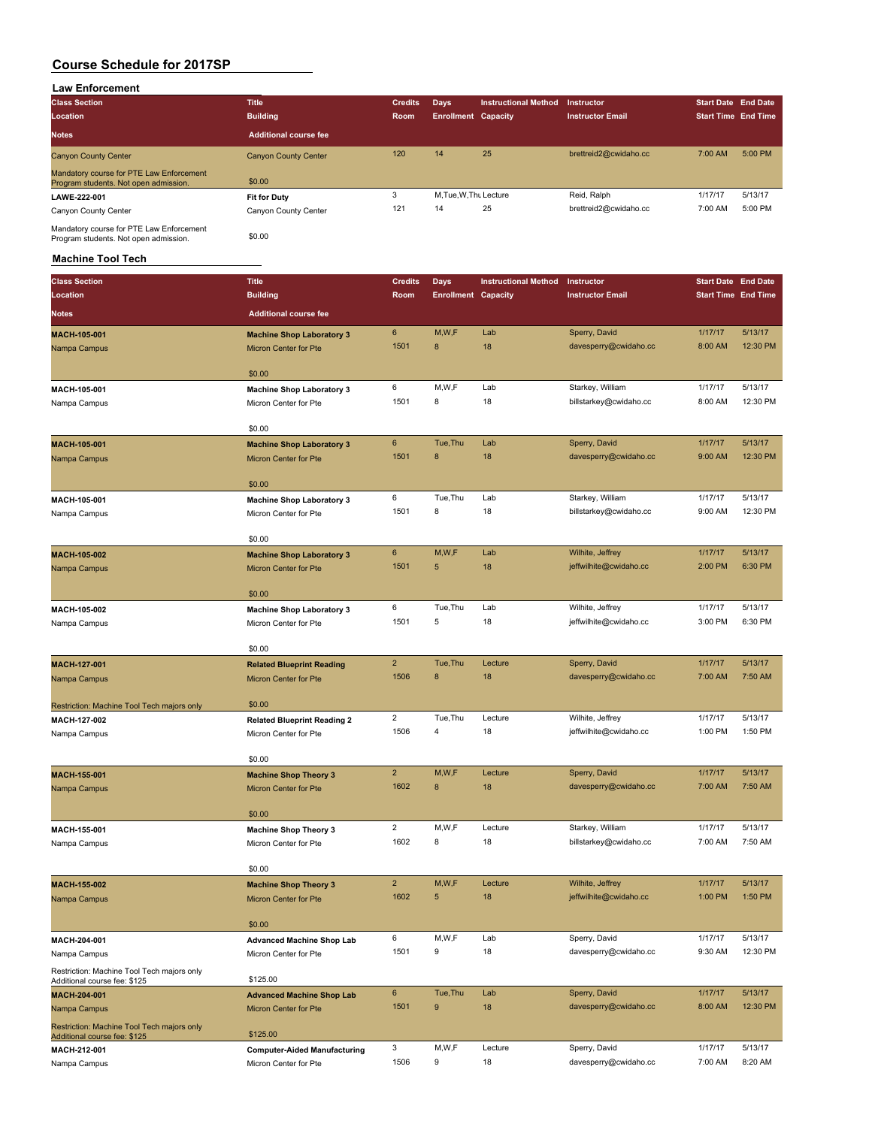### **Law Enforcement**

| <b>Class Section</b>                                                              | <b>Title</b>                 | <b>Credits</b> | Days                       | <b>Instructional Method</b> | <b>Instructor</b>       | <b>Start Date End Date</b> |         |
|-----------------------------------------------------------------------------------|------------------------------|----------------|----------------------------|-----------------------------|-------------------------|----------------------------|---------|
| Location                                                                          | <b>Building</b>              | <b>Room</b>    | <b>Enrollment Capacity</b> |                             | <b>Instructor Email</b> | <b>Start Time End Time</b> |         |
| <b>Notes</b>                                                                      | <b>Additional course fee</b> |                |                            |                             |                         |                            |         |
| <b>Canyon County Center</b>                                                       | <b>Canyon County Center</b>  | 120            | 14                         | 25                          | brettreid2@cwidaho.cc   | 7:00 AM                    | 5:00 PM |
| Mandatory course for PTE Law Enforcement<br>Program students. Not open admission. | \$0.00                       |                |                            |                             |                         |                            |         |
| LAWE-222-001                                                                      | <b>Fit for Duty</b>          | 3              | M, Tue, W, Thu Lecture     |                             | Reid, Ralph             | 1/17/17                    | 5/13/17 |
| Canyon County Center                                                              | Canyon County Center         | 121            | 14                         | 25                          | brettreid2@cwidaho.cc   | 7:00 AM                    | 5:00 PM |
| Mandatory course for PTE Law Enforcement<br>Program students. Not open admission. | \$0.00                       |                |                            |                             |                         |                            |         |

# **Machine Tool Tech**

| <b>Class Section</b>                                                       | <b>Title</b>                                                 | <b>Credits</b>   | <b>Days</b>                | <b>Instructional Method</b> | Instructor                             | <b>Start Date End Date</b> |          |
|----------------------------------------------------------------------------|--------------------------------------------------------------|------------------|----------------------------|-----------------------------|----------------------------------------|----------------------------|----------|
| Location                                                                   | <b>Building</b>                                              | Room             | <b>Enrollment Capacity</b> |                             | <b>Instructor Email</b>                | <b>Start Time End Time</b> |          |
| <b>Notes</b>                                                               | <b>Additional course fee</b>                                 |                  |                            |                             |                                        |                            |          |
|                                                                            |                                                              |                  |                            |                             |                                        |                            |          |
| MACH-105-001                                                               | <b>Machine Shop Laboratory 3</b>                             | 6                | M,W,F                      | Lab                         | Sperry, David<br>davesperry@cwidaho.cc | 1/17/17                    | 5/13/17  |
| Nampa Campus                                                               | Micron Center for Pte                                        | 1501             | 8                          | 18                          |                                        | 8:00 AM                    | 12:30 PM |
|                                                                            | \$0.00                                                       |                  |                            |                             |                                        |                            |          |
| MACH-105-001                                                               | <b>Machine Shop Laboratory 3</b>                             | 6                | M, W, F                    | Lab                         | Starkey, William                       | 1/17/17                    | 5/13/17  |
| Nampa Campus                                                               | Micron Center for Pte                                        | 1501             | 8                          | 18                          | billstarkey@cwidaho.cc                 | 8:00 AM                    | 12:30 PM |
|                                                                            |                                                              |                  |                            |                             |                                        |                            |          |
|                                                                            | \$0.00                                                       |                  |                            |                             |                                        |                            |          |
| MACH-105-001                                                               | <b>Machine Shop Laboratory 3</b>                             | 6                | Tue, Thu                   | Lab                         | Sperry, David                          | 1/17/17                    | 5/13/17  |
| Nampa Campus                                                               | <b>Micron Center for Pte</b>                                 | 1501             | 8                          | 18                          | davesperry@cwidaho.cc                  | 9:00 AM                    | 12:30 PM |
|                                                                            | \$0.00                                                       |                  |                            |                             |                                        |                            |          |
| MACH-105-001                                                               | <b>Machine Shop Laboratory 3</b>                             | 6                | Tue, Thu                   | Lab                         | Starkey, William                       | 1/17/17                    | 5/13/17  |
| Nampa Campus                                                               | Micron Center for Pte                                        | 1501             | 8                          | 18                          | billstarkey@cwidaho.cc                 | 9:00 AM                    | 12:30 PM |
|                                                                            |                                                              |                  |                            |                             |                                        |                            |          |
| MACH-105-002                                                               | \$0.00<br><b>Machine Shop Laboratory 3</b>                   | $\boldsymbol{6}$ | M,W,F                      | Lab                         | Wilhite, Jeffrey                       | 1/17/17                    | 5/13/17  |
| Nampa Campus                                                               | <b>Micron Center for Pte</b>                                 | 1501             | 5                          | 18                          | jeffwilhite@cwidaho.cc                 | 2:00 PM                    | 6:30 PM  |
|                                                                            |                                                              |                  |                            |                             |                                        |                            |          |
|                                                                            | \$0.00                                                       |                  |                            |                             |                                        |                            |          |
| MACH-105-002                                                               | <b>Machine Shop Laboratory 3</b>                             | 6                | Tue, Thu                   | Lab                         | Wilhite, Jeffrey                       | 1/17/17                    | 5/13/17  |
| Nampa Campus                                                               | Micron Center for Pte                                        | 1501             | 5                          | 18                          | jeffwilhite@cwidaho.cc                 | 3:00 PM                    | 6:30 PM  |
|                                                                            | \$0.00                                                       |                  |                            |                             |                                        |                            |          |
| <b>MACH-127-001</b>                                                        | <b>Related Blueprint Reading</b>                             | $\overline{2}$   | Tue, Thu                   | Lecture                     | Sperry, David                          | 1/17/17                    | 5/13/17  |
| Nampa Campus                                                               | Micron Center for Pte                                        | 1506             | 8                          | 18                          | davesperry@cwidaho.cc                  | 7:00 AM                    | 7:50 AM  |
|                                                                            |                                                              |                  |                            |                             |                                        |                            |          |
| Restriction: Machine Tool Tech majors only                                 | \$0.00                                                       |                  |                            |                             |                                        |                            |          |
| MACH-127-002                                                               | <b>Related Blueprint Reading 2</b>                           | $\overline{c}$   | Tue, Thu                   | Lecture                     | Wilhite, Jeffrey                       | 1/17/17                    | 5/13/17  |
| Nampa Campus                                                               | Micron Center for Pte                                        | 1506             | 4                          | 18                          | jeffwilhite@cwidaho.cc                 | 1:00 PM                    | 1:50 PM  |
|                                                                            | \$0.00                                                       |                  |                            |                             |                                        |                            |          |
| MACH-155-001                                                               |                                                              | $\overline{2}$   | M,W,F                      | Lecture                     | Sperry, David                          | 1/17/17                    | 5/13/17  |
| Nampa Campus                                                               | <b>Machine Shop Theory 3</b><br><b>Micron Center for Pte</b> | 1602             | 8                          | 18                          | davesperry@cwidaho.cc                  | 7:00 AM                    | 7:50 AM  |
|                                                                            |                                                              |                  |                            |                             |                                        |                            |          |
|                                                                            | \$0.00                                                       |                  |                            |                             |                                        |                            |          |
| MACH-155-001                                                               | <b>Machine Shop Theory 3</b>                                 | $\overline{c}$   | M, W, F                    | Lecture                     | Starkey, William                       | 1/17/17                    | 5/13/17  |
| Nampa Campus                                                               | Micron Center for Pte                                        | 1602             | 8                          | 18                          | billstarkey@cwidaho.cc                 | 7:00 AM                    | 7:50 AM  |
|                                                                            | \$0.00                                                       |                  |                            |                             |                                        |                            |          |
| <b>MACH-155-002</b>                                                        | <b>Machine Shop Theory 3</b>                                 | $\overline{2}$   | M,W,F                      | Lecture                     | Wilhite, Jeffrey                       | 1/17/17                    | 5/13/17  |
| Nampa Campus                                                               | <b>Micron Center for Pte</b>                                 | 1602             | 5                          | 18                          | jeffwilhite@cwidaho.cc                 | 1:00 PM                    | 1:50 PM  |
|                                                                            |                                                              |                  |                            |                             |                                        |                            |          |
|                                                                            | \$0.00                                                       |                  |                            |                             |                                        |                            |          |
| MACH-204-001                                                               | <b>Advanced Machine Shop Lab</b>                             | 6                | M, W, F                    | Lab                         | Sperry, David                          | 1/17/17                    | 5/13/17  |
| Nampa Campus                                                               | Micron Center for Pte                                        | 1501             | 9                          | 18                          | davesperry@cwidaho.cc                  | 9:30 AM                    | 12:30 PM |
| Restriction: Machine Tool Tech majors only<br>Additional course fee: \$125 | \$125.00                                                     |                  |                            |                             |                                        |                            |          |
| MACH-204-001                                                               | <b>Advanced Machine Shop Lab</b>                             | 6                | Tue, Thu                   | Lab                         | Sperry, David                          | 1/17/17                    | 5/13/17  |
| Nampa Campus                                                               | Micron Center for Pte                                        | 1501             | 9                          | 18                          | davesperry@cwidaho.cc                  | 8:00 AM                    | 12:30 PM |
| Restriction: Machine Tool Tech majors only                                 |                                                              |                  |                            |                             |                                        |                            |          |
| Additional course fee: \$125                                               | \$125.00                                                     |                  |                            |                             |                                        |                            |          |
| MACH-212-001                                                               | <b>Computer-Aided Manufacturing</b>                          | 3                | M,W,F                      | Lecture                     | Sperry, David                          | 1/17/17                    | 5/13/17  |
| Nampa Campus                                                               | Micron Center for Pte                                        | 1506             | 9                          | 18                          | davesperry@cwidaho.cc                  | 7:00 AM                    | 8:20 AM  |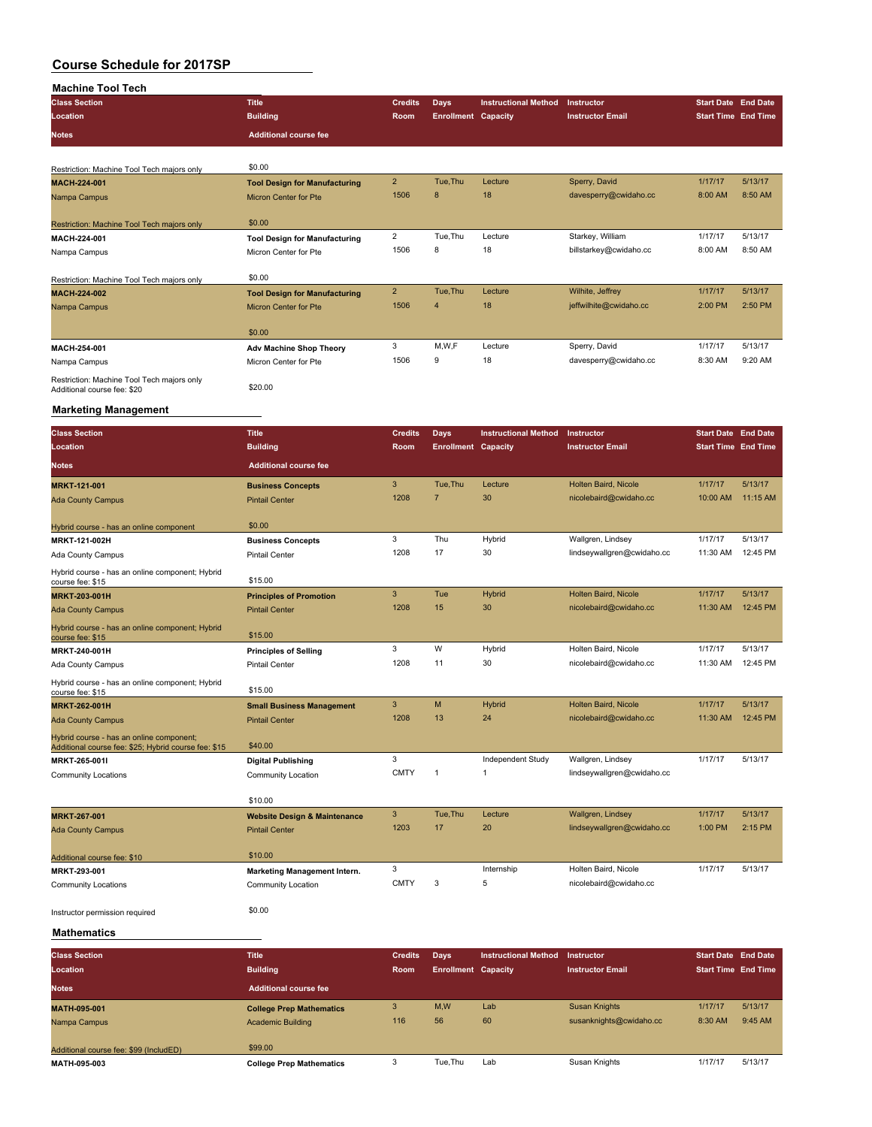| <b>Machine Tool Tech</b>                                                  |                                         |                           |                            |                             |                            |                            |                            |
|---------------------------------------------------------------------------|-----------------------------------------|---------------------------|----------------------------|-----------------------------|----------------------------|----------------------------|----------------------------|
| <b>Class Section</b>                                                      | <b>Title</b>                            | <b>Credits</b>            | Days                       | <b>Instructional Method</b> | Instructor                 | <b>Start Date End Date</b> |                            |
| Location                                                                  | <b>Building</b>                         | Room                      | <b>Enrollment Capacity</b> |                             | <b>Instructor Email</b>    | <b>Start Time End Time</b> |                            |
| <b>Notes</b>                                                              | <b>Additional course fee</b>            |                           |                            |                             |                            |                            |                            |
|                                                                           |                                         |                           |                            |                             |                            |                            |                            |
|                                                                           | \$0.00                                  |                           |                            |                             |                            |                            |                            |
| Restriction: Machine Tool Tech majors only                                |                                         | $\overline{\mathbf{c}}$   |                            |                             |                            | 1/17/17                    | 5/13/17                    |
| <b>MACH-224-001</b>                                                       | <b>Tool Design for Manufacturing</b>    | 1506                      | Tue, Thu<br>8              | Lecture<br>18               | Sperry, David              |                            | 8:50 AM                    |
| Nampa Campus                                                              | <b>Micron Center for Pte</b>            |                           |                            |                             | davesperry@cwidaho.cc      | 8:00 AM                    |                            |
|                                                                           | \$0.00                                  |                           |                            |                             |                            |                            |                            |
| Restriction: Machine Tool Tech majors only<br>MACH-224-001                | <b>Tool Design for Manufacturing</b>    | 2                         | Tue, Thu                   | Lecture                     | Starkey, William           | 1/17/17                    | 5/13/17                    |
|                                                                           | Micron Center for Pte                   | 1506                      | 8                          | 18                          | billstarkey@cwidaho.cc     | 8:00 AM                    | 8:50 AM                    |
| Nampa Campus                                                              |                                         |                           |                            |                             |                            |                            |                            |
| Restriction: Machine Tool Tech majors only                                | \$0.00                                  |                           |                            |                             |                            |                            |                            |
| MACH-224-002                                                              | <b>Tool Design for Manufacturing</b>    | $\overline{\mathbf{c}}$   | Tue, Thu                   | Lecture                     | Wilhite, Jeffrey           | 1/17/17                    | 5/13/17                    |
| Nampa Campus                                                              | <b>Micron Center for Pte</b>            | 1506                      | $\overline{4}$             | 18                          | jeffwilhite@cwidaho.cc     | 2:00 PM                    | 2:50 PM                    |
|                                                                           |                                         |                           |                            |                             |                            |                            |                            |
|                                                                           | \$0.00                                  |                           |                            |                             |                            |                            |                            |
| MACH-254-001                                                              | <b>Adv Machine Shop Theory</b>          | 3                         | M, W, F                    | Lecture                     | Sperry, David              | 1/17/17                    | 5/13/17                    |
| Nampa Campus                                                              | Micron Center for Pte                   | 1506                      | 9                          | 18                          | davesperry@cwidaho.cc      | 8:30 AM                    | 9:20 AM                    |
|                                                                           |                                         |                           |                            |                             |                            |                            |                            |
| Restriction: Machine Tool Tech majors only<br>Additional course fee: \$20 | \$20.00                                 |                           |                            |                             |                            |                            |                            |
|                                                                           |                                         |                           |                            |                             |                            |                            |                            |
| <b>Marketing Management</b>                                               |                                         |                           |                            |                             |                            |                            |                            |
| <b>Class Section</b>                                                      | <b>Title</b>                            | <b>Credits</b>            | <b>Days</b>                | <b>Instructional Method</b> | Instructor                 | <b>Start Date End Date</b> |                            |
| Location                                                                  | <b>Building</b>                         | Room                      | <b>Enrollment Capacity</b> |                             | <b>Instructor Email</b>    | <b>Start Time End Time</b> |                            |
|                                                                           |                                         |                           |                            |                             |                            |                            |                            |
| <b>Notes</b>                                                              | <b>Additional course fee</b>            |                           |                            |                             |                            |                            |                            |
| <b>MRKT-121-001</b>                                                       | <b>Business Concepts</b>                | 3                         | Tue, Thu                   | Lecture                     | Holten Baird, Nicole       | 1/17/17                    | 5/13/17                    |
| <b>Ada County Campus</b>                                                  | <b>Pintail Center</b>                   | 1208                      | $\overline{7}$             | 30                          | nicolebaird@cwidaho.cc     | 10:00 AM                   | 11:15 AM                   |
|                                                                           |                                         |                           |                            |                             |                            |                            |                            |
| Hybrid course - has an online component                                   | \$0.00                                  |                           |                            |                             |                            |                            |                            |
| MRKT-121-002H                                                             | <b>Business Concepts</b>                | 3                         | Thu                        | Hybrid                      | Wallgren, Lindsey          | 1/17/17                    | 5/13/17                    |
| Ada County Campus                                                         | <b>Pintail Center</b>                   | 1208                      | 17                         | 30                          | lindseywallgren@cwidaho.cc | 11:30 AM                   | 12:45 PM                   |
| Hybrid course - has an online component; Hybrid                           |                                         |                           |                            |                             |                            |                            |                            |
| course fee: \$15                                                          | \$15.00                                 |                           |                            |                             |                            |                            |                            |
| <b>MRKT-203-001H</b>                                                      | <b>Principles of Promotion</b>          | 3                         | Tue                        | Hybrid                      | Holten Baird, Nicole       | 1/17/17                    | 5/13/17                    |
| <b>Ada County Campus</b>                                                  | <b>Pintail Center</b>                   | 1208                      | 15                         | 30                          | nicolebaird@cwidaho.cc     | 11:30 AM                   | 12:45 PM                   |
| Hybrid course - has an online component; Hybrid                           |                                         |                           |                            |                             |                            |                            |                            |
| course fee: \$15                                                          | \$15.00                                 |                           |                            |                             |                            |                            |                            |
| MRKT-240-001H                                                             | <b>Principles of Selling</b>            | 3                         | W                          | Hybrid                      | Holten Baird, Nicole       | 1/17/17                    | 5/13/17                    |
| Ada County Campus                                                         | <b>Pintail Center</b>                   | 1208                      | 11                         | 30                          | nicolebaird@cwidaho.cc     | 11:30 AM                   | 12:45 PM                   |
| Hybrid course - has an online component; Hybrid                           |                                         |                           |                            |                             |                            |                            |                            |
| course fee: \$15                                                          | \$15.00                                 | 3                         | M                          | Hybrid                      | Holten Baird, Nicole       | 1/17/17                    | 5/13/17                    |
| <b>MRKT-262-001H</b>                                                      | <b>Small Business Management</b>        | 1208                      | 13                         | 24                          | nicolebaird@cwidaho.cc     | 11:30 AM                   | 12:45 PM                   |
| <b>Ada County Campus</b>                                                  | <b>Pintail Center</b>                   |                           |                            |                             |                            |                            |                            |
| Hybrid course - has an online component;                                  | \$40.00                                 |                           |                            |                             |                            |                            |                            |
| Additional course fee: \$25; Hybrid course fee: \$15<br>MRKT-265-001I     | <b>Digital Publishing</b>               | 3                         |                            | Independent Study           | Wallgren, Lindsey          | 1/17/17                    | 5/13/17                    |
|                                                                           | Community Location                      | <b>CMTY</b>               | $\mathbf{1}$               | $\mathbf{1}$                | lindseywallgren@cwidaho.cc |                            |                            |
| <b>Community Locations</b>                                                |                                         |                           |                            |                             |                            |                            |                            |
|                                                                           | \$10.00                                 |                           |                            |                             |                            |                            |                            |
| <b>MRKT-267-001</b>                                                       | <b>Website Design &amp; Maintenance</b> | $\ensuremath{\mathsf{3}}$ | Tue, Thu                   | Lecture                     | Wallgren, Lindsey          | 1/17/17                    | 5/13/17                    |
| <b>Ada County Campus</b>                                                  | <b>Pintail Center</b>                   | 1203                      | 17                         | 20                          | lindseywallgren@cwidaho.cc | 1:00 PM                    | 2:15 PM                    |
|                                                                           |                                         |                           |                            |                             |                            |                            |                            |
| Additional course fee: \$10                                               | \$10.00                                 |                           |                            |                             |                            |                            |                            |
| MRKT-293-001                                                              | Marketing Management Intern.            | 3                         |                            | Internship                  | Holten Baird, Nicole       | 1/17/17                    | 5/13/17                    |
| <b>Community Locations</b>                                                | Community Location                      | <b>CMTY</b>               | 3                          | 5                           | nicolebaird@cwidaho.cc     |                            |                            |
|                                                                           |                                         |                           |                            |                             |                            |                            |                            |
| Instructor permission required                                            | \$0.00                                  |                           |                            |                             |                            |                            |                            |
|                                                                           |                                         |                           |                            |                             |                            |                            |                            |
| <b>Mathematics</b>                                                        |                                         |                           |                            |                             |                            |                            |                            |
| <b>Class Section</b>                                                      | <b>Title</b>                            | <b>Credits</b>            | <b>Days</b>                | <b>Instructional Method</b> | Instructor                 | <b>Start Date End Date</b> |                            |
| Location                                                                  | <b>Building</b>                         | Room                      | <b>Enrollment Canacity</b> |                             | <b>Instructor Email</b>    |                            | <b>Start Time Fnd Time</b> |

| ------------                           |                                 |             |                            |     |                         |                            |         |
|----------------------------------------|---------------------------------|-------------|----------------------------|-----|-------------------------|----------------------------|---------|
| Location                               | <b>Building</b>                 | <b>Room</b> | <b>Enrollment Capacity</b> |     | <b>Instructor Email</b> | <b>Start Time End Time</b> |         |
| <b>Notes</b>                           | <b>Additional course fee</b>    |             |                            |     |                         |                            |         |
| MATH-095-001                           | <b>College Prep Mathematics</b> | 3           | M,W                        | Lab | <b>Susan Knights</b>    | 1/17/17                    | 5/13/17 |
| Nampa Campus                           | <b>Academic Building</b>        | 116         | 56                         | 60  | susanknights@cwidaho.cc | 8:30 AM                    | 9:45 AM |
| Additional course fee: \$99 (IncludED) | \$99.00                         |             |                            |     |                         |                            |         |
| MATH-095-003                           | <b>College Prep Mathematics</b> |             | Tue.Thu                    | Lab | Susan Knights           | 1/17/17                    | 5/13/17 |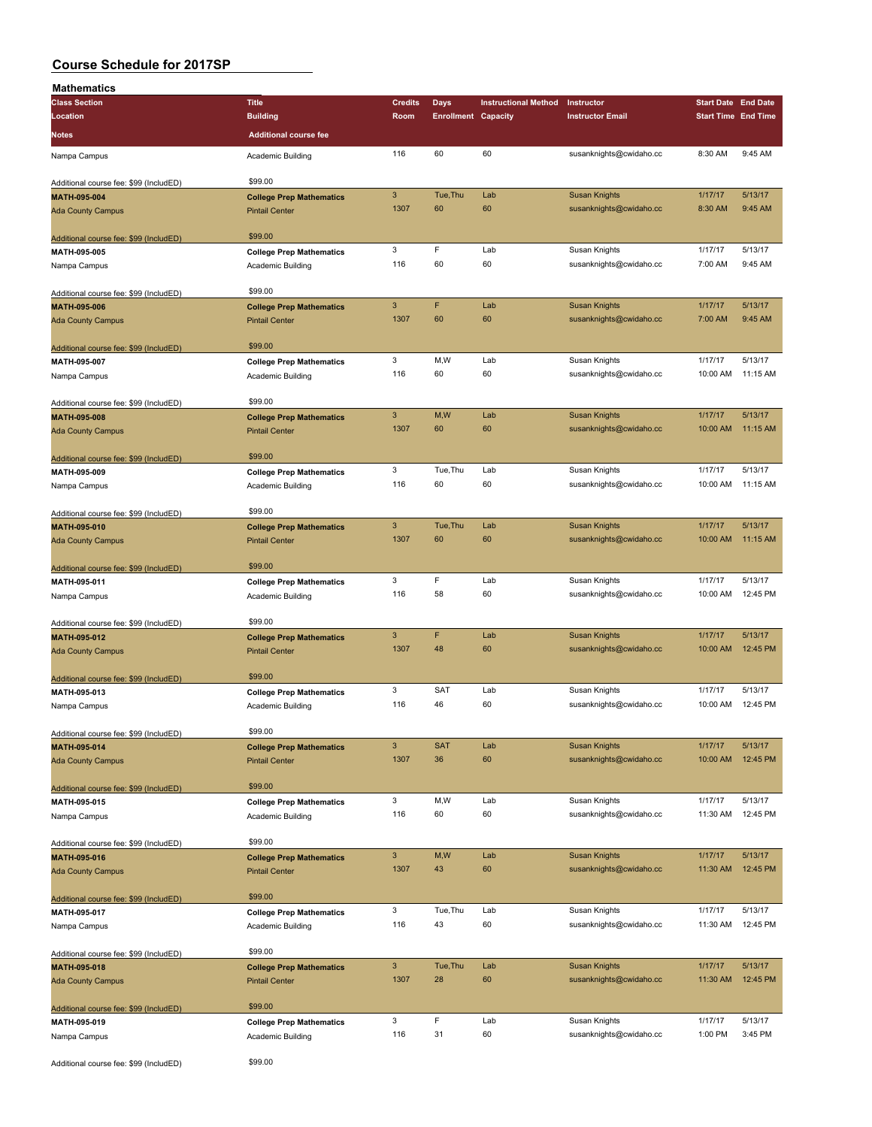| Mathematics                            |                                 |                           |                            |                             |                         |                            |          |
|----------------------------------------|---------------------------------|---------------------------|----------------------------|-----------------------------|-------------------------|----------------------------|----------|
| <b>Class Section</b>                   | <b>Title</b>                    | <b>Credits</b>            | <b>Days</b>                | <b>Instructional Method</b> | Instructor              | <b>Start Date End Date</b> |          |
| Location                               | <b>Building</b>                 | Room                      | <b>Enrollment Capacity</b> |                             | <b>Instructor Email</b> | <b>Start Time End Time</b> |          |
| <b>Notes</b>                           | <b>Additional course fee</b>    |                           |                            |                             |                         |                            |          |
|                                        |                                 |                           |                            |                             |                         |                            |          |
| Nampa Campus                           | <b>Academic Building</b>        | 116                       | 60                         | 60                          | susanknights@cwidaho.cc | 8:30 AM                    | 9:45 AM  |
|                                        | \$99.00                         |                           |                            |                             |                         |                            |          |
| Additional course fee: \$99 (IncludED) |                                 | $\ensuremath{\mathsf{3}}$ | Tue, Thu                   | Lab                         | <b>Susan Knights</b>    | 1/17/17                    | 5/13/17  |
| MATH-095-004                           | <b>College Prep Mathematics</b> | 1307                      | 60                         | 60                          |                         |                            | 9:45 AM  |
| <b>Ada County Campus</b>               | <b>Pintail Center</b>           |                           |                            |                             | susanknights@cwidaho.cc | 8:30 AM                    |          |
| Additional course fee: \$99 (IncludED) | \$99.00                         |                           |                            |                             |                         |                            |          |
| MATH-095-005                           | <b>College Prep Mathematics</b> | 3                         | F                          | Lab                         | Susan Knights           | 1/17/17                    | 5/13/17  |
| Nampa Campus                           | Academic Building               | 116                       | 60                         | 60                          | susanknights@cwidaho.cc | 7:00 AM                    | 9:45 AM  |
|                                        |                                 |                           |                            |                             |                         |                            |          |
| Additional course fee: \$99 (IncludED) | \$99.00                         |                           |                            |                             |                         |                            |          |
| MATH-095-006                           | <b>College Prep Mathematics</b> | 3                         | F                          | Lab                         | <b>Susan Knights</b>    | 1/17/17                    | 5/13/17  |
| <b>Ada County Campus</b>               | <b>Pintail Center</b>           | 1307                      | 60                         | 60                          | susanknights@cwidaho.cc | 7:00 AM                    | 9:45 AM  |
|                                        |                                 |                           |                            |                             |                         |                            |          |
| Additional course fee: \$99 (IncludED) | \$99.00                         |                           |                            |                             |                         |                            |          |
| MATH-095-007                           | <b>College Prep Mathematics</b> | 3                         | M,W                        | Lab                         | Susan Knights           | 1/17/17                    | 5/13/17  |
| Nampa Campus                           | Academic Building               | 116                       | 60                         | 60                          | susanknights@cwidaho.cc | 10:00 AM                   | 11:15 AM |
|                                        |                                 |                           |                            |                             |                         |                            |          |
| Additional course fee: \$99 (IncludED) | \$99.00                         |                           |                            |                             |                         |                            |          |
| MATH-095-008                           | <b>College Prep Mathematics</b> | 3                         | M,W                        | Lab                         | <b>Susan Knights</b>    | 1/17/17                    | 5/13/17  |
| <b>Ada County Campus</b>               | <b>Pintail Center</b>           | 1307                      | 60                         | 60                          | susanknights@cwidaho.cc | 10:00 AM                   | 11:15 AM |
|                                        |                                 |                           |                            |                             |                         |                            |          |
| Additional course fee: \$99 (IncludED) | \$99.00                         |                           |                            |                             |                         |                            |          |
| MATH-095-009                           | <b>College Prep Mathematics</b> | 3                         | Tue, Thu                   | Lab                         | Susan Knights           | 1/17/17                    | 5/13/17  |
| Nampa Campus                           | Academic Building               | 116                       | 60                         | 60                          | susanknights@cwidaho.cc | 10:00 AM                   | 11:15 AM |
|                                        |                                 |                           |                            |                             |                         |                            |          |
| Additional course fee: \$99 (IncludED) | \$99.00                         |                           |                            |                             |                         |                            |          |
| MATH-095-010                           | <b>College Prep Mathematics</b> | 3                         | Tue, Thu                   | Lab                         | <b>Susan Knights</b>    | 1/17/17                    | 5/13/17  |
| <b>Ada County Campus</b>               | <b>Pintail Center</b>           | 1307                      | 60                         | 60                          | susanknights@cwidaho.cc | 10:00 AM                   | 11:15 AM |
|                                        |                                 |                           |                            |                             |                         |                            |          |
| Additional course fee: \$99 (IncludED) | \$99.00                         |                           |                            |                             |                         |                            |          |
| MATH-095-011                           | <b>College Prep Mathematics</b> | 3                         | F                          | Lab                         | Susan Knights           | 1/17/17                    | 5/13/17  |
| Nampa Campus                           | Academic Building               | 116                       | 58                         | 60                          | susanknights@cwidaho.cc | 10:00 AM                   | 12:45 PM |
|                                        |                                 |                           |                            |                             |                         |                            |          |
| Additional course fee: \$99 (IncludED) | \$99.00                         |                           |                            |                             |                         |                            |          |
| MATH-095-012                           | <b>College Prep Mathematics</b> | 3                         | F                          | Lab                         | <b>Susan Knights</b>    | 1/17/17                    | 5/13/17  |
| <b>Ada County Campus</b>               | <b>Pintail Center</b>           | 1307                      | 48                         | 60                          | susanknights@cwidaho.cc | 10:00 AM                   | 12:45 PM |
|                                        |                                 |                           |                            |                             |                         |                            |          |
| Additional course fee: \$99 (IncludED) | \$99.00                         |                           |                            |                             |                         |                            |          |
| MATH-095-013                           | <b>College Prep Mathematics</b> | 3                         | <b>SAT</b>                 | Lab                         | Susan Knights           | 1/17/17                    | 5/13/17  |
| Nampa Campus                           | Academic Building               | 116                       | 46                         | 60                          | susanknights@cwidaho.cc | 10:00 AM                   | 12:45 PM |
|                                        |                                 |                           |                            |                             |                         |                            |          |
| Additional course fee: \$99 (IncludED) | \$99.00                         |                           |                            |                             |                         |                            |          |
| MATH-095-014                           | <b>College Prep Mathematics</b> | 3                         | <b>SAT</b>                 | Lab                         | <b>Susan Knights</b>    | 1/17/17                    | 5/13/17  |
| <b>Ada County Campus</b>               | <b>Pintail Center</b>           | 1307                      | 36                         | 60                          | susanknights@cwidaho.cc | 10:00 AM                   | 12:45 PM |
|                                        |                                 |                           |                            |                             |                         |                            |          |
| Additional course fee: \$99 (IncludED) | \$99.00                         |                           |                            |                             |                         |                            |          |
| MATH-095-015                           | <b>College Prep Mathematics</b> | 3                         | M, W                       | Lab                         | Susan Knights           | 1/17/17                    | 5/13/17  |
| Nampa Campus                           | Academic Building               | 116                       | 60                         | 60                          | susanknights@cwidaho.cc | 11:30 AM                   | 12:45 PM |
|                                        |                                 |                           |                            |                             |                         |                            |          |
| Additional course fee: \$99 (IncludED) | \$99.00                         |                           |                            |                             |                         |                            |          |
| MATH-095-016                           | <b>College Prep Mathematics</b> | $\mathbf{3}$              | M,W                        | Lab                         | <b>Susan Knights</b>    | 1/17/17                    | 5/13/17  |
| <b>Ada County Campus</b>               | <b>Pintail Center</b>           | 1307                      | 43                         | 60                          | susanknights@cwidaho.cc | 11:30 AM                   | 12:45 PM |
|                                        |                                 |                           |                            |                             |                         |                            |          |
| Additional course fee: \$99 (IncludED) | \$99.00                         |                           |                            |                             |                         |                            |          |
| MATH-095-017                           | <b>College Prep Mathematics</b> | 3                         | Tue, Thu                   | Lab                         | Susan Knights           | 1/17/17                    | 5/13/17  |
| Nampa Campus                           | Academic Building               | 116                       | 43                         | 60                          | susanknights@cwidaho.cc | 11:30 AM                   | 12:45 PM |
|                                        |                                 |                           |                            |                             |                         |                            |          |
| Additional course fee: \$99 (IncludED) | \$99.00                         |                           |                            |                             |                         |                            |          |
| MATH-095-018                           | <b>College Prep Mathematics</b> | 3                         | Tue, Thu                   | Lab                         | <b>Susan Knights</b>    | 1/17/17                    | 5/13/17  |
| <b>Ada County Campus</b>               | <b>Pintail Center</b>           | 1307                      | 28                         | 60                          | susanknights@cwidaho.cc | 11:30 AM                   | 12:45 PM |
|                                        |                                 |                           |                            |                             |                         |                            |          |
| Additional course fee: \$99 (IncludED) | \$99.00                         |                           |                            |                             |                         |                            |          |
| MATH-095-019                           | <b>College Prep Mathematics</b> | 3                         | F                          | Lab                         | Susan Knights           | 1/17/17                    | 5/13/17  |
| Nampa Campus                           | Academic Building               | 116                       | 31                         | 60                          | susanknights@cwidaho.cc | 1:00 PM                    | 3:45 PM  |
|                                        |                                 |                           |                            |                             |                         |                            |          |
| Additional course fee: \$99 (IncludED) | \$99.00                         |                           |                            |                             |                         |                            |          |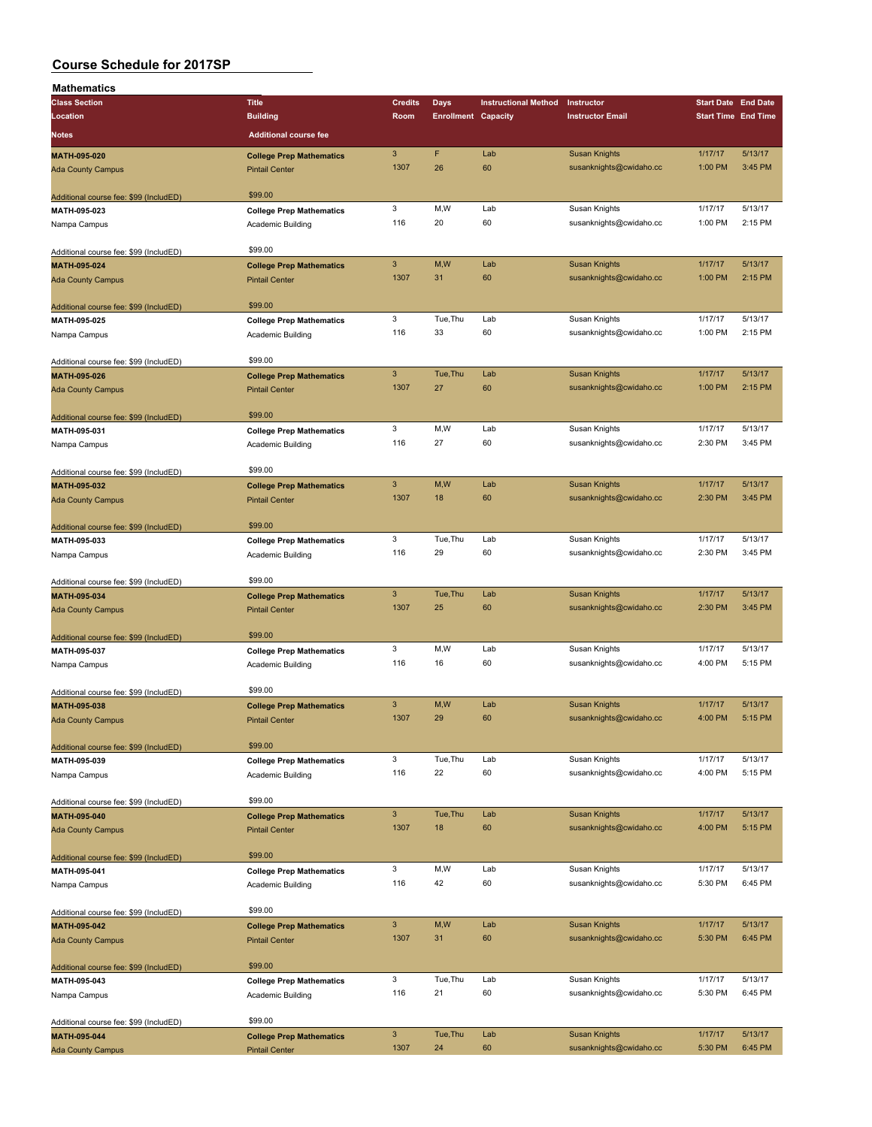| Mathematics                            |                                 |                           |                            |                             |                         |                    |                            |
|----------------------------------------|---------------------------------|---------------------------|----------------------------|-----------------------------|-------------------------|--------------------|----------------------------|
| <b>Class Section</b>                   | <b>Title</b>                    | <b>Credits</b>            | Days                       | <b>Instructional Method</b> | Instructor              |                    | <b>Start Date End Date</b> |
| Location                               | <b>Building</b>                 | Room                      | <b>Enrollment Capacity</b> |                             | <b>Instructor Email</b> |                    | <b>Start Time End Time</b> |
| <b>Notes</b>                           | <b>Additional course fee</b>    |                           |                            |                             |                         |                    |                            |
|                                        |                                 | $\overline{3}$            | F                          |                             |                         |                    |                            |
| MATH-095-020                           | <b>College Prep Mathematics</b> | 1307                      | 26                         | Lab<br>60                   | <b>Susan Knights</b>    | 1/17/17<br>1:00 PM | 5/13/17<br>3:45 PM         |
| <b>Ada County Campus</b>               | <b>Pintail Center</b>           |                           |                            |                             | susanknights@cwidaho.cc |                    |                            |
|                                        | \$99.00                         |                           |                            |                             |                         |                    |                            |
| Additional course fee: \$99 (IncludED) |                                 | 3                         | M,W                        | Lab                         | Susan Knights           | 1/17/17            | 5/13/17                    |
| MATH-095-023                           | <b>College Prep Mathematics</b> | 116                       | 20                         | 60                          | susanknights@cwidaho.cc | 1:00 PM            | 2:15 PM                    |
| Nampa Campus                           | Academic Building               |                           |                            |                             |                         |                    |                            |
| Additional course fee: \$99 (IncludED) | \$99.00                         |                           |                            |                             |                         |                    |                            |
| MATH-095-024                           | <b>College Prep Mathematics</b> | $\ensuremath{\mathsf{3}}$ | M,W                        | Lab                         | <b>Susan Knights</b>    | 1/17/17            | 5/13/17                    |
| <b>Ada County Campus</b>               | <b>Pintail Center</b>           | 1307                      | 31                         | 60                          | susanknights@cwidaho.cc | 1:00 PM            | 2:15 PM                    |
|                                        |                                 |                           |                            |                             |                         |                    |                            |
| Additional course fee: \$99 (IncludED) | \$99.00                         |                           |                            |                             |                         |                    |                            |
| MATH-095-025                           | <b>College Prep Mathematics</b> | 3                         | Tue, Thu                   | Lab                         | Susan Knights           | 1/17/17            | 5/13/17                    |
| Nampa Campus                           | Academic Building               | 116                       | 33                         | 60                          | susanknights@cwidaho.cc | 1:00 PM            | 2:15 PM                    |
|                                        |                                 |                           |                            |                             |                         |                    |                            |
| Additional course fee: \$99 (IncludED) | \$99.00                         |                           |                            |                             |                         |                    |                            |
| MATH-095-026                           | <b>College Prep Mathematics</b> | $\mathbf{3}$              | Tue, Thu                   | Lab                         | <b>Susan Knights</b>    | 1/17/17            | 5/13/17                    |
| <b>Ada County Campus</b>               | <b>Pintail Center</b>           | 1307                      | 27                         | 60                          | susanknights@cwidaho.cc | 1:00 PM            | 2:15 PM                    |
|                                        |                                 |                           |                            |                             |                         |                    |                            |
| Additional course fee: \$99 (IncludED) | \$99.00                         |                           |                            |                             |                         |                    |                            |
| MATH-095-031                           | <b>College Prep Mathematics</b> | 3                         | M, W                       | Lab                         | Susan Knights           | 1/17/17            | 5/13/17                    |
| Nampa Campus                           | Academic Building               | 116                       | 27                         | 60                          | susanknights@cwidaho.cc | 2:30 PM            | 3:45 PM                    |
|                                        |                                 |                           |                            |                             |                         |                    |                            |
| Additional course fee: \$99 (IncludED) | \$99.00                         |                           |                            |                             |                         |                    |                            |
| MATH-095-032                           | <b>College Prep Mathematics</b> | $\mathbf{3}$              | M,W                        | Lab                         | <b>Susan Knights</b>    | 1/17/17            | 5/13/17                    |
| <b>Ada County Campus</b>               | <b>Pintail Center</b>           | 1307                      | 18                         | 60                          | susanknights@cwidaho.cc | 2:30 PM            | 3:45 PM                    |
|                                        |                                 |                           |                            |                             |                         |                    |                            |
| Additional course fee: \$99 (IncludED) | \$99.00                         |                           |                            |                             |                         |                    |                            |
| MATH-095-033                           | <b>College Prep Mathematics</b> | 3                         | Tue, Thu                   | Lab                         | Susan Knights           | 1/17/17            | 5/13/17                    |
| Nampa Campus                           | Academic Building               | 116                       | 29                         | 60                          | susanknights@cwidaho.cc | 2:30 PM            | 3:45 PM                    |
|                                        |                                 |                           |                            |                             |                         |                    |                            |
| Additional course fee: \$99 (IncludED) | \$99.00                         |                           |                            |                             |                         |                    |                            |
| MATH-095-034                           | <b>College Prep Mathematics</b> | $\mathbf{3}$              | Tue, Thu                   | Lab                         | <b>Susan Knights</b>    | 1/17/17            | 5/13/17                    |
| <b>Ada County Campus</b>               | <b>Pintail Center</b>           | 1307                      | 25                         | 60                          | susanknights@cwidaho.cc | 2:30 PM            | 3:45 PM                    |
|                                        |                                 |                           |                            |                             |                         |                    |                            |
| Additional course fee: \$99 (IncludED) | \$99.00                         |                           |                            |                             |                         |                    |                            |
| MATH-095-037                           | <b>College Prep Mathematics</b> | 3                         | M, W                       | Lab<br>60                   | Susan Knights           | 1/17/17            | 5/13/17                    |
| Nampa Campus                           | Academic Building               | 116                       | 16                         |                             | susanknights@cwidaho.cc | 4:00 PM            | 5:15 PM                    |
|                                        | \$99.00                         |                           |                            |                             |                         |                    |                            |
| Additional course fee: \$99 (IncludED) |                                 | 3                         | M, W                       | Lab                         | <b>Susan Knights</b>    | 1/17/17            | 5/13/17                    |
| MATH-095-038                           | <b>College Prep Mathematics</b> | 1307                      | 29                         | 60                          | susanknights@cwidaho.cc | 4:00 PM            | 5:15 PM                    |
| <b>Ada County Campus</b>               | <b>Pintail Center</b>           |                           |                            |                             |                         |                    |                            |
| Additional course fee: \$99 (IncludED) | \$99.00                         |                           |                            |                             |                         |                    |                            |
| MATH-095-039                           |                                 | 3                         | Tue, Thu                   | Lab                         | Susan Knights           | 1/17/17            | 5/13/17                    |
| Nampa Campus                           | <b>College Prep Mathematics</b> | 116                       | 22                         | 60                          | susanknights@cwidaho.cc | 4:00 PM            | 5:15 PM                    |
|                                        | Academic Building               |                           |                            |                             |                         |                    |                            |
| Additional course fee: \$99 (IncludED) | \$99.00                         |                           |                            |                             |                         |                    |                            |
| MATH-095-040                           | <b>College Prep Mathematics</b> | $\mathsf 3$               | Tue, Thu                   | Lab                         | <b>Susan Knights</b>    | 1/17/17            | 5/13/17                    |
| <b>Ada County Campus</b>               | <b>Pintail Center</b>           | 1307                      | 18                         | 60                          | susanknights@cwidaho.cc | 4:00 PM            | 5:15 PM                    |
|                                        |                                 |                           |                            |                             |                         |                    |                            |
| Additional course fee: \$99 (IncludED) | \$99.00                         |                           |                            |                             |                         |                    |                            |
| MATH-095-041                           | <b>College Prep Mathematics</b> | 3                         | M,W                        | Lab                         | Susan Knights           | 1/17/17            | 5/13/17                    |
| Nampa Campus                           | Academic Building               | 116                       | 42                         | 60                          | susanknights@cwidaho.cc | 5:30 PM            | 6:45 PM                    |
|                                        |                                 |                           |                            |                             |                         |                    |                            |
| Additional course fee: \$99 (IncludED) | \$99.00                         |                           |                            |                             |                         |                    |                            |
| MATH-095-042                           | <b>College Prep Mathematics</b> | $\mathbf{3}$              | M,W                        | Lab                         | <b>Susan Knights</b>    | 1/17/17            | 5/13/17                    |
| <b>Ada County Campus</b>               | <b>Pintail Center</b>           | 1307                      | 31                         | 60                          | susanknights@cwidaho.cc | 5:30 PM            | 6:45 PM                    |
|                                        |                                 |                           |                            |                             |                         |                    |                            |
| Additional course fee: \$99 (IncludED) | \$99.00                         |                           |                            |                             |                         |                    |                            |
| MATH-095-043                           | <b>College Prep Mathematics</b> | 3                         | Tue, Thu                   | Lab                         | Susan Knights           | 1/17/17            | 5/13/17                    |
| Nampa Campus                           | Academic Building               | 116                       | 21                         | 60                          | susanknights@cwidaho.cc | 5:30 PM            | 6:45 PM                    |
|                                        |                                 |                           |                            |                             |                         |                    |                            |
| Additional course fee: \$99 (IncludED) | \$99.00                         |                           |                            |                             |                         |                    |                            |
| MATH-095-044                           | <b>College Prep Mathematics</b> | $\mathsf 3$               | Tue, Thu                   | Lab                         | <b>Susan Knights</b>    | 1/17/17            | 5/13/17                    |
| <b>Ada County Campus</b>               | <b>Pintail Center</b>           | 1307                      | 24                         | 60                          | susanknights@cwidaho.cc | 5:30 PM            | 6:45 PM                    |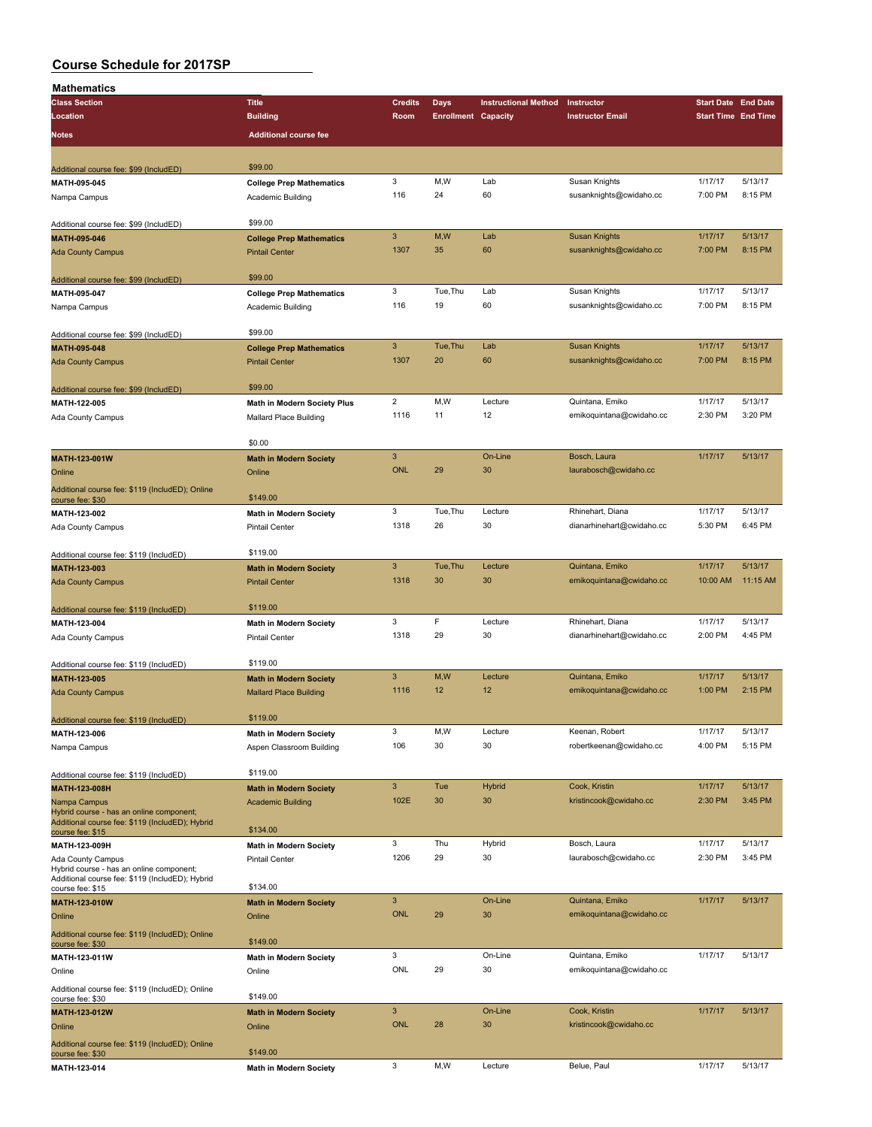| Mathematics                                                                                 |                                    |                |                            |                             |                           |                            |          |
|---------------------------------------------------------------------------------------------|------------------------------------|----------------|----------------------------|-----------------------------|---------------------------|----------------------------|----------|
| <b>Class Section</b>                                                                        | <b>Title</b>                       | <b>Credits</b> | <b>Days</b>                | <b>Instructional Method</b> | Instructor                | <b>Start Date End Date</b> |          |
| Location                                                                                    | <b>Building</b>                    | Room           | <b>Enrollment Capacity</b> |                             | <b>Instructor Email</b>   | <b>Start Time End Time</b> |          |
| Notes                                                                                       | <b>Additional course fee</b>       |                |                            |                             |                           |                            |          |
|                                                                                             |                                    |                |                            |                             |                           |                            |          |
|                                                                                             | \$99.00                            |                |                            |                             |                           |                            |          |
| Additional course fee: \$99 (IncludED)<br>MATH-095-045                                      |                                    | 3              | M,W                        | Lab                         | Susan Knights             | 1/17/17                    | 5/13/17  |
|                                                                                             | <b>College Prep Mathematics</b>    | 116            | 24                         | 60                          | susanknights@cwidaho.cc   | 7:00 PM                    | 8:15 PM  |
| Nampa Campus                                                                                | Academic Building                  |                |                            |                             |                           |                            |          |
| Additional course fee: \$99 (IncludED)                                                      | \$99.00                            |                |                            |                             |                           |                            |          |
| MATH-095-046                                                                                | <b>College Prep Mathematics</b>    | $\mathbf{3}$   | M,W                        | Lab                         | <b>Susan Knights</b>      | 1/17/17                    | 5/13/17  |
| <b>Ada County Campus</b>                                                                    | <b>Pintail Center</b>              | 1307           | 35                         | 60                          | susanknights@cwidaho.cc   | 7:00 PM                    | 8:15 PM  |
|                                                                                             |                                    |                |                            |                             |                           |                            |          |
| Additional course fee: \$99 (IncludED)                                                      | \$99.00                            |                |                            |                             |                           |                            |          |
| MATH-095-047                                                                                | <b>College Prep Mathematics</b>    | 3              | Tue, Thu                   | Lab                         | Susan Knights             | 1/17/17                    | 5/13/17  |
| Nampa Campus                                                                                | Academic Building                  | 116            | 19                         | 60                          | susanknights@cwidaho.cc   | 7:00 PM                    | 8:15 PM  |
|                                                                                             |                                    |                |                            |                             |                           |                            |          |
| Additional course fee: \$99 (IncludED)                                                      | \$99.00                            |                |                            |                             |                           |                            |          |
| MATH-095-048                                                                                | <b>College Prep Mathematics</b>    | $\mathbf{3}$   | Tue, Thu                   | Lab                         | <b>Susan Knights</b>      | 1/17/17                    | 5/13/17  |
| <b>Ada County Campus</b>                                                                    | <b>Pintail Center</b>              | 1307           | 20                         | 60                          | susanknights@cwidaho.cc   | 7:00 PM                    | 8:15 PM  |
|                                                                                             |                                    |                |                            |                             |                           |                            |          |
| Additional course fee: \$99 (IncludED)                                                      | \$99.00                            |                |                            |                             |                           |                            |          |
| MATH-122-005                                                                                | <b>Math in Modern Society Plus</b> | $\overline{2}$ | M,W                        | Lecture                     | Quintana, Emiko           | 1/17/17                    | 5/13/17  |
| Ada County Campus                                                                           | <b>Mallard Place Building</b>      | 1116           | 11                         | 12                          | emikoquintana@cwidaho.cc  | 2:30 PM                    | 3:20 PM  |
|                                                                                             |                                    |                |                            |                             |                           |                            |          |
|                                                                                             | \$0.00                             |                |                            |                             |                           |                            |          |
| MATH-123-001W                                                                               | <b>Math in Modern Society</b>      | $\mathbf{3}$   |                            | On-Line                     | Bosch, Laura              | 1/17/17                    | 5/13/17  |
| Online                                                                                      | Online                             | <b>ONL</b>     | 29                         | 30                          | laurabosch@cwidaho.cc     |                            |          |
| Additional course fee: \$119 (IncludED); Online                                             |                                    |                |                            |                             |                           |                            |          |
| course fee: \$30                                                                            | \$149.00                           | 3              | Tue, Thu                   | Lecture                     | Rhinehart, Diana          | 1/17/17                    | 5/13/17  |
| MATH-123-002                                                                                | <b>Math in Modern Society</b>      | 1318           | 26                         | 30                          | dianarhinehart@cwidaho.cc | 5:30 PM                    | 6:45 PM  |
| Ada County Campus                                                                           | <b>Pintail Center</b>              |                |                            |                             |                           |                            |          |
| Additional course fee: \$119 (IncludED)                                                     | \$119.00                           |                |                            |                             |                           |                            |          |
| MATH-123-003                                                                                | <b>Math in Modern Society</b>      | $\mathbf{3}$   | Tue, Thu                   | Lecture                     | Quintana, Emiko           | 1/17/17                    | 5/13/17  |
| <b>Ada County Campus</b>                                                                    | <b>Pintail Center</b>              | 1318           | 30                         | 30                          | emikoquintana@cwidaho.cc  | 10:00 AM                   | 11:15 AM |
|                                                                                             |                                    |                |                            |                             |                           |                            |          |
| Additional course fee: \$119 (IncludED)                                                     | \$119.00                           |                |                            |                             |                           |                            |          |
| MATH-123-004                                                                                | <b>Math in Modern Society</b>      | 3              | F                          | Lecture                     | Rhinehart, Diana          | 1/17/17                    | 5/13/17  |
| Ada County Campus                                                                           | <b>Pintail Center</b>              | 1318           | 29                         | 30                          | dianarhinehart@cwidaho.cc | 2:00 PM                    | 4:45 PM  |
|                                                                                             |                                    |                |                            |                             |                           |                            |          |
| Additional course fee: \$119 (IncludED)                                                     | \$119.00                           |                |                            |                             |                           |                            |          |
| MATH-123-005                                                                                | <b>Math in Modern Society</b>      | 3              | M,W                        | Lecture                     | Quintana, Emiko           | 1/17/17                    | 5/13/17  |
| <b>Ada County Campus</b>                                                                    | <b>Mallard Place Building</b>      | 1116           | 12                         | 12                          | emikoquintana@cwidaho.cc  | 1:00 PM                    | 2:15 PM  |
|                                                                                             |                                    |                |                            |                             |                           |                            |          |
| Additional course fee: \$119 (IncludED)                                                     | \$119.00                           |                |                            |                             |                           |                            |          |
| MATH-123-006                                                                                | <b>Math in Modern Society</b>      | 3              | M, W                       | Lecture                     | Keenan, Robert            | 1/17/17                    | 5/13/17  |
| Nampa Campus                                                                                | Aspen Classroom Building           | 106            | 30                         | 30                          | robertkeenan@cwidaho.cc   | 4:00 PM                    | 5:15 PM  |
|                                                                                             |                                    |                |                            |                             |                           |                            |          |
| Additional course fee: \$119 (IncludED)                                                     | \$119.00                           |                |                            |                             |                           |                            |          |
| MATH-123-008H                                                                               | <b>Math in Modern Society</b>      | $\mathbf{3}$   | Tue                        | Hybrid                      | Cook, Kristin             | 1/17/17                    | 5/13/17  |
| Nampa Campus                                                                                | <b>Academic Building</b>           | 102E           | 30                         | 30                          | kristincook@cwidaho.cc    | 2:30 PM                    | 3:45 PM  |
| Hybrid course - has an online component;<br>Additional course fee: \$119 (IncludED); Hybrid |                                    |                |                            |                             |                           |                            |          |
| course fee: \$15                                                                            | \$134.00                           |                |                            |                             |                           |                            |          |
| MATH-123-009H                                                                               | <b>Math in Modern Society</b>      | 3              | Thu                        | Hybrid                      | Bosch, Laura              | 1/17/17                    | 5/13/17  |
| Ada County Campus                                                                           | <b>Pintail Center</b>              | 1206           | 29                         | 30                          | laurabosch@cwidaho.cc     | 2:30 PM                    | 3:45 PM  |
| Hybrid course - has an online component;<br>Additional course fee: \$119 (IncludED); Hybrid |                                    |                |                            |                             |                           |                            |          |
| course fee: \$15                                                                            | \$134.00                           |                |                            |                             |                           |                            |          |
| MATH-123-010W                                                                               | <b>Math in Modern Society</b>      | $\mathbf{3}$   |                            | On-Line                     | Quintana, Emiko           | 1/17/17                    | 5/13/17  |
| Online                                                                                      | Online                             | <b>ONL</b>     | 29                         | 30                          | emikoquintana@cwidaho.cc  |                            |          |
| Additional course fee: \$119 (IncludED); Online                                             |                                    |                |                            |                             |                           |                            |          |
| course fee: \$30                                                                            | \$149.00                           |                |                            |                             |                           |                            |          |
| MATH-123-011W                                                                               | <b>Math in Modern Society</b>      | 3              |                            | On-Line                     | Quintana, Emiko           | 1/17/17                    | 5/13/17  |
| Online                                                                                      | Online                             | ONL            | 29                         | 30                          | emikoquintana@cwidaho.cc  |                            |          |
| Additional course fee: \$119 (IncludED); Online                                             |                                    |                |                            |                             |                           |                            |          |
| course fee: \$30                                                                            | \$149.00                           |                |                            |                             |                           |                            |          |
| MATH-123-012W                                                                               | <b>Math in Modern Society</b>      | $\mathbf{3}$   |                            | On-Line                     | Cook, Kristin             | 1/17/17                    | 5/13/17  |
| Online                                                                                      | Online                             | <b>ONL</b>     | 28                         | 30                          | kristincook@cwidaho.cc    |                            |          |
| Additional course fee: \$119 (IncludED); Online                                             |                                    |                |                            |                             |                           |                            |          |
| course fee: \$30                                                                            | \$149.00                           |                |                            |                             |                           |                            | 5/13/17  |
| MATH-123-014                                                                                | <b>Math in Modern Society</b>      | 3              | M,W                        | Lecture                     | Belue, Paul               | 1/17/17                    |          |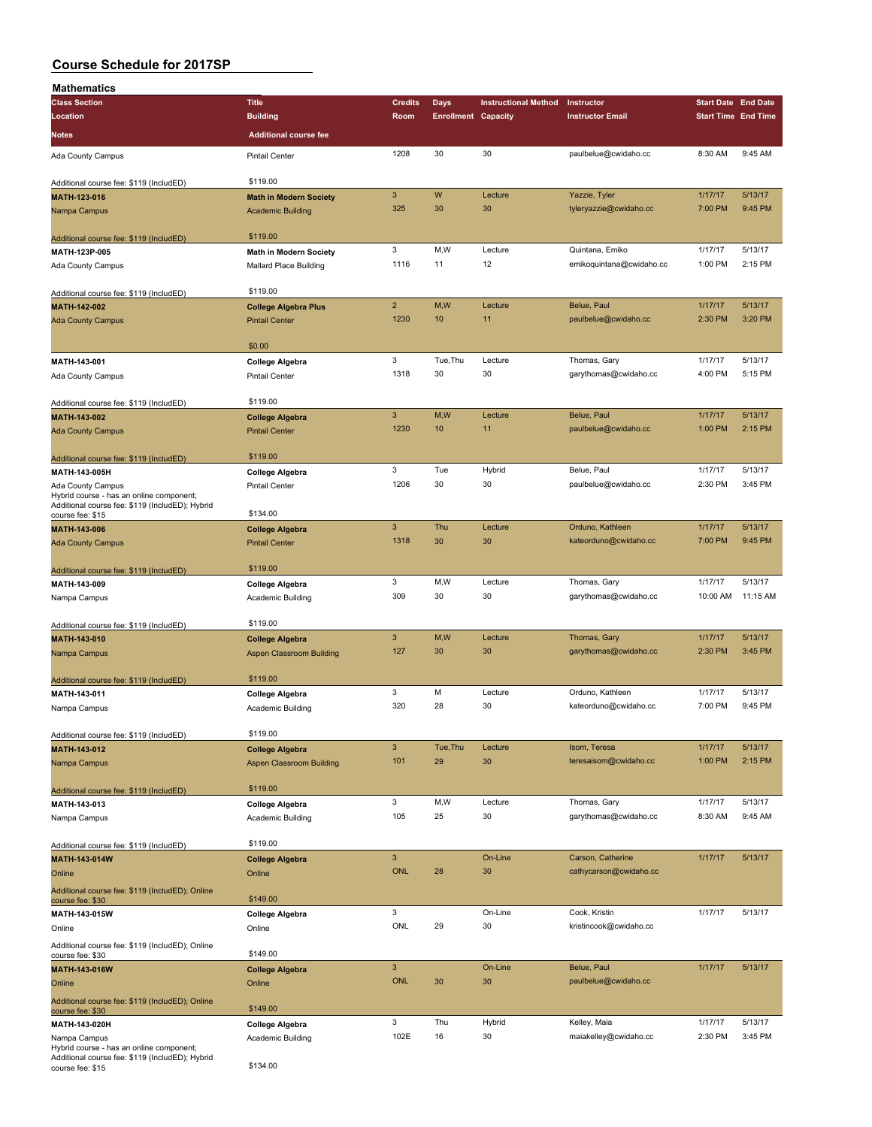| Mathematics                                                         |                                 |                           |                            |                             |                          |                            |          |
|---------------------------------------------------------------------|---------------------------------|---------------------------|----------------------------|-----------------------------|--------------------------|----------------------------|----------|
| <b>Class Section</b>                                                | <b>Title</b>                    | <b>Credits</b>            | Days                       | <b>Instructional Method</b> | Instructor               | <b>Start Date End Date</b> |          |
| Location                                                            | <b>Building</b>                 | Room                      | <b>Enrollment Capacity</b> |                             | <b>Instructor Email</b>  | <b>Start Time End Time</b> |          |
| Notes                                                               | <b>Additional course fee</b>    |                           |                            |                             |                          |                            |          |
|                                                                     |                                 | 1208                      | 30                         | 30                          | paulbelue@cwidaho.cc     | 8:30 AM                    | 9:45 AM  |
| Ada County Campus                                                   | <b>Pintail Center</b>           |                           |                            |                             |                          |                            |          |
| Additional course fee: \$119 (IncludED)                             | \$119.00                        |                           |                            |                             |                          |                            |          |
| MATH-123-016                                                        | <b>Math in Modern Society</b>   | $\mathbf{3}$              | W                          | Lecture                     | Yazzie, Tyler            | 1/17/17                    | 5/13/17  |
| Nampa Campus                                                        | <b>Academic Building</b>        | 325                       | 30                         | 30                          | tyleryazzie@cwidaho.cc   | 7:00 PM                    | 9:45 PM  |
|                                                                     |                                 |                           |                            |                             |                          |                            |          |
| Additional course fee: \$119 (IncludED)                             | \$119.00                        |                           |                            |                             |                          |                            |          |
| MATH-123P-005                                                       | <b>Math in Modern Society</b>   | 3                         | M,W                        | Lecture                     | Quintana, Emiko          | 1/17/17                    | 5/13/17  |
| Ada County Campus                                                   | Mallard Place Building          | 1116                      | 11                         | 12                          | emikoguintana@cwidaho.cc | 1:00 PM                    | 2:15 PM  |
|                                                                     | \$119.00                        |                           |                            |                             |                          |                            |          |
| Additional course fee: \$119 (IncludED)                             |                                 | $\overline{2}$            | M,W                        | Lecture                     |                          | 1/17/17                    | 5/13/17  |
| MATH-142-002                                                        | <b>College Algebra Plus</b>     |                           |                            |                             | Belue, Paul              |                            |          |
| <b>Ada County Campus</b>                                            | <b>Pintail Center</b>           | 1230                      | 10 <sup>10</sup>           | 11                          | paulbelue@cwidaho.cc     | 2:30 PM                    | 3:20 PM  |
|                                                                     | \$0.00                          |                           |                            |                             |                          |                            |          |
| MATH-143-001                                                        | <b>College Algebra</b>          | 3                         | Tue, Thu                   | Lecture                     | Thomas, Gary             | 1/17/17                    | 5/13/17  |
| Ada County Campus                                                   | <b>Pintail Center</b>           | 1318                      | 30                         | 30                          | garythomas@cwidaho.cc    | 4:00 PM                    | 5:15 PM  |
|                                                                     |                                 |                           |                            |                             |                          |                            |          |
| Additional course fee: \$119 (IncludED)                             | \$119.00                        |                           |                            |                             |                          |                            |          |
| MATH-143-002                                                        | <b>College Algebra</b>          | $\mathbf{3}$              | M,W                        | Lecture                     | Belue, Paul              | 1/17/17                    | 5/13/17  |
| <b>Ada County Campus</b>                                            | <b>Pintail Center</b>           | 1230                      | 10                         | 11                          | paulbelue@cwidaho.cc     | 1:00 PM                    | 2:15 PM  |
|                                                                     |                                 |                           |                            |                             |                          |                            |          |
| Additional course fee: \$119 (IncludED)                             | \$119.00                        |                           |                            |                             |                          |                            |          |
| MATH-143-005H                                                       | <b>College Algebra</b>          | 3                         | Tue                        | Hybrid                      | Belue, Paul              | 1/17/17                    | 5/13/17  |
| Ada County Campus                                                   | <b>Pintail Center</b>           | 1206                      | 30                         | 30                          | paulbelue@cwidaho.cc     | 2:30 PM                    | 3:45 PM  |
| Hybrid course - has an online component;                            |                                 |                           |                            |                             |                          |                            |          |
| Additional course fee: \$119 (IncludED); Hybrid<br>course fee: \$15 | \$134.00                        |                           |                            |                             |                          |                            |          |
| MATH-143-006                                                        | <b>College Algebra</b>          | $\mathbf{3}$              | Thu                        | Lecture                     | Orduno, Kathleen         | 1/17/17                    | 5/13/17  |
| <b>Ada County Campus</b>                                            | <b>Pintail Center</b>           | 1318                      | 30                         | 30                          | kateorduno@cwidaho.cc    | 7:00 PM                    | 9:45 PM  |
|                                                                     |                                 |                           |                            |                             |                          |                            |          |
| Additional course fee: \$119 (IncludED)                             | \$119.00                        |                           |                            |                             |                          |                            |          |
| MATH-143-009                                                        | <b>College Algebra</b>          | 3                         | M,W                        | Lecture                     | Thomas, Gary             | 1/17/17                    | 5/13/17  |
| Nampa Campus                                                        | Academic Building               | 309                       | 30                         | 30                          | garythomas@cwidaho.cc    | 10:00 AM                   | 11:15 AM |
|                                                                     |                                 |                           |                            |                             |                          |                            |          |
| Additional course fee: \$119 (IncludED)                             | \$119.00                        |                           |                            |                             |                          |                            |          |
| MATH-143-010                                                        | <b>College Algebra</b>          | $\mathbf{3}$              | M,W                        | Lecture                     | Thomas, Gary             | 1/17/17                    | 5/13/17  |
| Nampa Campus                                                        | Aspen Classroom Building        | 127                       | 30                         | 30                          | garythomas@cwidaho.cc    | 2:30 PM                    | 3:45 PM  |
|                                                                     |                                 |                           |                            |                             |                          |                            |          |
| Additional course fee: \$119 (IncludED)                             | \$119.00                        | 3                         | М                          | Lecture                     | Orduno, Kathleen         | 1/17/17                    | 5/13/17  |
| MATH-143-011                                                        | <b>College Algebra</b>          | 320                       | 28                         | 30                          | kateorduno@cwidaho.cc    | 7:00 PM                    | 9:45 PM  |
| Nampa Campus                                                        | Academic Building               |                           |                            |                             |                          |                            |          |
| Additional course fee: \$119 (IncludED)                             | \$119.00                        |                           |                            |                             |                          |                            |          |
| MATH-143-012                                                        | <b>College Algebra</b>          | $\ensuremath{\mathsf{3}}$ | Tue, Thu                   | Lecture                     | Isom, Teresa             | 1/17/17                    | 5/13/17  |
| Nampa Campus                                                        | <b>Aspen Classroom Building</b> | 101                       | 29                         | 30                          | teresaisom@cwidaho.cc    | 1:00 PM                    | 2:15 PM  |
|                                                                     |                                 |                           |                            |                             |                          |                            |          |
| Additional course fee: \$119 (IncludED)                             | \$119.00                        |                           |                            |                             |                          |                            |          |
| MATH-143-013                                                        | <b>College Algebra</b>          | $\mathbf 3$               | M,W                        | Lecture                     | Thomas, Gary             | 1/17/17                    | 5/13/17  |
| Nampa Campus                                                        | Academic Building               | 105                       | 25                         | 30                          | garythomas@cwidaho.cc    | 8:30 AM                    | 9:45 AM  |
|                                                                     |                                 |                           |                            |                             |                          |                            |          |
| Additional course fee: \$119 (IncludED)                             | \$119.00                        |                           |                            |                             |                          |                            |          |
| MATH-143-014W                                                       | <b>College Algebra</b>          | $\ensuremath{\mathsf{3}}$ |                            | On-Line                     | Carson, Catherine        | 1/17/17                    | 5/13/17  |
| Online                                                              | Online                          | <b>ONL</b>                | 28                         | 30                          | cathycarson@cwidaho.cc   |                            |          |
| Additional course fee: \$119 (IncludED); Online                     |                                 |                           |                            |                             |                          |                            |          |
| course fee: \$30                                                    | \$149.00                        |                           |                            |                             |                          |                            |          |
| MATH-143-015W                                                       | <b>College Algebra</b>          | 3                         |                            | On-Line                     | Cook, Kristin            | 1/17/17                    | 5/13/17  |
| Online                                                              | Online                          | ONL                       | 29                         | 30                          | kristincook@cwidaho.cc   |                            |          |
| Additional course fee: \$119 (IncludED); Online                     | \$149.00                        |                           |                            |                             |                          |                            |          |
| course fee: \$30                                                    |                                 | $\ensuremath{\mathsf{3}}$ |                            | On-Line                     | Belue, Paul              | 1/17/17                    | 5/13/17  |
| MATH-143-016W                                                       | <b>College Algebra</b>          | <b>ONL</b>                | 30                         | 30                          | paulbelue@cwidaho.cc     |                            |          |
| Online                                                              | Online                          |                           |                            |                             |                          |                            |          |
| Additional course fee: \$119 (IncludED); Online<br>course fee: \$30 | \$149.00                        |                           |                            |                             |                          |                            |          |
| MATH-143-020H                                                       | <b>College Algebra</b>          | $\mathbf 3$               | Thu                        | Hybrid                      | Kelley, Maia             | 1/17/17                    | 5/13/17  |
| Nampa Campus                                                        | Academic Building               | 102E                      | 16                         | 30                          | maiakelley@cwidaho.cc    | 2:30 PM                    | 3:45 PM  |
| Hybrid course - has an online component;                            |                                 |                           |                            |                             |                          |                            |          |
| Additional course fee: \$119 (IncludED); Hybrid<br>course fee: \$15 | \$134.00                        |                           |                            |                             |                          |                            |          |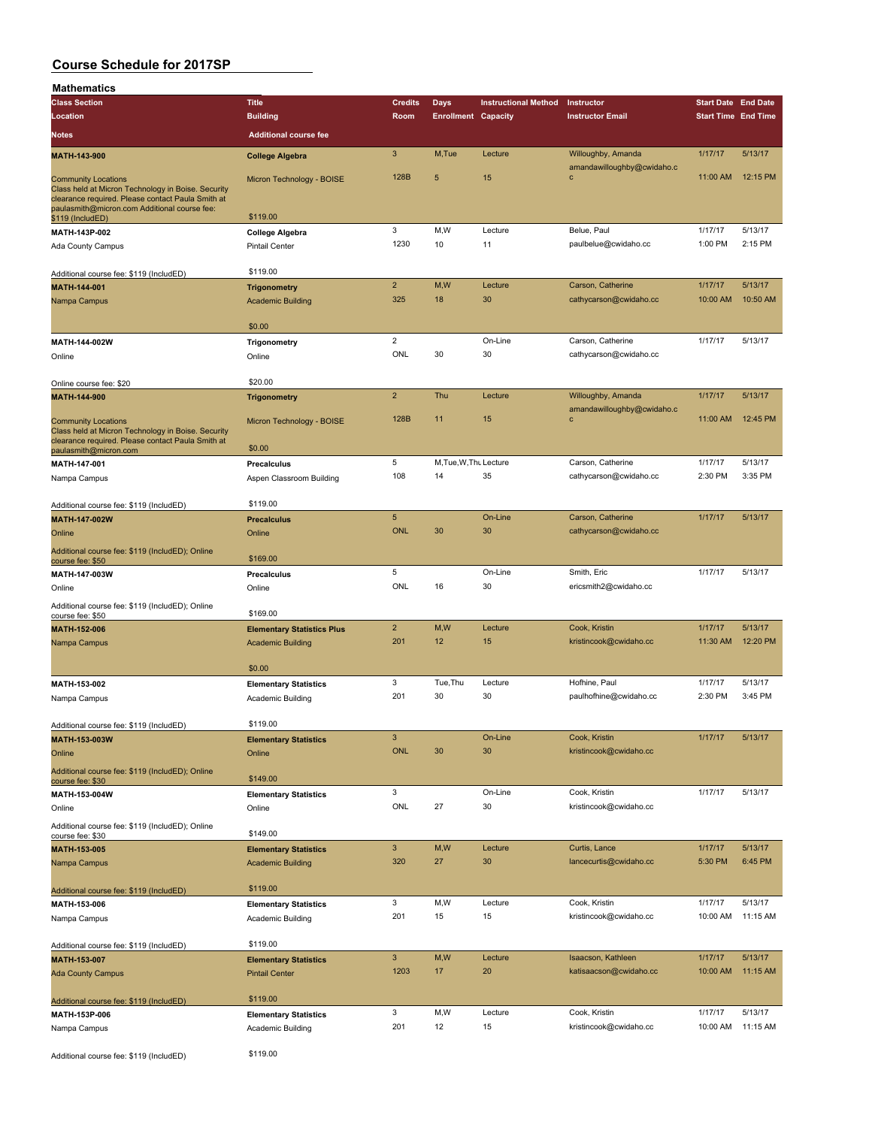| Mathematics                                                                                                                                                                           |                                   |                           |                            |                             |                            |                            |          |
|---------------------------------------------------------------------------------------------------------------------------------------------------------------------------------------|-----------------------------------|---------------------------|----------------------------|-----------------------------|----------------------------|----------------------------|----------|
| <b>Class Section</b>                                                                                                                                                                  | <b>Title</b>                      | <b>Credits</b>            | <b>Days</b>                | <b>Instructional Method</b> | Instructor                 | <b>Start Date End Date</b> |          |
| Location                                                                                                                                                                              | <b>Building</b>                   | Room                      | <b>Enrollment Capacity</b> |                             | <b>Instructor Email</b>    | <b>Start Time End Time</b> |          |
|                                                                                                                                                                                       | <b>Additional course fee</b>      |                           |                            |                             |                            |                            |          |
| Notes                                                                                                                                                                                 |                                   |                           |                            |                             |                            |                            |          |
| MATH-143-900                                                                                                                                                                          | <b>College Algebra</b>            | $\mathbf{3}$              | M,Tue                      | Lecture                     | Willoughby, Amanda         | 1/17/17                    | 5/13/17  |
|                                                                                                                                                                                       |                                   |                           |                            |                             | amandawilloughby@cwidaho.c |                            |          |
| <b>Community Locations</b><br>Class held at Micron Technology in Boise. Security<br>clearance required. Please contact Paula Smith at<br>paulasmith@micron.com Additional course fee: | Micron Technology - BOISE         | 128B                      | 5                          | 15                          | $\mathbf{C}$               | 11:00 AM                   | 12:15 PM |
| \$119 (IncludED)                                                                                                                                                                      | \$119.00                          |                           |                            |                             |                            |                            |          |
| MATH-143P-002                                                                                                                                                                         | College Algebra                   | $\mathbf 3$               | M,W                        | Lecture                     | Belue, Paul                | 1/17/17                    | 5/13/17  |
| Ada County Campus                                                                                                                                                                     | <b>Pintail Center</b>             | 1230                      | 10                         | 11                          | paulbelue@cwidaho.cc       | 1:00 PM                    | 2:15 PM  |
|                                                                                                                                                                                       |                                   |                           |                            |                             |                            |                            |          |
| Additional course fee: \$119 (IncludED)                                                                                                                                               | \$119.00                          |                           |                            |                             |                            |                            |          |
| MATH-144-001                                                                                                                                                                          | <b>Trigonometry</b>               | $\overline{2}$            | M,W                        | Lecture                     | Carson, Catherine          | 1/17/17                    | 5/13/17  |
|                                                                                                                                                                                       |                                   | 325                       | 18                         | 30                          | cathycarson@cwidaho.cc     | 10:00 AM                   | 10:50 AM |
| Nampa Campus                                                                                                                                                                          | <b>Academic Building</b>          |                           |                            |                             |                            |                            |          |
|                                                                                                                                                                                       | \$0.00                            |                           |                            |                             |                            |                            |          |
|                                                                                                                                                                                       |                                   | $\overline{2}$            |                            |                             |                            |                            |          |
| MATH-144-002W                                                                                                                                                                         | Trigonometry                      |                           |                            | On-Line                     | Carson, Catherine          | 1/17/17                    | 5/13/17  |
| Online                                                                                                                                                                                | Online                            | ONL                       | 30                         | 30                          | cathycarson@cwidaho.cc     |                            |          |
|                                                                                                                                                                                       |                                   |                           |                            |                             |                            |                            |          |
| Online course fee: \$20                                                                                                                                                               | \$20.00                           |                           |                            |                             |                            |                            |          |
| MATH-144-900                                                                                                                                                                          | <b>Trigonometry</b>               | $\mathbf 2$               | Thu                        | Lecture                     | Willoughby, Amanda         | 1/17/17                    | 5/13/17  |
|                                                                                                                                                                                       |                                   |                           |                            |                             | amandawilloughby@cwidaho.c |                            |          |
| <b>Community Locations</b>                                                                                                                                                            | Micron Technology - BOISE         | 128B                      | 11                         | 15                          | $\mathbf c$                | 11:00 AM                   | 12:45 PM |
| Class held at Micron Technology in Boise. Security                                                                                                                                    |                                   |                           |                            |                             |                            |                            |          |
| clearance required. Please contact Paula Smith at<br>paulasmith@micron.com                                                                                                            | \$0.00                            |                           |                            |                             |                            |                            |          |
|                                                                                                                                                                                       |                                   | $\,$ 5 $\,$               | M, Tue, W, Thu Lecture     |                             | Carson, Catherine          | 1/17/17                    | 5/13/17  |
| MATH-147-001                                                                                                                                                                          | Precalculus                       | 108                       | 14                         | 35                          |                            | 2:30 PM                    | 3:35 PM  |
| Nampa Campus                                                                                                                                                                          | Aspen Classroom Building          |                           |                            |                             | cathycarson@cwidaho.cc     |                            |          |
|                                                                                                                                                                                       |                                   |                           |                            |                             |                            |                            |          |
| Additional course fee: \$119 (IncludED)                                                                                                                                               | \$119.00                          |                           |                            |                             |                            |                            |          |
| MATH-147-002W                                                                                                                                                                         | <b>Precalculus</b>                | $5\phantom{.0}$           |                            | On-Line                     | Carson, Catherine          | 1/17/17                    | 5/13/17  |
| Online                                                                                                                                                                                | Online                            | <b>ONL</b>                | 30                         | 30                          | cathycarson@cwidaho.cc     |                            |          |
|                                                                                                                                                                                       |                                   |                           |                            |                             |                            |                            |          |
| Additional course fee: \$119 (IncludED); Online<br>course fee: \$50                                                                                                                   | \$169.00                          |                           |                            |                             |                            |                            |          |
| MATH-147-003W                                                                                                                                                                         | Precalculus                       | $\,$ 5 $\,$               |                            | On-Line                     | Smith, Eric                | 1/17/17                    | 5/13/17  |
|                                                                                                                                                                                       |                                   | ONL                       | 16                         | 30                          | ericsmith2@cwidaho.cc      |                            |          |
| Online                                                                                                                                                                                | Online                            |                           |                            |                             |                            |                            |          |
| Additional course fee: \$119 (IncludED); Online                                                                                                                                       |                                   |                           |                            |                             |                            |                            |          |
| course fee: \$50                                                                                                                                                                      | \$169.00                          |                           |                            |                             |                            |                            |          |
| MATH-152-006                                                                                                                                                                          | <b>Elementary Statistics Plus</b> | $\mathbf 2$               | M,W                        | Lecture                     | Cook, Kristin              | 1/17/17                    | 5/13/17  |
| Nampa Campus                                                                                                                                                                          | <b>Academic Building</b>          | 201                       | 12                         | 15                          | kristincook@cwidaho.cc     | 11:30 AM                   | 12:20 PM |
|                                                                                                                                                                                       |                                   |                           |                            |                             |                            |                            |          |
|                                                                                                                                                                                       | \$0.00                            |                           |                            |                             |                            |                            |          |
| MATH-153-002                                                                                                                                                                          | <b>Elementary Statistics</b>      | 3                         | Tue, Thu                   | Lecture                     | Hofhine, Paul              | 1/17/17                    | 5/13/17  |
| Nampa Campus                                                                                                                                                                          | Academic Building                 | 201                       | 30                         | 30                          | paulhofhine@cwidaho.cc     | 2:30 PM                    | 3:45 PM  |
|                                                                                                                                                                                       |                                   |                           |                            |                             |                            |                            |          |
|                                                                                                                                                                                       | \$119.00                          |                           |                            |                             |                            |                            |          |
| Additional course fee: \$119 (IncludED)                                                                                                                                               |                                   |                           |                            |                             |                            |                            |          |
| MATH-153-003W                                                                                                                                                                         | <b>Elementary Statistics</b>      | $\ensuremath{\mathsf{3}}$ |                            | On-Line                     | Cook, Kristin              | 1/17/17                    | 5/13/17  |
| Online                                                                                                                                                                                | Online                            | <b>ONL</b>                | 30                         | 30                          | kristincook@cwidaho.cc     |                            |          |
| Additional course fee: \$119 (IncludED); Online                                                                                                                                       |                                   |                           |                            |                             |                            |                            |          |
| course fee: \$30                                                                                                                                                                      | \$149.00                          |                           |                            |                             |                            |                            |          |
| MATH-153-004W                                                                                                                                                                         | <b>Elementary Statistics</b>      | 3                         |                            | On-Line                     | Cook, Kristin              | 1/17/17                    | 5/13/17  |
| Online                                                                                                                                                                                | Online                            | ONL                       | 27                         | 30                          | kristincook@cwidaho.cc     |                            |          |
|                                                                                                                                                                                       |                                   |                           |                            |                             |                            |                            |          |
| Additional course fee: \$119 (IncludED); Online<br>course fee: \$30                                                                                                                   | \$149.00                          |                           |                            |                             |                            |                            |          |
| MATH-153-005                                                                                                                                                                          | <b>Elementary Statistics</b>      | $\mathbf{3}$              | M, W                       | Lecture                     | Curtis, Lance              | 1/17/17                    | 5/13/17  |
|                                                                                                                                                                                       |                                   | 320                       | 27                         | 30                          | lancecurtis@cwidaho.cc     | 5:30 PM                    | 6:45 PM  |
| Nampa Campus                                                                                                                                                                          | <b>Academic Building</b>          |                           |                            |                             |                            |                            |          |
|                                                                                                                                                                                       |                                   |                           |                            |                             |                            |                            |          |
| Additional course fee: \$119 (IncludED)                                                                                                                                               | \$119.00                          |                           |                            |                             |                            |                            |          |
| MATH-153-006                                                                                                                                                                          | <b>Elementary Statistics</b>      | 3                         | M,W                        | Lecture                     | Cook, Kristin              | 1/17/17                    | 5/13/17  |
| Nampa Campus                                                                                                                                                                          | Academic Building                 | 201                       | 15                         | 15                          | kristincook@cwidaho.cc     | 10:00 AM                   | 11:15 AM |
|                                                                                                                                                                                       |                                   |                           |                            |                             |                            |                            |          |
| Additional course fee: \$119 (IncludED)                                                                                                                                               | \$119.00                          |                           |                            |                             |                            |                            |          |
| MATH-153-007                                                                                                                                                                          | <b>Elementary Statistics</b>      | $\ensuremath{\mathsf{3}}$ | M,W                        | Lecture                     | Isaacson, Kathleen         | 1/17/17                    | 5/13/17  |
| <b>Ada County Campus</b>                                                                                                                                                              | <b>Pintail Center</b>             | 1203                      | 17                         | 20                          | katisaacson@cwidaho.cc     | 10:00 AM                   | 11:15 AM |
|                                                                                                                                                                                       |                                   |                           |                            |                             |                            |                            |          |
|                                                                                                                                                                                       | \$119.00                          |                           |                            |                             |                            |                            |          |
| Additional course fee: \$119 (IncludED)                                                                                                                                               |                                   | $\mathbf 3$               | M, W                       |                             |                            | 1/17/17                    | 5/13/17  |
| MATH-153P-006                                                                                                                                                                         | <b>Elementary Statistics</b>      |                           |                            | Lecture                     | Cook, Kristin              |                            |          |
| Nampa Campus                                                                                                                                                                          | Academic Building                 | 201                       | 12                         | 15                          | kristincook@cwidaho.cc     | 10:00 AM                   | 11:15 AM |
|                                                                                                                                                                                       |                                   |                           |                            |                             |                            |                            |          |
| Additional course fee: \$119 (IncludED)                                                                                                                                               | \$119.00                          |                           |                            |                             |                            |                            |          |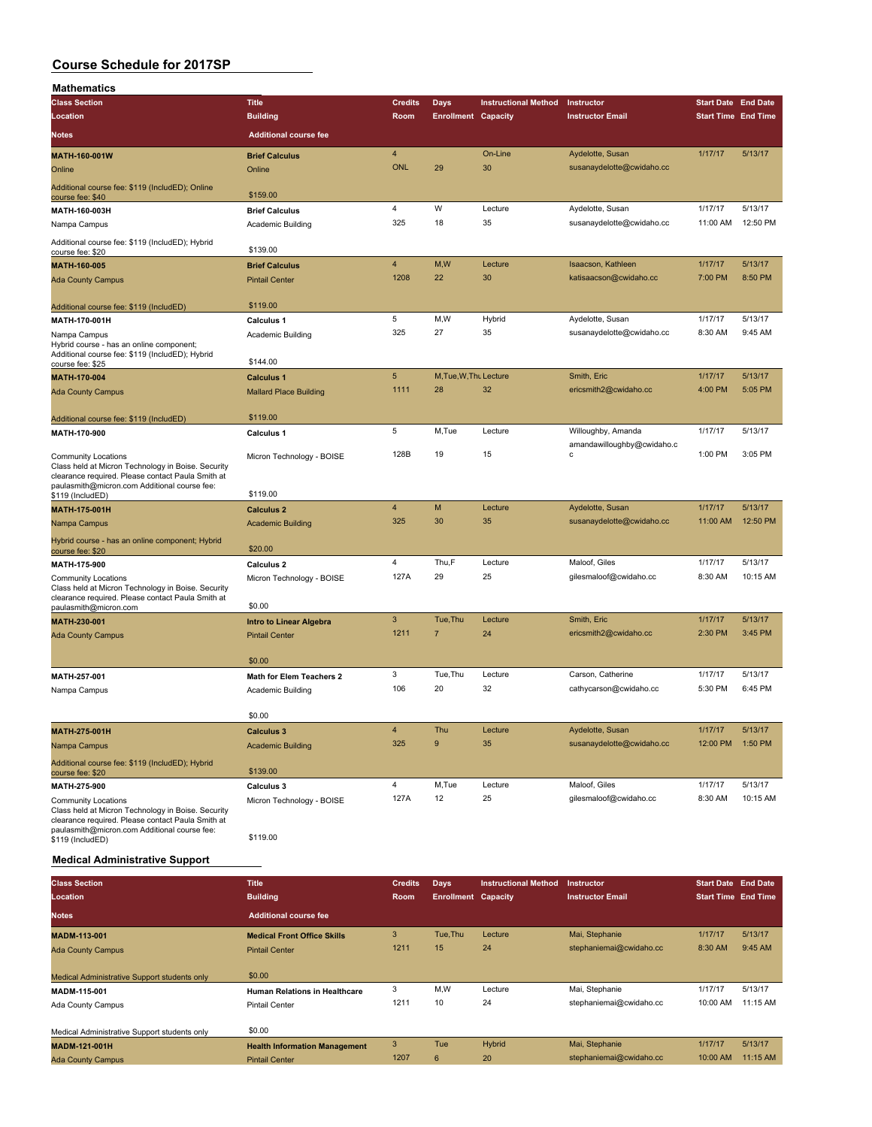| Mathematics                                                                                                                                                                    |                                |                |                            |                             |                                                  |                            |          |
|--------------------------------------------------------------------------------------------------------------------------------------------------------------------------------|--------------------------------|----------------|----------------------------|-----------------------------|--------------------------------------------------|----------------------------|----------|
| <b>Class Section</b>                                                                                                                                                           | <b>Title</b>                   | <b>Credits</b> | <b>Days</b>                | <b>Instructional Method</b> | Instructor                                       | <b>Start Date End Date</b> |          |
| Location                                                                                                                                                                       | <b>Building</b>                | Room           | <b>Enrollment Capacity</b> |                             | <b>Instructor Email</b>                          | <b>Start Time End Time</b> |          |
| Notes                                                                                                                                                                          | <b>Additional course fee</b>   |                |                            |                             |                                                  |                            |          |
| MATH-160-001W                                                                                                                                                                  | <b>Brief Calculus</b>          | 4              |                            | On-Line                     | Aydelotte, Susan                                 | 1/17/17                    | 5/13/17  |
| Online                                                                                                                                                                         | Online                         | <b>ONL</b>     | 29                         | 30                          | susanaydelotte@cwidaho.cc                        |                            |          |
| Additional course fee: \$119 (IncludED); Online<br>course fee: \$40                                                                                                            | \$159.00                       |                |                            |                             |                                                  |                            |          |
| MATH-160-003H                                                                                                                                                                  | <b>Brief Calculus</b>          | 4              | W                          | Lecture                     | Aydelotte, Susan                                 | 1/17/17                    | 5/13/17  |
| Nampa Campus                                                                                                                                                                   | Academic Building              | 325            | 18                         | 35                          | susanaydelotte@cwidaho.cc                        | 11:00 AM                   | 12:50 PM |
| Additional course fee: \$119 (IncludED); Hybrid<br>course fee: \$20                                                                                                            | \$139.00                       |                |                            |                             |                                                  |                            |          |
| <b>MATH-160-005</b>                                                                                                                                                            | <b>Brief Calculus</b>          | $\overline{4}$ | M,W                        | Lecture                     | Isaacson, Kathleen                               | 1/17/17                    | 5/13/17  |
| <b>Ada County Campus</b>                                                                                                                                                       | <b>Pintail Center</b>          | 1208           | 22                         | 30                          | katisaacson@cwidaho.cc                           | 7:00 PM                    | 8:50 PM  |
| Additional course fee: \$119 (IncludED)                                                                                                                                        | \$119.00                       |                |                            |                             |                                                  |                            |          |
| MATH-170-001H                                                                                                                                                                  | <b>Calculus 1</b>              | 5              | M,W                        | Hybrid                      | Aydelotte, Susan                                 | 1/17/17                    | 5/13/17  |
| Nampa Campus                                                                                                                                                                   | Academic Building              | 325            | 27                         | 35                          | susanaydelotte@cwidaho.cc                        | 8:30 AM                    | 9:45 AM  |
| Hybrid course - has an online component;<br>Additional course fee: \$119 (IncludED); Hybrid<br>course fee: \$25                                                                | \$144.00                       |                |                            |                             |                                                  |                            |          |
| <b>MATH-170-004</b>                                                                                                                                                            | <b>Calculus 1</b>              | $\overline{5}$ | M, Tue, W, Thu Lecture     |                             | Smith, Eric                                      | 1/17/17                    | 5/13/17  |
| <b>Ada County Campus</b>                                                                                                                                                       | <b>Mallard Place Building</b>  | 1111           | 28                         | 32                          | ericsmith2@cwidaho.cc                            | 4:00 PM                    | 5:05 PM  |
|                                                                                                                                                                                |                                |                |                            |                             |                                                  |                            |          |
| Additional course fee: \$119 (IncludED)                                                                                                                                        | \$119.00                       |                |                            |                             |                                                  |                            |          |
| MATH-170-900                                                                                                                                                                   | <b>Calculus 1</b>              | 5              | M,Tue                      | Lecture                     | Willoughby, Amanda<br>amandawilloughby@cwidaho.c | 1/17/17                    | 5/13/17  |
| <b>Community Locations</b><br>Class held at Micron Technology in Boise. Security<br>clearance required. Please contact Paula Smith at                                          | Micron Technology - BOISE      | 128B           | 19                         | 15                          | с                                                | 1:00 PM                    | 3:05 PM  |
| paulasmith@micron.com Additional course fee:<br>\$119 (IncludED)                                                                                                               | \$119.00                       |                |                            |                             |                                                  |                            |          |
| MATH-175-001H                                                                                                                                                                  | <b>Calculus 2</b>              | 4              | M                          | Lecture                     | Aydelotte, Susan                                 | 1/17/17                    | 5/13/17  |
| Nampa Campus                                                                                                                                                                   | <b>Academic Building</b>       | 325            | 30                         | 35                          | susanaydelotte@cwidaho.cc                        | 11:00 AM                   | 12:50 PM |
| Hybrid course - has an online component; Hybrid<br>course fee: \$20                                                                                                            | \$20.00                        |                |                            |                             |                                                  |                            |          |
| MATH-175-900                                                                                                                                                                   | Calculus <sub>2</sub>          | 4              | Thu,F                      | Lecture                     | Maloof, Giles                                    | 1/17/17                    | 5/13/17  |
| <b>Community Locations</b><br>Class held at Micron Technology in Boise. Security<br>clearance required. Please contact Paula Smith at                                          | Micron Technology - BOISE      | 127A           | 29                         | 25                          | gilesmaloof@cwidaho.cc                           | 8:30 AM                    | 10:15 AM |
| paulasmith@micron.com                                                                                                                                                          | \$0.00                         |                |                            |                             |                                                  |                            |          |
| MATH-230-001                                                                                                                                                                   | <b>Intro to Linear Algebra</b> | 3              | Tue, Thu                   | Lecture                     | Smith, Eric                                      | 1/17/17                    | 5/13/17  |
| <b>Ada County Campus</b>                                                                                                                                                       | <b>Pintail Center</b>          | 1211           | $\overline{7}$             | 24                          | ericsmith2@cwidaho.cc                            | 2:30 PM                    | 3:45 PM  |
|                                                                                                                                                                                | \$0.00                         |                |                            |                             |                                                  |                            |          |
| MATH-257-001                                                                                                                                                                   | Math for Elem Teachers 2       | 3              | Tue, Thu                   | Lecture                     | Carson, Catherine                                | 1/17/17                    | 5/13/17  |
| Nampa Campus                                                                                                                                                                   | Academic Building              | 106            | 20                         | 32                          | cathycarson@cwidaho.cc                           | 5:30 PM                    | 6:45 PM  |
|                                                                                                                                                                                | \$0.00                         |                |                            |                             |                                                  |                            |          |
| MATH-275-001H                                                                                                                                                                  | <b>Calculus 3</b>              | 4              | Thu                        | Lecture                     | Aydelotte, Susan                                 | 1/17/17                    | 5/13/17  |
| Nampa Campus                                                                                                                                                                   | <b>Academic Building</b>       | 325            | 9                          | 35                          | susanaydelotte@cwidaho.cc                        | 12:00 PM                   | 1:50 PM  |
| Additional course fee: \$119 (IncludED); Hybrid<br>course fee: \$20                                                                                                            | \$139.00                       |                |                            |                             |                                                  |                            |          |
| MATH-275-900                                                                                                                                                                   | Calculus 3                     | 4              | M,Tue                      | Lecture                     | Maloof, Giles                                    | 1/17/17                    | 5/13/17  |
| Community Locations<br>Class held at Micron Technology in Boise. Security<br>clearance required. Please contact Paula Smith at<br>paulasmith@micron.com Additional course fee: | Micron Technology - BOISE      | 127A           | 12                         | 25                          | gilesmaloof@cwidaho.cc                           | 8:30 AM                    | 10:15 AM |
| \$119 (IncludED)                                                                                                                                                               | \$119.00                       |                |                            |                             |                                                  |                            |          |
| <b>Medical Administrative Support</b>                                                                                                                                          |                                |                |                            |                             |                                                  |                            |          |

| <b>Class Section</b>                         | <b>Title</b>                         | <b>Credits</b> | Days                       | <b>Instructional Method</b> | <b>Instructor</b>       | <b>Start Date End Date</b> |          |
|----------------------------------------------|--------------------------------------|----------------|----------------------------|-----------------------------|-------------------------|----------------------------|----------|
| Location                                     | <b>Building</b>                      | Room           | <b>Enrollment Capacity</b> |                             | <b>Instructor Email</b> | <b>Start Time End Time</b> |          |
| <b>Notes</b>                                 | <b>Additional course fee</b>         |                |                            |                             |                         |                            |          |
| <b>MADM-113-001</b>                          | <b>Medical Front Office Skills</b>   | 3              | Tue, Thu                   | Lecture                     | Mai, Stephanie          | 1/17/17                    | 5/13/17  |
| <b>Ada County Campus</b>                     | <b>Pintail Center</b>                | 1211           | 15                         | 24                          | stephaniemai@cwidaho.cc | 8:30 AM                    | 9:45 AM  |
| Medical Administrative Support students only | \$0.00                               |                |                            |                             |                         |                            |          |
| MADM-115-001                                 | <b>Human Relations in Healthcare</b> | 3              | M.W                        | Lecture                     | Mai, Stephanie          | 1/17/17                    | 5/13/17  |
| Ada County Campus                            | <b>Pintail Center</b>                | 1211           | 10                         | 24                          | stephaniemai@cwidaho.cc | 10:00 AM                   | 11:15 AM |
| Medical Administrative Support students only | \$0.00                               |                |                            |                             |                         |                            |          |
| <b>MADM-121-001H</b>                         | <b>Health Information Management</b> | 3              | Tue                        | Hybrid                      | Mai, Stephanie          | 1/17/17                    | 5/13/17  |
| <b>Ada County Campus</b>                     | <b>Pintail Center</b>                | 1207           | 6                          | 20                          | stephaniemai@cwidaho.cc | 10:00 AM                   | 11:15 AM |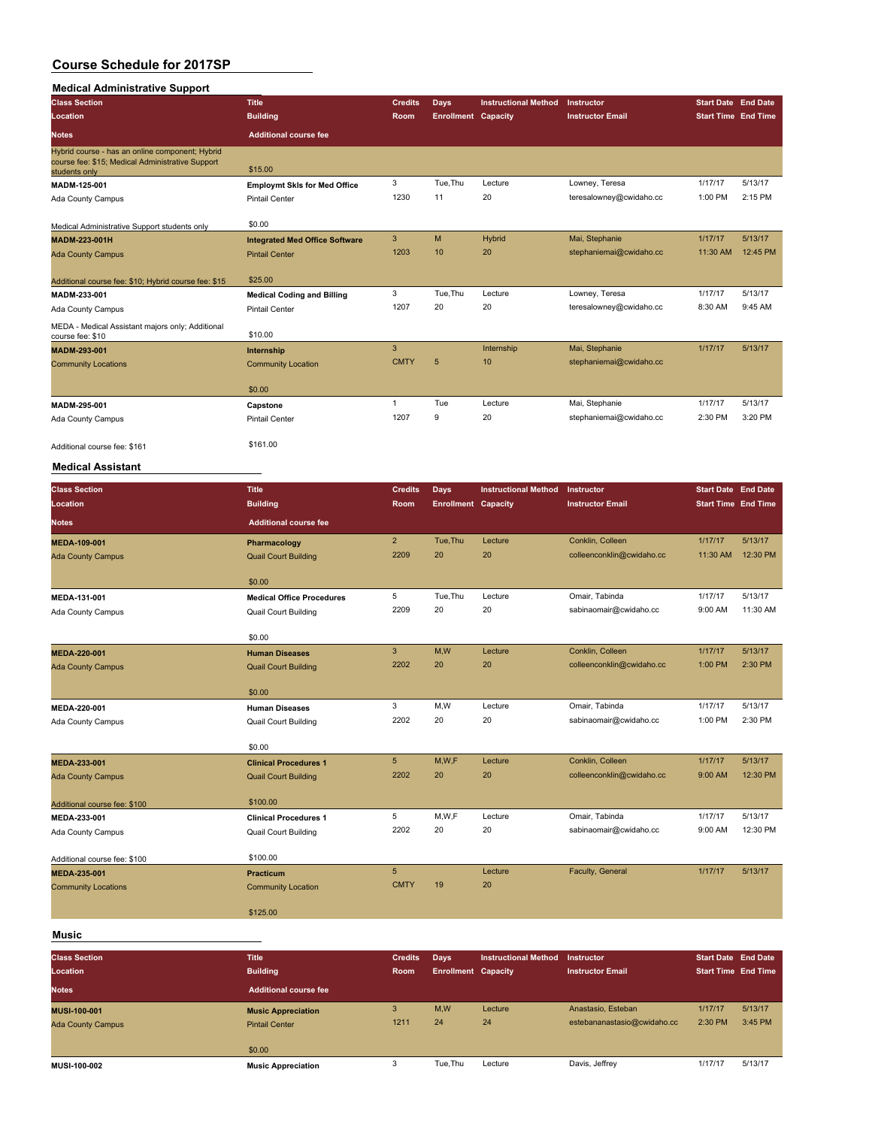### **Medical Administrative Support**

| <b>Class Section</b>                                                                                                 | <b>Title</b>                          | <b>Credits</b> | Days                       | <b>Instructional Method</b> | Instructor              | <b>Start Date End Date</b> |          |
|----------------------------------------------------------------------------------------------------------------------|---------------------------------------|----------------|----------------------------|-----------------------------|-------------------------|----------------------------|----------|
| Location                                                                                                             | <b>Building</b>                       | Room           | <b>Enrollment Capacity</b> |                             | <b>Instructor Email</b> | <b>Start Time End Time</b> |          |
| <b>Notes</b>                                                                                                         | <b>Additional course fee</b>          |                |                            |                             |                         |                            |          |
| Hybrid course - has an online component; Hybrid<br>course fee: \$15; Medical Administrative Support<br>students only | \$15.00                               |                |                            |                             |                         |                            |          |
| MADM-125-001                                                                                                         | <b>Employmt Skis for Med Office</b>   | 3              | Tue, Thu                   | Lecture                     | Lowney, Teresa          | 1/17/17                    | 5/13/17  |
| Ada County Campus                                                                                                    | <b>Pintail Center</b>                 | 1230           | 11                         | 20                          | teresalowney@cwidaho.cc | 1:00 PM                    | 2:15 PM  |
| Medical Administrative Support students only                                                                         | \$0.00                                |                |                            |                             |                         |                            |          |
| MADM-223-001H                                                                                                        | <b>Integrated Med Office Software</b> | 3              | M                          | Hybrid                      | Mai, Stephanie          | 1/17/17                    | 5/13/17  |
| <b>Ada County Campus</b>                                                                                             | <b>Pintail Center</b>                 | 1203           | 10                         | 20                          | stephaniemai@cwidaho.cc | 11:30 AM                   | 12:45 PM |
| Additional course fee: \$10; Hybrid course fee: \$15                                                                 | \$25.00                               |                |                            |                             |                         |                            |          |
| MADM-233-001                                                                                                         | <b>Medical Coding and Billing</b>     | 3              | Tue, Thu                   | Lecture                     | Lowney, Teresa          | 1/17/17                    | 5/13/17  |
| Ada County Campus                                                                                                    | <b>Pintail Center</b>                 | 1207           | 20                         | 20                          | teresalowney@cwidaho.cc | 8:30 AM                    | 9:45 AM  |
| MEDA - Medical Assistant majors only; Additional<br>course fee: \$10                                                 | \$10.00                               |                |                            |                             |                         |                            |          |
| MADM-293-001                                                                                                         | Internship                            | 3              |                            | Internship                  | Mai, Stephanie          | 1/17/17                    | 5/13/17  |
| <b>Community Locations</b>                                                                                           | <b>Community Location</b>             | <b>CMTY</b>    | 5                          | 10                          | stephaniemai@cwidaho.cc |                            |          |
|                                                                                                                      | \$0.00                                |                |                            |                             |                         |                            |          |
| MADM-295-001                                                                                                         | Capstone                              | $\mathbf{1}$   | Tue                        | Lecture                     | Mai, Stephanie          | 1/17/17                    | 5/13/17  |
| Ada County Campus                                                                                                    | <b>Pintail Center</b>                 | 1207           | 9                          | 20                          | stephaniemai@cwidaho.cc | 2:30 PM                    | 3:20 PM  |
| Additional course fee: \$161<br>.                                                                                    | \$161.00                              |                |                            |                             |                         |                            |          |

#### **Medical Assistant**

| <b>Class Section</b>         | <b>Title</b>                     | <b>Credits</b> | <b>Days</b>                | <b>Instructional Method</b> | Instructor                | <b>Start Date End Date</b> |          |
|------------------------------|----------------------------------|----------------|----------------------------|-----------------------------|---------------------------|----------------------------|----------|
| Location                     | <b>Building</b>                  | Room           | <b>Enrollment Capacity</b> |                             | <b>Instructor Email</b>   | <b>Start Time End Time</b> |          |
| <b>Notes</b>                 | <b>Additional course fee</b>     |                |                            |                             |                           |                            |          |
| MEDA-109-001                 | Pharmacology                     | $2^{\circ}$    | Tue, Thu                   | Lecture                     | Conklin, Colleen          | 1/17/17                    | 5/13/17  |
| <b>Ada County Campus</b>     | <b>Quail Court Building</b>      | 2209           | 20                         | 20                          | colleenconklin@cwidaho.cc | 11:30 AM                   | 12:30 PM |
|                              | \$0.00                           |                |                            |                             |                           |                            |          |
| MEDA-131-001                 | <b>Medical Office Procedures</b> | 5              | Tue, Thu                   | Lecture                     | Omair, Tabinda            | 1/17/17                    | 5/13/17  |
| Ada County Campus            | <b>Quail Court Building</b>      | 2209           | 20                         | 20                          | sabinaomair@cwidaho.cc    | 9:00 AM                    | 11:30 AM |
|                              | \$0.00                           |                |                            |                             |                           |                            |          |
| MEDA-220-001                 | <b>Human Diseases</b>            | $\mathbf{3}$   | M,W                        | Lecture                     | Conklin, Colleen          | 1/17/17                    | 5/13/17  |
| <b>Ada County Campus</b>     | <b>Quail Court Building</b>      | 2202           | 20                         | 20                          | colleenconklin@cwidaho.cc | 1:00 PM                    | 2:30 PM  |
|                              | \$0.00                           |                |                            |                             |                           |                            |          |
| MEDA-220-001                 | <b>Human Diseases</b>            | 3              | M, W                       | Lecture                     | Omair, Tabinda            | 1/17/17                    | 5/13/17  |
| Ada County Campus            | <b>Quail Court Building</b>      | 2202           | 20                         | 20                          | sabinaomair@cwidaho.cc    | 1:00 PM                    | 2:30 PM  |
|                              | \$0.00                           |                |                            |                             |                           |                            |          |
| MEDA-233-001                 | <b>Clinical Procedures 1</b>     | 5              | M,W,F                      | Lecture                     | Conklin, Colleen          | 1/17/17                    | 5/13/17  |
| <b>Ada County Campus</b>     | <b>Quail Court Building</b>      | 2202           | 20                         | 20                          | colleenconklin@cwidaho.cc | 9:00 AM                    | 12:30 PM |
| Additional course fee: \$100 | \$100.00                         |                |                            |                             |                           |                            |          |
| MEDA-233-001                 | <b>Clinical Procedures 1</b>     | 5              | M,W,F                      | Lecture                     | Omair, Tabinda            | 1/17/17                    | 5/13/17  |
| Ada County Campus            | <b>Quail Court Building</b>      | 2202           | 20                         | 20                          | sabinaomair@cwidaho.cc    | 9:00 AM                    | 12:30 PM |
| Additional course fee: \$100 | \$100.00                         |                |                            |                             |                           |                            |          |
| MEDA-235-001                 | <b>Practicum</b>                 | 5 <sup>5</sup> |                            | Lecture                     | Faculty, General          | 1/17/17                    | 5/13/17  |
| <b>Community Locations</b>   | <b>Community Location</b>        | <b>CMTY</b>    | 19                         | 20                          |                           |                            |          |
|                              | \$125.00                         |                |                            |                             |                           |                            |          |
|                              |                                  |                |                            |                             |                           |                            |          |

#### **Music**

| <b>Class Section</b><br>Location | <b>Title</b><br><b>Building</b> | <b>Credits</b><br>Room | Days<br><b>Enrollment Capacity</b> | <b>Instructional Method</b> | Instructor<br><b>Instructor Email</b> | <b>Start Date End Date</b><br><b>Start Time End Time</b> |         |
|----------------------------------|---------------------------------|------------------------|------------------------------------|-----------------------------|---------------------------------------|----------------------------------------------------------|---------|
| <b>Notes</b>                     | <b>Additional course fee</b>    |                        |                                    |                             |                                       |                                                          |         |
| <b>MUSI-100-001</b>              | <b>Music Appreciation</b>       | 3                      | M,W                                | Lecture                     | Anastasio, Esteban                    | 1/17/17                                                  | 5/13/17 |
| <b>Ada County Campus</b>         | <b>Pintail Center</b>           | 1211                   | 24                                 | 24                          | estebananastasio@cwidaho.cc           | 2:30 PM                                                  | 3:45 PM |
|                                  | \$0.00                          |                        |                                    |                             |                                       |                                                          |         |
| MUSI-100-002                     | <b>Music Appreciation</b>       |                        | Tue.Thu                            | Lecture                     | Davis, Jeffrey                        | 1/17/17                                                  | 5/13/17 |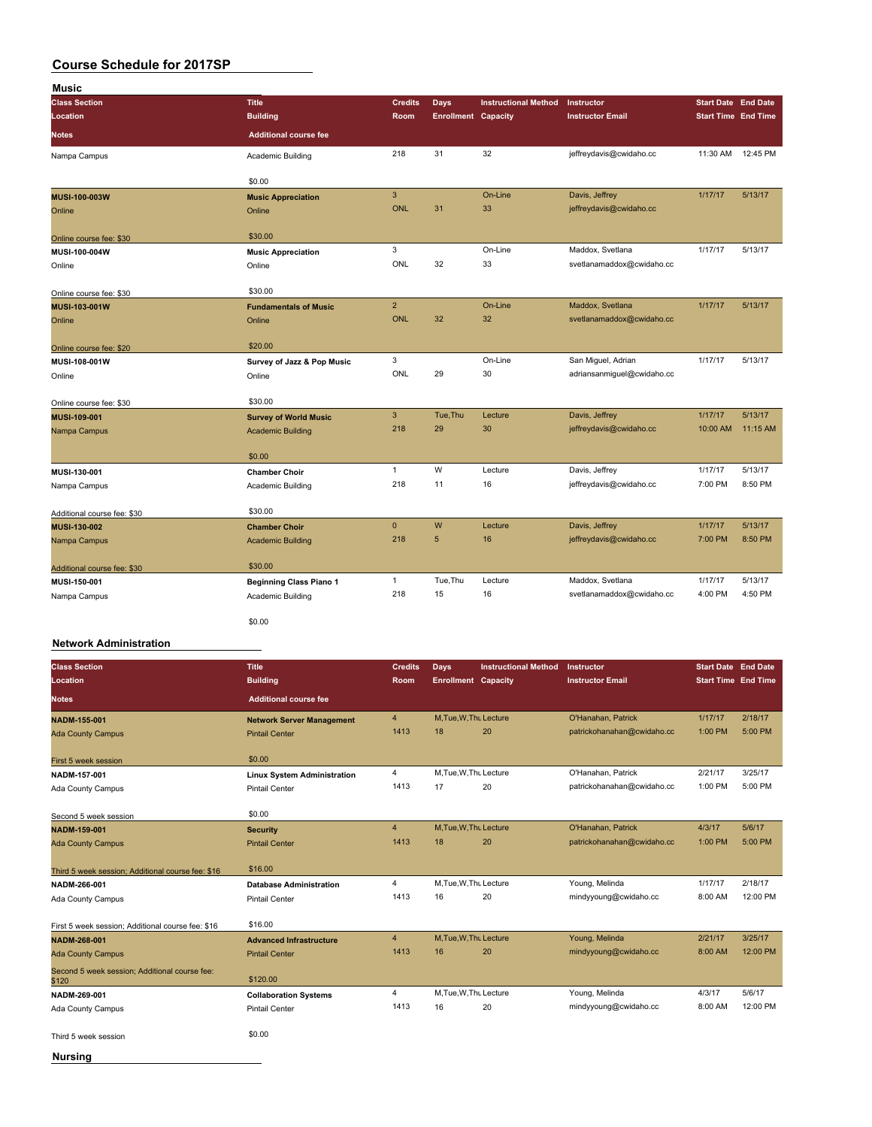| Music<br><b>Class Section</b> | <b>Title</b>                   | <b>Credits</b>            | <b>Days</b>                | <b>Instructional Method</b> | Instructor                 | <b>Start Date End Date</b> |          |
|-------------------------------|--------------------------------|---------------------------|----------------------------|-----------------------------|----------------------------|----------------------------|----------|
| Location                      | <b>Building</b>                | Room                      | <b>Enrollment Capacity</b> |                             | <b>Instructor Email</b>    | <b>Start Time End Time</b> |          |
| <b>Notes</b>                  | <b>Additional course fee</b>   |                           |                            |                             |                            |                            |          |
| Nampa Campus                  | Academic Building              | 218                       | 31                         | 32                          | jeffreydavis@cwidaho.cc    | 11:30 AM                   | 12:45 PM |
|                               | \$0.00                         |                           |                            |                             |                            |                            |          |
| MUSI-100-003W                 | <b>Music Appreciation</b>      | $\ensuremath{\mathsf{3}}$ |                            | On-Line                     | Davis, Jeffrey             | 1/17/17                    | 5/13/17  |
| Online                        | Online                         | ONL                       | 31                         | 33                          | jeffreydavis@cwidaho.cc    |                            |          |
| Online course fee: \$30       | \$30.00                        |                           |                            |                             |                            |                            |          |
| MUSI-100-004W                 | <b>Music Appreciation</b>      | 3                         |                            | On-Line                     | Maddox, Svetlana           | 1/17/17                    | 5/13/17  |
| Online                        | Online                         | ONL                       | 32                         | 33                          | svetlanamaddox@cwidaho.cc  |                            |          |
| Online course fee: \$30       | \$30.00                        |                           |                            |                             |                            |                            |          |
| MUSI-103-001W                 | <b>Fundamentals of Music</b>   | $\overline{2}$            |                            | On-Line                     | Maddox, Svetlana           | 1/17/17                    | 5/13/17  |
| Online                        | Online                         | <b>ONL</b>                | 32                         | 32                          | svetlanamaddox@cwidaho.cc  |                            |          |
| Online course fee: \$20       | \$20.00                        |                           |                            |                             |                            |                            |          |
| MUSI-108-001W                 | Survey of Jazz & Pop Music     | 3                         |                            | On-Line                     | San Miguel, Adrian         | 1/17/17                    | 5/13/17  |
| Online                        | Online                         | ONL                       | 29                         | 30                          | adriansanmiguel@cwidaho.cc |                            |          |
| Online course fee: \$30       | \$30.00                        |                           |                            |                             |                            |                            |          |
| MUSI-109-001                  | <b>Survey of World Music</b>   | 3                         | Tue, Thu                   | Lecture                     | Davis, Jeffrey             | 1/17/17                    | 5/13/17  |
| Nampa Campus                  | <b>Academic Building</b>       | 218                       | 29                         | 30                          | jeffreydavis@cwidaho.cc    | 10:00 AM                   | 11:15 AM |
|                               | \$0.00                         |                           |                            |                             |                            |                            |          |
| MUSI-130-001                  | <b>Chamber Choir</b>           | $\mathbf{1}$              | W                          | Lecture                     | Davis, Jeffrey             | 1/17/17                    | 5/13/17  |
| Nampa Campus                  | Academic Building              | 218                       | 11                         | 16                          | jeffreydavis@cwidaho.cc    | 7:00 PM                    | 8:50 PM  |
| Additional course fee: \$30   | \$30.00                        |                           |                            |                             |                            |                            |          |
| MUSI-130-002                  | <b>Chamber Choir</b>           | $\mathbf 0$               | W                          | Lecture                     | Davis, Jeffrey             | 1/17/17                    | 5/13/17  |
| Nampa Campus                  | <b>Academic Building</b>       | 218                       | 5                          | 16                          | jeffreydavis@cwidaho.cc    | 7:00 PM                    | 8:50 PM  |
| Additional course fee: \$30   | \$30.00                        |                           |                            |                             |                            |                            |          |
| MUSI-150-001                  | <b>Beginning Class Piano 1</b> | $\mathbf{1}$              | Tue, Thu                   | Lecture                     | Maddox, Svetlana           | 1/17/17                    | 5/13/17  |
| Nampa Campus                  | Academic Building              | 218                       | 15                         | 16                          | svetlanamaddox@cwidaho.cc  | 4:00 PM                    | 4:50 PM  |
|                               | \$0.00                         |                           |                            |                             |                            |                            |          |
| <b>Network Administration</b> |                                |                           |                            |                             |                            |                            |          |

| <b>Class Section</b>                                   | <b>Title</b>                       | <b>Credits</b> | Days                       | <b>Instructional Method</b> | Instructor                 | <b>Start Date End Date</b> |          |
|--------------------------------------------------------|------------------------------------|----------------|----------------------------|-----------------------------|----------------------------|----------------------------|----------|
| Location                                               | <b>Building</b>                    | <b>Room</b>    | <b>Enrollment Capacity</b> |                             | <b>Instructor Email</b>    | <b>Start Time End Time</b> |          |
| <b>Notes</b>                                           | <b>Additional course fee</b>       |                |                            |                             |                            |                            |          |
| <b>NADM-155-001</b>                                    | <b>Network Server Management</b>   | $\overline{4}$ | M.Tue.W.Thu Lecture        |                             | O'Hanahan, Patrick         | 1/17/17                    | 2/18/17  |
| <b>Ada County Campus</b>                               | <b>Pintail Center</b>              | 1413           | 18                         | 20                          | patrickohanahan@cwidaho.cc | 1:00 PM                    | 5:00 PM  |
| First 5 week session                                   | \$0.00                             |                |                            |                             |                            |                            |          |
| NADM-157-001                                           | <b>Linux System Administration</b> | $\overline{4}$ | M, Tue, W, Thu Lecture     |                             | O'Hanahan, Patrick         | 2/21/17                    | 3/25/17  |
| Ada County Campus                                      | <b>Pintail Center</b>              | 1413           | 17                         | 20                          | patrickohanahan@cwidaho.cc | 1:00 PM                    | 5:00 PM  |
|                                                        |                                    |                |                            |                             |                            |                            |          |
| Second 5 week session                                  | \$0.00                             |                |                            |                             |                            |                            |          |
| <b>NADM-159-001</b>                                    | <b>Security</b>                    | $\overline{4}$ | M, Tue, W, Thu Lecture     |                             | O'Hanahan, Patrick         | 4/3/17                     | 5/6/17   |
| <b>Ada County Campus</b>                               | <b>Pintail Center</b>              | 1413           | 18                         | 20                          | patrickohanahan@cwidaho.cc | 1:00 PM                    | 5:00 PM  |
|                                                        |                                    |                |                            |                             |                            |                            |          |
| Third 5 week session; Additional course fee: \$16      | \$16.00                            |                |                            |                             |                            |                            |          |
| NADM-266-001                                           | <b>Database Administration</b>     | $\overline{4}$ | M, Tue, W, Thu Lecture     |                             | Young, Melinda             | 1/17/17                    | 2/18/17  |
| Ada County Campus                                      | <b>Pintail Center</b>              | 1413           | 16                         | 20                          | mindyyoung@cwidaho.cc      | 8:00 AM                    | 12:00 PM |
|                                                        |                                    |                |                            |                             |                            |                            |          |
| First 5 week session; Additional course fee: \$16      | \$16.00                            |                |                            |                             |                            |                            |          |
| NADM-268-001                                           | <b>Advanced Infrastructure</b>     | $\overline{4}$ | M, Tue, W, Thu Lecture     |                             | Young, Melinda             | 2/21/17                    | 3/25/17  |
| <b>Ada County Campus</b>                               | <b>Pintail Center</b>              | 1413           | 16                         | 20                          | mindyyoung@cwidaho.cc      | 8:00 AM                    | 12:00 PM |
| Second 5 week session; Additional course fee:<br>\$120 | \$120.00                           |                |                            |                             |                            |                            |          |
| NADM-269-001                                           | <b>Collaboration Systems</b>       | $\overline{4}$ | M, Tue, W, Thu Lecture     |                             | Young, Melinda             | 4/3/17                     | 5/6/17   |
| Ada County Campus                                      | <b>Pintail Center</b>              | 1413           | 16                         | 20                          | mindyyoung@cwidaho.cc      | 8:00 AM                    | 12:00 PM |
|                                                        |                                    |                |                            |                             |                            |                            |          |
| Third 5 week session                                   | \$0.00                             |                |                            |                             |                            |                            |          |
| <b>Nursing</b>                                         |                                    |                |                            |                             |                            |                            |          |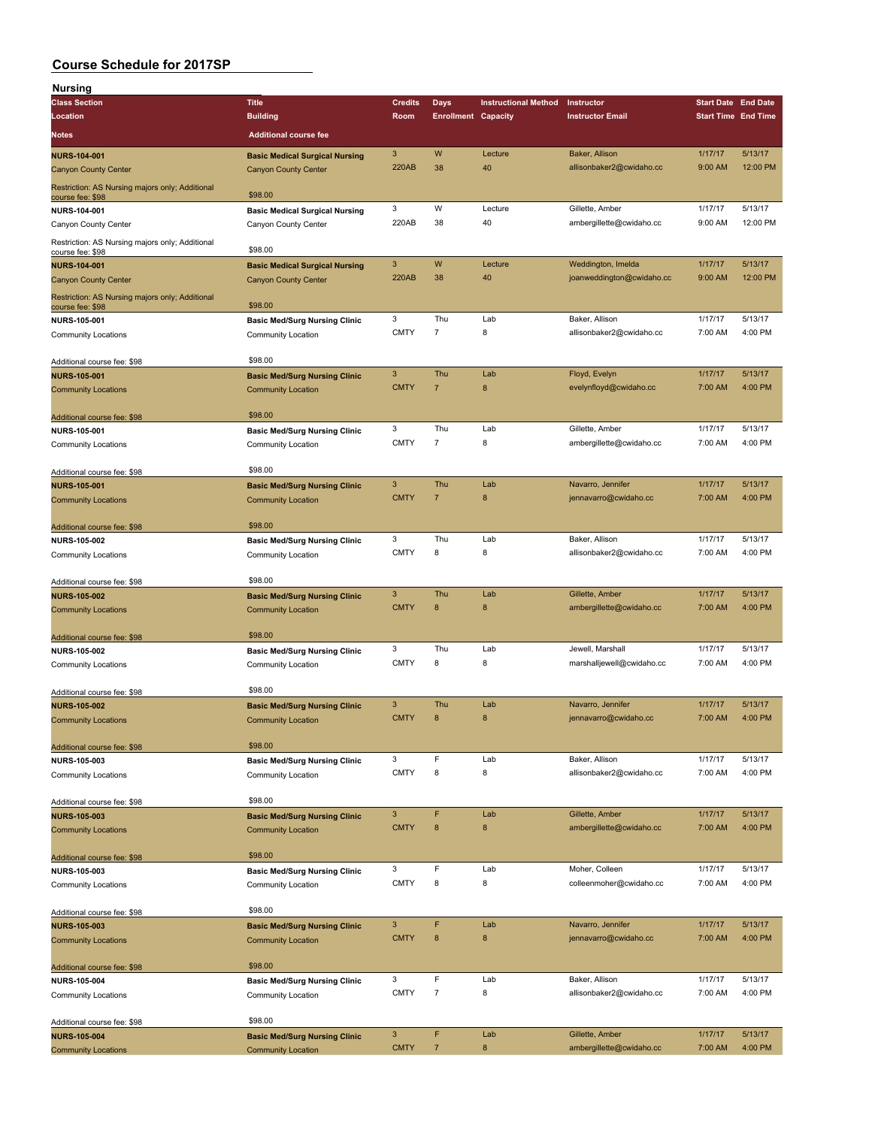| Nursing                                                             |                                       |                |                            |                             |                           |                            |          |
|---------------------------------------------------------------------|---------------------------------------|----------------|----------------------------|-----------------------------|---------------------------|----------------------------|----------|
| <b>Class Section</b>                                                | <b>Title</b>                          | <b>Credits</b> | <b>Days</b>                | <b>Instructional Method</b> | Instructor                | <b>Start Date End Date</b> |          |
| Location                                                            | <b>Building</b>                       | Room           | <b>Enrollment Capacity</b> |                             | <b>Instructor Email</b>   | <b>Start Time End Time</b> |          |
| Notes                                                               | <b>Additional course fee</b>          |                |                            |                             |                           |                            |          |
| <b>NURS-104-001</b>                                                 | <b>Basic Medical Surgical Nursing</b> | 3              | W                          | Lecture                     | Baker, Allison            | 1/17/17                    | 5/13/17  |
| <b>Canyon County Center</b>                                         | <b>Canyon County Center</b>           | 220AB          | 38                         | 40                          | allisonbaker2@cwidaho.cc  | 9:00 AM                    | 12:00 PM |
| Restriction: AS Nursing majors only; Additional<br>course fee: \$98 | \$98.00                               |                |                            |                             |                           |                            |          |
| NURS-104-001                                                        | <b>Basic Medical Surgical Nursing</b> | 3              | W                          | Lecture                     | Gillette, Amber           | 1/17/17                    | 5/13/17  |
| Canyon County Center                                                | Canyon County Center                  | 220AB          | 38                         | 40                          | ambergillette@cwidaho.cc  | 9:00 AM                    | 12:00 PM |
| Restriction: AS Nursing majors only; Additional                     |                                       |                |                            |                             |                           |                            |          |
| course fee: \$98                                                    | \$98.00                               |                |                            |                             |                           |                            |          |
| <b>NURS-104-001</b>                                                 | <b>Basic Medical Surgical Nursing</b> | 3              | W                          | Lecture                     | Weddington, Imelda        | 1/17/17                    | 5/13/17  |
| <b>Canyon County Center</b>                                         | <b>Canyon County Center</b>           | 220AB          | 38                         | 40                          | joanweddington@cwidaho.cc | 9:00 AM                    | 12:00 PM |
| Restriction: AS Nursing majors only; Additional<br>course fee: \$98 | \$98.00                               |                |                            |                             |                           |                            |          |
| NURS-105-001                                                        | <b>Basic Med/Surg Nursing Clinic</b>  | 3              | Thu                        | Lab                         | Baker, Allison            | 1/17/17                    | 5/13/17  |
| <b>Community Locations</b>                                          | Community Location                    | <b>CMTY</b>    | 7                          | 8                           | allisonbaker2@cwidaho.cc  | 7:00 AM                    | 4:00 PM  |
| Additional course fee: \$98                                         | \$98.00                               |                |                            |                             |                           |                            |          |
| <b>NURS-105-001</b>                                                 | <b>Basic Med/Surg Nursing Clinic</b>  | 3              | Thu                        | Lab                         | Floyd, Evelyn             | 1/17/17                    | 5/13/17  |
| <b>Community Locations</b>                                          | <b>Community Location</b>             | <b>CMTY</b>    | $\overline{7}$             | 8                           | evelynfloyd@cwidaho.cc    | 7:00 AM                    | 4:00 PM  |
| Additional course fee: \$98                                         | \$98.00                               |                |                            |                             |                           |                            |          |
| NURS-105-001                                                        | <b>Basic Med/Surg Nursing Clinic</b>  | 3              | Thu                        | Lab                         | Gillette, Amber           | 1/17/17                    | 5/13/17  |
| <b>Community Locations</b>                                          | Community Location                    | <b>CMTY</b>    | $\overline{7}$             | 8                           | ambergillette@cwidaho.cc  | 7:00 AM                    | 4:00 PM  |
| Additional course fee: \$98                                         | \$98.00                               |                |                            |                             |                           |                            |          |
| <b>NURS-105-001</b>                                                 | <b>Basic Med/Surg Nursing Clinic</b>  | 3              | Thu                        | Lab                         | Navarro, Jennifer         | 1/17/17                    | 5/13/17  |
| <b>Community Locations</b>                                          | <b>Community Location</b>             | <b>CMTY</b>    | $\overline{7}$             | 8                           | jennavarro@cwidaho.cc     | 7:00 AM                    | 4:00 PM  |
| Additional course fee: \$98                                         | \$98.00                               |                |                            |                             |                           |                            |          |
| <b>NURS-105-002</b>                                                 | <b>Basic Med/Surg Nursing Clinic</b>  | 3              | Thu                        | Lab                         | Baker, Allison            | 1/17/17                    | 5/13/17  |
| <b>Community Locations</b>                                          | Community Location                    | <b>CMTY</b>    | 8                          | 8                           | allisonbaker2@cwidaho.cc  | 7:00 AM                    | 4:00 PM  |
| Additional course fee: \$98                                         | \$98.00                               |                |                            |                             |                           |                            |          |
| <b>NURS-105-002</b>                                                 | <b>Basic Med/Surg Nursing Clinic</b>  | 3              | Thu                        | Lab                         | Gillette, Amber           | 1/17/17                    | 5/13/17  |
| <b>Community Locations</b>                                          | <b>Community Location</b>             | <b>CMTY</b>    | $\bf8$                     | 8                           | ambergillette@cwidaho.cc  | 7:00 AM                    | 4:00 PM  |
| Additional course fee: \$98                                         | \$98.00                               |                |                            |                             |                           |                            |          |
| <b>NURS-105-002</b>                                                 | <b>Basic Med/Surg Nursing Clinic</b>  | 3              | Thu                        | Lab                         | Jewell, Marshall          | 1/17/17                    | 5/13/17  |
| <b>Community Locations</b>                                          | Community Location                    | <b>CMTY</b>    | 8                          | 8                           | marshalljewell@cwidaho.cc | 7:00 AM                    | 4:00 PM  |
| Additional course fee: \$98                                         | \$98.00                               |                |                            |                             |                           |                            |          |
| <b>NURS-105-002</b>                                                 | <b>Basic Med/Surg Nursing Clinic</b>  | 3              | Thu                        | Lab                         | Navarro, Jennifer         | 1/17/17                    | 5/13/17  |
| <b>Community Locations</b>                                          | <b>Community Location</b>             | <b>CMTY</b>    | 8                          | 8                           | jennavarro@cwidaho.cc     | 7:00 AM                    | 4:00 PM  |
| Additional course fee: \$98                                         | \$98.00                               |                |                            |                             |                           |                            |          |
| <b>NURS-105-003</b>                                                 | <b>Basic Med/Surg Nursing Clinic</b>  | 3              | F                          | Lab                         | Baker, Allison            | 1/17/17                    | 5/13/17  |
| <b>Community Locations</b>                                          | <b>Community Location</b>             | <b>CMTY</b>    | 8                          | 8                           | allisonbaker2@cwidaho.cc  | 7:00 AM                    | 4:00 PM  |
| Additional course fee: \$98                                         | \$98.00                               |                |                            |                             |                           |                            |          |
| <b>NURS-105-003</b>                                                 | <b>Basic Med/Surg Nursing Clinic</b>  | 3              | F                          | Lab                         | Gillette, Amber           | 1/17/17                    | 5/13/17  |
| <b>Community Locations</b>                                          | <b>Community Location</b>             | <b>CMTY</b>    | 8                          | 8                           | ambergillette@cwidaho.cc  | 7:00 AM                    | 4:00 PM  |
| Additional course fee: \$98                                         | \$98.00                               |                |                            |                             |                           |                            |          |
| NURS-105-003                                                        | <b>Basic Med/Surg Nursing Clinic</b>  | 3              | F                          | Lab                         | Moher, Colleen            | 1/17/17                    | 5/13/17  |
| <b>Community Locations</b>                                          | Community Location                    | <b>CMTY</b>    | 8                          | 8                           | colleenmoher@cwidaho.cc   | 7:00 AM                    | 4:00 PM  |
|                                                                     |                                       |                |                            |                             |                           |                            |          |
| Additional course fee: \$98                                         | \$98.00                               |                |                            |                             |                           |                            |          |
| <b>NURS-105-003</b>                                                 | <b>Basic Med/Surg Nursing Clinic</b>  | 3              | F                          | Lab                         | Navarro, Jennifer         | 1/17/17                    | 5/13/17  |
| <b>Community Locations</b>                                          | <b>Community Location</b>             | <b>CMTY</b>    | 8                          | 8                           | jennavarro@cwidaho.cc     | 7:00 AM                    | 4:00 PM  |
| Additional course fee: \$98                                         | \$98.00                               |                |                            |                             |                           |                            |          |
| NURS-105-004                                                        | <b>Basic Med/Surg Nursing Clinic</b>  | 3              | F                          | Lab                         | Baker, Allison            | 1/17/17                    | 5/13/17  |
| <b>Community Locations</b>                                          | Community Location                    | <b>CMTY</b>    | $\overline{7}$             | 8                           | allisonbaker2@cwidaho.cc  | 7:00 AM                    | 4:00 PM  |
| Additional course fee: \$98                                         | \$98.00                               |                |                            |                             |                           |                            |          |
| <b>NURS-105-004</b>                                                 | <b>Basic Med/Surg Nursing Clinic</b>  | 3              | F                          | Lab                         | Gillette, Amber           | 1/17/17                    | 5/13/17  |
| <b>Community Locations</b>                                          | <b>Community Location</b>             | <b>CMTY</b>    | $\overline{7}$             | 8                           | ambergillette@cwidaho.cc  | 7:00 AM                    | 4:00 PM  |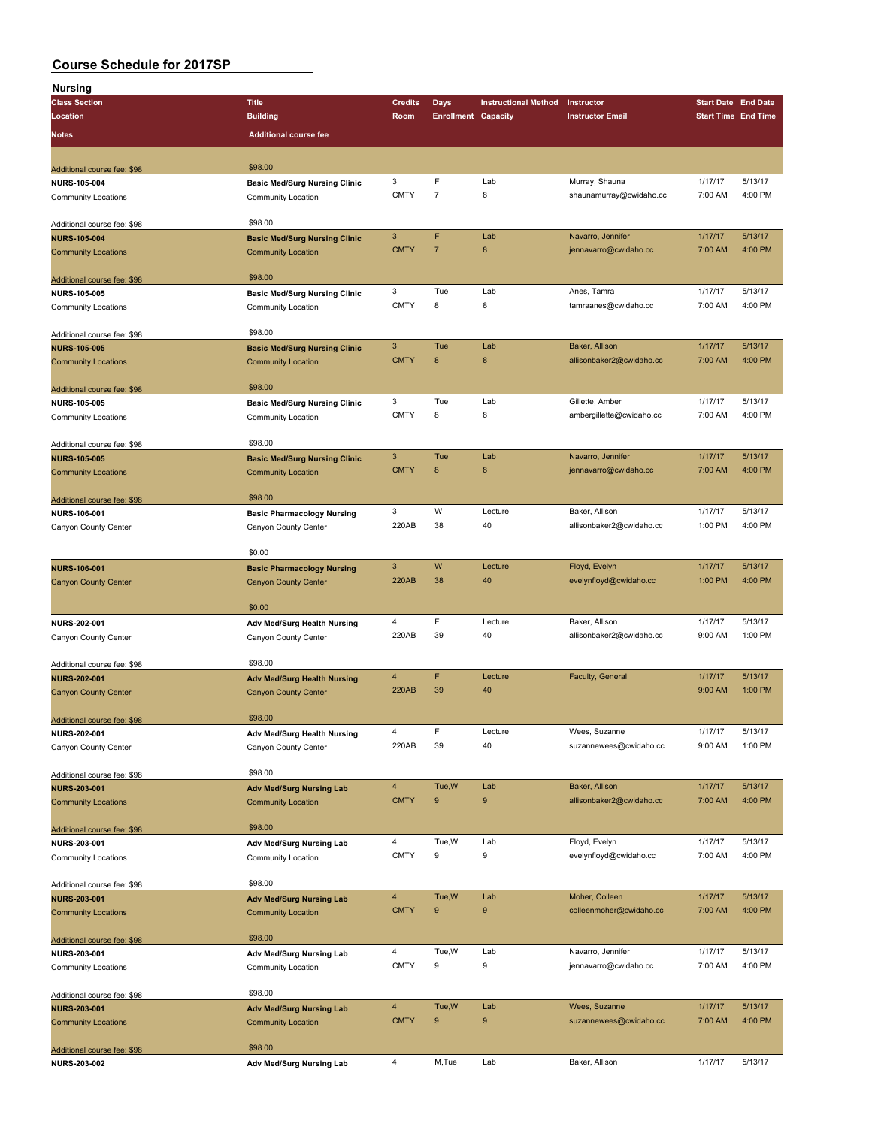| <b>Nursing</b>              |                                      |                |                            |                             |                          |                            |         |
|-----------------------------|--------------------------------------|----------------|----------------------------|-----------------------------|--------------------------|----------------------------|---------|
| <b>Class Section</b>        | <b>Title</b>                         | <b>Credits</b> | Days                       | <b>Instructional Method</b> | Instructor               | <b>Start Date End Date</b> |         |
| Location                    | <b>Building</b>                      | Room           | <b>Enrollment Capacity</b> |                             | <b>Instructor Email</b>  | <b>Start Time End Time</b> |         |
| Notes                       | <b>Additional course fee</b>         |                |                            |                             |                          |                            |         |
|                             |                                      |                |                            |                             |                          |                            |         |
|                             |                                      |                |                            |                             |                          |                            |         |
| Additional course fee: \$98 | \$98.00                              |                | F                          |                             |                          |                            | 5/13/17 |
| <b>NURS-105-004</b>         | <b>Basic Med/Surg Nursing Clinic</b> | 3              |                            | Lab                         | Murray, Shauna           | 1/17/17                    |         |
| <b>Community Locations</b>  | Community Location                   | <b>CMTY</b>    | $\overline{7}$             | 8                           | shaunamurray@cwidaho.cc  | 7:00 AM                    | 4:00 PM |
|                             |                                      |                |                            |                             |                          |                            |         |
| Additional course fee: \$98 | \$98.00                              |                |                            |                             |                          | 1/17/17                    |         |
| <b>NURS-105-004</b>         | <b>Basic Med/Surg Nursing Clinic</b> | $\mathbf{3}$   | F                          | Lab                         | Navarro, Jennifer        |                            | 5/13/17 |
| <b>Community Locations</b>  | <b>Community Location</b>            | <b>CMTY</b>    | $\overline{7}$             | $\bf8$                      | jennavarro@cwidaho.cc    | 7:00 AM                    | 4:00 PM |
|                             |                                      |                |                            |                             |                          |                            |         |
| Additional course fee: \$98 | \$98.00                              |                |                            |                             |                          |                            |         |
| <b>NURS-105-005</b>         | <b>Basic Med/Surg Nursing Clinic</b> | 3              | Tue                        | Lab                         | Anes, Tamra              | 1/17/17                    | 5/13/17 |
| Community Locations         | Community Location                   | <b>CMTY</b>    | 8                          | 8                           | tamraanes@cwidaho.cc     | 7:00 AM                    | 4:00 PM |
|                             |                                      |                |                            |                             |                          |                            |         |
| Additional course fee: \$98 | \$98.00                              |                | Tue                        | Lab                         |                          |                            | 5/13/17 |
| <b>NURS-105-005</b>         | <b>Basic Med/Surg Nursing Clinic</b> | $\mathbf{3}$   | 8                          |                             | Baker, Allison           | 1/17/17                    |         |
| <b>Community Locations</b>  | <b>Community Location</b>            | <b>CMTY</b>    |                            | 8                           | allisonbaker2@cwidaho.cc | 7:00 AM                    | 4:00 PM |
|                             |                                      |                |                            |                             |                          |                            |         |
| Additional course fee: \$98 | \$98.00                              |                |                            |                             |                          |                            |         |
| <b>NURS-105-005</b>         | <b>Basic Med/Surg Nursing Clinic</b> | 3              | Tue                        | Lab                         | Gillette, Amber          | 1/17/17                    | 5/13/17 |
| <b>Community Locations</b>  | Community Location                   | <b>CMTY</b>    | 8                          | 8                           | ambergillette@cwidaho.cc | 7:00 AM                    | 4:00 PM |
|                             |                                      |                |                            |                             |                          |                            |         |
| Additional course fee: \$98 | \$98.00                              |                |                            |                             |                          |                            |         |
| <b>NURS-105-005</b>         | <b>Basic Med/Surg Nursing Clinic</b> | $\mathbf{3}$   | Tue                        | Lab                         | Navarro, Jennifer        | 1/17/17                    | 5/13/17 |
| <b>Community Locations</b>  | <b>Community Location</b>            | <b>CMTY</b>    | 8                          | 8                           | jennavarro@cwidaho.cc    | 7:00 AM                    | 4:00 PM |
|                             |                                      |                |                            |                             |                          |                            |         |
| Additional course fee: \$98 | \$98.00                              |                |                            |                             |                          |                            |         |
| NURS-106-001                | <b>Basic Pharmacology Nursing</b>    | 3              | W                          | Lecture                     | Baker, Allison           | 1/17/17                    | 5/13/17 |
| Canyon County Center        | Canyon County Center                 | 220AB          | 38                         | 40                          | allisonbaker2@cwidaho.cc | 1:00 PM                    | 4:00 PM |
|                             |                                      |                |                            |                             |                          |                            |         |
|                             | \$0.00                               |                |                            |                             |                          |                            |         |
| <b>NURS-106-001</b>         | <b>Basic Pharmacology Nursing</b>    | $\mathbf{3}$   | W                          | Lecture                     | Floyd, Evelyn            | 1/17/17                    | 5/13/17 |
| <b>Canyon County Center</b> | <b>Canyon County Center</b>          | 220AB          | 38                         | 40                          | evelynfloyd@cwidaho.cc   | 1:00 PM                    | 4:00 PM |
|                             |                                      |                |                            |                             |                          |                            |         |
|                             | \$0.00                               |                |                            |                             |                          |                            |         |
| NURS-202-001                | Adv Med/Surg Health Nursing          | $\overline{4}$ | F                          | Lecture                     | Baker, Allison           | 1/17/17                    | 5/13/17 |
| Canyon County Center        | Canyon County Center                 | 220AB          | 39                         | 40                          | allisonbaker2@cwidaho.cc | 9:00 AM                    | 1:00 PM |
|                             |                                      |                |                            |                             |                          |                            |         |
| Additional course fee: \$98 | \$98.00                              |                |                            |                             |                          |                            |         |
| <b>NURS-202-001</b>         | <b>Adv Med/Surg Health Nursing</b>   | $\overline{4}$ | F                          | Lecture                     | Faculty, General         | 1/17/17                    | 5/13/17 |
| <b>Canyon County Center</b> | <b>Canyon County Center</b>          | <b>220AB</b>   | 39                         | 40                          |                          | 9:00 AM                    | 1:00 PM |
|                             |                                      |                |                            |                             |                          |                            |         |
| Additional course fee: \$98 | \$98.00                              |                |                            |                             |                          |                            |         |
| NURS-202-001                | Adv Med/Surg Health Nursing          | 4              | F                          | Lecture                     | Wees, Suzanne            | 1/17/17                    | 5/13/17 |
| Canyon County Center        | Canyon County Center                 | 220AB          | 39                         | 40                          | suzannewees@cwidaho.cc   | 9:00 AM                    | 1:00 PM |
|                             |                                      |                |                            |                             |                          |                            |         |
| Additional course fee: \$98 | \$98.00                              |                |                            |                             |                          |                            |         |
| <b>NURS-203-001</b>         | <b>Adv Med/Surg Nursing Lab</b>      | $\overline{4}$ | Tue, W                     | Lab                         | Baker, Allison           | 1/17/17                    | 5/13/17 |
| <b>Community Locations</b>  | <b>Community Location</b>            | <b>CMTY</b>    | 9                          | 9                           | allisonbaker2@cwidaho.cc | 7:00 AM                    | 4:00 PM |
|                             |                                      |                |                            |                             |                          |                            |         |
| Additional course fee: \$98 | \$98.00                              |                |                            |                             |                          |                            |         |
| <b>NURS-203-001</b>         | Adv Med/Surg Nursing Lab             | $\overline{4}$ | Tue, W                     | Lab                         | Floyd, Evelyn            | 1/17/17                    | 5/13/17 |
| Community Locations         | Community Location                   | <b>CMTY</b>    | 9                          | 9                           | evelynfloyd@cwidaho.cc   | 7:00 AM                    | 4:00 PM |
|                             |                                      |                |                            |                             |                          |                            |         |
| Additional course fee: \$98 | \$98.00                              |                |                            |                             |                          |                            |         |
| <b>NURS-203-001</b>         | <b>Adv Med/Surg Nursing Lab</b>      | $\overline{4}$ | Tue, W                     | Lab                         | Moher, Colleen           | 1/17/17                    | 5/13/17 |
| <b>Community Locations</b>  | <b>Community Location</b>            | <b>CMTY</b>    | 9                          | 9                           | colleenmoher@cwidaho.cc  | 7:00 AM                    | 4:00 PM |
|                             |                                      |                |                            |                             |                          |                            |         |
| Additional course fee: \$98 | \$98.00                              |                |                            |                             |                          |                            |         |
| NURS-203-001                | Adv Med/Surg Nursing Lab             | 4              | Tue, W                     | Lab                         | Navarro, Jennifer        | 1/17/17                    | 5/13/17 |
| Community Locations         | Community Location                   | <b>CMTY</b>    | 9                          | 9                           | jennavarro@cwidaho.cc    | 7:00 AM                    | 4:00 PM |
|                             |                                      |                |                            |                             |                          |                            |         |
| Additional course fee: \$98 | \$98.00                              |                |                            |                             |                          |                            |         |
| <b>NURS-203-001</b>         | <b>Adv Med/Surg Nursing Lab</b>      | $\overline{4}$ | Tue, W                     | Lab                         | Wees, Suzanne            | 1/17/17                    | 5/13/17 |
| <b>Community Locations</b>  | <b>Community Location</b>            | <b>CMTY</b>    | 9                          | 9                           | suzannewees@cwidaho.cc   | 7:00 AM                    | 4:00 PM |
|                             |                                      |                |                            |                             |                          |                            |         |
| Additional course fee: \$98 | \$98.00                              |                |                            |                             |                          |                            |         |
| NURS-203-002                | Adv Med/Surg Nursing Lab             | $\overline{4}$ | M,Tue                      | Lab                         | Baker, Allison           | 1/17/17                    | 5/13/17 |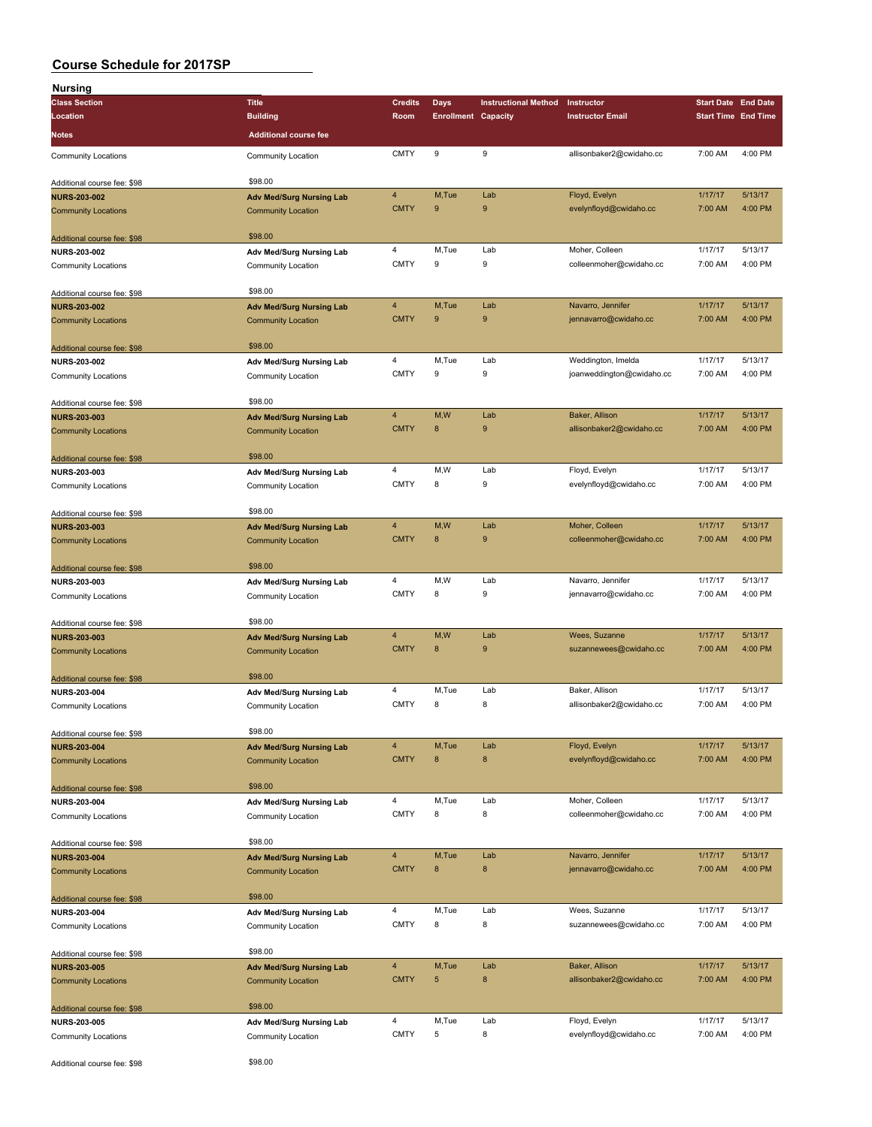| <b>Nursing</b>                                    |                                                              |                  |                            |                             |                           |                            |         |
|---------------------------------------------------|--------------------------------------------------------------|------------------|----------------------------|-----------------------------|---------------------------|----------------------------|---------|
| <b>Class Section</b>                              | <b>Title</b>                                                 | <b>Credits</b>   | Days                       | <b>Instructional Method</b> | Instructor                | <b>Start Date End Date</b> |         |
| Location                                          | <b>Building</b>                                              | Room             | <b>Enrollment Capacity</b> |                             | <b>Instructor Email</b>   | <b>Start Time End Time</b> |         |
| <b>Notes</b>                                      | <b>Additional course fee</b>                                 |                  |                            |                             |                           |                            |         |
| <b>Community Locations</b>                        | Community Location                                           | <b>CMTY</b>      | 9                          | 9                           | allisonbaker2@cwidaho.cc  | 7:00 AM                    | 4:00 PM |
| Additional course fee: \$98                       | \$98.00                                                      |                  |                            |                             |                           |                            |         |
| <b>NURS-203-002</b>                               | <b>Adv Med/Surg Nursing Lab</b>                              | 4                | M,Tue                      | Lab                         | Floyd, Evelyn             | 1/17/17                    | 5/13/17 |
| <b>Community Locations</b>                        | <b>Community Location</b>                                    | <b>CMTY</b>      | 9                          | 9                           | evelynfloyd@cwidaho.cc    | 7:00 AM                    | 4:00 PM |
| Additional course fee: \$98                       | \$98.00                                                      |                  |                            |                             |                           |                            |         |
| <b>NURS-203-002</b>                               | Adv Med/Surg Nursing Lab                                     | 4                | M,Tue                      | Lab                         | Moher, Colleen            | 1/17/17                    | 5/13/17 |
| <b>Community Locations</b>                        | <b>Community Location</b>                                    | <b>CMTY</b>      | 9                          | 9                           | colleenmoher@cwidaho.cc   | 7:00 AM                    | 4:00 PM |
| Additional course fee: \$98                       | \$98.00                                                      |                  |                            |                             |                           |                            |         |
| <b>NURS-203-002</b>                               | <b>Adv Med/Surg Nursing Lab</b>                              | 4                | M, Tue                     | Lab                         | Navarro, Jennifer         | 1/17/17                    | 5/13/17 |
| <b>Community Locations</b>                        | <b>Community Location</b>                                    | <b>CMTY</b>      | 9                          | 9                           | jennavarro@cwidaho.cc     | 7:00 AM                    | 4:00 PM |
| Additional course fee: \$98                       | \$98.00                                                      |                  |                            |                             |                           |                            |         |
| <b>NURS-203-002</b>                               | Adv Med/Surg Nursing Lab                                     | 4                | M,Tue                      | Lab                         | Weddington, Imelda        | 1/17/17                    | 5/13/17 |
| <b>Community Locations</b>                        | Community Location                                           | <b>CMTY</b>      | 9                          | 9                           | joanweddington@cwidaho.cc | 7:00 AM                    | 4:00 PM |
|                                                   | \$98.00                                                      |                  |                            |                             |                           |                            |         |
| Additional course fee: \$98                       |                                                              | $\overline{4}$   | M,W                        | Lab                         | Baker, Allison            | 1/17/17                    | 5/13/17 |
| <b>NURS-203-003</b><br><b>Community Locations</b> | <b>Adv Med/Surg Nursing Lab</b><br><b>Community Location</b> | <b>CMTY</b>      | $\bf8$                     | 9                           | allisonbaker2@cwidaho.cc  | 7:00 AM                    | 4:00 PM |
|                                                   |                                                              |                  |                            |                             |                           |                            |         |
| Additional course fee: \$98                       | \$98.00                                                      |                  |                            |                             |                           |                            |         |
| <b>NURS-203-003</b>                               | Adv Med/Surg Nursing Lab                                     | 4                | M,W                        | Lab                         | Floyd, Evelyn             | 1/17/17                    | 5/13/17 |
| <b>Community Locations</b>                        | Community Location                                           | <b>CMTY</b>      | 8                          | 9                           | evelynfloyd@cwidaho.cc    | 7:00 AM                    | 4:00 PM |
| Additional course fee: \$98                       | \$98.00                                                      |                  |                            |                             |                           |                            |         |
| <b>NURS-203-003</b>                               | <b>Adv Med/Surg Nursing Lab</b>                              | 4                | M,W                        | Lab                         | Moher, Colleen            | 1/17/17                    | 5/13/17 |
| <b>Community Locations</b>                        | <b>Community Location</b>                                    | <b>CMTY</b>      | 8                          | 9                           | colleenmoher@cwidaho.cc   | 7:00 AM                    | 4:00 PM |
| Additional course fee: \$98                       | \$98.00                                                      |                  |                            |                             |                           |                            |         |
| NURS-203-003                                      | Adv Med/Surg Nursing Lab                                     | 4                | M,W                        | Lab                         | Navarro, Jennifer         | 1/17/17                    | 5/13/17 |
| <b>Community Locations</b>                        | Community Location                                           | <b>CMTY</b>      | 8                          | 9                           | jennavarro@cwidaho.cc     | 7:00 AM                    | 4:00 PM |
| Additional course fee: \$98                       | \$98.00                                                      |                  |                            |                             |                           |                            |         |
| <b>NURS-203-003</b>                               | <b>Adv Med/Surg Nursing Lab</b>                              | 4                | M,W                        | Lab                         | Wees, Suzanne             | 1/17/17                    | 5/13/17 |
| <b>Community Locations</b>                        | <b>Community Location</b>                                    | <b>CMTY</b>      | 8                          | 9                           | suzannewees@cwidaho.cc    | 7:00 AM                    | 4:00 PM |
| Additional course fee: \$98                       | \$98.00                                                      |                  |                            |                             |                           |                            |         |
| <b>NURS-203-004</b>                               | Adv Med/Surg Nursing Lab                                     | 4                | M,Tue                      | Lab                         | Baker, Allison            | 1/17/17                    | 5/13/17 |
| Community Locations                               | Community Location                                           | <b>CMTY</b>      | 8                          | 8                           | allisonbaker2@cwidaho.cc  | 7:00 AM                    | 4:00 PM |
| Additional course fee: \$98                       | \$98.00                                                      |                  |                            |                             |                           |                            |         |
| <b>NURS-203-004</b>                               | <b>Adv Med/Surg Nursing Lab</b>                              | 4                | M,Tue                      | Lab                         | Floyd, Evelyn             | 1/17/17                    | 5/13/17 |
| <b>Community Locations</b>                        | <b>Community Location</b>                                    | <b>CMTY</b>      | 8                          | 8                           | evelynfloyd@cwidaho.cc    | 7:00 AM                    | 4:00 PM |
|                                                   |                                                              |                  |                            |                             |                           |                            |         |
| Additional course fee: \$98                       | \$98.00                                                      | 4                | M,Tue                      | Lab                         | Moher, Colleen            | 1/17/17                    | 5/13/17 |
| <b>NURS-203-004</b><br><b>Community Locations</b> | Adv Med/Surg Nursing Lab<br>Community Location               | <b>CMTY</b>      | 8                          | 8                           | colleenmoher@cwidaho.cc   | 7:00 AM                    | 4:00 PM |
|                                                   |                                                              |                  |                            |                             |                           |                            |         |
| Additional course fee: \$98                       | \$98.00                                                      |                  | M,Tue                      |                             | Navarro, Jennifer         | 1/17/17                    | 5/13/17 |
| <b>NURS-203-004</b><br><b>Community Locations</b> | <b>Adv Med/Surg Nursing Lab</b><br><b>Community Location</b> | 4<br><b>CMTY</b> | $\bf 8$                    | Lab<br>8                    | jennavarro@cwidaho.cc     | 7:00 AM                    | 4:00 PM |
|                                                   |                                                              |                  |                            |                             |                           |                            |         |
| Additional course fee: \$98                       | \$98.00                                                      |                  |                            |                             |                           |                            |         |
| NURS-203-004                                      | Adv Med/Surg Nursing Lab                                     | 4                | M,Tue                      | Lab                         | Wees, Suzanne             | 1/17/17                    | 5/13/17 |
| <b>Community Locations</b>                        | Community Location                                           | <b>CMTY</b>      | 8                          | 8                           | suzannewees@cwidaho.cc    | 7:00 AM                    | 4:00 PM |
| Additional course fee: \$98                       | \$98.00                                                      |                  |                            |                             |                           |                            |         |
| <b>NURS-203-005</b>                               | <b>Adv Med/Surg Nursing Lab</b>                              | $\overline{4}$   | M,Tue                      | Lab                         | Baker, Allison            | 1/17/17                    | 5/13/17 |
| <b>Community Locations</b>                        | <b>Community Location</b>                                    | <b>CMTY</b>      | $\sqrt{5}$                 | 8                           | allisonbaker2@cwidaho.cc  | 7:00 AM                    | 4:00 PM |
| Additional course fee: \$98                       | \$98.00                                                      |                  |                            |                             |                           |                            |         |
| <b>NURS-203-005</b>                               | Adv Med/Surg Nursing Lab                                     | 4                | M,Tue                      | Lab                         | Floyd, Evelyn             | 1/17/17                    | 5/13/17 |
| Community Locations                               | Community Location                                           | <b>CMTY</b>      | 5                          | 8                           | evelynfloyd@cwidaho.cc    | 7:00 AM                    | 4:00 PM |
| Additional course fee: \$98                       | \$98.00                                                      |                  |                            |                             |                           |                            |         |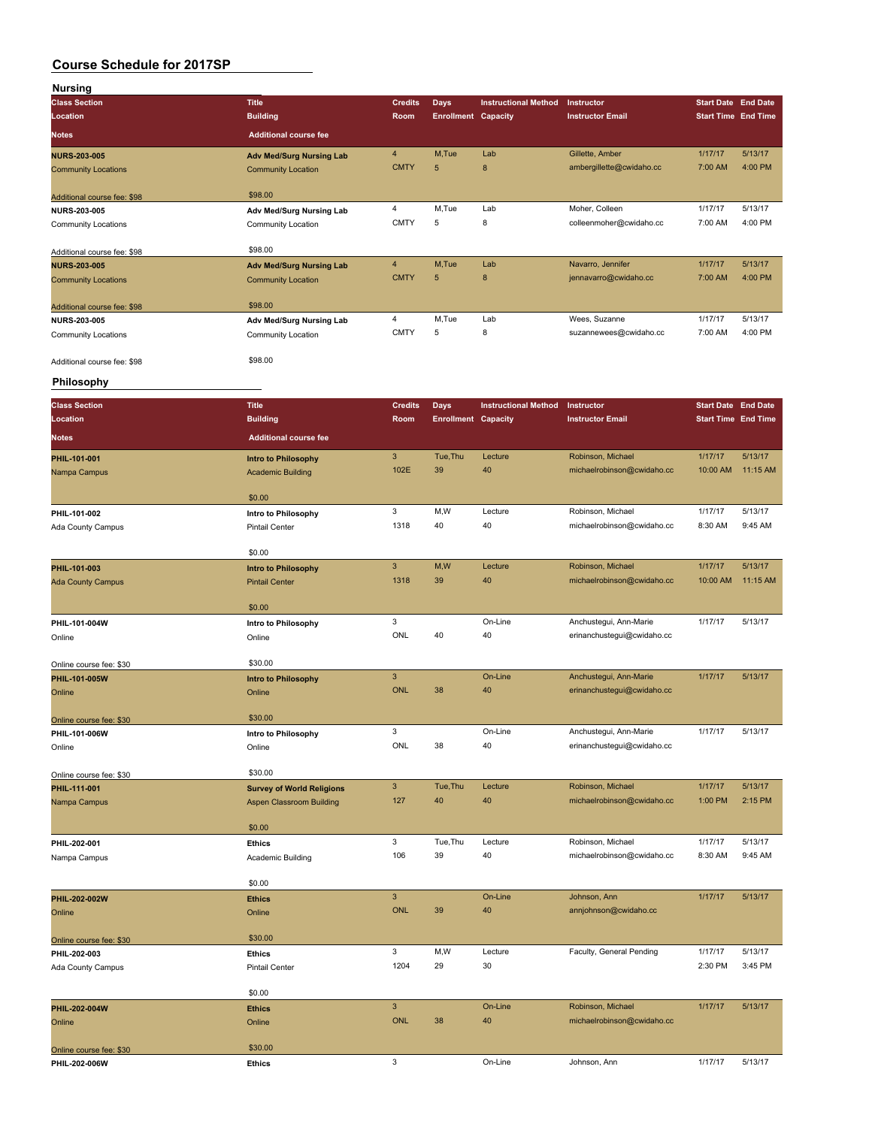| <b>Nursing</b>              |                                  |                |                            |                             |                            |                            |          |
|-----------------------------|----------------------------------|----------------|----------------------------|-----------------------------|----------------------------|----------------------------|----------|
| <b>Class Section</b>        | <b>Title</b>                     | <b>Credits</b> | Days                       | <b>Instructional Method</b> | Instructor                 | <b>Start Date End Date</b> |          |
| Location                    | <b>Building</b>                  | Room           | <b>Enrollment Capacity</b> |                             | <b>Instructor Email</b>    | <b>Start Time End Time</b> |          |
|                             |                                  |                |                            |                             |                            |                            |          |
| <b>Notes</b>                | <b>Additional course fee</b>     |                |                            |                             |                            |                            |          |
| <b>NURS-203-005</b>         | <b>Adv Med/Surg Nursing Lab</b>  | 4              | M, Tue                     | Lab                         | Gillette, Amber            | 1/17/17                    | 5/13/17  |
| <b>Community Locations</b>  | <b>Community Location</b>        | <b>CMTY</b>    | $\sqrt{5}$                 | 8                           | ambergillette@cwidaho.cc   | 7:00 AM                    | 4:00 PM  |
|                             |                                  |                |                            |                             |                            |                            |          |
|                             | \$98.00                          |                |                            |                             |                            |                            |          |
| Additional course fee: \$98 |                                  |                |                            |                             |                            |                            |          |
| <b>NURS-203-005</b>         | Adv Med/Surg Nursing Lab         | 4              | M,Tue                      | Lab                         | Moher, Colleen             | 1/17/17                    | 5/13/17  |
| <b>Community Locations</b>  | Community Location               | <b>CMTY</b>    | 5                          | 8                           | colleenmoher@cwidaho.cc    | 7:00 AM                    | 4:00 PM  |
|                             |                                  |                |                            |                             |                            |                            |          |
| Additional course fee: \$98 | \$98.00                          |                |                            |                             |                            |                            |          |
| <b>NURS-203-005</b>         | <b>Adv Med/Surg Nursing Lab</b>  | 4              | M,Tue                      | Lab                         | Navarro, Jennifer          | 1/17/17                    | 5/13/17  |
| <b>Community Locations</b>  | <b>Community Location</b>        | <b>CMTY</b>    | 5                          | 8                           | jennavarro@cwidaho.cc      | 7:00 AM                    | 4:00 PM  |
|                             |                                  |                |                            |                             |                            |                            |          |
| Additional course fee: \$98 | \$98.00                          |                |                            |                             |                            |                            |          |
| <b>NURS-203-005</b>         | Adv Med/Surg Nursing Lab         | 4              | M,Tue                      | Lab                         | Wees, Suzanne              | 1/17/17                    | 5/13/17  |
| Community Locations         | Community Location               | <b>CMTY</b>    | 5                          | 8                           | suzannewees@cwidaho.cc     | 7:00 AM                    | 4:00 PM  |
|                             |                                  |                |                            |                             |                            |                            |          |
|                             | \$98.00                          |                |                            |                             |                            |                            |          |
| Additional course fee: \$98 |                                  |                |                            |                             |                            |                            |          |
| <b>Philosophy</b>           |                                  |                |                            |                             |                            |                            |          |
|                             |                                  |                |                            |                             |                            |                            |          |
| <b>Class Section</b>        | <b>Title</b>                     | <b>Credits</b> | <b>Days</b>                | <b>Instructional Method</b> | Instructor                 | <b>Start Date End Date</b> |          |
| Location                    | <b>Building</b>                  | Room           | <b>Enrollment Capacity</b> |                             | <b>Instructor Email</b>    | <b>Start Time End Time</b> |          |
|                             |                                  |                |                            |                             |                            |                            |          |
| <b>Notes</b>                | <b>Additional course fee</b>     |                |                            |                             |                            |                            |          |
| PHIL-101-001                | Intro to Philosophy              | $\mathbf{3}$   | Tue, Thu                   | Lecture                     | Robinson, Michael          | 1/17/17                    | 5/13/17  |
| Nampa Campus                | <b>Academic Building</b>         | 102E           | 39                         | 40                          | michaelrobinson@cwidaho.cc | 10:00 AM                   | 11:15 AM |
|                             |                                  |                |                            |                             |                            |                            |          |
|                             | \$0.00                           |                |                            |                             |                            |                            |          |
|                             |                                  |                |                            |                             |                            |                            |          |
| PHIL-101-002                | Intro to Philosophy              | 3              | M,W                        | Lecture                     | Robinson, Michael          | 1/17/17                    | 5/13/17  |
| Ada County Campus           | <b>Pintail Center</b>            | 1318           | 40                         | 40                          | michaelrobinson@cwidaho.cc | 8:30 AM                    | 9:45 AM  |
|                             |                                  |                |                            |                             |                            |                            |          |
|                             | \$0.00                           |                |                            |                             |                            |                            |          |
| PHIL-101-003                | Intro to Philosophy              | 3              | M,W                        | Lecture                     | Robinson, Michael          | 1/17/17                    | 5/13/17  |
| <b>Ada County Campus</b>    | <b>Pintail Center</b>            | 1318           | 39                         | 40                          | michaelrobinson@cwidaho.cc | 10:00 AM                   | 11:15 AM |
|                             |                                  |                |                            |                             |                            |                            |          |
|                             | \$0.00                           |                |                            |                             |                            |                            |          |
|                             |                                  | 3              |                            | On-Line                     | Anchustegui, Ann-Marie     | 1/17/17                    | 5/13/17  |
| PHIL-101-004W               | Intro to Philosophy              |                |                            |                             |                            |                            |          |
| Online                      | Online                           | ONL            | 40                         | 40                          | erinanchustegui@cwidaho.cc |                            |          |
|                             |                                  |                |                            |                             |                            |                            |          |
| Online course fee: \$30     | \$30.00                          |                |                            |                             |                            |                            |          |
| PHIL-101-005W               | Intro to Philosophy              | $\mathbf{3}$   |                            | On-Line                     | Anchustegui, Ann-Marie     | 1/17/17                    | 5/13/17  |
| Online                      | Online                           | <b>ONL</b>     | 38                         | 40                          | erinanchustegui@cwidaho.cc |                            |          |
|                             |                                  |                |                            |                             |                            |                            |          |
| Online course fee: \$30     | \$30.00                          |                |                            |                             |                            |                            |          |
| PHIL-101-006W               | Intro to Philosophy              | 3              |                            | On-Line                     | Anchustegui, Ann-Marie     | 1/17/17                    | 5/13/17  |
| Online                      | Online                           | ONL            | 38                         | 40                          | erinanchustegui@cwidaho.cc |                            |          |
|                             |                                  |                |                            |                             |                            |                            |          |
|                             | \$30.00                          |                |                            |                             |                            |                            |          |
| Online course fee: \$30     |                                  |                | Tue, Thu                   |                             |                            |                            | 5/13/17  |
| PHIL-111-001                | <b>Survey of World Religions</b> | $\mathbf{3}$   |                            | Lecture                     | Robinson, Michael          | 1/17/17                    |          |
| Nampa Campus                | Aspen Classroom Building         | 127            | 40                         | 40                          | michaelrobinson@cwidaho.cc | 1:00 PM                    | 2:15 PM  |
|                             |                                  |                |                            |                             |                            |                            |          |
|                             | \$0.00                           |                |                            |                             |                            |                            |          |
| PHIL-202-001                | <b>Ethics</b>                    | 3              | Tue, Thu                   | Lecture                     | Robinson, Michael          | 1/17/17                    | 5/13/17  |
| Nampa Campus                | Academic Building                | 106            | 39                         | 40                          | michaelrobinson@cwidaho.cc | 8:30 AM                    | 9:45 AM  |
|                             |                                  |                |                            |                             |                            |                            |          |
|                             | \$0.00                           |                |                            |                             |                            |                            |          |
|                             |                                  | $\mathbf{3}$   |                            | On-Line                     | Johnson, Ann               | 1/17/17                    | 5/13/17  |
| PHIL-202-002W               | <b>Ethics</b>                    |                |                            |                             |                            |                            |          |
| Online                      | Online                           | ONL            | 39                         | 40                          | annjohnson@cwidaho.cc      |                            |          |
|                             |                                  |                |                            |                             |                            |                            |          |
| Online course fee: \$30     | \$30.00                          |                |                            |                             |                            |                            |          |
| PHIL-202-003                | <b>Ethics</b>                    | 3              | M,W                        | Lecture                     | Faculty, General Pending   | 1/17/17                    | 5/13/17  |
| Ada County Campus           | <b>Pintail Center</b>            | 1204           | 29                         | 30                          |                            | 2:30 PM                    | 3:45 PM  |
|                             |                                  |                |                            |                             |                            |                            |          |
|                             | \$0.00                           |                |                            |                             |                            |                            |          |
| PHIL-202-004W               | <b>Ethics</b>                    | $\mathbf{3}$   |                            | On-Line                     | Robinson, Michael          | 1/17/17                    | 5/13/17  |
|                             | Online                           | <b>ONL</b>     | 38                         | 40                          | michaelrobinson@cwidaho.cc |                            |          |
| Online                      |                                  |                |                            |                             |                            |                            |          |
|                             |                                  |                |                            |                             |                            |                            |          |
| Online course fee: \$30     | \$30.00                          |                |                            |                             |                            |                            |          |

**PHIL-202-006W Ethics** 3 On-Line Johnson, Ann 1/17/17 5/13/17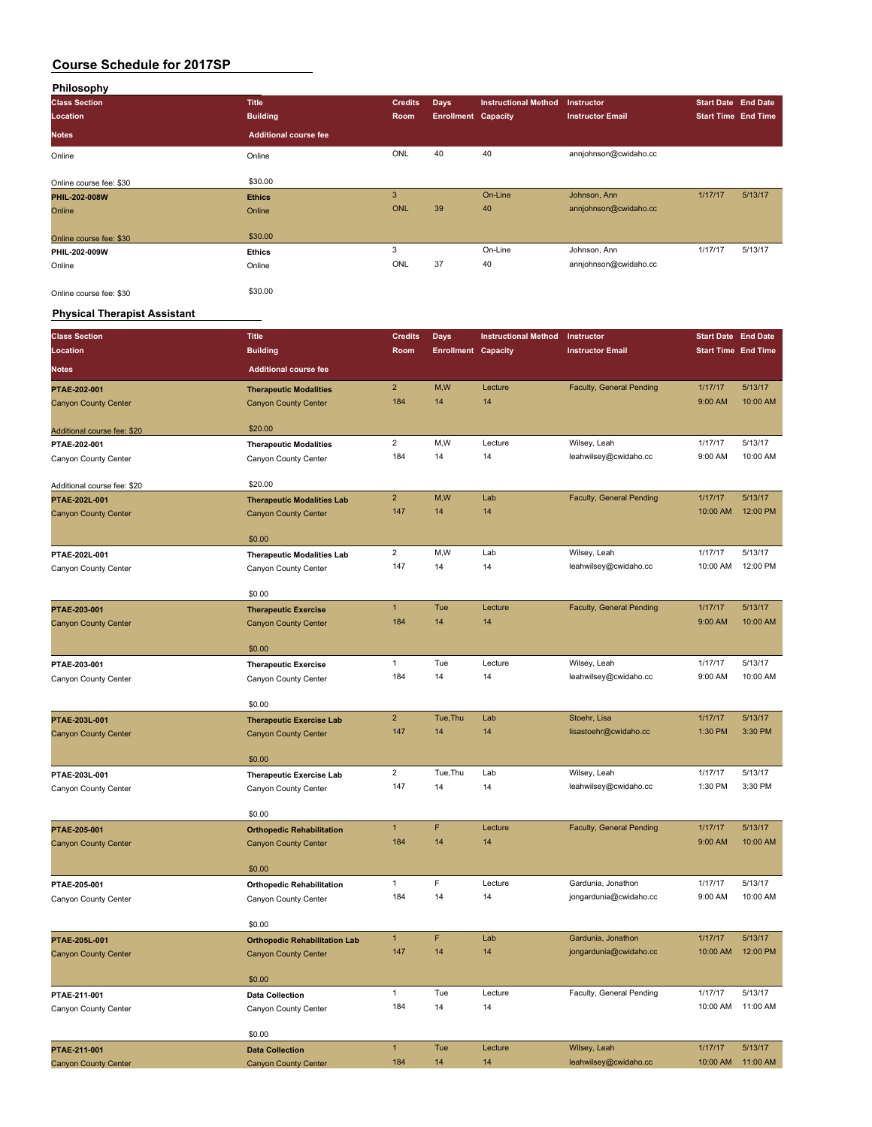| Philosophy              |                              |                |                            |                             |                         |                            |         |
|-------------------------|------------------------------|----------------|----------------------------|-----------------------------|-------------------------|----------------------------|---------|
| <b>Class Section</b>    | <b>Title</b>                 | <b>Credits</b> | <b>Days</b>                | <b>Instructional Method</b> | <b>Instructor</b>       | <b>Start Date End Date</b> |         |
| Location                | <b>Building</b>              | Room           | <b>Enrollment Capacity</b> |                             | <b>Instructor Email</b> | <b>Start Time End Time</b> |         |
| <b>Notes</b>            | <b>Additional course fee</b> |                |                            |                             |                         |                            |         |
| Online                  | Online                       | ONL            | 40                         | 40                          | annjohnson@cwidaho.cc   |                            |         |
|                         |                              |                |                            |                             |                         |                            |         |
| Online course fee: \$30 | \$30.00                      |                |                            |                             |                         |                            |         |
| PHIL-202-008W           | <b>Ethics</b>                | 3              |                            | On-Line                     | Johnson, Ann            | 1/17/17                    | 5/13/17 |
| Online                  | Online                       | <b>ONL</b>     | 39                         | 40                          | annjohnson@cwidaho.cc   |                            |         |
| Online course fee: \$30 | \$30.00                      |                |                            |                             |                         |                            |         |
| PHIL-202-009W           | <b>Ethics</b>                | 3              |                            | On-Line                     | Johnson, Ann            | 1/17/17                    | 5/13/17 |
| Online                  | Online                       | ONL            | 37                         | 40                          | annjohnson@cwidaho.cc   |                            |         |
| Online course fee: \$30 | \$30.00                      |                |                            |                             |                         |                            |         |

### **Physical Therapist Assistant**

| <b>Class Section</b>                        | <b>Title</b>                                          | <b>Credits</b>          | Days                       | <b>Instructional Method</b> | Instructor                            | <b>Start Date End Date</b> |          |
|---------------------------------------------|-------------------------------------------------------|-------------------------|----------------------------|-----------------------------|---------------------------------------|----------------------------|----------|
| Location                                    | <b>Building</b>                                       | Room                    | <b>Enrollment Capacity</b> |                             | <b>Instructor Email</b>               | <b>Start Time End Time</b> |          |
| <b>Notes</b>                                | <b>Additional course fee</b>                          |                         |                            |                             |                                       |                            |          |
| PTAE-202-001                                | <b>Therapeutic Modalities</b>                         | $\overline{2}$          | M,W                        | Lecture                     | Faculty, General Pending              | 1/17/17                    | 5/13/17  |
| <b>Canyon County Center</b>                 | <b>Canyon County Center</b>                           | 184                     | 14                         | 14                          |                                       | 9:00 AM                    | 10:00 AM |
| Additional course fee: \$20                 | \$20.00                                               |                         |                            |                             |                                       |                            |          |
| PTAE-202-001                                | <b>Therapeutic Modalities</b>                         | $\overline{2}$          | M,W                        | Lecture                     | Wilsey, Leah                          | 1/17/17                    | 5/13/17  |
| Canyon County Center                        | Canyon County Center                                  | 184                     | 14                         | 14                          | leahwilsey@cwidaho.cc                 | 9:00 AM                    | 10:00 AM |
| Additional course fee: \$20                 | \$20.00                                               |                         |                            |                             |                                       |                            |          |
| PTAE-202L-001                               | <b>Therapeutic Modalities Lab</b>                     | $\overline{2}$          | M,W                        | Lab                         | <b>Faculty, General Pending</b>       | 1/17/17                    | 5/13/17  |
| <b>Canyon County Center</b>                 | <b>Canyon County Center</b>                           | 147                     | 14                         | 14                          |                                       | 10:00 AM                   | 12:00 PM |
|                                             | \$0.00                                                |                         |                            |                             |                                       |                            |          |
| PTAE-202L-001                               | <b>Therapeutic Modalities Lab</b>                     | $\overline{c}$          | M,W                        | Lab                         | Wilsey, Leah                          | 1/17/17                    | 5/13/17  |
| Canyon County Center                        | Canyon County Center                                  | 147                     | 14                         | 14                          | leahwilsey@cwidaho.cc                 | 10:00 AM                   | 12:00 PM |
|                                             | \$0.00                                                |                         |                            |                             |                                       |                            |          |
| PTAE-203-001                                | <b>Therapeutic Exercise</b>                           | $\mathbf{1}$            | Tue                        | Lecture                     | <b>Faculty, General Pending</b>       | 1/17/17                    | 5/13/17  |
| <b>Canyon County Center</b>                 | <b>Canyon County Center</b>                           | 184                     | 14                         | 14                          |                                       | 9:00 AM                    | 10:00 AM |
|                                             | \$0.00                                                |                         |                            |                             |                                       |                            |          |
| PTAE-203-001                                | <b>Therapeutic Exercise</b>                           | $\mathbf{1}$            | Tue                        | Lecture                     | Wilsey, Leah                          | 1/17/17                    | 5/13/17  |
| Canyon County Center                        | Canyon County Center                                  | 184                     | 14                         | 14                          | leahwilsey@cwidaho.cc                 | 9:00 AM                    | 10:00 AM |
|                                             | \$0.00                                                |                         |                            |                             |                                       |                            |          |
| PTAE-203L-001                               | <b>Therapeutic Exercise Lab</b>                       | $\overline{\mathbf{c}}$ | Tue, Thu                   | Lab                         | Stoehr, Lisa                          | 1/17/17                    | 5/13/17  |
| <b>Canyon County Center</b>                 | <b>Canyon County Center</b>                           | 147                     | 14                         | 14                          | lisastoehr@cwidaho.cc                 | 1:30 PM                    | 3:30 PM  |
|                                             | \$0.00                                                |                         |                            |                             |                                       |                            |          |
| PTAE-203L-001                               | <b>Therapeutic Exercise Lab</b>                       | $\overline{2}$          | Tue, Thu                   | Lab                         | Wilsey, Leah                          | 1/17/17                    | 5/13/17  |
| Canyon County Center                        | Canyon County Center                                  | 147                     | 14                         | 14                          | leahwilsey@cwidaho.cc                 | 1:30 PM                    | 3:30 PM  |
|                                             | \$0.00                                                |                         |                            |                             |                                       |                            |          |
| PTAE-205-001                                | <b>Orthopedic Rehabilitation</b>                      | $\mathbf{1}$            | F                          | Lecture                     | Faculty, General Pending              | 1/17/17                    | 5/13/17  |
| <b>Canyon County Center</b>                 | <b>Canyon County Center</b>                           | 184                     | 14                         | 14                          |                                       | 9:00 AM                    | 10:00 AM |
|                                             | \$0.00                                                |                         |                            |                             |                                       |                            |          |
| PTAE-205-001                                | <b>Orthopedic Rehabilitation</b>                      | $\mathbf{1}$            | F                          | Lecture                     | Gardunia, Jonathon                    | 1/17/17                    | 5/13/17  |
| Canyon County Center                        | Canyon County Center                                  | 184                     | 14                         | 14                          | jongardunia@cwidaho.cc                | 9:00 AM                    | 10:00 AM |
|                                             | \$0.00                                                |                         |                            |                             |                                       |                            |          |
| PTAE-205L-001                               | <b>Orthopedic Rehabilitation Lab</b>                  | $\mathbf{1}$            | F                          | Lab                         | Gardunia, Jonathon                    | 1/17/17                    | 5/13/17  |
| <b>Canyon County Center</b>                 | <b>Canyon County Center</b>                           | 147                     | 14                         | 14                          | jongardunia@cwidaho.cc                | 10:00 AM                   | 12:00 PM |
|                                             | \$0.00                                                |                         |                            |                             |                                       |                            |          |
| PTAE-211-001                                | <b>Data Collection</b>                                | $\mathbf{1}$            | Tue                        | Lecture                     | Faculty, General Pending              | 1/17/17                    | 5/13/17  |
| Canyon County Center                        | Canyon County Center                                  | 184                     | 14                         | 14                          |                                       | 10:00 AM                   | 11:00 AM |
|                                             |                                                       |                         |                            |                             |                                       |                            |          |
|                                             | \$0.00                                                | $\mathbf{1}$            | Tue                        | Lecture                     |                                       | 1/17/17                    | 5/13/17  |
| PTAE-211-001<br><b>Canyon County Center</b> | <b>Data Collection</b><br><b>Canyon County Center</b> | 184                     | 14                         | 14                          | Wilsey, Leah<br>leahwilsey@cwidaho.cc | 10:00 AM                   | 11:00 AM |
|                                             |                                                       |                         |                            |                             |                                       |                            |          |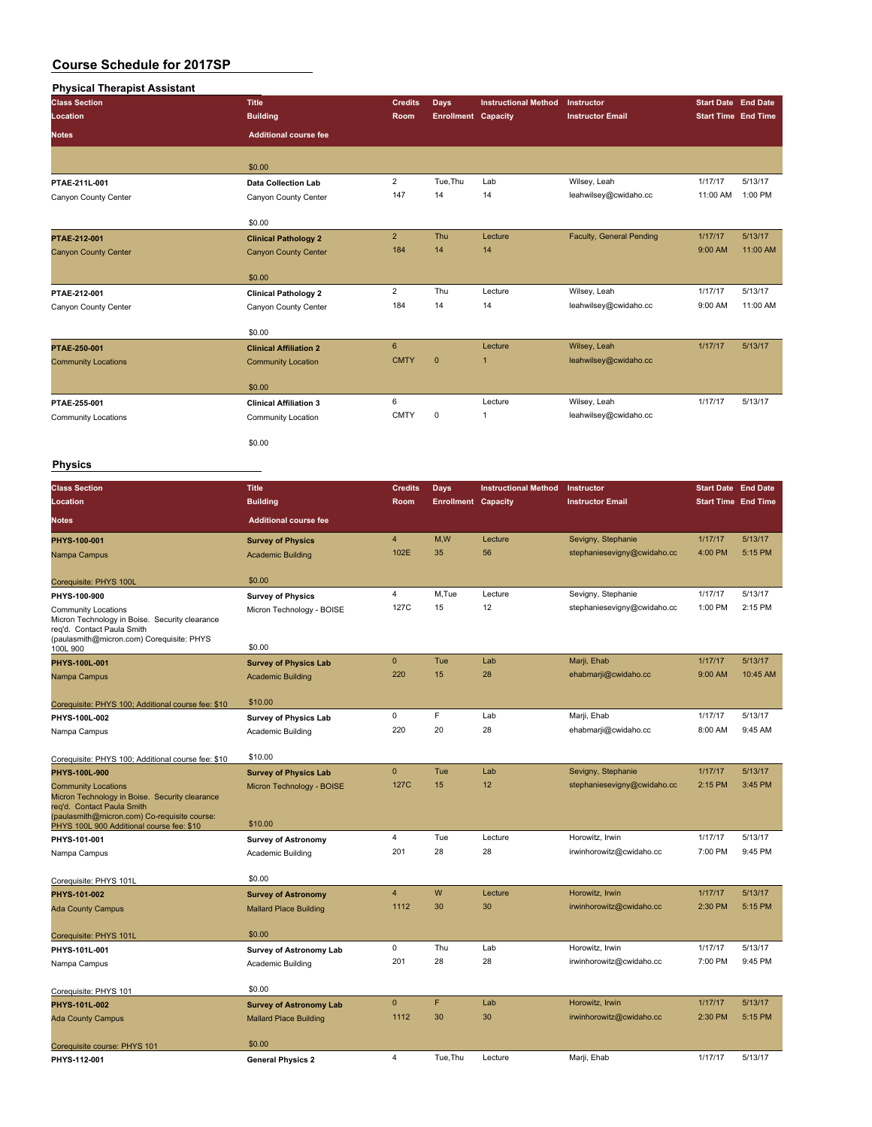| <b>Physical Therapist Assistant</b> |                               |                 |                            |                             |                          |                            |          |
|-------------------------------------|-------------------------------|-----------------|----------------------------|-----------------------------|--------------------------|----------------------------|----------|
| <b>Class Section</b>                | <b>Title</b>                  | <b>Credits</b>  | Days                       | <b>Instructional Method</b> | Instructor               | <b>Start Date End Date</b> |          |
| Location                            | <b>Building</b>               | Room            | <b>Enrollment Capacity</b> |                             | <b>Instructor Email</b>  | <b>Start Time End Time</b> |          |
| <b>Notes</b>                        | <b>Additional course fee</b>  |                 |                            |                             |                          |                            |          |
|                                     | \$0.00                        |                 |                            |                             |                          |                            |          |
| PTAE-211L-001                       | <b>Data Collection Lab</b>    | $\overline{2}$  | Tue, Thu                   | Lab                         | Wilsey, Leah             | 1/17/17                    | 5/13/17  |
| Canyon County Center                | Canyon County Center          | 147             | 14                         | 14                          | leahwilsey@cwidaho.cc    | 11:00 AM                   | 1:00 PM  |
|                                     | \$0.00                        |                 |                            |                             |                          |                            |          |
| PTAE-212-001                        | <b>Clinical Pathology 2</b>   | $\overline{2}$  | Thu                        | Lecture                     | Faculty, General Pending | 1/17/17                    | 5/13/17  |
| <b>Canyon County Center</b>         | <b>Canyon County Center</b>   | 184             | 14                         | 14                          |                          | 9:00 AM                    | 11:00 AM |
|                                     | \$0.00                        |                 |                            |                             |                          |                            |          |
| PTAE-212-001                        | <b>Clinical Pathology 2</b>   | $\overline{2}$  | Thu                        | Lecture                     | Wilsey, Leah             | 1/17/17                    | 5/13/17  |
| Canyon County Center                | Canyon County Center          | 184             | 14                         | 14                          | leahwilsey@cwidaho.cc    | 9:00 AM                    | 11:00 AM |
|                                     | \$0.00                        |                 |                            |                             |                          |                            |          |
| PTAE-250-001                        | <b>Clinical Affiliation 2</b> | $6\overline{6}$ |                            | Lecture                     | Wilsey, Leah             | 1/17/17                    | 5/13/17  |
| <b>Community Locations</b>          | <b>Community Location</b>     | <b>CMTY</b>     | $\mathbf 0$                | $\overline{1}$              | leahwilsey@cwidaho.cc    |                            |          |
|                                     | \$0.00                        |                 |                            |                             |                          |                            |          |
| PTAE-255-001                        | <b>Clinical Affiliation 3</b> | 6               |                            | Lecture                     | Wilsey, Leah             | 1/17/17                    | 5/13/17  |
| <b>Community Locations</b>          | Community Location            | <b>CMTY</b>     | $\mathbf 0$                | $\mathbf{1}$                | leahwilsey@cwidaho.cc    |                            |          |
|                                     | \$0.00                        |                 |                            |                             |                          |                            |          |

**Physics**

| <b>Class Section</b>                                                                                                                                                                                    | <b>Title</b>                         | <b>Credits</b> | <b>Days</b>                | <b>Instructional Method</b> | Instructor                  | <b>Start Date End Date</b> |          |
|---------------------------------------------------------------------------------------------------------------------------------------------------------------------------------------------------------|--------------------------------------|----------------|----------------------------|-----------------------------|-----------------------------|----------------------------|----------|
| Location                                                                                                                                                                                                | <b>Building</b>                      | Room           | <b>Enrollment Capacity</b> |                             | <b>Instructor Email</b>     | <b>Start Time End Time</b> |          |
| <b>Notes</b>                                                                                                                                                                                            | <b>Additional course fee</b>         |                |                            |                             |                             |                            |          |
| PHYS-100-001                                                                                                                                                                                            | <b>Survey of Physics</b>             | $\overline{4}$ | M,W                        | Lecture                     | Sevigny, Stephanie          | 1/17/17                    | 5/13/17  |
| Nampa Campus                                                                                                                                                                                            | <b>Academic Building</b>             | 102E           | 35                         | 56                          | stephaniesevigny@cwidaho.cc | 4:00 PM                    | 5:15 PM  |
| Corequisite: PHYS 100L                                                                                                                                                                                  | \$0.00                               |                |                            |                             |                             |                            |          |
| PHYS-100-900                                                                                                                                                                                            | <b>Survey of Physics</b>             | 4              | M.Tue                      | Lecture                     | Sevigny, Stephanie          | 1/17/17                    | 5/13/17  |
| <b>Community Locations</b><br>Micron Technology in Boise. Security clearance<br>reg'd. Contact Paula Smith<br>(paulasmith@micron.com) Corequisite: PHYS                                                 | Micron Technology - BOISE<br>\$0.00  | 127C           | 15                         | 12                          | stephaniesevigny@cwidaho.cc | 1:00 PM                    | 2:15 PM  |
| 100L 900<br>PHYS-100L-001                                                                                                                                                                               | <b>Survey of Physics Lab</b>         | $\mathbf{0}$   | Tue                        | Lab                         | Marji, Ehab                 | 1/17/17                    | 5/13/17  |
| Nampa Campus                                                                                                                                                                                            | <b>Academic Building</b>             | 220            | 15                         | 28                          | ehabmarji@cwidaho.cc        | 9:00 AM                    | 10:45 AM |
|                                                                                                                                                                                                         |                                      |                |                            |                             |                             |                            |          |
| Corequisite: PHYS 100; Additional course fee: \$10                                                                                                                                                      | \$10.00                              |                |                            |                             |                             |                            |          |
| PHYS-100L-002                                                                                                                                                                                           | <b>Survey of Physics Lab</b>         | 0              | F                          | Lab                         | Marji, Ehab                 | 1/17/17                    | 5/13/17  |
| Nampa Campus                                                                                                                                                                                            | Academic Building                    | 220            | 20                         | 28                          | ehabmarji@cwidaho.cc        | 8:00 AM                    | 9:45 AM  |
| Corequisite: PHYS 100; Additional course fee: \$10                                                                                                                                                      | \$10.00                              |                |                            |                             |                             |                            |          |
| PHYS-100L-900                                                                                                                                                                                           | <b>Survey of Physics Lab</b>         | $\mathbf{0}$   | Tue                        | Lab                         | Sevigny, Stephanie          | 1/17/17                    | 5/13/17  |
| <b>Community Locations</b><br>Micron Technology in Boise. Security clearance<br>reg'd. Contact Paula Smith<br>(paulasmith@micron.com) Co-requisite course:<br>PHYS 100L 900 Additional course fee: \$10 | Micron Technology - BOISE<br>\$10.00 | 127C           | 15                         | 12                          | stephaniesevigny@cwidaho.cc | 2:15 PM                    | 3:45 PM  |
| PHYS-101-001                                                                                                                                                                                            | <b>Survey of Astronomy</b>           | $\overline{4}$ | Tue                        | Lecture                     | Horowitz, Irwin             | 1/17/17                    | 5/13/17  |
| Nampa Campus                                                                                                                                                                                            | Academic Building                    | 201            | 28                         | 28                          | irwinhorowitz@cwidaho.cc    | 7:00 PM                    | 9:45 PM  |
| Corequisite: PHYS 101L                                                                                                                                                                                  | \$0.00                               |                |                            |                             |                             |                            |          |
| PHYS-101-002                                                                                                                                                                                            | <b>Survey of Astronomy</b>           | $\overline{4}$ | W                          | Lecture                     | Horowitz, Irwin             | 1/17/17                    | 5/13/17  |
| <b>Ada County Campus</b>                                                                                                                                                                                | <b>Mallard Place Building</b>        | 1112           | 30                         | 30                          | irwinhorowitz@cwidaho.cc    | 2:30 PM                    | 5:15 PM  |
| Corequisite: PHYS 101L                                                                                                                                                                                  | \$0.00                               |                |                            |                             |                             |                            |          |
| PHYS-101L-001                                                                                                                                                                                           | Survey of Astronomy Lab              | 0              | Thu                        | Lab                         | Horowitz, Irwin             | 1/17/17                    | 5/13/17  |
| Nampa Campus                                                                                                                                                                                            | Academic Building                    | 201            | 28                         | 28                          | irwinhorowitz@cwidaho.cc    | 7:00 PM                    | 9:45 PM  |
| Corequisite: PHYS 101                                                                                                                                                                                   | \$0.00                               |                |                            |                             |                             |                            |          |
| PHYS-101L-002                                                                                                                                                                                           | <b>Survey of Astronomy Lab</b>       | $\mathbf{0}$   | F                          | Lab                         | Horowitz, Irwin             | 1/17/17                    | 5/13/17  |
| <b>Ada County Campus</b>                                                                                                                                                                                | <b>Mallard Place Building</b>        | 1112           | 30                         | 30                          | irwinhorowitz@cwidaho.cc    | 2:30 PM                    | 5:15 PM  |
| Corequisite course: PHYS 101                                                                                                                                                                            | \$0.00                               |                |                            |                             |                             |                            |          |

**PHYS-112-001 General Physics 2** 4 Tue,Thu Lecture Marji, Ehab 1/17/17 5/13/17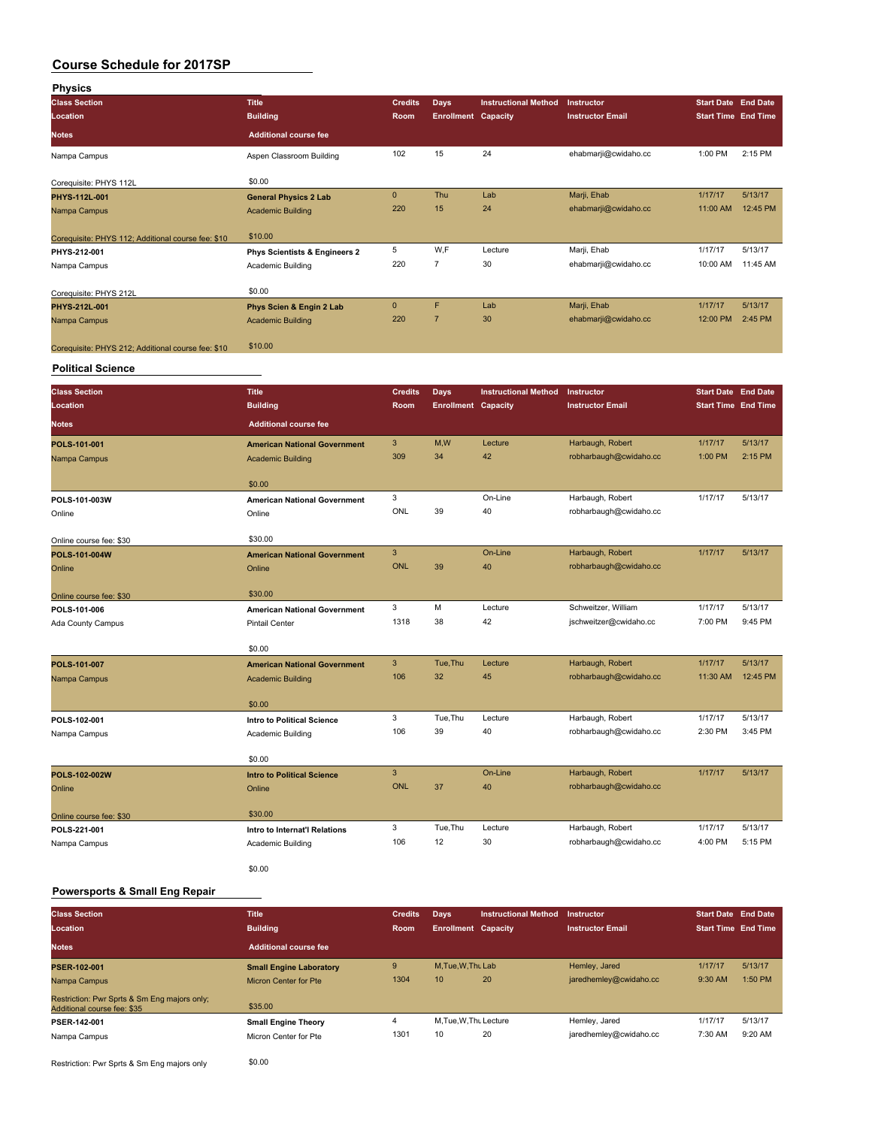| <b>Physics</b>                                     |                               |                |                            |                             |                         |                            |                            |
|----------------------------------------------------|-------------------------------|----------------|----------------------------|-----------------------------|-------------------------|----------------------------|----------------------------|
| <b>Class Section</b>                               | <b>Title</b>                  | <b>Credits</b> | <b>Days</b>                | <b>Instructional Method</b> | Instructor              | <b>Start Date End Date</b> |                            |
| Location                                           | <b>Building</b>               | <b>Room</b>    | <b>Enrollment Capacity</b> |                             | <b>Instructor Email</b> |                            | <b>Start Time End Time</b> |
| <b>Notes</b>                                       | <b>Additional course fee</b>  |                |                            |                             |                         |                            |                            |
| Nampa Campus                                       | Aspen Classroom Building      | 102            | 15                         | 24                          | ehabmarji@cwidaho.cc    | 1:00 PM                    | 2:15 PM                    |
| Corequisite: PHYS 112L                             | \$0.00                        |                |                            |                             |                         |                            |                            |
| PHYS-112L-001                                      | <b>General Physics 2 Lab</b>  | $\mathbf{0}$   | Thu                        | Lab                         | Marji, Ehab             | 1/17/17                    | 5/13/17                    |
| Nampa Campus                                       | <b>Academic Building</b>      | 220            | 15                         | 24                          | ehabmarji@cwidaho.cc    | 11:00 AM                   | 12:45 PM                   |
| Corequisite: PHYS 112; Additional course fee: \$10 | \$10.00                       |                |                            |                             |                         |                            |                            |
| PHYS-212-001                                       | Phys Scientists & Engineers 2 | 5              | W,F                        | Lecture                     | Marji, Ehab             | 1/17/17                    | 5/13/17                    |
| Nampa Campus                                       | Academic Building             | 220            | 7                          | 30                          | ehabmarji@cwidaho.cc    | 10:00 AM                   | 11:45 AM                   |
| Corequisite: PHYS 212L                             | \$0.00                        |                |                            |                             |                         |                            |                            |
| PHYS-212L-001                                      | Phys Scien & Engin 2 Lab      | $\mathbf{0}$   | F                          | Lab                         | Marji, Ehab             | 1/17/17                    | 5/13/17                    |
| Nampa Campus                                       | <b>Academic Building</b>      | 220            | $\overline{7}$             | 30                          | ehabmarji@cwidaho.cc    | 12:00 PM                   | 2:45 PM                    |
| Corequisite: PHYS 212; Additional course fee: \$10 | \$10.00                       |                |                            |                             |                         |                            |                            |

#### **Political Science**

| <b>Class Section</b>    | <b>Title</b>                        | <b>Credits</b> | Days                       | <b>Instructional Method</b> | Instructor              | <b>Start Date End Date</b> |          |
|-------------------------|-------------------------------------|----------------|----------------------------|-----------------------------|-------------------------|----------------------------|----------|
| Location                | <b>Building</b>                     | Room           | <b>Enrollment Capacity</b> |                             | <b>Instructor Email</b> | <b>Start Time End Time</b> |          |
| <b>Notes</b>            | <b>Additional course fee</b>        |                |                            |                             |                         |                            |          |
| POLS-101-001            | <b>American National Government</b> | 3              | M,W                        | Lecture                     | Harbaugh, Robert        | 1/17/17                    | 5/13/17  |
| Nampa Campus            | <b>Academic Building</b>            | 309            | 34                         | 42                          | robharbaugh@cwidaho.cc  | 1:00 PM                    | 2:15 PM  |
|                         | \$0.00                              |                |                            |                             |                         |                            |          |
| POLS-101-003W           | <b>American National Government</b> | 3              |                            | On-Line                     | Harbaugh, Robert        | 1/17/17                    | 5/13/17  |
| Online                  | Online                              | <b>ONL</b>     | 39                         | 40                          | robharbaugh@cwidaho.cc  |                            |          |
| Online course fee: \$30 | \$30.00                             |                |                            |                             |                         |                            |          |
| POLS-101-004W           | <b>American National Government</b> | 3              |                            | On-Line                     | Harbaugh, Robert        | 1/17/17                    | 5/13/17  |
| Online                  | Online                              | <b>ONL</b>     | 39                         | 40                          | robharbaugh@cwidaho.cc  |                            |          |
| Online course fee: \$30 | \$30.00                             |                |                            |                             |                         |                            |          |
| POLS-101-006            | <b>American National Government</b> | 3              | M                          | Lecture                     | Schweitzer, William     | 1/17/17                    | 5/13/17  |
| Ada County Campus       | <b>Pintail Center</b>               | 1318           | 38                         | 42                          | jschweitzer@cwidaho.cc  | 7:00 PM                    | 9:45 PM  |
|                         | \$0.00                              |                |                            |                             |                         |                            |          |
| POLS-101-007            | <b>American National Government</b> | 3              | Tue.Thu                    | Lecture                     | Harbaugh, Robert        | 1/17/17                    | 5/13/17  |
| Nampa Campus            | <b>Academic Building</b>            | 106            | 32                         | 45                          | robharbaugh@cwidaho.cc  | 11:30 AM                   | 12:45 PM |
|                         | \$0.00                              |                |                            |                             |                         |                            |          |
| POLS-102-001            | <b>Intro to Political Science</b>   | 3              | Tue, Thu                   | Lecture                     | Harbaugh, Robert        | 1/17/17                    | 5/13/17  |
| Nampa Campus            | Academic Building                   | 106            | 39                         | 40                          | robharbaugh@cwidaho.cc  | 2:30 PM                    | 3:45 PM  |
|                         | \$0.00                              |                |                            |                             |                         |                            |          |
| POLS-102-002W           | <b>Intro to Political Science</b>   | 3              |                            | On-Line                     | Harbaugh, Robert        | 1/17/17                    | 5/13/17  |
| Online                  | Online                              | <b>ONL</b>     | 37                         | 40                          | robharbaugh@cwidaho.cc  |                            |          |
| Online course fee: \$30 | \$30.00                             |                |                            |                             |                         |                            |          |
| POLS-221-001            | Intro to Internat'l Relations       | 3              | Tue, Thu                   | Lecture                     | Harbaugh, Robert        | 1/17/17                    | 5/13/17  |
| Nampa Campus            | Academic Building                   | 106            | 12                         | 30                          | robharbaugh@cwidaho.cc  | 4:00 PM                    | 5:15 PM  |
|                         | \$0.00                              |                |                            |                             |                         |                            |          |

### **Powersports & Small Eng Repair**

| <b>Class Section</b>                                                        | <b>Title</b>                   | <b>Credits</b> | Days                       | <b>Instructional Method</b> | Instructor              | <b>Start Date End Date</b> |         |
|-----------------------------------------------------------------------------|--------------------------------|----------------|----------------------------|-----------------------------|-------------------------|----------------------------|---------|
| Location                                                                    | <b>Building</b>                | Room           | <b>Enrollment Capacity</b> |                             | <b>Instructor Email</b> | <b>Start Time End Time</b> |         |
| <b>Notes</b>                                                                | <b>Additional course fee</b>   |                |                            |                             |                         |                            |         |
| <b>PSER-102-001</b>                                                         | <b>Small Engine Laboratory</b> | 9              | M.Tue, W.Thu Lab           |                             | Hemley, Jared           | 1/17/17                    | 5/13/17 |
| Nampa Campus                                                                | <b>Micron Center for Pte</b>   | 1304           | 10                         | 20                          | jaredhemley@cwidaho.cc  | 9:30 AM                    | 1:50 PM |
| Restriction: Pwr Sprts & Sm Eng majors only;<br>Additional course fee: \$35 | \$35.00                        |                |                            |                             |                         |                            |         |
| PSER-142-001                                                                | <b>Small Engine Theory</b>     |                | M.Tue.W.Thu Lecture        |                             | Hemley, Jared           | 1/17/17                    | 5/13/17 |
| Nampa Campus                                                                | Micron Center for Pte          | 1301           | 10                         | 20                          | jaredhemley@cwidaho.cc  | 7:30 AM                    | 9:20 AM |

Restriction: Pwr Sprts & Sm Eng majors only \$0.00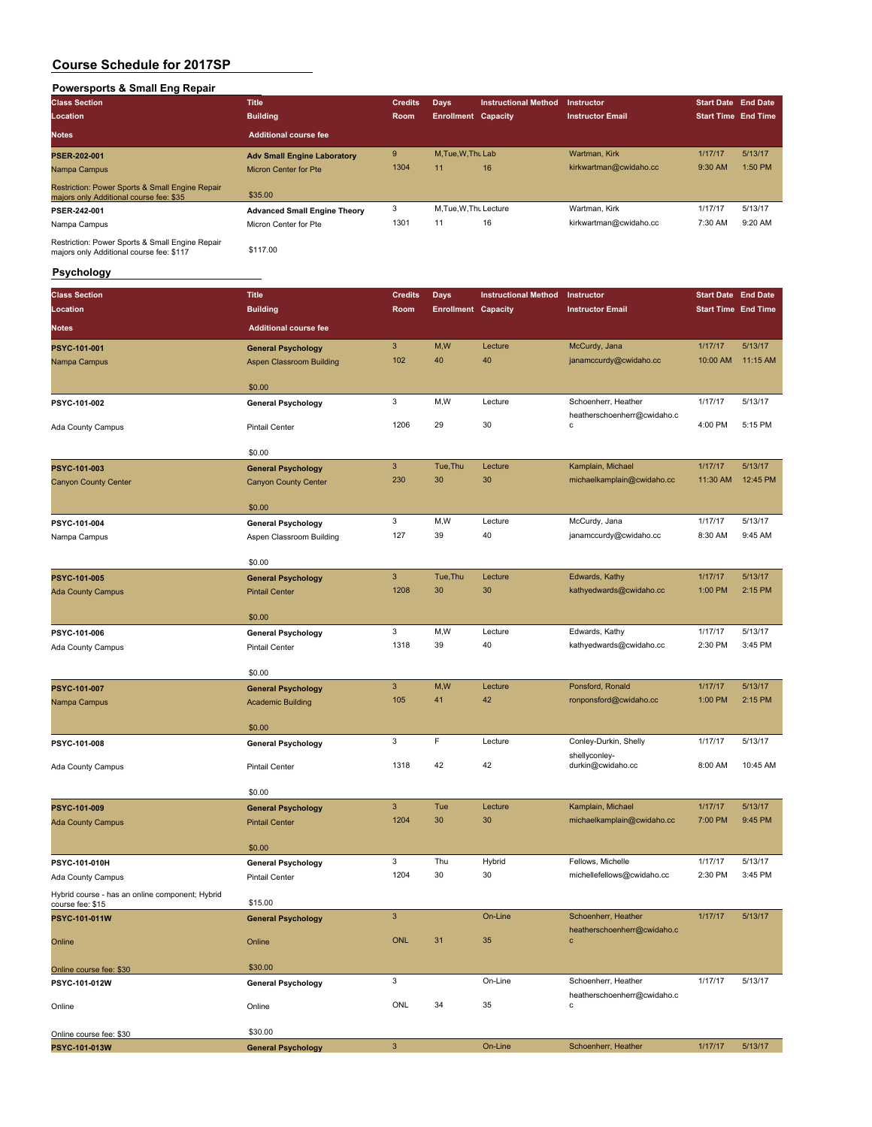### **Powersports & Small Eng Repair**

| <b>Class Section</b>                                                                        | <b>Title</b>                        | <b>Credits</b> | Days                       | <b>Instructional Method</b> | <b>Instructor</b>       | <b>Start Date End Date</b> |         |
|---------------------------------------------------------------------------------------------|-------------------------------------|----------------|----------------------------|-----------------------------|-------------------------|----------------------------|---------|
| Location                                                                                    | <b>Building</b>                     | Room           | <b>Enrollment Capacity</b> |                             | <b>Instructor Email</b> | <b>Start Time End Time</b> |         |
| <b>Notes</b>                                                                                | <b>Additional course fee</b>        |                |                            |                             |                         |                            |         |
| <b>PSER-202-001</b>                                                                         | <b>Adv Small Engine Laboratory</b>  | 9              | M.Tue, W.Thu Lab           |                             | Wartman, Kirk           | 1/17/17                    | 5/13/17 |
| Nampa Campus                                                                                | Micron Center for Pte               | 1304           | 11                         | 16                          | kirkwartman@cwidaho.cc  | 9:30 AM                    | 1:50 PM |
| Restriction: Power Sports & Small Engine Repair<br>majors only Additional course fee: \$35  | \$35.00                             |                |                            |                             |                         |                            |         |
| PSER-242-001                                                                                | <b>Advanced Small Engine Theory</b> | 3              | M, Tue, W, Thu Lecture     |                             | Wartman, Kirk           | 1/17/17                    | 5/13/17 |
| Nampa Campus                                                                                | Micron Center for Pte               | 1301           | 11                         | 16                          | kirkwartman@cwidaho.cc  | 7:30 AM                    | 9:20 AM |
| Restriction: Power Sports & Small Engine Repair<br>majors only Additional course fee: \$117 | \$117.00                            |                |                            |                             |                         |                            |         |

#### **Psychology**

| <b>Class Section</b>                                                | <b>Title</b>                                             | <b>Credits</b> | <b>Days</b>                | <b>Instructional Method</b> | Instructor                                         | <b>Start Date End Date</b> |          |
|---------------------------------------------------------------------|----------------------------------------------------------|----------------|----------------------------|-----------------------------|----------------------------------------------------|----------------------------|----------|
| Location                                                            | <b>Building</b>                                          | Room           | <b>Enrollment Capacity</b> |                             | <b>Instructor Email</b>                            | <b>Start Time End Time</b> |          |
| Notes                                                               | <b>Additional course fee</b>                             |                |                            |                             |                                                    |                            |          |
| PSYC-101-001                                                        | <b>General Psychology</b>                                | $\mathbf{3}$   | M,W                        | Lecture                     | McCurdy, Jana                                      | 1/17/17                    | 5/13/17  |
| Nampa Campus                                                        | Aspen Classroom Building                                 | 102            | 40                         | 40                          | janamccurdy@cwidaho.cc                             | 10:00 AM                   | 11:15 AM |
|                                                                     |                                                          |                |                            |                             |                                                    |                            |          |
|                                                                     | \$0.00                                                   | 3              |                            |                             |                                                    |                            |          |
| PSYC-101-002                                                        | <b>General Psychology</b>                                |                | M,W                        | Lecture                     | Schoenherr, Heather<br>heatherschoenherr@cwidaho.c | 1/17/17                    | 5/13/17  |
| Ada County Campus                                                   | <b>Pintail Center</b>                                    | 1206           | 29                         | 30                          | с                                                  | 4:00 PM                    | 5:15 PM  |
|                                                                     | \$0.00                                                   |                |                            |                             |                                                    |                            |          |
|                                                                     |                                                          | $\mathbf{3}$   | Tue, Thu                   | Lecture                     | Kamplain, Michael                                  | 1/17/17                    | 5/13/17  |
| PSYC-101-003<br><b>Canyon County Center</b>                         | <b>General Psychology</b><br><b>Canyon County Center</b> | 230            | 30                         | 30                          | michaelkamplain@cwidaho.cc                         | 11:30 AM                   | 12:45 PM |
|                                                                     |                                                          |                |                            |                             |                                                    |                            |          |
|                                                                     | \$0.00                                                   |                |                            |                             |                                                    |                            |          |
| PSYC-101-004                                                        | <b>General Psychology</b>                                | 3              | M,W                        | Lecture                     | McCurdy, Jana                                      | 1/17/17                    | 5/13/17  |
| Nampa Campus                                                        | Aspen Classroom Building                                 | 127            | 39                         | 40                          | janamccurdy@cwidaho.cc                             | 8:30 AM                    | 9:45 AM  |
|                                                                     | \$0.00                                                   |                |                            |                             |                                                    |                            |          |
| PSYC-101-005                                                        | <b>General Psychology</b>                                | $\mathbf{3}$   | Tue, Thu                   | Lecture                     | Edwards, Kathy                                     | 1/17/17                    | 5/13/17  |
| <b>Ada County Campus</b>                                            | <b>Pintail Center</b>                                    | 1208           | 30                         | 30                          | kathyedwards@cwidaho.cc                            | 1:00 PM                    | 2:15 PM  |
|                                                                     |                                                          |                |                            |                             |                                                    |                            |          |
|                                                                     | \$0.00                                                   | 3              | M, W                       | Lecture                     | Edwards, Kathy                                     | 1/17/17                    | 5/13/17  |
| PSYC-101-006                                                        | <b>General Psychology</b><br><b>Pintail Center</b>       | 1318           | 39                         | 40                          | kathyedwards@cwidaho.cc                            | 2:30 PM                    | 3:45 PM  |
| Ada County Campus                                                   |                                                          |                |                            |                             |                                                    |                            |          |
|                                                                     | \$0.00                                                   |                |                            |                             |                                                    |                            |          |
| PSYC-101-007                                                        | <b>General Psychology</b>                                | $\mathbf{3}$   | M,W                        | Lecture                     | Ponsford, Ronald                                   | 1/17/17                    | 5/13/17  |
| Nampa Campus                                                        | <b>Academic Building</b>                                 | 105            | 41                         | 42                          | ronponsford@cwidaho.cc                             | 1:00 PM                    | 2:15 PM  |
|                                                                     | \$0.00                                                   |                |                            |                             |                                                    |                            |          |
| PSYC-101-008                                                        | <b>General Psychology</b>                                | 3              | F                          | Lecture                     | Conley-Durkin, Shelly                              | 1/17/17                    | 5/13/17  |
|                                                                     |                                                          |                |                            |                             | shellyconley-                                      |                            |          |
| Ada County Campus                                                   | <b>Pintail Center</b>                                    | 1318           | 42                         | 42                          | durkin@cwidaho.cc                                  | 8:00 AM                    | 10:45 AM |
|                                                                     | \$0.00                                                   |                |                            |                             |                                                    |                            |          |
| PSYC-101-009                                                        | <b>General Psychology</b>                                | $\mathbf{3}$   | Tue                        | Lecture                     | Kamplain, Michael                                  | 1/17/17                    | 5/13/17  |
| <b>Ada County Campus</b>                                            | <b>Pintail Center</b>                                    | 1204           | 30                         | 30                          | michaelkamplain@cwidaho.cc                         | 7:00 PM                    | 9:45 PM  |
|                                                                     |                                                          |                |                            |                             |                                                    |                            |          |
|                                                                     | \$0.00                                                   | 3              | Thu                        |                             | Fellows, Michelle                                  | 1/17/17                    | 5/13/17  |
| PSYC-101-010H<br>Ada County Campus                                  | <b>General Psychology</b><br><b>Pintail Center</b>       | 1204           | 30                         | Hybrid<br>30                | michellefellows@cwidaho.cc                         | 2:30 PM                    | 3:45 PM  |
|                                                                     |                                                          |                |                            |                             |                                                    |                            |          |
| Hybrid course - has an online component; Hybrid<br>course fee: \$15 | \$15.00                                                  |                |                            |                             |                                                    |                            |          |
| PSYC-101-011W                                                       | <b>General Psychology</b>                                | $\mathbf{3}$   |                            | On-Line                     | Schoenherr, Heather                                | 1/17/17                    | 5/13/17  |
| Online                                                              | Online                                                   | <b>ONL</b>     | 31                         | 35                          | heatherschoenherr@cwidaho.c<br>$\mathbf c$         |                            |          |
|                                                                     |                                                          |                |                            |                             |                                                    |                            |          |
| Online course fee: \$30                                             | \$30.00                                                  |                |                            |                             |                                                    |                            |          |
| PSYC-101-012W                                                       | <b>General Psychology</b>                                | 3              |                            | On-Line                     | Schoenherr, Heather                                | 1/17/17                    | 5/13/17  |
| Online                                                              | Online                                                   | ONL            | 34                         | 35                          | heatherschoenherr@cwidaho.c<br>с                   |                            |          |
|                                                                     |                                                          |                |                            |                             |                                                    |                            |          |
| Online course fee: \$30                                             | \$30.00                                                  |                |                            |                             |                                                    |                            |          |
| PSYC-101-013W                                                       | <b>General Psychology</b>                                | $\mathbf{3}$   |                            | On-Line                     | Schoenherr, Heather                                | 1/17/17                    | 5/13/17  |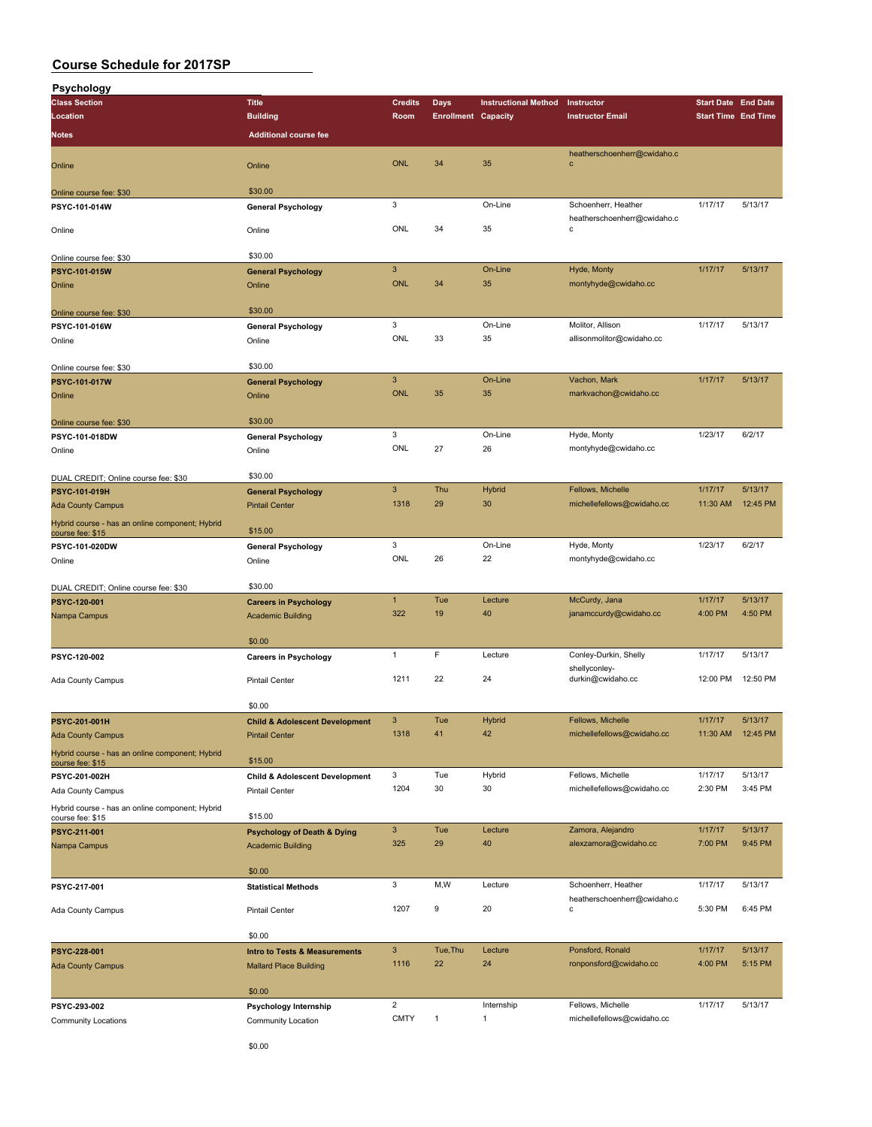| Psychology                                      |                                           |                |                            |                             |                                            |                            |          |
|-------------------------------------------------|-------------------------------------------|----------------|----------------------------|-----------------------------|--------------------------------------------|----------------------------|----------|
| <b>Class Section</b>                            | <b>Title</b>                              | <b>Credits</b> | <b>Days</b>                | <b>Instructional Method</b> | Instructor                                 | <b>Start Date End Date</b> |          |
| Location                                        | <b>Building</b>                           | Room           | <b>Enrollment Capacity</b> |                             | <b>Instructor Email</b>                    | <b>Start Time End Time</b> |          |
|                                                 | <b>Additional course fee</b>              |                |                            |                             |                                            |                            |          |
| Notes                                           |                                           |                |                            |                             |                                            |                            |          |
|                                                 |                                           |                |                            |                             | heatherschoenherr@cwidaho.c                |                            |          |
| Online                                          | Online                                    | <b>ONL</b>     | 34                         | 35                          | $\mathbf{C}$                               |                            |          |
|                                                 |                                           |                |                            |                             |                                            |                            |          |
| Online course fee: \$30                         | \$30.00                                   |                |                            |                             |                                            |                            |          |
| PSYC-101-014W                                   | <b>General Psychology</b>                 | 3              |                            | On-Line                     | Schoenherr, Heather                        | 1/17/17                    | 5/13/17  |
|                                                 |                                           | ONL            | 34                         | 35                          | heatherschoenherr@cwidaho.c<br>$\mathbf c$ |                            |          |
| Online                                          | Online                                    |                |                            |                             |                                            |                            |          |
|                                                 | \$30.00                                   |                |                            |                             |                                            |                            |          |
| Online course fee: \$30                         |                                           |                |                            |                             |                                            |                            |          |
| PSYC-101-015W                                   | <b>General Psychology</b>                 | $\mathsf 3$    |                            | On-Line                     | Hyde, Monty                                | 1/17/17                    | 5/13/17  |
| Online                                          | Online                                    | <b>ONL</b>     | 34                         | 35                          | montyhyde@cwidaho.cc                       |                            |          |
|                                                 |                                           |                |                            |                             |                                            |                            |          |
| Online course fee: \$30                         | \$30.00                                   |                |                            |                             |                                            |                            |          |
| PSYC-101-016W                                   | <b>General Psychology</b>                 | 3              |                            | On-Line                     | Molitor, Allison                           | 1/17/17                    | 5/13/17  |
| Online                                          | Online                                    | ONL            | 33                         | 35                          | allisonmolitor@cwidaho.cc                  |                            |          |
|                                                 |                                           |                |                            |                             |                                            |                            |          |
| Online course fee: \$30                         | \$30.00                                   |                |                            |                             |                                            |                            |          |
| PSYC-101-017W                                   | <b>General Psychology</b>                 | $\mathbf{3}$   |                            | On-Line                     | Vachon, Mark                               | 1/17/17                    | 5/13/17  |
| Online                                          | Online                                    | <b>ONL</b>     | 35                         | 35                          | markvachon@cwidaho.cc                      |                            |          |
|                                                 |                                           |                |                            |                             |                                            |                            |          |
| Online course fee: \$30                         | \$30.00                                   |                |                            |                             |                                            |                            |          |
| PSYC-101-018DW                                  | <b>General Psychology</b>                 | 3              |                            | On-Line                     | Hyde, Monty                                | 1/23/17                    | 6/2/17   |
| Online                                          | Online                                    | ONL            | 27                         | 26                          | montyhyde@cwidaho.cc                       |                            |          |
|                                                 |                                           |                |                            |                             |                                            |                            |          |
| DUAL CREDIT; Online course fee: \$30            | \$30.00                                   |                |                            |                             |                                            |                            |          |
| PSYC-101-019H                                   | <b>General Psychology</b>                 | $\mathbf{3}$   | Thu                        | Hybrid                      | Fellows, Michelle                          | 1/17/17                    | 5/13/17  |
|                                                 | <b>Pintail Center</b>                     | 1318           | 29                         | 30                          | michellefellows@cwidaho.cc                 | 11:30 AM                   | 12:45 PM |
| <b>Ada County Campus</b>                        |                                           |                |                            |                             |                                            |                            |          |
| Hybrid course - has an online component; Hybrid | \$15.00                                   |                |                            |                             |                                            |                            |          |
| course fee: \$15                                |                                           | 3              |                            | On-Line                     |                                            | 1/23/17                    | 6/2/17   |
| PSYC-101-020DW                                  | <b>General Psychology</b>                 |                |                            |                             | Hyde, Monty                                |                            |          |
| Online                                          | Online                                    | ONL            | 26                         | 22                          | montyhyde@cwidaho.cc                       |                            |          |
|                                                 |                                           |                |                            |                             |                                            |                            |          |
| DUAL CREDIT; Online course fee: \$30            | \$30.00                                   |                |                            |                             |                                            |                            |          |
| PSYC-120-001                                    | <b>Careers in Psychology</b>              | $\mathbf{1}$   | Tue                        | Lecture                     | McCurdy, Jana                              | 1/17/17                    | 5/13/17  |
| Nampa Campus                                    | <b>Academic Building</b>                  | 322            | 19                         | 40                          | janamccurdy@cwidaho.cc                     | 4:00 PM                    | 4:50 PM  |
|                                                 |                                           |                |                            |                             |                                            |                            |          |
|                                                 | \$0.00                                    |                |                            |                             |                                            |                            |          |
| PSYC-120-002                                    | <b>Careers in Psychology</b>              | 1              | F                          | Lecture                     | Conley-Durkin, Shelly                      | 1/17/17                    | 5/13/17  |
|                                                 |                                           |                |                            |                             | shellyconley-                              |                            |          |
| Ada County Campus                               | <b>Pintail Center</b>                     | 1211           | 22                         | 24                          | durkin@cwidaho.cc                          | 12:00 PM                   | 12:50 PM |
|                                                 |                                           |                |                            |                             |                                            |                            |          |
|                                                 | \$0.00                                    |                |                            |                             |                                            |                            |          |
| PSYC-201-001H                                   | <b>Child &amp; Adolescent Development</b> | $\mathbf{3}$   | Tue                        | Hybrid                      | Fellows, Michelle                          | 1/17/17                    | 5/13/17  |
| <b>Ada County Campus</b>                        | <b>Pintail Center</b>                     | 1318           | 41                         | 42                          | michellefellows@cwidaho.cc                 | 11:30 AM  12:45 PM         |          |
| Hybrid course - has an online component; Hybrid |                                           |                |                            |                             |                                            |                            |          |
| course fee: \$15                                | \$15.00                                   |                |                            |                             |                                            |                            |          |
| PSYC-201-002H                                   | <b>Child &amp; Adolescent Development</b> | 3              | Tue                        | Hybrid                      | Fellows, Michelle                          | 1/17/17                    | 5/13/17  |
| Ada County Campus                               | Pintail Center                            | 1204           | 30                         | 30                          | michellefellows@cwidaho.cc                 | 2:30 PM                    | 3:45 PM  |
| Hybrid course - has an online component; Hybrid |                                           |                |                            |                             |                                            |                            |          |
| course fee: \$15                                | \$15.00                                   |                |                            |                             |                                            |                            |          |
| PSYC-211-001                                    | <b>Psychology of Death &amp; Dying</b>    | $\mathbf{3}$   | Tue                        | Lecture                     | Zamora, Alejandro                          | 1/17/17                    | 5/13/17  |
| Nampa Campus                                    | <b>Academic Building</b>                  | 325            | 29                         | 40                          | alexzamora@cwidaho.cc                      | 7:00 PM                    | 9:45 PM  |
|                                                 |                                           |                |                            |                             |                                            |                            |          |
|                                                 | \$0.00                                    |                |                            |                             |                                            |                            |          |
| PSYC-217-001                                    | <b>Statistical Methods</b>                | 3              | M, W                       | Lecture                     | Schoenherr, Heather                        | 1/17/17                    | 5/13/17  |
|                                                 |                                           |                |                            |                             | heatherschoenherr@cwidaho.c                |                            |          |
| Ada County Campus                               | <b>Pintail Center</b>                     | 1207           | 9                          | 20                          | с                                          | 5:30 PM                    | 6:45 PM  |
|                                                 |                                           |                |                            |                             |                                            |                            |          |
|                                                 | \$0.00                                    |                |                            |                             |                                            |                            |          |
| PSYC-228-001                                    | <b>Intro to Tests &amp; Measurements</b>  | $\mathbf{3}$   | Tue, Thu                   | Lecture                     | Ponsford, Ronald                           | 1/17/17                    | 5/13/17  |
| <b>Ada County Campus</b>                        | <b>Mallard Place Building</b>             | 1116           | 22                         | 24                          | ronponsford@cwidaho.cc                     | 4:00 PM                    | 5:15 PM  |
|                                                 |                                           |                |                            |                             |                                            |                            |          |
|                                                 | \$0.00                                    |                |                            |                             |                                            |                            |          |
| PSYC-293-002                                    | Psychology Internship                     | $\overline{c}$ |                            | Internship                  | Fellows, Michelle                          | 1/17/17                    | 5/13/17  |
|                                                 |                                           | <b>CMTY</b>    | 1                          | $\mathbf{1}$                | michellefellows@cwidaho.cc                 |                            |          |
| <b>Community Locations</b>                      | Community Location                        |                |                            |                             |                                            |                            |          |
|                                                 |                                           |                |                            |                             |                                            |                            |          |

\$0.00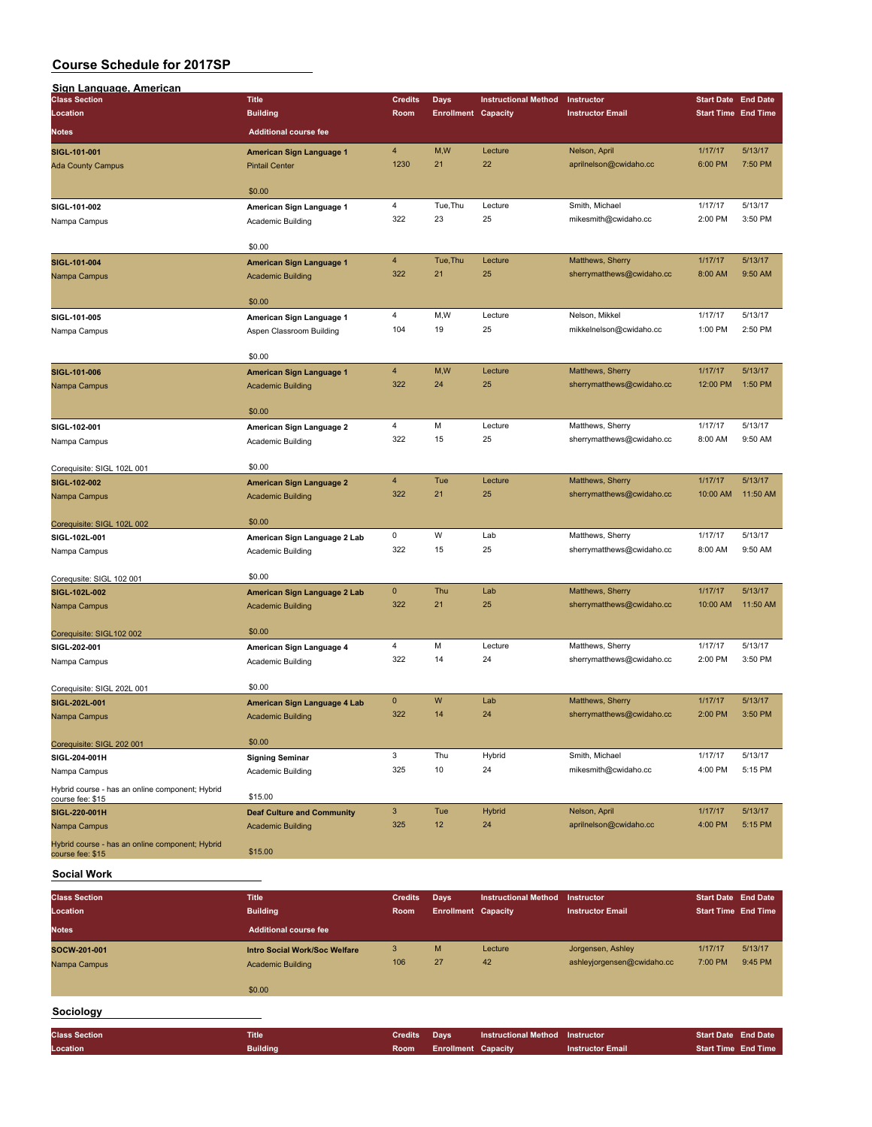| Sign Language, American                                             |                                             |                        |                                    |                             |                                         |                                                          |                    |
|---------------------------------------------------------------------|---------------------------------------------|------------------------|------------------------------------|-----------------------------|-----------------------------------------|----------------------------------------------------------|--------------------|
| <b>Class Section</b><br>Location                                    | <b>Title</b><br><b>Building</b>             | <b>Credits</b><br>Room | Days<br><b>Enrollment Capacity</b> | <b>Instructional Method</b> | Instructor<br><b>Instructor Email</b>   | <b>Start Date End Date</b><br><b>Start Time End Time</b> |                    |
| <b>Notes</b>                                                        | <b>Additional course fee</b>                |                        |                                    |                             |                                         |                                                          |                    |
|                                                                     |                                             |                        |                                    |                             |                                         |                                                          |                    |
| SIGL-101-001                                                        | American Sign Language 1                    | 4<br>1230              | M,W<br>21                          | Lecture<br>22               | Nelson, April<br>aprilnelson@cwidaho.cc | 1/17/17<br>6:00 PM                                       | 5/13/17<br>7:50 PM |
| <b>Ada County Campus</b>                                            | <b>Pintail Center</b>                       |                        |                                    |                             |                                         |                                                          |                    |
|                                                                     | \$0.00                                      |                        |                                    |                             |                                         |                                                          |                    |
| SIGL-101-002                                                        | American Sign Language 1                    | 4                      | Tue, Thu                           | Lecture                     | Smith, Michael                          | 1/17/17                                                  | 5/13/17            |
| Nampa Campus                                                        | Academic Building                           | 322                    | 23                                 | 25                          | mikesmith@cwidaho.cc                    | 2:00 PM                                                  | 3:50 PM            |
|                                                                     | \$0.00                                      |                        |                                    |                             |                                         |                                                          |                    |
| SIGL-101-004                                                        | American Sign Language 1                    | 4                      | Tue, Thu                           | Lecture                     | Matthews, Sherry                        | 1/17/17                                                  | 5/13/17            |
| Nampa Campus                                                        | <b>Academic Building</b>                    | 322                    | 21                                 | 25                          | sherrymatthews@cwidaho.cc               | 8:00 AM                                                  | 9:50 AM            |
|                                                                     | \$0.00                                      |                        |                                    |                             |                                         |                                                          |                    |
| SIGL-101-005                                                        | American Sign Language 1                    | 4                      | M,W                                | Lecture                     | Nelson, Mikkel                          | 1/17/17                                                  | 5/13/17            |
| Nampa Campus                                                        | Aspen Classroom Building                    | 104                    | 19                                 | 25                          | mikkelnelson@cwidaho.cc                 | 1:00 PM                                                  | 2:50 PM            |
|                                                                     | \$0.00                                      |                        |                                    |                             |                                         |                                                          |                    |
| SIGL-101-006                                                        | American Sign Language 1                    | $\overline{4}$         | M,W                                | Lecture                     | Matthews, Sherry                        | 1/17/17                                                  | 5/13/17            |
| Nampa Campus                                                        | <b>Academic Building</b>                    | 322                    | 24                                 | 25                          | sherrymatthews@cwidaho.cc               | 12:00 PM                                                 | 1:50 PM            |
|                                                                     |                                             |                        |                                    |                             |                                         |                                                          |                    |
| SIGL-102-001                                                        | \$0.00<br>American Sign Language 2          | 4                      | M                                  | Lecture                     | Matthews, Sherry                        | 1/17/17                                                  | 5/13/17            |
| Nampa Campus                                                        | Academic Building                           | 322                    | 15                                 | 25                          | sherrymatthews@cwidaho.cc               | 8:00 AM                                                  | 9:50 AM            |
|                                                                     |                                             |                        |                                    |                             |                                         |                                                          |                    |
| Corequisite: SIGL 102L 001                                          | \$0.00                                      |                        |                                    |                             |                                         |                                                          |                    |
| SIGL-102-002                                                        | American Sign Language 2                    | 4                      | Tue                                | Lecture                     | Matthews, Sherry                        | 1/17/17                                                  | 5/13/17            |
| Nampa Campus                                                        | <b>Academic Building</b>                    | 322                    | 21                                 | 25                          | sherrymatthews@cwidaho.cc               | 10:00 AM                                                 | 11:50 AM           |
| Corequisite: SIGL 102L 002                                          | \$0.00                                      |                        |                                    |                             |                                         |                                                          |                    |
| SIGL-102L-001                                                       | American Sign Language 2 Lab                | 0                      | W                                  | Lab                         | Matthews, Sherry                        | 1/17/17                                                  | 5/13/17            |
| Nampa Campus                                                        | Academic Building                           | 322                    | 15                                 | 25                          | sherrymatthews@cwidaho.cc               | 8:00 AM                                                  | 9:50 AM            |
| Corequsite: SIGL 102 001                                            | \$0.00                                      |                        |                                    |                             |                                         |                                                          |                    |
| SIGL-102L-002                                                       | American Sign Language 2 Lab                | $\mathbf 0$            | Thu                                | Lab                         | Matthews, Sherry                        | 1/17/17                                                  | 5/13/17            |
| Nampa Campus                                                        | <b>Academic Building</b>                    | 322                    | 21                                 | 25                          | sherrymatthews@cwidaho.cc               | 10:00 AM                                                 | 11:50 AM           |
| Corequisite: SIGL102 002                                            | \$0.00                                      |                        |                                    |                             |                                         |                                                          |                    |
| SIGL-202-001                                                        | American Sign Language 4                    | 4                      | M                                  | Lecture                     | Matthews, Sherry                        | 1/17/17                                                  | 5/13/17            |
| Nampa Campus                                                        | Academic Building                           | 322                    | 14                                 | 24                          | sherrymatthews@cwidaho.cc               | 2:00 PM                                                  | 3:50 PM            |
| Corequisite: SIGL 202L 001                                          | \$0.00                                      |                        |                                    |                             |                                         |                                                          |                    |
| SIGL-202L-001                                                       | American Sign Language 4 Lab                | $\mathbf 0$            | W                                  | Lab                         | Matthews, Sherry                        | 1/17/17                                                  | 5/13/17            |
| Nampa Campus                                                        | <b>Academic Building</b>                    | 322                    | 14                                 | 24                          | sherrymatthews@cwidaho.cc               | 2:00 PM                                                  | 3:50 PM            |
|                                                                     |                                             |                        |                                    |                             |                                         |                                                          |                    |
| Corequisite: SIGL 202 001                                           | \$0.00                                      | 3                      | Thu                                | Hybrid                      | Smith, Michael                          | 1/17/17                                                  | 5/13/17            |
| SIGL-204-001H<br>Nampa Campus                                       | <b>Signing Seminar</b><br>Academic Building | 325                    | 10                                 | 24                          | mikesmith@cwidaho.cc                    | 4:00 PM                                                  | 5:15 PM            |
| Hybrid course - has an online component; Hybrid                     |                                             |                        |                                    |                             |                                         |                                                          |                    |
| course fee: \$15                                                    | \$15.00                                     |                        |                                    |                             |                                         |                                                          |                    |
| SIGL-220-001H                                                       | <b>Deaf Culture and Community</b>           | 3                      | Tue                                | <b>Hybrid</b>               | Nelson, April                           | 1/17/17                                                  | 5/13/17            |
| Nampa Campus                                                        | <b>Academic Building</b>                    | 325                    | 12                                 | 24                          | aprilnelson@cwidaho.cc                  | 4:00 PM                                                  | 5:15 PM            |
| Hybrid course - has an online component; Hybrid<br>course fee: \$15 | \$15.00                                     |                        |                                    |                             |                                         |                                                          |                    |

#### **Social Work**

| <b>Class Section</b><br>Location | <b>Title</b><br><b>Building</b> | <b>Credits</b><br>Room | Days<br><b>Enrollment Capacity</b> | <b>Instructional Method</b> | Instructor<br><b>Instructor Email</b> | <b>Start Date End Date</b><br><b>Start Time End Time</b> |         |
|----------------------------------|---------------------------------|------------------------|------------------------------------|-----------------------------|---------------------------------------|----------------------------------------------------------|---------|
| <b>Notes</b>                     | <b>Additional course fee</b>    |                        |                                    |                             |                                       |                                                          |         |
| SOCW-201-001                     | Intro Social Work/Soc Welfare   | 3                      | M                                  | Lecture                     | Jorgensen, Ashley                     | 1/17/17                                                  | 5/13/17 |
| Nampa Campus                     | <b>Academic Building</b>        | 106                    | 27                                 | 42                          | ashleyjorgensen@cwidaho.cc            | 7:00 PM                                                  | 9:45 PM |
|                                  | \$0.00                          |                        |                                    |                             |                                       |                                                          |         |
| Sociology                        |                                 |                        |                                    |                             |                                       |                                                          |         |
| <b>Class Section</b>             | <b>Title</b>                    | <b>Credits</b>         | Days                               | <b>Instructional Method</b> | <b>Instructor</b>                     | <b>Start Date End Date</b>                               |         |
| Location                         | <b>Building</b>                 | Room                   | <b>Enrollment Capacity</b>         |                             | <b>Instructor Email</b>               | <b>Start Time End Time</b>                               |         |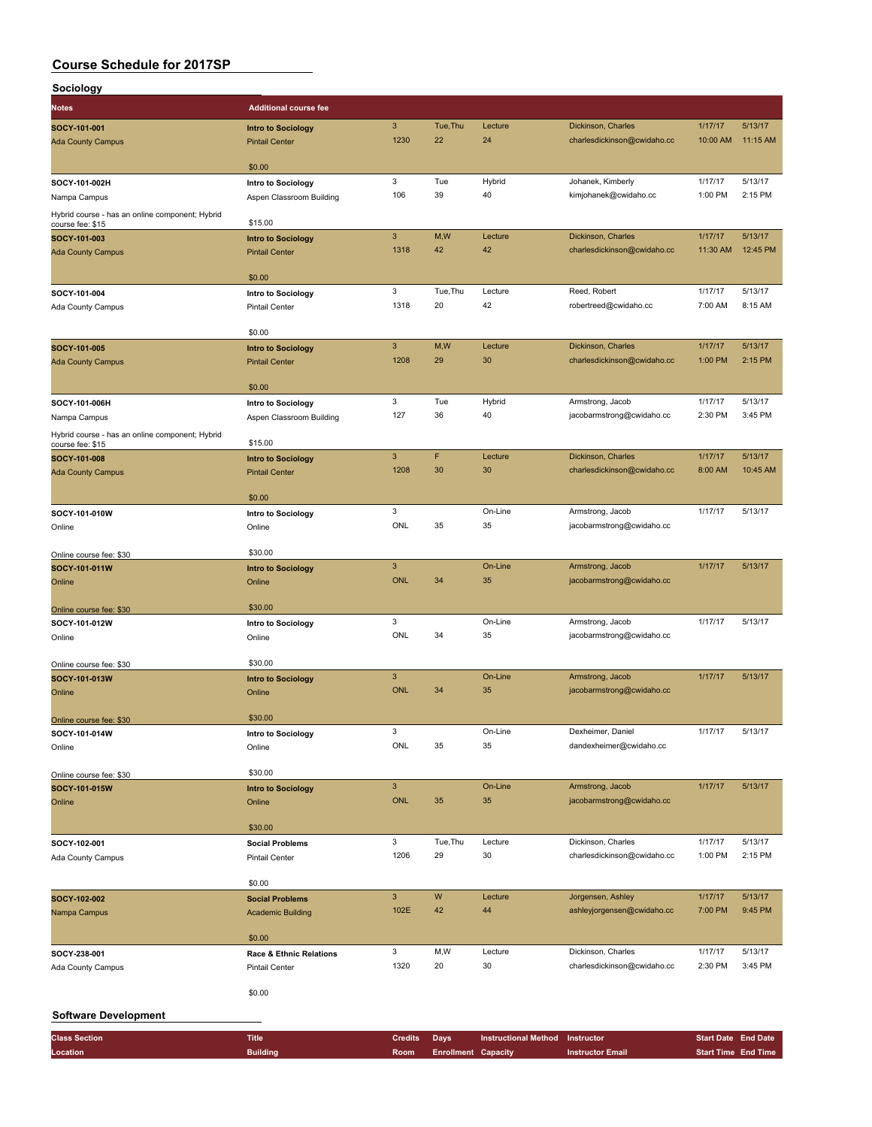| Sociology                                                           |                                                             |                           |                            |                             |                                                   |                            |                     |
|---------------------------------------------------------------------|-------------------------------------------------------------|---------------------------|----------------------------|-----------------------------|---------------------------------------------------|----------------------------|---------------------|
| <b>Notes</b>                                                        | <b>Additional course fee</b>                                |                           |                            |                             |                                                   |                            |                     |
| SOCY-101-001                                                        | <b>Intro to Sociology</b>                                   | $\mathbf{3}$              | Tue, Thu                   | Lecture                     | Dickinson, Charles                                | 1/17/17                    | 5/13/17             |
| <b>Ada County Campus</b>                                            | <b>Pintail Center</b>                                       | 1230                      | 22                         | 24                          | charlesdickinson@cwidaho.cc                       | 10:00 AM                   | 11:15 AM            |
|                                                                     |                                                             |                           |                            |                             |                                                   |                            |                     |
|                                                                     | \$0.00                                                      |                           |                            |                             |                                                   |                            |                     |
| SOCY-101-002H                                                       | Intro to Sociology                                          | 3<br>106                  | Tue<br>39                  | Hybrid<br>40                | Johanek, Kimberly<br>kimjohanek@cwidaho.cc        | 1/17/17<br>1:00 PM         | 5/13/17<br>2:15 PM  |
| Nampa Campus                                                        | Aspen Classroom Building                                    |                           |                            |                             |                                                   |                            |                     |
| Hybrid course - has an online component; Hybrid<br>course fee: \$15 | \$15.00                                                     |                           |                            |                             |                                                   |                            |                     |
| SOCY-101-003                                                        | <b>Intro to Sociology</b>                                   | $\ensuremath{\mathsf{3}}$ | M,W                        | Lecture                     | Dickinson, Charles                                | 1/17/17                    | 5/13/17             |
| <b>Ada County Campus</b>                                            | <b>Pintail Center</b>                                       | 1318                      | 42                         | 42                          | charlesdickinson@cwidaho.cc                       | 11:30 AM                   | 12:45 PM            |
|                                                                     | \$0.00                                                      |                           |                            |                             |                                                   |                            |                     |
| SOCY-101-004                                                        | Intro to Sociology                                          | 3                         | Tue, Thu                   | Lecture                     | Reed, Robert                                      | 1/17/17                    | 5/13/17             |
| Ada County Campus                                                   | <b>Pintail Center</b>                                       | 1318                      | 20                         | 42                          | robertreed@cwidaho.cc                             | 7:00 AM                    | 8:15 AM             |
|                                                                     |                                                             |                           |                            |                             |                                                   |                            |                     |
|                                                                     | \$0.00                                                      |                           |                            |                             |                                                   |                            |                     |
| SOCY-101-005                                                        | <b>Intro to Sociology</b>                                   | $\mathbf{3}$              | M,W                        | Lecture                     | Dickinson, Charles                                | 1/17/17                    | 5/13/17             |
| <b>Ada County Campus</b>                                            | <b>Pintail Center</b>                                       | 1208                      | 29                         | 30                          | charlesdickinson@cwidaho.cc                       | 1:00 PM                    | 2:15 PM             |
|                                                                     | \$0.00                                                      |                           |                            |                             |                                                   |                            |                     |
| SOCY-101-006H                                                       | Intro to Sociology                                          | 3                         | Tue                        | Hybrid                      | Armstrong, Jacob                                  | 1/17/17                    | 5/13/17             |
| Nampa Campus                                                        | Aspen Classroom Building                                    | 127                       | 36                         | 40                          | jacobarmstrong@cwidaho.cc                         | 2:30 PM                    | 3:45 PM             |
| Hybrid course - has an online component; Hybrid                     |                                                             |                           |                            |                             |                                                   |                            |                     |
| course fee: \$15                                                    | \$15.00                                                     |                           |                            |                             |                                                   |                            |                     |
| SOCY-101-008                                                        | <b>Intro to Sociology</b>                                   | $\mathbf{3}$<br>1208      | F<br>30                    | Lecture<br>30               | Dickinson, Charles<br>charlesdickinson@cwidaho.cc | 1/17/17<br>8:00 AM         | 5/13/17<br>10:45 AM |
| <b>Ada County Campus</b>                                            | <b>Pintail Center</b>                                       |                           |                            |                             |                                                   |                            |                     |
|                                                                     | \$0.00                                                      |                           |                            |                             |                                                   |                            |                     |
| SOCY-101-010W                                                       | Intro to Sociology                                          | 3                         |                            | On-Line                     | Armstrong, Jacob                                  | 1/17/17                    | 5/13/17             |
| Online                                                              | Online                                                      | ONL                       | 35                         | 35                          | jacobarmstrong@cwidaho.cc                         |                            |                     |
|                                                                     |                                                             |                           |                            |                             |                                                   |                            |                     |
| Online course fee: \$30                                             | \$30.00                                                     | $\mathbf{3}$              |                            |                             |                                                   | 1/17/17                    | 5/13/17             |
| SOCY-101-011W<br>Online                                             | <b>Intro to Sociology</b>                                   | <b>ONL</b>                | 34                         | On-Line<br>35               | Armstrong, Jacob<br>jacobarmstrong@cwidaho.cc     |                            |                     |
|                                                                     | Online                                                      |                           |                            |                             |                                                   |                            |                     |
| Online course fee: \$30                                             | \$30.00                                                     |                           |                            |                             |                                                   |                            |                     |
| SOCY-101-012W                                                       | Intro to Sociology                                          | 3                         |                            | On-Line                     | Armstrong, Jacob                                  | 1/17/17                    | 5/13/17             |
| Online                                                              | Online                                                      | ONL                       | 34                         | 35                          | jacobarmstrong@cwidaho.cc                         |                            |                     |
|                                                                     |                                                             |                           |                            |                             |                                                   |                            |                     |
| Online course fee: \$30                                             | \$30.00                                                     | $\ensuremath{\mathsf{3}}$ |                            | On-Line                     | Armstrong, Jacob                                  | 1/17/17                    | 5/13/17             |
| SOCY-101-013W<br>Online                                             | <b>Intro to Sociology</b><br>Online                         | <b>ONL</b>                | 34                         | 35                          | jacobarmstrong@cwidaho.cc                         |                            |                     |
|                                                                     |                                                             |                           |                            |                             |                                                   |                            |                     |
| Online course fee: \$30                                             | \$30.00                                                     |                           |                            |                             |                                                   |                            |                     |
| SOCY-101-014W                                                       | Intro to Sociology                                          | 3                         |                            | On-Line                     | Dexheimer, Daniel                                 | 1/17/17                    | 5/13/17             |
| Online                                                              | Online                                                      | ONL                       | 35                         | 35                          | dandexheimer@cwidaho.cc                           |                            |                     |
|                                                                     | \$30.00                                                     |                           |                            |                             |                                                   |                            |                     |
| Online course fee: \$30<br>SOCY-101-015W                            | <b>Intro to Sociology</b>                                   | $\ensuremath{\mathsf{3}}$ |                            | On-Line                     | Armstrong, Jacob                                  | 1/17/17                    | 5/13/17             |
| Online                                                              | Online                                                      | <b>ONL</b>                | 35                         | 35                          | jacobarmstrong@cwidaho.cc                         |                            |                     |
|                                                                     |                                                             |                           |                            |                             |                                                   |                            |                     |
|                                                                     | \$30.00                                                     |                           |                            |                             |                                                   |                            |                     |
| SOCY-102-001                                                        | <b>Social Problems</b>                                      | 3<br>1206                 | Tue, Thu<br>29             | Lecture<br>30               | Dickinson, Charles                                | 1/17/17<br>1:00 PM         | 5/13/17<br>2:15 PM  |
| Ada County Campus                                                   | <b>Pintail Center</b>                                       |                           |                            |                             | charlesdickinson@cwidaho.cc                       |                            |                     |
|                                                                     | \$0.00                                                      |                           |                            |                             |                                                   |                            |                     |
| SOCY-102-002                                                        | <b>Social Problems</b>                                      | $\ensuremath{\mathsf{3}}$ | ${\sf W}$                  | Lecture                     | Jorgensen, Ashley                                 | 1/17/17                    | 5/13/17             |
| Nampa Campus                                                        | <b>Academic Building</b>                                    | 102E                      | 42                         | 44                          | ashleyjorgensen@cwidaho.cc                        | 7:00 PM                    | 9:45 PM             |
|                                                                     |                                                             |                           |                            |                             |                                                   |                            |                     |
|                                                                     | \$0.00                                                      | 3                         | M,W                        | Lecture                     | Dickinson, Charles                                | 1/17/17                    | 5/13/17             |
| SOCY-238-001<br>Ada County Campus                                   | <b>Race &amp; Ethnic Relations</b><br><b>Pintail Center</b> | 1320                      | 20                         | 30                          | charlesdickinson@cwidaho.cc                       | 2:30 PM                    | 3:45 PM             |
|                                                                     |                                                             |                           |                            |                             |                                                   |                            |                     |
|                                                                     | \$0.00                                                      |                           |                            |                             |                                                   |                            |                     |
| <b>Software Development</b>                                         |                                                             |                           |                            |                             |                                                   |                            |                     |
|                                                                     |                                                             |                           |                            |                             |                                                   |                            |                     |
| <b>Class Section</b>                                                | <b>Title</b>                                                | <b>Credits</b>            | <b>Days</b>                | <b>Instructional Method</b> | Instructor                                        | <b>Start Date End Date</b> |                     |
| Location                                                            | <b>Building</b>                                             | Room                      | <b>Enrollment Capacity</b> |                             | <b>Instructor Email</b>                           | <b>Start Time End Time</b> |                     |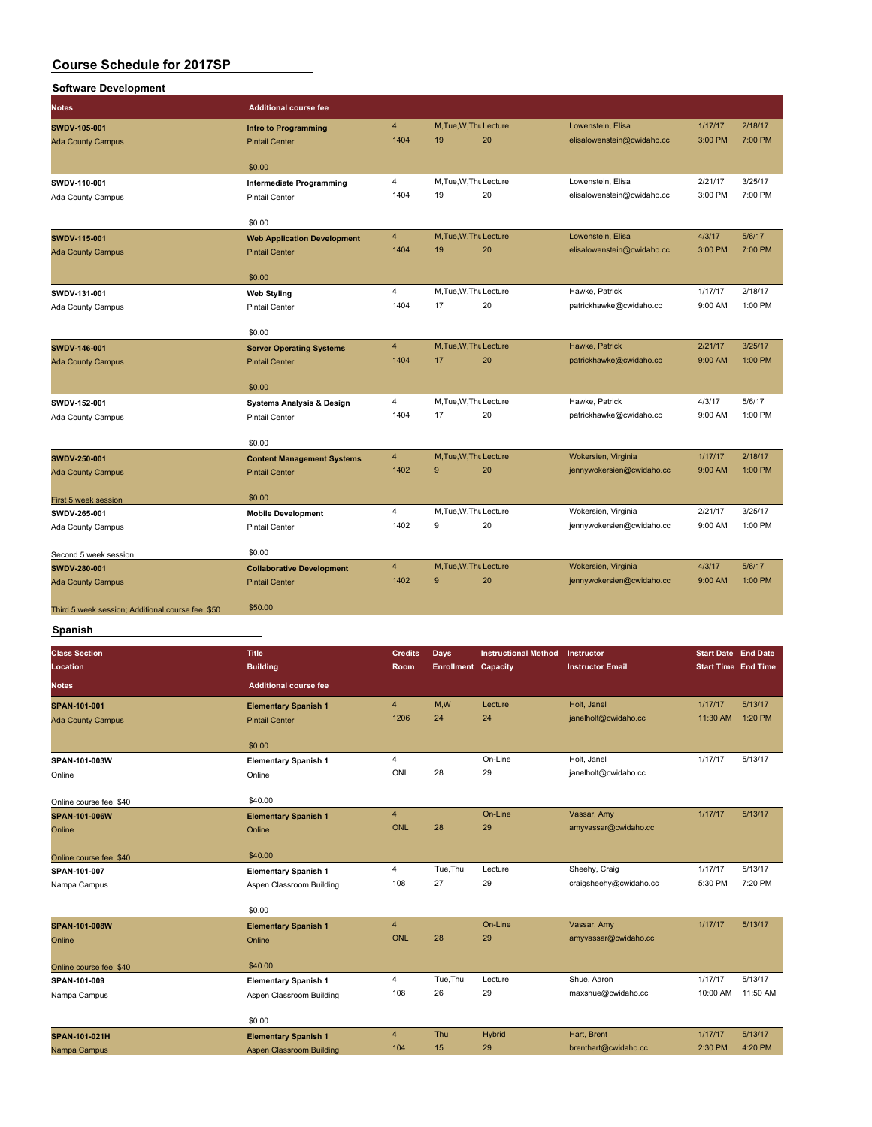| <b>Software Development</b>                       |                                                               |                                |                            |                             |                            |                   |                            |
|---------------------------------------------------|---------------------------------------------------------------|--------------------------------|----------------------------|-----------------------------|----------------------------|-------------------|----------------------------|
| <b>Notes</b>                                      | <b>Additional course fee</b>                                  |                                |                            |                             |                            |                   |                            |
| SWDV-105-001                                      |                                                               | $\overline{4}$                 | M, Tue, W, Thu Lecture     |                             | Lowenstein, Elisa          | 1/17/17           | 2/18/17                    |
| <b>Ada County Campus</b>                          | Intro to Programming<br><b>Pintail Center</b>                 | 1404                           | 19                         | 20                          | elisalowenstein@cwidaho.cc | 3:00 PM           | 7:00 PM                    |
|                                                   |                                                               |                                |                            |                             |                            |                   |                            |
|                                                   | \$0.00                                                        |                                |                            |                             |                            |                   |                            |
| SWDV-110-001                                      | Intermediate Programming                                      | $\overline{4}$                 | M, Tue, W, Thu Lecture     |                             | Lowenstein, Elisa          | 2/21/17           | 3/25/17                    |
| Ada County Campus                                 | <b>Pintail Center</b>                                         | 1404                           | 19                         | 20                          | elisalowenstein@cwidaho.cc | 3:00 PM           | 7:00 PM                    |
|                                                   |                                                               |                                |                            |                             |                            |                   |                            |
|                                                   | \$0.00                                                        |                                |                            |                             |                            |                   |                            |
| SWDV-115-001                                      | <b>Web Application Development</b>                            | $\overline{4}$<br>1404         | M, Tue, W, Thu Lecture     | 20                          | Lowenstein, Elisa          | 4/3/17            | 5/6/17<br>7:00 PM          |
| <b>Ada County Campus</b>                          | <b>Pintail Center</b>                                         |                                | 19                         |                             | elisalowenstein@cwidaho.cc | 3:00 PM           |                            |
|                                                   | \$0.00                                                        |                                |                            |                             |                            |                   |                            |
| SWDV-131-001                                      | <b>Web Styling</b>                                            | $\overline{4}$                 | M, Tue, W, Thu Lecture     |                             | Hawke, Patrick             | 1/17/17           | 2/18/17                    |
| Ada County Campus                                 | <b>Pintail Center</b>                                         | 1404                           | 17                         | 20                          | patrickhawke@cwidaho.cc    | 9:00 AM           | 1:00 PM                    |
|                                                   |                                                               |                                |                            |                             |                            |                   |                            |
|                                                   | \$0.00                                                        |                                |                            |                             |                            |                   |                            |
| SWDV-146-001                                      | <b>Server Operating Systems</b>                               | $\overline{4}$                 | M, Tue, W, Thu Lecture     |                             | Hawke, Patrick             | 2/21/17           | 3/25/17                    |
| <b>Ada County Campus</b>                          | <b>Pintail Center</b>                                         | 1404                           | 17                         | 20                          | patrickhawke@cwidaho.cc    | 9:00 AM           | 1:00 PM                    |
|                                                   |                                                               |                                |                            |                             |                            |                   |                            |
|                                                   | \$0.00                                                        | 4                              | M, Tue, W, Thu Lecture     |                             | Hawke, Patrick             | 4/3/17            | 5/6/17                     |
| SWDV-152-001                                      | <b>Systems Analysis &amp; Design</b><br><b>Pintail Center</b> | 1404                           | 17                         | 20                          | patrickhawke@cwidaho.cc    | 9:00 AM           | 1:00 PM                    |
| Ada County Campus                                 |                                                               |                                |                            |                             |                            |                   |                            |
|                                                   | \$0.00                                                        |                                |                            |                             |                            |                   |                            |
| SWDV-250-001                                      | <b>Content Management Systems</b>                             | $\overline{4}$                 | M, Tue, W, Thu Lecture     |                             | Wokersien, Virginia        | 1/17/17           | 2/18/17                    |
| <b>Ada County Campus</b>                          | <b>Pintail Center</b>                                         | 1402                           | 9                          | 20                          | jennywokersien@cwidaho.cc  | 9:00 AM           | 1:00 PM                    |
|                                                   |                                                               |                                |                            |                             |                            |                   |                            |
| First 5 week session                              | \$0.00                                                        |                                |                            |                             |                            |                   |                            |
| SWDV-265-001                                      | <b>Mobile Development</b>                                     | $\overline{\mathbf{4}}$        | M, Tue, W, Thu Lecture     |                             | Wokersien, Virginia        | 2/21/17           | 3/25/17                    |
| Ada County Campus                                 | <b>Pintail Center</b>                                         | 1402                           | 9                          | 20                          | jennywokersien@cwidaho.cc  | 9:00 AM           | 1:00 PM                    |
|                                                   |                                                               |                                |                            |                             |                            |                   |                            |
| Second 5 week session                             | \$0.00                                                        | $\overline{4}$                 | M, Tue, W, Thu Lecture     |                             | Wokersien, Virginia        | 4/3/17            | 5/6/17                     |
| <b>SWDV-280-001</b><br><b>Ada County Campus</b>   | <b>Collaborative Development</b><br><b>Pintail Center</b>     | 1402                           | 9                          | 20                          | jennywokersien@cwidaho.cc  | 9:00 AM           | 1:00 PM                    |
|                                                   |                                                               |                                |                            |                             |                            |                   |                            |
| Third 5 week session; Additional course fee: \$50 | \$50.00                                                       |                                |                            |                             |                            |                   |                            |
|                                                   |                                                               |                                |                            |                             |                            |                   |                            |
| Spanish                                           |                                                               |                                |                            |                             |                            |                   |                            |
| <b>Class Section</b>                              | <b>Title</b>                                                  | <b>Credits</b>                 | <b>Days</b>                | <b>Instructional Method</b> | Instructor                 | <b>Start Date</b> | <b>End Date</b>            |
| Location                                          | <b>Building</b>                                               | Room                           | <b>Enrollment Capacity</b> |                             | <b>Instructor Email</b>    |                   | <b>Start Time End Time</b> |
| <b>Notes</b>                                      | <b>Additional course fee</b>                                  |                                |                            |                             |                            |                   |                            |
| SPAN-101-001                                      | <b>Elementary Spanish 1</b>                                   | $\overline{4}$                 | M,W                        | Lecture                     | Holt, Janel                | 1/17/17           | 5/13/17                    |
| <b>Ada County Campus</b>                          | <b>Pintail Center</b>                                         | 1206                           | 24                         | 24                          | janelholt@cwidaho.cc       | 11:30 AM          | 1:20 PM                    |
|                                                   |                                                               |                                |                            |                             |                            |                   |                            |
|                                                   | \$0.00                                                        |                                |                            |                             |                            |                   |                            |
| SPAN-101-003W                                     | <b>Elementary Spanish 1</b>                                   | $\overline{4}$                 |                            | On-Line                     | Holt, Janel                | 1/17/17           | 5/13/17                    |
| Online                                            | Online                                                        | ONL                            | 28                         | 29                          | janelholt@cwidaho.cc       |                   |                            |
|                                                   |                                                               |                                |                            |                             |                            |                   |                            |
| Online course fee: \$40                           | \$40.00                                                       |                                |                            |                             |                            |                   |                            |
| SPAN-101-006W                                     | <b>Elementary Spanish 1</b>                                   | $\overline{\mathbf{4}}$<br>ONL |                            | On-Line                     | Vassar, Amy                | 1/17/17           | 5/13/17                    |
| Online                                            | Online                                                        |                                | 28                         | 29                          | amyvassar@cwidaho.cc       |                   |                            |
| Online course fee: \$40                           | \$40.00                                                       |                                |                            |                             |                            |                   |                            |
| SPAN-101-007                                      | <b>Elementary Spanish 1</b>                                   | $\overline{4}$                 | Tue, Thu                   | Lecture                     | Sheehy, Craig              | 1/17/17           | 5/13/17                    |
| Nampa Campus                                      | Aspen Classroom Building                                      | 108                            | 27                         | 29                          | craigsheehy@cwidaho.cc     | 5:30 PM           | 7:20 PM                    |
|                                                   |                                                               |                                |                            |                             |                            |                   |                            |
|                                                   | \$0.00                                                        |                                |                            |                             |                            |                   |                            |
| SPAN-101-008W                                     | <b>Elementary Spanish 1</b>                                   | $\overline{\mathbf{4}}$        |                            | On-Line                     | Vassar, Amy                | 1/17/17           | 5/13/17                    |
| Online                                            | Online                                                        | <b>ONL</b>                     | 28                         | 29                          | amyvassar@cwidaho.cc       |                   |                            |
|                                                   |                                                               |                                |                            |                             |                            |                   |                            |
| Online course fee: \$40                           | \$40.00                                                       |                                |                            |                             |                            |                   |                            |

**SPAN-101-009 Elementary Spanish 1** 4 Tue,Thu Lecture Shue, Aaron 1/17/17 5/13/17 Nampa Campus **Aspen Classroom Building** 108 26 26 29 Maxwell Aspen Classroom Building \$0.00 **SPAN-101-021H Elementary Spanish 1** 4 Thu Hybrid Hart, Brent 1/17/17 5/13/17<br>Nampa Campus 2:30 PM 4:20 PM Aspen Classroom Building 104 15 29 brenthart@cwidaho.cc 2:30 PM 4:20 PM Nampa Campus **Aspen Classroom Building** 104 15 29 brenthart @cwidaho.cc 2:30 PM 4:30 PM 4:30 PM 4:30 PM 4:30 PM 4:30 PM 4:30 PM 4:30 PM 4:30 PM 4:30 PM 4:30 PM 4:30 PM 4:30 PM 4:30 PM 4:30 PM 4:30 PM 4:30 PM 4:30 PM 4:30 P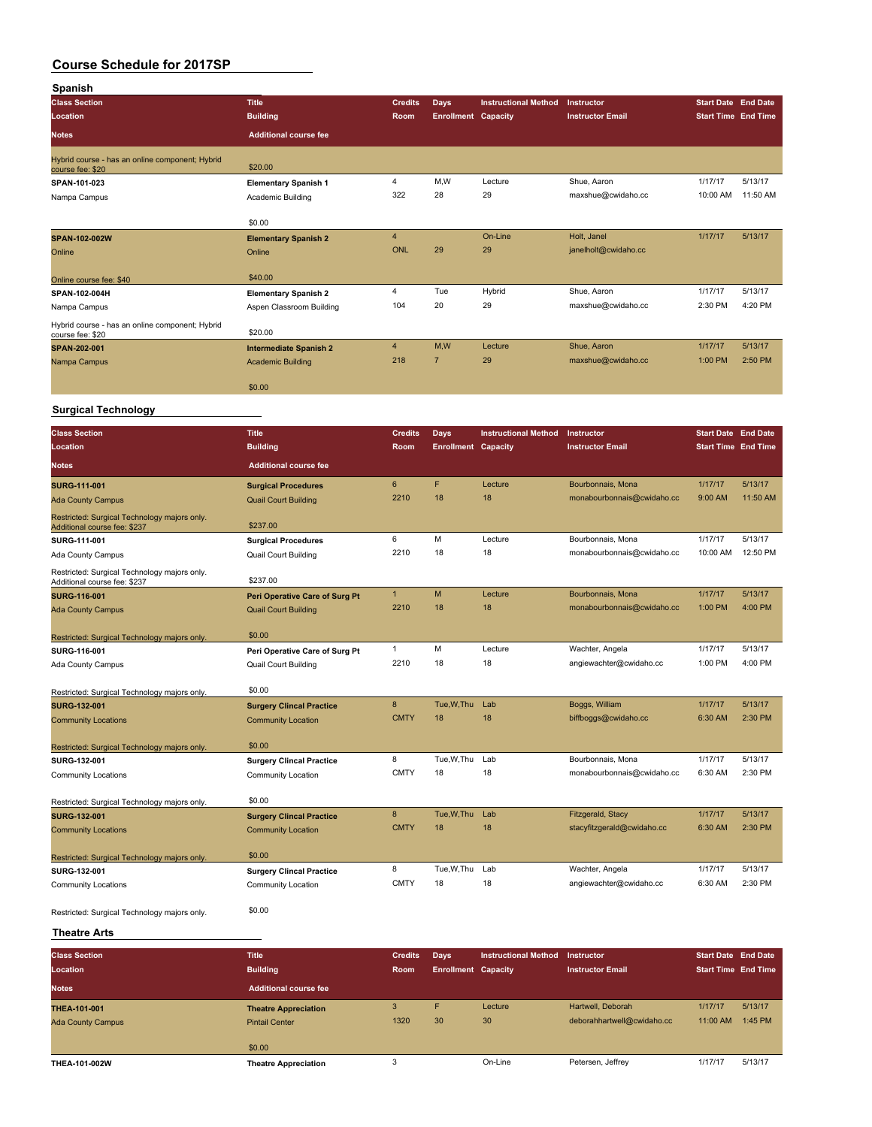| <b>Title</b><br><b>Credits</b><br><b>Instructional Method</b><br><b>Start Date End Date</b><br>Days<br>Instructor<br>Location<br><b>Building</b><br>Room<br><b>Enrollment Capacity</b><br><b>Instructor Email</b><br><b>Start Time End Time</b><br><b>Additional course fee</b><br><b>Notes</b><br>Hybrid course - has an online component; Hybrid<br>\$20.00<br>course fee: \$20<br>4<br>M,W<br>1/17/17<br>5/13/17<br>Lecture<br>Shue, Aaron<br>SPAN-101-023<br><b>Elementary Spanish 1</b><br>322<br>28<br>29<br>maxshue@cwidaho.cc<br>10:00 AM<br>11:50 AM<br>Nampa Campus<br>Academic Building<br>\$0.00<br>4<br>On-Line<br>Holt, Janel<br>1/17/17<br>5/13/17<br>SPAN-102-002W<br><b>Elementary Spanish 2</b><br>29<br><b>ONL</b><br>29<br>janelholt@cwidaho.cc<br>Online<br>Online<br>\$40.00<br>4<br>Tue<br>Hybrid<br>Shue, Aaron<br>1/17/17<br>5/13/17<br><b>Elementary Spanish 2</b><br>104<br>20<br>29<br>2:30 PM<br>4:20 PM<br>maxshue@cwidaho.cc<br>Aspen Classroom Building<br>\$20.00<br>M,W<br>4<br>Shue, Aaron<br>1/17/17<br>5/13/17<br>Lecture<br><b>Intermediate Spanish 2</b><br>218<br>$\overline{7}$<br>29<br>maxshue@cwidaho.cc<br>1:00 PM<br>2:50 PM<br>Nampa Campus<br><b>Academic Building</b><br>\$0.00<br><b>Surgical Technology</b><br><b>Title</b><br><b>Instructional Method</b><br><b>Start Date End Date</b><br><b>Class Section</b><br><b>Credits</b><br>Days<br>Instructor<br><b>Building</b><br><b>Start Time End Time</b><br>Location<br><b>Room</b><br><b>Enrollment Capacity</b><br><b>Instructor Email</b><br><b>Notes</b><br><b>Additional course fee</b><br>6<br>F<br>5/13/17<br>Lecture<br>Bourbonnais, Mona<br>1/17/17<br><b>Surgical Procedures</b><br>2210<br>18<br>18<br>9:00 AM<br>11:50 AM<br>monabourbonnais@cwidaho.cc<br><b>Quail Court Building</b><br><b>Ada County Campus</b><br>Restricted: Surgical Technology majors only.<br>\$237.00<br>Additional course fee: \$237<br>6<br>M<br>Lecture<br>Bourbonnais, Mona<br>1/17/17<br>5/13/17<br>SURG-111-001<br><b>Surgical Procedures</b><br>2210<br>18<br>18<br>12:50 PM<br>monabourbonnais@cwidaho.cc<br>10:00 AM<br>Ada County Campus<br>Quail Court Building<br>Restricted: Surgical Technology majors only.<br>\$237.00<br>Additional course fee: \$237<br>M<br>$\mathbf{1}$<br>1/17/17<br>5/13/17<br>Lecture<br>Bourbonnais, Mona<br>Peri Operative Care of Surg Pt<br>2210<br>4:00 PM<br>18<br>18<br>monabourbonnais@cwidaho.cc<br>1:00 PM<br><b>Ada County Campus</b><br><b>Quail Court Building</b><br>\$0.00<br>Restricted: Surgical Technology majors only.<br>1<br>M<br>Lecture<br>1/17/17<br>5/13/17<br>Wachter, Angela<br>SURG-116-001<br>Peri Operative Care of Surg Pt<br>2210<br>18<br>18<br>angiewachter@cwidaho.cc<br>1:00 PM<br>4:00 PM<br>Ada County Campus<br><b>Quail Court Building</b><br>\$0.00<br>8<br>Tue, W, Thu<br>Boggs, William<br>1/17/17<br>5/13/17<br>Lab<br><b>Surgery Clincal Practice</b><br><b>CMTY</b><br>2:30 PM<br>18<br>18<br>biffboggs@cwidaho.cc<br>6:30 AM<br><b>Community Locations</b><br><b>Community Location</b><br>\$0.00<br>Restricted: Surgical Technology majors only.<br>8<br>Tue, W, Thu Lab<br>Bourbonnais, Mona<br>1/17/17<br>5/13/17<br><b>Surgery Clincal Practice</b><br><b>CMTY</b><br>18<br>18<br>2:30 PM<br>monabourbonnais@cwidaho.cc<br>6:30 AM<br>Community Locations<br>Community Location<br>\$0.00<br>8<br>Tue, W, Thu<br>Fitzgerald, Stacy<br>1/17/17<br>5/13/17<br>Lab<br><b>Surgery Clincal Practice</b><br><b>CMTY</b><br>2:30 PM<br>18<br>18<br>stacyfitzgerald@cwidaho.cc<br>6:30 AM<br><b>Community Location</b><br>\$0.00<br>8<br>Tue,W,Thu<br>Wachter, Angela<br>1/17/17<br>5/13/17<br>Lab<br><b>Surgery Clincal Practice</b><br><b>CMTY</b><br>18<br>18<br>angiewachter@cwidaho.cc<br>6:30 AM<br>2:30 PM<br>Community Location<br>\$0.00 | Spanish                                                             |  |  |  |  |
|------------------------------------------------------------------------------------------------------------------------------------------------------------------------------------------------------------------------------------------------------------------------------------------------------------------------------------------------------------------------------------------------------------------------------------------------------------------------------------------------------------------------------------------------------------------------------------------------------------------------------------------------------------------------------------------------------------------------------------------------------------------------------------------------------------------------------------------------------------------------------------------------------------------------------------------------------------------------------------------------------------------------------------------------------------------------------------------------------------------------------------------------------------------------------------------------------------------------------------------------------------------------------------------------------------------------------------------------------------------------------------------------------------------------------------------------------------------------------------------------------------------------------------------------------------------------------------------------------------------------------------------------------------------------------------------------------------------------------------------------------------------------------------------------------------------------------------------------------------------------------------------------------------------------------------------------------------------------------------------------------------------------------------------------------------------------------------------------------------------------------------------------------------------------------------------------------------------------------------------------------------------------------------------------------------------------------------------------------------------------------------------------------------------------------------------------------------------------------------------------------------------------------------------------------------------------------------------------------------------------------------------------------------------------------------------------------------------------------------------------------------------------------------------------------------------------------------------------------------------------------------------------------------------------------------------------------------------------------------------------------------------------------------------------------------------------------------------------------------------------------------------------------------------------------------------------------------------------------------------------------------------------------------------------------------------------------------------------------------------------------------------------------------------------------------------------------------------------------------------------------------------------------------------------------------------------------------------------------------------------------------------------------------------------------------------------------------------------------------------------------------------------------------------------------------------------------|---------------------------------------------------------------------|--|--|--|--|
|                                                                                                                                                                                                                                                                                                                                                                                                                                                                                                                                                                                                                                                                                                                                                                                                                                                                                                                                                                                                                                                                                                                                                                                                                                                                                                                                                                                                                                                                                                                                                                                                                                                                                                                                                                                                                                                                                                                                                                                                                                                                                                                                                                                                                                                                                                                                                                                                                                                                                                                                                                                                                                                                                                                                                                                                                                                                                                                                                                                                                                                                                                                                                                                                                                                                                                                                                                                                                                                                                                                                                                                                                                                                                                                                                                                                                              | <b>Class Section</b>                                                |  |  |  |  |
|                                                                                                                                                                                                                                                                                                                                                                                                                                                                                                                                                                                                                                                                                                                                                                                                                                                                                                                                                                                                                                                                                                                                                                                                                                                                                                                                                                                                                                                                                                                                                                                                                                                                                                                                                                                                                                                                                                                                                                                                                                                                                                                                                                                                                                                                                                                                                                                                                                                                                                                                                                                                                                                                                                                                                                                                                                                                                                                                                                                                                                                                                                                                                                                                                                                                                                                                                                                                                                                                                                                                                                                                                                                                                                                                                                                                                              |                                                                     |  |  |  |  |
|                                                                                                                                                                                                                                                                                                                                                                                                                                                                                                                                                                                                                                                                                                                                                                                                                                                                                                                                                                                                                                                                                                                                                                                                                                                                                                                                                                                                                                                                                                                                                                                                                                                                                                                                                                                                                                                                                                                                                                                                                                                                                                                                                                                                                                                                                                                                                                                                                                                                                                                                                                                                                                                                                                                                                                                                                                                                                                                                                                                                                                                                                                                                                                                                                                                                                                                                                                                                                                                                                                                                                                                                                                                                                                                                                                                                                              |                                                                     |  |  |  |  |
|                                                                                                                                                                                                                                                                                                                                                                                                                                                                                                                                                                                                                                                                                                                                                                                                                                                                                                                                                                                                                                                                                                                                                                                                                                                                                                                                                                                                                                                                                                                                                                                                                                                                                                                                                                                                                                                                                                                                                                                                                                                                                                                                                                                                                                                                                                                                                                                                                                                                                                                                                                                                                                                                                                                                                                                                                                                                                                                                                                                                                                                                                                                                                                                                                                                                                                                                                                                                                                                                                                                                                                                                                                                                                                                                                                                                                              |                                                                     |  |  |  |  |
|                                                                                                                                                                                                                                                                                                                                                                                                                                                                                                                                                                                                                                                                                                                                                                                                                                                                                                                                                                                                                                                                                                                                                                                                                                                                                                                                                                                                                                                                                                                                                                                                                                                                                                                                                                                                                                                                                                                                                                                                                                                                                                                                                                                                                                                                                                                                                                                                                                                                                                                                                                                                                                                                                                                                                                                                                                                                                                                                                                                                                                                                                                                                                                                                                                                                                                                                                                                                                                                                                                                                                                                                                                                                                                                                                                                                                              |                                                                     |  |  |  |  |
|                                                                                                                                                                                                                                                                                                                                                                                                                                                                                                                                                                                                                                                                                                                                                                                                                                                                                                                                                                                                                                                                                                                                                                                                                                                                                                                                                                                                                                                                                                                                                                                                                                                                                                                                                                                                                                                                                                                                                                                                                                                                                                                                                                                                                                                                                                                                                                                                                                                                                                                                                                                                                                                                                                                                                                                                                                                                                                                                                                                                                                                                                                                                                                                                                                                                                                                                                                                                                                                                                                                                                                                                                                                                                                                                                                                                                              |                                                                     |  |  |  |  |
|                                                                                                                                                                                                                                                                                                                                                                                                                                                                                                                                                                                                                                                                                                                                                                                                                                                                                                                                                                                                                                                                                                                                                                                                                                                                                                                                                                                                                                                                                                                                                                                                                                                                                                                                                                                                                                                                                                                                                                                                                                                                                                                                                                                                                                                                                                                                                                                                                                                                                                                                                                                                                                                                                                                                                                                                                                                                                                                                                                                                                                                                                                                                                                                                                                                                                                                                                                                                                                                                                                                                                                                                                                                                                                                                                                                                                              |                                                                     |  |  |  |  |
|                                                                                                                                                                                                                                                                                                                                                                                                                                                                                                                                                                                                                                                                                                                                                                                                                                                                                                                                                                                                                                                                                                                                                                                                                                                                                                                                                                                                                                                                                                                                                                                                                                                                                                                                                                                                                                                                                                                                                                                                                                                                                                                                                                                                                                                                                                                                                                                                                                                                                                                                                                                                                                                                                                                                                                                                                                                                                                                                                                                                                                                                                                                                                                                                                                                                                                                                                                                                                                                                                                                                                                                                                                                                                                                                                                                                                              |                                                                     |  |  |  |  |
|                                                                                                                                                                                                                                                                                                                                                                                                                                                                                                                                                                                                                                                                                                                                                                                                                                                                                                                                                                                                                                                                                                                                                                                                                                                                                                                                                                                                                                                                                                                                                                                                                                                                                                                                                                                                                                                                                                                                                                                                                                                                                                                                                                                                                                                                                                                                                                                                                                                                                                                                                                                                                                                                                                                                                                                                                                                                                                                                                                                                                                                                                                                                                                                                                                                                                                                                                                                                                                                                                                                                                                                                                                                                                                                                                                                                                              |                                                                     |  |  |  |  |
|                                                                                                                                                                                                                                                                                                                                                                                                                                                                                                                                                                                                                                                                                                                                                                                                                                                                                                                                                                                                                                                                                                                                                                                                                                                                                                                                                                                                                                                                                                                                                                                                                                                                                                                                                                                                                                                                                                                                                                                                                                                                                                                                                                                                                                                                                                                                                                                                                                                                                                                                                                                                                                                                                                                                                                                                                                                                                                                                                                                                                                                                                                                                                                                                                                                                                                                                                                                                                                                                                                                                                                                                                                                                                                                                                                                                                              |                                                                     |  |  |  |  |
|                                                                                                                                                                                                                                                                                                                                                                                                                                                                                                                                                                                                                                                                                                                                                                                                                                                                                                                                                                                                                                                                                                                                                                                                                                                                                                                                                                                                                                                                                                                                                                                                                                                                                                                                                                                                                                                                                                                                                                                                                                                                                                                                                                                                                                                                                                                                                                                                                                                                                                                                                                                                                                                                                                                                                                                                                                                                                                                                                                                                                                                                                                                                                                                                                                                                                                                                                                                                                                                                                                                                                                                                                                                                                                                                                                                                                              | Online course fee: \$40                                             |  |  |  |  |
|                                                                                                                                                                                                                                                                                                                                                                                                                                                                                                                                                                                                                                                                                                                                                                                                                                                                                                                                                                                                                                                                                                                                                                                                                                                                                                                                                                                                                                                                                                                                                                                                                                                                                                                                                                                                                                                                                                                                                                                                                                                                                                                                                                                                                                                                                                                                                                                                                                                                                                                                                                                                                                                                                                                                                                                                                                                                                                                                                                                                                                                                                                                                                                                                                                                                                                                                                                                                                                                                                                                                                                                                                                                                                                                                                                                                                              | SPAN-102-004H                                                       |  |  |  |  |
|                                                                                                                                                                                                                                                                                                                                                                                                                                                                                                                                                                                                                                                                                                                                                                                                                                                                                                                                                                                                                                                                                                                                                                                                                                                                                                                                                                                                                                                                                                                                                                                                                                                                                                                                                                                                                                                                                                                                                                                                                                                                                                                                                                                                                                                                                                                                                                                                                                                                                                                                                                                                                                                                                                                                                                                                                                                                                                                                                                                                                                                                                                                                                                                                                                                                                                                                                                                                                                                                                                                                                                                                                                                                                                                                                                                                                              | Nampa Campus                                                        |  |  |  |  |
|                                                                                                                                                                                                                                                                                                                                                                                                                                                                                                                                                                                                                                                                                                                                                                                                                                                                                                                                                                                                                                                                                                                                                                                                                                                                                                                                                                                                                                                                                                                                                                                                                                                                                                                                                                                                                                                                                                                                                                                                                                                                                                                                                                                                                                                                                                                                                                                                                                                                                                                                                                                                                                                                                                                                                                                                                                                                                                                                                                                                                                                                                                                                                                                                                                                                                                                                                                                                                                                                                                                                                                                                                                                                                                                                                                                                                              | Hybrid course - has an online component; Hybrid<br>course fee: \$20 |  |  |  |  |
|                                                                                                                                                                                                                                                                                                                                                                                                                                                                                                                                                                                                                                                                                                                                                                                                                                                                                                                                                                                                                                                                                                                                                                                                                                                                                                                                                                                                                                                                                                                                                                                                                                                                                                                                                                                                                                                                                                                                                                                                                                                                                                                                                                                                                                                                                                                                                                                                                                                                                                                                                                                                                                                                                                                                                                                                                                                                                                                                                                                                                                                                                                                                                                                                                                                                                                                                                                                                                                                                                                                                                                                                                                                                                                                                                                                                                              | SPAN-202-001                                                        |  |  |  |  |
|                                                                                                                                                                                                                                                                                                                                                                                                                                                                                                                                                                                                                                                                                                                                                                                                                                                                                                                                                                                                                                                                                                                                                                                                                                                                                                                                                                                                                                                                                                                                                                                                                                                                                                                                                                                                                                                                                                                                                                                                                                                                                                                                                                                                                                                                                                                                                                                                                                                                                                                                                                                                                                                                                                                                                                                                                                                                                                                                                                                                                                                                                                                                                                                                                                                                                                                                                                                                                                                                                                                                                                                                                                                                                                                                                                                                                              |                                                                     |  |  |  |  |
|                                                                                                                                                                                                                                                                                                                                                                                                                                                                                                                                                                                                                                                                                                                                                                                                                                                                                                                                                                                                                                                                                                                                                                                                                                                                                                                                                                                                                                                                                                                                                                                                                                                                                                                                                                                                                                                                                                                                                                                                                                                                                                                                                                                                                                                                                                                                                                                                                                                                                                                                                                                                                                                                                                                                                                                                                                                                                                                                                                                                                                                                                                                                                                                                                                                                                                                                                                                                                                                                                                                                                                                                                                                                                                                                                                                                                              |                                                                     |  |  |  |  |
|                                                                                                                                                                                                                                                                                                                                                                                                                                                                                                                                                                                                                                                                                                                                                                                                                                                                                                                                                                                                                                                                                                                                                                                                                                                                                                                                                                                                                                                                                                                                                                                                                                                                                                                                                                                                                                                                                                                                                                                                                                                                                                                                                                                                                                                                                                                                                                                                                                                                                                                                                                                                                                                                                                                                                                                                                                                                                                                                                                                                                                                                                                                                                                                                                                                                                                                                                                                                                                                                                                                                                                                                                                                                                                                                                                                                                              |                                                                     |  |  |  |  |
|                                                                                                                                                                                                                                                                                                                                                                                                                                                                                                                                                                                                                                                                                                                                                                                                                                                                                                                                                                                                                                                                                                                                                                                                                                                                                                                                                                                                                                                                                                                                                                                                                                                                                                                                                                                                                                                                                                                                                                                                                                                                                                                                                                                                                                                                                                                                                                                                                                                                                                                                                                                                                                                                                                                                                                                                                                                                                                                                                                                                                                                                                                                                                                                                                                                                                                                                                                                                                                                                                                                                                                                                                                                                                                                                                                                                                              |                                                                     |  |  |  |  |
|                                                                                                                                                                                                                                                                                                                                                                                                                                                                                                                                                                                                                                                                                                                                                                                                                                                                                                                                                                                                                                                                                                                                                                                                                                                                                                                                                                                                                                                                                                                                                                                                                                                                                                                                                                                                                                                                                                                                                                                                                                                                                                                                                                                                                                                                                                                                                                                                                                                                                                                                                                                                                                                                                                                                                                                                                                                                                                                                                                                                                                                                                                                                                                                                                                                                                                                                                                                                                                                                                                                                                                                                                                                                                                                                                                                                                              |                                                                     |  |  |  |  |
|                                                                                                                                                                                                                                                                                                                                                                                                                                                                                                                                                                                                                                                                                                                                                                                                                                                                                                                                                                                                                                                                                                                                                                                                                                                                                                                                                                                                                                                                                                                                                                                                                                                                                                                                                                                                                                                                                                                                                                                                                                                                                                                                                                                                                                                                                                                                                                                                                                                                                                                                                                                                                                                                                                                                                                                                                                                                                                                                                                                                                                                                                                                                                                                                                                                                                                                                                                                                                                                                                                                                                                                                                                                                                                                                                                                                                              |                                                                     |  |  |  |  |
|                                                                                                                                                                                                                                                                                                                                                                                                                                                                                                                                                                                                                                                                                                                                                                                                                                                                                                                                                                                                                                                                                                                                                                                                                                                                                                                                                                                                                                                                                                                                                                                                                                                                                                                                                                                                                                                                                                                                                                                                                                                                                                                                                                                                                                                                                                                                                                                                                                                                                                                                                                                                                                                                                                                                                                                                                                                                                                                                                                                                                                                                                                                                                                                                                                                                                                                                                                                                                                                                                                                                                                                                                                                                                                                                                                                                                              |                                                                     |  |  |  |  |
|                                                                                                                                                                                                                                                                                                                                                                                                                                                                                                                                                                                                                                                                                                                                                                                                                                                                                                                                                                                                                                                                                                                                                                                                                                                                                                                                                                                                                                                                                                                                                                                                                                                                                                                                                                                                                                                                                                                                                                                                                                                                                                                                                                                                                                                                                                                                                                                                                                                                                                                                                                                                                                                                                                                                                                                                                                                                                                                                                                                                                                                                                                                                                                                                                                                                                                                                                                                                                                                                                                                                                                                                                                                                                                                                                                                                                              | <b>SURG-111-001</b>                                                 |  |  |  |  |
|                                                                                                                                                                                                                                                                                                                                                                                                                                                                                                                                                                                                                                                                                                                                                                                                                                                                                                                                                                                                                                                                                                                                                                                                                                                                                                                                                                                                                                                                                                                                                                                                                                                                                                                                                                                                                                                                                                                                                                                                                                                                                                                                                                                                                                                                                                                                                                                                                                                                                                                                                                                                                                                                                                                                                                                                                                                                                                                                                                                                                                                                                                                                                                                                                                                                                                                                                                                                                                                                                                                                                                                                                                                                                                                                                                                                                              |                                                                     |  |  |  |  |
|                                                                                                                                                                                                                                                                                                                                                                                                                                                                                                                                                                                                                                                                                                                                                                                                                                                                                                                                                                                                                                                                                                                                                                                                                                                                                                                                                                                                                                                                                                                                                                                                                                                                                                                                                                                                                                                                                                                                                                                                                                                                                                                                                                                                                                                                                                                                                                                                                                                                                                                                                                                                                                                                                                                                                                                                                                                                                                                                                                                                                                                                                                                                                                                                                                                                                                                                                                                                                                                                                                                                                                                                                                                                                                                                                                                                                              |                                                                     |  |  |  |  |
|                                                                                                                                                                                                                                                                                                                                                                                                                                                                                                                                                                                                                                                                                                                                                                                                                                                                                                                                                                                                                                                                                                                                                                                                                                                                                                                                                                                                                                                                                                                                                                                                                                                                                                                                                                                                                                                                                                                                                                                                                                                                                                                                                                                                                                                                                                                                                                                                                                                                                                                                                                                                                                                                                                                                                                                                                                                                                                                                                                                                                                                                                                                                                                                                                                                                                                                                                                                                                                                                                                                                                                                                                                                                                                                                                                                                                              |                                                                     |  |  |  |  |
|                                                                                                                                                                                                                                                                                                                                                                                                                                                                                                                                                                                                                                                                                                                                                                                                                                                                                                                                                                                                                                                                                                                                                                                                                                                                                                                                                                                                                                                                                                                                                                                                                                                                                                                                                                                                                                                                                                                                                                                                                                                                                                                                                                                                                                                                                                                                                                                                                                                                                                                                                                                                                                                                                                                                                                                                                                                                                                                                                                                                                                                                                                                                                                                                                                                                                                                                                                                                                                                                                                                                                                                                                                                                                                                                                                                                                              |                                                                     |  |  |  |  |
|                                                                                                                                                                                                                                                                                                                                                                                                                                                                                                                                                                                                                                                                                                                                                                                                                                                                                                                                                                                                                                                                                                                                                                                                                                                                                                                                                                                                                                                                                                                                                                                                                                                                                                                                                                                                                                                                                                                                                                                                                                                                                                                                                                                                                                                                                                                                                                                                                                                                                                                                                                                                                                                                                                                                                                                                                                                                                                                                                                                                                                                                                                                                                                                                                                                                                                                                                                                                                                                                                                                                                                                                                                                                                                                                                                                                                              |                                                                     |  |  |  |  |
|                                                                                                                                                                                                                                                                                                                                                                                                                                                                                                                                                                                                                                                                                                                                                                                                                                                                                                                                                                                                                                                                                                                                                                                                                                                                                                                                                                                                                                                                                                                                                                                                                                                                                                                                                                                                                                                                                                                                                                                                                                                                                                                                                                                                                                                                                                                                                                                                                                                                                                                                                                                                                                                                                                                                                                                                                                                                                                                                                                                                                                                                                                                                                                                                                                                                                                                                                                                                                                                                                                                                                                                                                                                                                                                                                                                                                              |                                                                     |  |  |  |  |
|                                                                                                                                                                                                                                                                                                                                                                                                                                                                                                                                                                                                                                                                                                                                                                                                                                                                                                                                                                                                                                                                                                                                                                                                                                                                                                                                                                                                                                                                                                                                                                                                                                                                                                                                                                                                                                                                                                                                                                                                                                                                                                                                                                                                                                                                                                                                                                                                                                                                                                                                                                                                                                                                                                                                                                                                                                                                                                                                                                                                                                                                                                                                                                                                                                                                                                                                                                                                                                                                                                                                                                                                                                                                                                                                                                                                                              | <b>SURG-116-001</b>                                                 |  |  |  |  |
|                                                                                                                                                                                                                                                                                                                                                                                                                                                                                                                                                                                                                                                                                                                                                                                                                                                                                                                                                                                                                                                                                                                                                                                                                                                                                                                                                                                                                                                                                                                                                                                                                                                                                                                                                                                                                                                                                                                                                                                                                                                                                                                                                                                                                                                                                                                                                                                                                                                                                                                                                                                                                                                                                                                                                                                                                                                                                                                                                                                                                                                                                                                                                                                                                                                                                                                                                                                                                                                                                                                                                                                                                                                                                                                                                                                                                              |                                                                     |  |  |  |  |
|                                                                                                                                                                                                                                                                                                                                                                                                                                                                                                                                                                                                                                                                                                                                                                                                                                                                                                                                                                                                                                                                                                                                                                                                                                                                                                                                                                                                                                                                                                                                                                                                                                                                                                                                                                                                                                                                                                                                                                                                                                                                                                                                                                                                                                                                                                                                                                                                                                                                                                                                                                                                                                                                                                                                                                                                                                                                                                                                                                                                                                                                                                                                                                                                                                                                                                                                                                                                                                                                                                                                                                                                                                                                                                                                                                                                                              |                                                                     |  |  |  |  |
|                                                                                                                                                                                                                                                                                                                                                                                                                                                                                                                                                                                                                                                                                                                                                                                                                                                                                                                                                                                                                                                                                                                                                                                                                                                                                                                                                                                                                                                                                                                                                                                                                                                                                                                                                                                                                                                                                                                                                                                                                                                                                                                                                                                                                                                                                                                                                                                                                                                                                                                                                                                                                                                                                                                                                                                                                                                                                                                                                                                                                                                                                                                                                                                                                                                                                                                                                                                                                                                                                                                                                                                                                                                                                                                                                                                                                              |                                                                     |  |  |  |  |
|                                                                                                                                                                                                                                                                                                                                                                                                                                                                                                                                                                                                                                                                                                                                                                                                                                                                                                                                                                                                                                                                                                                                                                                                                                                                                                                                                                                                                                                                                                                                                                                                                                                                                                                                                                                                                                                                                                                                                                                                                                                                                                                                                                                                                                                                                                                                                                                                                                                                                                                                                                                                                                                                                                                                                                                                                                                                                                                                                                                                                                                                                                                                                                                                                                                                                                                                                                                                                                                                                                                                                                                                                                                                                                                                                                                                                              |                                                                     |  |  |  |  |
|                                                                                                                                                                                                                                                                                                                                                                                                                                                                                                                                                                                                                                                                                                                                                                                                                                                                                                                                                                                                                                                                                                                                                                                                                                                                                                                                                                                                                                                                                                                                                                                                                                                                                                                                                                                                                                                                                                                                                                                                                                                                                                                                                                                                                                                                                                                                                                                                                                                                                                                                                                                                                                                                                                                                                                                                                                                                                                                                                                                                                                                                                                                                                                                                                                                                                                                                                                                                                                                                                                                                                                                                                                                                                                                                                                                                                              |                                                                     |  |  |  |  |
|                                                                                                                                                                                                                                                                                                                                                                                                                                                                                                                                                                                                                                                                                                                                                                                                                                                                                                                                                                                                                                                                                                                                                                                                                                                                                                                                                                                                                                                                                                                                                                                                                                                                                                                                                                                                                                                                                                                                                                                                                                                                                                                                                                                                                                                                                                                                                                                                                                                                                                                                                                                                                                                                                                                                                                                                                                                                                                                                                                                                                                                                                                                                                                                                                                                                                                                                                                                                                                                                                                                                                                                                                                                                                                                                                                                                                              | Restricted: Surgical Technology majors only.                        |  |  |  |  |
|                                                                                                                                                                                                                                                                                                                                                                                                                                                                                                                                                                                                                                                                                                                                                                                                                                                                                                                                                                                                                                                                                                                                                                                                                                                                                                                                                                                                                                                                                                                                                                                                                                                                                                                                                                                                                                                                                                                                                                                                                                                                                                                                                                                                                                                                                                                                                                                                                                                                                                                                                                                                                                                                                                                                                                                                                                                                                                                                                                                                                                                                                                                                                                                                                                                                                                                                                                                                                                                                                                                                                                                                                                                                                                                                                                                                                              | <b>SURG-132-001</b>                                                 |  |  |  |  |
|                                                                                                                                                                                                                                                                                                                                                                                                                                                                                                                                                                                                                                                                                                                                                                                                                                                                                                                                                                                                                                                                                                                                                                                                                                                                                                                                                                                                                                                                                                                                                                                                                                                                                                                                                                                                                                                                                                                                                                                                                                                                                                                                                                                                                                                                                                                                                                                                                                                                                                                                                                                                                                                                                                                                                                                                                                                                                                                                                                                                                                                                                                                                                                                                                                                                                                                                                                                                                                                                                                                                                                                                                                                                                                                                                                                                                              |                                                                     |  |  |  |  |
|                                                                                                                                                                                                                                                                                                                                                                                                                                                                                                                                                                                                                                                                                                                                                                                                                                                                                                                                                                                                                                                                                                                                                                                                                                                                                                                                                                                                                                                                                                                                                                                                                                                                                                                                                                                                                                                                                                                                                                                                                                                                                                                                                                                                                                                                                                                                                                                                                                                                                                                                                                                                                                                                                                                                                                                                                                                                                                                                                                                                                                                                                                                                                                                                                                                                                                                                                                                                                                                                                                                                                                                                                                                                                                                                                                                                                              |                                                                     |  |  |  |  |
|                                                                                                                                                                                                                                                                                                                                                                                                                                                                                                                                                                                                                                                                                                                                                                                                                                                                                                                                                                                                                                                                                                                                                                                                                                                                                                                                                                                                                                                                                                                                                                                                                                                                                                                                                                                                                                                                                                                                                                                                                                                                                                                                                                                                                                                                                                                                                                                                                                                                                                                                                                                                                                                                                                                                                                                                                                                                                                                                                                                                                                                                                                                                                                                                                                                                                                                                                                                                                                                                                                                                                                                                                                                                                                                                                                                                                              | SURG-132-001                                                        |  |  |  |  |
|                                                                                                                                                                                                                                                                                                                                                                                                                                                                                                                                                                                                                                                                                                                                                                                                                                                                                                                                                                                                                                                                                                                                                                                                                                                                                                                                                                                                                                                                                                                                                                                                                                                                                                                                                                                                                                                                                                                                                                                                                                                                                                                                                                                                                                                                                                                                                                                                                                                                                                                                                                                                                                                                                                                                                                                                                                                                                                                                                                                                                                                                                                                                                                                                                                                                                                                                                                                                                                                                                                                                                                                                                                                                                                                                                                                                                              |                                                                     |  |  |  |  |
|                                                                                                                                                                                                                                                                                                                                                                                                                                                                                                                                                                                                                                                                                                                                                                                                                                                                                                                                                                                                                                                                                                                                                                                                                                                                                                                                                                                                                                                                                                                                                                                                                                                                                                                                                                                                                                                                                                                                                                                                                                                                                                                                                                                                                                                                                                                                                                                                                                                                                                                                                                                                                                                                                                                                                                                                                                                                                                                                                                                                                                                                                                                                                                                                                                                                                                                                                                                                                                                                                                                                                                                                                                                                                                                                                                                                                              |                                                                     |  |  |  |  |
|                                                                                                                                                                                                                                                                                                                                                                                                                                                                                                                                                                                                                                                                                                                                                                                                                                                                                                                                                                                                                                                                                                                                                                                                                                                                                                                                                                                                                                                                                                                                                                                                                                                                                                                                                                                                                                                                                                                                                                                                                                                                                                                                                                                                                                                                                                                                                                                                                                                                                                                                                                                                                                                                                                                                                                                                                                                                                                                                                                                                                                                                                                                                                                                                                                                                                                                                                                                                                                                                                                                                                                                                                                                                                                                                                                                                                              | Restricted: Surgical Technology majors only.                        |  |  |  |  |
|                                                                                                                                                                                                                                                                                                                                                                                                                                                                                                                                                                                                                                                                                                                                                                                                                                                                                                                                                                                                                                                                                                                                                                                                                                                                                                                                                                                                                                                                                                                                                                                                                                                                                                                                                                                                                                                                                                                                                                                                                                                                                                                                                                                                                                                                                                                                                                                                                                                                                                                                                                                                                                                                                                                                                                                                                                                                                                                                                                                                                                                                                                                                                                                                                                                                                                                                                                                                                                                                                                                                                                                                                                                                                                                                                                                                                              | <b>SURG-132-001</b>                                                 |  |  |  |  |
|                                                                                                                                                                                                                                                                                                                                                                                                                                                                                                                                                                                                                                                                                                                                                                                                                                                                                                                                                                                                                                                                                                                                                                                                                                                                                                                                                                                                                                                                                                                                                                                                                                                                                                                                                                                                                                                                                                                                                                                                                                                                                                                                                                                                                                                                                                                                                                                                                                                                                                                                                                                                                                                                                                                                                                                                                                                                                                                                                                                                                                                                                                                                                                                                                                                                                                                                                                                                                                                                                                                                                                                                                                                                                                                                                                                                                              | <b>Community Locations</b>                                          |  |  |  |  |
|                                                                                                                                                                                                                                                                                                                                                                                                                                                                                                                                                                                                                                                                                                                                                                                                                                                                                                                                                                                                                                                                                                                                                                                                                                                                                                                                                                                                                                                                                                                                                                                                                                                                                                                                                                                                                                                                                                                                                                                                                                                                                                                                                                                                                                                                                                                                                                                                                                                                                                                                                                                                                                                                                                                                                                                                                                                                                                                                                                                                                                                                                                                                                                                                                                                                                                                                                                                                                                                                                                                                                                                                                                                                                                                                                                                                                              | Restricted: Surgical Technology majors only.                        |  |  |  |  |
|                                                                                                                                                                                                                                                                                                                                                                                                                                                                                                                                                                                                                                                                                                                                                                                                                                                                                                                                                                                                                                                                                                                                                                                                                                                                                                                                                                                                                                                                                                                                                                                                                                                                                                                                                                                                                                                                                                                                                                                                                                                                                                                                                                                                                                                                                                                                                                                                                                                                                                                                                                                                                                                                                                                                                                                                                                                                                                                                                                                                                                                                                                                                                                                                                                                                                                                                                                                                                                                                                                                                                                                                                                                                                                                                                                                                                              | SURG-132-001                                                        |  |  |  |  |
|                                                                                                                                                                                                                                                                                                                                                                                                                                                                                                                                                                                                                                                                                                                                                                                                                                                                                                                                                                                                                                                                                                                                                                                                                                                                                                                                                                                                                                                                                                                                                                                                                                                                                                                                                                                                                                                                                                                                                                                                                                                                                                                                                                                                                                                                                                                                                                                                                                                                                                                                                                                                                                                                                                                                                                                                                                                                                                                                                                                                                                                                                                                                                                                                                                                                                                                                                                                                                                                                                                                                                                                                                                                                                                                                                                                                                              | <b>Community Locations</b>                                          |  |  |  |  |
|                                                                                                                                                                                                                                                                                                                                                                                                                                                                                                                                                                                                                                                                                                                                                                                                                                                                                                                                                                                                                                                                                                                                                                                                                                                                                                                                                                                                                                                                                                                                                                                                                                                                                                                                                                                                                                                                                                                                                                                                                                                                                                                                                                                                                                                                                                                                                                                                                                                                                                                                                                                                                                                                                                                                                                                                                                                                                                                                                                                                                                                                                                                                                                                                                                                                                                                                                                                                                                                                                                                                                                                                                                                                                                                                                                                                                              | Restricted: Surgical Technology majors only.                        |  |  |  |  |

#### **Theatre Arts**

| <b>Class Section</b>     | <b>Title</b>                | <b>Credits</b> | Days                       | <b>Instructional Method</b> | Instructor                 | <b>Start Date End Date</b> |         |
|--------------------------|-----------------------------|----------------|----------------------------|-----------------------------|----------------------------|----------------------------|---------|
| Location                 | <b>Building</b>             | Room           | <b>Enrollment Capacity</b> |                             | <b>Instructor Email</b>    | <b>Start Time End Time</b> |         |
| <b>Notes</b>             | Additional course fee       |                |                            |                             |                            |                            |         |
| THEA-101-001             | <b>Theatre Appreciation</b> | 3              | F                          | Lecture                     | Hartwell, Deborah          | 1/17/17                    | 5/13/17 |
| <b>Ada County Campus</b> | <b>Pintail Center</b>       | 1320           | 30                         | 30                          | deborahhartwell@cwidaho.cc | 11:00 AM                   | 1:45 PM |
|                          | \$0.00                      |                |                            |                             |                            |                            |         |
| THEA-101-002W            | <b>Theatre Appreciation</b> |                |                            | On-Line                     | Petersen, Jeffrey          | 1/17/17                    | 5/13/17 |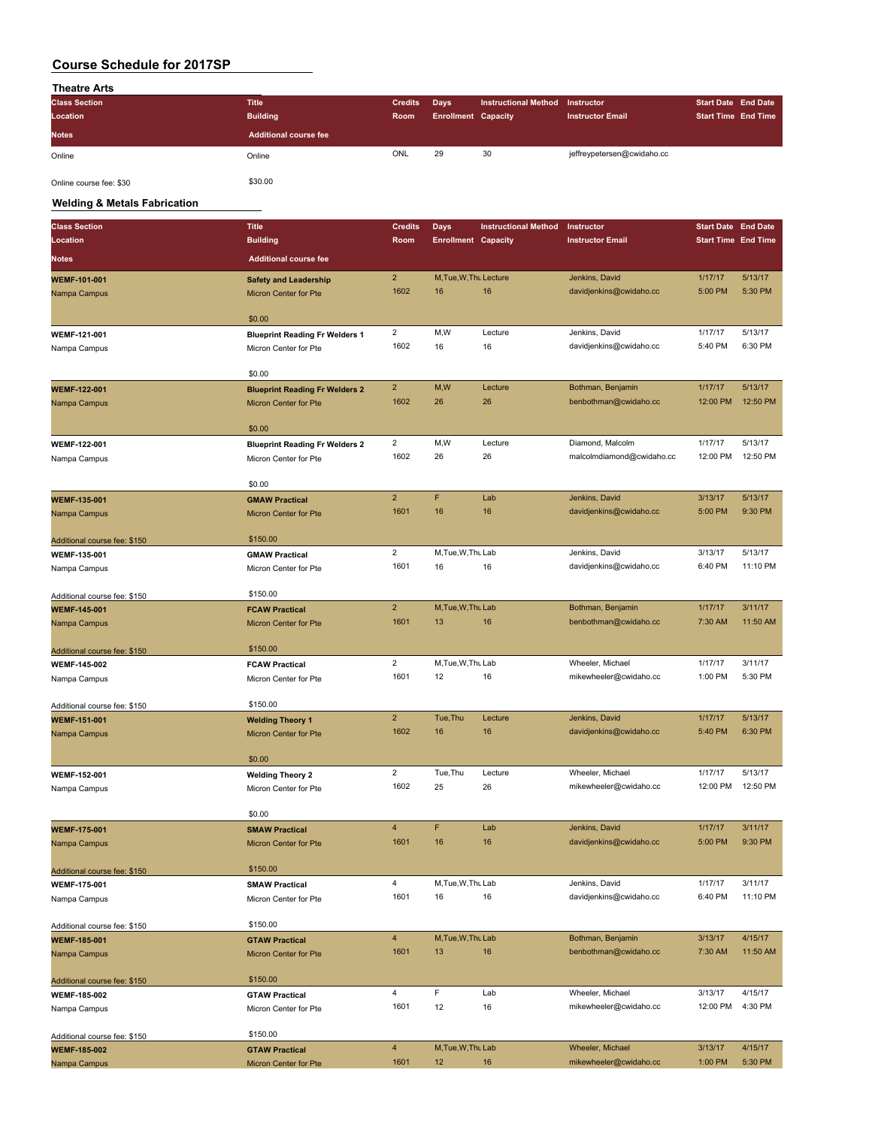| <b>Theatre Arts</b>  |                              |                |                            |                             |                         |                            |  |
|----------------------|------------------------------|----------------|----------------------------|-----------------------------|-------------------------|----------------------------|--|
| <b>Class Section</b> | <b>Title</b>                 | <b>Credits</b> | Days                       | <b>Instructional Method</b> | Instructor              | <b>Start Date End Date</b> |  |
| Location             | <b>Building</b>              | Room           | <b>Enrollment Capacity</b> |                             | <b>Instructor Email</b> | <b>Start Time End Time</b> |  |
|                      |                              |                |                            |                             |                         |                            |  |
| <b>Notes</b>         | <b>Additional course fee</b> |                |                            |                             |                         |                            |  |

Online course fee: \$30 \$30.00

**Welding & Metals Fabrication**

| <b>Class Section</b>         | <b>Title</b>                          | <b>Credits</b>          | <b>Days</b>                | <b>Instructional Method</b> | Instructor                                | <b>Start Date End Date</b> |                     |
|------------------------------|---------------------------------------|-------------------------|----------------------------|-----------------------------|-------------------------------------------|----------------------------|---------------------|
| Location                     | <b>Building</b>                       | Room                    | <b>Enrollment Capacity</b> |                             | <b>Instructor Email</b>                   | <b>Start Time End Time</b> |                     |
| <b>Notes</b>                 | <b>Additional course fee</b>          |                         |                            |                             |                                           |                            |                     |
| <b>WEMF-101-001</b>          | <b>Safety and Leadership</b>          | $\overline{2}$          | M, Tue, W, Thu Lecture     |                             | Jenkins, David                            | 1/17/17                    | 5/13/17             |
| Nampa Campus                 | <b>Micron Center for Pte</b>          | 1602                    | 16                         | 16                          | davidjenkins@cwidaho.cc                   | 5:00 PM                    | 5:30 PM             |
|                              |                                       |                         |                            |                             |                                           |                            |                     |
|                              | \$0.00                                |                         |                            |                             |                                           |                            |                     |
| WEMF-121-001                 | <b>Blueprint Reading Fr Welders 1</b> | $\overline{2}$          | M,W                        | Lecture                     | Jenkins, David                            | 1/17/17                    | 5/13/17             |
| Nampa Campus                 | Micron Center for Pte                 | 1602                    | 16                         | 16                          | davidjenkins@cwidaho.cc                   | 5:40 PM                    | 6:30 PM             |
|                              |                                       |                         |                            |                             |                                           |                            |                     |
|                              | \$0.00                                |                         |                            |                             |                                           |                            |                     |
| <b>WEMF-122-001</b>          | <b>Blueprint Reading Fr Welders 2</b> | $\overline{2}$          | M,W                        | Lecture                     | Bothman, Benjamin                         | 1/17/17                    | 5/13/17             |
| Nampa Campus                 | Micron Center for Pte                 | 1602                    | 26                         | 26                          | benbothman@cwidaho.cc                     | 12:00 PM                   | 12:50 PM            |
|                              | \$0.00                                |                         |                            |                             |                                           |                            |                     |
| WEMF-122-001                 | <b>Blueprint Reading Fr Welders 2</b> | $\overline{2}$          | M,W                        | Lecture                     | Diamond, Malcolm                          | 1/17/17                    | 5/13/17             |
| Nampa Campus                 | Micron Center for Pte                 | 1602                    | 26                         | 26                          | malcolmdiamond@cwidaho.cc                 | 12:00 PM                   | 12:50 PM            |
|                              |                                       |                         |                            |                             |                                           |                            |                     |
|                              | \$0.00                                |                         |                            |                             |                                           |                            |                     |
| <b>WEMF-135-001</b>          | <b>GMAW Practical</b>                 | $\overline{2}$          | F                          | Lab                         | Jenkins, David                            | 3/13/17                    | 5/13/17             |
| Nampa Campus                 | <b>Micron Center for Pte</b>          | 1601                    | 16                         | 16                          | davidjenkins@cwidaho.cc                   | 5:00 PM                    | 9:30 PM             |
|                              |                                       |                         |                            |                             |                                           |                            |                     |
| Additional course fee: \$150 | \$150.00                              |                         |                            |                             |                                           |                            |                     |
| WEMF-135-001                 | <b>GMAW Practical</b>                 | $\overline{2}$<br>1601  | M, Tue, W, Thu Lab<br>16   | 16                          | Jenkins, David                            | 3/13/17<br>6:40 PM         | 5/13/17<br>11:10 PM |
| Nampa Campus                 | Micron Center for Pte                 |                         |                            |                             | davidjenkins@cwidaho.cc                   |                            |                     |
| Additional course fee: \$150 | \$150.00                              |                         |                            |                             |                                           |                            |                     |
| <b>WEMF-145-001</b>          | <b>FCAW Practical</b>                 | $\overline{2}$          | M, Tue, W, Thu Lab         |                             | Bothman, Benjamin                         | 1/17/17                    | 3/11/17             |
| Nampa Campus                 | Micron Center for Pte                 | 1601                    | 13                         | 16                          | benbothman@cwidaho.cc                     | 7:30 AM                    | 11:50 AM            |
|                              |                                       |                         |                            |                             |                                           |                            |                     |
| Additional course fee: \$150 | \$150.00                              |                         |                            |                             |                                           |                            |                     |
| <b>WEMF-145-002</b>          | <b>FCAW Practical</b>                 | $\overline{2}$          | M, Tue, W, Thu Lab         |                             | Wheeler, Michael                          | 1/17/17                    | 3/11/17             |
| Nampa Campus                 | Micron Center for Pte                 | 1601                    | 12                         | 16                          | mikewheeler@cwidaho.cc                    | 1:00 PM                    | 5:30 PM             |
|                              |                                       |                         |                            |                             |                                           |                            |                     |
| Additional course fee: \$150 | \$150.00                              | $\overline{2}$          |                            |                             |                                           |                            |                     |
| <b>WEMF-151-001</b>          | <b>Welding Theory 1</b>               | 1602                    | Tue, Thu<br>16             | Lecture<br>16               | Jenkins, David<br>davidjenkins@cwidaho.cc | 1/17/17<br>5:40 PM         | 5/13/17<br>6:30 PM  |
| Nampa Campus                 | <b>Micron Center for Pte</b>          |                         |                            |                             |                                           |                            |                     |
|                              | \$0.00                                |                         |                            |                             |                                           |                            |                     |
| WEMF-152-001                 | <b>Welding Theory 2</b>               | $\overline{2}$          | Tue, Thu                   | Lecture                     | Wheeler, Michael                          | 1/17/17                    | 5/13/17             |
| Nampa Campus                 | Micron Center for Pte                 | 1602                    | 25                         | 26                          | mikewheeler@cwidaho.cc                    | 12:00 PM                   | 12:50 PM            |
|                              |                                       |                         |                            |                             |                                           |                            |                     |
|                              | \$0.00                                |                         |                            |                             |                                           |                            |                     |
| <b>WEMF-175-001</b>          | <b>SMAW Practical</b>                 | $\overline{4}$          | F                          | Lab                         | Jenkins, David                            | 1/17/17                    | 3/11/17             |
| Nampa Campus                 | Micron Center for Pte                 | 1601                    | 16                         | 16                          | davidjenkins@cwidaho.cc                   | 5:00 PM                    | 9:30 PM             |
|                              |                                       |                         |                            |                             |                                           |                            |                     |
| Additional course fee: \$150 | \$150.00                              |                         |                            |                             |                                           |                            |                     |
| <b>WEMF-175-001</b>          | <b>SMAW Practical</b>                 | $\overline{\mathbf{4}}$ | M.Tue.W.Thu Lab            |                             | Jenkins, David                            | 1/17/17                    | 3/11/17             |
| Nampa Campus                 | Micron Center for Pte                 | 1601                    | 16                         | 16                          | davidjenkins@cwidaho.cc                   | 6:40 PM                    | 11:10 PM            |
| Additional course fee: \$150 | \$150.00                              |                         |                            |                             |                                           |                            |                     |
| <b>WEMF-185-001</b>          | <b>GTAW Practical</b>                 | $\overline{4}$          | M, Tue, W, Thu Lab         |                             | Bothman, Benjamin                         | 3/13/17                    | 4/15/17             |
| Nampa Campus                 | <b>Micron Center for Pte</b>          | 1601                    | 13                         | 16                          | benbothman@cwidaho.cc                     | 7:30 AM                    | 11:50 AM            |
|                              |                                       |                         |                            |                             |                                           |                            |                     |
| Additional course fee: \$150 | \$150.00                              |                         |                            |                             |                                           |                            |                     |
| <b>WEMF-185-002</b>          | <b>GTAW Practical</b>                 | $\overline{4}$          | F                          | Lab                         | Wheeler, Michael                          | 3/13/17                    | 4/15/17             |
| Nampa Campus                 | Micron Center for Pte                 | 1601                    | 12                         | 16                          | mikewheeler@cwidaho.cc                    | 12:00 PM                   | 4:30 PM             |
|                              |                                       |                         |                            |                             |                                           |                            |                     |
| Additional course fee: \$150 | \$150.00                              |                         |                            |                             |                                           |                            |                     |
| <b>WEMF-185-002</b>          | <b>GTAW Practical</b>                 | $\overline{4}$          | M, Tue, W, Thu Lab         |                             | Wheeler, Michael                          | 3/13/17                    | 4/15/17             |
| Nampa Campus                 | Micron Center for Pte                 | 1601                    | 12 <sup>2</sup>            | 16                          | mikewheeler@cwidaho.cc                    | 1:00 PM                    | 5:30 PM             |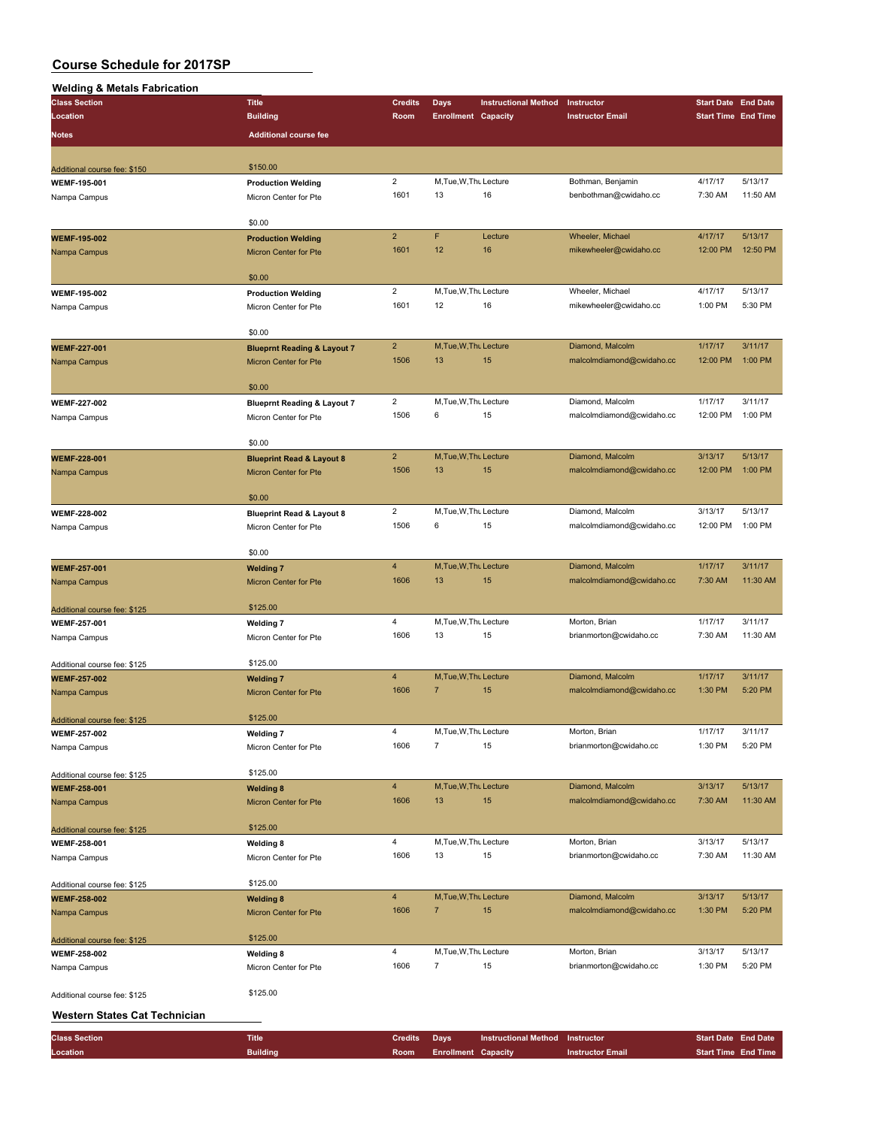| <b>Welding &amp; Metals Fabrication</b>             |                                        |                         |                             |                             |                           |                            |                    |
|-----------------------------------------------------|----------------------------------------|-------------------------|-----------------------------|-----------------------------|---------------------------|----------------------------|--------------------|
| <b>Class Section</b>                                | <b>Title</b>                           | <b>Credits</b>          | <b>Days</b>                 | <b>Instructional Method</b> | Instructor                | <b>Start Date End Date</b> |                    |
| Location                                            | <b>Building</b>                        | Room                    | <b>Enrollment Capacity</b>  |                             | <b>Instructor Email</b>   | <b>Start Time End Time</b> |                    |
| Notes                                               | <b>Additional course fee</b>           |                         |                             |                             |                           |                            |                    |
|                                                     |                                        |                         |                             |                             |                           |                            |                    |
|                                                     |                                        |                         |                             |                             |                           |                            |                    |
| Additional course fee: \$150                        | \$150.00                               |                         |                             |                             |                           |                            |                    |
| WEMF-195-001                                        | <b>Production Welding</b>              | $\overline{2}$          | M, Tue, W, Thu Lecture      |                             | Bothman, Benjamin         | 4/17/17                    | 5/13/17            |
| Nampa Campus                                        | Micron Center for Pte                  | 1601                    | 13                          | 16                          | benbothman@cwidaho.cc     | 7:30 AM                    | 11:50 AM           |
|                                                     |                                        |                         |                             |                             |                           |                            |                    |
|                                                     | \$0.00                                 | $\overline{2}$          | F                           | Lecture                     | Wheeler, Michael          | 4/17/17                    | 5/13/17            |
| <b>WEMF-195-002</b>                                 | <b>Production Welding</b>              | 1601                    | 12                          | 16                          | mikewheeler@cwidaho.cc    | 12:00 PM                   | 12:50 PM           |
| Nampa Campus                                        | <b>Micron Center for Pte</b>           |                         |                             |                             |                           |                            |                    |
|                                                     | \$0.00                                 |                         |                             |                             |                           |                            |                    |
|                                                     |                                        | $\overline{2}$          | M, Tue, W, Thu Lecture      |                             | Wheeler, Michael          | 4/17/17                    | 5/13/17            |
| <b>WEMF-195-002</b>                                 | <b>Production Welding</b>              | 1601                    | 12                          | 16                          | mikewheeler@cwidaho.cc    | 1:00 PM                    | 5:30 PM            |
| Nampa Campus                                        | Micron Center for Pte                  |                         |                             |                             |                           |                            |                    |
|                                                     | \$0.00                                 |                         |                             |                             |                           |                            |                    |
| <b>WEMF-227-001</b>                                 | <b>Blueprnt Reading &amp; Layout 7</b> | $\overline{2}$          | M, Tue, W, Thu Lecture      |                             | Diamond, Malcolm          | 1/17/17                    | 3/11/17            |
| Nampa Campus                                        | <b>Micron Center for Pte</b>           | 1506                    | 13                          | 15                          | malcolmdiamond@cwidaho.cc | 12:00 PM                   | 1:00 PM            |
|                                                     |                                        |                         |                             |                             |                           |                            |                    |
|                                                     | \$0.00                                 |                         |                             |                             |                           |                            |                    |
| <b>WEMF-227-002</b>                                 | <b>Blueprnt Reading &amp; Layout 7</b> | $\overline{\mathbf{c}}$ | M, Tue, W, Thu Lecture      |                             | Diamond, Malcolm          | 1/17/17                    | 3/11/17            |
| Nampa Campus                                        | Micron Center for Pte                  | 1506                    | 6                           | 15                          | malcolmdiamond@cwidaho.cc | 12:00 PM                   | 1:00 PM            |
|                                                     |                                        |                         |                             |                             |                           |                            |                    |
|                                                     | \$0.00                                 |                         |                             |                             |                           |                            |                    |
| WEMF-228-001                                        | <b>Blueprint Read &amp; Layout 8</b>   | $\overline{2}$          | M, Tue, W, Thu Lecture      |                             | Diamond, Malcolm          | 3/13/17                    | 5/13/17            |
| Nampa Campus                                        | Micron Center for Pte                  | 1506                    | 13                          | 15                          | malcolmdiamond@cwidaho.cc | 12:00 PM                   | 1:00 PM            |
|                                                     |                                        |                         |                             |                             |                           |                            |                    |
|                                                     | \$0.00                                 |                         |                             |                             |                           |                            |                    |
| <b>WEMF-228-002</b>                                 | <b>Blueprint Read &amp; Layout 8</b>   | $\overline{2}$          | M, Tue, W, Thu Lecture      |                             | Diamond, Malcolm          | 3/13/17                    | 5/13/17            |
| Nampa Campus                                        | Micron Center for Pte                  | 1506                    | 6                           | 15                          | malcolmdiamond@cwidaho.cc | 12:00 PM                   | 1:00 PM            |
|                                                     |                                        |                         |                             |                             |                           |                            |                    |
|                                                     | \$0.00                                 |                         |                             |                             |                           |                            |                    |
| <b>WEMF-257-001</b>                                 | <b>Welding 7</b>                       | $\overline{4}$          | M, Tue, W, Thu Lecture      |                             | Diamond, Malcolm          | 1/17/17                    | 3/11/17            |
| Nampa Campus                                        | Micron Center for Pte                  | 1606                    | 13                          | 15                          | malcolmdiamond@cwidaho.cc | 7:30 AM                    | 11:30 AM           |
|                                                     |                                        |                         |                             |                             |                           |                            |                    |
| Additional course fee: \$125                        | \$125.00                               |                         |                             |                             |                           |                            |                    |
| WEMF-257-001                                        | <b>Welding 7</b>                       | $\overline{4}$          | M, Tue, W, Thu Lecture      |                             | Morton, Brian             | 1/17/17                    | 3/11/17            |
| Nampa Campus                                        | Micron Center for Pte                  | 1606                    | 13                          | 15                          | brianmorton@cwidaho.cc    | 7:30 AM                    | 11:30 AM           |
|                                                     |                                        |                         |                             |                             |                           |                            |                    |
| Additional course fee: \$125                        | \$125.00                               |                         |                             |                             |                           |                            |                    |
| <b>WEMF-257-002</b>                                 | <b>Welding 7</b>                       | $\overline{4}$          | M, Tue, W, Thu Lecture      |                             | Diamond, Malcolm          | 1/17/17                    | 3/11/17            |
| Nampa Campus                                        | Micron Center for Pte                  | 1606                    | $\overline{7}$              | 15                          | malcolmdiamond@cwidaho.cc | 1:30 PM                    | 5:20 PM            |
|                                                     | \$125.00                               |                         |                             |                             |                           |                            |                    |
| Additional course fee: \$125                        |                                        |                         |                             |                             |                           |                            |                    |
| <b>WEMF-257-002</b>                                 | <b>Welding 7</b>                       | 4<br>1606               | M, Tue, W, Thu Lecture<br>7 | 15                          | Morton, Brian             | 1/17/17<br>1:30 PM         | 3/11/17<br>5:20 PM |
| Nampa Campus                                        | Micron Center for Pte                  |                         |                             |                             | brianmorton@cwidaho.cc    |                            |                    |
|                                                     | \$125.00                               |                         |                             |                             |                           |                            |                    |
| Additional course fee: \$125<br><b>WEMF-258-001</b> | <b>Welding 8</b>                       | $\overline{4}$          | M, Tue, W, Thu Lecture      |                             | Diamond, Malcolm          | 3/13/17                    | 5/13/17            |
| Nampa Campus                                        | Micron Center for Pte                  | 1606                    | 13                          | 15                          | malcolmdiamond@cwidaho.cc | 7:30 AM                    | 11:30 AM           |
|                                                     |                                        |                         |                             |                             |                           |                            |                    |
| Additional course fee: \$125                        | \$125.00                               |                         |                             |                             |                           |                            |                    |
| WEMF-258-001                                        | <b>Welding 8</b>                       | 4                       | M, Tue, W, Thu Lecture      |                             | Morton, Brian             | 3/13/17                    | 5/13/17            |
| Nampa Campus                                        | Micron Center for Pte                  | 1606                    | 13                          | 15                          | brianmorton@cwidaho.cc    | 7:30 AM                    | 11:30 AM           |
|                                                     |                                        |                         |                             |                             |                           |                            |                    |
| Additional course fee: \$125                        | \$125.00                               |                         |                             |                             |                           |                            |                    |
| <b>WEMF-258-002</b>                                 | <b>Welding 8</b>                       | $\overline{4}$          | M, Tue, W, Thu Lecture      |                             | Diamond, Malcolm          | 3/13/17                    | 5/13/17            |
| Nampa Campus                                        | Micron Center for Pte                  | 1606                    | $\overline{7}$              | 15                          | malcolmdiamond@cwidaho.cc | 1:30 PM                    | 5:20 PM            |
|                                                     |                                        |                         |                             |                             |                           |                            |                    |
| Additional course fee: \$125                        | \$125.00                               |                         |                             |                             |                           |                            |                    |
| WEMF-258-002                                        | <b>Welding 8</b>                       | 4                       | M, Tue, W, Thu Lecture      |                             | Morton, Brian             | 3/13/17                    | 5/13/17            |
| Nampa Campus                                        | Micron Center for Pte                  | 1606                    | 7                           | 15                          | brianmorton@cwidaho.cc    | 1:30 PM                    | 5:20 PM            |
|                                                     |                                        |                         |                             |                             |                           |                            |                    |
| Additional course fee: \$125                        | \$125.00                               |                         |                             |                             |                           |                            |                    |
|                                                     |                                        |                         |                             |                             |                           |                            |                    |
| Western States Cat Technician                       |                                        |                         |                             |                             |                           |                            |                    |

| <b>Class Section</b> | <b>Title</b>    | <b>Credits</b> Davs |                          | <b>Instructional Method Instructor</b> |                         | <b>Start Date End Date</b> |                            |
|----------------------|-----------------|---------------------|--------------------------|----------------------------------------|-------------------------|----------------------------|----------------------------|
| Location             | <b>Building</b> |                     | Room Enrollment Capacity |                                        | <b>Instructor Email</b> |                            | <b>Start Time End Time</b> |